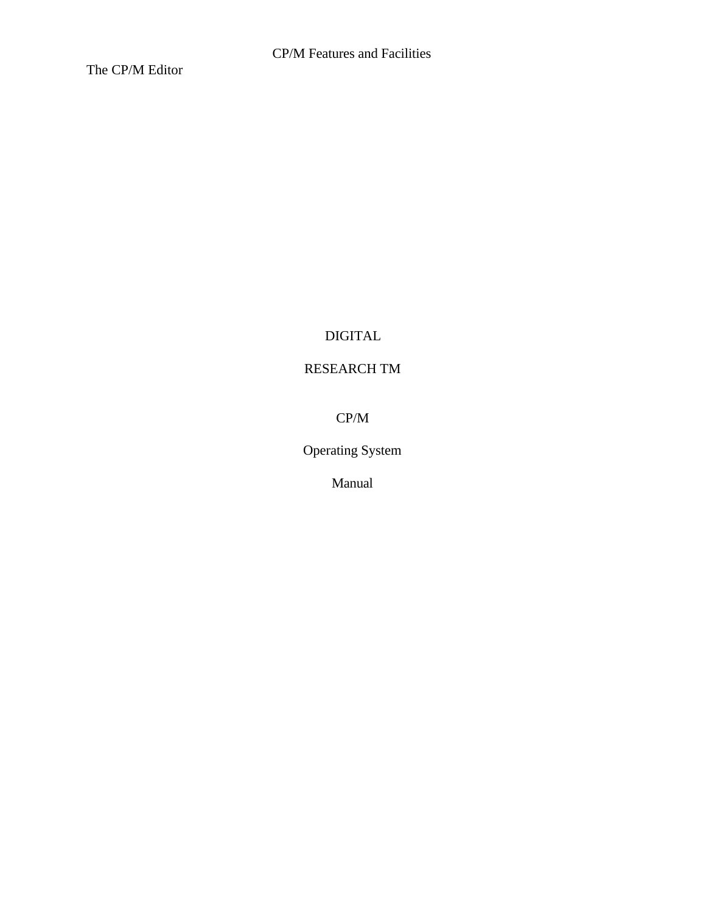The CP/M Editor

# DIGITAL

# RESEARCH TM

CP/M

Operating System

Manual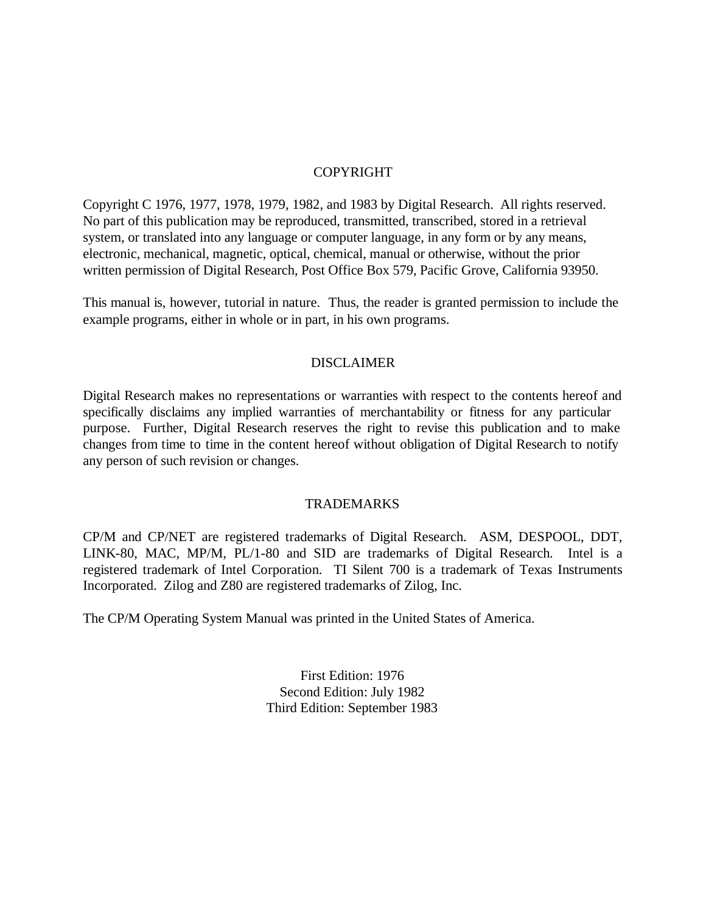#### COPYRIGHT

Copyright C 1976, 1977, 1978, 1979, 1982, and 1983 by Digital Research. All rights reserved. No part of this publication may be reproduced, transmitted, transcribed, stored in a retrieval system, or translated into any language or computer language, in any form or by any means, electronic, mechanical, magnetic, optical, chemical, manual or otherwise, without the prior written permission of Digital Research, Post Office Box 579, Pacific Grove, California 93950.

This manual is, however, tutorial in nature. Thus, the reader is granted permission to include the example programs, either in whole or in part, in his own programs.

#### DISCLAIMER

Digital Research makes no representations or warranties with respect to the contents hereof and specifically disclaims any implied warranties of merchantability or fitness for any particular purpose. Further, Digital Research reserves the right to revise this publication and to make changes from time to time in the content hereof without obligation of Digital Research to notify any person of such revision or changes.

#### TRADEMARKS

CP/M and CP/NET are registered trademarks of Digital Research. ASM, DESPOOL, DDT, LINK-80, MAC, MP/M, PL/1-80 and SID are trademarks of Digital Research. Intel is a registered trademark of Intel Corporation. TI Silent 700 is a trademark of Texas Instruments Incorporated. Zilog and Z80 are registered trademarks of Zilog, Inc.

The CP/M Operating System Manual was printed in the United States of America.

First Edition: 1976 Second Edition: July 1982 Third Edition: September 1983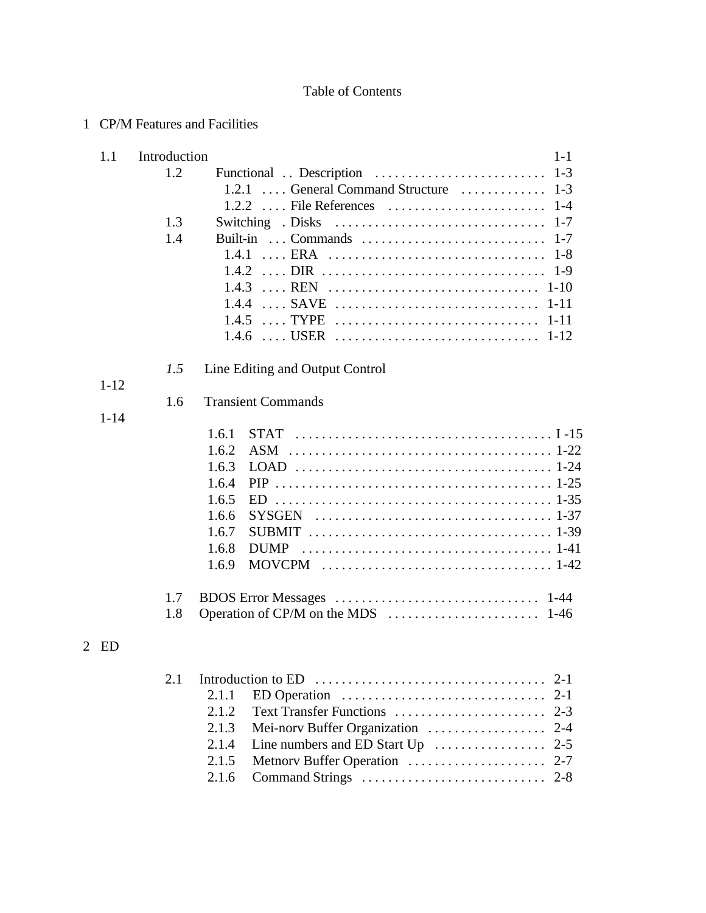## Table of Contents

## 1 CP/M Features and Facilities

| 1.1      |     |       | $1 - 1$                                 |
|----------|-----|-------|-----------------------------------------|
|          | 1.2 |       |                                         |
|          |     |       |                                         |
|          |     |       |                                         |
|          | 1.3 |       |                                         |
|          | 1.4 |       |                                         |
|          |     |       | $1 - 8$                                 |
|          |     |       | $1-9$                                   |
|          |     |       |                                         |
|          |     |       | $1 - 11$<br>1.4.4  SAVE                 |
|          |     |       | $1 - 11$<br>$1.4.5$ TYPE                |
|          |     |       |                                         |
|          | 1.5 |       | Line Editing and Output Control         |
| $1 - 12$ |     |       |                                         |
|          | 1.6 |       | <b>Transient Commands</b>               |
| $1 - 14$ |     |       |                                         |
|          |     | 1.6.1 |                                         |
|          |     | 1.6.2 |                                         |
|          |     | 1.6.3 |                                         |
|          |     | 1.6.4 |                                         |
|          |     | 1.6.5 | ED.                                     |
|          |     | 1.6.6 |                                         |
|          |     | 1.6.7 |                                         |
|          |     | 1.6.8 | <b>DUMP</b>                             |
|          |     | 1.6.9 |                                         |
|          | 1.7 |       |                                         |
|          | 1.8 |       |                                         |
| ED       |     |       |                                         |
|          |     |       |                                         |
|          | 2.1 |       | $2-1$                                   |
|          |     | 2.1.1 | ED Operation<br>$2 - 1$                 |
|          |     | 2.1.2 | Text Transfer Functions<br>$2 - 3$      |
|          |     | 2.1.3 | Mei-norv Buffer Organization<br>$2 - 4$ |
|          |     | 2.1.4 | Line numbers and ED Start Up<br>$2 - 5$ |
|          |     | 2.1.5 | Metnory Buffer Operation<br>$2 - 7$     |
|          |     | 2.1.6 |                                         |
|          |     |       | Introduction                            |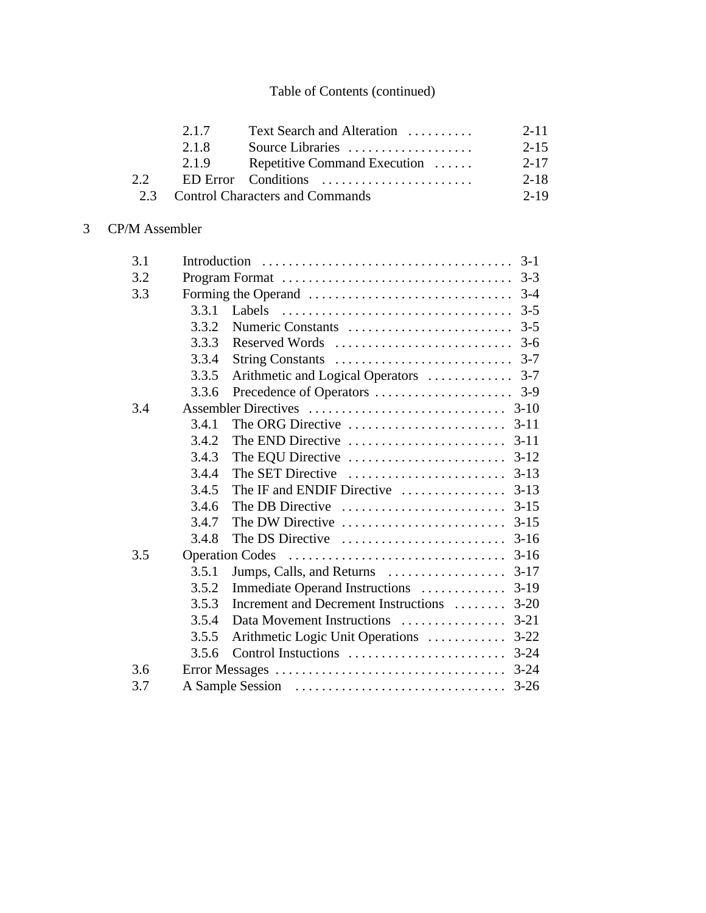|    | 2.1.7 | Text Search and Alteration          | $2 - 11$ |
|----|-------|-------------------------------------|----------|
|    | 2.1.8 | Source Libraries                    | $2 - 15$ |
|    | 2.1.9 | Repetitive Command Execution        | 2-17     |
| 22 |       | ED Error Conditions                 | 2-18     |
|    |       | 2.3 Control Characters and Commands | $2 - 19$ |

# 3 CP/M Assembler

| 3.1 |       | $3-1$                                                                                     |  |  |
|-----|-------|-------------------------------------------------------------------------------------------|--|--|
| 3.2 |       |                                                                                           |  |  |
| 3.3 |       | $3-4$                                                                                     |  |  |
|     | 3.3.1 | Labels $\ldots \ldots \ldots \ldots \ldots \ldots \ldots \ldots \ldots \ldots \ldots$ 3-5 |  |  |
|     | 3.3.2 | Numeric Constants<br>$3 - 5$                                                              |  |  |
|     | 3.3.3 | Reserved Words<br>$3-6$                                                                   |  |  |
|     | 3.3.4 |                                                                                           |  |  |
|     | 3.3.5 | Arithmetic and Logical Operators<br>$3 - 7$                                               |  |  |
|     | 3.3.6 |                                                                                           |  |  |
| 3.4 |       |                                                                                           |  |  |
|     | 3.4.1 | The ORG Directive $\dots \dots \dots \dots \dots \dots \dots$ 3-11                        |  |  |
|     | 3.4.2 |                                                                                           |  |  |
|     | 3.4.3 | The EQU Directive<br>$3-12$                                                               |  |  |
|     | 3.4.4 | The SET Directive<br>$3-13$                                                               |  |  |
|     | 3.4.5 | The IF and ENDIF Directive<br>$3-13$                                                      |  |  |
|     | 3.4.6 | The DB Directive<br>$3 - 15$                                                              |  |  |
|     | 3.4.7 | The DW Directive<br>$3 - 15$                                                              |  |  |
|     | 3.4.8 | $3-16$<br>The DS Directive                                                                |  |  |
| 3.5 |       | $3-16$<br>Operation Codes                                                                 |  |  |
|     | 3.5.1 | Jumps, Calls, and Returns<br>$3-17$                                                       |  |  |
|     | 3.5.2 | $3-19$<br>Immediate Operand Instructions                                                  |  |  |
|     | 3.5.3 | Increment and Decrement Instructions<br>$3 - 20$                                          |  |  |
|     | 3.5.4 | $3 - 21$<br>Data Movement Instructions                                                    |  |  |
|     | 3.5.5 | Arithmetic Logic Unit Operations<br>$3 - 22$                                              |  |  |
|     | 3.5.6 |                                                                                           |  |  |
| 3.6 |       | $3 - 24$                                                                                  |  |  |
| 3.7 |       | $3 - 26$                                                                                  |  |  |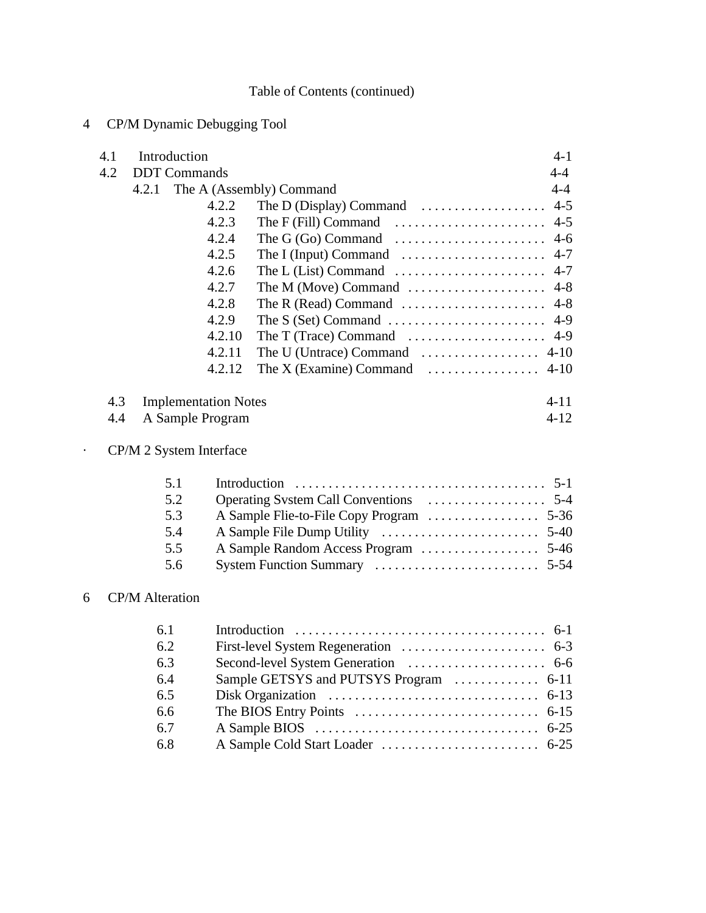# 4 CP/M Dynamic Debugging Tool

| 4.1 | Introduction                |        |                                                                       | $4 - 1$  |
|-----|-----------------------------|--------|-----------------------------------------------------------------------|----------|
| 4.2 | <b>DDT</b> Commands         |        |                                                                       | $4 - 4$  |
|     |                             |        | 4.2.1 The A (Assembly) Command                                        | $4 - 4$  |
|     |                             | 4.2.2  | The D (Display) Command $\dots\dots\dots\dots\dots\dots$              | $4 - 5$  |
|     |                             | 4.2.3  | The F (Fill) Command $\ldots \ldots \ldots \ldots \ldots \ldots$ 4-5  |          |
|     |                             | 4.2.4  | The G $(Go)$ Command $\ldots \ldots \ldots \ldots \ldots \ldots$ 4-6  |          |
|     |                             | 4.2.5  | The I (Input) Command $\dots \dots \dots \dots \dots \dots$           | $4 - 7$  |
|     |                             | 4.2.6  |                                                                       |          |
|     |                             | 4.2.7  | The M (Move) Command $\dots\dots\dots\dots\dots\dots\dots$            | $4 - 8$  |
|     |                             | 4.2.8  |                                                                       |          |
|     |                             | 4.2.9  |                                                                       |          |
|     |                             | 4.2.10 | The T (Trace) Command $\dots \dots \dots \dots \dots \dots \dots$ 4-9 |          |
|     |                             | 4.2.11 |                                                                       |          |
|     |                             | 4.2.12 | The X (Examine) Command $\dots \dots \dots \dots \dots$ 4-10          |          |
| 4.3 | <b>Implementation Notes</b> |        |                                                                       | $4 - 11$ |
| 4.4 | A Sample Program            |        |                                                                       | $4 - 12$ |
|     | CP/M 2 System Interface     |        |                                                                       |          |
|     | 5.1                         |        |                                                                       |          |
|     | 5.2                         |        |                                                                       |          |
|     | 5.3                         |        |                                                                       |          |
|     | 5.4                         |        |                                                                       |          |
|     | 5.5                         |        |                                                                       |          |
|     | 5.6                         |        |                                                                       |          |
|     | $6$ CP/M Alteration         |        |                                                                       |          |

#### 6 CP/M Alteration

| 6.1 |                                                                                         |  |
|-----|-----------------------------------------------------------------------------------------|--|
| 6.2 |                                                                                         |  |
| 6.3 |                                                                                         |  |
| 6.4 | Sample GETSYS and PUTSYS Program  6-11                                                  |  |
| 6.5 | Disk Organization $\ldots \ldots \ldots \ldots \ldots \ldots \ldots \ldots \ldots$ 6-13 |  |
| 6.6 |                                                                                         |  |
| 6.7 |                                                                                         |  |
| 6.8 |                                                                                         |  |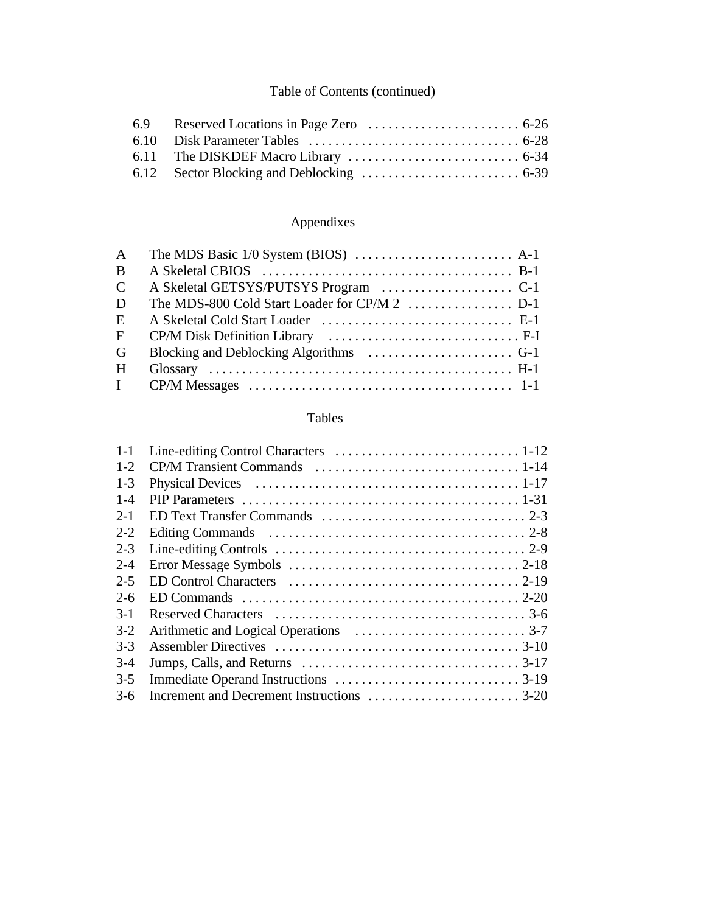## Appendixes

| $\mathbf{A}$   |  |
|----------------|--|
| $\mathbf{B}$   |  |
| $\mathcal{C}$  |  |
| D              |  |
| E              |  |
| $\overline{F}$ |  |
| G              |  |
| H              |  |
|                |  |

## Tables

| $1 - 1$ |  |
|---------|--|
| $1 - 2$ |  |
| $1 - 3$ |  |
| $1 - 4$ |  |
| $2 - 1$ |  |
| $2 - 2$ |  |
| $2 - 3$ |  |
| $2 - 4$ |  |
| $2 - 5$ |  |
| $2-6$   |  |
| $3-1$   |  |
| $3-2$   |  |
| $3 - 3$ |  |
| $3-4$   |  |
| $3-5$   |  |
| $3-6$   |  |
|         |  |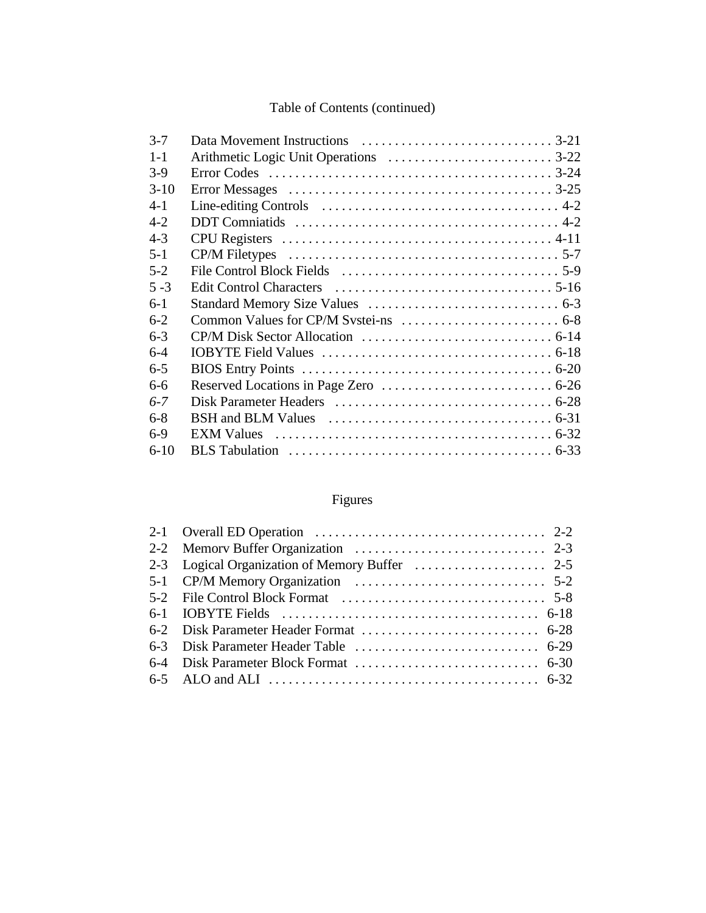| $3 - 7$  |  |
|----------|--|
| $1 - 1$  |  |
| $3-9$    |  |
| $3-10$   |  |
| $4-1$    |  |
| $4 - 2$  |  |
| $4 - 3$  |  |
| $5 - 1$  |  |
| $5 - 2$  |  |
| $5 - 3$  |  |
| $6-1$    |  |
| $6 - 2$  |  |
| $6 - 3$  |  |
| $6-4$    |  |
| $6 - 5$  |  |
| $6 - 6$  |  |
| $6 - 7$  |  |
| $6 - 8$  |  |
| $6-9$    |  |
| $6 - 10$ |  |

# Figures

| 2-1 Overall ED Operation $\ldots \ldots \ldots \ldots \ldots \ldots \ldots \ldots \ldots \ldots \ldots$ 2-2 |  |
|-------------------------------------------------------------------------------------------------------------|--|
|                                                                                                             |  |
|                                                                                                             |  |
|                                                                                                             |  |
|                                                                                                             |  |
|                                                                                                             |  |
|                                                                                                             |  |
|                                                                                                             |  |
|                                                                                                             |  |
|                                                                                                             |  |
|                                                                                                             |  |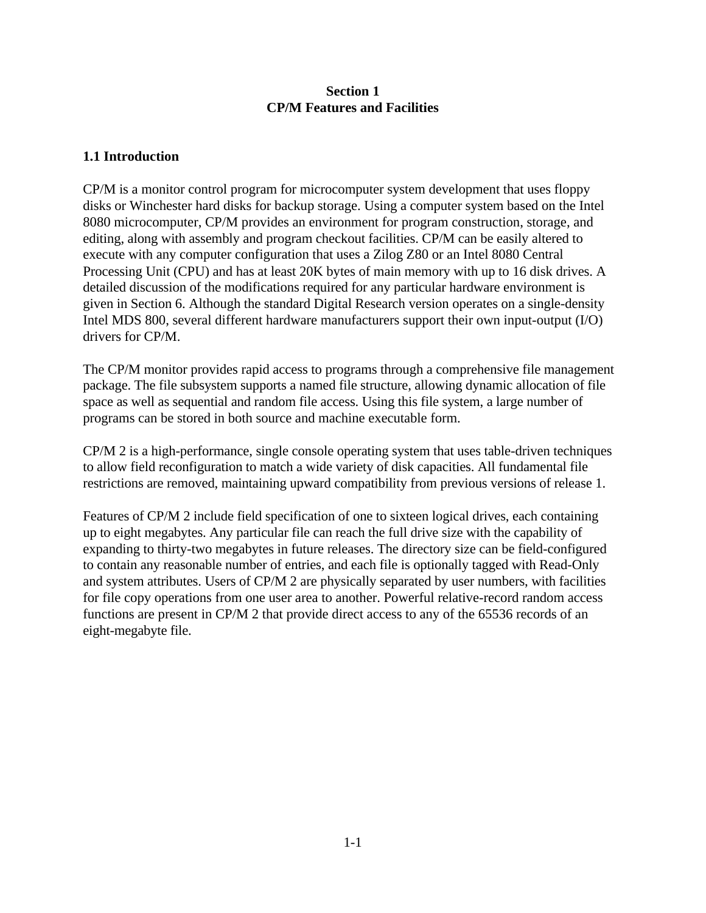#### **Section 1 CP/M Features and Facilities**

#### **1.1 Introduction**

CP/M is a monitor control program for microcomputer system development that uses floppy disks or Winchester hard disks for backup storage. Using a computer system based on the Intel 8080 microcomputer, CP/M provides an environment for program construction, storage, and editing, along with assembly and program checkout facilities. CP/M can be easily altered to execute with any computer configuration that uses a Zilog Z80 or an Intel 8080 Central Processing Unit (CPU) and has at least 20K bytes of main memory with up to 16 disk drives. A detailed discussion of the modifications required for any particular hardware environment is given in Section 6. Although the standard Digital Research version operates on a single-density Intel MDS 800, several different hardware manufacturers support their own input-output (I/O) drivers for CP/M.

The CP/M monitor provides rapid access to programs through a comprehensive file management package. The file subsystem supports a named file structure, allowing dynamic allocation of file space as well as sequential and random file access. Using this file system, a large number of programs can be stored in both source and machine executable form.

CP/M 2 is a high-performance, single console operating system that uses table-driven techniques to allow field reconfiguration to match a wide variety of disk capacities. All fundamental file restrictions are removed, maintaining upward compatibility from previous versions of release 1.

Features of CP/M 2 include field specification of one to sixteen logical drives, each containing up to eight megabytes. Any particular file can reach the full drive size with the capability of expanding to thirty-two megabytes in future releases. The directory size can be field-configured to contain any reasonable number of entries, and each file is optionally tagged with Read-Only and system attributes. Users of CP/M 2 are physically separated by user numbers, with facilities for file copy operations from one user area to another. Powerful relative-record random access functions are present in CP/M 2 that provide direct access to any of the 65536 records of an eight-megabyte file.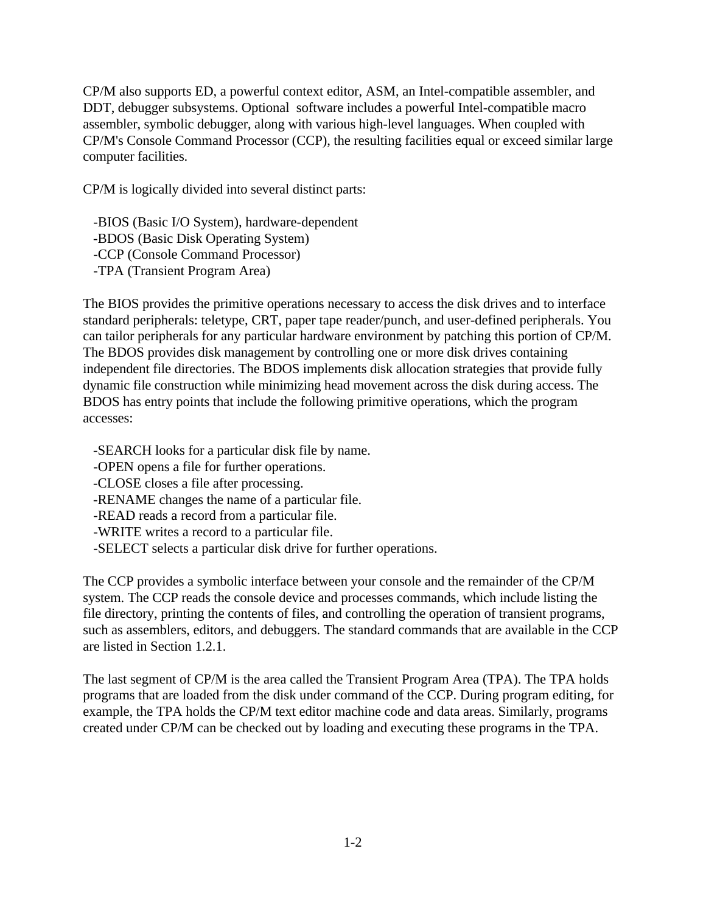CP/M also supports ED, a powerful context editor, ASM, an Intel-compatible assembler, and DDT, debugger subsystems. Optional software includes a powerful Intel-compatible macro assembler, symbolic debugger, along with various high-level languages. When coupled with CP/M's Console Command Processor (CCP), the resulting facilities equal or exceed similar large computer facilities.

CP/M is logically divided into several distinct parts:

 -BIOS (Basic I/O System), hardware-dependent -BDOS (Basic Disk Operating System) -CCP (Console Command Processor) -TPA (Transient Program Area)

The BIOS provides the primitive operations necessary to access the disk drives and to interface standard peripherals: teletype, CRT, paper tape reader/punch, and user-defined peripherals. You can tailor peripherals for any particular hardware environment by patching this portion of CP/M. The BDOS provides disk management by controlling one or more disk drives containing independent file directories. The BDOS implements disk allocation strategies that provide fully dynamic file construction while minimizing head movement across the disk during access. The BDOS has entry points that include the following primitive operations, which the program accesses:

-SEARCH looks for a particular disk file by name.

- -OPEN opens a file for further operations.
- -CLOSE closes a file after processing.
- -RENAME changes the name of a particular file.
- -READ reads a record from a particular file.
- -WRITE writes a record to a particular file.
- -SELECT selects a particular disk drive for further operations.

The CCP provides a symbolic interface between your console and the remainder of the CP/M system. The CCP reads the console device and processes commands, which include listing the file directory, printing the contents of files, and controlling the operation of transient programs, such as assemblers, editors, and debuggers. The standard commands that are available in the CCP are listed in Section 1.2.1.

The last segment of CP/M is the area called the Transient Program Area (TPA). The TPA holds programs that are loaded from the disk under command of the CCP. During program editing, for example, the TPA holds the CP/M text editor machine code and data areas. Similarly, programs created under CP/M can be checked out by loading and executing these programs in the TPA.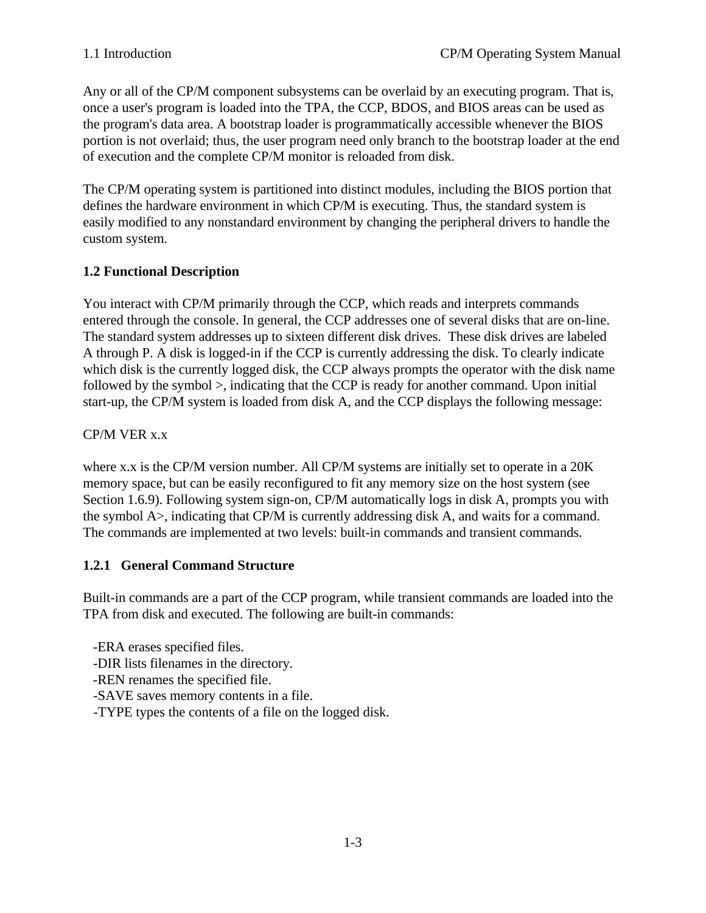Any or all of the CP/M component subsystems can be overlaid by an executing program. That is, once a user's program is loaded into the TPA, the CCP, BDOS, and BIOS areas can be used as the program's data area. A bootstrap loader is programmatically accessible whenever the BIOS portion is not overlaid; thus, the user program need only branch to the bootstrap loader at the end of execution and the complete CP/M monitor is reloaded from disk.

The CP/M operating system is partitioned into distinct modules, including the BIOS portion that defines the hardware environment in which CP/M is executing. Thus, the standard system is easily modified to any nonstandard environment by changing the peripheral drivers to handle the custom system.

## **1.2 Functional Description**

You interact with CP/M primarily through the CCP, which reads and interprets commands entered through the console. In general, the CCP addresses one of several disks that are on-line. The standard system addresses up to sixteen different disk drives. These disk drives are labeled A through P. A disk is logged-in if the CCP is currently addressing the disk. To clearly indicate which disk is the currently logged disk, the CCP always prompts the operator with the disk name followed by the symbol >, indicating that the CCP is ready for another command. Upon initial start-up, the CP/M system is loaded from disk A, and the CCP displays the following message:

### CP/M VER x.x

where x.x is the CP/M version number. All CP/M systems are initially set to operate in a 20K memory space, but can be easily reconfigured to fit any memory size on the host system (see Section 1.6.9). Following system sign-on, CP/M automatically logs in disk A, prompts you with the symbol A>, indicating that CP/M is currently addressing disk A, and waits for a command. The commands are implemented at two levels: built-in commands and transient commands.

### **1.2.1 General Command Structure**

Built-in commands are a part of the CCP program, while transient commands are loaded into the TPA from disk and executed. The following are built-in commands:

- -ERA erases specified files.
- -DIR lists filenames in the directory.
- -REN renames the specified file.
- -SAVE saves memory contents in a file.
- -TYPE types the contents of a file on the logged disk.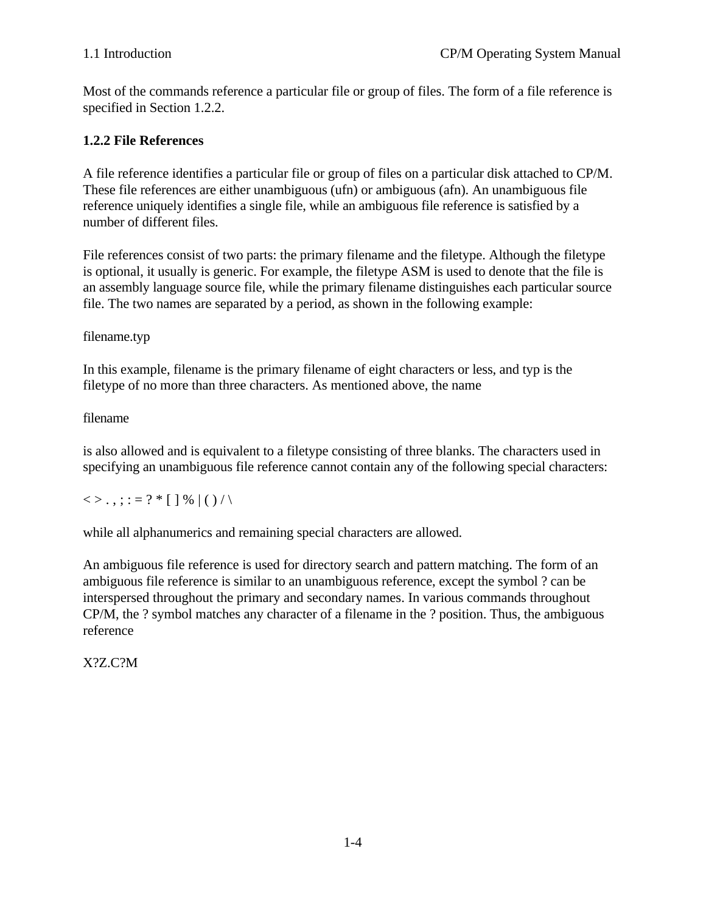Most of the commands reference a particular file or group of files. The form of a file reference is specified in Section 1.2.2.

### **1.2.2 File References**

A file reference identifies a particular file or group of files on a particular disk attached to CP/M. These file references are either unambiguous (ufn) or ambiguous (afn). An unambiguous file reference uniquely identifies a single file, while an ambiguous file reference is satisfied by a number of different files.

File references consist of two parts: the primary filename and the filetype. Although the filetype is optional, it usually is generic. For example, the filetype ASM is used to denote that the file is an assembly language source file, while the primary filename distinguishes each particular source file. The two names are separated by a period, as shown in the following example:

filename.typ

In this example, filename is the primary filename of eight characters or less, and typ is the filetype of no more than three characters. As mentioned above, the name

filename

is also allowed and is equivalent to a filetype consisting of three blanks. The characters used in specifying an unambiguous file reference cannot contain any of the following special characters:

 $\langle \rangle$ .,;:=?\*[]%|()/\

while all alphanumerics and remaining special characters are allowed.

An ambiguous file reference is used for directory search and pattern matching. The form of an ambiguous file reference is similar to an unambiguous reference, except the symbol ? can be interspersed throughout the primary and secondary names. In various commands throughout CP/M, the ? symbol matches any character of a filename in the ? position. Thus, the ambiguous reference

X?Z.C?M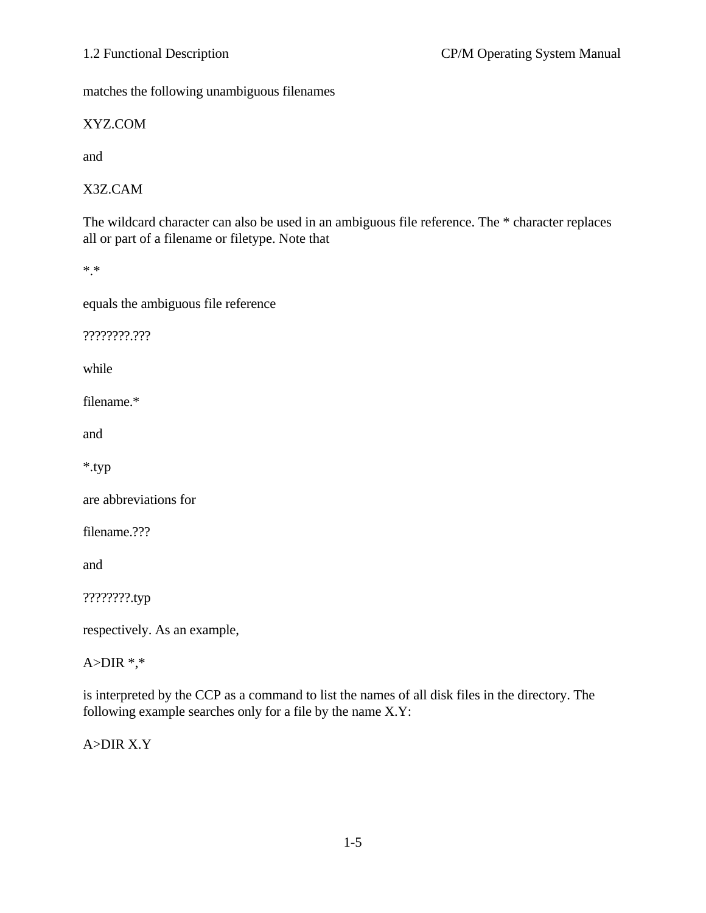matches the following unambiguous filenames

XYZ.COM

and

X3Z.CAM

The wildcard character can also be used in an ambiguous file reference. The \* character replaces all or part of a filename or filetype. Note that

\*.\*

equals the ambiguous file reference

????????.???

while

filename.\*

and

\*.typ

are abbreviations for

filename.???

and

????????.typ

respectively. As an example,

A> $DIR$ <sup>\*,\*</sup>

is interpreted by the CCP as a command to list the names of all disk files in the directory. The following example searches only for a file by the name X.Y:

A>DIR X.Y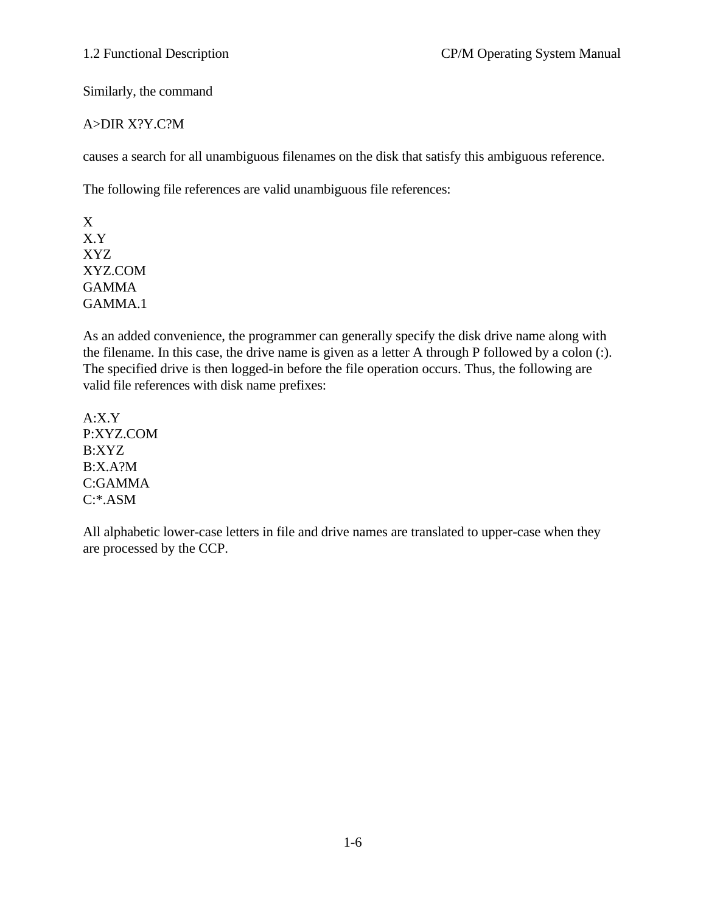Similarly, the command

#### A>DIR X?Y.C?M

causes a search for all unambiguous filenames on the disk that satisfy this ambiguous reference.

The following file references are valid unambiguous file references:

X X.Y XYZ XYZ.COM GAMMA GAMMA.1

As an added convenience, the programmer can generally specify the disk drive name along with the filename. In this case, the drive name is given as a letter A through P followed by a colon (:). The specified drive is then logged-in before the file operation occurs. Thus, the following are valid file references with disk name prefixes:

A:X.Y P:XYZ.COM B:XYZ B:X.A?M C:GAMMA C:\*.ASM

All alphabetic lower-case letters in file and drive names are translated to upper-case when they are processed by the CCP.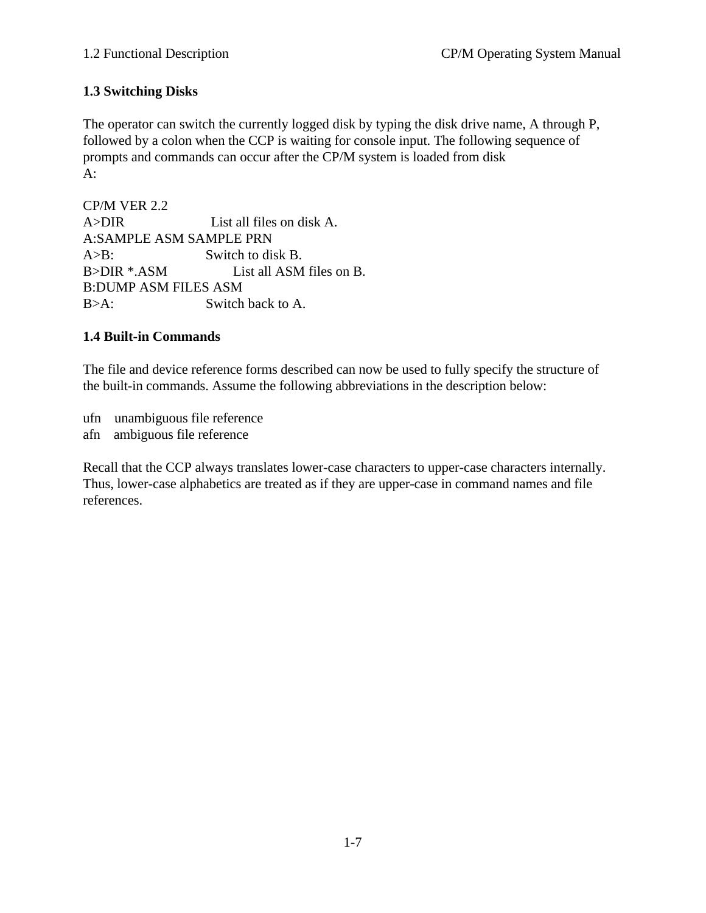## **1.3 Switching Disks**

The operator can switch the currently logged disk by typing the disk drive name, A through P, followed by a colon when the CCP is waiting for console input. The following sequence of prompts and commands can occur after the CP/M system is loaded from disk  $A$ :

CP/M VER 2.2 A>DIR List all files on disk A. A:SAMPLE ASM SAMPLE PRN A>B: Switch to disk B. B>DIR \*.ASM List all ASM files on B. B:DUMP ASM FILES ASM B>A: Switch back to A.

### **1.4 Built-in Commands**

The file and device reference forms described can now be used to fully specify the structure of the built-in commands. Assume the following abbreviations in the description below:

ufn unambiguous file reference afn ambiguous file reference

Recall that the CCP always translates lower-case characters to upper-case characters internally. Thus, lower-case alphabetics are treated as if they are upper-case in command names and file references.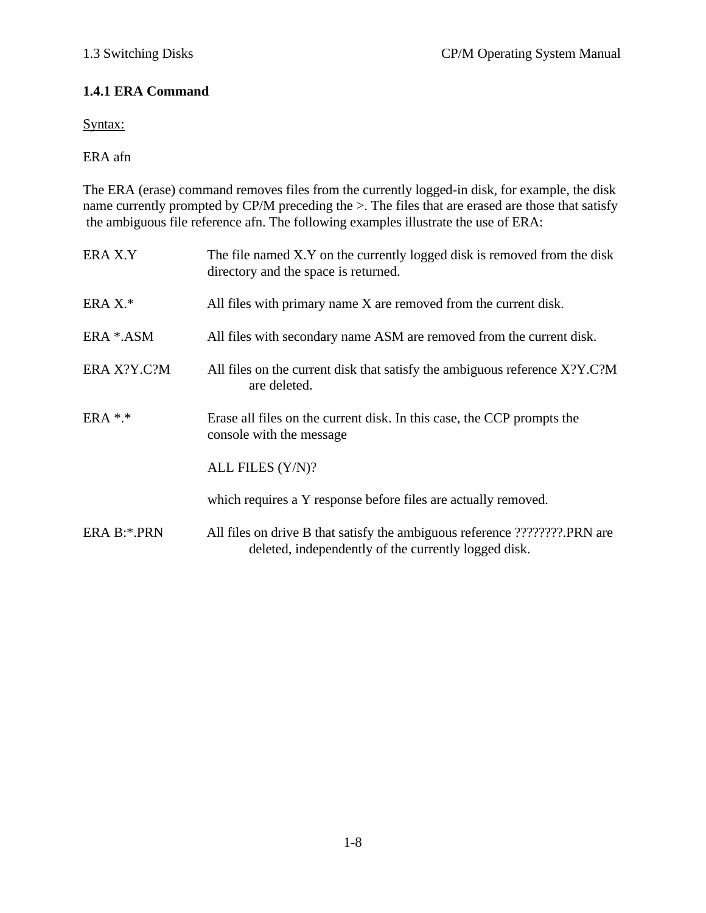### **1.4.1 ERA Command**

Syntax:

ERA afn

The ERA (erase) command removes files from the currently logged-in disk, for example, the disk name currently prompted by CP/M preceding the >. The files that are erased are those that satisfy the ambiguous file reference afn. The following examples illustrate the use of ERA:

| ERA X.Y     | The file named X.Y on the currently logged disk is removed from the disk<br>directory and the space is returned.                   |  |
|-------------|------------------------------------------------------------------------------------------------------------------------------------|--|
| ERA $X.*$   | All files with primary name X are removed from the current disk.                                                                   |  |
| ERA *.ASM   | All files with secondary name ASM are removed from the current disk.                                                               |  |
| ERA X?Y.C?M | All files on the current disk that satisfy the ambiguous reference X?Y.C?M<br>are deleted.                                         |  |
| $ERA$ *.*   | Erase all files on the current disk. In this case, the CCP prompts the<br>console with the message                                 |  |
|             | ALL FILES (Y/N)?                                                                                                                   |  |
|             | which requires a Y response before files are actually removed.                                                                     |  |
| ERA B:*.PRN | All files on drive B that satisfy the ambiguous reference ????????.PRN are<br>deleted, independently of the currently logged disk. |  |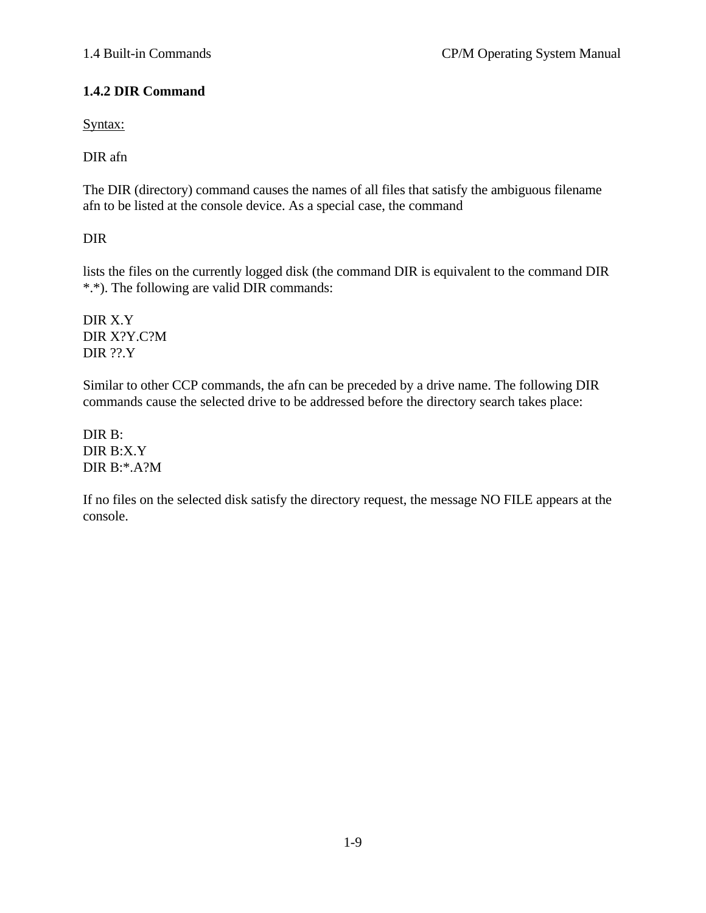## **1.4.2 DIR Command**

Syntax:

DIR afn

The DIR (directory) command causes the names of all files that satisfy the ambiguous filename afn to be listed at the console device. As a special case, the command

DIR

lists the files on the currently logged disk (the command DIR is equivalent to the command DIR \*.\*). The following are valid DIR commands:

DIR X.Y DIR X?Y.C?M DIR ??.Y

Similar to other CCP commands, the afn can be preceded by a drive name. The following DIR commands cause the selected drive to be addressed before the directory search takes place:

DIR B: DIR B:X.Y DIR B:\*.A?M

If no files on the selected disk satisfy the directory request, the message NO FILE appears at the console.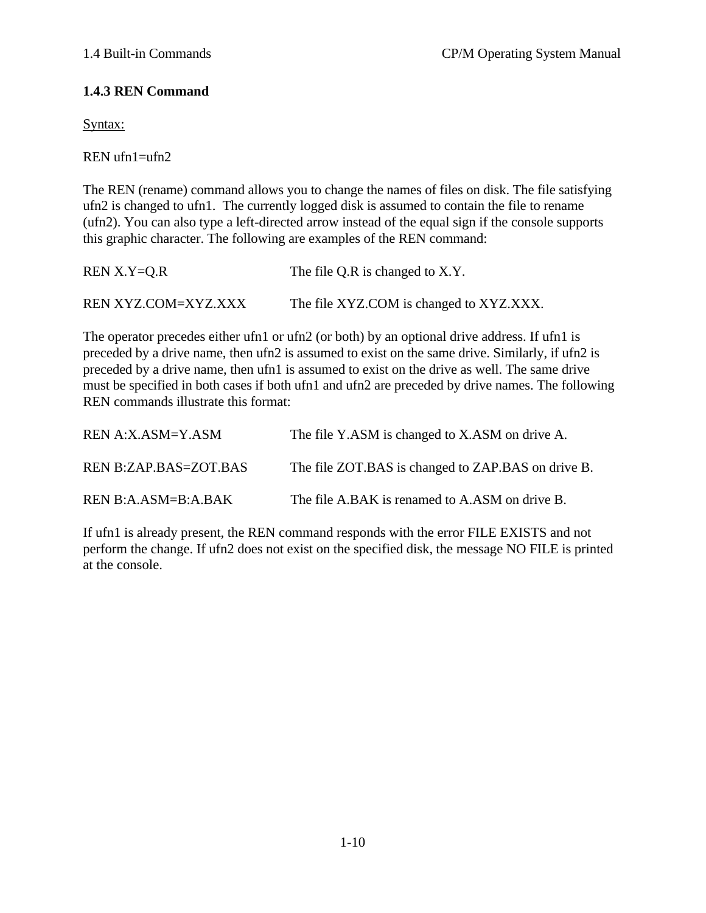#### **1.4.3 REN Command**

Syntax:

REN ufn1=ufn2

The REN (rename) command allows you to change the names of files on disk. The file satisfying ufn2 is changed to ufn1. The currently logged disk is assumed to contain the file to rename (ufn2). You can also type a left-directed arrow instead of the equal sign if the console supports this graphic character. The following are examples of the REN command:

| $REN X.Y=Q.R$              | The file Q.R is changed to X.Y.         |
|----------------------------|-----------------------------------------|
| <b>REN XYZ.COM=XYZ.XXX</b> | The file XYZ.COM is changed to XYZ.XXX. |

The operator precedes either ufn1 or ufn2 (or both) by an optional drive address. If ufn1 is preceded by a drive name, then ufn2 is assumed to exist on the same drive. Similarly, if ufn2 is preceded by a drive name, then ufn1 is assumed to exist on the drive as well. The same drive must be specified in both cases if both ufn1 and ufn2 are preceded by drive names. The following REN commands illustrate this format:

| REN A:X.ASM=Y.ASM     | The file Y.ASM is changed to X.ASM on drive A.     |
|-----------------------|----------------------------------------------------|
| REN B:ZAP.BAS=ZOT.BAS | The file ZOT.BAS is changed to ZAP.BAS on drive B. |
| REN B:A.ASM=B:A.BAK   | The file A.BAK is renamed to A.ASM on drive B.     |

If ufn1 is already present, the REN command responds with the error FILE EXISTS and not perform the change. If ufn2 does not exist on the specified disk, the message NO FILE is printed at the console.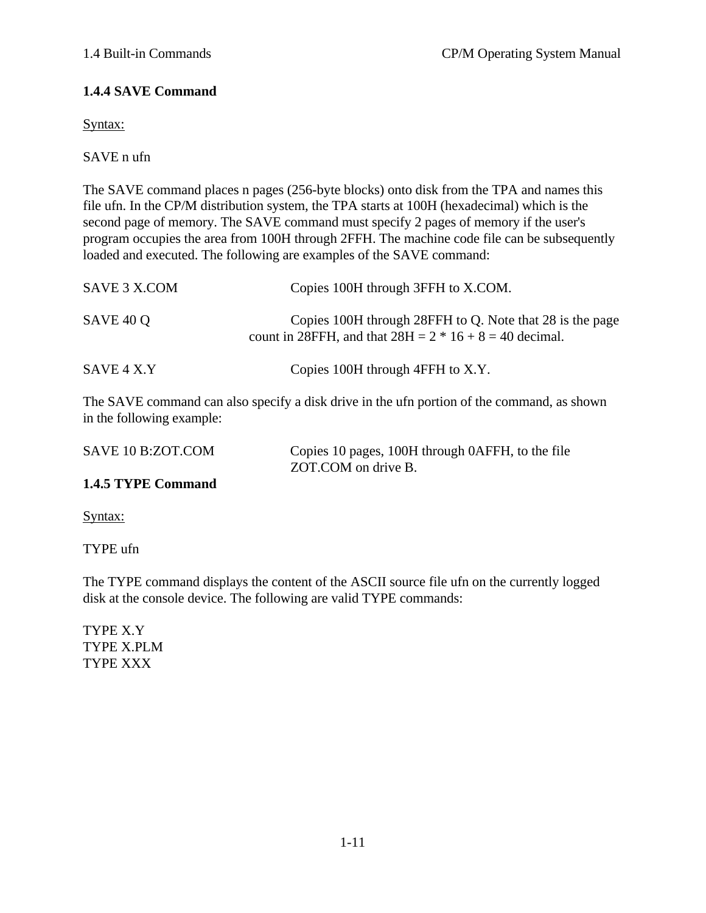### **1.4.4 SAVE Command**

Syntax:

SAVE n ufn

The SAVE command places n pages (256-byte blocks) onto disk from the TPA and names this file ufn. In the CP/M distribution system, the TPA starts at 100H (hexadecimal) which is the second page of memory. The SAVE command must specify 2 pages of memory if the user's program occupies the area from 100H through 2FFH. The machine code file can be subsequently loaded and executed. The following are examples of the SAVE command:

| SAVE 3 X.COM | Copies 100H through 3FFH to X.COM.                                                                                    |
|--------------|-----------------------------------------------------------------------------------------------------------------------|
| SAVE 40 Q    | Copies 100H through 28FFH to Q. Note that 28 is the page<br>count in 28FFH, and that $28H = 2 * 16 + 8 = 40$ decimal. |
| SAVE 4 X.Y   | Copies 100H through 4FFH to X.Y.                                                                                      |

The SAVE command can also specify a disk drive in the ufn portion of the command, as shown in the following example:

| SAVE 10 B:ZOT.COM | Copies 10 pages, 100H through 0AFFH, to the file |
|-------------------|--------------------------------------------------|
|                   | ZOT.COM on drive B.                              |
| . . <b>.</b> .    |                                                  |

#### **1.4.5 TYPE Command**

Syntax:

TYPE ufn

The TYPE command displays the content of the ASCII source file ufn on the currently logged disk at the console device. The following are valid TYPE commands:

TYPE X.Y TYPE X.PLM TYPE XXX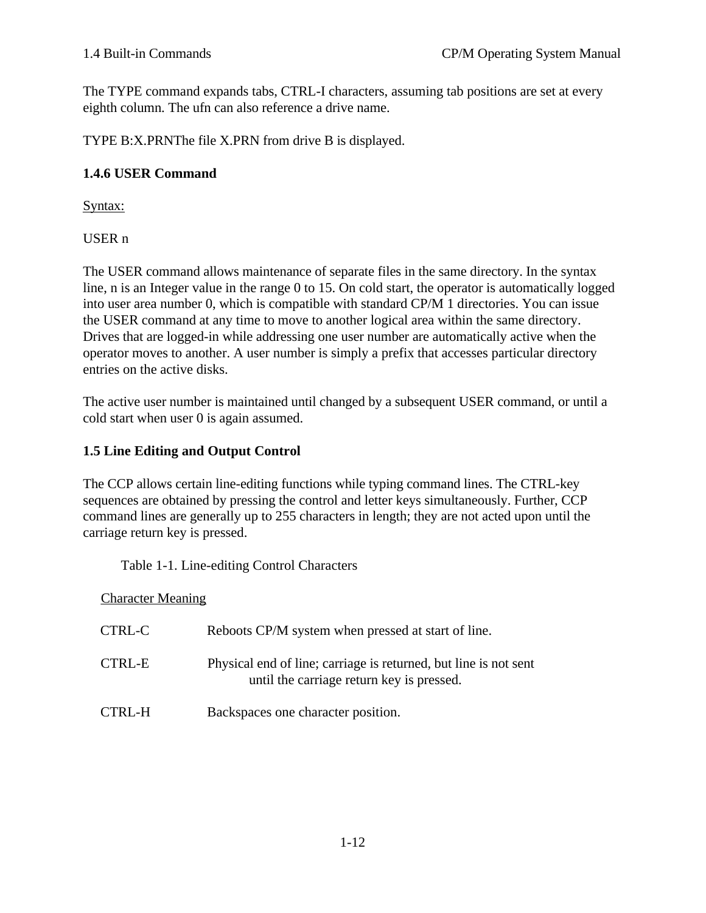The TYPE command expands tabs, CTRL-I characters, assuming tab positions are set at every eighth column. The ufn can also reference a drive name.

TYPE B:X.PRNThe file X.PRN from drive B is displayed.

#### **1.4.6 USER Command**

Syntax:

USER n

The USER command allows maintenance of separate files in the same directory. In the syntax line, n is an Integer value in the range 0 to 15. On cold start, the operator is automatically logged into user area number 0, which is compatible with standard CP/M 1 directories. You can issue the USER command at any time to move to another logical area within the same directory. Drives that are logged-in while addressing one user number are automatically active when the operator moves to another. A user number is simply a prefix that accesses particular directory entries on the active disks.

The active user number is maintained until changed by a subsequent USER command, or until a cold start when user 0 is again assumed.

### **1.5 Line Editing and Output Control**

The CCP allows certain line-editing functions while typing command lines. The CTRL-key sequences are obtained by pressing the control and letter keys simultaneously. Further, CCP command lines are generally up to 255 characters in length; they are not acted upon until the carriage return key is pressed.

Table 1-1. Line-editing Control Characters

Character Meaning

| CTRL-C | Reboots CP/M system when pressed at start of line.                                                            |
|--------|---------------------------------------------------------------------------------------------------------------|
| CTRL-E | Physical end of line; carriage is returned, but line is not sent<br>until the carriage return key is pressed. |
| CTRL-H | Backspaces one character position.                                                                            |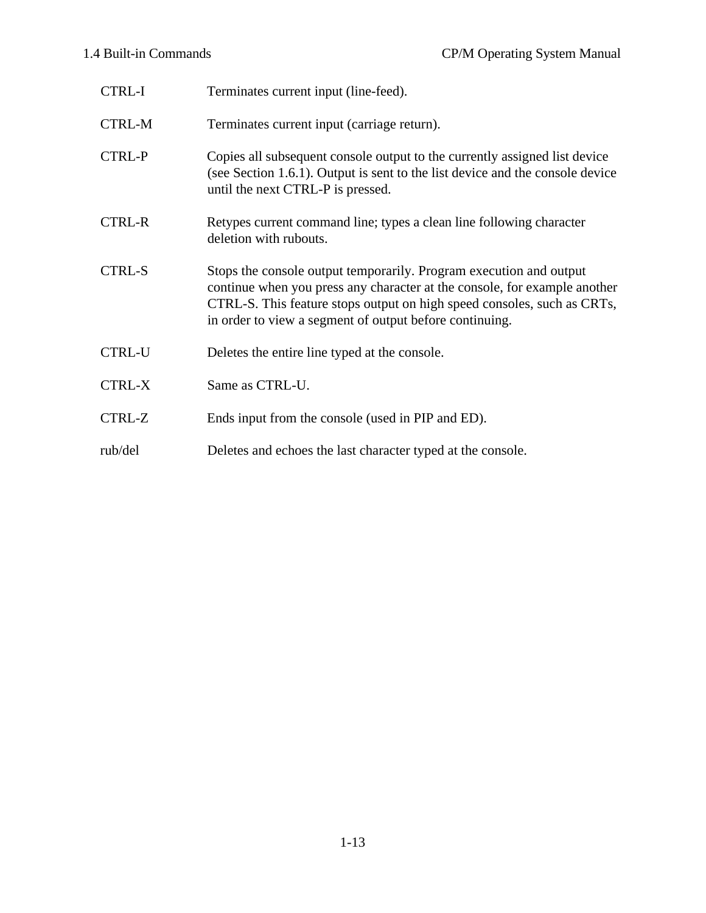| <b>CTRL-I</b> | Terminates current input (line-feed).                                                                                                                                                                                                                                                 |
|---------------|---------------------------------------------------------------------------------------------------------------------------------------------------------------------------------------------------------------------------------------------------------------------------------------|
| <b>CTRL-M</b> | Terminates current input (carriage return).                                                                                                                                                                                                                                           |
| <b>CTRL-P</b> | Copies all subsequent console output to the currently assigned list device<br>(see Section 1.6.1). Output is sent to the list device and the console device<br>until the next CTRL-P is pressed.                                                                                      |
| <b>CTRL-R</b> | Retypes current command line; types a clean line following character<br>deletion with rubouts.                                                                                                                                                                                        |
| <b>CTRL-S</b> | Stops the console output temporarily. Program execution and output<br>continue when you press any character at the console, for example another<br>CTRL-S. This feature stops output on high speed consoles, such as CRTs,<br>in order to view a segment of output before continuing. |
| <b>CTRL-U</b> | Deletes the entire line typed at the console.                                                                                                                                                                                                                                         |
| <b>CTRL-X</b> | Same as CTRL-U.                                                                                                                                                                                                                                                                       |
| CTRL-Z        | Ends input from the console (used in PIP and ED).                                                                                                                                                                                                                                     |
| rub/del       | Deletes and echoes the last character typed at the console.                                                                                                                                                                                                                           |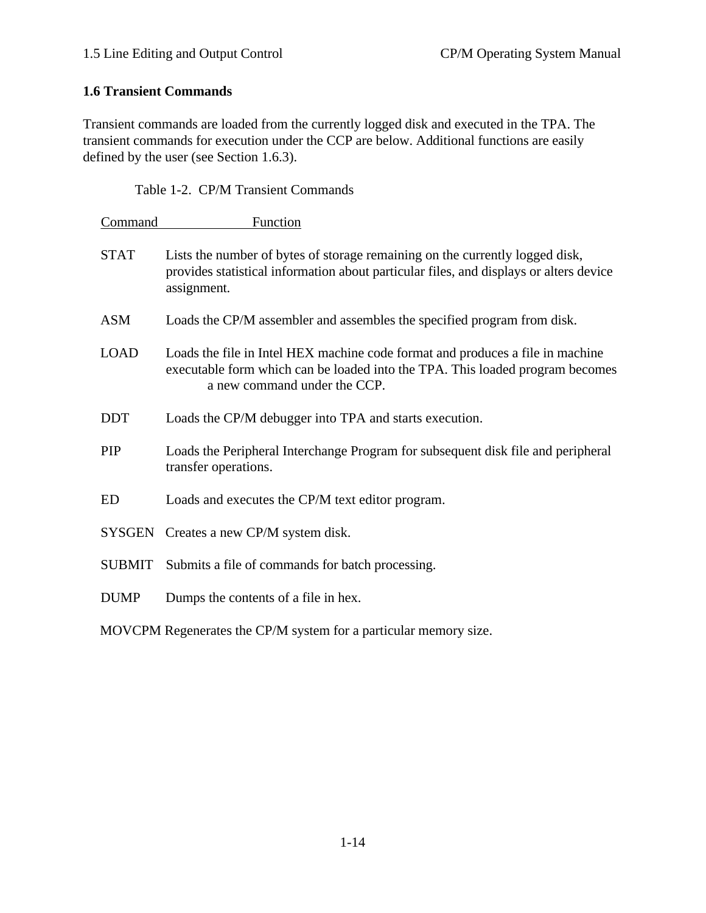## **1.6 Transient Commands**

Transient commands are loaded from the currently logged disk and executed in the TPA. The transient commands for execution under the CCP are below. Additional functions are easily defined by the user (see Section 1.6.3).

#### Table 1-2. CP/M Transient Commands

| Command       | <b>Function</b>                                                                                                                                                                                 |
|---------------|-------------------------------------------------------------------------------------------------------------------------------------------------------------------------------------------------|
| <b>STAT</b>   | Lists the number of bytes of storage remaining on the currently logged disk,<br>provides statistical information about particular files, and displays or alters device<br>assignment.           |
| <b>ASM</b>    | Loads the CP/M assembler and assembles the specified program from disk.                                                                                                                         |
| <b>LOAD</b>   | Loads the file in Intel HEX machine code format and produces a file in machine<br>executable form which can be loaded into the TPA. This loaded program becomes<br>a new command under the CCP. |
| <b>DDT</b>    | Loads the CP/M debugger into TPA and starts execution.                                                                                                                                          |
| <b>PIP</b>    | Loads the Peripheral Interchange Program for subsequent disk file and peripheral<br>transfer operations.                                                                                        |
| <b>ED</b>     | Loads and executes the CP/M text editor program.                                                                                                                                                |
|               | SYSGEN Creates a new CP/M system disk.                                                                                                                                                          |
| <b>SUBMIT</b> | Submits a file of commands for batch processing.                                                                                                                                                |
| <b>DUMP</b>   | Dumps the contents of a file in hex.                                                                                                                                                            |
|               | MOVCPM Regenerates the CP/M system for a particular memory size.                                                                                                                                |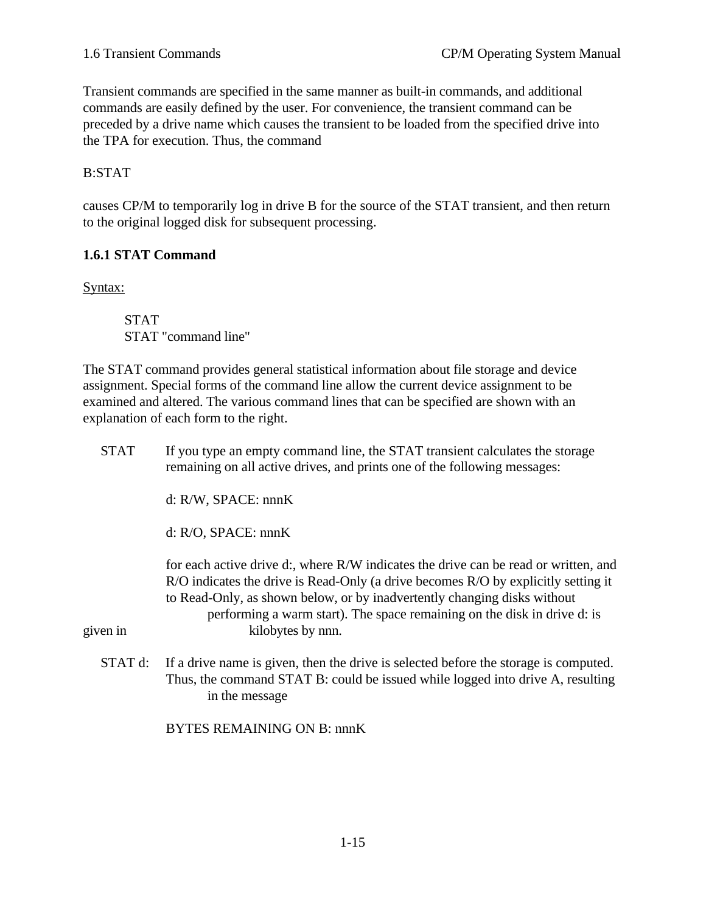Transient commands are specified in the same manner as built-in commands, and additional commands are easily defined by the user. For convenience, the transient command can be preceded by a drive name which causes the transient to be loaded from the specified drive into the TPA for execution. Thus, the command

#### B:STAT

causes CP/M to temporarily log in drive B for the source of the STAT transient, and then return to the original logged disk for subsequent processing.

#### **1.6.1 STAT Command**

Syntax:

STAT STAT "command line"

The STAT command provides general statistical information about file storage and device assignment. Special forms of the command line allow the current device assignment to be examined and altered. The various command lines that can be specified are shown with an explanation of each form to the right.

| <b>STAT</b> | If you type an empty command line, the STAT transient calculates the storage<br>remaining on all active drives, and prints one of the following messages:                                                                                                                                                                                              |  |  |
|-------------|--------------------------------------------------------------------------------------------------------------------------------------------------------------------------------------------------------------------------------------------------------------------------------------------------------------------------------------------------------|--|--|
|             | $d: R/W$ , SPACE: nnn $K$                                                                                                                                                                                                                                                                                                                              |  |  |
|             | $d: R/O$ , SPACE: nnnK                                                                                                                                                                                                                                                                                                                                 |  |  |
| given in    | for each active drive d:, where R/W indicates the drive can be read or written, and<br>R/O indicates the drive is Read-Only (a drive becomes R/O by explicitly setting it<br>to Read-Only, as shown below, or by inadvertently changing disks without<br>performing a warm start). The space remaining on the disk in drive d: is<br>kilobytes by nnn. |  |  |
| STAT d:     | If a drive name is given, then the drive is selected before the storage is computed.<br>Thus, the command STAT B: could be issued while logged into drive A, resulting<br>in the message                                                                                                                                                               |  |  |

BYTES REMAINING ON B: nnnK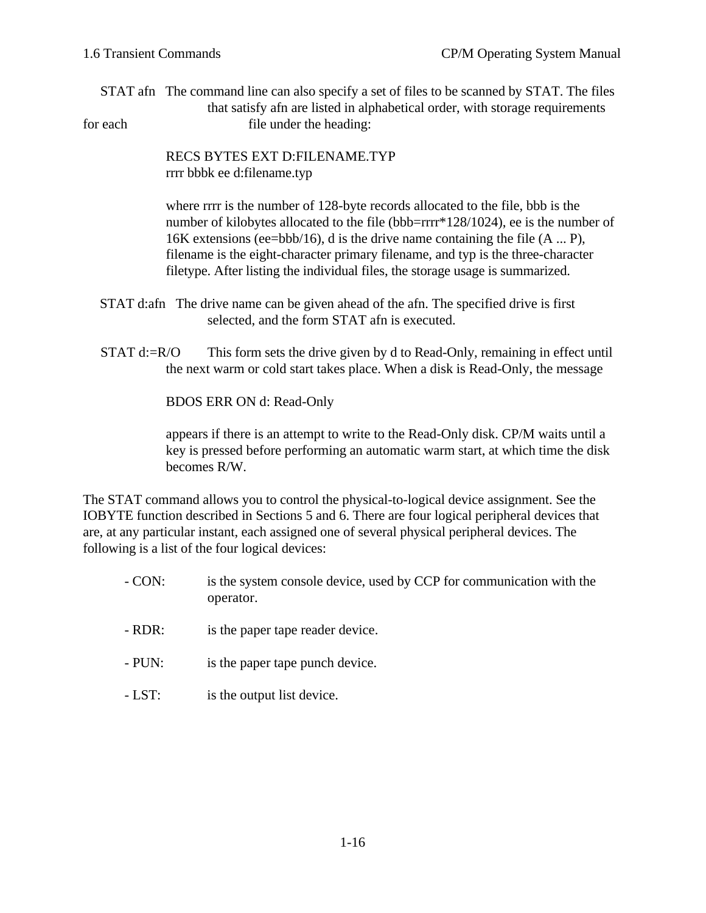STAT afn The command line can also specify a set of files to be scanned by STAT. The files that satisfy afn are listed in alphabetical order, with storage requirements for each file under the heading:

> RECS BYTES EXT D:FILENAME.TYP rrrr bbbk ee d:filename.typ

where rrrr is the number of 128-byte records allocated to the file, bbb is the number of kilobytes allocated to the file (bbb=rrrr\*128/1024), ee is the number of 16K extensions (ee=bbb/16), d is the drive name containing the file (A ... P), filename is the eight-character primary filename, and typ is the three-character filetype. After listing the individual files, the storage usage is summarized.

- STAT d:afn The drive name can be given ahead of the afn. The specified drive is first selected, and the form STAT afn is executed.
- STAT d:=R/O This form sets the drive given by d to Read-Only, remaining in effect until the next warm or cold start takes place. When a disk is Read-Only, the message

BDOS ERR ON d: Read-Only

appears if there is an attempt to write to the Read-Only disk. CP/M waits until a key is pressed before performing an automatic warm start, at which time the disk becomes R/W.

The STAT command allows you to control the physical-to-logical device assignment. See the IOBYTE function described in Sections 5 and 6. There are four logical peripheral devices that are, at any particular instant, each assigned one of several physical peripheral devices. The following is a list of the four logical devices:

- CON: is the system console device, used by CCP for communication with the operator.
- RDR: is the paper tape reader device.
- PUN: is the paper tape punch device.
- LST: is the output list device.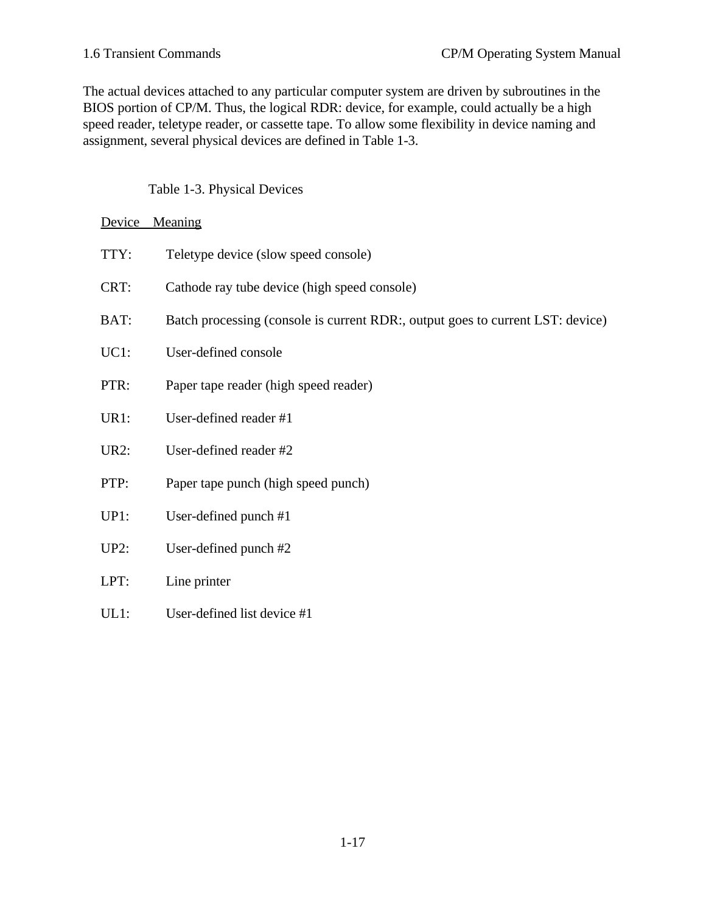The actual devices attached to any particular computer system are driven by subroutines in the BIOS portion of CP/M. Thus, the logical RDR: device, for example, could actually be a high speed reader, teletype reader, or cassette tape. To allow some flexibility in device naming and assignment, several physical devices are defined in Table 1-3.

Table 1-3. Physical Devices

#### Device Meaning

| TTY:        | Teletype device (slow speed console)                                           |
|-------------|--------------------------------------------------------------------------------|
| CRT:        | Cathode ray tube device (high speed console)                                   |
| BAT:        | Batch processing (console is current RDR:, output goes to current LST: device) |
| $UC1$ :     | User-defined console                                                           |
| PTR:        | Paper tape reader (high speed reader)                                          |
| UR1:        | User-defined reader #1                                                         |
| <b>UR2:</b> | User-defined reader #2                                                         |
| PTP:        | Paper tape punch (high speed punch)                                            |
| UP1:        | User-defined punch #1                                                          |
| $UP2$ :     | User-defined punch #2                                                          |
| LPT:        | Line printer                                                                   |
| UL1:        | User-defined list device #1                                                    |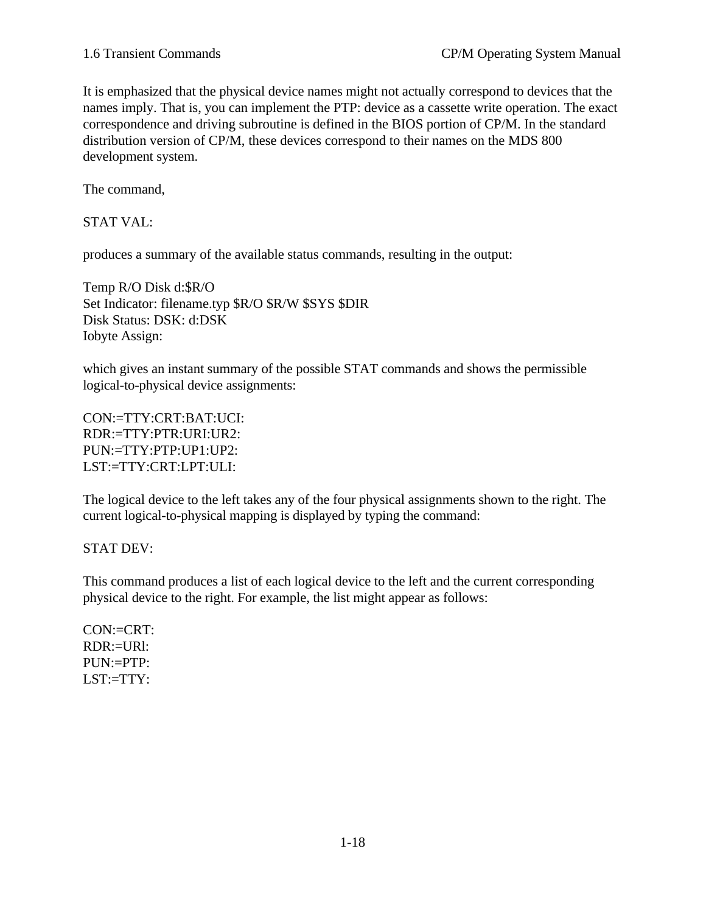It is emphasized that the physical device names might not actually correspond to devices that the names imply. That is, you can implement the PTP: device as a cassette write operation. The exact correspondence and driving subroutine is defined in the BIOS portion of CP/M. In the standard distribution version of CP/M, these devices correspond to their names on the MDS 800 development system.

The command,

STAT VAL:

produces a summary of the available status commands, resulting in the output:

Temp R/O Disk d:\$R/O Set Indicator: filename.typ \$R/O \$R/W \$SYS \$DIR Disk Status: DSK: d:DSK Iobyte Assign:

which gives an instant summary of the possible STAT commands and shows the permissible logical-to-physical device assignments:

CON:=TTY:CRT:BAT:UCI: RDR:=TTY:PTR:URI:UR2: PUN:=TTY:PTP:UP1:UP2: LST:=TTY:CRT:LPT:ULI:

The logical device to the left takes any of the four physical assignments shown to the right. The current logical-to-physical mapping is displayed by typing the command:

STAT DEV:

This command produces a list of each logical device to the left and the current corresponding physical device to the right. For example, the list might appear as follows:

 $CON: = CRT$ : RDR:=URl: PUN:=PTP: LST:=TTY: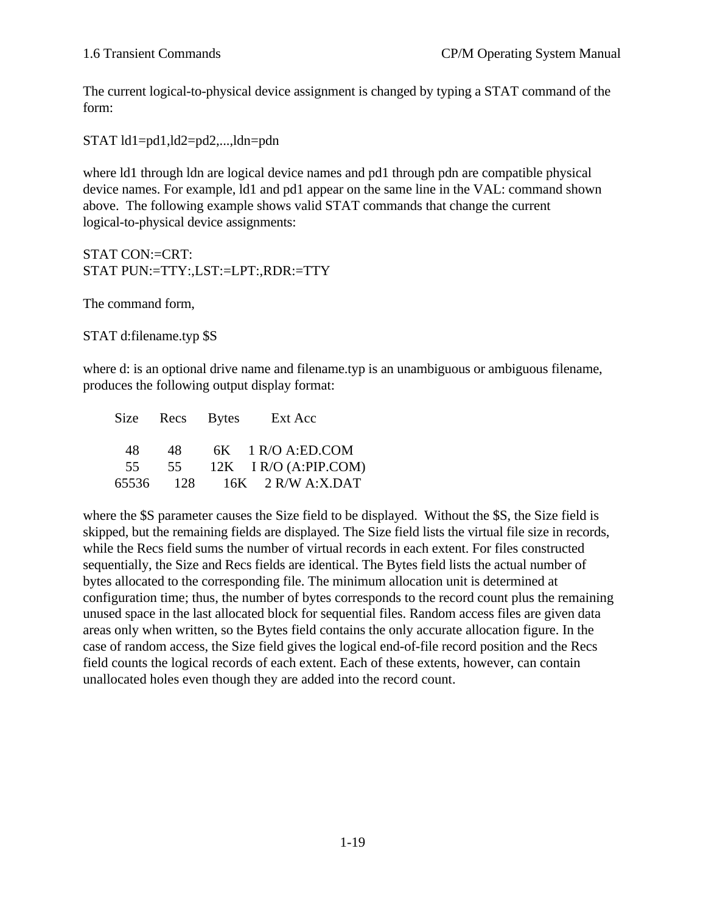The current logical-to-physical device assignment is changed by typing a STAT command of the form:

STAT ld1=pd1,ld2=pd2,...,ldn=pdn

where ld1 through ldn are logical device names and pd1 through pdn are compatible physical device names. For example, ld1 and pd1 appear on the same line in the VAL: command shown above. The following example shows valid STAT commands that change the current logical-to-physical device assignments:

STAT CON:=CRT: STAT PUN:=TTY:,LST:=LPT:,RDR:=TTY

The command form,

STAT d:filename.typ \$S

where d: is an optional drive name and filename.typ is an unambiguous or ambiguous filename, produces the following output display format:

|     |      | Size Recs Bytes Ext Acc     |
|-----|------|-----------------------------|
| 48. | 48 — | $6K$ 1 R/O A:ED.COM         |
| 55. | 55   | $12K$ I R/O (A:PIP.COM)     |
|     |      | 65536 128 16K 2 R/W A:X.DAT |

where the \$S parameter causes the Size field to be displayed. Without the \$S, the Size field is skipped, but the remaining fields are displayed. The Size field lists the virtual file size in records, while the Recs field sums the number of virtual records in each extent. For files constructed sequentially, the Size and Recs fields are identical. The Bytes field lists the actual number of bytes allocated to the corresponding file. The minimum allocation unit is determined at configuration time; thus, the number of bytes corresponds to the record count plus the remaining unused space in the last allocated block for sequential files. Random access files are given data areas only when written, so the Bytes field contains the only accurate allocation figure. In the case of random access, the Size field gives the logical end-of-file record position and the Recs field counts the logical records of each extent. Each of these extents, however, can contain unallocated holes even though they are added into the record count.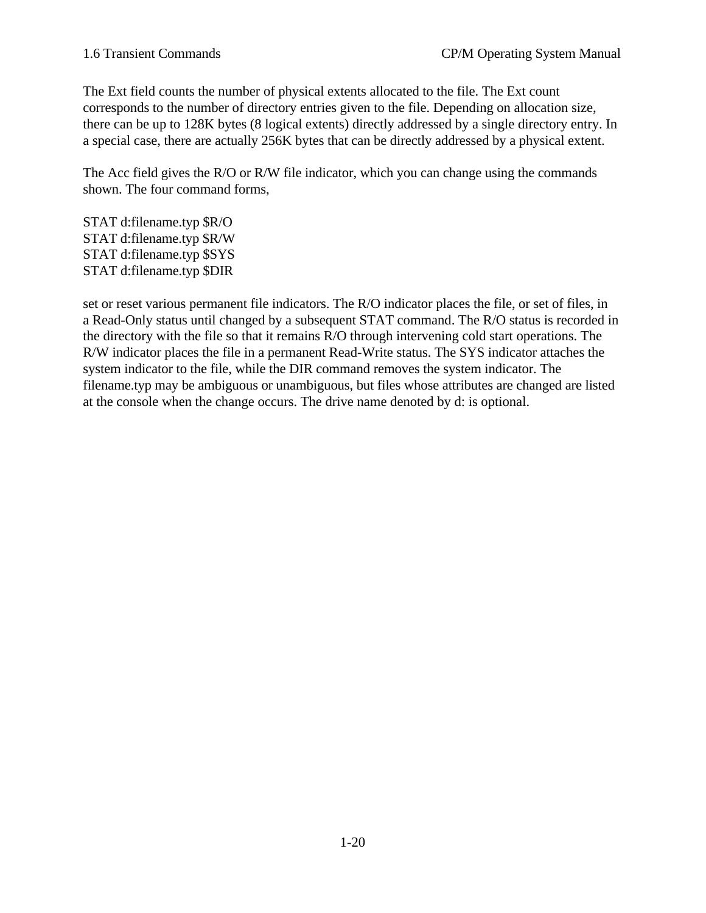The Ext field counts the number of physical extents allocated to the file. The Ext count corresponds to the number of directory entries given to the file. Depending on allocation size, there can be up to 128K bytes (8 logical extents) directly addressed by a single directory entry. In a special case, there are actually 256K bytes that can be directly addressed by a physical extent.

The Acc field gives the R/O or R/W file indicator, which you can change using the commands shown. The four command forms,

STAT d:filename.typ \$R/O STAT d:filename.typ \$R/W STAT d:filename.typ \$SYS STAT d:filename.typ \$DIR

set or reset various permanent file indicators. The R/O indicator places the file, or set of files, in a Read-Only status until changed by a subsequent STAT command. The R/O status is recorded in the directory with the file so that it remains R/O through intervening cold start operations. The R/W indicator places the file in a permanent Read-Write status. The SYS indicator attaches the system indicator to the file, while the DIR command removes the system indicator. The filename.typ may be ambiguous or unambiguous, but files whose attributes are changed are listed at the console when the change occurs. The drive name denoted by d: is optional.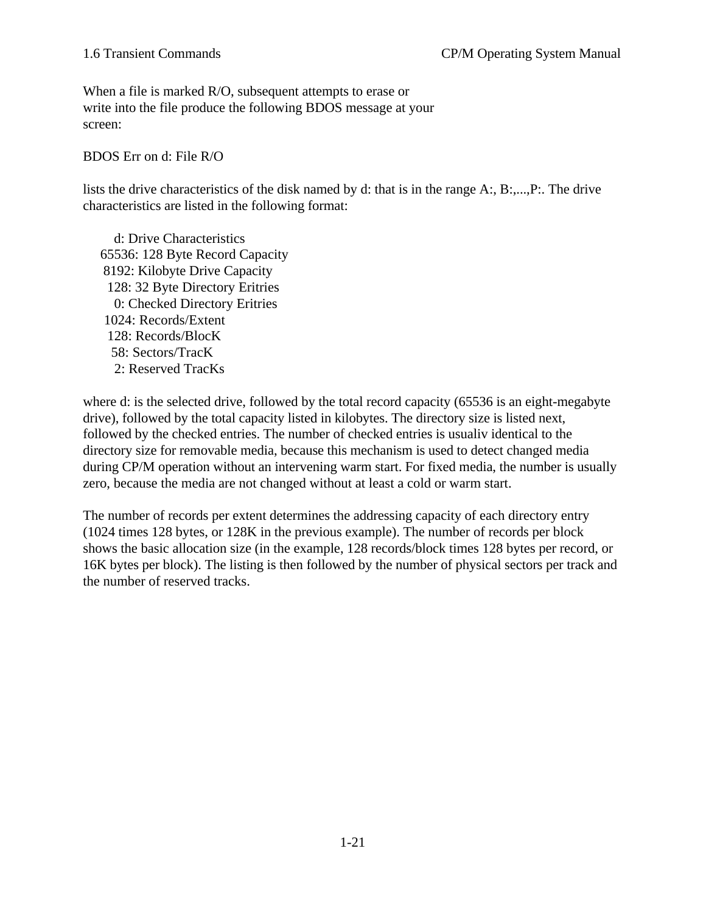When a file is marked R/O, subsequent attempts to erase or write into the file produce the following BDOS message at your screen:

BDOS Err on d: File R/O

lists the drive characteristics of the disk named by d: that is in the range A:, B:,...,P:. The drive characteristics are listed in the following format:

 d: Drive Characteristics 65536: 128 Byte Record Capacity 8192: Kilobyte Drive Capacity 128: 32 Byte Directory Eritries 0: Checked Directory Eritries 1024: Records/Extent 128: Records/BlocK 58: Sectors/TracK 2: Reserved TracKs

where d: is the selected drive, followed by the total record capacity (65536 is an eight-megabyte drive), followed by the total capacity listed in kilobytes. The directory size is listed next, followed by the checked entries. The number of checked entries is usualiv identical to the directory size for removable media, because this mechanism is used to detect changed media during CP/M operation without an intervening warm start. For fixed media, the number is usually zero, because the media are not changed without at least a cold or warm start.

The number of records per extent determines the addressing capacity of each directory entry (1024 times 128 bytes, or 128K in the previous example). The number of records per block shows the basic allocation size (in the example, 128 records/block times 128 bytes per record, or 16K bytes per block). The listing is then followed by the number of physical sectors per track and the number of reserved tracks.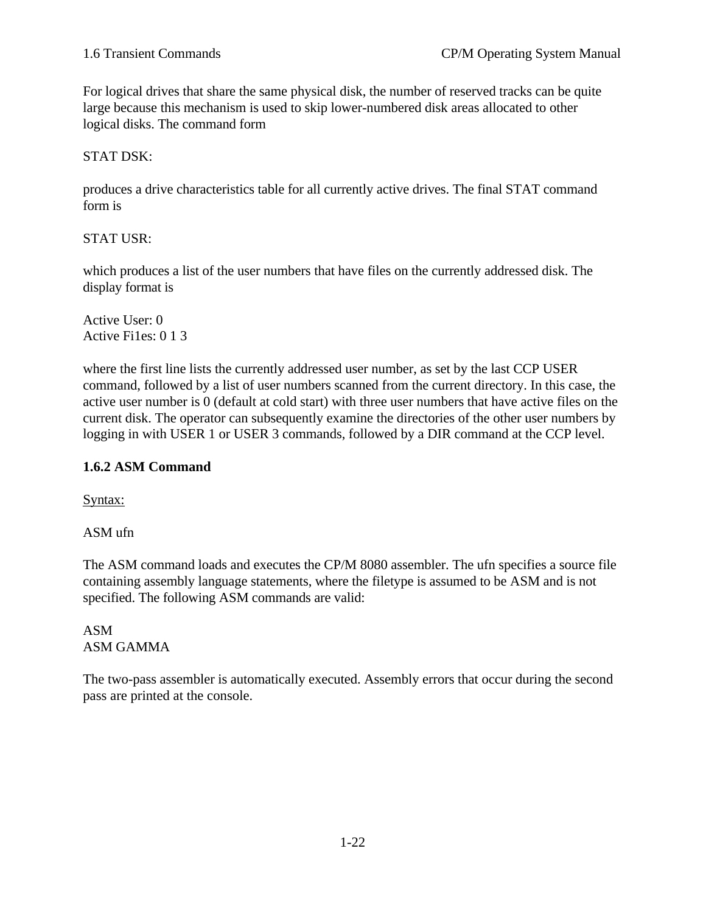For logical drives that share the same physical disk, the number of reserved tracks can be quite large because this mechanism is used to skip lower-numbered disk areas allocated to other logical disks. The command form

#### STAT DSK:

produces a drive characteristics table for all currently active drives. The final STAT command form is

STAT USR:

which produces a list of the user numbers that have files on the currently addressed disk. The display format is

Active User: 0 Active Fi1es: 0 1 3

where the first line lists the currently addressed user number, as set by the last CCP USER command, followed by a list of user numbers scanned from the current directory. In this case, the active user number is 0 (default at cold start) with three user numbers that have active files on the current disk. The operator can subsequently examine the directories of the other user numbers by logging in with USER 1 or USER 3 commands, followed by a DIR command at the CCP level.

### **1.6.2 ASM Command**

Syntax:

ASM ufn

The ASM command loads and executes the CP/M 8080 assembler. The ufn specifies a source file containing assembly language statements, where the filetype is assumed to be ASM and is not specified. The following ASM commands are valid:

ASM ASM GAMMA

The two-pass assembler is automatically executed. Assembly errors that occur during the second pass are printed at the console.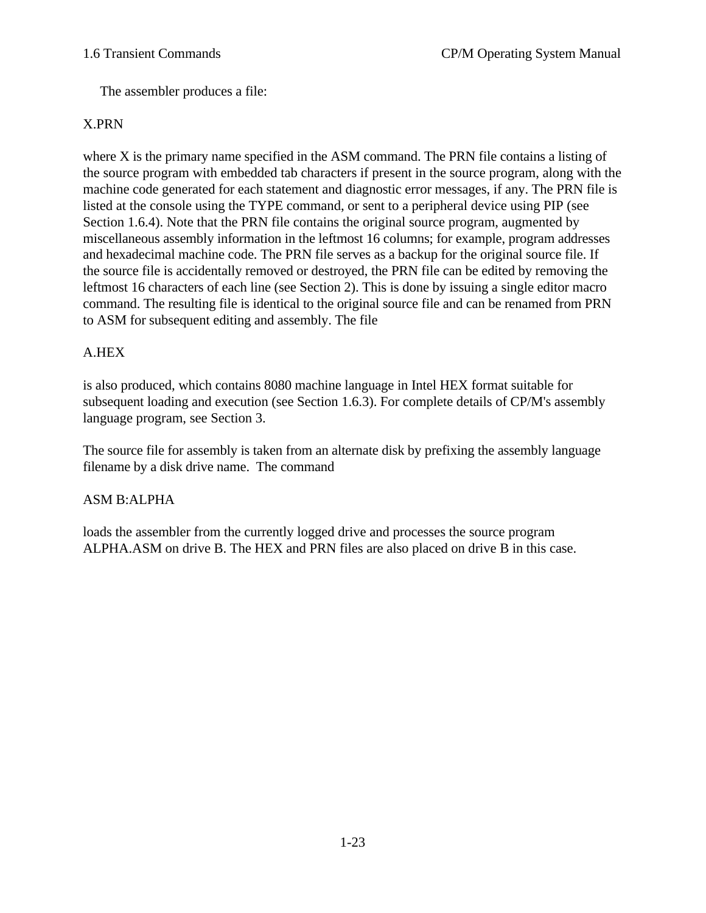The assembler produces a file:

#### X.PRN

where X is the primary name specified in the ASM command. The PRN file contains a listing of the source program with embedded tab characters if present in the source program, along with the machine code generated for each statement and diagnostic error messages, if any. The PRN file is listed at the console using the TYPE command, or sent to a peripheral device using PIP (see Section 1.6.4). Note that the PRN file contains the original source program, augmented by miscellaneous assembly information in the leftmost 16 columns; for example, program addresses and hexadecimal machine code. The PRN file serves as a backup for the original source file. If the source file is accidentally removed or destroyed, the PRN file can be edited by removing the leftmost 16 characters of each line (see Section 2). This is done by issuing a single editor macro command. The resulting file is identical to the original source file and can be renamed from PRN to ASM for subsequent editing and assembly. The file

### A.HEX

is also produced, which contains 8080 machine language in Intel HEX format suitable for subsequent loading and execution (see Section 1.6.3). For complete details of CP/M's assembly language program, see Section 3.

The source file for assembly is taken from an alternate disk by prefixing the assembly language filename by a disk drive name. The command

#### ASM B:ALPHA

loads the assembler from the currently logged drive and processes the source program ALPHA.ASM on drive B. The HEX and PRN files are also placed on drive B in this case.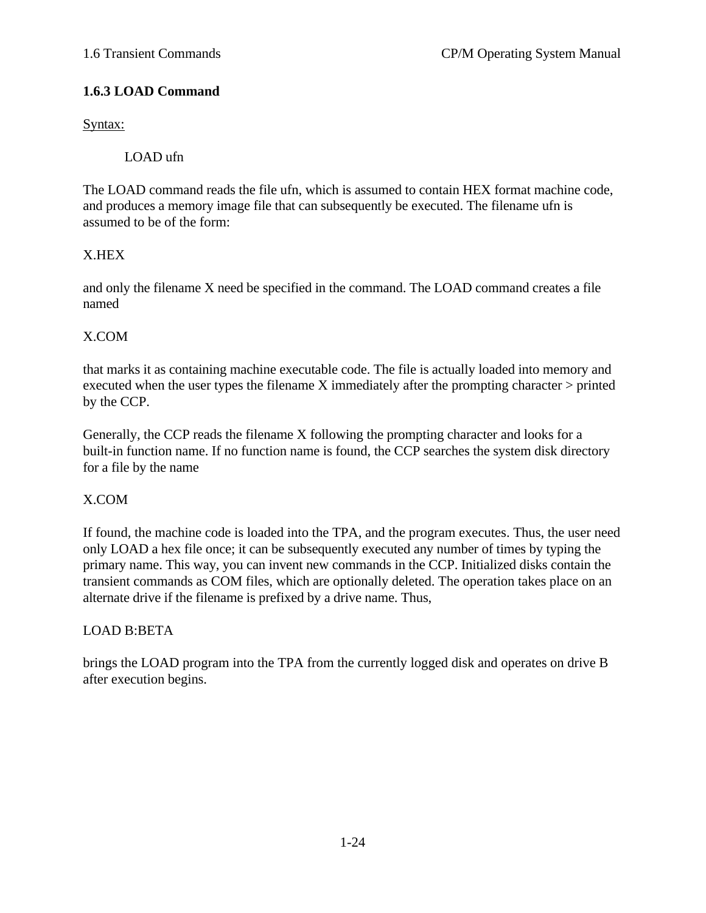## **1.6.3 LOAD Command**

Syntax:

LOAD ufn

The LOAD command reads the file ufn, which is assumed to contain HEX format machine code, and produces a memory image file that can subsequently be executed. The filename ufn is assumed to be of the form:

# X.HEX

and only the filename X need be specified in the command. The LOAD command creates a file named

# X.COM

that marks it as containing machine executable code. The file is actually loaded into memory and executed when the user types the filename X immediately after the prompting character  $>$  printed by the CCP.

Generally, the CCP reads the filename X following the prompting character and looks for a built-in function name. If no function name is found, the CCP searches the system disk directory for a file by the name

### X.COM

If found, the machine code is loaded into the TPA, and the program executes. Thus, the user need only LOAD a hex file once; it can be subsequently executed any number of times by typing the primary name. This way, you can invent new commands in the CCP. Initialized disks contain the transient commands as COM files, which are optionally deleted. The operation takes place on an alternate drive if the filename is prefixed by a drive name. Thus,

# LOAD B:BETA

brings the LOAD program into the TPA from the currently logged disk and operates on drive B after execution begins.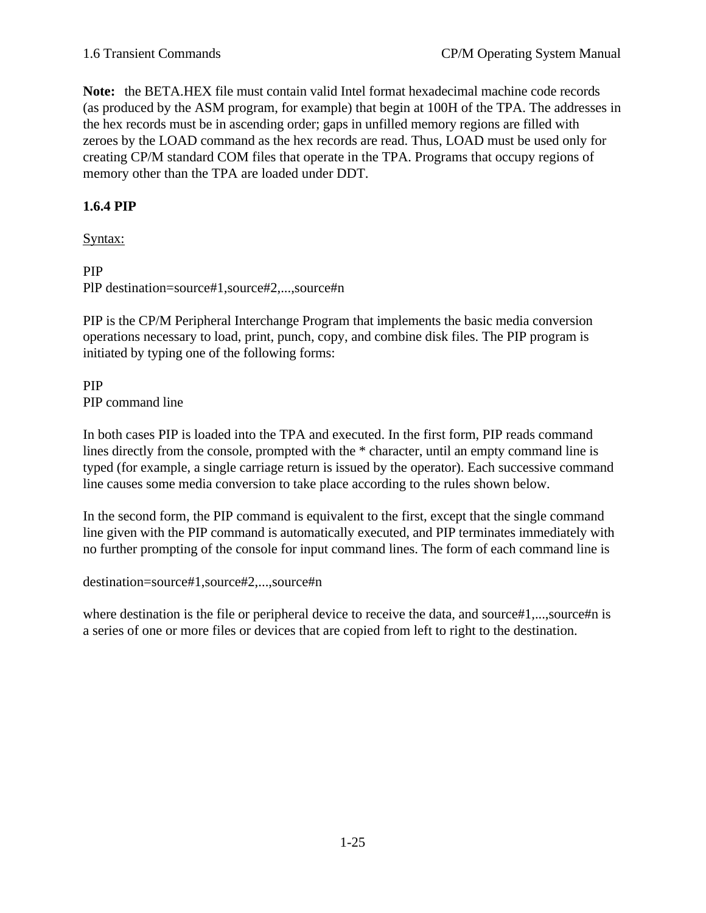**Note:** the BETA.HEX file must contain valid Intel format hexadecimal machine code records (as produced by the ASM program, for example) that begin at 100H of the TPA. The addresses in the hex records must be in ascending order; gaps in unfilled memory regions are filled with zeroes by the LOAD command as the hex records are read. Thus, LOAD must be used only for creating CP/M standard COM files that operate in the TPA. Programs that occupy regions of memory other than the TPA are loaded under DDT.

#### **1.6.4 PIP**

Syntax:

#### PIP

PlP destination=source#1,source#2,...,source#n

PIP is the CP/M Peripheral Interchange Program that implements the basic media conversion operations necessary to load, print, punch, copy, and combine disk files. The PIP program is initiated by typing one of the following forms:

#### PIP PIP command line

In both cases PIP is loaded into the TPA and executed. In the first form, PIP reads command lines directly from the console, prompted with the \* character, until an empty command line is typed (for example, a single carriage return is issued by the operator). Each successive command line causes some media conversion to take place according to the rules shown below.

In the second form, the PIP command is equivalent to the first, except that the single command line given with the PIP command is automatically executed, and PIP terminates immediately with no further prompting of the console for input command lines. The form of each command line is

destination=source#1,source#2,...,source#n

where destination is the file or peripheral device to receive the data, and source#1,...,source#n is a series of one or more files or devices that are copied from left to right to the destination.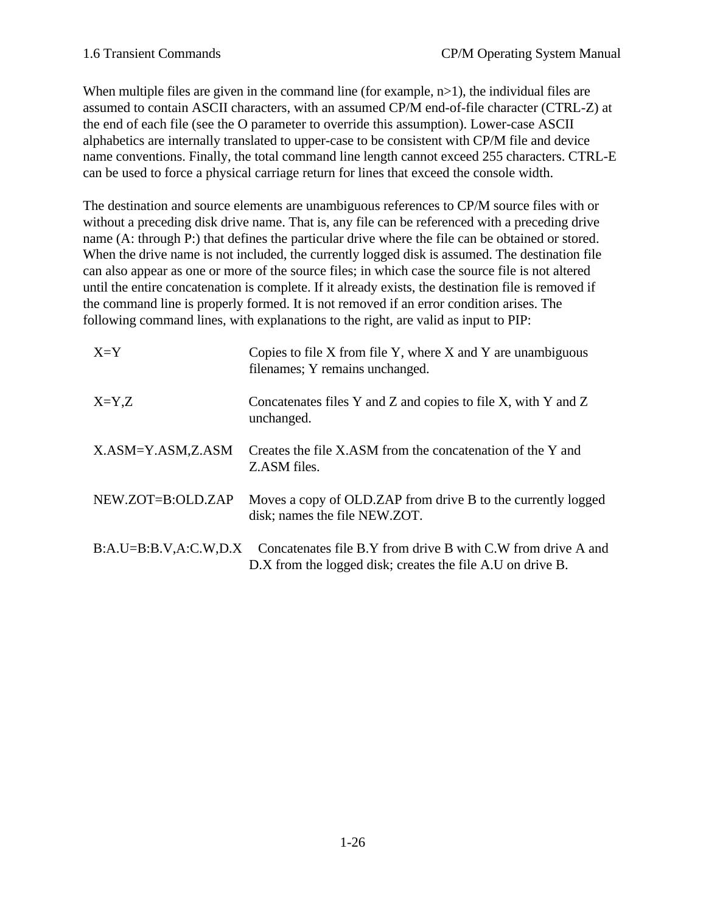When multiple files are given in the command line (for example,  $n>1$ ), the individual files are assumed to contain ASCII characters, with an assumed CP/M end-of-file character (CTRL-Z) at the end of each file (see the O parameter to override this assumption). Lower-case ASCII alphabetics are internally translated to upper-case to be consistent with CP/M file and device name conventions. Finally, the total command line length cannot exceed 255 characters. CTRL-E can be used to force a physical carriage return for lines that exceed the console width.

The destination and source elements are unambiguous references to CP/M source files with or without a preceding disk drive name. That is, any file can be referenced with a preceding drive name (A: through P:) that defines the particular drive where the file can be obtained or stored. When the drive name is not included, the currently logged disk is assumed. The destination file can also appear as one or more of the source files; in which case the source file is not altered until the entire concatenation is complete. If it already exists, the destination file is removed if the command line is properly formed. It is not removed if an error condition arises. The following command lines, with explanations to the right, are valid as input to PIP:

| $X = Y$           | Copies to file X from file Y, where X and Y are unambiguous<br>filenames; Y remains unchanged.                                                   |
|-------------------|--------------------------------------------------------------------------------------------------------------------------------------------------|
| $X = Y, Z$        | Concatenates files Y and Z and copies to file X, with Y and Z<br>unchanged.                                                                      |
| X.ASM=Y.ASM,Z.ASM | Creates the file X.ASM from the concatenation of the Y and<br>Z.ASM files.                                                                       |
| NEW.ZOT=B:OLD.ZAP | Moves a copy of OLD. ZAP from drive B to the currently logged<br>disk; names the file NEW.ZOT.                                                   |
|                   | B:A.U=B:B.V,A:C.W,D.X Concatenates file B.Y from drive B with C.W from drive A and<br>D.X from the logged disk; creates the file A.U on drive B. |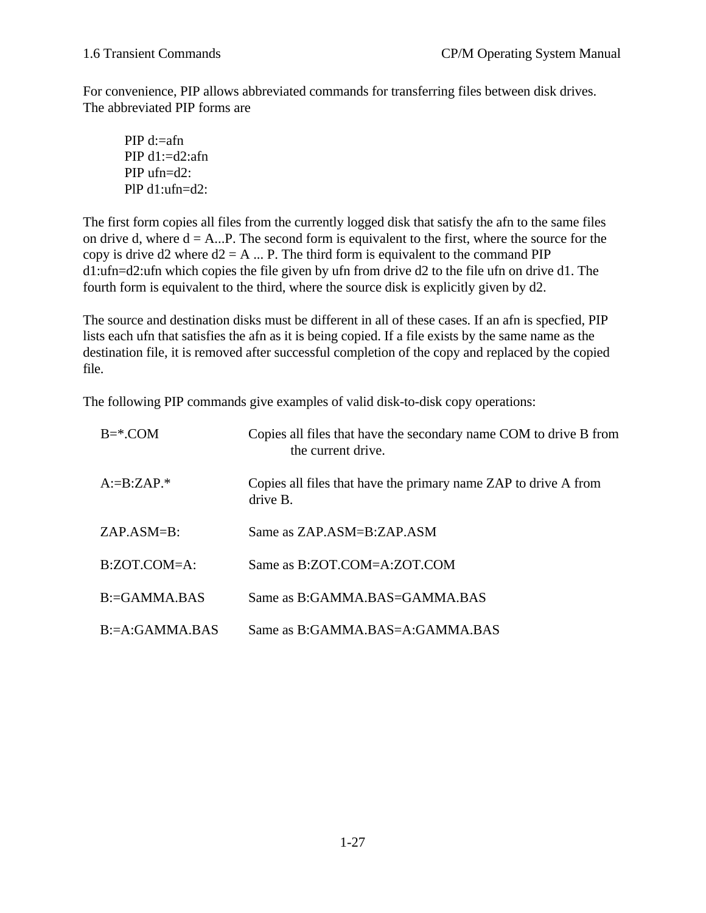For convenience, PIP allows abbreviated commands for transferring files between disk drives. The abbreviated PIP forms are

PIP d:=afn PIP  $d1:=d2:afn$ PIP ufn=d2: PlP d1:ufn=d2:

The first form copies all files from the currently logged disk that satisfy the afn to the same files on drive d, where  $d = A...P$ . The second form is equivalent to the first, where the source for the copy is drive d2 where  $d2 = A$  ... P. The third form is equivalent to the command PIP d1:ufn=d2:ufn which copies the file given by ufn from drive d2 to the file ufn on drive d1. The fourth form is equivalent to the third, where the source disk is explicitly given by d2.

The source and destination disks must be different in all of these cases. If an afn is specfied, PIP lists each ufn that satisfies the afn as it is being copied. If a file exists by the same name as the destination file, it is removed after successful completion of the copy and replaced by the copied file.

The following PIP commands give examples of valid disk-to-disk copy operations:

| $B = ^*$ .COM      | Copies all files that have the secondary name COM to drive B from<br>the current drive. |
|--------------------|-----------------------------------------------------------------------------------------|
| $A:=B:ZAP.*$       | Copies all files that have the primary name ZAP to drive A from<br>drive B.             |
| $ZAP.ASM=B:$       | Same as ZAP ASM=B:ZAP ASM                                                               |
| $B:ZOT.COM=A$ :    | Same as B:ZOT.COM=A:ZOT.COM                                                             |
| $B = GAMMA$ BAS    | Same as B:GAMMA.BAS=GAMMA.BAS                                                           |
| $B = A: GAMMA$ BAS | Same as B:GAMMA BAS=A:GAMMA BAS                                                         |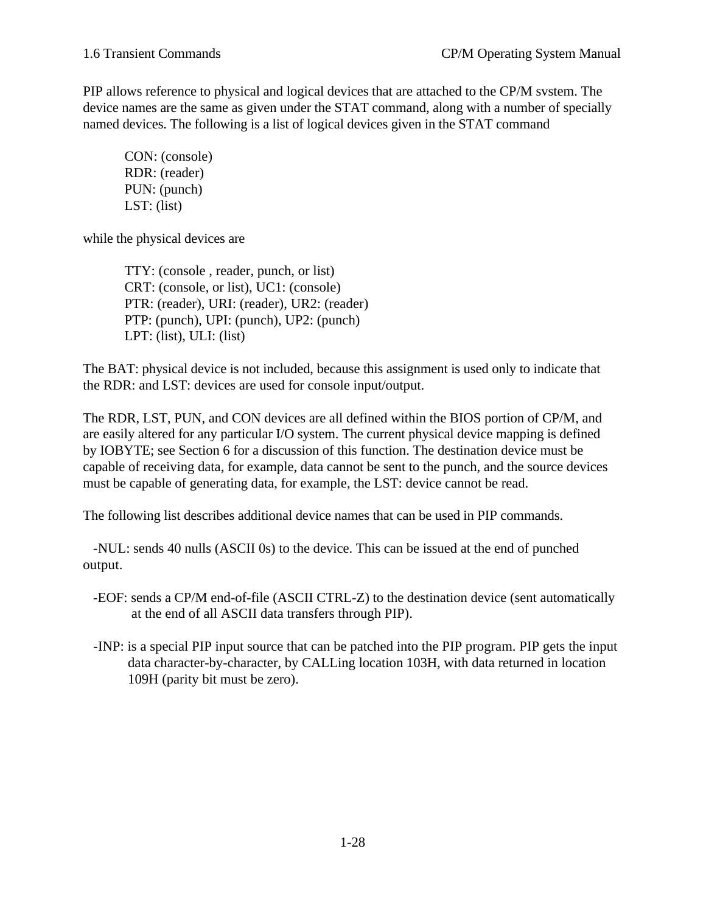PIP allows reference to physical and logical devices that are attached to the CP/M svstem. The device names are the same as given under the STAT command, along with a number of specially named devices. The following is a list of logical devices given in the STAT command

CON: (console) RDR: (reader) PUN: (punch) LST: (list)

while the physical devices are

TTY: (console , reader, punch, or list) CRT: (console, or list), UC1: (console) PTR: (reader), URI: (reader), UR2: (reader) PTP: (punch), UPI: (punch), UP2: (punch) LPT: (list), ULI: (list)

The BAT: physical device is not included, because this assignment is used only to indicate that the RDR: and LST: devices are used for console input/output.

The RDR, LST, PUN, and CON devices are all defined within the BIOS portion of CP/M, and are easily altered for any particular I/O system. The current physical device mapping is defined by IOBYTE; see Section 6 for a discussion of this function. The destination device must be capable of receiving data, for example, data cannot be sent to the punch, and the source devices must be capable of generating data, for example, the LST: device cannot be read.

The following list describes additional device names that can be used in PIP commands.

 -NUL: sends 40 nulls (ASCII 0s) to the device. This can be issued at the end of punched output.

- -EOF: sends a CP/M end-of-file (ASCII CTRL-Z) to the destination device (sent automatically at the end of all ASCII data transfers through PIP).
- -INP: is a special PIP input source that can be patched into the PIP program. PIP gets the input data character-by-character, by CALLing location 103H, with data returned in location 109H (parity bit must be zero).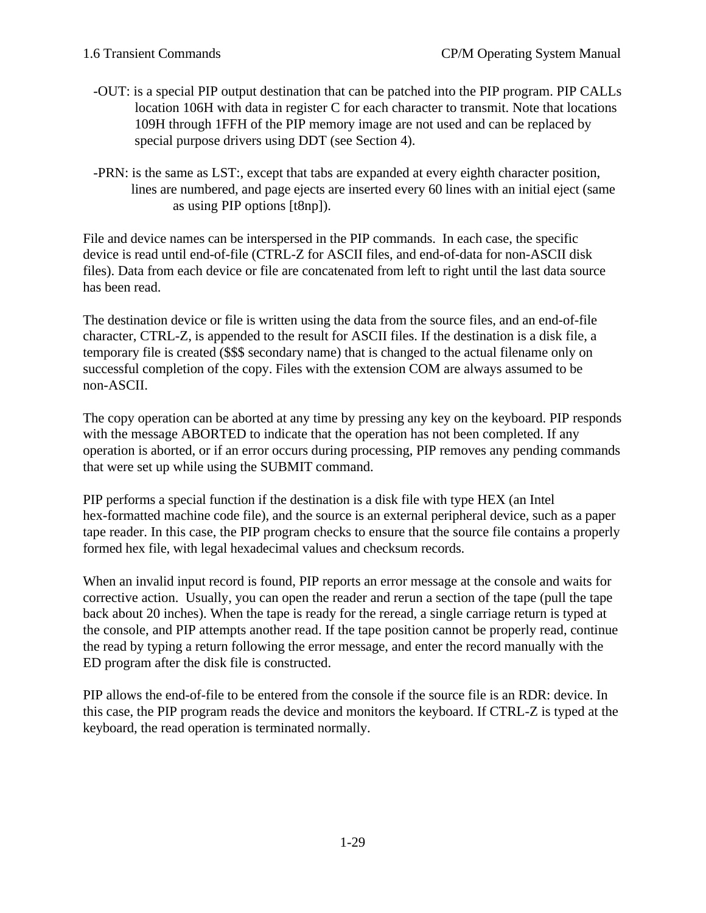- -OUT: is a special PIP output destination that can be patched into the PIP program. PIP CALLs location 106H with data in register C for each character to transmit. Note that locations 109H through 1FFH of the PIP memory image are not used and can be replaced by special purpose drivers using DDT (see Section 4).
- -PRN: is the same as LST:, except that tabs are expanded at every eighth character position, lines are numbered, and page ejects are inserted every 60 lines with an initial eject (same as using PIP options [t8np]).

File and device names can be interspersed in the PIP commands. In each case, the specific device is read until end-of-file (CTRL-Z for ASCII files, and end-of-data for non-ASCII disk files). Data from each device or file are concatenated from left to right until the last data source has been read.

The destination device or file is written using the data from the source files, and an end-of-file character, CTRL-Z, is appended to the result for ASCII files. If the destination is a disk file, a temporary file is created (\$\$\$ secondary name) that is changed to the actual filename only on successful completion of the copy. Files with the extension COM are always assumed to be non-ASCII.

The copy operation can be aborted at any time by pressing any key on the keyboard. PIP responds with the message ABORTED to indicate that the operation has not been completed. If any operation is aborted, or if an error occurs during processing, PIP removes any pending commands that were set up while using the SUBMIT command.

PIP performs a special function if the destination is a disk file with type HEX (an Intel hex-formatted machine code file), and the source is an external peripheral device, such as a paper tape reader. In this case, the PIP program checks to ensure that the source file contains a properly formed hex file, with legal hexadecimal values and checksum records.

When an invalid input record is found, PIP reports an error message at the console and waits for corrective action. Usually, you can open the reader and rerun a section of the tape (pull the tape back about 20 inches). When the tape is ready for the reread, a single carriage return is typed at the console, and PIP attempts another read. If the tape position cannot be properly read, continue the read by typing a return following the error message, and enter the record manually with the ED program after the disk file is constructed.

PIP allows the end-of-file to be entered from the console if the source file is an RDR: device. In this case, the PIP program reads the device and monitors the keyboard. If CTRL-Z is typed at the keyboard, the read operation is terminated normally.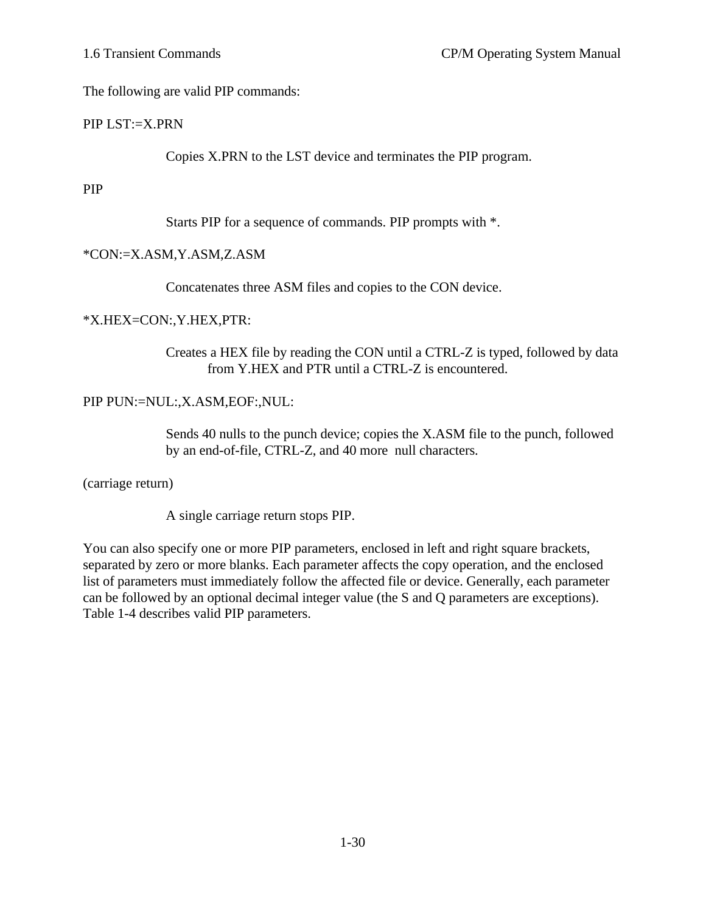The following are valid PIP commands:

### PIP LST:=X.PRN

Copies X.PRN to the LST device and terminates the PIP program.

#### PIP

Starts PIP for a sequence of commands. PIP prompts with \*.

### \*CON:=X.ASM,Y.ASM,Z.ASM

Concatenates three ASM files and copies to the CON device.

### \*X.HEX=CON:,Y.HEX,PTR:

Creates a HEX file by reading the CON until a CTRL-Z is typed, followed by data from Y.HEX and PTR until a CTRL-Z is encountered.

# PIP PUN:=NUL:,X.ASM,EOF:,NUL:

Sends 40 nulls to the punch device; copies the X.ASM file to the punch, followed by an end-of-file, CTRL-Z, and 40 more null characters.

(carriage return)

A single carriage return stops PIP.

You can also specify one or more PIP parameters, enclosed in left and right square brackets, separated by zero or more blanks. Each parameter affects the copy operation, and the enclosed list of parameters must immediately follow the affected file or device. Generally, each parameter can be followed by an optional decimal integer value (the S and Q parameters are exceptions). Table 1-4 describes valid PIP parameters.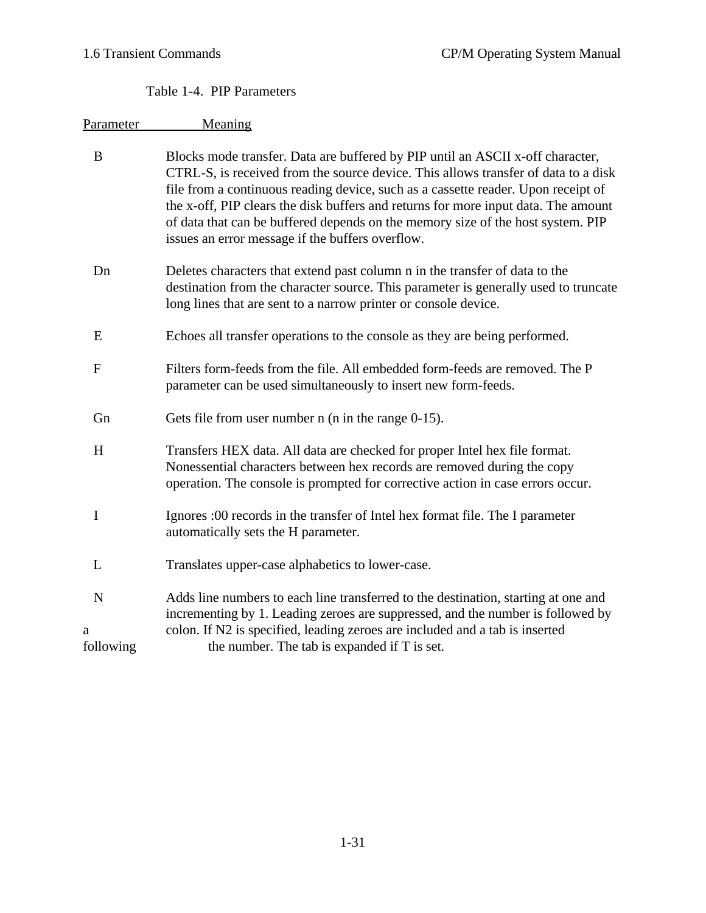# Table 1-4. PIP Parameters

| Parameter                     | Meaning                                                                                                                                                                                                                                                                                                                                                                                                                                                                                |
|-------------------------------|----------------------------------------------------------------------------------------------------------------------------------------------------------------------------------------------------------------------------------------------------------------------------------------------------------------------------------------------------------------------------------------------------------------------------------------------------------------------------------------|
| B                             | Blocks mode transfer. Data are buffered by PIP until an ASCII x-off character,<br>CTRL-S, is received from the source device. This allows transfer of data to a disk<br>file from a continuous reading device, such as a cassette reader. Upon receipt of<br>the x-off, PIP clears the disk buffers and returns for more input data. The amount<br>of data that can be buffered depends on the memory size of the host system. PIP<br>issues an error message if the buffers overflow. |
| Dn                            | Deletes characters that extend past column n in the transfer of data to the<br>destination from the character source. This parameter is generally used to truncate<br>long lines that are sent to a narrow printer or console device.                                                                                                                                                                                                                                                  |
| E                             | Echoes all transfer operations to the console as they are being performed.                                                                                                                                                                                                                                                                                                                                                                                                             |
| $\mathbf{F}$                  | Filters form-feeds from the file. All embedded form-feeds are removed. The P<br>parameter can be used simultaneously to insert new form-feeds.                                                                                                                                                                                                                                                                                                                                         |
| Gn                            | Gets file from user number $n$ ( $n$ in the range 0-15).                                                                                                                                                                                                                                                                                                                                                                                                                               |
| H                             | Transfers HEX data. All data are checked for proper Intel hex file format.<br>Nonessential characters between hex records are removed during the copy<br>operation. The console is prompted for corrective action in case errors occur.                                                                                                                                                                                                                                                |
| Ι                             | Ignores :00 records in the transfer of Intel hex format file. The I parameter<br>automatically sets the H parameter.                                                                                                                                                                                                                                                                                                                                                                   |
| L                             | Translates upper-case alphabetics to lower-case.                                                                                                                                                                                                                                                                                                                                                                                                                                       |
| $\mathbf N$<br>a<br>following | Adds line numbers to each line transferred to the destination, starting at one and<br>incrementing by 1. Leading zeroes are suppressed, and the number is followed by<br>colon. If N2 is specified, leading zeroes are included and a tab is inserted<br>the number. The tab is expanded if T is set.                                                                                                                                                                                  |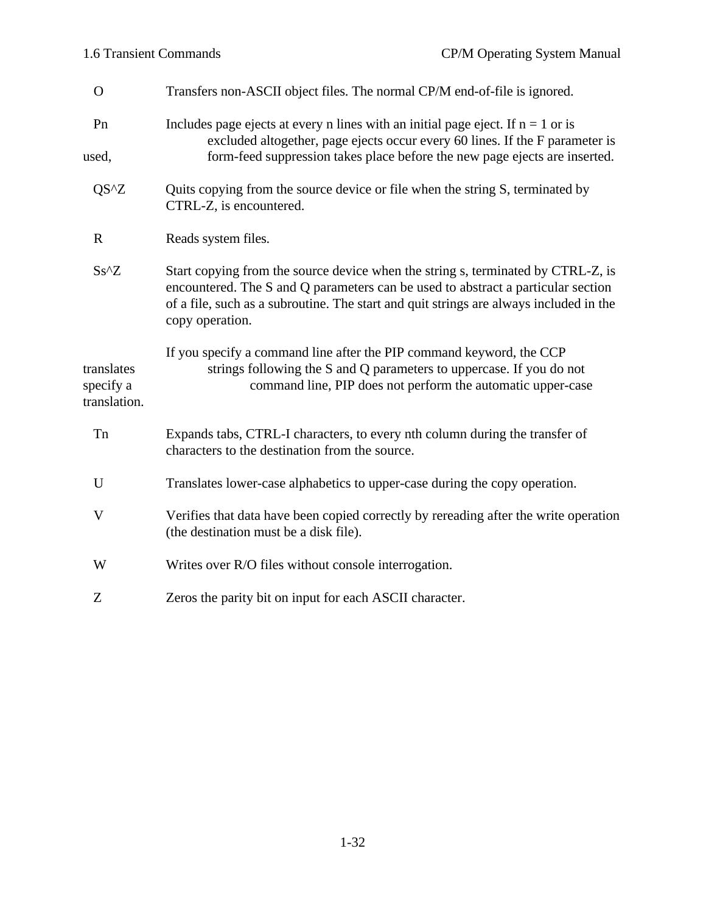1-32

# O Transfers non-ASCII object files. The normal CP/M end-of-file is ignored. Pn Includes page ejects at every n lines with an initial page eject. If  $n = 1$  or is excluded altogether, page ejects occur every 60 lines. If the F parameter is used, form-feed suppression takes place before the new page ejects are inserted. QS<sup> $\alpha$ </sup> Quits copying from the source device or file when the string S, terminated by CTRL-Z, is encountered.

- R Reads system files.
- Ss<sup> $\text{X}$ </sup> Start copying from the source device when the string s, terminated by CTRL-Z, is encountered. The S and Q parameters can be used to abstract a particular section of a file, such as a subroutine. The start and quit strings are always included in the copy operation.

If you specify a command line after the PIP command keyword, the CCP translates strings following the S and Q parameters to uppercase. If you do not specify a command line, PIP does not perform the automatic upper-case translation.

- Tn Expands tabs, CTRL-I characters, to every nth column during the transfer of characters to the destination from the source.
- U Translates lower-case alphabetics to upper-case during the copy operation.
- V Verifies that data have been copied correctly by rereading after the write operation (the destination must be a disk file).
- W Writes over R/O files without console interrogation.
- Z Zeros the parity bit on input for each ASCII character.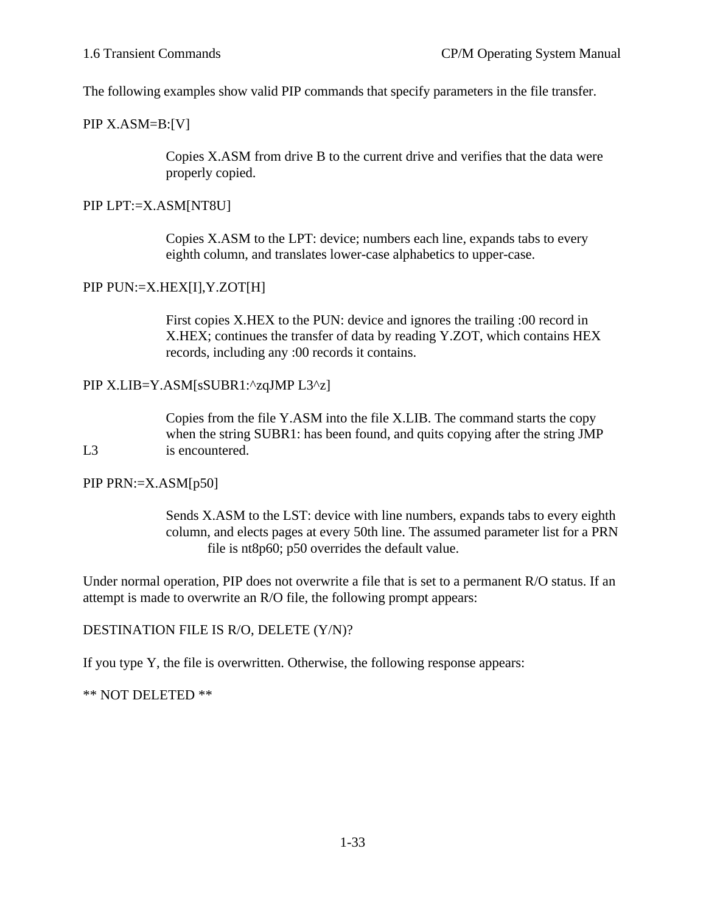The following examples show valid PIP commands that specify parameters in the file transfer.

#### PIP X.ASM=B:[V]

Copies X.ASM from drive B to the current drive and verifies that the data were properly copied.

#### PIP LPT:=X.ASM[NT8U]

Copies X.ASM to the LPT: device; numbers each line, expands tabs to every eighth column, and translates lower-case alphabetics to upper-case.

#### PIP PUN:=X.HEX[I],Y.ZOT[H]

First copies X.HEX to the PUN: device and ignores the trailing :00 record in X.HEX; continues the transfer of data by reading Y.ZOT, which contains HEX records, including any :00 records it contains.

#### PIP X.LIB=Y.ASM[sSUBR1:^zqJMP L3^z]

Copies from the file Y.ASM into the file X.LIB. The command starts the copy when the string SUBR1: has been found, and quits copying after the string JMP L<sub>3</sub> is encountered.

#### PIP PRN:=X.ASM[p50]

Sends X.ASM to the LST: device with line numbers, expands tabs to every eighth column, and elects pages at every 50th line. The assumed parameter list for a PRN file is nt8p60; p50 overrides the default value.

Under normal operation, PIP does not overwrite a file that is set to a permanent R/O status. If an attempt is made to overwrite an R/O file, the following prompt appears:

#### DESTINATION FILE IS R/O, DELETE (Y/N)?

If you type Y, the file is overwritten. Otherwise, the following response appears:

### \*\* NOT DELETED \*\*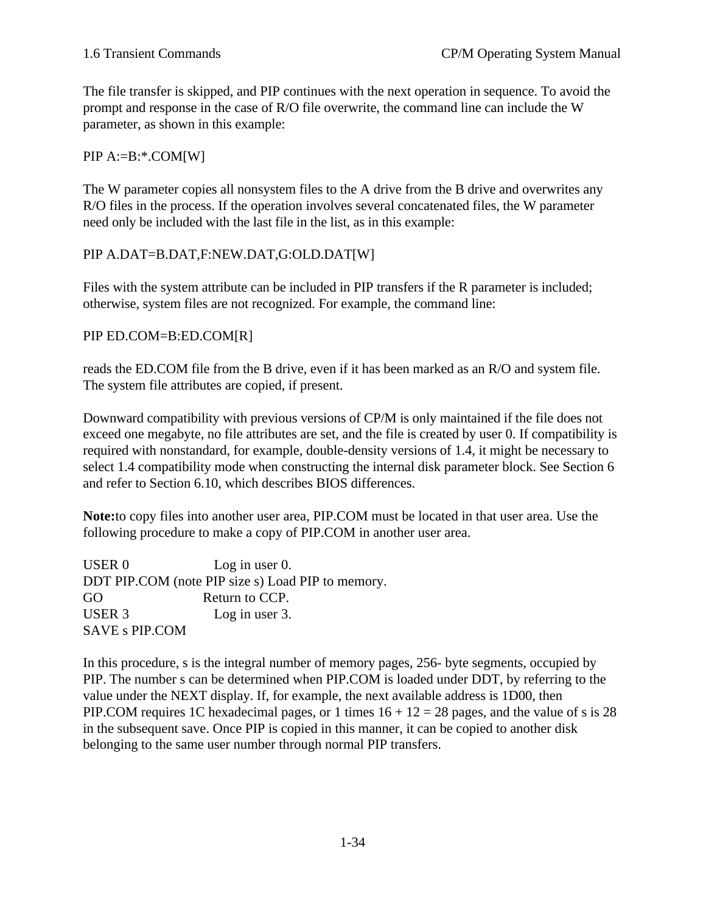The file transfer is skipped, and PIP continues with the next operation in sequence. To avoid the prompt and response in the case of R/O file overwrite, the command line can include the W parameter, as shown in this example:

 $PIP A:=B:*.COM[W]$ 

The W parameter copies all nonsystem files to the A drive from the B drive and overwrites any R/O files in the process. If the operation involves several concatenated files, the W parameter need only be included with the last file in the list, as in this example:

# PIP A.DAT=B.DAT,F:NEW.DAT,G:OLD.DAT[W]

Files with the system attribute can be included in PIP transfers if the R parameter is included; otherwise, system files are not recognized. For example, the command line:

PIP ED.COM=B:ED.COM[R]

reads the ED.COM file from the B drive, even if it has been marked as an R/O and system file. The system file attributes are copied, if present.

Downward compatibility with previous versions of CP/M is only maintained if the file does not exceed one megabyte, no file attributes are set, and the file is created by user 0. If compatibility is required with nonstandard, for example, double-density versions of 1.4, it might be necessary to select 1.4 compatibility mode when constructing the internal disk parameter block. See Section 6 and refer to Section 6.10, which describes BIOS differences.

**Note:**to copy files into another user area, PIP.COM must be located in that user area. Use the following procedure to make a copy of PIP.COM in another user area.

USER 0 Log in user 0. DDT PIP.COM (note PIP size s) Load PIP to memory. GO Return to CCP. USER 3 Log in user 3. SAVE s PIP.COM

In this procedure, s is the integral number of memory pages, 256- byte segments, occupied by PIP. The number s can be determined when PIP.COM is loaded under DDT, by referring to the value under the NEXT display. If, for example, the next available address is 1D00, then PIP.COM requires 1C hexadecimal pages, or 1 times  $16 + 12 = 28$  pages, and the value of s is 28 in the subsequent save. Once PIP is copied in this manner, it can be copied to another disk belonging to the same user number through normal PIP transfers.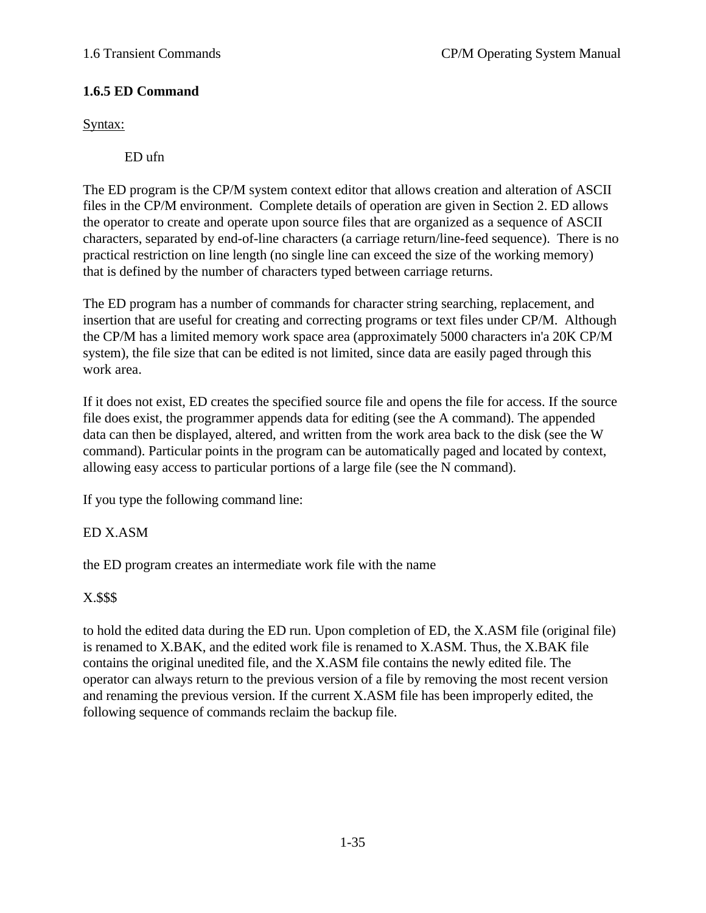# **1.6.5 ED Command**

Syntax:

ED ufn

The ED program is the CP/M system context editor that allows creation and alteration of ASCII files in the CP/M environment. Complete details of operation are given in Section 2. ED allows the operator to create and operate upon source files that are organized as a sequence of ASCII characters, separated by end-of-line characters (a carriage return/line-feed sequence). There is no practical restriction on line length (no single line can exceed the size of the working memory) that is defined by the number of characters typed between carriage returns.

The ED program has a number of commands for character string searching, replacement, and insertion that are useful for creating and correcting programs or text files under CP/M. Although the CP/M has a limited memory work space area (approximately 5000 characters in'a 20K CP/M system), the file size that can be edited is not limited, since data are easily paged through this work area.

If it does not exist, ED creates the specified source file and opens the file for access. If the source file does exist, the programmer appends data for editing (see the A command). The appended data can then be displayed, altered, and written from the work area back to the disk (see the W command). Particular points in the program can be automatically paged and located by context, allowing easy access to particular portions of a large file (see the N command).

If you type the following command line:

# ED X.ASM

the ED program creates an intermediate work file with the name

# X.\$\$\$

to hold the edited data during the ED run. Upon completion of ED, the X.ASM file (original file) is renamed to X.BAK, and the edited work file is renamed to X.ASM. Thus, the X.BAK file contains the original unedited file, and the X.ASM file contains the newly edited file. The operator can always return to the previous version of a file by removing the most recent version and renaming the previous version. If the current X.ASM file has been improperly edited, the following sequence of commands reclaim the backup file.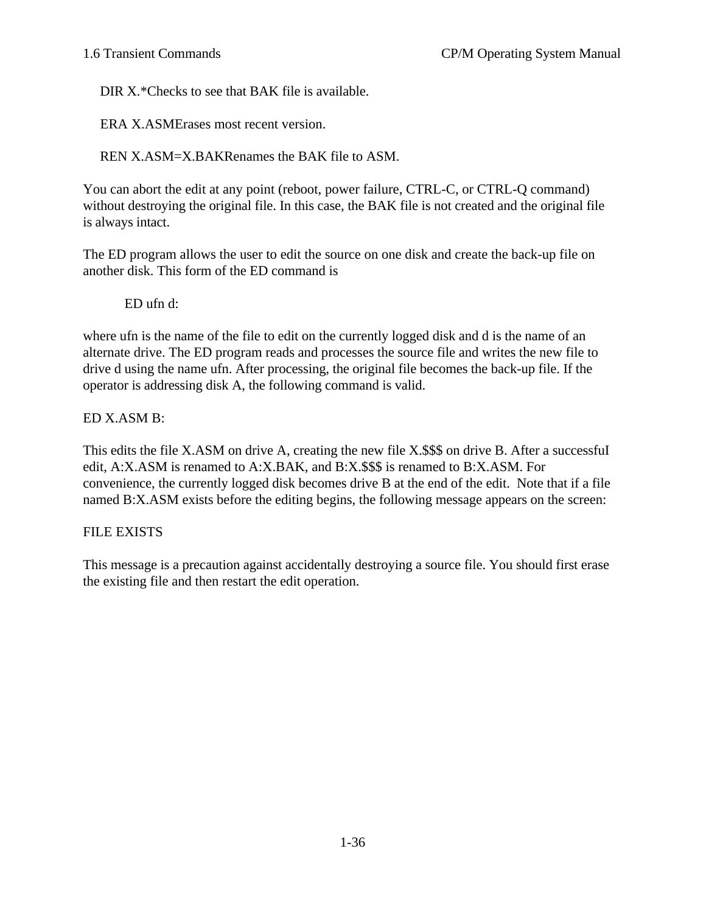DIR X.\*Checks to see that BAK file is available.

ERA X.ASMErases most recent version.

REN X.ASM=X.BAKRenames the BAK file to ASM.

You can abort the edit at any point (reboot, power failure, CTRL-C, or CTRL-Q command) without destroying the original file. In this case, the BAK file is not created and the original file is always intact.

The ED program allows the user to edit the source on one disk and create the back-up file on another disk. This form of the ED command is

ED ufn d:

where ufn is the name of the file to edit on the currently logged disk and d is the name of an alternate drive. The ED program reads and processes the source file and writes the new file to drive d using the name ufn. After processing, the original file becomes the back-up file. If the operator is addressing disk A, the following command is valid.

ED X.ASM B:

This edits the file X.ASM on drive A, creating the new file X.\$\$\$ on drive B. After a successful edit, A:X.ASM is renamed to A:X.BAK, and B:X.\$\$\$ is renamed to B:X.ASM. For convenience, the currently logged disk becomes drive B at the end of the edit. Note that if a file named B:X.ASM exists before the editing begins, the following message appears on the screen:

# FILE EXISTS

This message is a precaution against accidentally destroying a source file. You should first erase the existing file and then restart the edit operation.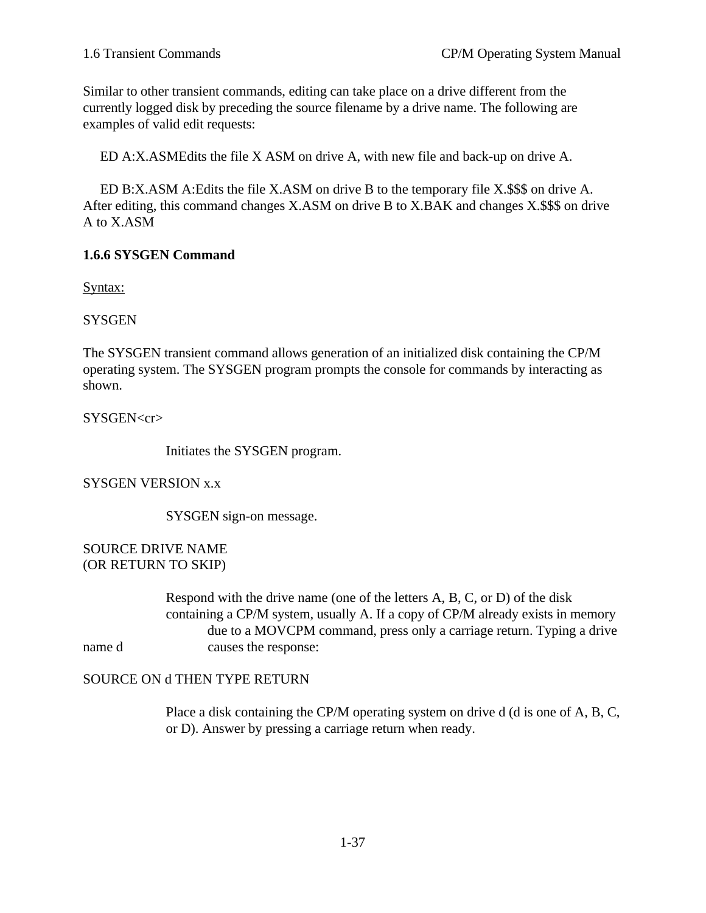Similar to other transient commands, editing can take place on a drive different from the currently logged disk by preceding the source filename by a drive name. The following are examples of valid edit requests:

ED A:X.ASMEdits the file X ASM on drive A, with new file and back-up on drive A.

 ED B:X.ASM A:Edits the file X.ASM on drive B to the temporary file X.\$\$\$ on drive A. After editing, this command changes X.ASM on drive B to X.BAK and changes X.\$\$\$ on drive A to X.ASM

# **1.6.6 SYSGEN Command**

Syntax:

**SYSGEN** 

The SYSGEN transient command allows generation of an initialized disk containing the CP/M operating system. The SYSGEN program prompts the console for commands by interacting as shown.

SYSGEN<cr>

Initiates the SYSGEN program.

SYSGEN VERSION x.x

SYSGEN sign-on message.

SOURCE DRIVE NAME (OR RETURN TO SKIP)

Respond with the drive name (one of the letters A, B, C, or D) of the disk containing a CP/M system, usually A. If a copy of CP/M already exists in memory due to a MOVCPM command, press only a carriage return. Typing a drive name d causes the response:

# SOURCE ON d THEN TYPE RETURN

Place a disk containing the CP/M operating system on drive d (d is one of A, B, C, or D). Answer by pressing a carriage return when ready.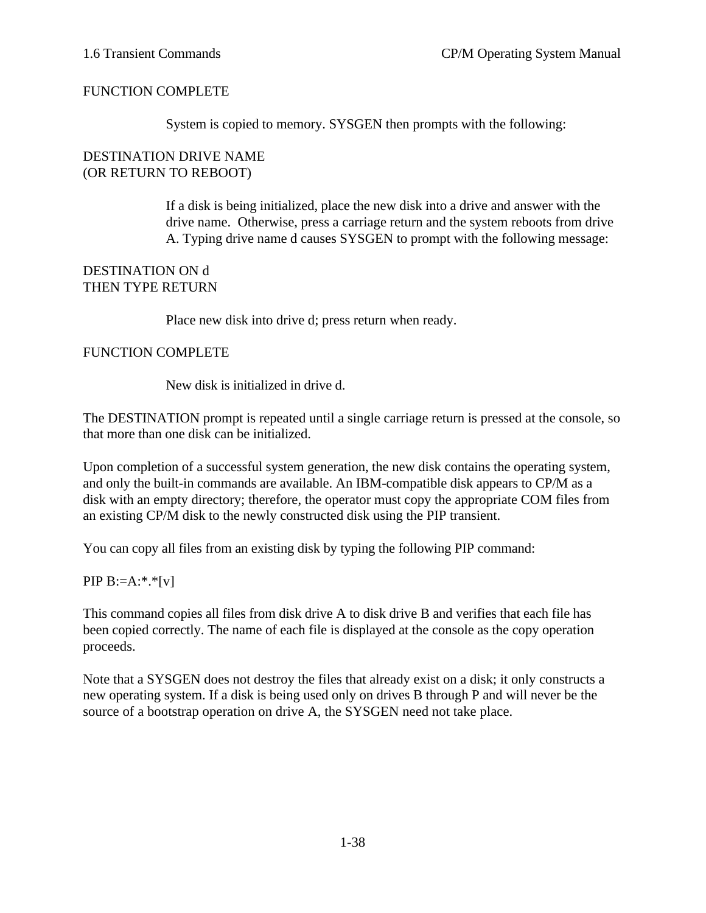### FUNCTION COMPLETE

System is copied to memory. SYSGEN then prompts with the following:

#### DESTINATION DRIVE NAME (OR RETURN TO REBOOT)

If a disk is being initialized, place the new disk into a drive and answer with the drive name. Otherwise, press a carriage return and the system reboots from drive A. Typing drive name d causes SYSGEN to prompt with the following message:

### DESTINATION ON d THEN TYPE RETURN

Place new disk into drive d; press return when ready.

### FUNCTION COMPLETE

New disk is initialized in drive d.

The DESTINATION prompt is repeated until a single carriage return is pressed at the console, so that more than one disk can be initialized.

Upon completion of a successful system generation, the new disk contains the operating system, and only the built-in commands are available. An IBM-compatible disk appears to CP/M as a disk with an empty directory; therefore, the operator must copy the appropriate COM files from an existing CP/M disk to the newly constructed disk using the PIP transient.

You can copy all files from an existing disk by typing the following PIP command:

### PIP  $B:=A:^{*}.^{*}[v]$

This command copies all files from disk drive A to disk drive B and verifies that each file has been copied correctly. The name of each file is displayed at the console as the copy operation proceeds.

Note that a SYSGEN does not destroy the files that already exist on a disk; it only constructs a new operating system. If a disk is being used only on drives B through P and will never be the source of a bootstrap operation on drive A, the SYSGEN need not take place.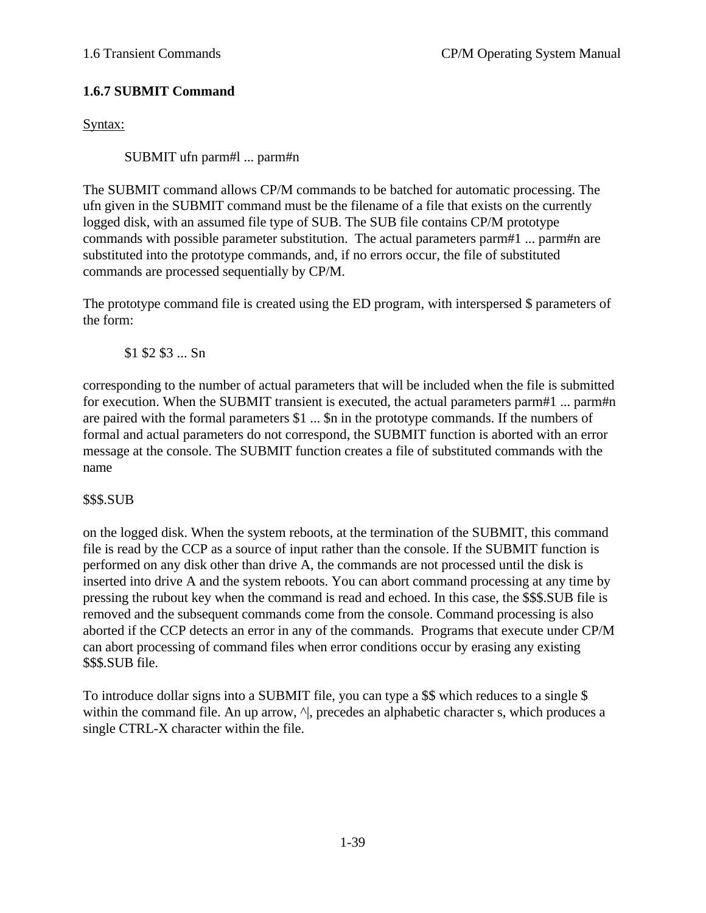# **1.6.7 SUBMIT Command**

Syntax:

SUBMIT ufn parm#l ... parm#n

The SUBMIT command allows CP/M commands to be batched for automatic processing. The ufn given in the SUBMIT command must be the filename of a file that exists on the currently logged disk, with an assumed file type of SUB. The SUB file contains CP/M prototype commands with possible parameter substitution. The actual parameters parm#1 ... parm#n are substituted into the prototype commands, and, if no errors occur, the file of substituted commands are processed sequentially by CP/M.

The prototype command file is created using the ED program, with interspersed \$ parameters of the form:

\$1 \$2 \$3 ... Sn

corresponding to the number of actual parameters that will be included when the file is submitted for execution. When the SUBMIT transient is executed, the actual parameters parm#1 ... parm#n are paired with the formal parameters \$1 ... \$n in the prototype commands. If the numbers of formal and actual parameters do not correspond, the SUBMIT function is aborted with an error message at the console. The SUBMIT function creates a file of substituted commands with the name

\$\$\$.SUB

on the logged disk. When the system reboots, at the termination of the SUBMIT, this command file is read by the CCP as a source of input rather than the console. If the SUBMIT function is performed on any disk other than drive A, the commands are not processed until the disk is inserted into drive A and the system reboots. You can abort command processing at any time by pressing the rubout key when the command is read and echoed. In this case, the \$\$\$.SUB file is removed and the subsequent commands come from the console. Command processing is also aborted if the CCP detects an error in any of the commands. Programs that execute under CP/M can abort processing of command files when error conditions occur by erasing any existing \$\$\$.SUB file.

To introduce dollar signs into a SUBMIT file, you can type a \$\$ which reduces to a single \$ within the command file. An up arrow,  $\land$ , precedes an alphabetic character s, which produces a single CTRL-X character within the file.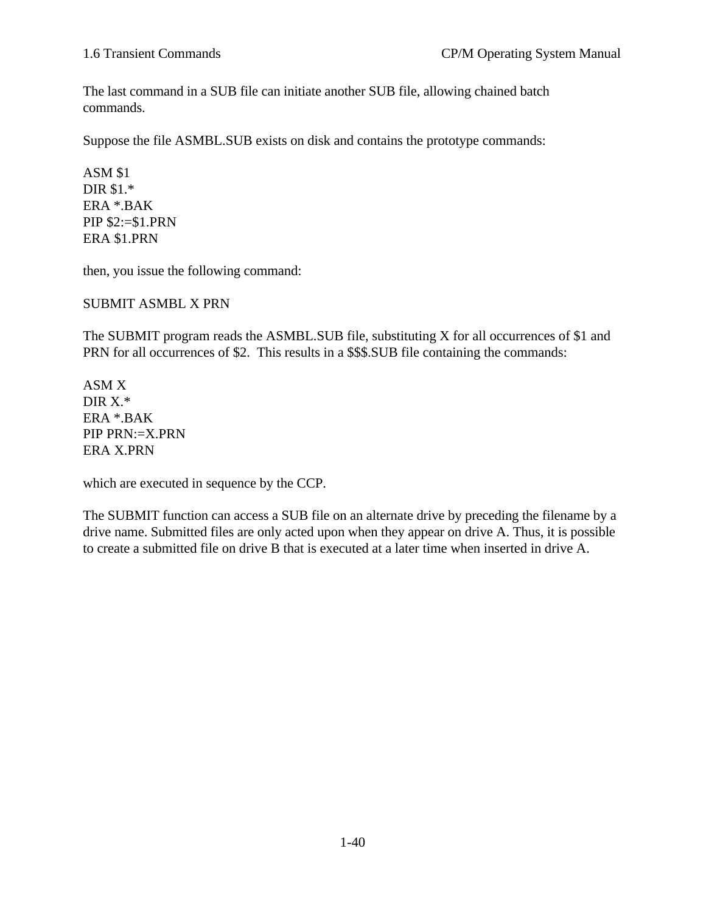The last command in a SUB file can initiate another SUB file, allowing chained batch commands.

Suppose the file ASMBL.SUB exists on disk and contains the prototype commands:

ASM \$1 DIR \$1.\* ERA \*.BAK PIP \$2:=\$1.PRN ERA \$1.PRN

then, you issue the following command:

SUBMIT ASMBL X PRN

The SUBMIT program reads the ASMBL.SUB file, substituting X for all occurrences of \$1 and PRN for all occurrences of \$2. This results in a \$\$\$.SUB file containing the commands:

ASM X DIR X.\* ERA \*.BAK PIP PRN:=X.PRN ERA X.PRN

which are executed in sequence by the CCP.

The SUBMIT function can access a SUB file on an alternate drive by preceding the filename by a drive name. Submitted files are only acted upon when they appear on drive A. Thus, it is possible to create a submitted file on drive B that is executed at a later time when inserted in drive A.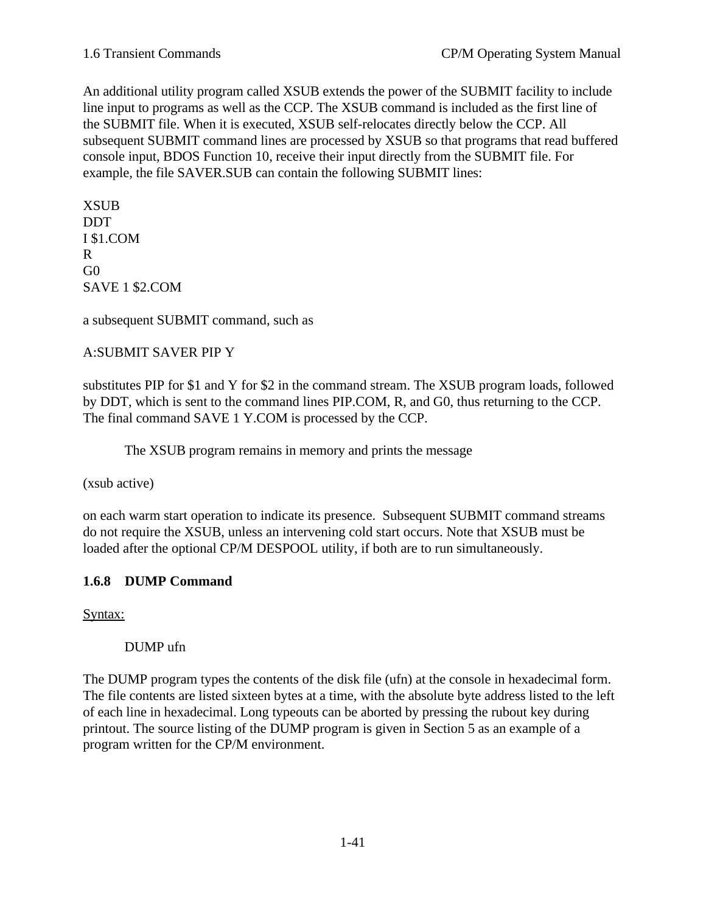An additional utility program called XSUB extends the power of the SUBMIT facility to include line input to programs as well as the CCP. The XSUB command is included as the first line of the SUBMIT file. When it is executed, XSUB self-relocates directly below the CCP. All subsequent SUBMIT command lines are processed by XSUB so that programs that read buffered console input, BDOS Function 10, receive their input directly from the SUBMIT file. For example, the file SAVER.SUB can contain the following SUBMIT lines:

XSUB DDT I \$1.COM R G<sub>0</sub> SAVE 1 \$2.COM

a subsequent SUBMIT command, such as

# A:SUBMIT SAVER PIP Y

substitutes PIP for \$1 and Y for \$2 in the command stream. The XSUB program loads, followed by DDT, which is sent to the command lines PIP.COM, R, and G0, thus returning to the CCP. The final command SAVE 1 Y.COM is processed by the CCP.

The XSUB program remains in memory and prints the message

(xsub active)

on each warm start operation to indicate its presence. Subsequent SUBMIT command streams do not require the XSUB, unless an intervening cold start occurs. Note that XSUB must be loaded after the optional CP/M DESPOOL utility, if both are to run simultaneously.

# **1.6.8 DUMP Command**

Syntax:

DUMP ufn

The DUMP program types the contents of the disk file (ufn) at the console in hexadecimal form. The file contents are listed sixteen bytes at a time, with the absolute byte address listed to the left of each line in hexadecimal. Long typeouts can be aborted by pressing the rubout key during printout. The source listing of the DUMP program is given in Section 5 as an example of a program written for the CP/M environment.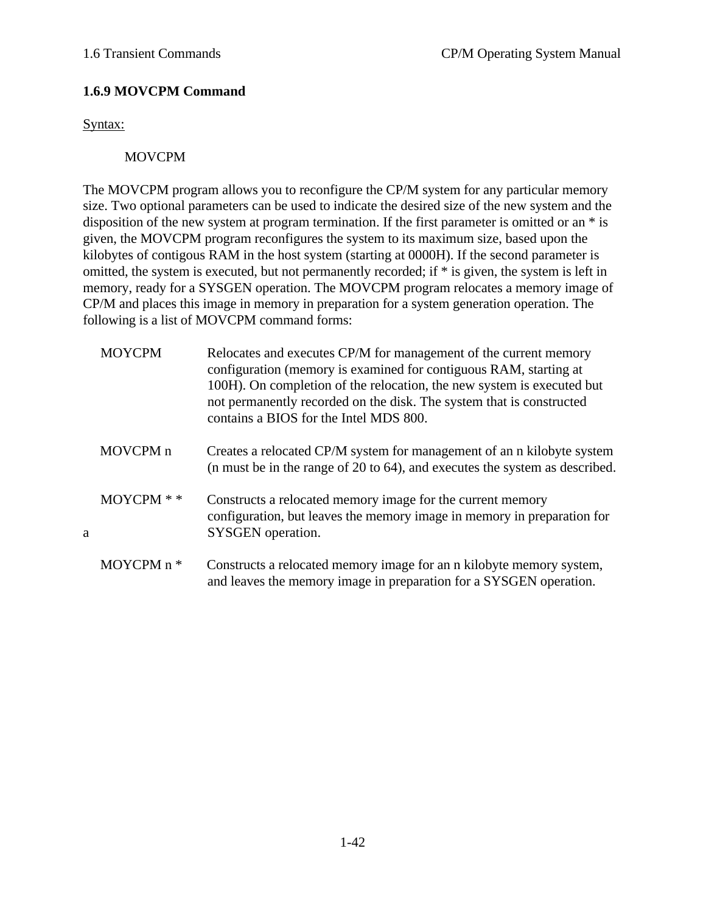# **1.6.9 MOVCPM Command**

Syntax:

# MOVCPM

The MOVCPM program allows you to reconfigure the CP/M system for any particular memory size. Two optional parameters can be used to indicate the desired size of the new system and the disposition of the new system at program termination. If the first parameter is omitted or an \* is given, the MOVCPM program reconfigures the system to its maximum size, based upon the kilobytes of contigous RAM in the host system (starting at 0000H). If the second parameter is omitted, the system is executed, but not permanently recorded; if \* is given, the system is left in memory, ready for a SYSGEN operation. The MOVCPM program relocates a memory image of CP/M and places this image in memory in preparation for a system generation operation. The following is a list of MOVCPM command forms:

|   | <b>MOYCPM</b>       | Relocates and executes CP/M for management of the current memory<br>configuration (memory is examined for contiguous RAM, starting at<br>100H). On completion of the relocation, the new system is executed but<br>not permanently recorded on the disk. The system that is constructed<br>contains a BIOS for the Intel MDS 800. |
|---|---------------------|-----------------------------------------------------------------------------------------------------------------------------------------------------------------------------------------------------------------------------------------------------------------------------------------------------------------------------------|
|   | MOVCPM <sub>n</sub> | Creates a relocated CP/M system for management of an a kilobyte system<br>(n must be in the range of 20 to 64), and executes the system as described.                                                                                                                                                                             |
| a | $MOYCPM$ * *        | Constructs a relocated memory image for the current memory<br>configuration, but leaves the memory image in memory in preparation for<br>SYSGEN operation.                                                                                                                                                                        |
|   | MOYCPM n *          | Constructs a relocated memory image for an n kilobyte memory system,<br>and leaves the memory image in preparation for a SYSGEN operation.                                                                                                                                                                                        |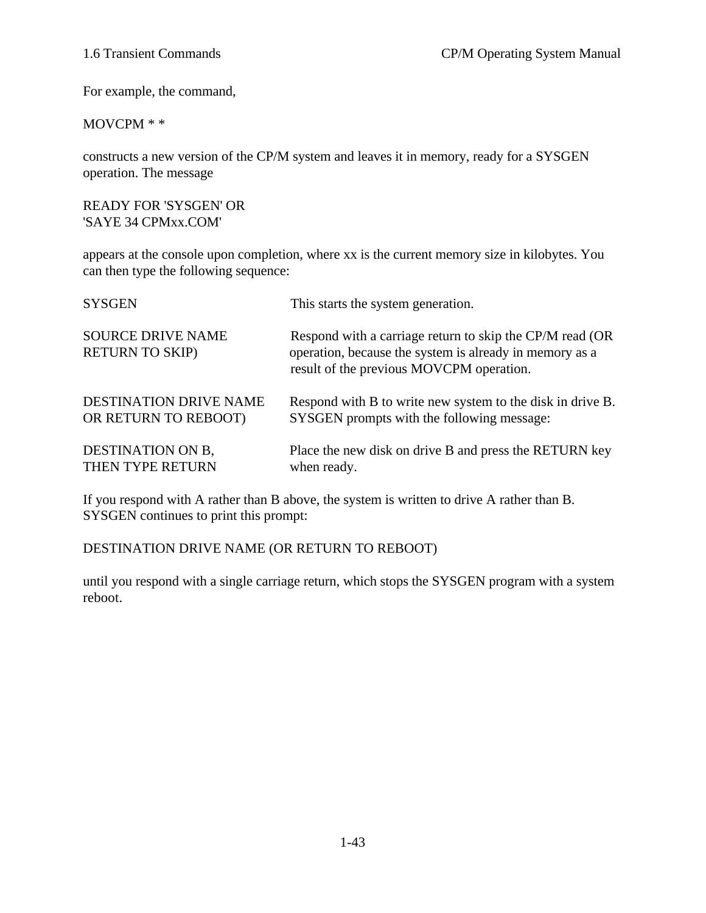For example, the command,

#### MOVCPM \* \*

constructs a new version of the CP/M system and leaves it in memory, ready for a SYSGEN operation. The message

READY FOR 'SYSGEN' OR 'SAYE 34 CPMxx.COM'

appears at the console upon completion, where xx is the current memory size in kilobytes. You can then type the following sequence:

| <b>SYSGEN</b>                                      | This starts the system generation.                                                                                                                               |
|----------------------------------------------------|------------------------------------------------------------------------------------------------------------------------------------------------------------------|
| <b>SOURCE DRIVE NAME</b><br><b>RETURN TO SKIP)</b> | Respond with a carriage return to skip the CP/M read (OR)<br>operation, because the system is already in memory as a<br>result of the previous MOVCPM operation. |
| <b>DESTINATION DRIVE NAME</b>                      | Respond with B to write new system to the disk in drive B.                                                                                                       |
| OR RETURN TO REBOOT)                               | SYSGEN prompts with the following message:                                                                                                                       |
| DESTINATION ON B.                                  | Place the new disk on drive B and press the RETURN key                                                                                                           |
| THEN TYPE RETURN                                   | when ready.                                                                                                                                                      |

If you respond with A rather than B above, the system is written to drive A rather than B. SYSGEN continues to print this prompt:

DESTINATION DRIVE NAME (OR RETURN TO REBOOT)

until you respond with a single carriage return, which stops the SYSGEN program with a system reboot.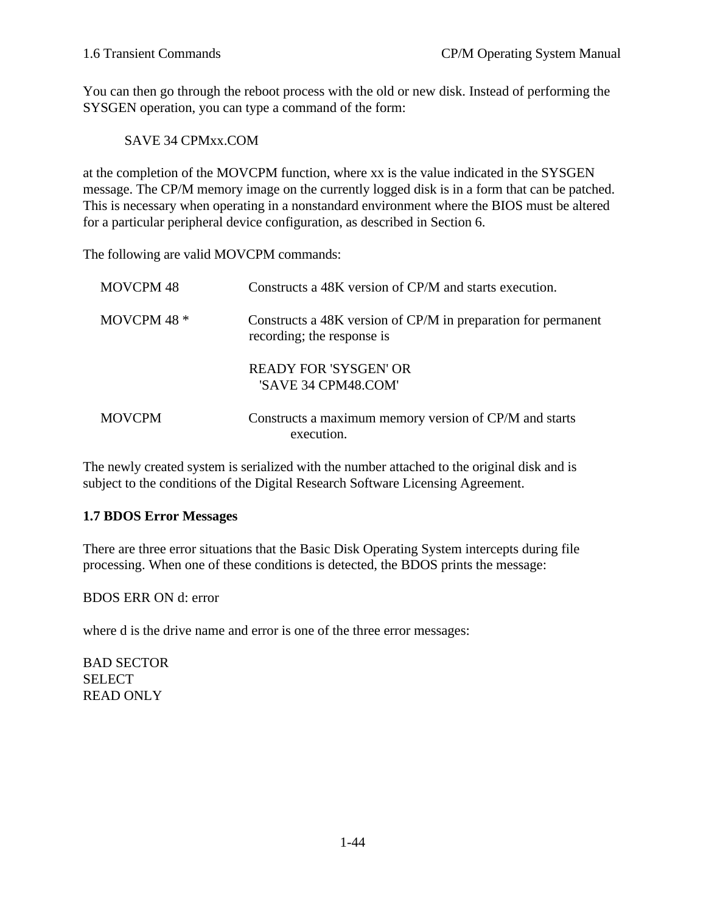You can then go through the reboot process with the old or new disk. Instead of performing the SYSGEN operation, you can type a command of the form:

SAVE 34 CPMxx.COM

at the completion of the MOVCPM function, where xx is the value indicated in the SYSGEN message. The CP/M memory image on the currently logged disk is in a form that can be patched. This is necessary when operating in a nonstandard environment where the BIOS must be altered for a particular peripheral device configuration, as described in Section 6.

The following are valid MOVCPM commands:

| MOVCPM 48     | Constructs a 48K version of CP/M and starts execution.                                      |
|---------------|---------------------------------------------------------------------------------------------|
| MOVCPM 48 *   | Constructs a 48K version of CP/M in preparation for permanent<br>recording; the response is |
|               | READY FOR 'SYSGEN' OR<br>'SAVE 34 CPM48.COM'                                                |
| <b>MOVCPM</b> | Constructs a maximum memory version of CP/M and starts<br>execution.                        |

The newly created system is serialized with the number attached to the original disk and is subject to the conditions of the Digital Research Software Licensing Agreement.

# **1.7 BDOS Error Messages**

There are three error situations that the Basic Disk Operating System intercepts during file processing. When one of these conditions is detected, the BDOS prints the message:

BDOS ERR ON d: error

where d is the drive name and error is one of the three error messages:

BAD SECTOR SELECT READ ONLY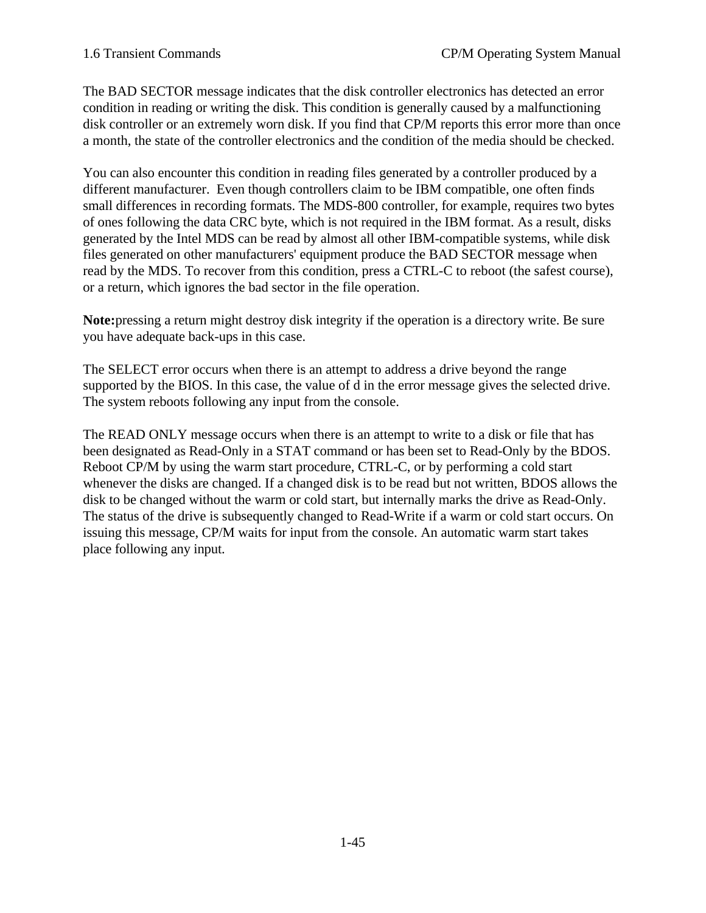The BAD SECTOR message indicates that the disk controller electronics has detected an error condition in reading or writing the disk. This condition is generally caused by a malfunctioning disk controller or an extremely worn disk. If you find that CP/M reports this error more than once a month, the state of the controller electronics and the condition of the media should be checked.

You can also encounter this condition in reading files generated by a controller produced by a different manufacturer. Even though controllers claim to be IBM compatible, one often finds small differences in recording formats. The MDS-800 controller, for example, requires two bytes of ones following the data CRC byte, which is not required in the IBM format. As a result, disks generated by the Intel MDS can be read by almost all other IBM-compatible systems, while disk files generated on other manufacturers' equipment produce the BAD SECTOR message when read by the MDS. To recover from this condition, press a CTRL-C to reboot (the safest course), or a return, which ignores the bad sector in the file operation.

**Note:**pressing a return might destroy disk integrity if the operation is a directory write. Be sure you have adequate back-ups in this case.

The SELECT error occurs when there is an attempt to address a drive beyond the range supported by the BIOS. In this case, the value of d in the error message gives the selected drive. The system reboots following any input from the console.

The READ ONLY message occurs when there is an attempt to write to a disk or file that has been designated as Read-Only in a STAT command or has been set to Read-Only by the BDOS. Reboot CP/M by using the warm start procedure, CTRL-C, or by performing a cold start whenever the disks are changed. If a changed disk is to be read but not written, BDOS allows the disk to be changed without the warm or cold start, but internally marks the drive as Read-Only. The status of the drive is subsequently changed to Read-Write if a warm or cold start occurs. On issuing this message, CP/M waits for input from the console. An automatic warm start takes place following any input.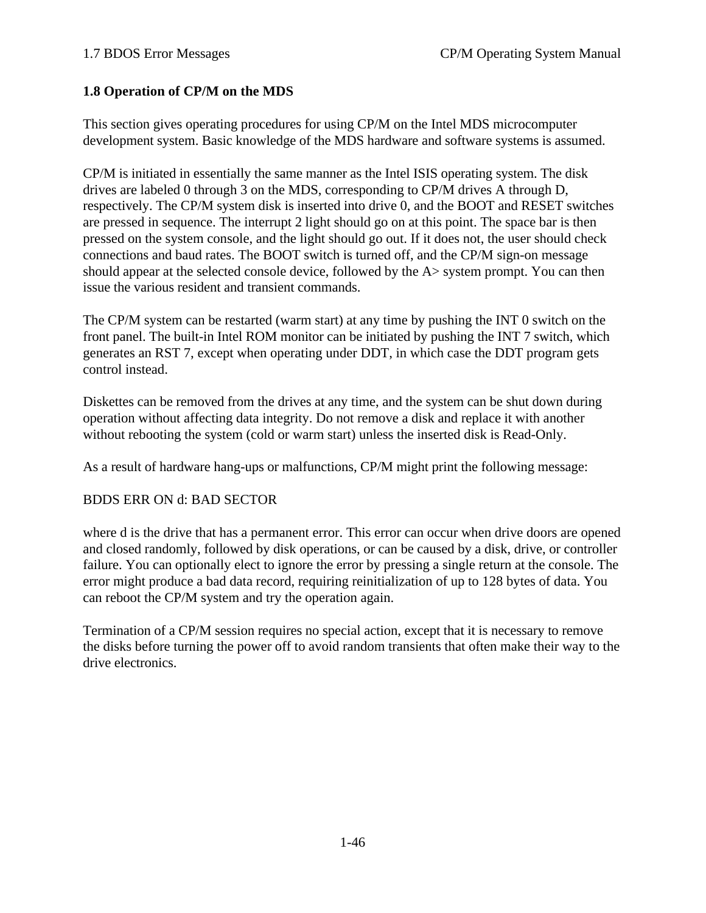# **1.8 Operation of CP/M on the MDS**

This section gives operating procedures for using CP/M on the Intel MDS microcomputer development system. Basic knowledge of the MDS hardware and software systems is assumed.

CP/M is initiated in essentially the same manner as the Intel ISIS operating system. The disk drives are labeled 0 through 3 on the MDS, corresponding to CP/M drives A through D, respectively. The CP/M system disk is inserted into drive 0, and the BOOT and RESET switches are pressed in sequence. The interrupt 2 light should go on at this point. The space bar is then pressed on the system console, and the light should go out. If it does not, the user should check connections and baud rates. The BOOT switch is turned off, and the CP/M sign-on message should appear at the selected console device, followed by the A> system prompt. You can then issue the various resident and transient commands.

The CP/M system can be restarted (warm start) at any time by pushing the INT 0 switch on the front panel. The built-in Intel ROM monitor can be initiated by pushing the INT 7 switch, which generates an RST 7, except when operating under DDT, in which case the DDT program gets control instead.

Diskettes can be removed from the drives at any time, and the system can be shut down during operation without affecting data integrity. Do not remove a disk and replace it with another without rebooting the system (cold or warm start) unless the inserted disk is Read-Only.

As a result of hardware hang-ups or malfunctions, CP/M might print the following message:

### BDDS ERR ON d: BAD SECTOR

where d is the drive that has a permanent error. This error can occur when drive doors are opened and closed randomly, followed by disk operations, or can be caused by a disk, drive, or controller failure. You can optionally elect to ignore the error by pressing a single return at the console. The error might produce a bad data record, requiring reinitialization of up to 128 bytes of data. You can reboot the CP/M system and try the operation again.

Termination of a CP/M session requires no special action, except that it is necessary to remove the disks before turning the power off to avoid random transients that often make their way to the drive electronics.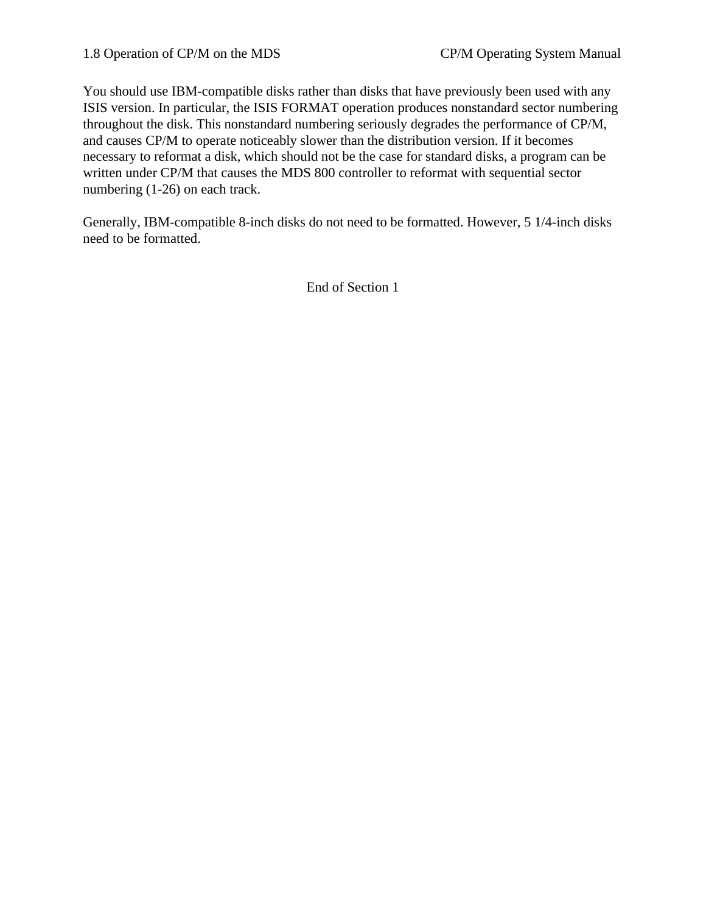You should use IBM-compatible disks rather than disks that have previously been used with any ISIS version. In particular, the ISIS FORMAT operation produces nonstandard sector numbering throughout the disk. This nonstandard numbering seriously degrades the performance of CP/M, and causes CP/M to operate noticeably slower than the distribution version. If it becomes necessary to reformat a disk, which should not be the case for standard disks, a program can be written under CP/M that causes the MDS 800 controller to reformat with sequential sector numbering (1-26) on each track.

Generally, IBM-compatible 8-inch disks do not need to be formatted. However, 5 1/4-inch disks need to be formatted.

End of Section 1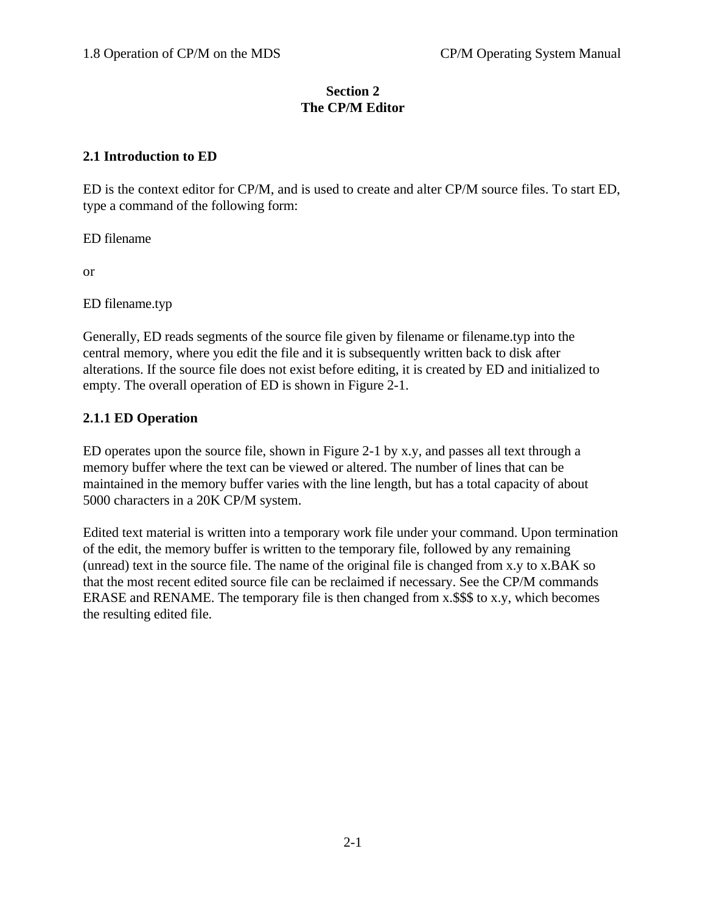## **Section 2 The CP/M Editor**

# **2.1 Introduction to ED**

ED is the context editor for CP/M, and is used to create and alter CP/M source files. To start ED, type a command of the following form:

ED filename

or

ED filename.typ

Generally, ED reads segments of the source file given by filename or filename.typ into the central memory, where you edit the file and it is subsequently written back to disk after alterations. If the source file does not exist before editing, it is created by ED and initialized to empty. The overall operation of ED is shown in Figure 2-1.

# **2.1.1 ED Operation**

ED operates upon the source file, shown in Figure 2-1 by x.y, and passes all text through a memory buffer where the text can be viewed or altered. The number of lines that can be maintained in the memory buffer varies with the line length, but has a total capacity of about 5000 characters in a 20K CP/M system.

Edited text material is written into a temporary work file under your command. Upon termination of the edit, the memory buffer is written to the temporary file, followed by any remaining (unread) text in the source file. The name of the original file is changed from x.y to x.BAK so that the most recent edited source file can be reclaimed if necessary. See the CP/M commands ERASE and RENAME. The temporary file is then changed from x.\$\$\$ to x.y, which becomes the resulting edited file.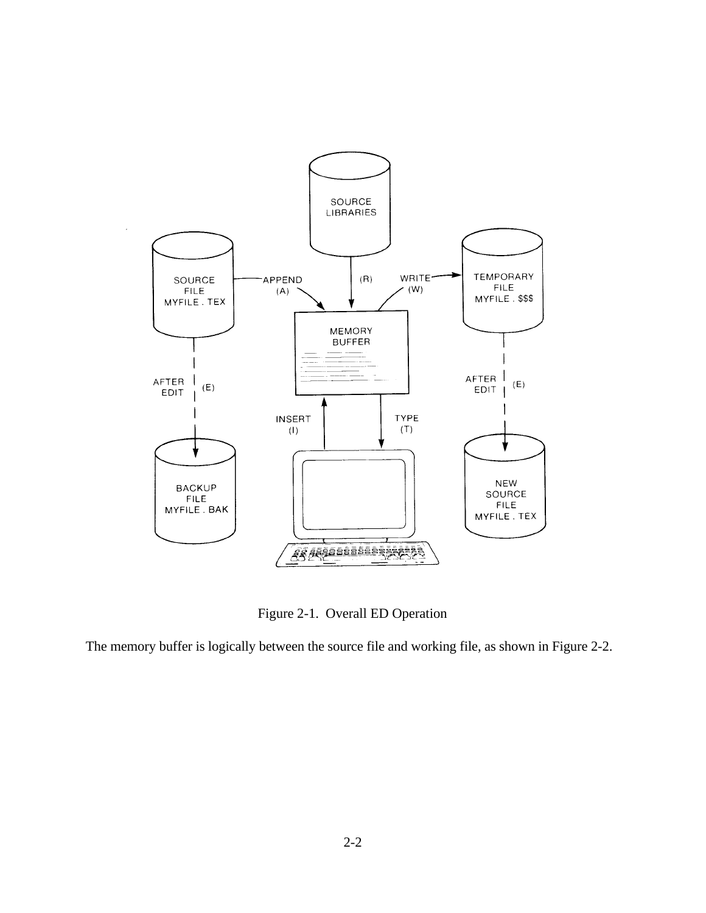

Figure 2-1. Overall ED Operation

The memory buffer is logically between the source file and working file, as shown in Figure 2-2.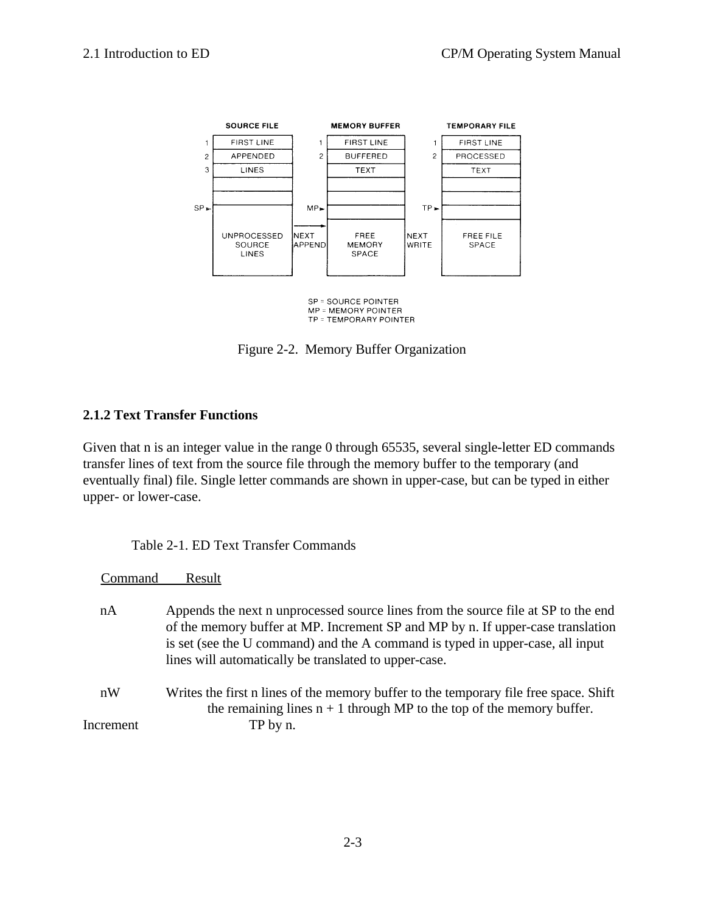

MP = MEMORY POINTER TP = TEMPORARY POINTER

Figure 2-2. Memory Buffer Organization

# **2.1.2 Text Transfer Functions**

Given that n is an integer value in the range 0 through 65535, several single-letter ED commands transfer lines of text from the source file through the memory buffer to the temporary (and eventually final) file. Single letter commands are shown in upper-case, but can be typed in either upper- or lower-case.

| nA<br>lines will automatically be translated to upper-case.<br>nW<br>the remaining lines $n + 1$ through MP to the top of the memory buffer.<br>Increment<br>TP by n. | Command | Result                                                                                                                                                                                                                                                 |
|-----------------------------------------------------------------------------------------------------------------------------------------------------------------------|---------|--------------------------------------------------------------------------------------------------------------------------------------------------------------------------------------------------------------------------------------------------------|
|                                                                                                                                                                       |         | Appends the next n unprocessed source lines from the source file at SP to the end<br>of the memory buffer at MP. Increment SP and MP by n. If upper-case translation<br>is set (see the U command) and the A command is typed in upper-case, all input |
|                                                                                                                                                                       |         | Writes the first n lines of the memory buffer to the temporary file free space. Shift                                                                                                                                                                  |
|                                                                                                                                                                       |         |                                                                                                                                                                                                                                                        |

Table 2-1. ED Text Transfer Commands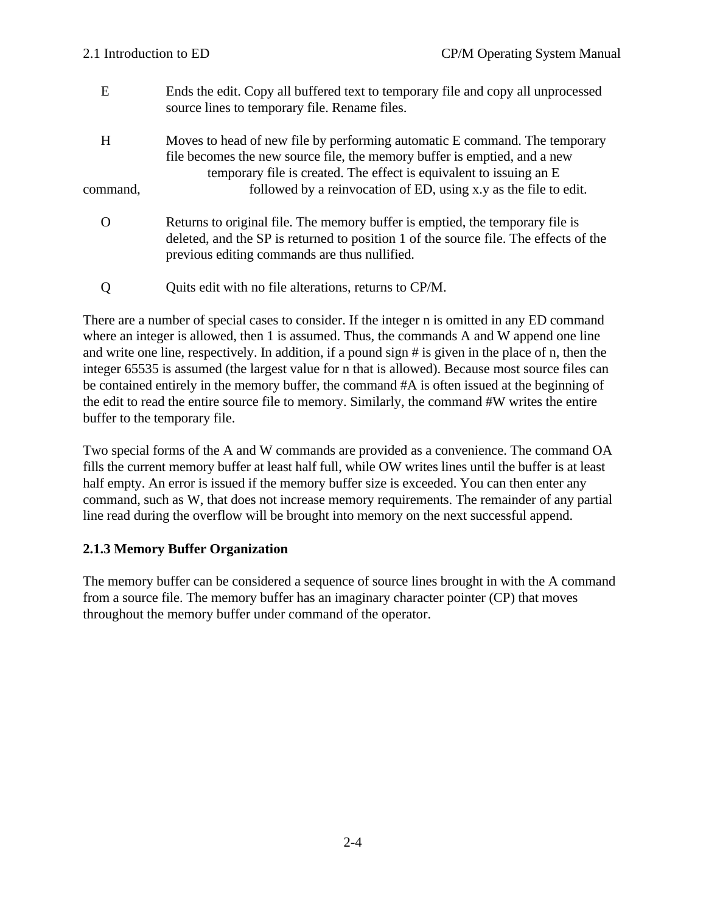| E        | Ends the edit. Copy all buffered text to temporary file and copy all unprocessed<br>source lines to temporary file. Rename files.                                                                                              |
|----------|--------------------------------------------------------------------------------------------------------------------------------------------------------------------------------------------------------------------------------|
| H        | Moves to head of new file by performing automatic E command. The temporary<br>file becomes the new source file, the memory buffer is emptied, and a new<br>temporary file is created. The effect is equivalent to issuing an E |
| command, | followed by a reinvocation of ED, using x, y as the file to edit.                                                                                                                                                              |
|          | Returns to original file. The memory buffer is emptied, the temporary file is<br>deleted, and the SP is returned to position 1 of the source file. The effects of the<br>previous editing commands are thus nullified.         |

Q Quits edit with no file alterations, returns to CP/M.

There are a number of special cases to consider. If the integer n is omitted in any ED command where an integer is allowed, then 1 is assumed. Thus, the commands A and W append one line and write one line, respectively. In addition, if a pound sign # is given in the place of n, then the integer 65535 is assumed (the largest value for n that is allowed). Because most source files can be contained entirely in the memory buffer, the command #A is often issued at the beginning of the edit to read the entire source file to memory. Similarly, the command #W writes the entire buffer to the temporary file.

Two special forms of the A and W commands are provided as a convenience. The command OA fills the current memory buffer at least half full, while OW writes lines until the buffer is at least half empty. An error is issued if the memory buffer size is exceeded. You can then enter any command, such as W, that does not increase memory requirements. The remainder of any partial line read during the overflow will be brought into memory on the next successful append.

### **2.1.3 Memory Buffer Organization**

The memory buffer can be considered a sequence of source lines brought in with the A command from a source file. The memory buffer has an imaginary character pointer (CP) that moves throughout the memory buffer under command of the operator.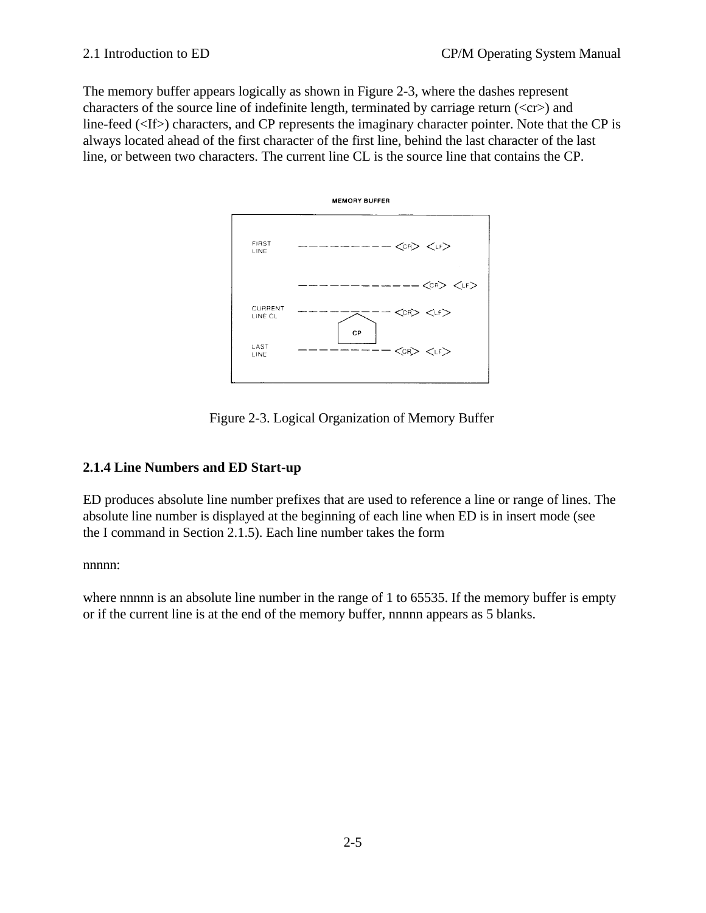The memory buffer appears logically as shown in Figure 2-3, where the dashes represent characters of the source line of indefinite length, terminated by carriage return  $\langle \langle cr \rangle$  and line-feed (<If>) characters, and CP represents the imaginary character pointer. Note that the CP is always located ahead of the first character of the first line, behind the last character of the last line, or between two characters. The current line CL is the source line that contains the CP.



Figure 2-3. Logical Organization of Memory Buffer

# **2.1.4 Line Numbers and ED Start-up**

ED produces absolute line number prefixes that are used to reference a line or range of lines. The absolute line number is displayed at the beginning of each line when ED is in insert mode (see the I command in Section 2.1.5). Each line number takes the form

nnnn:

where nnnnn is an absolute line number in the range of 1 to 65535. If the memory buffer is empty or if the current line is at the end of the memory buffer, nnnnn appears as 5 blanks.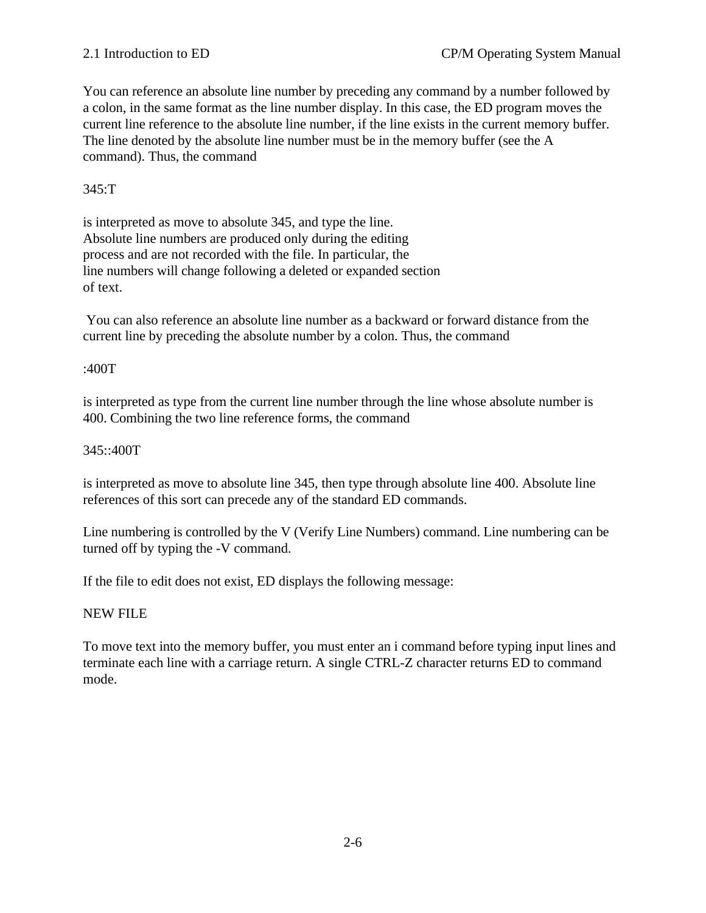You can reference an absolute line number by preceding any command by a number followed by a colon, in the same format as the line number display. In this case, the ED program moves the current line reference to the absolute line number, if the line exists in the current memory buffer. The line denoted by the absolute line number must be in the memory buffer (see the A command). Thus, the command

#### 345:T

is interpreted as move to absolute 345, and type the line. Absolute line numbers are produced only during the editing process and are not recorded with the file. In particular, the line numbers will change following a deleted or expanded section of text.

 You can also reference an absolute line number as a backward or forward distance from the current line by preceding the absolute number by a colon. Thus, the command

#### :400T

is interpreted as type from the current line number through the line whose absolute number is 400. Combining the two line reference forms, the command

#### 345::400T

is interpreted as move to absolute line 345, then type through absolute line 400. Absolute line references of this sort can precede any of the standard ED commands.

Line numbering is controlled by the V (Verify Line Numbers) command. Line numbering can be turned off by typing the -V command.

If the file to edit does not exist, ED displays the following message:

#### NEW FILE

To move text into the memory buffer, you must enter an i command before typing input lines and terminate each line with a carriage return. A single CTRL-Z character returns ED to command mode.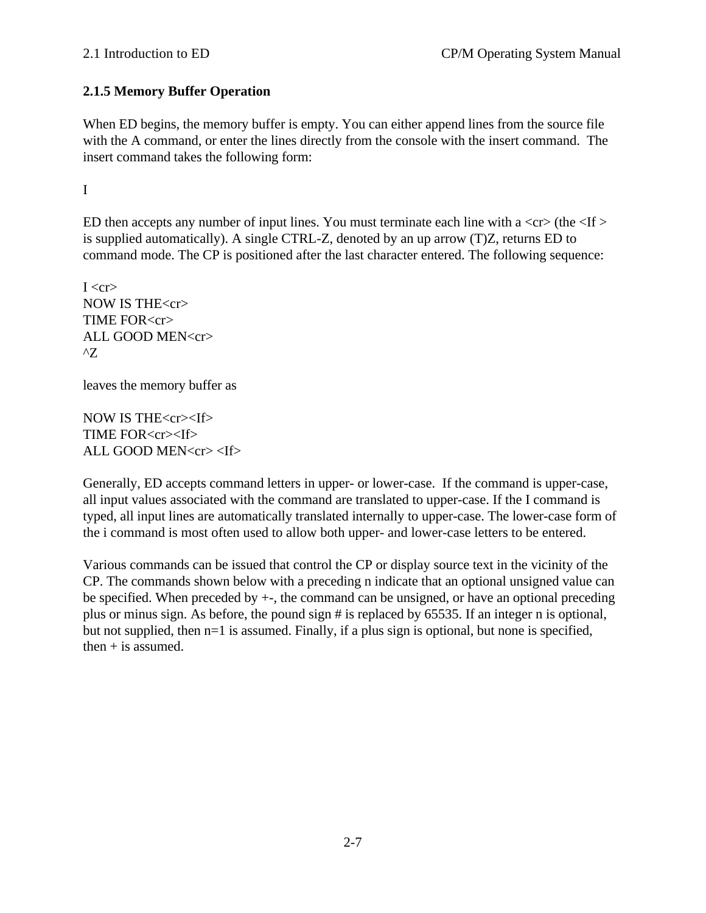# **2.1.5 Memory Buffer Operation**

When ED begins, the memory buffer is empty. You can either append lines from the source file with the A command, or enter the lines directly from the console with the insert command. The insert command takes the following form:

I

ED then accepts any number of input lines. You must terminate each line with a  $\langle cr \rangle$  (the  $\langle$ If  $\rangle$ is supplied automatically). A single CTRL-Z, denoted by an up arrow (T)Z, returns ED to command mode. The CP is positioned after the last character entered. The following sequence:

 $I < c r$ NOW IS THE<cr> TIME FOR<cr> ALL GOOD MEN<cr>  $^{\prime}Z$ 

leaves the memory buffer as

NOW IS THE<cr><If> TIME FOR<cr><If> ALL GOOD MEN<cr> <If>

Generally, ED accepts command letters in upper- or lower-case. If the command is upper-case, all input values associated with the command are translated to upper-case. If the I command is typed, all input lines are automatically translated internally to upper-case. The lower-case form of the i command is most often used to allow both upper- and lower-case letters to be entered.

Various commands can be issued that control the CP or display source text in the vicinity of the CP. The commands shown below with a preceding n indicate that an optional unsigned value can be specified. When preceded by +-, the command can be unsigned, or have an optional preceding plus or minus sign. As before, the pound sign # is replaced by 65535. If an integer n is optional, but not supplied, then n=1 is assumed. Finally, if a plus sign is optional, but none is specified, then  $+$  is assumed.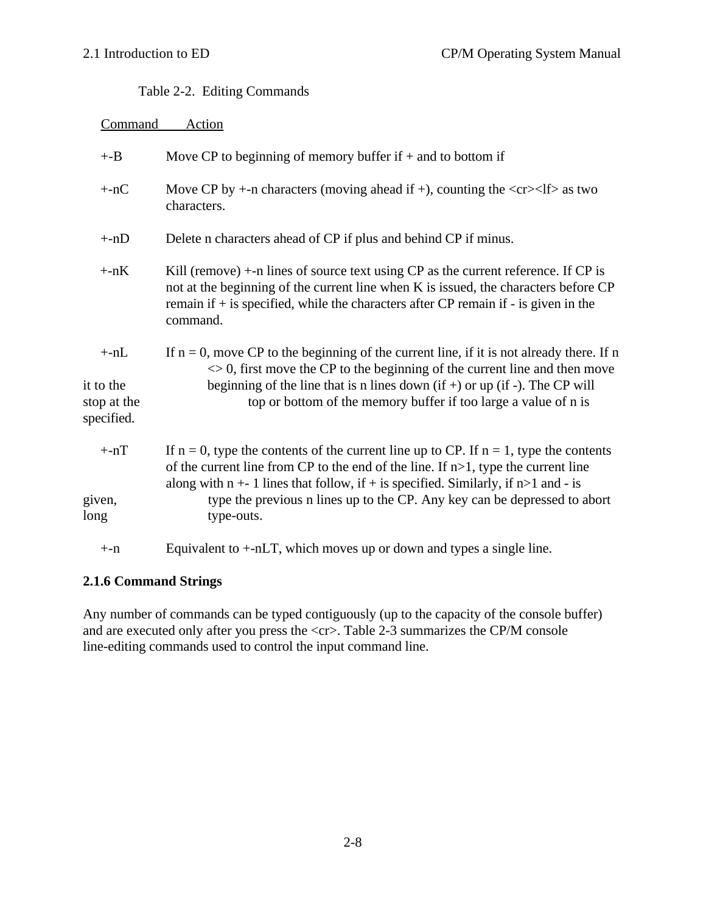Table 2-2. Editing Commands

| Command                                           | Action                                                                                                                                                                                                                                                                                                                                                      |
|---------------------------------------------------|-------------------------------------------------------------------------------------------------------------------------------------------------------------------------------------------------------------------------------------------------------------------------------------------------------------------------------------------------------------|
| $+$ -B                                            | Move CP to beginning of memory buffer if $+$ and to bottom if                                                                                                                                                                                                                                                                                               |
| $+nC$                                             | Move CP by $+$ -n characters (moving ahead if +), counting the $\langle cr \rangle$ - $\langle$ If $\rangle$ as two<br>characters.                                                                                                                                                                                                                          |
| $+nD$                                             | Delete n characters ahead of CP if plus and behind CP if minus.                                                                                                                                                                                                                                                                                             |
| $+nK$                                             | Kill (remove) $+$ -n lines of source text using CP as the current reference. If CP is<br>not at the beginning of the current line when K is issued, the characters before CP<br>remain if $+$ is specified, while the characters after CP remain if $-$ is given in the<br>command.                                                                         |
| $+ -nL$<br>it to the<br>stop at the<br>specified. | If $n = 0$ , move CP to the beginning of the current line, if it is not already there. If n<br>$\leq 0$ , first move the CP to the beginning of the current line and then move<br>beginning of the line that is n lines down $(if +)$ or up $(if -)$ . The CP will<br>top or bottom of the memory buffer if too large a value of n is                       |
| $+nT$<br>given,                                   | If $n = 0$ , type the contents of the current line up to CP. If $n = 1$ , type the contents<br>of the current line from CP to the end of the line. If $n>1$ , type the current line<br>along with $n + 1$ lines that follow, if + is specified. Similarly, if $n > 1$ and - is<br>type the previous n lines up to the CP. Any key can be depressed to abort |
| long                                              | type-outs.                                                                                                                                                                                                                                                                                                                                                  |
| $+ -n$                                            | Equivalent to $+nLT$ , which moves up or down and types a single line.                                                                                                                                                                                                                                                                                      |

# **2.1.6 Command Strings**

Any number of commands can be typed contiguously (up to the capacity of the console buffer) and are executed only after you press the  $\langle$ cr>. Table 2-3 summarizes the CP/M console line-editing commands used to control the input command line.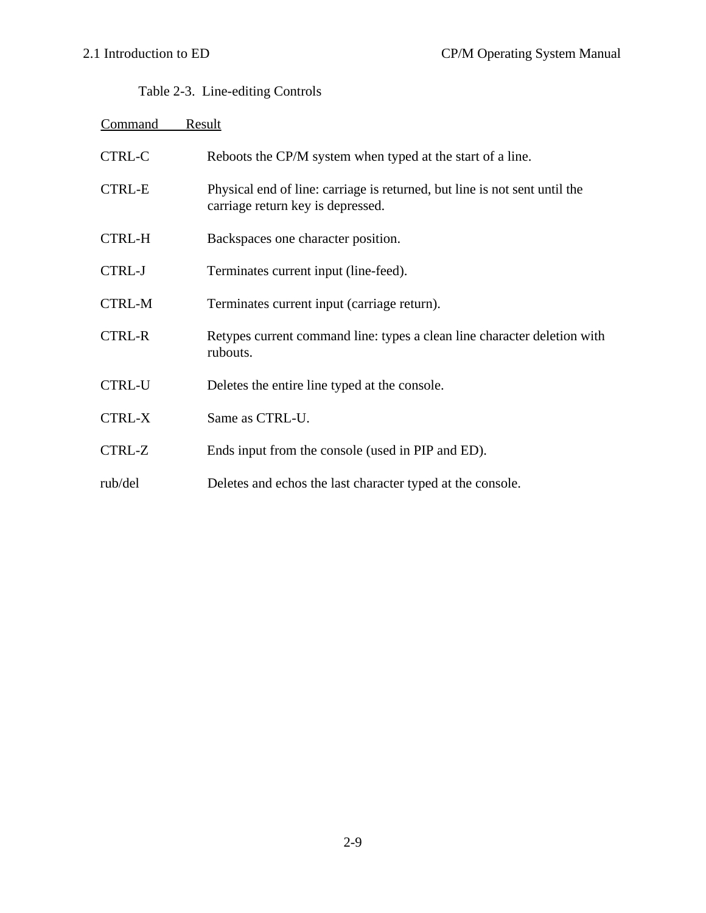# Table 2-3. Line-editing Controls

| Command       | Result                                                                                                          |
|---------------|-----------------------------------------------------------------------------------------------------------------|
| <b>CTRL-C</b> | Reboots the CP/M system when typed at the start of a line.                                                      |
| <b>CTRL-E</b> | Physical end of line: carriage is returned, but line is not sent until the<br>carriage return key is depressed. |
| <b>CTRL-H</b> | Backspaces one character position.                                                                              |
| <b>CTRL-J</b> | Terminates current input (line-feed).                                                                           |
| <b>CTRL-M</b> | Terminates current input (carriage return).                                                                     |
| <b>CTRL-R</b> | Retypes current command line: types a clean line character deletion with<br>rubouts.                            |
| <b>CTRL-U</b> | Deletes the entire line typed at the console.                                                                   |
| <b>CTRL-X</b> | Same as CTRL-U.                                                                                                 |
| CTRL-Z        | Ends input from the console (used in PIP and ED).                                                               |
| rub/del       | Deletes and echos the last character typed at the console.                                                      |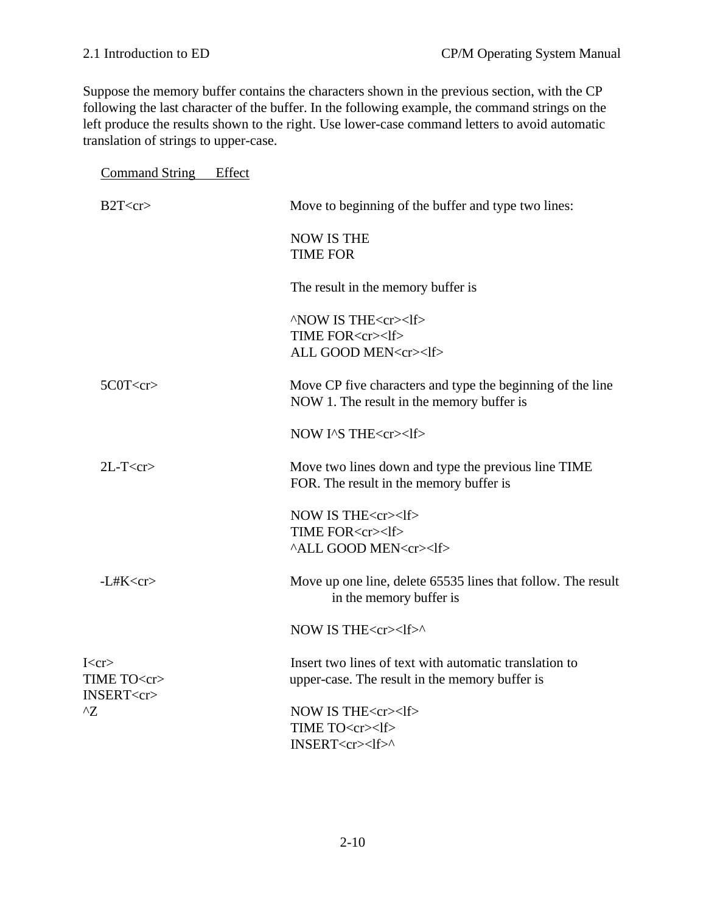Suppose the memory buffer contains the characters shown in the previous section, with the CP following the last character of the buffer. In the following example, the command strings on the left produce the results shown to the right. Use lower-case command letters to avoid automatic translation of strings to upper-case.

| <b>Command String</b>                            | Effect |                                                                                                          |
|--------------------------------------------------|--------|----------------------------------------------------------------------------------------------------------|
| $B2T < c$ r>                                     |        | Move to beginning of the buffer and type two lines:                                                      |
|                                                  |        | <b>NOW IS THE</b><br><b>TIME FOR</b>                                                                     |
|                                                  |        | The result in the memory buffer is                                                                       |
|                                                  |        | ^NOW IS THE <cr><lf><br/>TIME FOR<cr><lf><br/>ALL GOOD MEN<cr><lf></lf></cr></lf></cr></lf></cr>         |
| 5C0T < cr                                        |        | Move CP five characters and type the beginning of the line<br>NOW 1. The result in the memory buffer is  |
|                                                  |        | NOW I^S THE <cr><lf></lf></cr>                                                                           |
| $2L-T < cr$                                      |        | Move two lines down and type the previous line TIME<br>FOR. The result in the memory buffer is           |
|                                                  |        | NOW IS THE <cr><lf><br/>TIME FOR<cr><lf><br/><b>^ALL GOOD MEN<cr><lf></lf></cr></b></lf></cr></lf></cr>  |
| $-L#K < c$ r                                     |        | Move up one line, delete 65535 lines that follow. The result<br>in the memory buffer is                  |
|                                                  |        | NOW IS THE <cr><lf>^</lf></cr>                                                                           |
| I < cr><br>TIME TO <cr><br/>INSERT<cr></cr></cr> |        | Insert two lines of text with automatic translation to<br>upper-case. The result in the memory buffer is |
| $^{\wedge}Z$                                     |        | NOW IS THE <cr><lf><br/>TIME TO<cr><lf><br/>INSERT<cr><lf>^</lf></cr></lf></cr></lf></cr>                |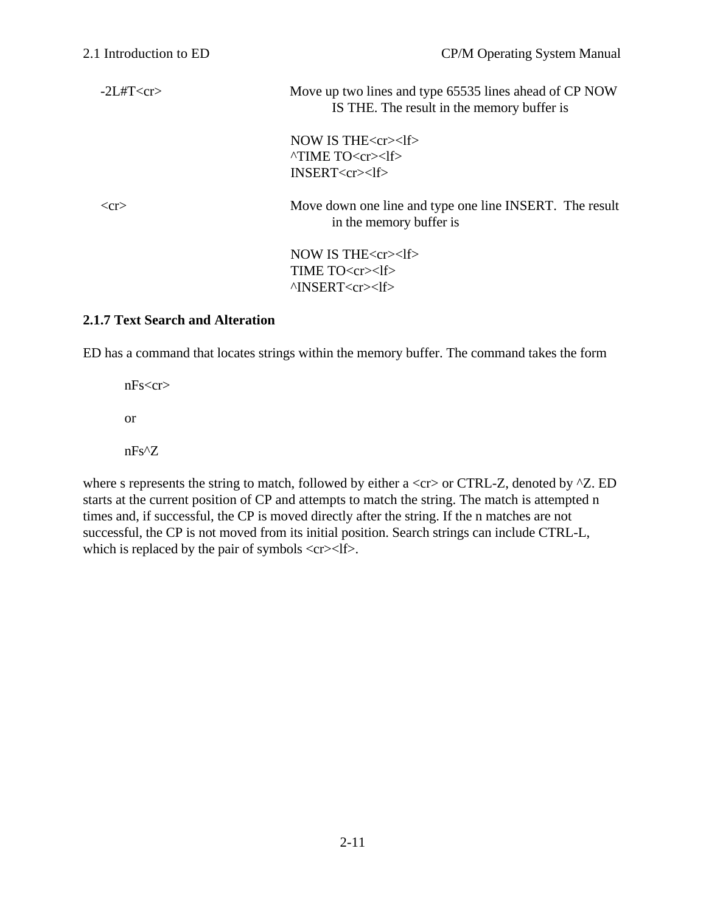-2L#T<cr>
Move up two lines and type 65535 lines ahead of CP NOW IS THE. The result in the memory buffer is

> NOW IS THE<cr><lf> ^TIME TO<cr><lf> INSERT<cr><lf>

 <cr> Move down one line and type one line INSERT. The result in the memory buffer is

> NOW IS THE<cr><lf> TIME TO<cr><lf> ^INSERT<cr><lf>

#### **2.1.7 Text Search and Alteration**

ED has a command that locates strings within the memory buffer. The command takes the form

nFs<cr> or nFs^Z

where s represents the string to match, followed by either a  $\langle$ cr $\rangle$  or CTRL-Z, denoted by  $^{\wedge}Z$ . ED starts at the current position of CP and attempts to match the string. The match is attempted n times and, if successful, the CP is moved directly after the string. If the n matches are not successful, the CP is not moved from its initial position. Search strings can include CTRL-L, which is replaced by the pair of symbols  $\langle cr \rangle \langle l \rangle$ .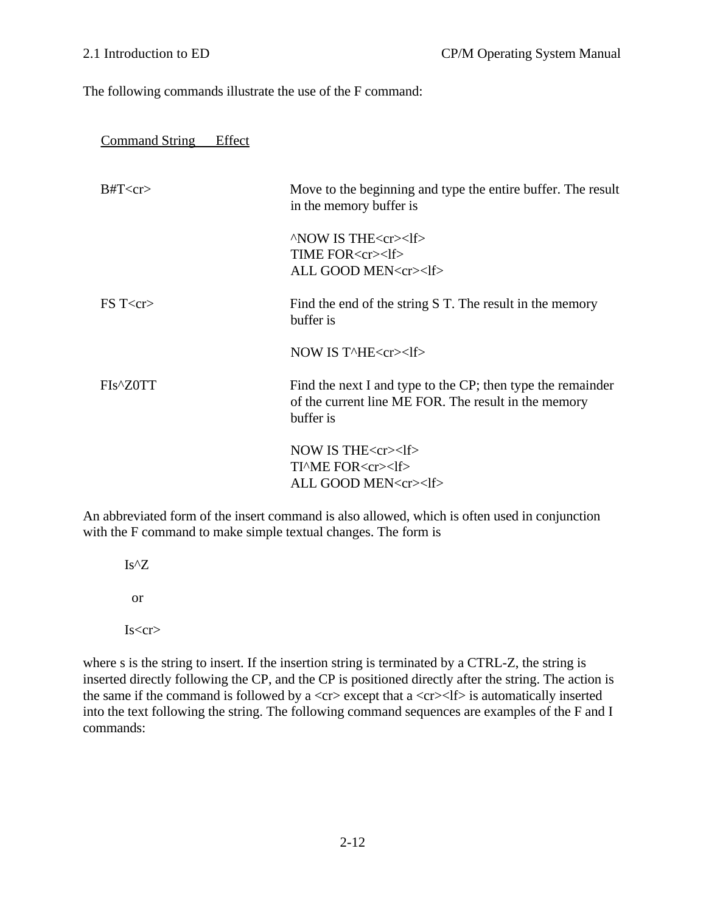The following commands illustrate the use of the F command:

| <b>Command String</b> |
|-----------------------|
|-----------------------|

| $B\#T\text{&}cr\text{&}$ | Move to the beginning and type the entire buffer. The result<br>in the memory buffer is                                          |
|--------------------------|----------------------------------------------------------------------------------------------------------------------------------|
|                          | $\wedge$ NOW IS THE $\langle$ cr $>1$ f $>$<br>TIME FOR <cr><lf><br/>ALL GOOD MEN<cr><lf></lf></cr></lf></cr>                    |
| FST < cr                 | Find the end of the string S T. The result in the memory<br>buffer is                                                            |
|                          | NOW IS T^HE <cr><math>&lt;</math>lf&gt;</cr>                                                                                     |
| FIs <sup>A</sup> Z0TT    | Find the next I and type to the CP; then type the remainder<br>of the current line ME FOR. The result in the memory<br>buffer is |
|                          | NOW IS THE $<$ cr $>$ lf $>$<br>TIME FOR <cr><lf><br/>ALL GOOD MEN<cr><lf></lf></cr></lf></cr>                                   |

An abbreviated form of the insert command is also allowed, which is often used in conjunction with the F command to make simple textual changes. The form is

Is^Z

or

 $Is < cr>$ 

where s is the string to insert. If the insertion string is terminated by a CTRL-Z, the string is inserted directly following the CP, and the CP is positioned directly after the string. The action is the same if the command is followed by a  $\langle$ cr $\rangle$  except that a  $\langle$ cr $\rangle$  $\langle$ lf $\rangle$  is automatically inserted into the text following the string. The following command sequences are examples of the F and I commands: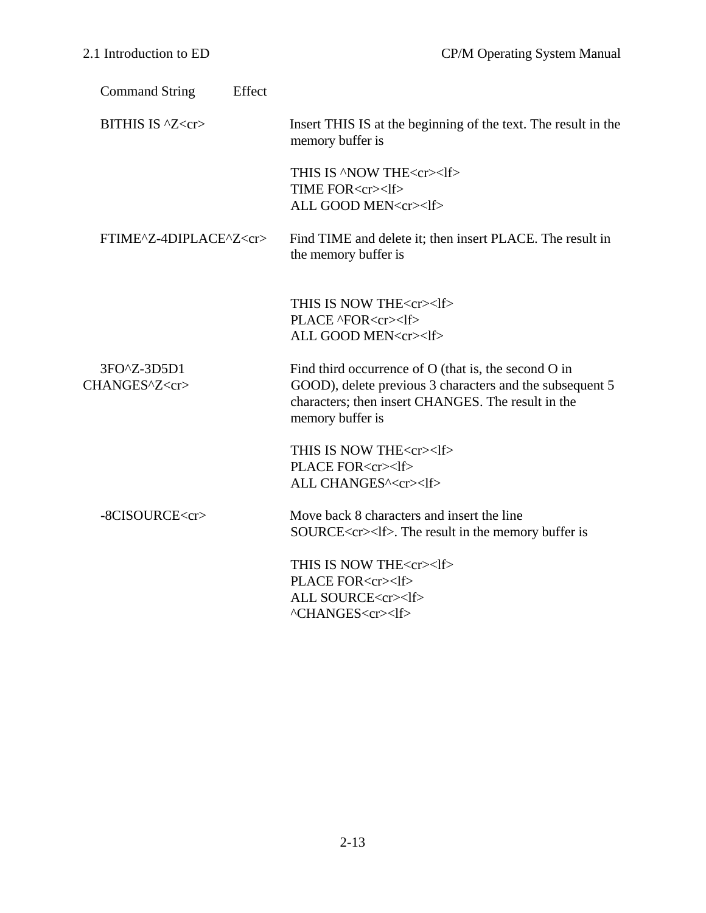| Effect<br><b>Command String</b>    |                                                                                                                                                                                            |
|------------------------------------|--------------------------------------------------------------------------------------------------------------------------------------------------------------------------------------------|
| BITHIS IS ^Z <cr></cr>             | Insert THIS IS at the beginning of the text. The result in the<br>memory buffer is                                                                                                         |
|                                    | THIS IS 'NOW THE <cr><lf><br/>TIME FOR<cr><lf><br/>ALL GOOD MEN<cr><lf></lf></cr></lf></cr></lf></cr>                                                                                      |
| FTIME^Z-4DIPLACE^Z <cr></cr>       | Find TIME and delete it; then insert PLACE. The result in<br>the memory buffer is                                                                                                          |
|                                    | THIS IS NOW THE <cr><lf><br/>PLACE ^FOR<cr><lf><br/>ALL GOOD MEN<cr><lf></lf></cr></lf></cr></lf></cr>                                                                                     |
| 3FO^Z-3D5D1<br>CHANGES^Z <cr></cr> | Find third occurrence of O (that is, the second O in<br>GOOD), delete previous 3 characters and the subsequent 5<br>characters; then insert CHANGES. The result in the<br>memory buffer is |
|                                    | THIS IS NOW THE <cr><lf><br/>PLACE FOR<cr><lf><br/>ALL CHANGES^<cr><lf></lf></cr></lf></cr></lf></cr>                                                                                      |
| -8CISOURCE <cr></cr>               | Move back 8 characters and insert the line<br>SOURCE <cr><lf>. The result in the memory buffer is</lf></cr>                                                                                |
|                                    | THIS IS NOW THE <cr><lf><br/>PLACE FOR<cr><lf><br/>ALL SOURCE<cr><lf><br/>^CHANGES<cr><lf></lf></cr></lf></cr></lf></cr></lf></cr>                                                         |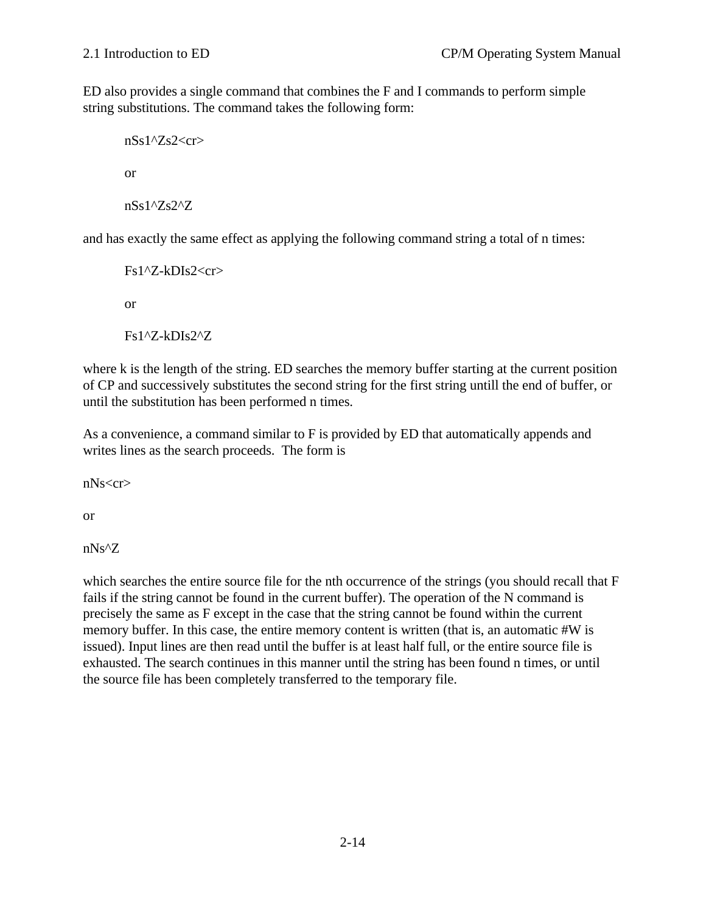ED also provides a single command that combines the F and I commands to perform simple string substitutions. The command takes the following form:

nSs1^Zs2<cr> or nSs1^Zs2^Z

and has exactly the same effect as applying the following command string a total of n times:

Fs1^Z-kDIs2<cr> or

Fs1^Z-kDIs2^Z

where k is the length of the string. ED searches the memory buffer starting at the current position of CP and successively substitutes the second string for the first string untill the end of buffer, or until the substitution has been performed n times.

As a convenience, a command similar to F is provided by ED that automatically appends and writes lines as the search proceeds. The form is

nNs<cr>

or

nNs^Z

which searches the entire source file for the nth occurrence of the strings (you should recall that F fails if the string cannot be found in the current buffer). The operation of the N command is precisely the same as F except in the case that the string cannot be found within the current memory buffer. In this case, the entire memory content is written (that is, an automatic #W is issued). Input lines are then read until the buffer is at least half full, or the entire source file is exhausted. The search continues in this manner until the string has been found n times, or until the source file has been completely transferred to the temporary file.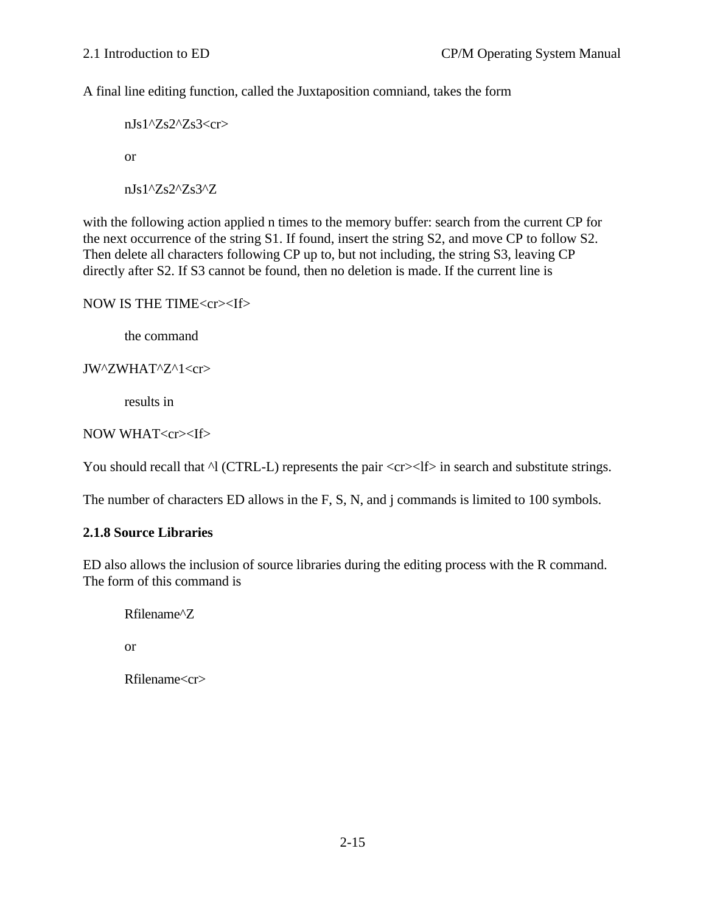A final line editing function, called the Juxtaposition comniand, takes the form

 $nJs1'Zs2'Zs3\ll cr$ or nJs1^Zs2^Zs3^Z

with the following action applied n times to the memory buffer: search from the current CP for the next occurrence of the string S1. If found, insert the string S2, and move CP to follow S2. Then delete all characters following CP up to, but not including, the string S3, leaving CP directly after S2. If S3 cannot be found, then no deletion is made. If the current line is

NOW IS THE TIME<cr><If>

the command

JW^ZWHAT^Z^1<cr>

results in

```
NOW WHAT<cr><If>
```
You should recall that  $\triangle$ l (CTRL-L) represents the pair  $\langle cr \rangle \langle l \rangle$  in search and substitute strings.

The number of characters ED allows in the F, S, N, and j commands is limited to 100 symbols.

#### **2.1.8 Source Libraries**

ED also allows the inclusion of source libraries during the editing process with the R command. The form of this command is

Rfilename^Z

or

Rfilename<cr>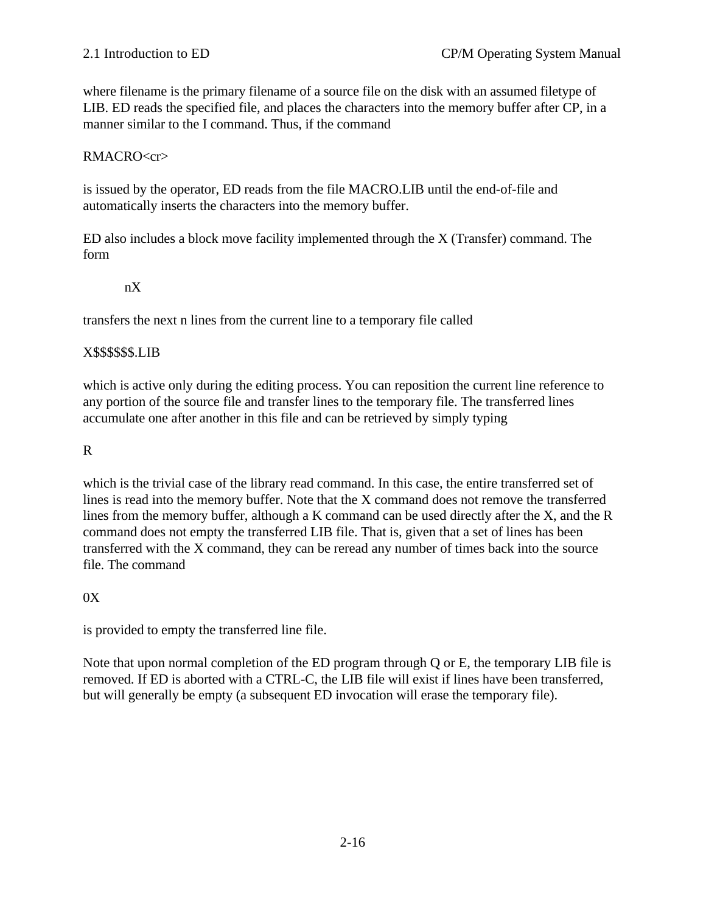where filename is the primary filename of a source file on the disk with an assumed filetype of LIB. ED reads the specified file, and places the characters into the memory buffer after CP, in a manner similar to the I command. Thus, if the command

#### RMACRO<cr>

is issued by the operator, ED reads from the file MACRO.LIB until the end-of-file and automatically inserts the characters into the memory buffer.

ED also includes a block move facility implemented through the X (Transfer) command. The form

#### nX

transfers the next n lines from the current line to a temporary file called

#### X\$\$\$\$\$\$.LIB

which is active only during the editing process. You can reposition the current line reference to any portion of the source file and transfer lines to the temporary file. The transferred lines accumulate one after another in this file and can be retrieved by simply typing

### R

which is the trivial case of the library read command. In this case, the entire transferred set of lines is read into the memory buffer. Note that the X command does not remove the transferred lines from the memory buffer, although a K command can be used directly after the X, and the R command does not empty the transferred LIB file. That is, given that a set of lines has been transferred with the X command, they can be reread any number of times back into the source file. The command

### $0X$

is provided to empty the transferred line file.

Note that upon normal completion of the ED program through Q or E, the temporary LIB file is removed. If ED is aborted with a CTRL-C, the LIB file will exist if lines have been transferred, but will generally be empty (a subsequent ED invocation will erase the temporary file).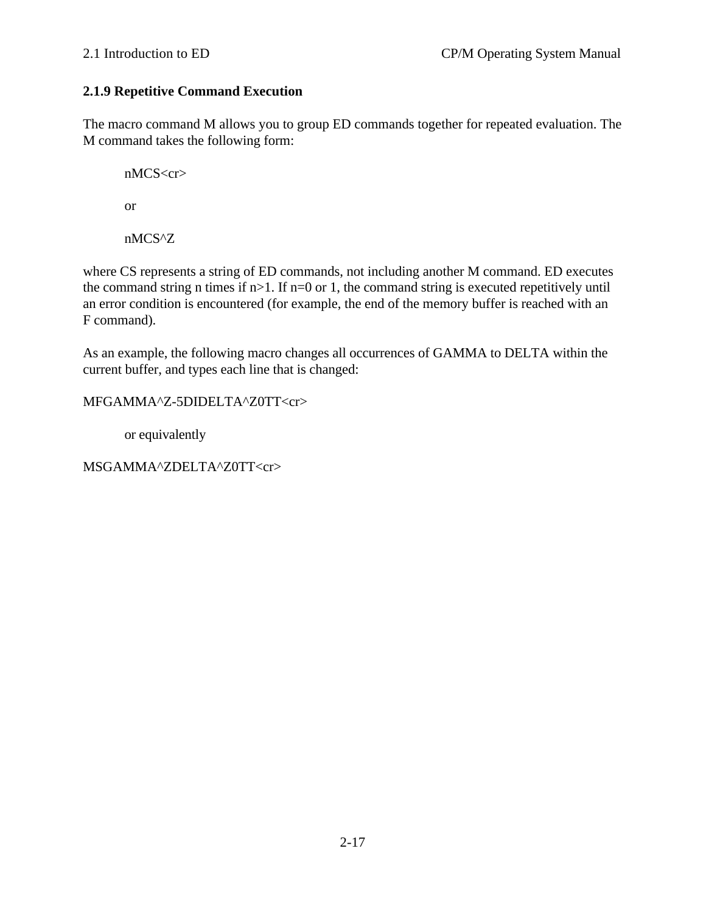# **2.1.9 Repetitive Command Execution**

The macro command M allows you to group ED commands together for repeated evaluation. The M command takes the following form:

nMCS<cr> or nMCS^Z

where CS represents a string of ED commands, not including another M command. ED executes the command string n times if  $n>1$ . If  $n=0$  or 1, the command string is executed repetitively until an error condition is encountered (for example, the end of the memory buffer is reached with an F command).

As an example, the following macro changes all occurrences of GAMMA to DELTA within the current buffer, and types each line that is changed:

# MFGAMMA^Z-5DIDELTA^Z0TT<cr>

or equivalently

MSGAMMA^ZDELTA^Z0TT<cr>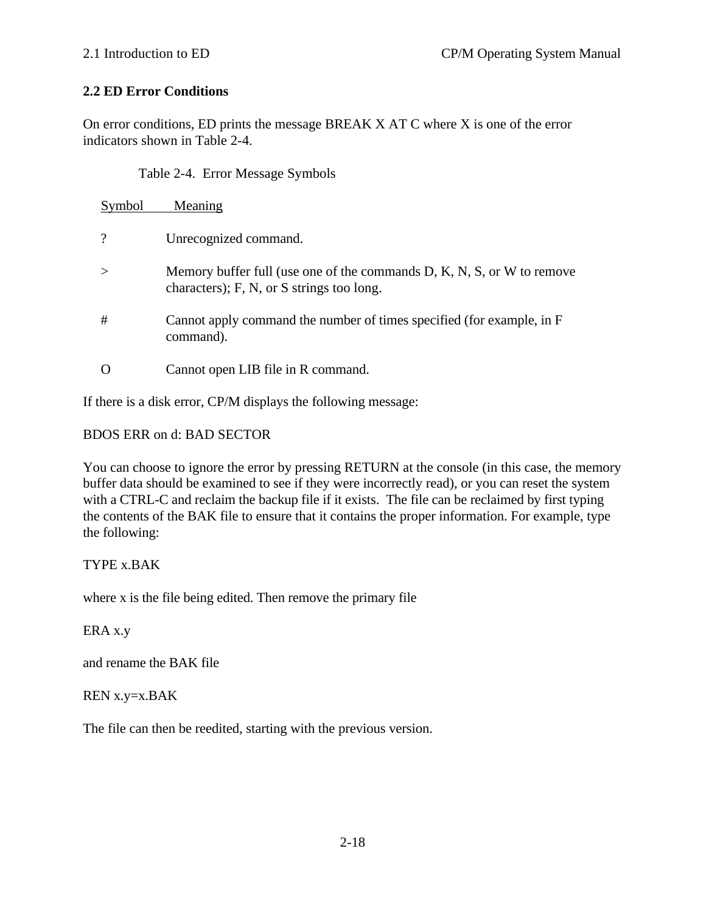# **2.2 ED Error Conditions**

On error conditions, ED prints the message BREAK X AT C where X is one of the error indicators shown in Table 2-4.

Table 2-4. Error Message Symbols

| Symbol                | Meaning                                                                                                                        |
|-----------------------|--------------------------------------------------------------------------------------------------------------------------------|
| $\boldsymbol{\gamma}$ | Unrecognized command.                                                                                                          |
|                       | Memory buffer full (use one of the commands $D, K, N, S$ , or W to remove<br>characters); $F$ , $N$ , or $S$ strings too long. |
| #                     | Cannot apply command the number of times specified (for example, in F<br>command).                                             |
|                       | Cannot open LIB file in R command.                                                                                             |

If there is a disk error, CP/M displays the following message:

# BDOS ERR on d: BAD SECTOR

You can choose to ignore the error by pressing RETURN at the console (in this case, the memory buffer data should be examined to see if they were incorrectly read), or you can reset the system with a CTRL-C and reclaim the backup file if it exists. The file can be reclaimed by first typing the contents of the BAK file to ensure that it contains the proper information. For example, type the following:

# TYPE x.BAK

where x is the file being edited. Then remove the primary file

ERA x.y

and rename the BAK file

# REN x.y=x.BAK

The file can then be reedited, starting with the previous version.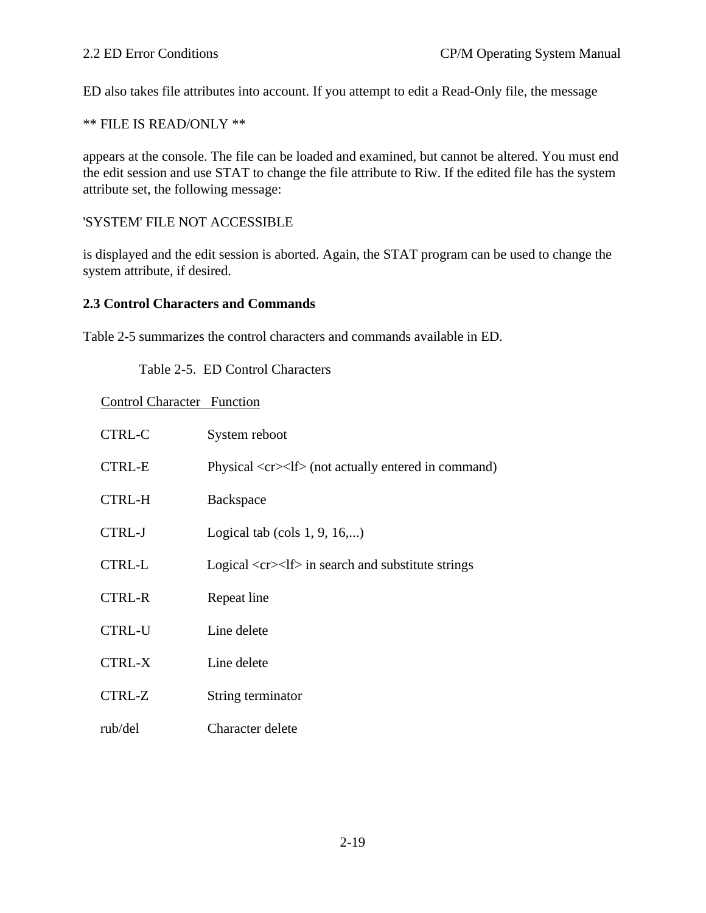ED also takes file attributes into account. If you attempt to edit a Read-Only file, the message

\*\* FILE IS READ/ONLY \*\*

appears at the console. The file can be loaded and examined, but cannot be altered. You must end the edit session and use STAT to change the file attribute to Riw. If the edited file has the system attribute set, the following message:

#### 'SYSTEM' FILE NOT ACCESSIBLE

is displayed and the edit session is aborted. Again, the STAT program can be used to change the system attribute, if desired.

#### **2.3 Control Characters and Commands**

Table 2-5 summarizes the control characters and commands available in ED.

Table 2-5. ED Control Characters

Control Character Function

| <b>CTRL-C</b> | System reboot                                                                   |
|---------------|---------------------------------------------------------------------------------|
| <b>CTRL-E</b> | Physical <cr><lf> (not actually entered in command)</lf></cr>                   |
| <b>CTRL-H</b> | Backspace                                                                       |
| <b>CTRL-J</b> | Logical tab (cols $1, 9, 16,$ )                                                 |
| <b>CTRL-L</b> | Logical $\langle cr \rangle \langle l \rangle$ in search and substitute strings |
| <b>CTRL-R</b> | Repeat line                                                                     |
| <b>CTRL-U</b> | Line delete                                                                     |
| <b>CTRL-X</b> | Line delete                                                                     |
| CTRL-Z        | String terminator                                                               |
| rub/del       | Character delete                                                                |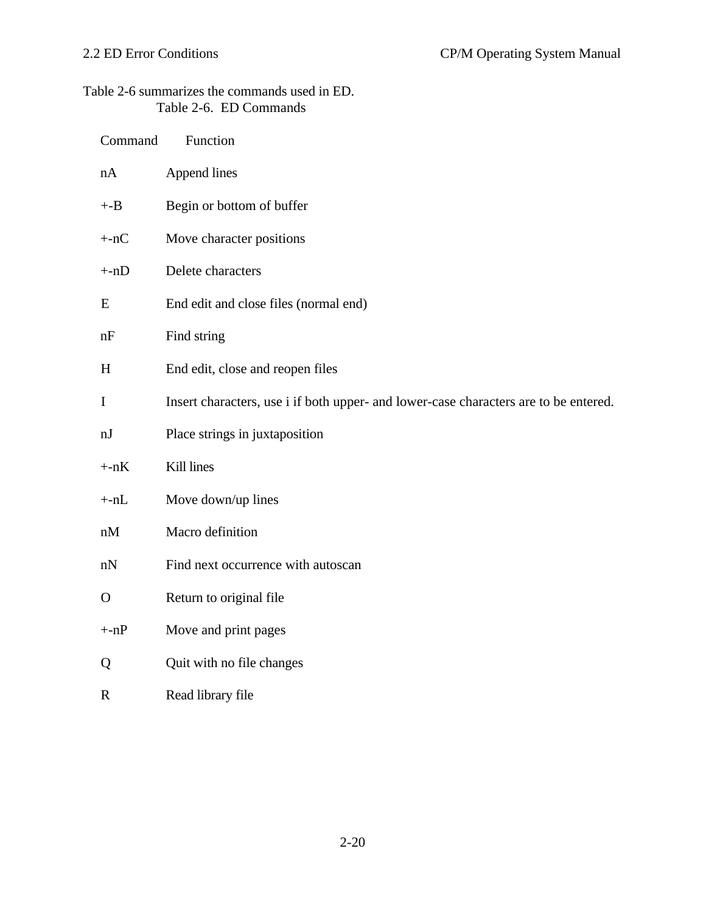# Table 2-6 summarizes the commands used in ED. Table 2-6. ED Commands

| Command      | Function                                                                             |
|--------------|--------------------------------------------------------------------------------------|
| nA           | Append lines                                                                         |
| $+ -B$       | Begin or bottom of buffer                                                            |
| $+nC$        | Move character positions                                                             |
| $+nD$        | Delete characters                                                                    |
| E            | End edit and close files (normal end)                                                |
| nF           | Find string                                                                          |
| H            | End edit, close and reopen files                                                     |
| $\mathbf I$  | Insert characters, use i if both upper- and lower-case characters are to be entered. |
| nJ           | Place strings in juxtaposition                                                       |
| $+nK$        | Kill lines                                                                           |
| $+nL$        | Move down/up lines                                                                   |
| nM           | Macro definition                                                                     |
| nN           | Find next occurrence with autoscan                                                   |
| $\mathbf{O}$ | Return to original file                                                              |
| $+nP$        | Move and print pages                                                                 |
| Q            | Quit with no file changes                                                            |
|              |                                                                                      |

R Read library file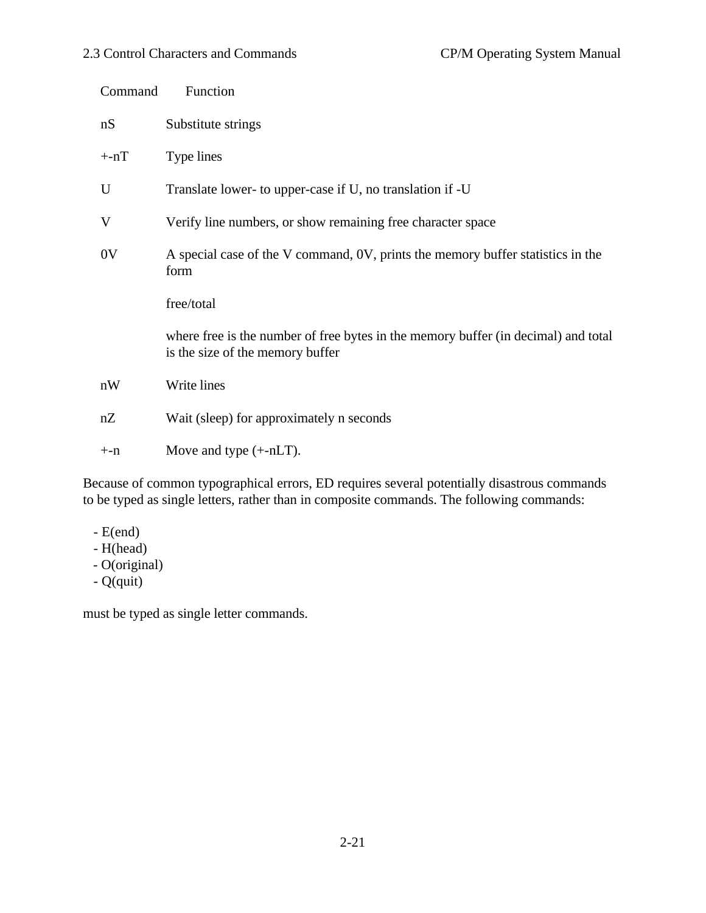|                        | Command | Function                                                                                                               |
|------------------------|---------|------------------------------------------------------------------------------------------------------------------------|
|                        | nS      | Substitute strings                                                                                                     |
|                        | $+nT$   | Type lines                                                                                                             |
|                        | U       | Translate lower- to upper-case if U, no translation if -U                                                              |
|                        | V       | Verify line numbers, or show remaining free character space                                                            |
| 0 <sub>V</sub><br>form |         | A special case of the V command, 0V, prints the memory buffer statistics in the                                        |
|                        |         | free/total                                                                                                             |
|                        |         | where free is the number of free bytes in the memory buffer (in decimal) and total<br>is the size of the memory buffer |
|                        | nW      | Write lines                                                                                                            |
|                        | nZ      | Wait (sleep) for approximately n seconds                                                                               |
|                        | $+ -n$  | Move and type $(+nLT)$ .                                                                                               |
|                        |         |                                                                                                                        |

Because of common typographical errors, ED requires several potentially disastrous commands to be typed as single letters, rather than in composite commands. The following commands:

- $-E(end)$
- H(head)
- O(original)
- Q(quit)

must be typed as single letter commands.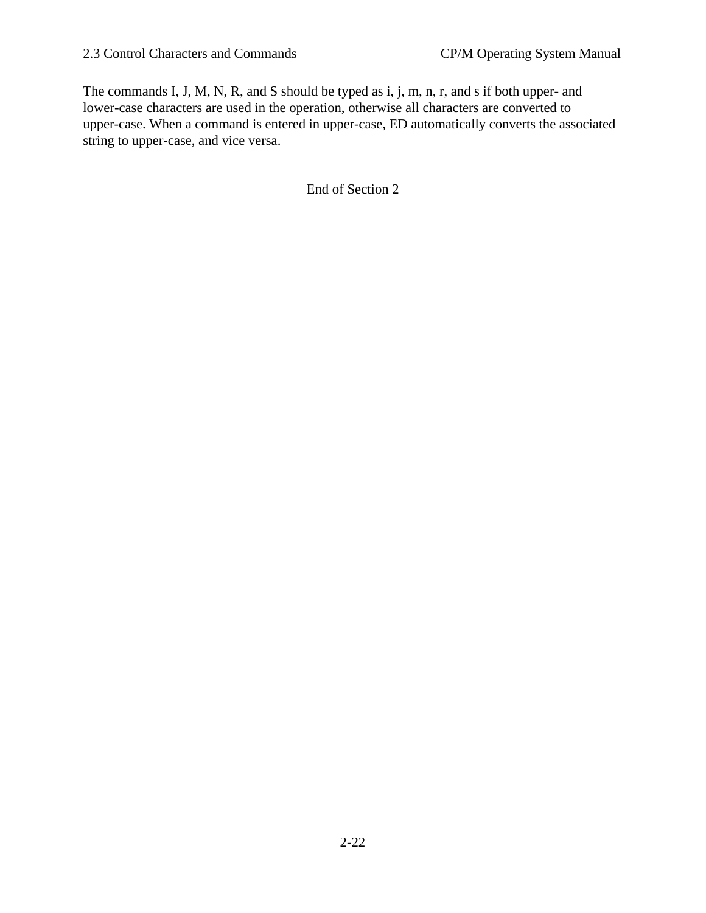The commands I, J, M, N, R, and S should be typed as i, j, m, n, r, and s if both upper- and lower-case characters are used in the operation, otherwise all characters are converted to upper-case. When a command is entered in upper-case, ED automatically converts the associated string to upper-case, and vice versa.

End of Section 2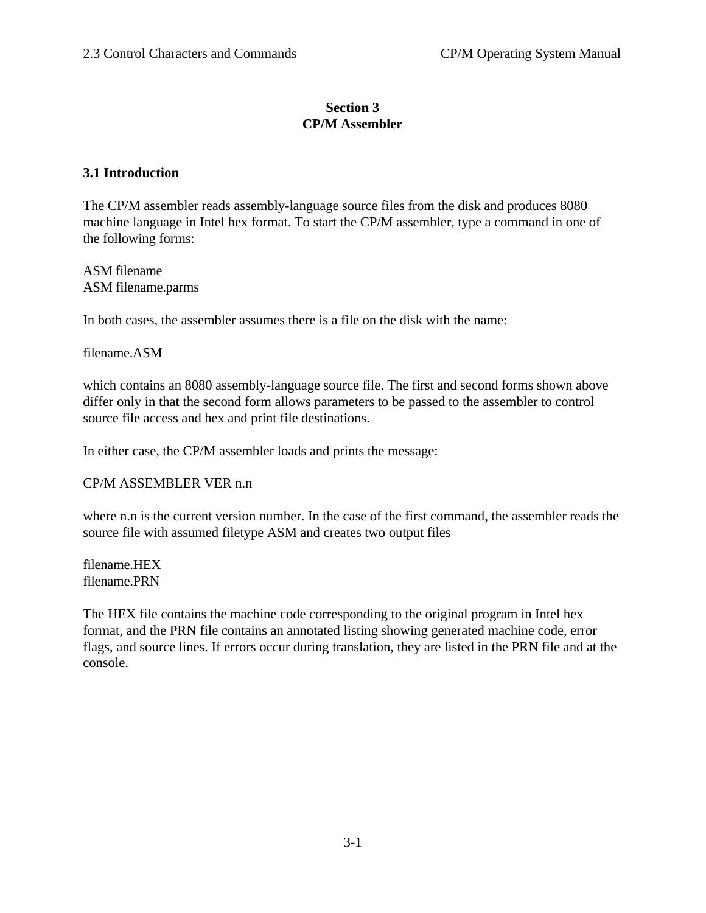## **Section 3 CP/M Assembler**

## **3.1 Introduction**

The CP/M assembler reads assembly-language source files from the disk and produces 8080 machine language in Intel hex format. To start the CP/M assembler, type a command in one of the following forms:

ASM filename ASM filename.parms

In both cases, the assembler assumes there is a file on the disk with the name:

filename.ASM

which contains an 8080 assembly-language source file. The first and second forms shown above differ only in that the second form allows parameters to be passed to the assembler to control source file access and hex and print file destinations.

In either case, the CP/M assembler loads and prints the message:

#### CP/M ASSEMBLER VER n.n

where n.n is the current version number. In the case of the first command, the assembler reads the source file with assumed filetype ASM and creates two output files

filename.HEX filename.PRN

The HEX file contains the machine code corresponding to the original program in Intel hex format, and the PRN file contains an annotated listing showing generated machine code, error flags, and source lines. If errors occur during translation, they are listed in the PRN file and at the console.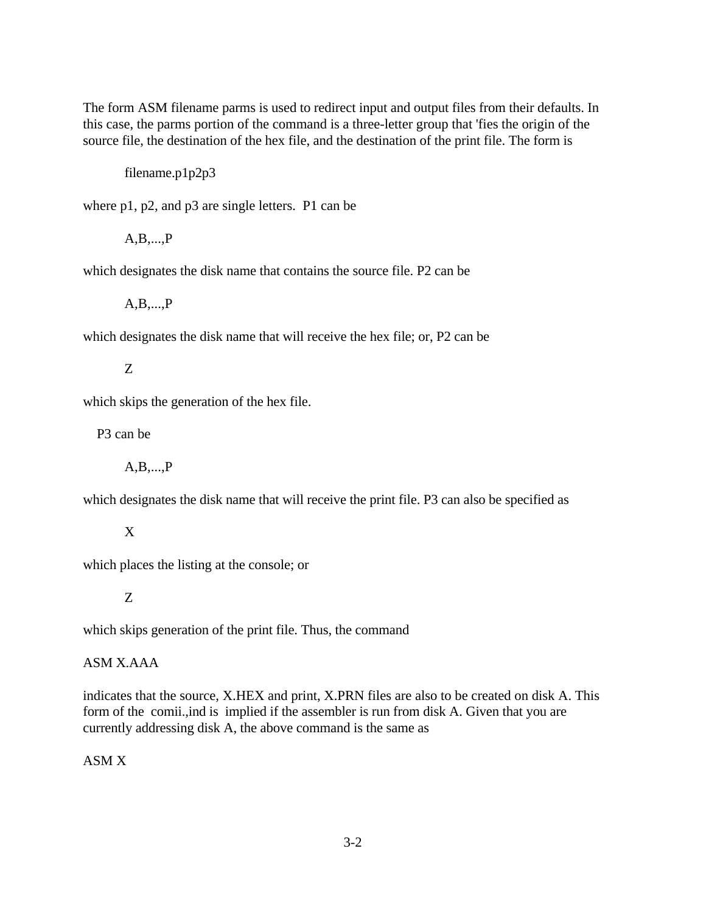The form ASM filename parms is used to redirect input and output files from their defaults. In this case, the parms portion of the command is a three-letter group that 'fies the origin of the source file, the destination of the hex file, and the destination of the print file. The form is

filename.p1p2p3

where p1, p2, and p3 are single letters. P1 can be

A,B,...,P

which designates the disk name that contains the source file. P2 can be

A,B,...,P

which designates the disk name that will receive the hex file; or, P2 can be

Z

which skips the generation of the hex file.

P3 can be

A,B,...,P

which designates the disk name that will receive the print file. P3 can also be specified as

X

which places the listing at the console; or

Z

which skips generation of the print file. Thus, the command

### ASM X.AAA

indicates that the source, X.HEX and print, X.PRN files are also to be created on disk A. This form of the comii.,ind is implied if the assembler is run from disk A. Given that you are currently addressing disk A, the above command is the same as

### ASM X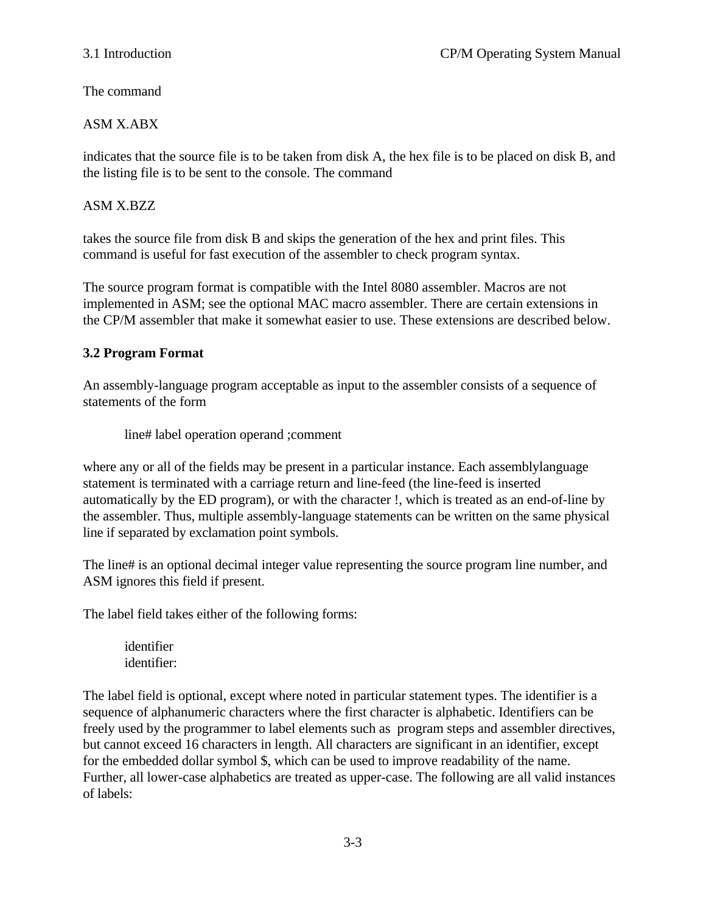The command

## ASM X.ABX

indicates that the source file is to be taken from disk A, the hex file is to be placed on disk B, and the listing file is to be sent to the console. The command

## ASM X.BZZ

takes the source file from disk B and skips the generation of the hex and print files. This command is useful for fast execution of the assembler to check program syntax.

The source program format is compatible with the Intel 8080 assembler. Macros are not implemented in ASM; see the optional MAC macro assembler. There are certain extensions in the CP/M assembler that make it somewhat easier to use. These extensions are described below.

## **3.2 Program Format**

An assembly-language program acceptable as input to the assembler consists of a sequence of statements of the form

line# label operation operand ;comment

where any or all of the fields may be present in a particular instance. Each assemblylanguage statement is terminated with a carriage return and line-feed (the line-feed is inserted automatically by the ED program), or with the character !, which is treated as an end-of-line by the assembler. Thus, multiple assembly-language statements can be written on the same physical line if separated by exclamation point symbols.

The line# is an optional decimal integer value representing the source program line number, and ASM ignores this field if present.

The label field takes either of the following forms:

identifier identifier:

The label field is optional, except where noted in particular statement types. The identifier is a sequence of alphanumeric characters where the first character is alphabetic. Identifiers can be freely used by the programmer to label elements such as program steps and assembler directives, but cannot exceed 16 characters in length. All characters are significant in an identifier, except for the embedded dollar symbol \$, which can be used to improve readability of the name. Further, all lower-case alphabetics are treated as upper-case. The following are all valid instances of labels: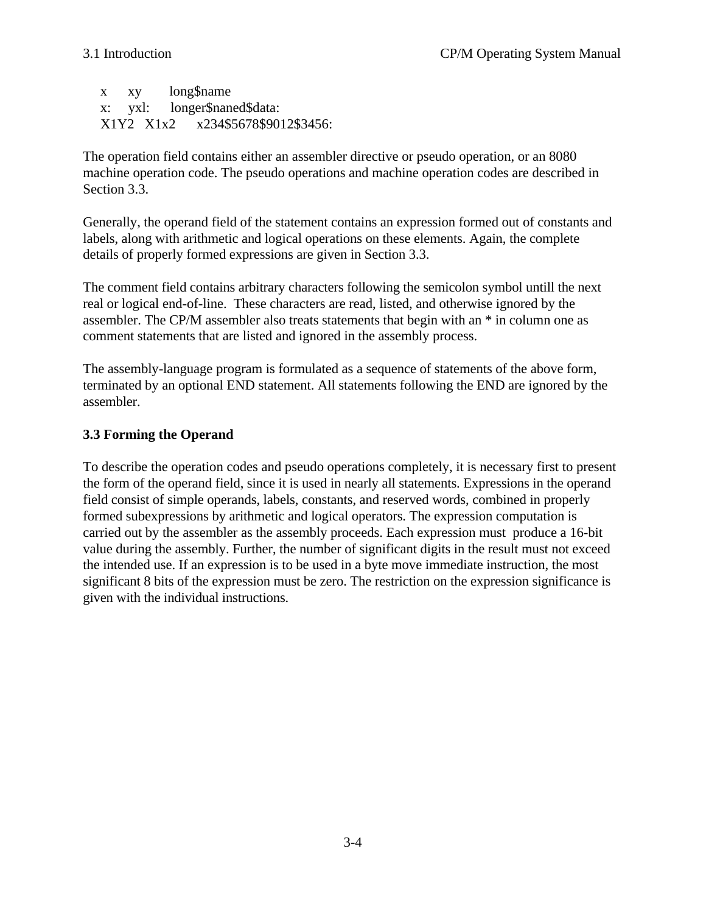x xy long\$name x: yxl: longer\$naned\$data: X1Y2 X1x2 x234\$5678\$9012\$3456:

The operation field contains either an assembler directive or pseudo operation, or an 8080 machine operation code. The pseudo operations and machine operation codes are described in Section 3.3.

Generally, the operand field of the statement contains an expression formed out of constants and labels, along with arithmetic and logical operations on these elements. Again, the complete details of properly formed expressions are given in Section 3.3.

The comment field contains arbitrary characters following the semicolon symbol untill the next real or logical end-of-line. These characters are read, listed, and otherwise ignored by the assembler. The CP/M assembler also treats statements that begin with an \* in column one as comment statements that are listed and ignored in the assembly process.

The assembly-language program is formulated as a sequence of statements of the above form, terminated by an optional END statement. All statements following the END are ignored by the assembler.

# **3.3 Forming the Operand**

To describe the operation codes and pseudo operations completely, it is necessary first to present the form of the operand field, since it is used in nearly all statements. Expressions in the operand field consist of simple operands, labels, constants, and reserved words, combined in properly formed subexpressions by arithmetic and logical operators. The expression computation is carried out by the assembler as the assembly proceeds. Each expression must produce a 16-bit value during the assembly. Further, the number of significant digits in the result must not exceed the intended use. If an expression is to be used in a byte move immediate instruction, the most significant 8 bits of the expression must be zero. The restriction on the expression significance is given with the individual instructions.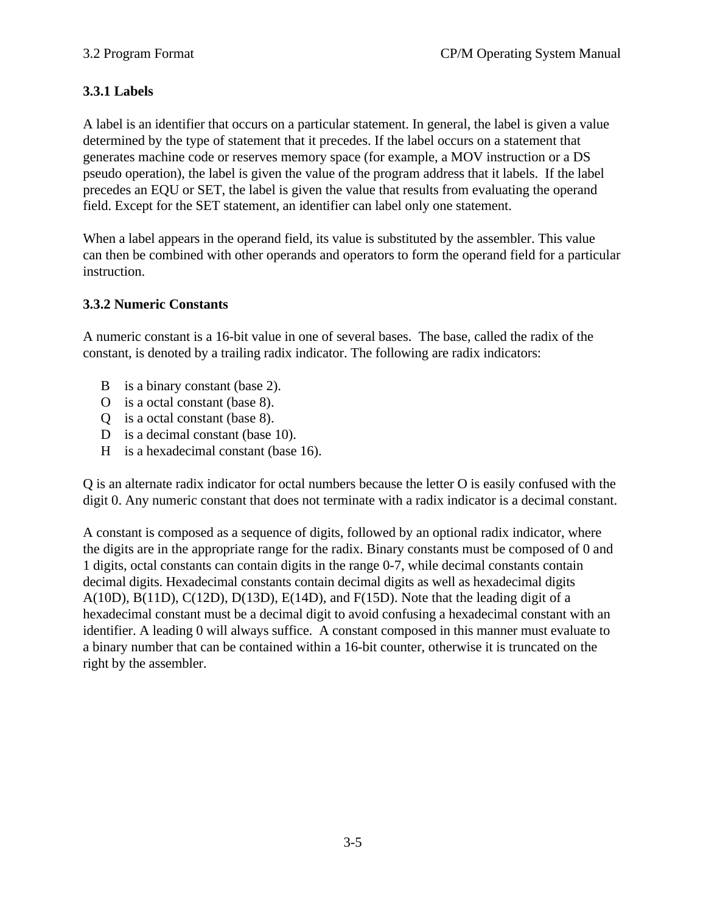# **3.3.1 Labels**

A label is an identifier that occurs on a particular statement. In general, the label is given a value determined by the type of statement that it precedes. If the label occurs on a statement that generates machine code or reserves memory space (for example, a MOV instruction or a DS pseudo operation), the label is given the value of the program address that it labels. If the label precedes an EQU or SET, the label is given the value that results from evaluating the operand field. Except for the SET statement, an identifier can label only one statement.

When a label appears in the operand field, its value is substituted by the assembler. This value can then be combined with other operands and operators to form the operand field for a particular instruction.

#### **3.3.2 Numeric Constants**

A numeric constant is a 16-bit value in one of several bases. The base, called the radix of the constant, is denoted by a trailing radix indicator. The following are radix indicators:

- B is a binary constant (base 2).
- O is a octal constant (base 8).
- Q is a octal constant (base 8).
- D is a decimal constant (base 10).
- H is a hexadecimal constant (base 16).

Q is an alternate radix indicator for octal numbers because the letter O is easily confused with the digit 0. Any numeric constant that does not terminate with a radix indicator is a decimal constant.

A constant is composed as a sequence of digits, followed by an optional radix indicator, where the digits are in the appropriate range for the radix. Binary constants must be composed of 0 and 1 digits, octal constants can contain digits in the range 0-7, while decimal constants contain decimal digits. Hexadecimal constants contain decimal digits as well as hexadecimal digits A(10D), B(11D), C(12D), D(13D), E(14D), and F(15D). Note that the leading digit of a hexadecimal constant must be a decimal digit to avoid confusing a hexadecimal constant with an identifier. A leading 0 will always suffice. A constant composed in this manner must evaluate to a binary number that can be contained within a 16-bit counter, otherwise it is truncated on the right by the assembler.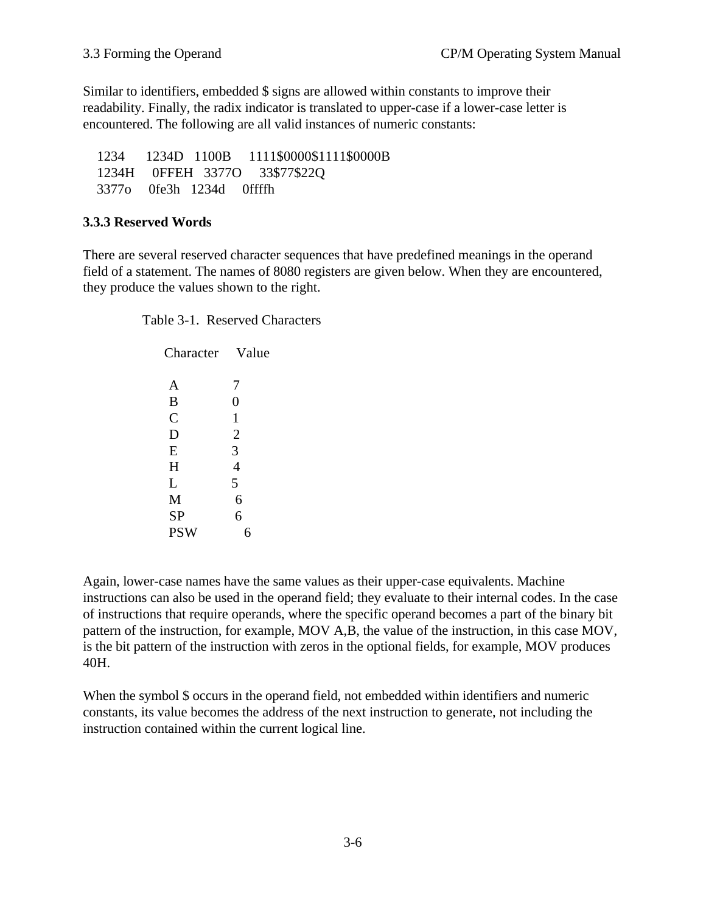Similar to identifiers, embedded \$ signs are allowed within constants to improve their readability. Finally, the radix indicator is translated to upper-case if a lower-case letter is encountered. The following are all valid instances of numeric constants:

 1234 1234D 1100B 1111\$0000\$1111\$0000B 1234H 0FFEH 3377O 33\$77\$22Q 3377o 0fe3h 1234d 0ffffh

## **3.3.3 Reserved Words**

There are several reserved character sequences that have predefined meanings in the operand field of a statement. The names of 8080 registers are given below. When they are encountered, they produce the values shown to the right.

Table 3-1. Reserved Characters

| Character    | Value          |
|--------------|----------------|
| A            | 7              |
| B            | 0              |
| $\mathsf{C}$ | 1              |
| D            | $\overline{2}$ |
| E            | 3              |
| H            | 4              |
| L            | 5              |
| M            | 6              |
| <b>SP</b>    | 6              |
| <b>PSW</b>   |                |
|              |                |

Again, lower-case names have the same values as their upper-case equivalents. Machine instructions can also be used in the operand field; they evaluate to their internal codes. In the case of instructions that require operands, where the specific operand becomes a part of the binary bit pattern of the instruction, for example, MOV A,B, the value of the instruction, in this case MOV, is the bit pattern of the instruction with zeros in the optional fields, for example, MOV produces 40H.

When the symbol \$ occurs in the operand field, not embedded within identifiers and numeric constants, its value becomes the address of the next instruction to generate, not including the instruction contained within the current logical line.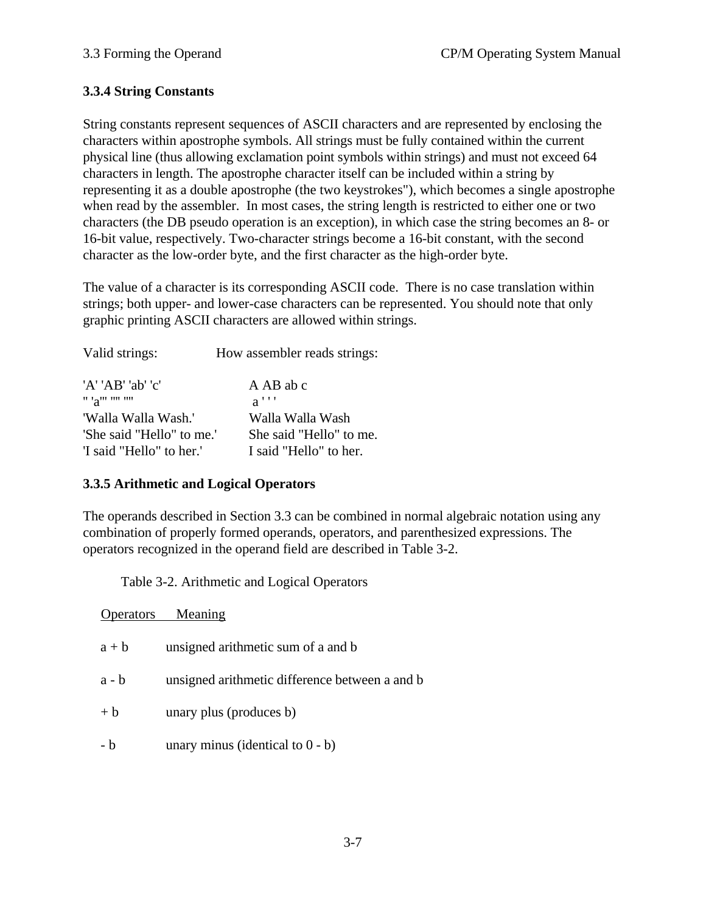## **3.3.4 String Constants**

String constants represent sequences of ASCII characters and are represented by enclosing the characters within apostrophe symbols. All strings must be fully contained within the current physical line (thus allowing exclamation point symbols within strings) and must not exceed 64 characters in length. The apostrophe character itself can be included within a string by representing it as a double apostrophe (the two keystrokes"), which becomes a single apostrophe when read by the assembler. In most cases, the string length is restricted to either one or two characters (the DB pseudo operation is an exception), in which case the string becomes an 8- or 16-bit value, respectively. Two-character strings become a 16-bit constant, with the second character as the low-order byte, and the first character as the high-order byte.

The value of a character is its corresponding ASCII code. There is no case translation within strings; both upper- and lower-case characters can be represented. You should note that only graphic printing ASCII characters are allowed within strings.

| Valid strings:            | How assembler reads strings: |
|---------------------------|------------------------------|
| 'A' 'AB' 'ab' 'c'         | A AB ab c                    |
| " 'a" " " " "             | $a$ '''                      |
| 'Walla Walla Wash.'       | Walla Walla Wash             |
| 'She said "Hello" to me.' | She said "Hello" to me.      |
| 'I said "Hello" to her.'  | I said "Hello" to her.       |

### **3.3.5 Arithmetic and Logical Operators**

The operands described in Section 3.3 can be combined in normal algebraic notation using any combination of properly formed operands, operators, and parenthesized expressions. The operators recognized in the operand field are described in Table 3-2.

Table 3-2. Arithmetic and Logical Operators

|         | Operators Meaning                              |
|---------|------------------------------------------------|
| $a + b$ | unsigned arithmetic sum of a and b             |
| $a - b$ | unsigned arithmetic difference between a and b |
| $+ b$   | unary plus (produces b)                        |
| - b     | unary minus (identical to $0 - b$ )            |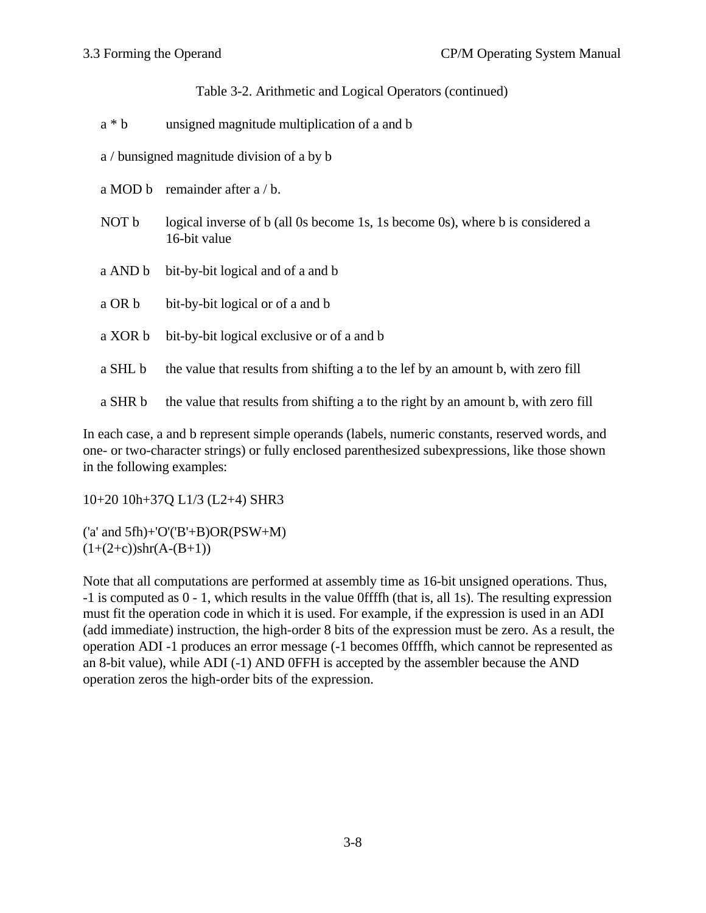Table 3-2. Arithmetic and Logical Operators (continued)

- a \* b unsigned magnitude multiplication of a and b
- a / bunsigned magnitude division of a by b
- a MOD b remainder after a / b.
- NOT b logical inverse of b (all 0s become 1s, 1s become 0s), where b is considered a 16-bit value
- a AND b bit-by-bit logical and of a and b
- a OR b bit-by-bit logical or of a and b
- a XOR b bit-by-bit logical exclusive or of a and b
- a SHL b the value that results from shifting a to the lef by an amount b, with zero fill
- a SHR b the value that results from shifting a to the right by an amount b, with zero fill

In each case, a and b represent simple operands (labels, numeric constants, reserved words, and one- or two-character strings) or fully enclosed parenthesized subexpressions, like those shown in the following examples:

10+20 10h+37Q L1/3 (L2+4) SHR3

('a' and 5fh)+'O'('B'+B)OR(PSW+M)  $(1+(2+c))$ shr $(A-(B+1))$ 

Note that all computations are performed at assembly time as 16-bit unsigned operations. Thus, -1 is computed as 0 - 1, which results in the value 0ffffh (that is, all 1s). The resulting expression must fit the operation code in which it is used. For example, if the expression is used in an ADI (add immediate) instruction, the high-order 8 bits of the expression must be zero. As a result, the operation ADI -1 produces an error message (-1 becomes 0ffffh, which cannot be represented as an 8-bit value), while ADI (-1) AND 0FFH is accepted by the assembler because the AND operation zeros the high-order bits of the expression.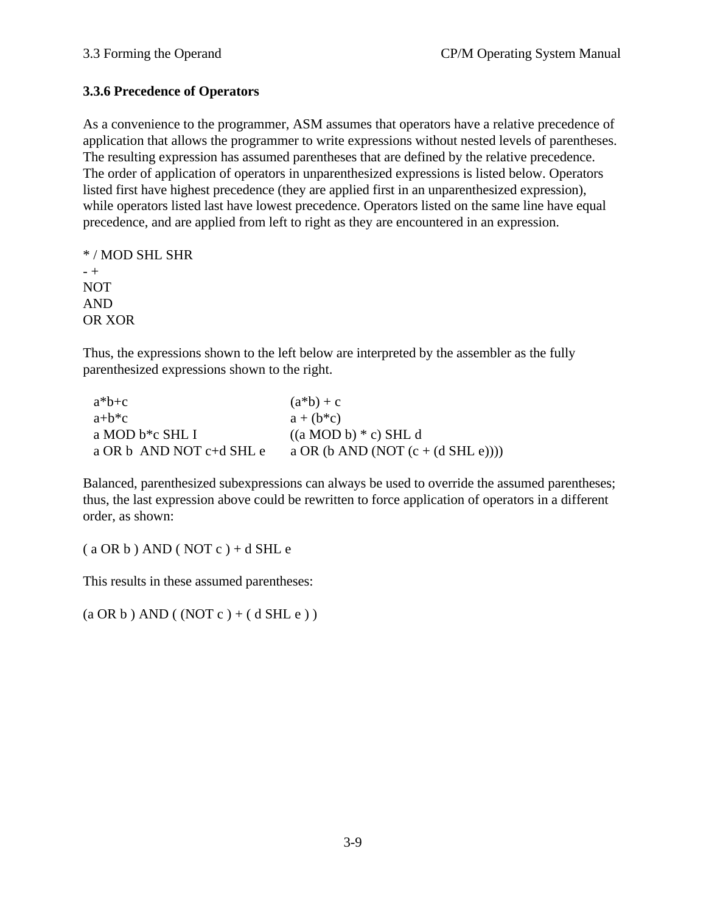## **3.3.6 Precedence of Operators**

As a convenience to the programmer, ASM assumes that operators have a relative precedence of application that allows the programmer to write expressions without nested levels of parentheses. The resulting expression has assumed parentheses that are defined by the relative precedence. The order of application of operators in unparenthesized expressions is listed below. Operators listed first have highest precedence (they are applied first in an unparenthesized expression), while operators listed last have lowest precedence. Operators listed on the same line have equal precedence, and are applied from left to right as they are encountered in an expression.

```
* / MOD SHL SHR
- +
NOT
AND
OR XOR
```
Thus, the expressions shown to the left below are interpreted by the assembler as the fully parenthesized expressions shown to the right.

| $a^*b+c$                             | $(a * b) + c$                              |
|--------------------------------------|--------------------------------------------|
| $a+b*c$                              | $a + (b \cdot c)$                          |
| a MOD b*c SHL I                      | $((a \text{ MOD } b) * c) \text{ SHL } d)$ |
| a OR $\frac{1}{2}$ AND NOT c+d SHL e | a OR (b AND (NOT $(c + (d SHL e)))$ )      |

Balanced, parenthesized subexpressions can always be used to override the assumed parentheses; thus, the last expression above could be rewritten to force application of operators in a different order, as shown:

 $(a OR b) AND ( NOT c) + d SHL e$ 

This results in these assumed parentheses:

 $(a \text{ OR } b) \text{ AND } ((\text{NOT } c) + (\text{d} \text{ SHL } e))$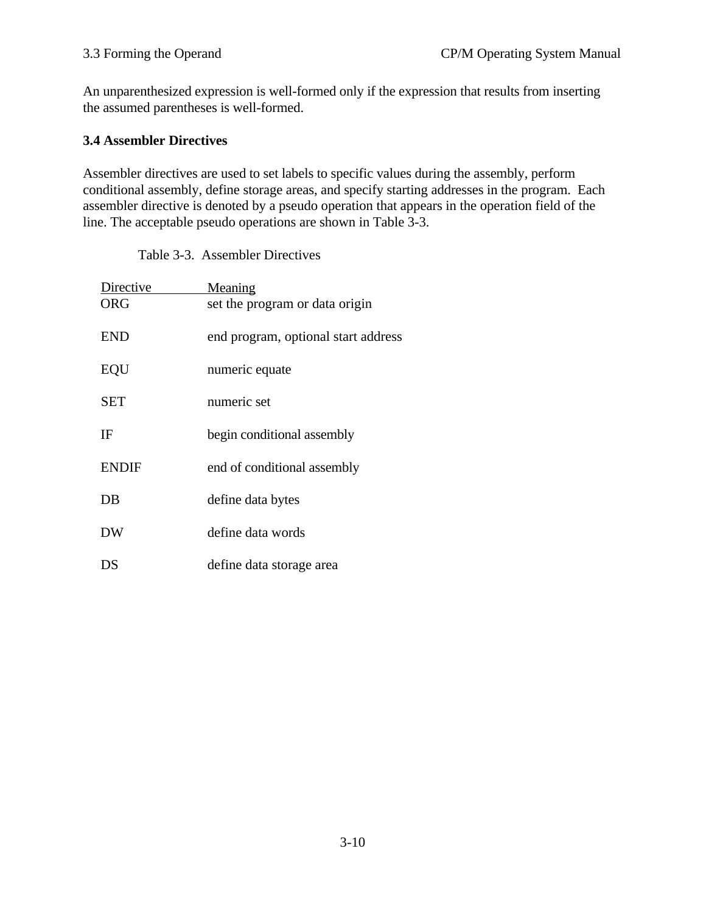An unparenthesized expression is well-formed only if the expression that results from inserting the assumed parentheses is well-formed.

## **3.4 Assembler Directives**

Assembler directives are used to set labels to specific values during the assembly, perform conditional assembly, define storage areas, and specify starting addresses in the program. Each assembler directive is denoted by a pseudo operation that appears in the operation field of the line. The acceptable pseudo operations are shown in Table 3-3.

| Directive    | Meaning                             |
|--------------|-------------------------------------|
| ORG          | set the program or data origin      |
| <b>END</b>   | end program, optional start address |
| EQU          | numeric equate                      |
| <b>SET</b>   | numeric set                         |
| IF           | begin conditional assembly          |
| <b>ENDIF</b> | end of conditional assembly         |
| DB           | define data bytes                   |
| DW           | define data words                   |
| ÐS           | define data storage area            |

Table 3-3. Assembler Directives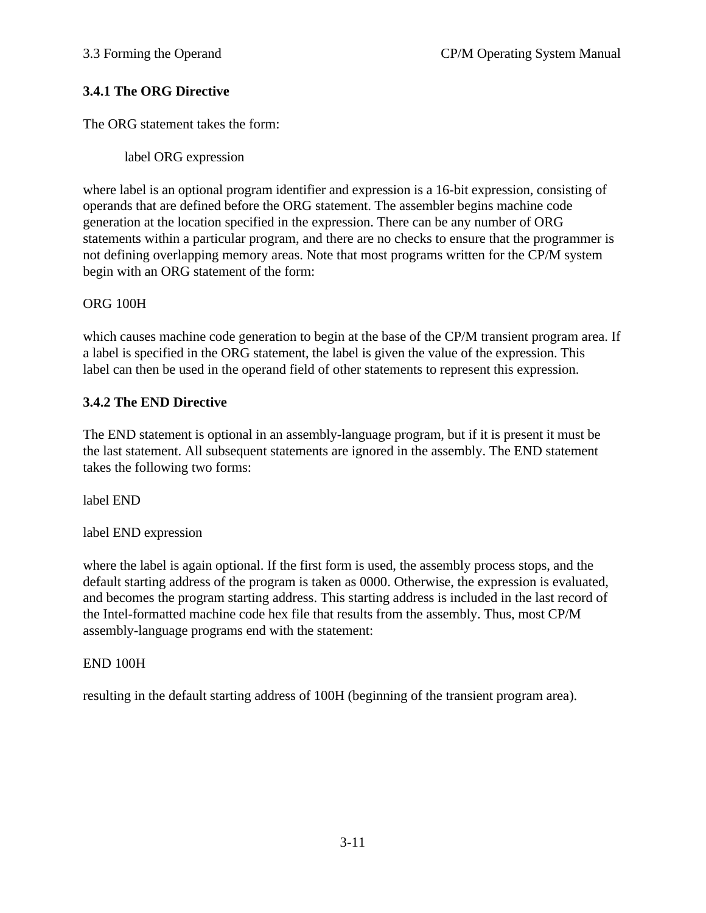## **3.4.1 The ORG Directive**

The ORG statement takes the form:

label ORG expression

where label is an optional program identifier and expression is a 16-bit expression, consisting of operands that are defined before the ORG statement. The assembler begins machine code generation at the location specified in the expression. There can be any number of ORG statements within a particular program, and there are no checks to ensure that the programmer is not defining overlapping memory areas. Note that most programs written for the CP/M system begin with an ORG statement of the form:

## ORG 100H

which causes machine code generation to begin at the base of the CP/M transient program area. If a label is specified in the ORG statement, the label is given the value of the expression. This label can then be used in the operand field of other statements to represent this expression.

# **3.4.2 The END Directive**

The END statement is optional in an assembly-language program, but if it is present it must be the last statement. All subsequent statements are ignored in the assembly. The END statement takes the following two forms:

label END

label END expression

where the label is again optional. If the first form is used, the assembly process stops, and the default starting address of the program is taken as 0000. Otherwise, the expression is evaluated, and becomes the program starting address. This starting address is included in the last record of the Intel-formatted machine code hex file that results from the assembly. Thus, most CP/M assembly-language programs end with the statement:

END 100H

resulting in the default starting address of 100H (beginning of the transient program area).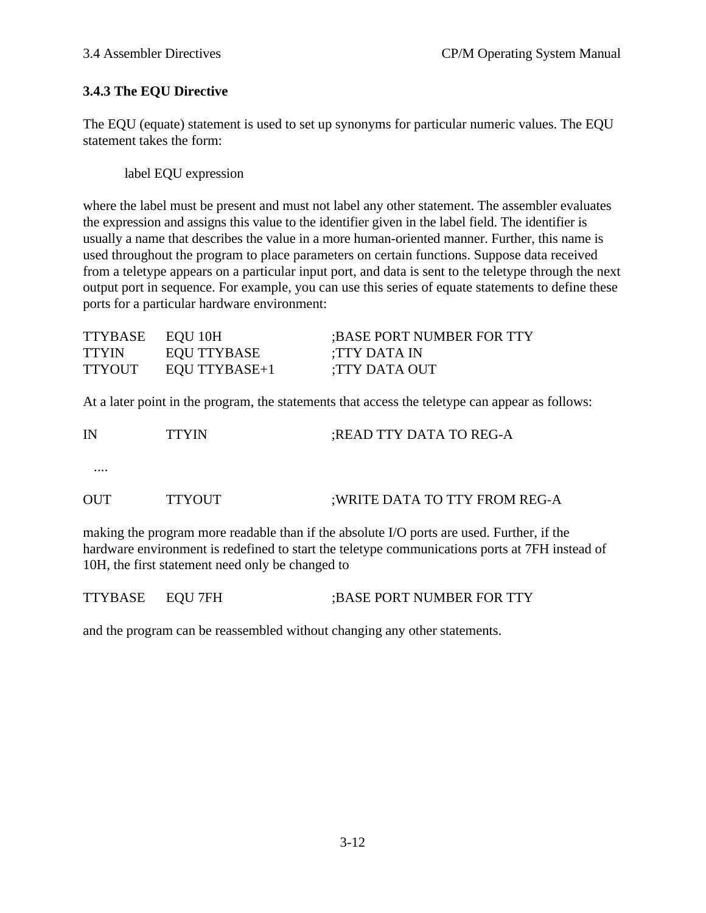# **3.4.3 The EQU Directive**

The EQU (equate) statement is used to set up synonyms for particular numeric values. The EQU statement takes the form:

label EQU expression

where the label must be present and must not label any other statement. The assembler evaluates the expression and assigns this value to the identifier given in the label field. The identifier is usually a name that describes the value in a more human-oriented manner. Further, this name is used throughout the program to place parameters on certain functions. Suppose data received from a teletype appears on a particular input port, and data is sent to the teletype through the next output port in sequence. For example, you can use this series of equate statements to define these ports for a particular hardware environment:

| TTYBASE EQU 10H |               | :BASE PORT NUMBER FOR TTY |
|-----------------|---------------|---------------------------|
| <b>TTYIN</b>    | EQU TTYBASE   | :TTY DATA IN              |
| <b>TTYOUT</b>   | EQU TTYBASE+1 | TTY DATA OUT:             |

At a later point in the program, the statements that access the teletype can appear as follows:

| IN         | <b>TTYIN</b>  | ; READ TTY DATA TO REG-A       |
|------------|---------------|--------------------------------|
|            |               |                                |
| <b>OUT</b> | <b>TTYOUT</b> | ; WRITE DATA TO TTY FROM REG-A |

making the program more readable than if the absolute I/O ports are used. Further, if the hardware environment is redefined to start the teletype communications ports at 7FH instead of 10H, the first statement need only be changed to

| TTYBASE EQU7FH | :BASE PORT NUMBER FOR TTY |
|----------------|---------------------------|
|                |                           |

and the program can be reassembled without changing any other statements.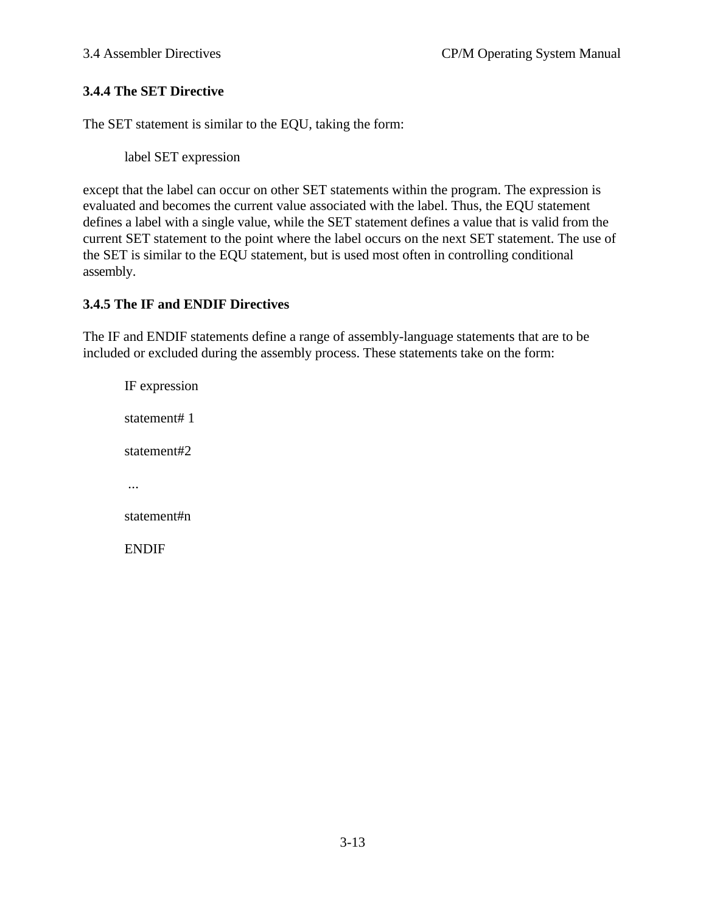## **3.4.4 The SET Directive**

The SET statement is similar to the EQU, taking the form:

label SET expression

except that the label can occur on other SET statements within the program. The expression is evaluated and becomes the current value associated with the label. Thus, the EQU statement defines a label with a single value, while the SET statement defines a value that is valid from the current SET statement to the point where the label occurs on the next SET statement. The use of the SET is similar to the EQU statement, but is used most often in controlling conditional assembly.

### **3.4.5 The IF and ENDIF Directives**

The IF and ENDIF statements define a range of assembly-language statements that are to be included or excluded during the assembly process. These statements take on the form:

IF expression statement# 1 statement#2 ... statement#n ENDIF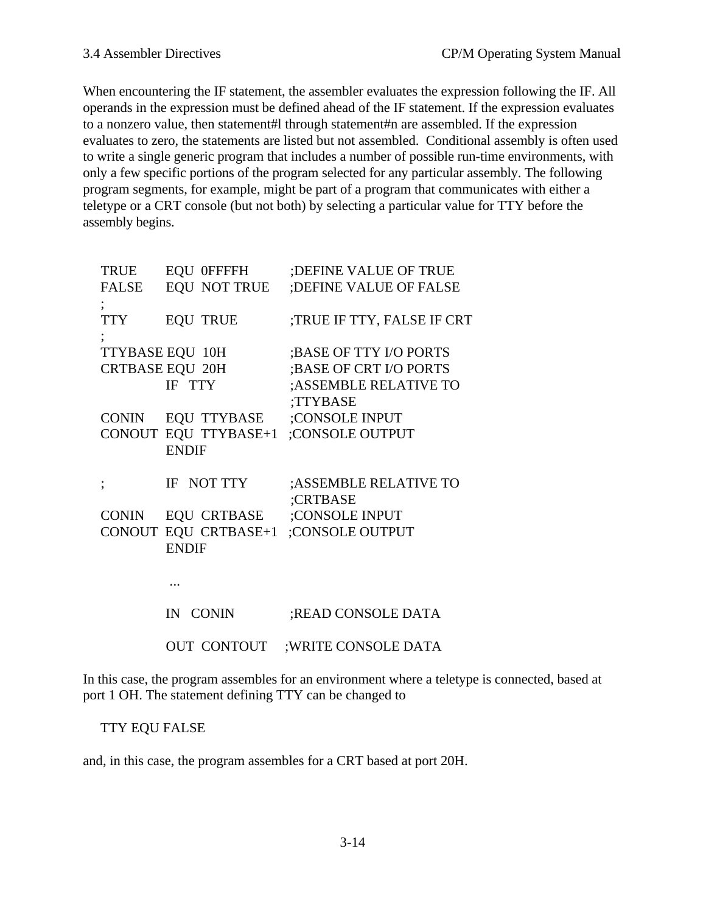When encountering the IF statement, the assembler evaluates the expression following the IF. All operands in the expression must be defined ahead of the IF statement. If the expression evaluates to a nonzero value, then statement#l through statement#n are assembled. If the expression evaluates to zero, the statements are listed but not assembled. Conditional assembly is often used to write a single generic program that includes a number of possible run-time environments, with only a few specific portions of the program selected for any particular assembly. The following program segments, for example, might be part of a program that communicates with either a teletype or a CRT console (but not both) by selecting a particular value for TTY before the assembly begins.

| TRUE         | EQU 0FFFFH                       | ; DEFINE VALUE OF TRUE               |
|--------------|----------------------------------|--------------------------------------|
| <b>FALSE</b> | EQU NOT TRUE                     | ;DEFINE VALUE OF FALSE               |
| <b>TTY</b>   | <b>EQU TRUE</b>                  | ;TRUE IF TTY, FALSE IF CRT           |
|              | TTYBASE EQU 10H                  | ;BASE OF TTY I/O PORTS               |
|              | <b>CRTBASE EQU 20H</b>           | ;BASE OF CRT I/O PORTS               |
|              | IF TTY                           | ;ASSEMBLE RELATIVE TO                |
|              |                                  | ;TTYBASE                             |
| <b>CONIN</b> | EQU TTYBASE                      | ;CONSOLE INPUT                       |
|              |                                  | CONOUT EQU TTYBASE+1 ;CONSOLE OUTPUT |
|              | <b>ENDIF</b>                     |                                      |
|              |                                  |                                      |
|              | IF NOT TTY                       | ;ASSEMBLE RELATIVE TO                |
|              | CONIN EQU CRTBASE ;CONSOLE INPUT | ;CRTBASE                             |
|              |                                  | CONOUT EQU CRTBASE+1 ;CONSOLE OUTPUT |
|              | <b>ENDIF</b>                     |                                      |
|              |                                  |                                      |
|              |                                  |                                      |
|              |                                  |                                      |
|              | IN CONIN                         | ;READ CONSOLE DATA                   |
|              | CONTOUT<br>OUT                   | :WRITE CONSOLE DATA                  |
|              |                                  |                                      |

In this case, the program assembles for an environment where a teletype is connected, based at port 1 OH. The statement defining TTY can be changed to

#### TTY EQU FALSE

and, in this case, the program assembles for a CRT based at port 20H.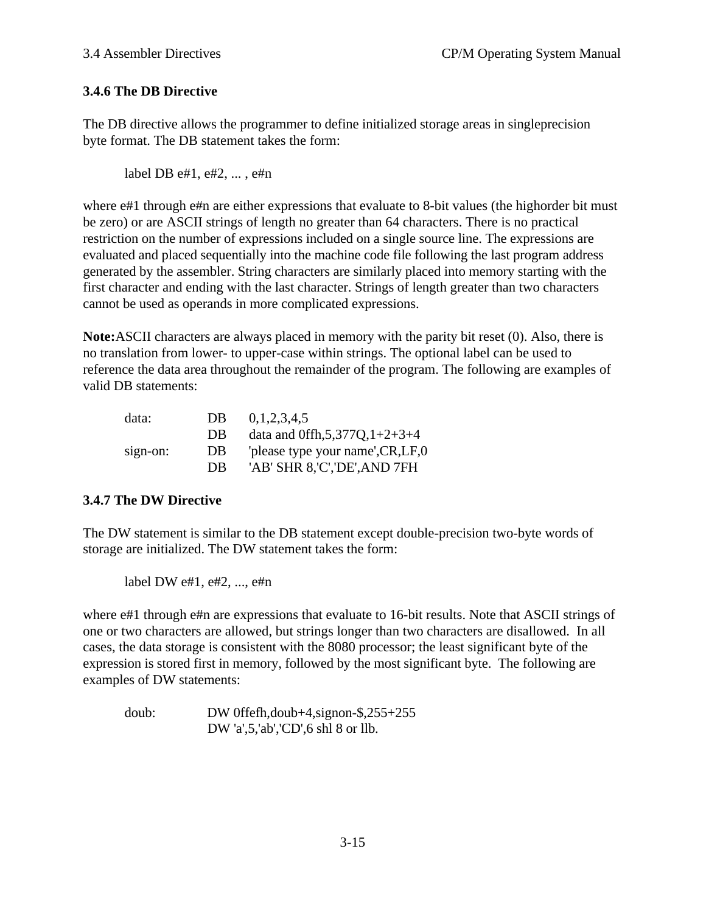# **3.4.6 The DB Directive**

The DB directive allows the programmer to define initialized storage areas in singleprecision byte format. The DB statement takes the form:

label DB e#1, e#2, ... , e#n

where  $e\#1$  through  $e\#n$  are either expressions that evaluate to 8-bit values (the highorder bit must be zero) or are ASCII strings of length no greater than 64 characters. There is no practical restriction on the number of expressions included on a single source line. The expressions are evaluated and placed sequentially into the machine code file following the last program address generated by the assembler. String characters are similarly placed into memory starting with the first character and ending with the last character. Strings of length greater than two characters cannot be used as operands in more complicated expressions.

**Note:**ASCII characters are always placed in memory with the parity bit reset (0). Also, there is no translation from lower- to upper-case within strings. The optional label can be used to reference the data area throughout the remainder of the program. The following are examples of valid DB statements:

| data:    | DB | 0,1,2,3,4,5                         |
|----------|----|-------------------------------------|
|          | DB | data and 0ffh, $5,377Q$ , $1+2+3+4$ |
| sign-on: | DB | 'please type your name', CR, LF, 0  |
|          | DB | 'AB' SHR 8,'C','DE',AND 7FH         |

### **3.4.7 The DW Directive**

The DW statement is similar to the DB statement except double-precision two-byte words of storage are initialized. The DW statement takes the form:

label DW e#1, e#2, ..., e#n

where  $e#1$  through  $e#n$  are expressions that evaluate to 16-bit results. Note that ASCII strings of one or two characters are allowed, but strings longer than two characters are disallowed. In all cases, the data storage is consistent with the 8080 processor; the least significant byte of the expression is stored first in memory, followed by the most significant byte. The following are examples of DW statements:

doub: DW 0ffefh,doub+4,signon-\$,255+255 DW 'a',5,'ab','CD',6 shl 8 or llb.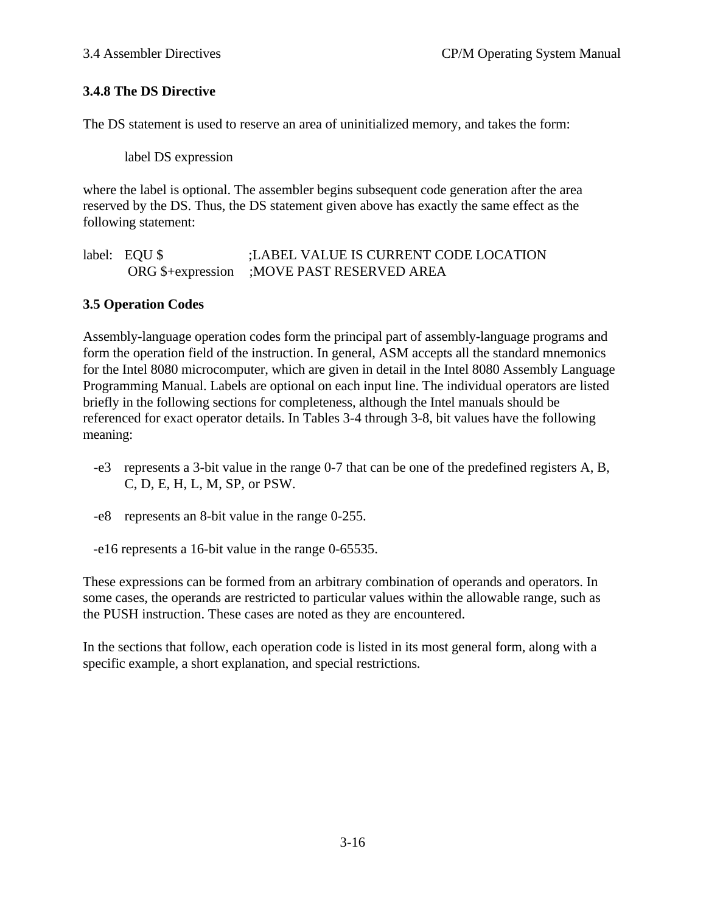## **3.4.8 The DS Directive**

The DS statement is used to reserve an area of uninitialized memory, and takes the form:

label DS expression

where the label is optional. The assembler begins subsequent code generation after the area reserved by the DS. Thus, the DS statement given above has exactly the same effect as the following statement:

label: EQU \$ ;LABEL VALUE IS CURRENT CODE LOCATION ORG \$+expression ;MOVE PAST RESERVED AREA

### **3.5 Operation Codes**

Assembly-language operation codes form the principal part of assembly-language programs and form the operation field of the instruction. In general, ASM accepts all the standard mnemonics for the Intel 8080 microcomputer, which are given in detail in the Intel 8080 Assembly Language Programming Manual. Labels are optional on each input line. The individual operators are listed briefly in the following sections for completeness, although the Intel manuals should be referenced for exact operator details. In Tables 3-4 through 3-8, bit values have the following meaning:

- -e3 represents a 3-bit value in the range 0-7 that can be one of the predefined registers A, B, C, D, E, H, L, M, SP, or PSW.
- -e8 represents an 8-bit value in the range 0-255.
- -e16 represents a 16-bit value in the range 0-65535.

These expressions can be formed from an arbitrary combination of operands and operators. In some cases, the operands are restricted to particular values within the allowable range, such as the PUSH instruction. These cases are noted as they are encountered.

In the sections that follow, each operation code is listed in its most general form, along with a specific example, a short explanation, and special restrictions.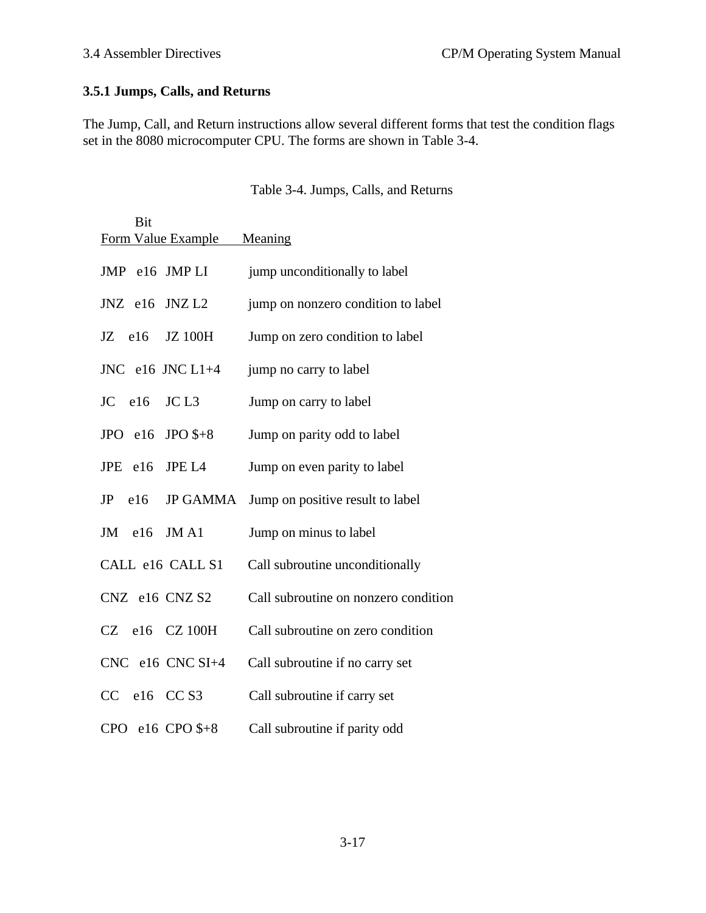# **3.5.1 Jumps, Calls, and Returns**

The Jump, Call, and Return instructions allow several different forms that test the condition flags set in the 8080 microcomputer CPU. The forms are shown in Table 3-4.

| Table 3-4. Jumps, Calls, and Returns |  |  |
|--------------------------------------|--|--|
|--------------------------------------|--|--|

| Bit                           | Form Value Example   | Meaning                              |
|-------------------------------|----------------------|--------------------------------------|
| JMP e16 JMPLI                 |                      | jump unconditionally to label        |
| JNZ e16 JNZ L2                |                      | jump on nonzero condition to label   |
| $JZ$ e16 $JZ$ 100H            |                      | Jump on zero condition to label      |
|                               | JNC $e16$ JNC $L1+4$ | jump no carry to label               |
| $JC$ e16 $JC L3$              |                      | Jump on carry to label               |
| JPO $e16$ JPO $\frac{1}{5}+8$ |                      | Jump on parity odd to label          |
| $JPE$ e16                     | JPE L <sub>4</sub>   | Jump on even parity to label         |
| $JP$ e16                      | <b>JP GAMMA</b>      | Jump on positive result to label     |
| $JM$ el6                      | JM A1                | Jump on minus to label               |
|                               | CALL e16 CALL S1     | Call subroutine unconditionally      |
| CNZ e16 CNZ S2                |                      | Call subroutine on nonzero condition |
|                               | $CZ$ e16 $CZ$ 100H   | Call subroutine on zero condition    |
|                               | $CNC$ e16 $CNC$ SI+4 | Call subroutine if no carry set      |
| CC e16 CC S3                  |                      | Call subroutine if carry set         |
| CPO $e16$ CPO $\frac{6}{5}+8$ |                      | Call subroutine if parity odd        |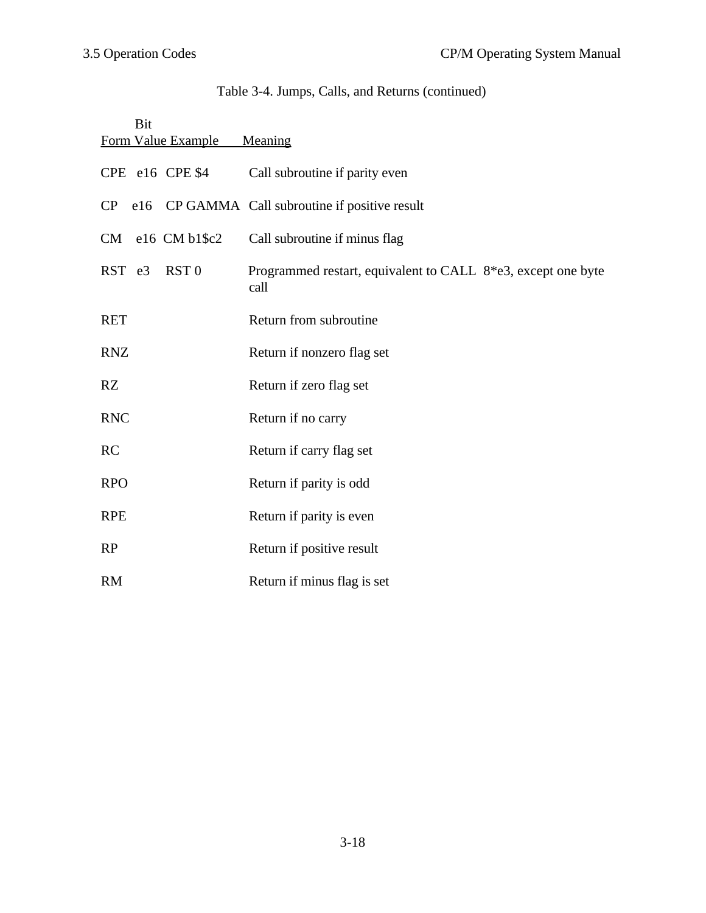# Table 3-4. Jumps, Calls, and Returns (continued)

| Bit<br>Form Value Example  | Meaning                                                              |
|----------------------------|----------------------------------------------------------------------|
| CPE e16 CPE \$4            | Call subroutine if parity even                                       |
| $\rm CP$                   | e16 CP GAMMA Call subroutine if positive result                      |
| CM e16 CM b1\$c2           | Call subroutine if minus flag                                        |
| RST e3<br>RST <sub>0</sub> | Programmed restart, equivalent to CALL 8*e3, except one byte<br>call |
| <b>RET</b>                 | Return from subroutine                                               |
| <b>RNZ</b>                 | Return if nonzero flag set                                           |
| RZ                         | Return if zero flag set                                              |
| <b>RNC</b>                 | Return if no carry                                                   |
| <b>RC</b>                  | Return if carry flag set                                             |
| <b>RPO</b>                 | Return if parity is odd                                              |
| <b>RPE</b>                 | Return if parity is even                                             |
| RP                         | Return if positive result                                            |
| <b>RM</b>                  | Return if minus flag is set                                          |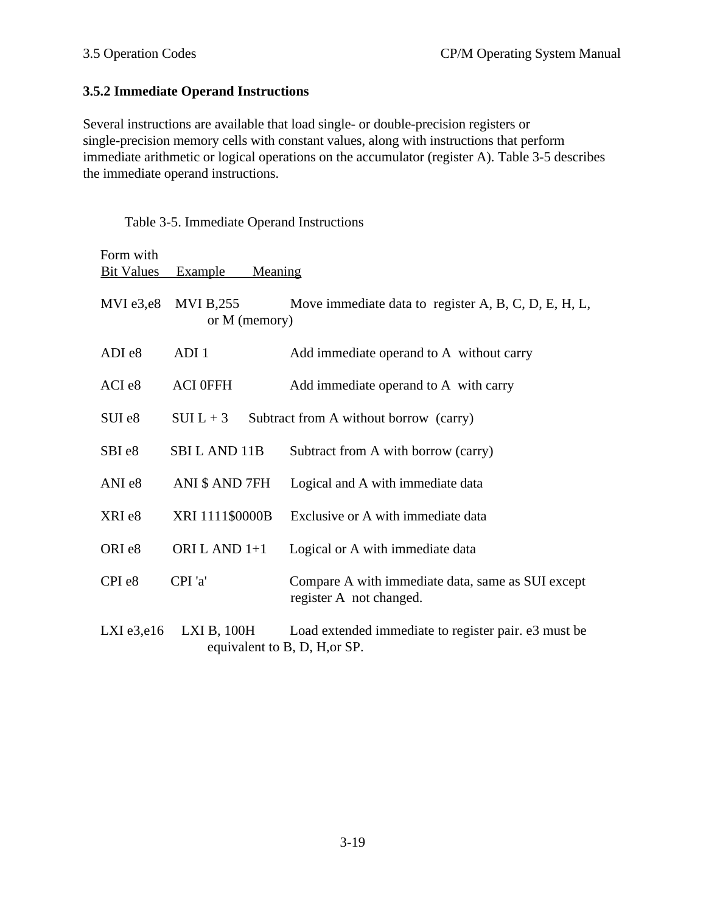## **3.5.2 Immediate Operand Instructions**

Table 3-5. Immediate Operand Instructions

Several instructions are available that load single- or double-precision registers or single-precision memory cells with constant values, along with instructions that perform immediate arithmetic or logical operations on the accumulator (register A). Table 3-5 describes the immediate operand instructions.

| Form with<br><b>Bit Values</b> | Meaning<br><b>Example</b>    |                                                                                       |
|--------------------------------|------------------------------|---------------------------------------------------------------------------------------|
| $MVI$ e3,e8                    | MVI B,255<br>or $M$ (memory) | Move immediate data to register A, B, C, D, E, H, L,                                  |
| ADI e8                         | ADI <sub>1</sub>             | Add immediate operand to A without carry                                              |
| ACI e8                         | <b>ACI 0FFH</b>              | Add immediate operand to A with carry                                                 |
| SUI e8                         | $SUIL + 3$                   | Subtract from A without borrow (carry)                                                |
| SBI <sub>e8</sub>              | SBIL AND 11B                 | Subtract from A with borrow (carry)                                                   |
| ANI <sub>e8</sub>              | ANI \$ AND 7FH               | Logical and A with immediate data                                                     |
| XRI e8                         | XRI 1111\$0000B              | Exclusive or A with immediate data                                                    |
| ORI <sub>e8</sub>              | ORI L AND 1+1                | Logical or A with immediate data                                                      |
| CPI <sub>e8</sub>              | CPI 'a'                      | Compare A with immediate data, same as SUI except<br>register A not changed.          |
| $LXI$ e3,e16                   | $LXI B$ , $100H$             | Load extended immediate to register pair. e3 must be<br>equivalent to B, D, H, or SP. |

3-19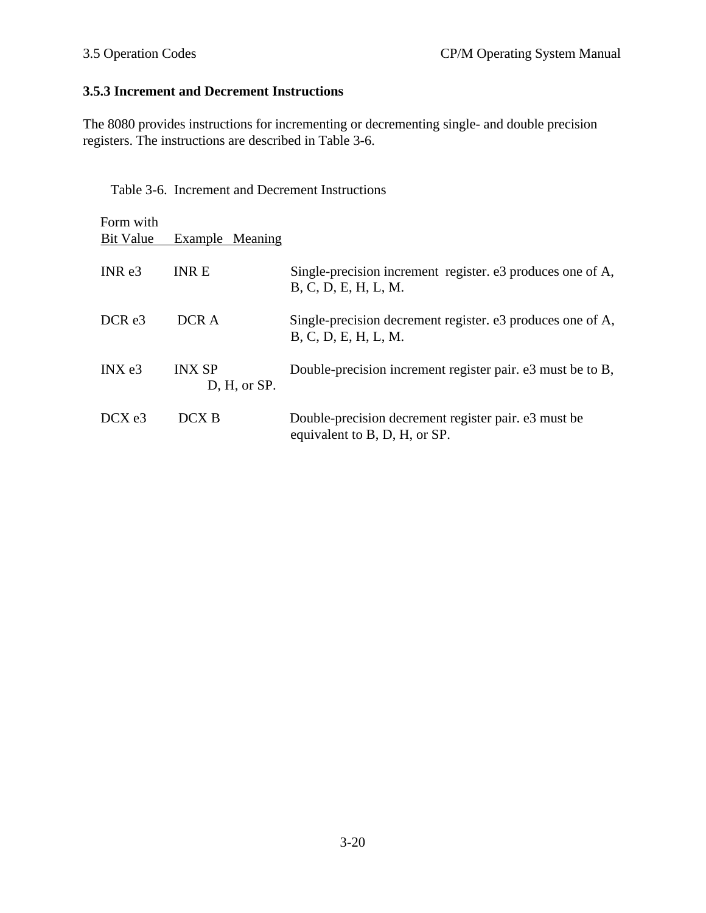# **3.5.3 Increment and Decrement Instructions**

The 8080 provides instructions for incrementing or decrementing single- and double precision registers. The instructions are described in Table 3-6.

Table 3-6. Increment and Decrement Instructions

| Form with<br><b>Bit Value</b> | Example Meaning               |                                                                                       |
|-------------------------------|-------------------------------|---------------------------------------------------------------------------------------|
| INR e3                        | <b>INRE</b>                   | Single-precision increment register. e3 produces one of A,<br>B, C, D, E, H, L, M.    |
| DCR <sub>e3</sub>             | DCR A                         | Single-precision decrement register. e3 produces one of A,<br>B, C, D, E, H, L, M.    |
| INX e3                        | <b>INX SP</b><br>D, H, or SP. | Double-precision increment register pair. e3 must be to B,                            |
| DCXe3                         | DCX B                         | Double-precision decrement register pair. e3 must be<br>equivalent to B, D, H, or SP. |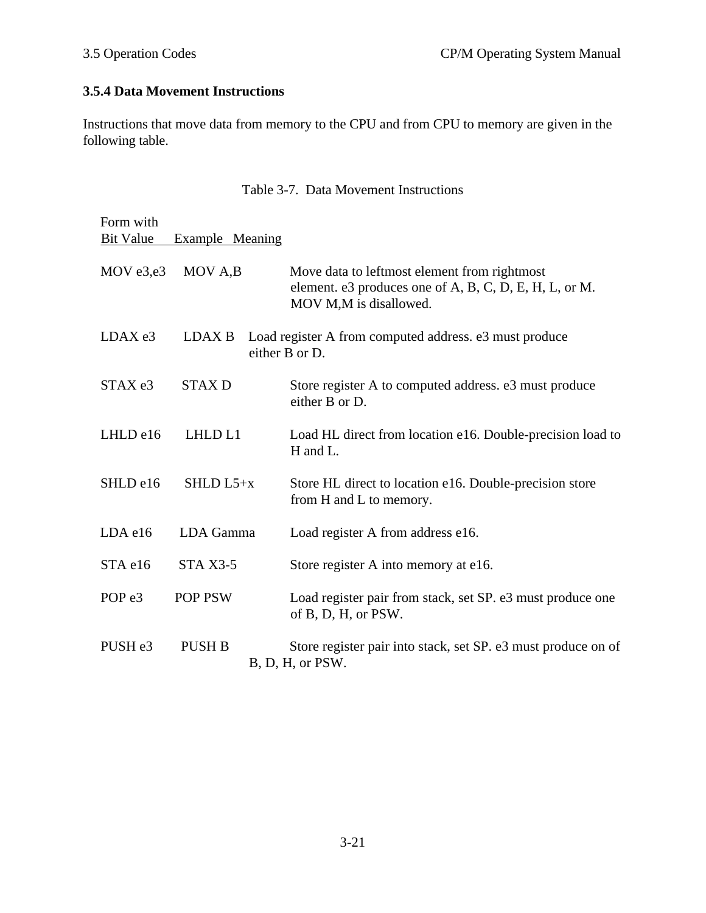# **3.5.4 Data Movement Instructions**

Instructions that move data from memory to the CPU and from CPU to memory are given in the following table.

|  | Table 3-7. Data Movement Instructions |  |
|--|---------------------------------------|--|
|--|---------------------------------------|--|

| Form with          |                    |                                                                                                                                  |
|--------------------|--------------------|----------------------------------------------------------------------------------------------------------------------------------|
| <b>Bit Value</b>   | Example Meaning    |                                                                                                                                  |
| MOV e3,e3          | MOV A,B            | Move data to leftmost element from rightmost<br>element. e3 produces one of A, B, C, D, E, H, L, or M.<br>MOV M,M is disallowed. |
| LDAX e3            | <b>LDAX B</b>      | Load register A from computed address. e3 must produce<br>either B or D.                                                         |
| STAX e3            | <b>STAXD</b>       | Store register A to computed address. e3 must produce<br>either B or D.                                                          |
| LHLD e16           | LHLD <sub>L1</sub> | Load HL direct from location e16. Double-precision load to<br>H and L.                                                           |
| SHLD e16           | SHLD $L5+x$        | Store HL direct to location e16. Double-precision store<br>from H and L to memory.                                               |
| LDA e16            | LDA Gamma          | Load register A from address e16.                                                                                                |
| STA e16            | $STA X3-5$         | Store register A into memory at e16.                                                                                             |
| POP <sub>e</sub> 3 | <b>POP PSW</b>     | Load register pair from stack, set SP. e3 must produce one<br>of B, D, H, or PSW.                                                |
| PUSH <sub>e3</sub> | <b>PUSH B</b>      | Store register pair into stack, set SP. e3 must produce on of<br>B, D, H, or PSW.                                                |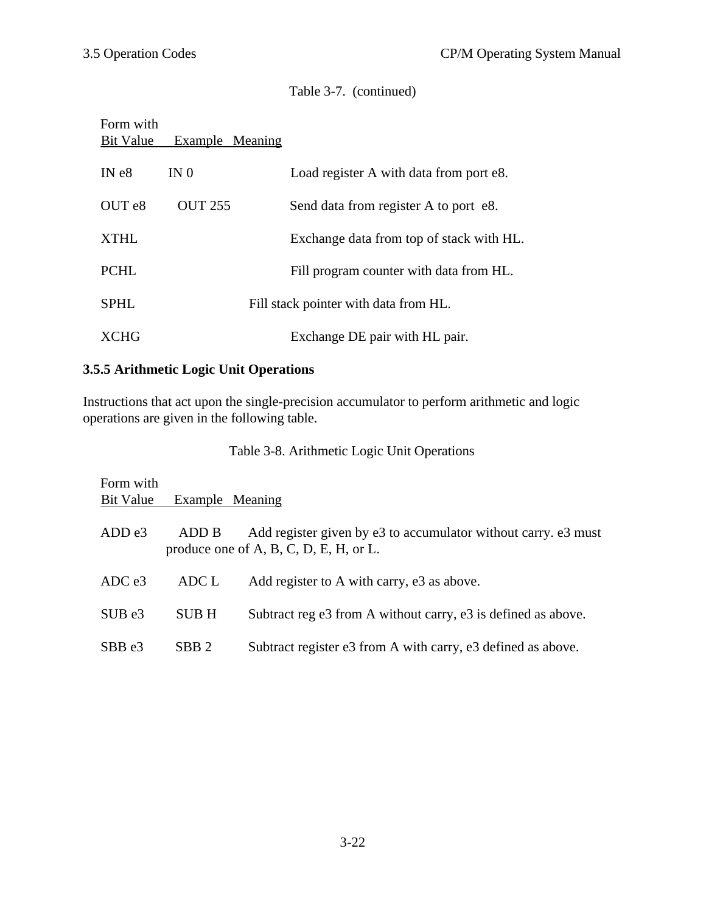Table 3-7. (continued)

# Form with Bit Value Example Meaning

| IN e8  | IN $\theta$    | Load register A with data from port e8.  |
|--------|----------------|------------------------------------------|
| OUT e8 | <b>OUT 255</b> | Send data from register A to port e8.    |
| XTHL   |                | Exchange data from top of stack with HL. |
| PCHL   |                | Fill program counter with data from HL.  |
| SPHL   |                | Fill stack pointer with data from HL.    |
| XCHG   |                | Exchange DE pair with HL pair.           |

# **3.5.5 Arithmetic Logic Unit Operations**

Instructions that act upon the single-precision accumulator to perform arithmetic and logic operations are given in the following table.

Table 3-8. Arithmetic Logic Unit Operations

| Form with<br>Bit Value | Example Meaning  |                                                                                                          |
|------------------------|------------------|----------------------------------------------------------------------------------------------------------|
| ADD e3                 | ADD B            | Add register given by e3 to accumulator without carry. e3 must<br>produce one of A, B, C, D, E, H, or L. |
| ADCe3                  | ADC L            | Add register to A with carry, e3 as above.                                                               |
| SUBe3                  | <b>SUBH</b>      | Subtract reg e3 from A without carry, e3 is defined as above.                                            |
| SBB e3                 | SBB <sub>2</sub> | Subtract register e3 from A with carry, e3 defined as above.                                             |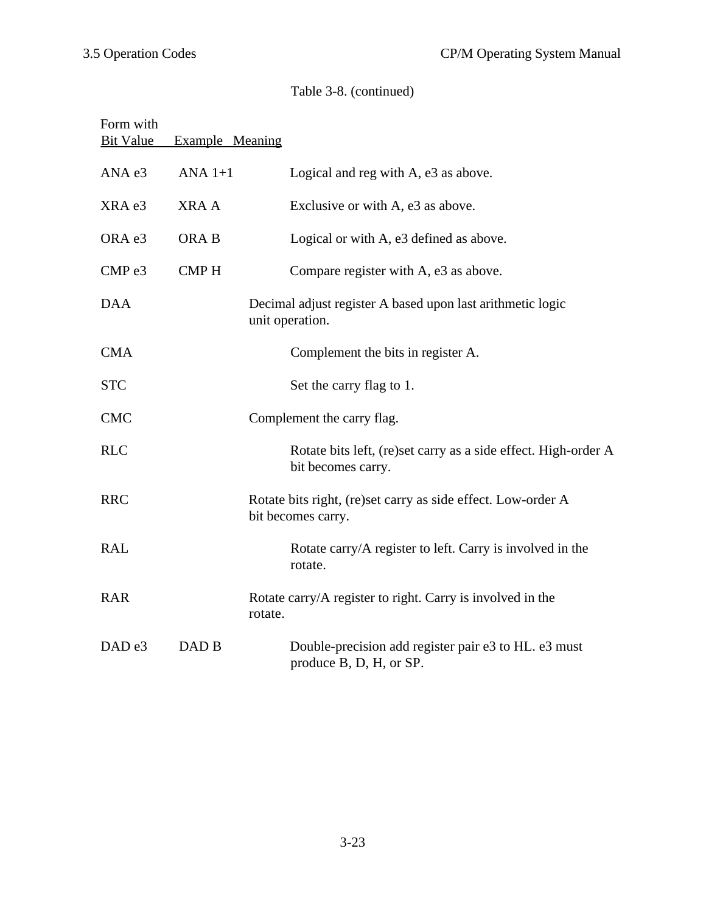# Table 3-8. (continued)

| Form with<br><b>Bit Value</b> | Example Meaning |                                                                                      |
|-------------------------------|-----------------|--------------------------------------------------------------------------------------|
| ANA e3                        | ANA $1+1$       | Logical and reg with A, e3 as above.                                                 |
| XRA e3                        | <b>XRAA</b>     | Exclusive or with A, e3 as above.                                                    |
| ORA e3                        | ORA B           | Logical or with A, e3 defined as above.                                              |
| CMP <sub>e3</sub>             | <b>CMPH</b>     | Compare register with A, e3 as above.                                                |
| <b>DAA</b>                    |                 | Decimal adjust register A based upon last arithmetic logic<br>unit operation.        |
| <b>CMA</b>                    |                 | Complement the bits in register A.                                                   |
| <b>STC</b>                    |                 | Set the carry flag to 1.                                                             |
| <b>CMC</b>                    |                 | Complement the carry flag.                                                           |
| <b>RLC</b>                    |                 | Rotate bits left, (re)set carry as a side effect. High-order A<br>bit becomes carry. |
| <b>RRC</b>                    |                 | Rotate bits right, (re)set carry as side effect. Low-order A<br>bit becomes carry.   |
| <b>RAL</b>                    |                 | Rotate carry/A register to left. Carry is involved in the<br>rotate.                 |
| <b>RAR</b>                    |                 | Rotate carry/A register to right. Carry is involved in the<br>rotate.                |
| DAD <sub>e3</sub>             | DAD B           | Double-precision add register pair e3 to HL. e3 must<br>produce B, D, H, or SP.      |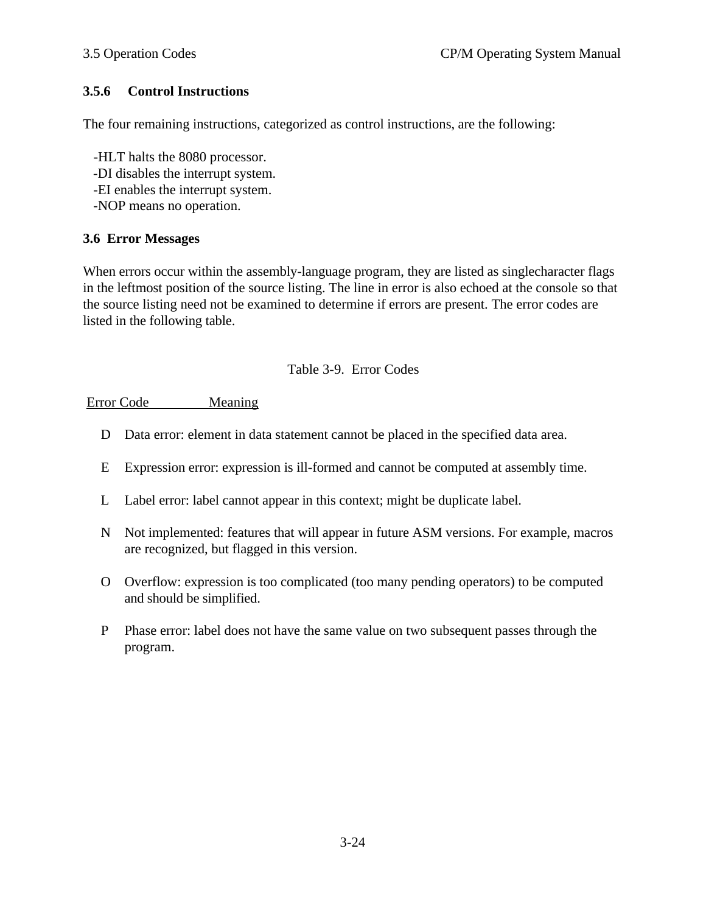## **3.5.6 Control Instructions**

The four remaining instructions, categorized as control instructions, are the following:

 -HLT halts the 8080 processor. -DI disables the interrupt system. -EI enables the interrupt system.

-NOP means no operation.

#### **3.6 Error Messages**

When errors occur within the assembly-language program, they are listed as singlecharacter flags in the leftmost position of the source listing. The line in error is also echoed at the console so that the source listing need not be examined to determine if errors are present. The error codes are listed in the following table.

#### Table 3-9. Error Codes

#### Error Code Meaning

- D Data error: element in data statement cannot be placed in the specified data area.
- E Expression error: expression is ill-formed and cannot be computed at assembly time.
- L Label error: label cannot appear in this context; might be duplicate label.
- N Not implemented: features that will appear in future ASM versions. For example, macros are recognized, but flagged in this version.
- O Overflow: expression is too complicated (too many pending operators) to be computed and should be simplified.
- P Phase error: label does not have the same value on two subsequent passes through the program.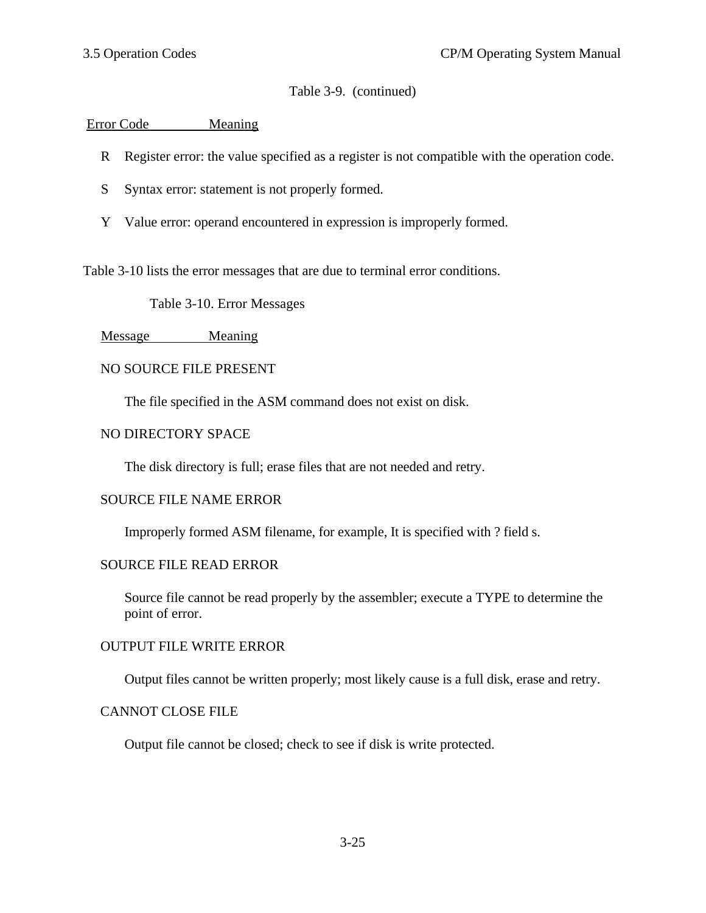## Table 3-9. (continued)

### Error Code Meaning

- R Register error: the value specified as a register is not compatible with the operation code.
- S Syntax error: statement is not properly formed.
- Y Value error: operand encountered in expression is improperly formed.

Table 3-10 lists the error messages that are due to terminal error conditions.

Table 3-10. Error Messages

#### Message Meaning

#### NO SOURCE FILE PRESENT

The file specified in the ASM command does not exist on disk.

#### NO DIRECTORY SPACE

The disk directory is full; erase files that are not needed and retry.

#### SOURCE FILE NAME ERROR

Improperly formed ASM filename, for example, It is specified with ? field s.

#### SOURCE FILE READ ERROR

Source file cannot be read properly by the assembler; execute a TYPE to determine the point of error.

#### OUTPUT FILE WRITE ERROR

Output files cannot be written properly; most likely cause is a full disk, erase and retry.

#### CANNOT CLOSE FILE

Output file cannot be closed; check to see if disk is write protected.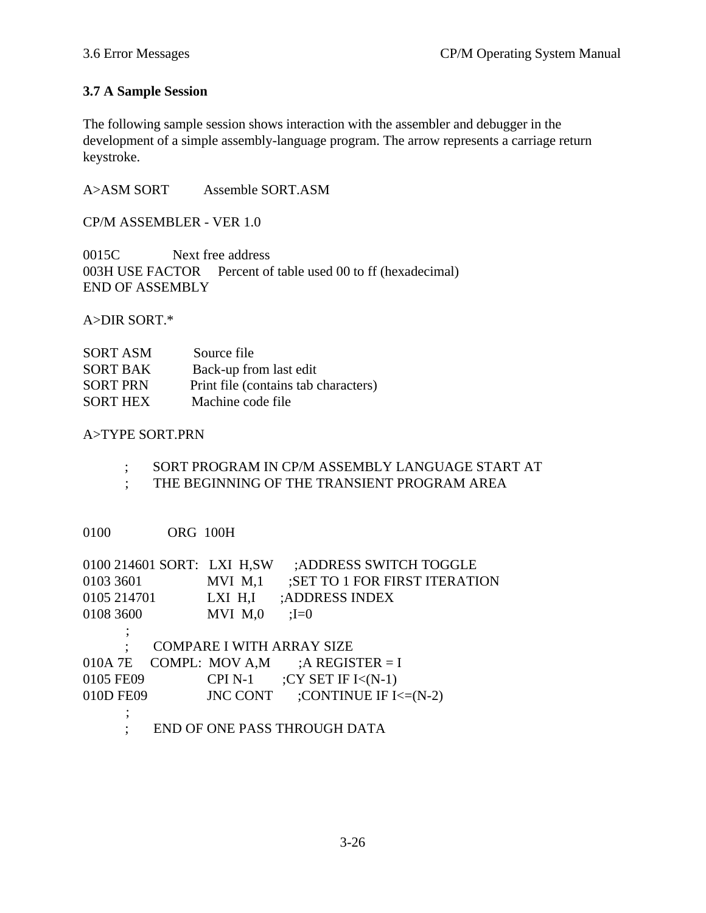### **3.7 A Sample Session**

The following sample session shows interaction with the assembler and debugger in the development of a simple assembly-language program. The arrow represents a carriage return keystroke.

A>ASM SORT Assemble SORT.ASM

CP/M ASSEMBLER - VER 1.0

0015C Next free address 003H USE FACTOR Percent of table used 00 to ff (hexadecimal) END OF ASSEMBLY

A>DIR SORT.\*

| <b>SORT ASM</b> | Source file                          |
|-----------------|--------------------------------------|
| <b>SORT BAK</b> | Back-up from last edit               |
| <b>SORT PRN</b> | Print file (contains tab characters) |
| <b>SORT HEX</b> | Machine code file                    |

#### A>TYPE SORT.PRN

- ; SORT PROGRAM IN CP/M ASSEMBLY LANGUAGE START AT
- ; THE BEGINNING OF THE TRANSIENT PROGRAM AREA

0100 ORG 100H

| 0100 214601 SORT: LXI H,SW |             | ;ADDRESS SWITCH TOGGLE        |
|----------------------------|-------------|-------------------------------|
| 0103 3601                  | MVI M,1     | ;SET TO 1 FOR FIRST ITERATION |
| 0105 214701                | LXI H,I     | ;ADDRESS INDEX                |
| 0108 3600                  | $MVI$ $M,0$ | $=$ $I=0$                     |
| ;                          |             |                               |
|                            |             | COMPARE I WITH ARRAY SIZE     |
| 010A 7E COMPL: MOV A,M     |             | $:$ A REGISTER = I            |
| 0105 FE09                  | CPI N-1     | ; CY SET IF $I<(N-1)$         |

- 010D FE09 JNC CONT ;CONTINUE IF I<=(N-2)
- ; ; END OF ONE PASS THROUGH DATA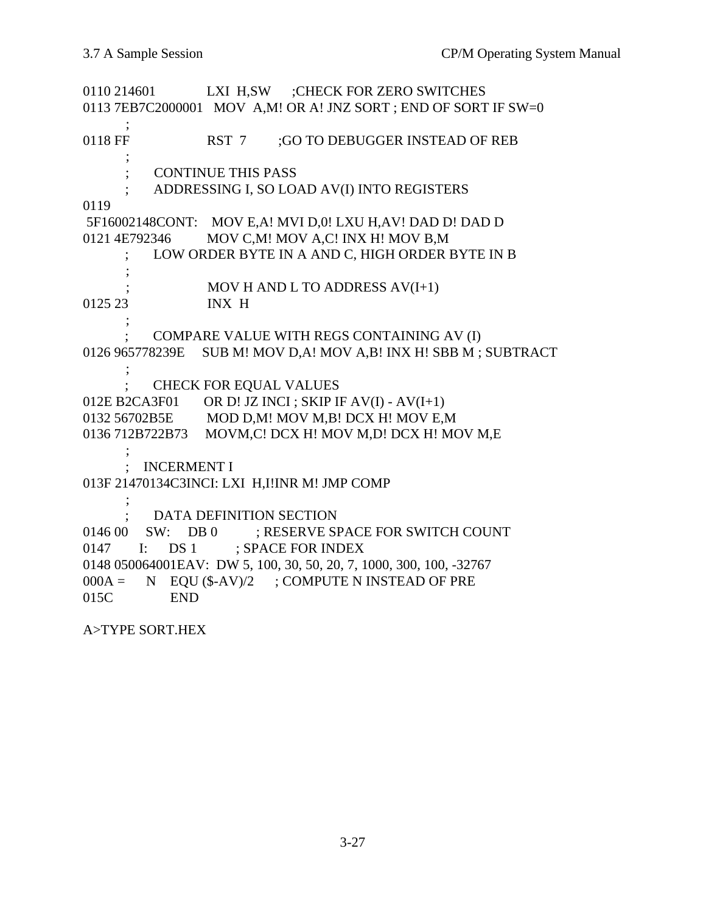0110 214601 LXI H,SW ;CHECK FOR ZERO SWITCHES 0113 7EB7C2000001 MOV A,M! OR A! JNZ SORT ; END OF SORT IF SW=0 ; 0118 FF RST 7 ;GO TO DEBUGGER INSTEAD OF REB ; ; CONTINUE THIS PASS ; ADDRESSING I, SO LOAD AV(I) INTO REGISTERS 0119 5F16002148CONT: MOV E,A! MVI D,0! LXU H,AV! DAD D! DAD D 0121 4E792346 MOV C,M! MOV A,C! INX H! MOV B,M ; LOW ORDER BYTE IN A AND C, HIGH ORDER BYTE IN B ; MOV H AND L TO ADDRESS  $AV(I+1)$ 0125 23 INX H ; ; COMPARE VALUE WITH REGS CONTAINING AV (I) 0126 965778239E SUB M! MOV D,A! MOV A,B! INX H! SBB M ; SUBTRACT ; ; CHECK FOR EQUAL VALUES 012E B2CA3F01 OR D! JZ INCI ; SKIP IF AV(I) - AV(I+1) 0132 56702B5E MOD D,M! MOV M,B! DCX H! MOV E,M 0136 712B722B73 MOVM,C! DCX H! MOV M,D! DCX H! MOV M,E ; ; INCERMENT I 013F 21470134C3INCI: LXI H,I!INR M! JMP COMP ; ; DATA DEFINITION SECTION 0146 00 SW: DB 0 ; RESERVE SPACE FOR SWITCH COUNT 0147 I: DS 1 ; SPACE FOR INDEX 0148 050064001EAV: DW 5, 100, 30, 50, 20, 7, 1000, 300, 100, -32767  $000A = N$  EQU (\$-AV)/2 ; COMPUTE N INSTEAD OF PRE 015C END

A>TYPE SORT.HEX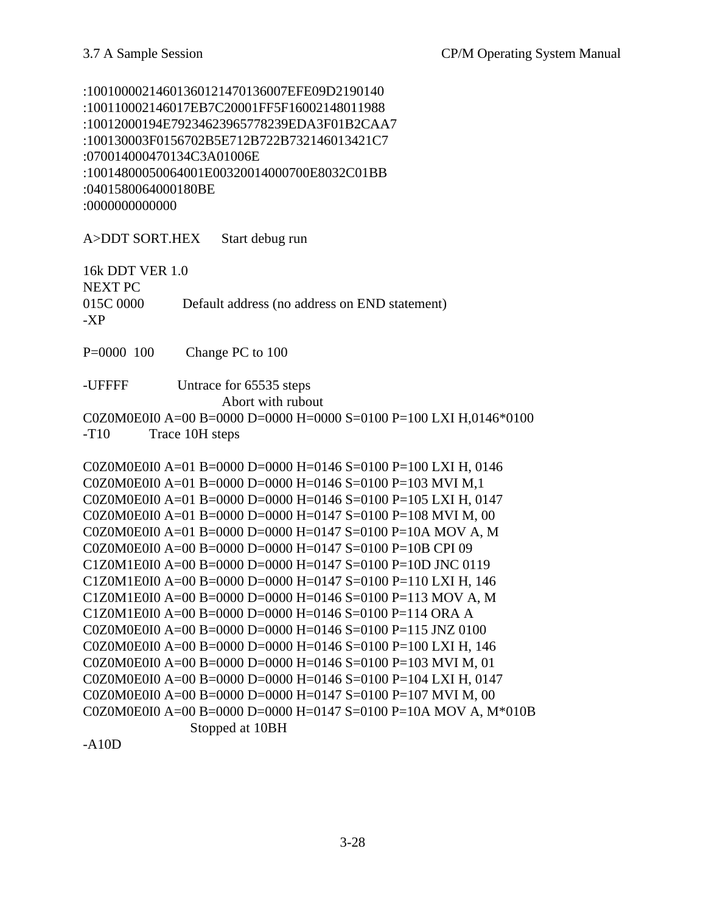:10010000214601360121470136007EFE09D2190140 :100110002146017EB7C20001FF5F16002148011988 :10012000194E79234623965778239EDA3F01B2CAA7 :100130003F0156702B5E712B722B732146013421C7 :070014000470134C3A01006E :10014800050064001E00320014000700E8032C01BB :0401580064000180BE :0000000000000

A>DDT SORT.HEX Start debug run

16k DDT VER 1.0 NEXT PC 015C 0000 Default address (no address on END statement) -XP

P=0000 100 Change PC to 100

-UFFFF Untrace for 65535 steps Abort with rubout C0Z0M0E0I0 A=00 B=0000 D=0000 H=0000 S=0100 P=100 LXI H,0146\*0100

-T10 Trace 10H steps

C0Z0M0E0I0 A=01 B=0000 D=0000 H=0146 S=0100 P=100 LXI H, 0146 C0Z0M0E0I0 A=01 B=0000 D=0000 H=0146 S=0100 P=103 MVI M,1 C0Z0M0E0I0 A=01 B=0000 D=0000 H=0146 S=0100 P=105 LXI H, 0147 C0Z0M0E0I0 A=01 B=0000 D=0000 H=0147 S=0100 P=108 MVI M, 00 C0Z0M0E0I0 A=01 B=0000 D=0000 H=0147 S=0100 P=10A MOV A, M C0Z0M0E0I0 A=00 B=0000 D=0000 H=0147 S=0100 P=10B CPI 09 C1Z0M1E0I0 A=00 B=0000 D=0000 H=0147 S=0100 P=10D JNC 0119 C1Z0M1E0I0 A=00 B=0000 D=0000 H=0147 S=0100 P=110 LXI H, 146 C1Z0M1E0I0 A=00 B=0000 D=0000 H=0146 S=0100 P=113 MOV A, M C1Z0M1E0I0 A=00 B=0000 D=0000 H=0146 S=0100 P=114 ORA A C0Z0M0E0I0 A=00 B=0000 D=0000 H=0146 S=0100 P=115 JNZ 0100 C0Z0M0E0I0 A=00 B=0000 D=0000 H=0146 S=0100 P=100 LXI H, 146 C0Z0M0E0I0 A=00 B=0000 D=0000 H=0146 S=0100 P=103 MVI M, 01 C0Z0M0E0I0 A=00 B=0000 D=0000 H=0146 S=0100 P=104 LXI H, 0147 C0Z0M0E0I0 A=00 B=0000 D=0000 H=0147 S=0100 P=107 MVI M, 00 C0Z0M0E0I0 A=00 B=0000 D=0000 H=0147 S=0100 P=10A MOV A, M\*010B Stopped at 10BH

-A10D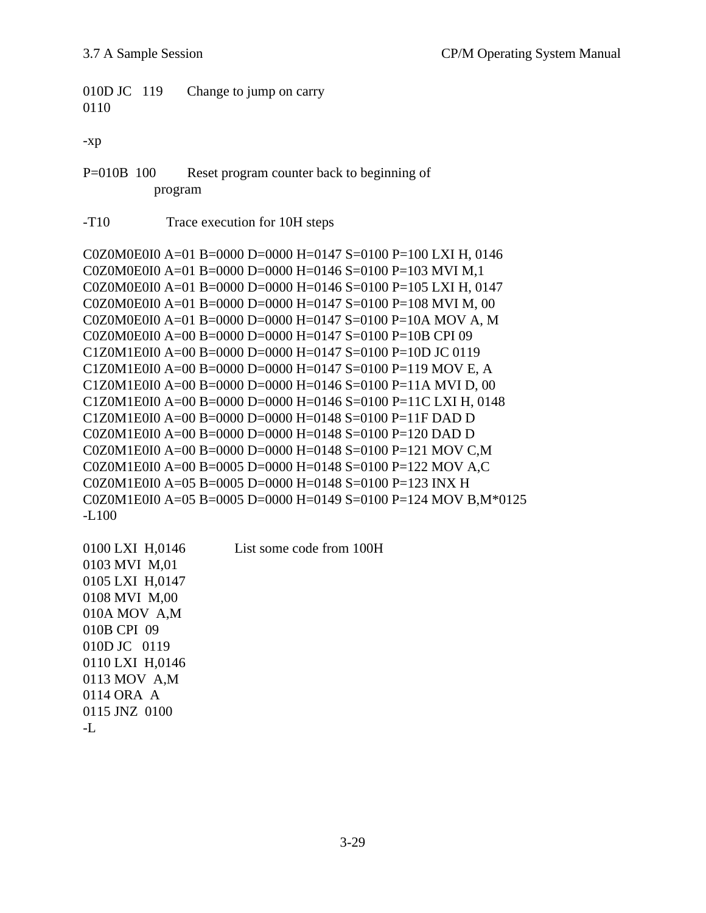010D JC 119 Change to jump on carry 0110

-xp

P=010B 100 Reset program counter back to beginning of program

-T10 Trace execution for 10H steps

C0Z0M0E0I0 A=01 B=0000 D=0000 H=0147 S=0100 P=100 LXI H, 0146 C0Z0M0E0I0 A=01 B=0000 D=0000 H=0146 S=0100 P=103 MVI M,1 C0Z0M0E0I0 A=01 B=0000 D=0000 H=0146 S=0100 P=105 LXI H, 0147 C0Z0M0E0I0 A=01 B=0000 D=0000 H=0147 S=0100 P=108 MVI M, 00 C0Z0M0E0I0 A=01 B=0000 D=0000 H=0147 S=0100 P=10A MOV A, M C0Z0M0E0I0 A=00 B=0000 D=0000 H=0147 S=0100 P=10B CPI 09 C1Z0M1E0I0 A=00 B=0000 D=0000 H=0147 S=0100 P=10D JC 0119 C1Z0M1E0I0 A=00 B=0000 D=0000 H=0147 S=0100 P=119 MOV E, A C1Z0M1E0I0 A=00 B=0000 D=0000 H=0146 S=0100 P=11A MVI D, 00 C1Z0M1E0I0 A=00 B=0000 D=0000 H=0146 S=0100 P=11C LXI H, 0148 C1Z0M1E0I0 A=00 B=0000 D=0000 H=0148 S=0100 P=11F DAD D C0Z0M1E0I0 A=00 B=0000 D=0000 H=0148 S=0100 P=120 DAD D C0Z0M1E0I0 A=00 B=0000 D=0000 H=0148 S=0100 P=121 MOV C,M C0Z0M1E0I0 A=00 B=0005 D=0000 H=0148 S=0100 P=122 MOV A,C C0Z0M1E0I0 A=05 B=0005 D=0000 H=0148 S=0100 P=123 INX H C0Z0M1E0I0 A=05 B=0005 D=0000 H=0149 S=0100 P=124 MOV B,M\*0125 -L100

0100 LXI H,0146 List some code from 100H 0103 MVI M,01 0105 LXI H,0147 0108 MVI M,00 010A MOV A,M 010B CPI 09 010D JC 0119 0110 LXI H,0146 0113 MOV A,M 0114 ORA A 0115 JNZ 0100

-L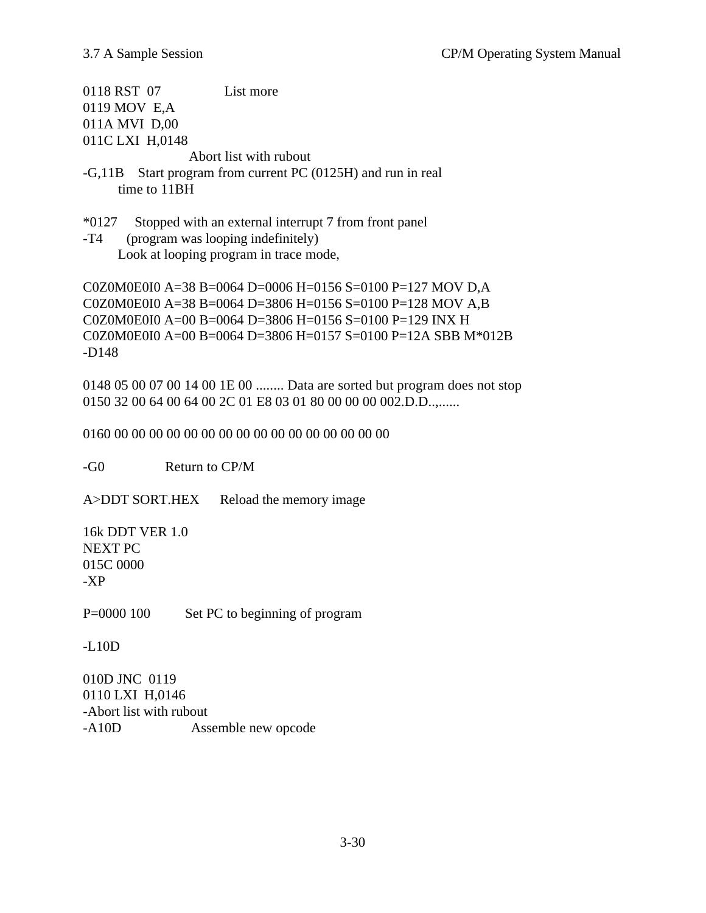0118 RST 07 List more 0119 MOV E,A 011A MVI D,00 011C LXI H,0148

Abort list with rubout

- -G,11B Start program from current PC (0125H) and run in real time to 11BH
- \*0127 Stopped with an external interrupt 7 from front panel
- -T4 (program was looping indefinitely) Look at looping program in trace mode,

C0Z0M0E0I0 A=38 B=0064 D=0006 H=0156 S=0100 P=127 MOV D,A C0Z0M0E0I0 A=38 B=0064 D=3806 H=0156 S=0100 P=128 MOV A,B C0Z0M0E0I0 A=00 B=0064 D=3806 H=0156 S=0100 P=129 INX H C0Z0M0E0I0 A=00 B=0064 D=3806 H=0157 S=0100 P=12A SBB M\*012B -D148

0148 05 00 07 00 14 00 1E 00 ........ Data are sorted but program does not stop 0150 32 00 64 00 64 00 2C 01 E8 03 01 80 00 00 00 002.D.D.,,,,,,,

0160 00 00 00 00 00 00 00 00 00 00 00 00 00 00 00 00

-G0 Return to CP/M

A>DDT SORT.HEX Reload the memory image

16k DDT VER 1.0 NEXT PC 015C 0000 -XP

P=0000 100 Set PC to beginning of program

-L10D

010D JNC 0119 0110 LXI H,0146 -Abort list with rubout -A10D Assemble new opcode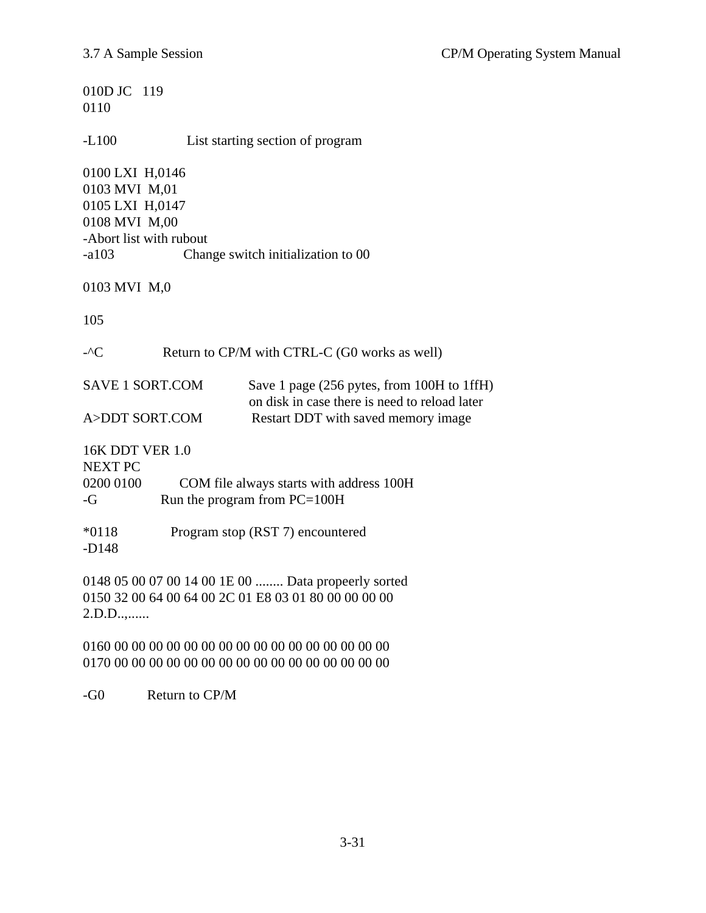| 010D JC 119<br>0110                                                                                                  |                                                                                                                                    |  |  |
|----------------------------------------------------------------------------------------------------------------------|------------------------------------------------------------------------------------------------------------------------------------|--|--|
| $-L100$                                                                                                              | List starting section of program                                                                                                   |  |  |
| 0100 LXI H,0146<br>0103 MVI M,01<br>0105 LXI H,0147<br>0108 MVI M,00<br>-Abort list with rubout<br>$-a103$           | Change switch initialization to 00                                                                                                 |  |  |
| 0103 MVI M,0                                                                                                         |                                                                                                                                    |  |  |
| 105                                                                                                                  |                                                                                                                                    |  |  |
| $-C$                                                                                                                 | Return to CP/M with CTRL-C (G0 works as well)                                                                                      |  |  |
| <b>SAVE 1 SORT.COM</b><br>A>DDT SORT.COM                                                                             | Save 1 page (256 pytes, from 100H to 1ffH)<br>on disk in case there is need to reload later<br>Restart DDT with saved memory image |  |  |
| 16K DDT VER 1.0<br><b>NEXT PC</b><br>0200 0100<br>$-G$                                                               | COM file always starts with address 100H<br>Run the program from PC=100H                                                           |  |  |
| $*0118$<br>$-D148$                                                                                                   | Program stop (RST 7) encountered                                                                                                   |  |  |
| 0148 05 00 07 00 14 00 1E 00  Data propeerly sorted<br>0150 32 00 64 00 64 00 2C 01 E8 03 01 80 00 00 00 00<br>2.D.D |                                                                                                                                    |  |  |
|                                                                                                                      |                                                                                                                                    |  |  |

-G0 Return to CP/M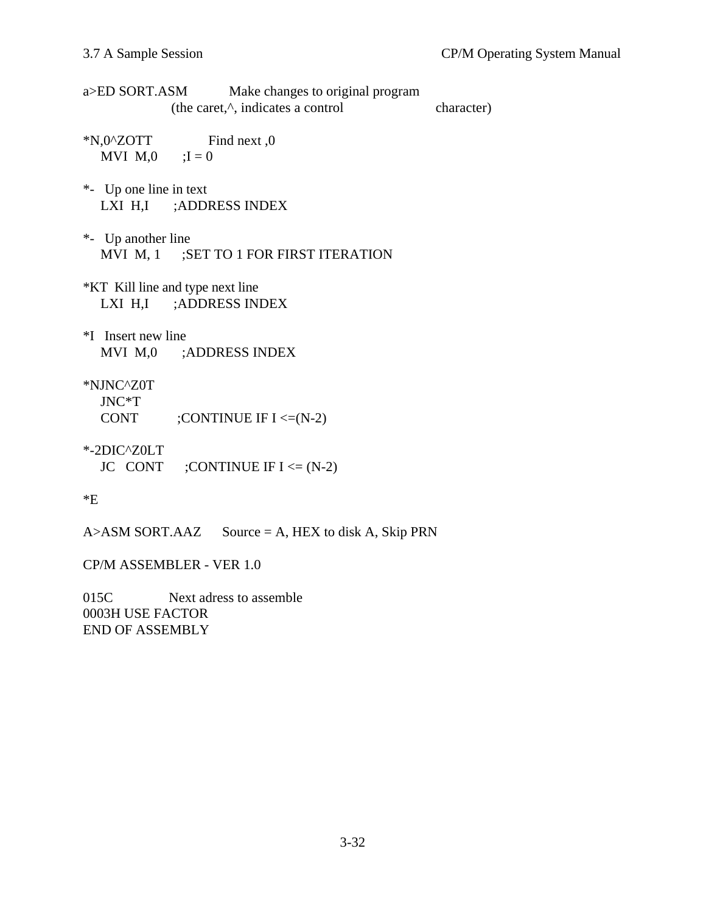| a>ED SORT.ASM<br>Make changes to original program<br>(the caret, <sup><math>\wedge</math></sup> , indicates a control | character) |
|-----------------------------------------------------------------------------------------------------------------------|------------|
| $N,0^{\wedge}Z$ OTT<br>Find next, 0<br>MVI $M,0$ ; I = 0                                                              |            |
| *- Up one line in text<br>LXI H,I ;ADDRESS INDEX                                                                      |            |
| *- Up another line<br>MVI M, 1 ;SET TO 1 FOR FIRST ITERATION                                                          |            |
| *KT Kill line and type next line<br>LXI H,I ;ADDRESS INDEX                                                            |            |
| *I Insert new line<br>MVI M,0 ;ADDRESS INDEX                                                                          |            |
| *NJNC^Z0T<br>$JNC^*T$<br>CONT<br>; CONTINUE IF $I \leq N-2$ )                                                         |            |
| $*$ -2DIC $^{\prime}$ Z0LT<br>JC CONT ;CONTINUE IF $I \leq (N-2)$                                                     |            |
| *E                                                                                                                    |            |

 $A > ASM$  SORT. AAZ Source = A, HEX to disk A, Skip PRN

CP/M ASSEMBLER - VER 1.0

015C Next adress to assemble 0003H USE FACTOR END OF ASSEMBLY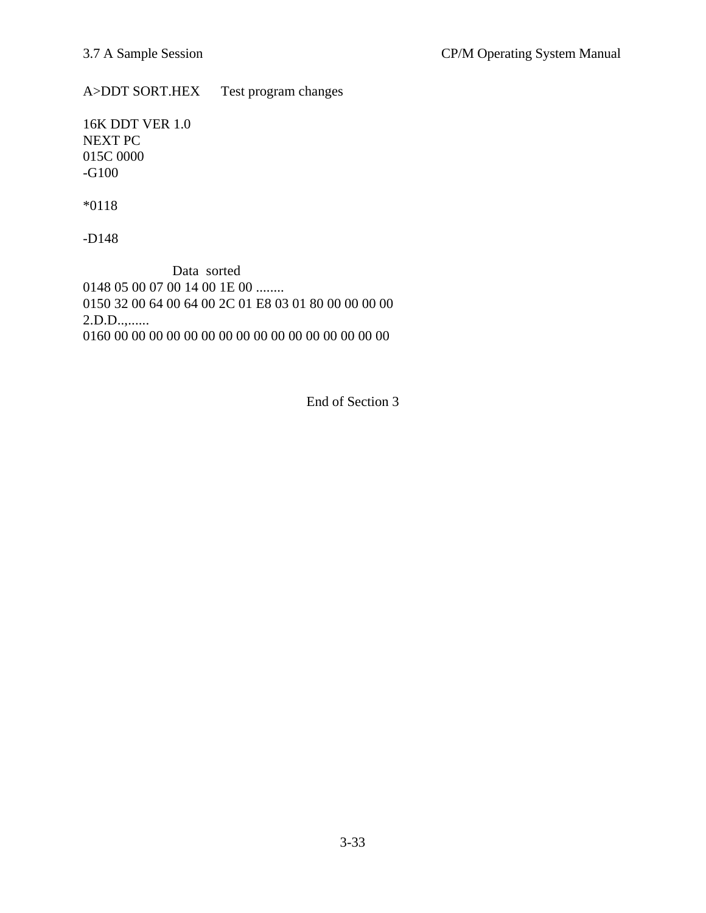A>DDT SORT.HEX Test program changes

16K DDT VER 1.0 NEXT PC 015C 0000 -G100

\*0118

-D148

 Data sorted 0148 05 00 07 00 14 00 1E 00 ........ 0150 32 00 64 00 64 00 2C 01 E8 03 01 80 00 00 00 00 2.D.D..,...... 0160 00 00 00 00 00 00 00 00 00 00 00 00 00 00 00 00

End of Section 3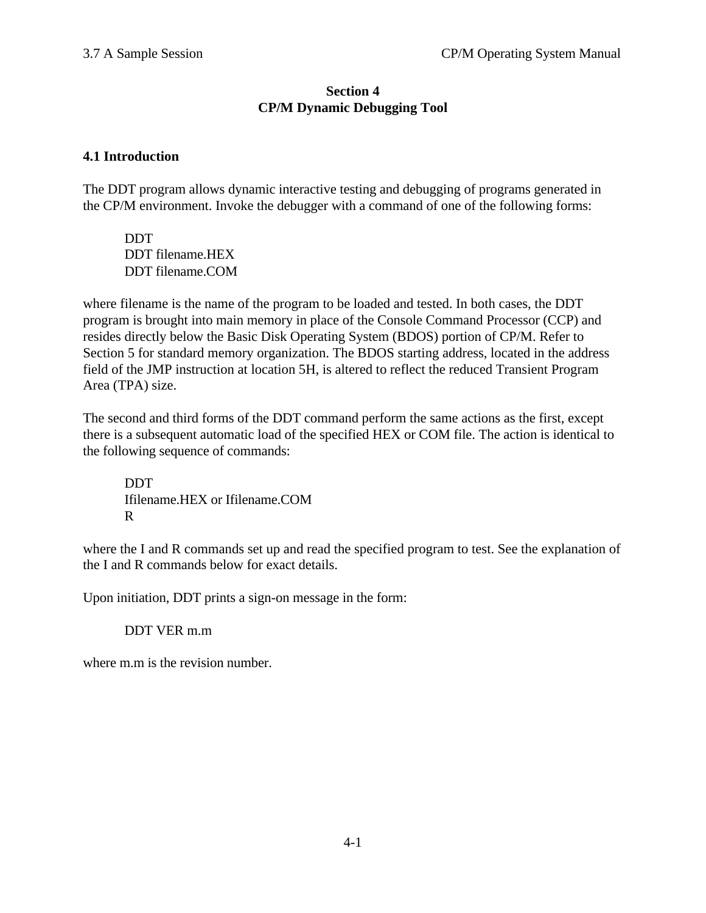## **Section 4 CP/M Dynamic Debugging Tool**

# **4.1 Introduction**

The DDT program allows dynamic interactive testing and debugging of programs generated in the CP/M environment. Invoke the debugger with a command of one of the following forms:

**DDT** DDT filename.HEX DDT filename.COM

where filename is the name of the program to be loaded and tested. In both cases, the DDT program is brought into main memory in place of the Console Command Processor (CCP) and resides directly below the Basic Disk Operating System (BDOS) portion of CP/M. Refer to Section 5 for standard memory organization. The BDOS starting address, located in the address field of the JMP instruction at location 5H, is altered to reflect the reduced Transient Program Area (TPA) size.

The second and third forms of the DDT command perform the same actions as the first, except there is a subsequent automatic load of the specified HEX or COM file. The action is identical to the following sequence of commands:

DDT Ifilename.HEX or Ifilename.COM R

where the I and R commands set up and read the specified program to test. See the explanation of the I and R commands below for exact details.

Upon initiation, DDT prints a sign-on message in the form:

### DDT VER m.m

where m.m is the revision number.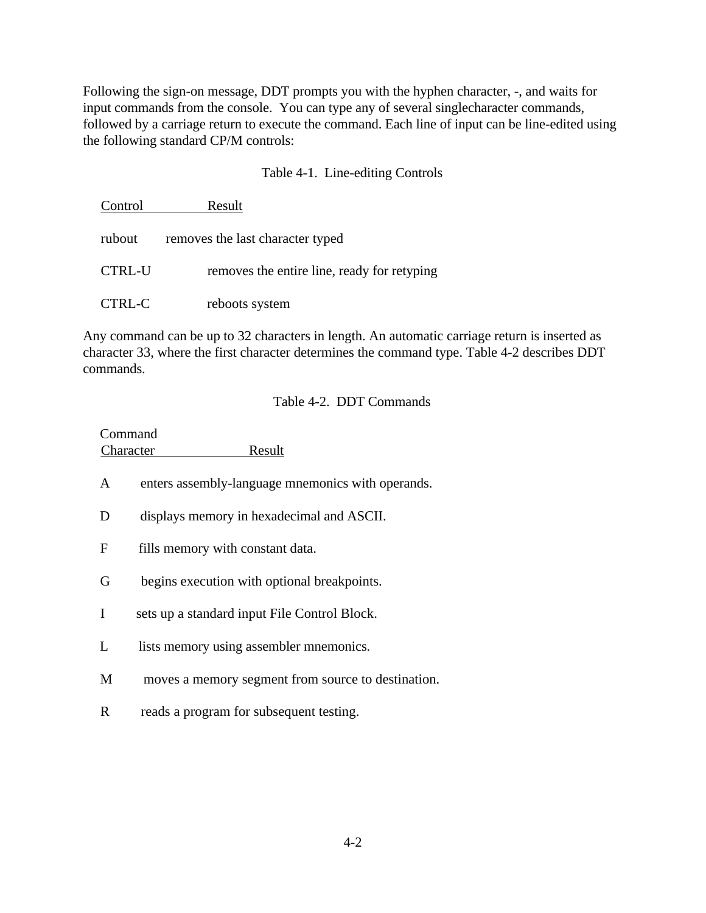Following the sign-on message, DDT prompts you with the hyphen character, -, and waits for input commands from the console. You can type any of several singlecharacter commands, followed by a carriage return to execute the command. Each line of input can be line-edited using the following standard CP/M controls:

### Table 4-1. Line-editing Controls

| Control | Result                                      |
|---------|---------------------------------------------|
| rubout  | removes the last character typed            |
| CTRL-U  | removes the entire line, ready for retyping |
| CTRL-C  | reboots system                              |

Any command can be up to 32 characters in length. An automatic carriage return is inserted as character 33, where the first character determines the command type. Table 4-2 describes DDT commands.

#### Table 4-2. DDT Commands

| Command   |        |
|-----------|--------|
| Character | Result |

- A enters assembly-language mnemonics with operands.
- D displays memory in hexadecimal and ASCII.
- F fills memory with constant data.
- G begins execution with optional breakpoints.
- I sets up a standard input File Control Block.
- L lists memory using assembler mnemonics.
- M moves a memory segment from source to destination.
- R reads a program for subsequent testing.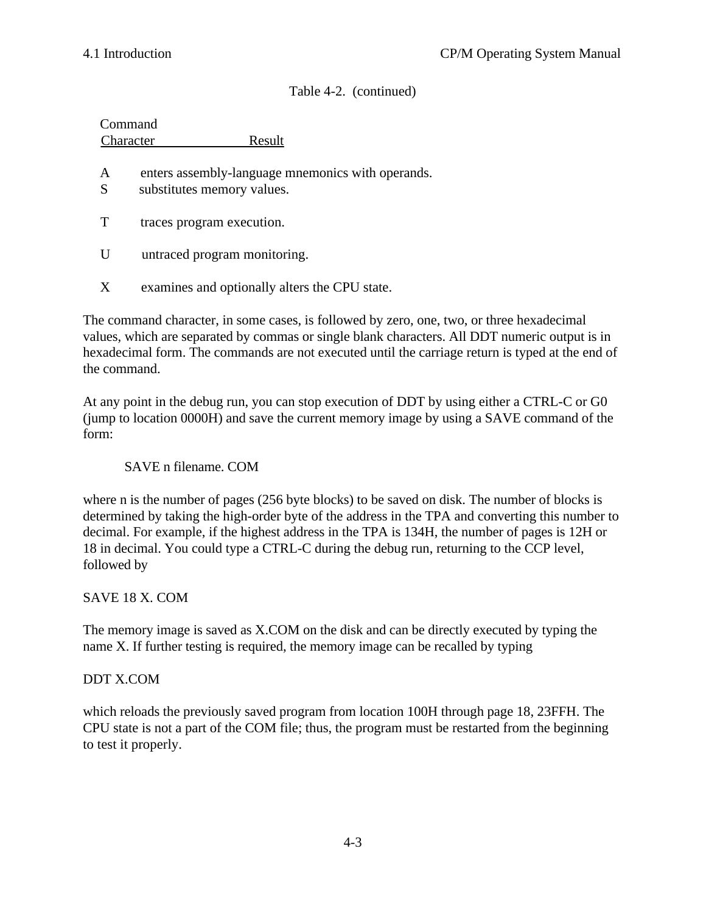Table 4-2. (continued)

|        | Command<br>Result<br>Character                                                  |
|--------|---------------------------------------------------------------------------------|
| A<br>S | enters assembly-language mnemonics with operands.<br>substitutes memory values. |
| T      | traces program execution.                                                       |
| U      | untraced program monitoring.                                                    |
|        |                                                                                 |

X examines and optionally alters the CPU state.

The command character, in some cases, is followed by zero, one, two, or three hexadecimal values, which are separated by commas or single blank characters. All DDT numeric output is in hexadecimal form. The commands are not executed until the carriage return is typed at the end of the command.

At any point in the debug run, you can stop execution of DDT by using either a CTRL-C or G0 (jump to location 0000H) and save the current memory image by using a SAVE command of the form:

### SAVE n filename. COM

where n is the number of pages (256 byte blocks) to be saved on disk. The number of blocks is determined by taking the high-order byte of the address in the TPA and converting this number to decimal. For example, if the highest address in the TPA is 134H, the number of pages is 12H or 18 in decimal. You could type a CTRL-C during the debug run, returning to the CCP level, followed by

### SAVE 18 X. COM

The memory image is saved as X.COM on the disk and can be directly executed by typing the name X. If further testing is required, the memory image can be recalled by typing

### DDT X.COM

which reloads the previously saved program from location 100H through page 18, 23FFH. The CPU state is not a part of the COM file; thus, the program must be restarted from the beginning to test it properly.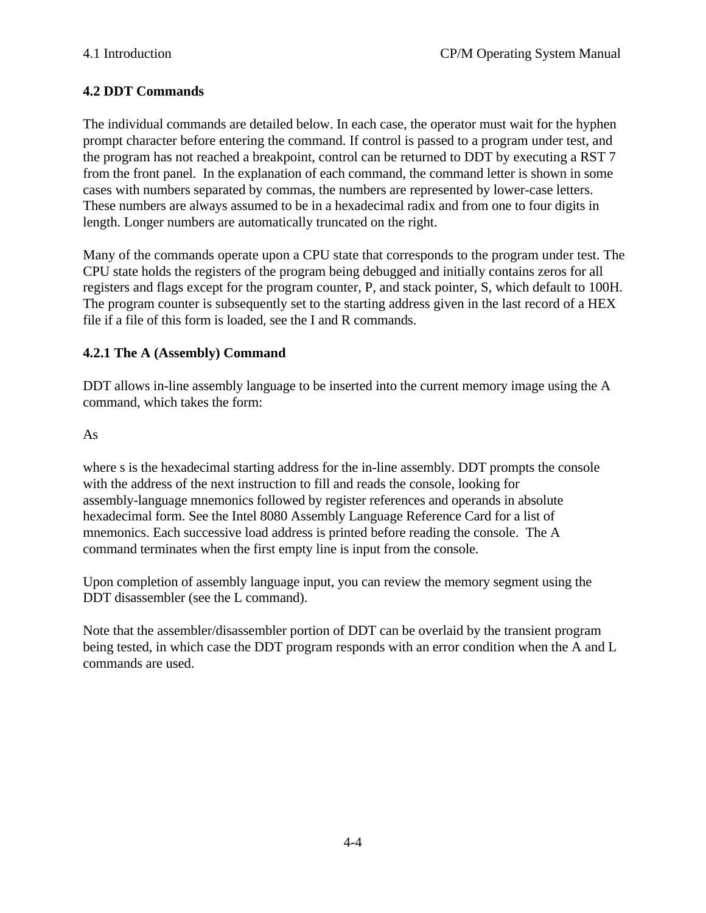# **4.2 DDT Commands**

The individual commands are detailed below. In each case, the operator must wait for the hyphen prompt character before entering the command. If control is passed to a program under test, and the program has not reached a breakpoint, control can be returned to DDT by executing a RST 7 from the front panel. In the explanation of each command, the command letter is shown in some cases with numbers separated by commas, the numbers are represented by lower-case letters. These numbers are always assumed to be in a hexadecimal radix and from one to four digits in length. Longer numbers are automatically truncated on the right.

Many of the commands operate upon a CPU state that corresponds to the program under test. The CPU state holds the registers of the program being debugged and initially contains zeros for all registers and flags except for the program counter, P, and stack pointer, S, which default to 100H. The program counter is subsequently set to the starting address given in the last record of a HEX file if a file of this form is loaded, see the I and R commands.

### **4.2.1 The A (Assembly) Command**

DDT allows in-line assembly language to be inserted into the current memory image using the A command, which takes the form:

As

where s is the hexadecimal starting address for the in-line assembly. DDT prompts the console with the address of the next instruction to fill and reads the console, looking for assembly-language mnemonics followed by register references and operands in absolute hexadecimal form. See the Intel 8080 Assembly Language Reference Card for a list of mnemonics. Each successive load address is printed before reading the console. The A command terminates when the first empty line is input from the console.

Upon completion of assembly language input, you can review the memory segment using the DDT disassembler (see the L command).

Note that the assembler/disassembler portion of DDT can be overlaid by the transient program being tested, in which case the DDT program responds with an error condition when the A and L commands are used.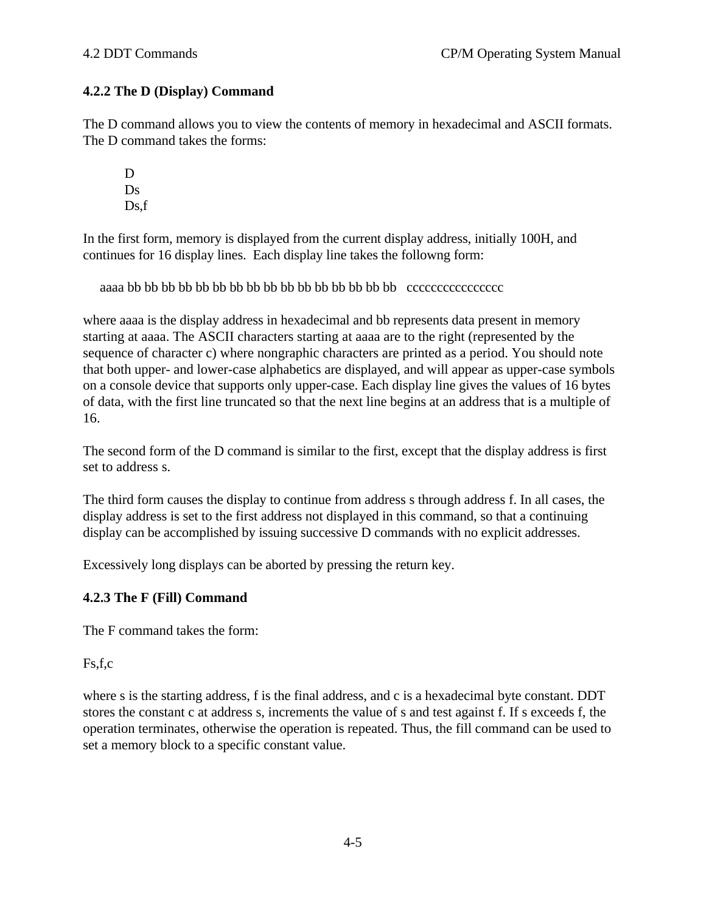# **4.2.2 The D (Display) Command**

The D command allows you to view the contents of memory in hexadecimal and ASCII formats. The D command takes the forms:

D Ds Ds,f

In the first form, memory is displayed from the current display address, initially 100H, and continues for 16 display lines. Each display line takes the followng form:

aaaa bb bb bb bb bb bb bb bb bb bb bb bb bb bb bb bb cccccccccccccccc

where aaaa is the display address in hexadecimal and bb represents data present in memory starting at aaaa. The ASCII characters starting at aaaa are to the right (represented by the sequence of character c) where nongraphic characters are printed as a period. You should note that both upper- and lower-case alphabetics are displayed, and will appear as upper-case symbols on a console device that supports only upper-case. Each display line gives the values of 16 bytes of data, with the first line truncated so that the next line begins at an address that is a multiple of 16.

The second form of the D command is similar to the first, except that the display address is first set to address s.

The third form causes the display to continue from address s through address f. In all cases, the display address is set to the first address not displayed in this command, so that a continuing display can be accomplished by issuing successive D commands with no explicit addresses.

Excessively long displays can be aborted by pressing the return key.

### **4.2.3 The F (Fill) Command**

The F command takes the form:

Fs,f,c

where s is the starting address, f is the final address, and c is a hexadecimal byte constant. DDT stores the constant c at address s, increments the value of s and test against f. If s exceeds f, the operation terminates, otherwise the operation is repeated. Thus, the fill command can be used to set a memory block to a specific constant value.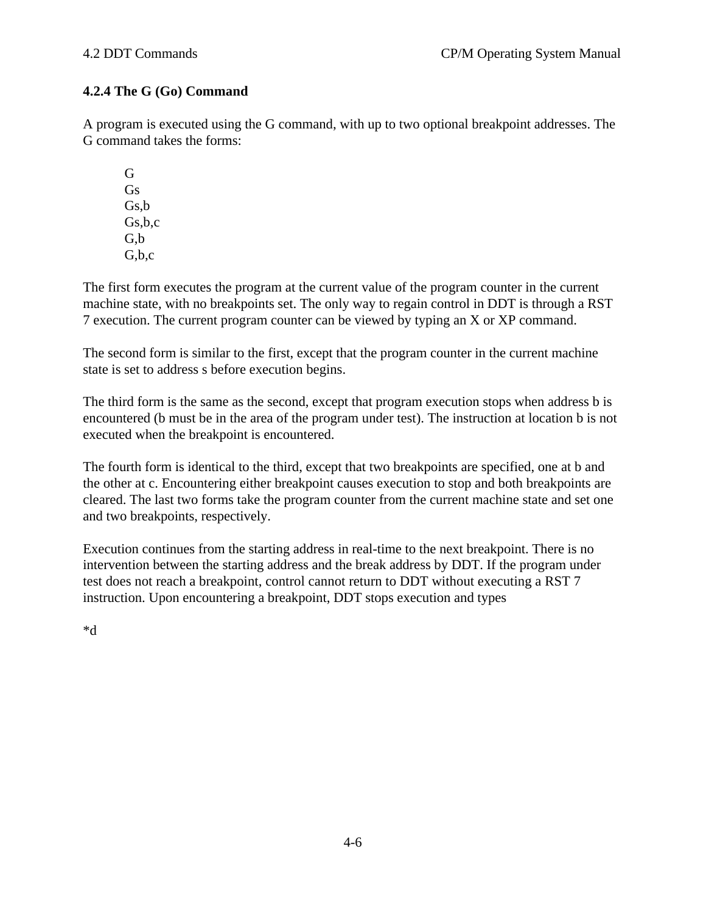# **4.2.4 The G (Go) Command**

A program is executed using the G command, with up to two optional breakpoint addresses. The G command takes the forms:

G Gs Gs,b Gs,b,c G,b G,b,c

The first form executes the program at the current value of the program counter in the current machine state, with no breakpoints set. The only way to regain control in DDT is through a RST 7 execution. The current program counter can be viewed by typing an X or XP command.

The second form is similar to the first, except that the program counter in the current machine state is set to address s before execution begins.

The third form is the same as the second, except that program execution stops when address b is encountered (b must be in the area of the program under test). The instruction at location b is not executed when the breakpoint is encountered.

The fourth form is identical to the third, except that two breakpoints are specified, one at b and the other at c. Encountering either breakpoint causes execution to stop and both breakpoints are cleared. The last two forms take the program counter from the current machine state and set one and two breakpoints, respectively.

Execution continues from the starting address in real-time to the next breakpoint. There is no intervention between the starting address and the break address by DDT. If the program under test does not reach a breakpoint, control cannot return to DDT without executing a RST 7 instruction. Upon encountering a breakpoint, DDT stops execution and types

\*d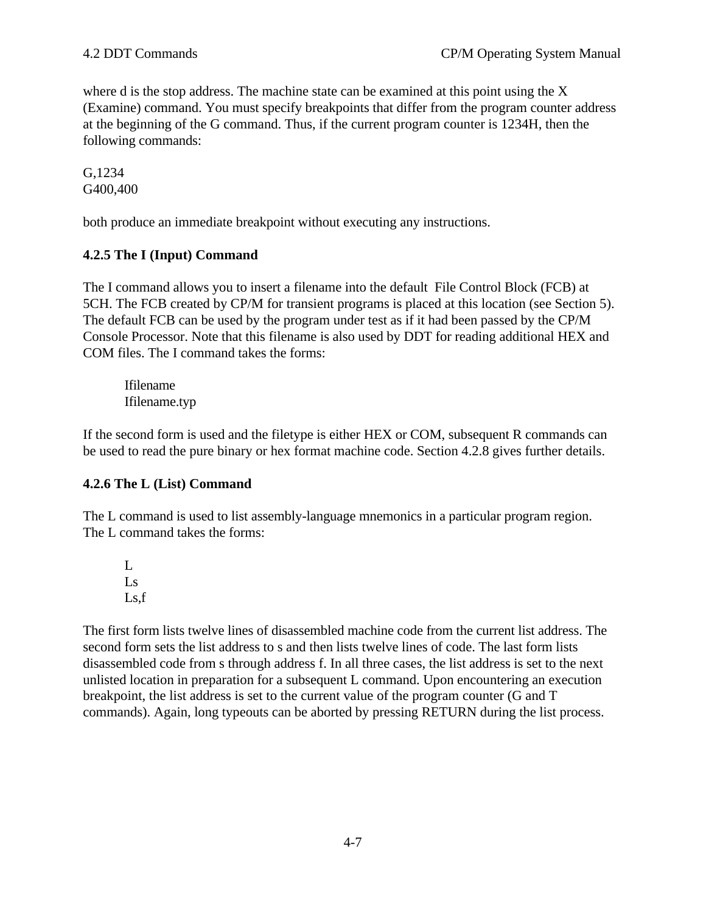where d is the stop address. The machine state can be examined at this point using the X (Examine) command. You must specify breakpoints that differ from the program counter address at the beginning of the G command. Thus, if the current program counter is 1234H, then the following commands:

G,1234 G400,400

both produce an immediate breakpoint without executing any instructions.

# **4.2.5 The I (Input) Command**

The I command allows you to insert a filename into the default File Control Block (FCB) at 5CH. The FCB created by CP/M for transient programs is placed at this location (see Section 5). The default FCB can be used by the program under test as if it had been passed by the CP/M Console Processor. Note that this filename is also used by DDT for reading additional HEX and COM files. The I command takes the forms:

Ifilename Ifilename.typ

If the second form is used and the filetype is either HEX or COM, subsequent R commands can be used to read the pure binary or hex format machine code. Section 4.2.8 gives further details.

# **4.2.6 The L (List) Command**

The L command is used to list assembly-language mnemonics in a particular program region. The L command takes the forms:

L Ls Ls,f

The first form lists twelve lines of disassembled machine code from the current list address. The second form sets the list address to s and then lists twelve lines of code. The last form lists disassembled code from s through address f. In all three cases, the list address is set to the next unlisted location in preparation for a subsequent L command. Upon encountering an execution breakpoint, the list address is set to the current value of the program counter (G and T commands). Again, long typeouts can be aborted by pressing RETURN during the list process.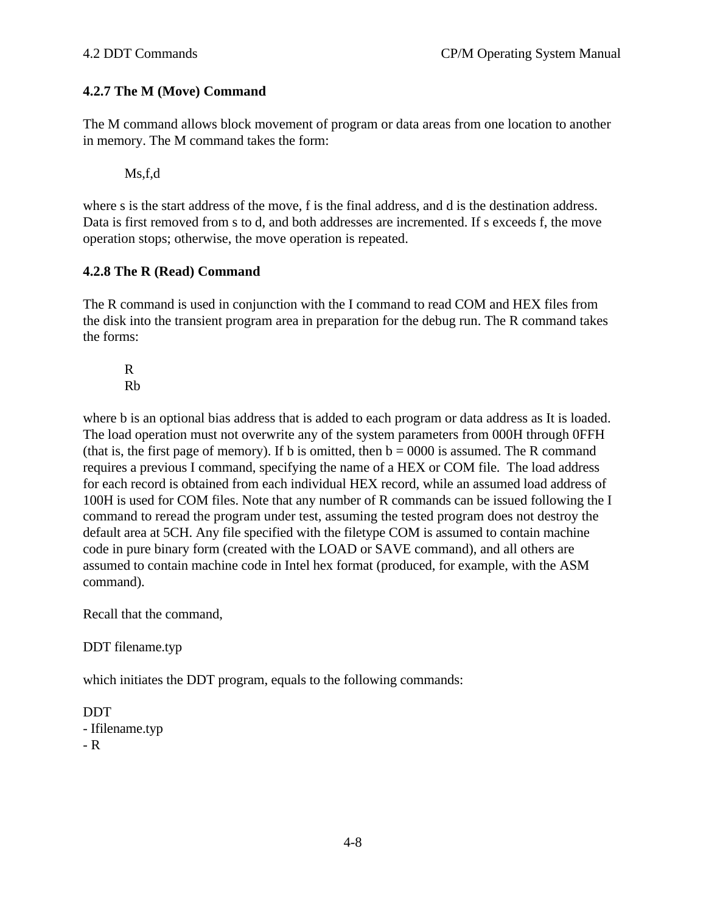#### **4.2.7 The M (Move) Command**

The M command allows block movement of program or data areas from one location to another in memory. The M command takes the form:

Ms,f,d

where s is the start address of the move, f is the final address, and d is the destination address. Data is first removed from s to d, and both addresses are incremented. If s exceeds f, the move operation stops; otherwise, the move operation is repeated.

#### **4.2.8 The R (Read) Command**

The R command is used in conjunction with the I command to read COM and HEX files from the disk into the transient program area in preparation for the debug run. The R command takes the forms:

R Rb

where b is an optional bias address that is added to each program or data address as It is loaded. The load operation must not overwrite any of the system parameters from 000H through 0FFH (that is, the first page of memory). If b is omitted, then  $b = 0000$  is assumed. The R command requires a previous I command, specifying the name of a HEX or COM file. The load address for each record is obtained from each individual HEX record, while an assumed load address of 100H is used for COM files. Note that any number of R commands can be issued following the I command to reread the program under test, assuming the tested program does not destroy the default area at 5CH. Any file specified with the filetype COM is assumed to contain machine code in pure binary form (created with the LOAD or SAVE command), and all others are assumed to contain machine code in Intel hex format (produced, for example, with the ASM command).

Recall that the command,

DDT filename.typ

which initiates the DDT program, equals to the following commands:

DDT - Ifilename.typ

- R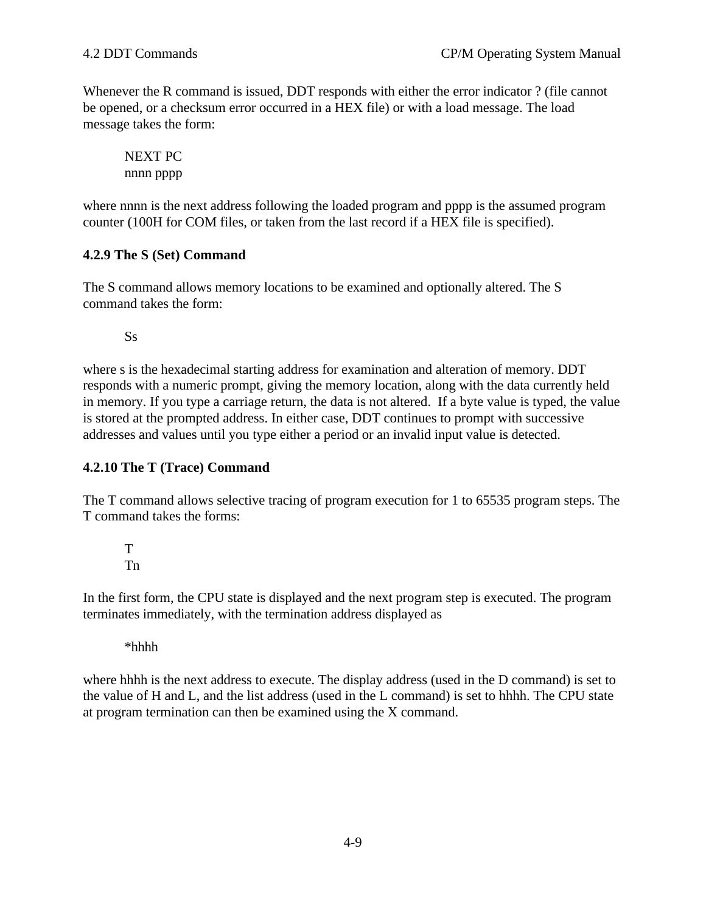Whenever the R command is issued, DDT responds with either the error indicator ? (file cannot be opened, or a checksum error occurred in a HEX file) or with a load message. The load message takes the form:

NEXT PC nnnn pppp

where nnnn is the next address following the loaded program and pppp is the assumed program counter (100H for COM files, or taken from the last record if a HEX file is specified).

# **4.2.9 The S (Set) Command**

The S command allows memory locations to be examined and optionally altered. The S command takes the form:

Ss

where s is the hexadecimal starting address for examination and alteration of memory. DDT responds with a numeric prompt, giving the memory location, along with the data currently held in memory. If you type a carriage return, the data is not altered. If a byte value is typed, the value is stored at the prompted address. In either case, DDT continues to prompt with successive addresses and values until you type either a period or an invalid input value is detected.

# **4.2.10 The T (Trace) Command**

The T command allows selective tracing of program execution for 1 to 65535 program steps. The T command takes the forms:

T Tn

In the first form, the CPU state is displayed and the next program step is executed. The program terminates immediately, with the termination address displayed as

\*hhhh

where hhhh is the next address to execute. The display address (used in the D command) is set to the value of H and L, and the list address (used in the L command) is set to hhhh. The CPU state at program termination can then be examined using the X command.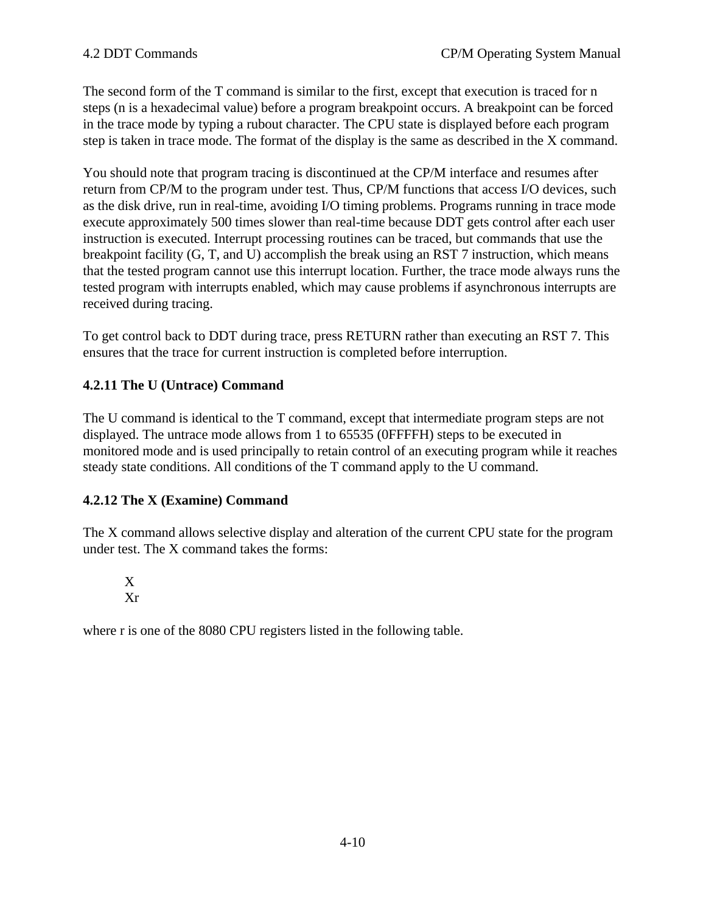The second form of the T command is similar to the first, except that execution is traced for n steps (n is a hexadecimal value) before a program breakpoint occurs. A breakpoint can be forced in the trace mode by typing a rubout character. The CPU state is displayed before each program step is taken in trace mode. The format of the display is the same as described in the X command.

You should note that program tracing is discontinued at the CP/M interface and resumes after return from CP/M to the program under test. Thus, CP/M functions that access I/O devices, such as the disk drive, run in real-time, avoiding I/O timing problems. Programs running in trace mode execute approximately 500 times slower than real-time because DDT gets control after each user instruction is executed. Interrupt processing routines can be traced, but commands that use the breakpoint facility (G, T, and U) accomplish the break using an RST 7 instruction, which means that the tested program cannot use this interrupt location. Further, the trace mode always runs the tested program with interrupts enabled, which may cause problems if asynchronous interrupts are received during tracing.

To get control back to DDT during trace, press RETURN rather than executing an RST 7. This ensures that the trace for current instruction is completed before interruption.

# **4.2.11 The U (Untrace) Command**

The U command is identical to the T command, except that intermediate program steps are not displayed. The untrace mode allows from 1 to 65535 (0FFFFH) steps to be executed in monitored mode and is used principally to retain control of an executing program while it reaches steady state conditions. All conditions of the T command apply to the U command.

# **4.2.12 The X (Examine) Command**

The X command allows selective display and alteration of the current CPU state for the program under test. The X command takes the forms:

# X Xr

where r is one of the 8080 CPU registers listed in the following table.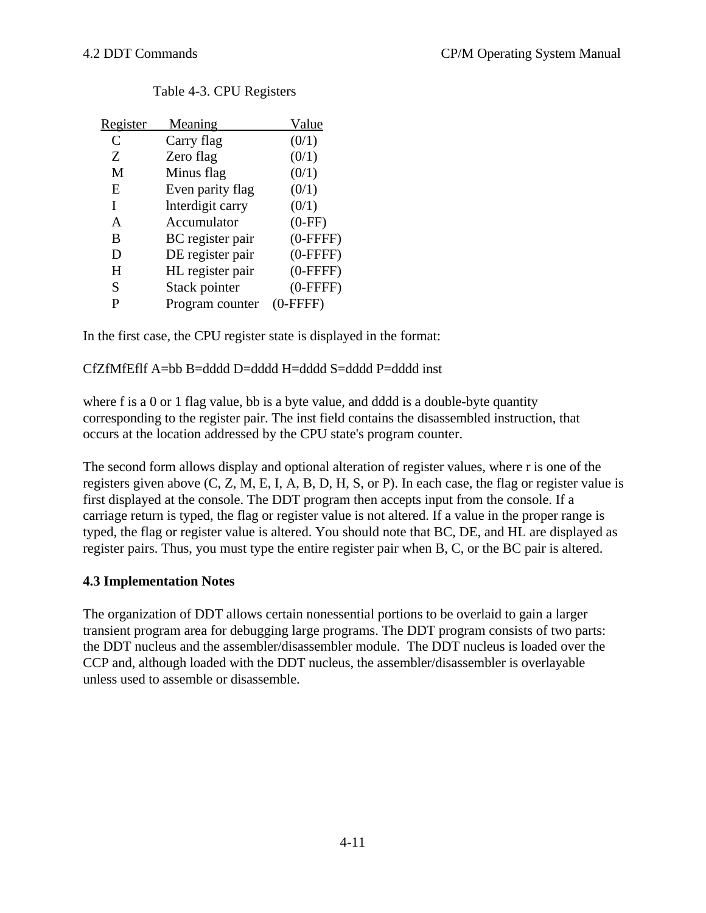| <u>Register</u> | <b>Meaning</b>   | Value      |
|-----------------|------------------|------------|
| C               | Carry flag       | (0/1)      |
| Ζ               | Zero flag        | (0/1)      |
| M               | Minus flag       | (0/1)      |
| E               | Even parity flag | (0/1)      |
| I               | Interdigit carry | (0/1)      |
| A               | Accumulator      | $(0-FF)$   |
| B               | BC register pair | $(0-FFFF)$ |
| D               | DE register pair | $(0-FFFF)$ |
| H               | HL register pair | $(0-FFFF)$ |
| S               | Stack pointer    | $(0-FFFF)$ |
|                 | Program counter  | $(0-FFFF)$ |

#### Table 4-3. CPU Registers

In the first case, the CPU register state is displayed in the format:

#### CfZfMfEflf A=bb B=dddd D=dddd H=dddd S=dddd P=dddd inst

where f is a 0 or 1 flag value, bb is a byte value, and dddd is a double-byte quantity corresponding to the register pair. The inst field contains the disassembled instruction, that occurs at the location addressed by the CPU state's program counter.

The second form allows display and optional alteration of register values, where r is one of the registers given above (C, Z, M, E, I, A, B, D, H, S, or P). In each case, the flag or register value is first displayed at the console. The DDT program then accepts input from the console. If a carriage return is typed, the flag or register value is not altered. If a value in the proper range is typed, the flag or register value is altered. You should note that BC, DE, and HL are displayed as register pairs. Thus, you must type the entire register pair when B, C, or the BC pair is altered.

### **4.3 Implementation Notes**

The organization of DDT allows certain nonessential portions to be overlaid to gain a larger transient program area for debugging large programs. The DDT program consists of two parts: the DDT nucleus and the assembler/disassembler module. The DDT nucleus is loaded over the CCP and, although loaded with the DDT nucleus, the assembler/disassembler is overlayable unless used to assemble or disassemble.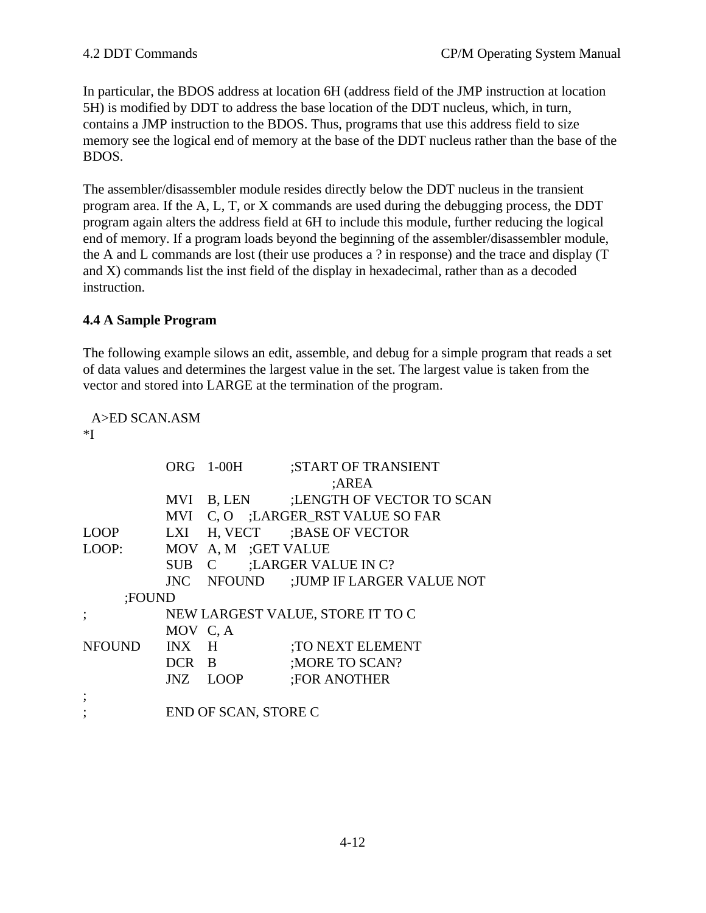In particular, the BDOS address at location 6H (address field of the JMP instruction at location 5H) is modified by DDT to address the base location of the DDT nucleus, which, in turn, contains a JMP instruction to the BDOS. Thus, programs that use this address field to size memory see the logical end of memory at the base of the DDT nucleus rather than the base of the BDOS.

The assembler/disassembler module resides directly below the DDT nucleus in the transient program area. If the A, L, T, or X commands are used during the debugging process, the DDT program again alters the address field at 6H to include this module, further reducing the logical end of memory. If a program loads beyond the beginning of the assembler/disassembler module, the A and L commands are lost (their use produces a ? in response) and the trace and display (T and X) commands list the inst field of the display in hexadecimal, rather than as a decoded instruction.

# **4.4 A Sample Program**

The following example silows an edit, assemble, and debug for a simple program that reads a set of data values and determines the largest value in the set. The largest value is taken from the vector and stored into LARGE at the termination of the program.

A>ED SCAN.ASM \*I

|        |          | ORG 1-00H                          | ;START OF TRANSIENT     |       |                                      |  |
|--------|----------|------------------------------------|-------------------------|-------|--------------------------------------|--|
|        |          |                                    |                         | ;AREA |                                      |  |
|        |          |                                    |                         |       | MVI B, LEN :LENGTH OF VECTOR TO SCAN |  |
|        |          | MVI C, O ; LARGER RST VALUE SO FAR |                         |       |                                      |  |
| LOOP   | LXI      |                                    | H, VECT :BASE OF VECTOR |       |                                      |  |
| LOOP:  | MOV      | A, M ;GET VALUE                    |                         |       |                                      |  |
|        |          | SUB C :LARGER VALUE IN C?          |                         |       |                                      |  |
|        |          |                                    |                         |       | JNC NFOUND :JUMP IF LARGER VALUE NOT |  |
| ;FOUND |          |                                    |                         |       |                                      |  |
|        |          | NEW LARGEST VALUE, STORE IT TO C   |                         |       |                                      |  |
|        | MOV C, A |                                    |                         |       |                                      |  |
| NFOUND | INX H    |                                    | TO NEXT ELEMENT:        |       |                                      |  |
|        | DCR B    |                                    | ; MORE TO SCAN?         |       |                                      |  |
|        |          | JNZ LOOP                           | <b>FOR ANOTHER</b>      |       |                                      |  |
|        |          |                                    |                         |       |                                      |  |
|        |          | END OF SCAN, STORE C               |                         |       |                                      |  |
|        |          |                                    |                         |       |                                      |  |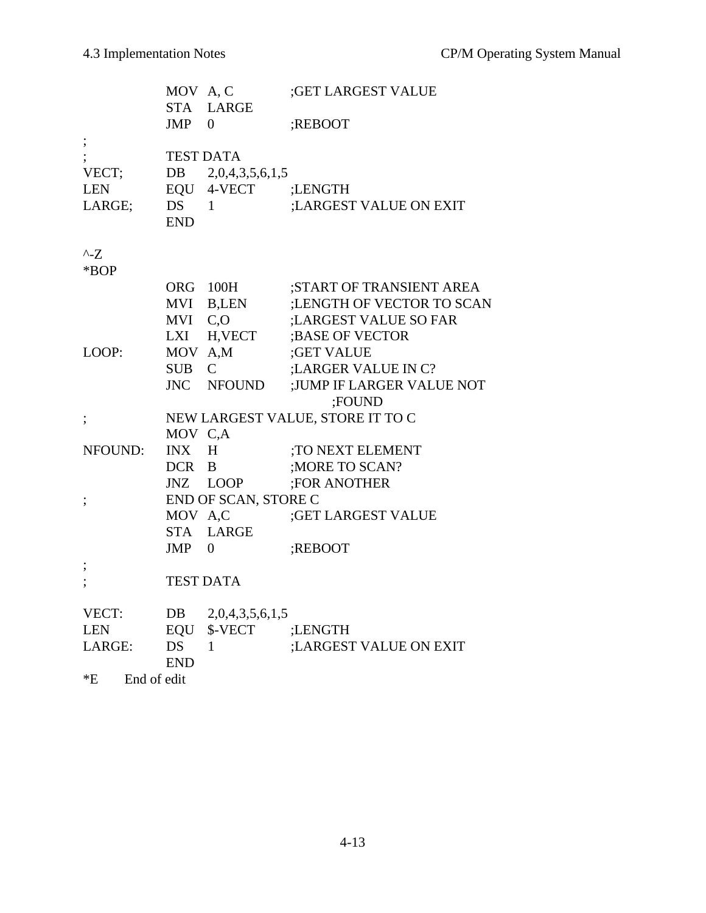|                       | MOV A, C<br><b>STA</b> | <b>LARGE</b>         | ;GET LARGEST VALUE               |
|-----------------------|------------------------|----------------------|----------------------------------|
|                       | <b>JMP</b>             | 0                    | ;REBOOT                          |
| $\ddot{\phantom{0}},$ |                        |                      |                                  |
|                       |                        | <b>TEST DATA</b>     |                                  |
| VECT;                 | DB                     | 2,0,4,3,5,6,1,5      |                                  |
| <b>LEN</b>            | EQU                    | 4-VECT               | ;LENGTH                          |
| LARGE;                | <b>DS</b>              | 1                    | ;LARGEST VALUE ON EXIT           |
|                       | <b>END</b>             |                      |                                  |
| $^{\wedge}$ -Z        |                        |                      |                                  |
| *BOP                  |                        |                      |                                  |
|                       |                        | ORG 100H             | ;START OF TRANSIENT AREA         |
|                       | MVI                    | B,LEN                | ;LENGTH OF VECTOR TO SCAN        |
|                       | MVI                    | C, O                 | ;LARGEST VALUE SO FAR            |
|                       | LXI                    | H, VECT              | ;BASE OF VECTOR                  |
| LOOP:                 | MOV A,M                |                      | ;GET VALUE                       |
|                       | <b>SUB</b>             | $\mathsf{C}$         | ;LARGER VALUE IN C?              |
|                       | <b>JNC</b>             | <b>NFOUND</b>        | ;JUMP IF LARGER VALUE NOT        |
|                       |                        |                      | ;FOUND                           |
| $\vdots$              |                        |                      | NEW LARGEST VALUE, STORE IT TO C |
|                       | MOV C,A                |                      |                                  |
| NFOUND:               | <b>INX</b>             | H                    | ;TO NEXT ELEMENT                 |
|                       | DCR B                  |                      | ;MORE TO SCAN?                   |
|                       |                        | JNZ LOOP             | ;FOR ANOTHER                     |
| $\vdots$              |                        | END OF SCAN, STORE C |                                  |
|                       | MOV A,C                |                      | ;GET LARGEST VALUE               |
|                       |                        | STA LARGE            |                                  |
|                       | JMP                    | 0                    | ;REBOOT                          |
|                       |                        |                      |                                  |
|                       |                        | <b>TEST DATA</b>     |                                  |
| VECT:                 | DB                     | 2,0,4,3,5,6,1,5      |                                  |
| <b>LEN</b>            | EQU                    | \$-VECT              | ;LENGTH                          |
| LARGE:                | <b>DS</b>              | 1                    | ;LARGEST VALUE ON EXIT           |
|                       | <b>END</b>             |                      |                                  |
| $E^*E$<br>End of edit |                        |                      |                                  |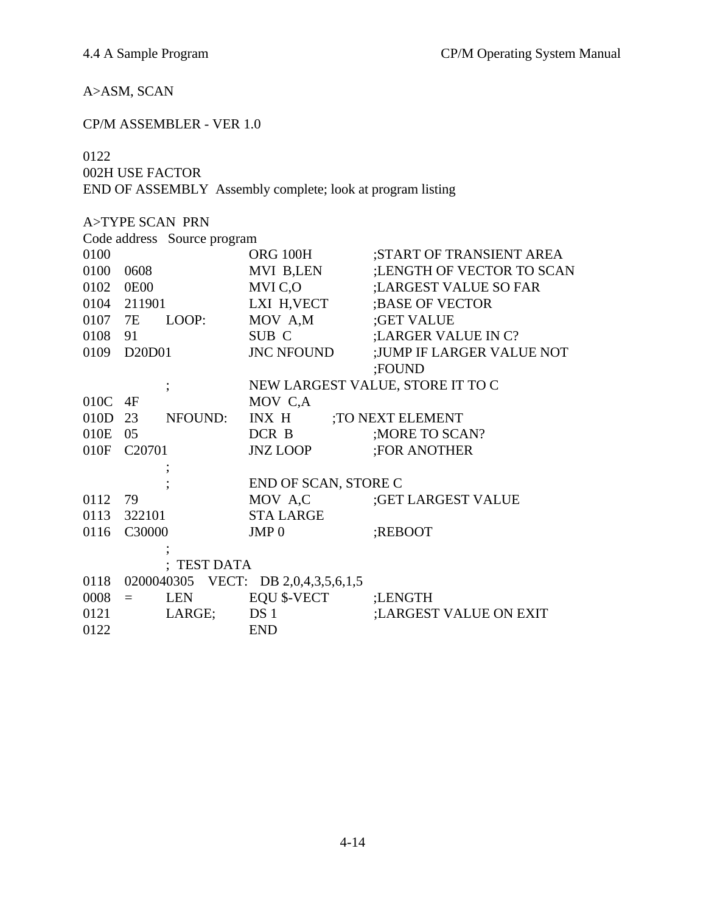# A>ASM, SCAN

# CP/M ASSEMBLER - VER 1.0

# 0122

002H USE FACTOR

END OF ASSEMBLY Assembly complete; look at program listing

|         |                                 | <b>A&gt;TYPE SCAN PRN</b>   |                                     |                                  |
|---------|---------------------------------|-----------------------------|-------------------------------------|----------------------------------|
|         |                                 | Code address Source program |                                     |                                  |
| 0100    |                                 |                             | ORG 100H                            | ;START OF TRANSIENT AREA         |
| 0100    | 0608                            |                             | MVI B,LEN                           | ;LENGTH OF VECTOR TO SCAN        |
| 0102    | <b>0E00</b>                     |                             | MVI C,O                             | ;LARGEST VALUE SO FAR            |
|         | 0104 211901                     |                             | LXI H, VECT                         | ; BASE OF VECTOR                 |
| 0107 7E |                                 | LOOP:                       | MOV A,M                             | ;GET VALUE                       |
| 0108    | - 91                            |                             | SUB C                               | ; LARGER VALUE IN C?             |
| 0109    | D <sub>20</sub> D <sub>01</sub> |                             | <b>JNC NFOUND</b>                   | ;JUMP IF LARGER VALUE NOT        |
|         |                                 |                             |                                     | ;FOUND                           |
|         |                                 | $\overline{\phantom{a}}$    |                                     | NEW LARGEST VALUE, STORE IT TO C |
| 010C    | 4F                              |                             | MOV C,A                             |                                  |
| 010D    | 23                              | NFOUND:                     | INX H                               | TO NEXT ELEMENT                  |
| 010E    | - 05                            |                             | DCR B                               | ; MORE TO SCAN?                  |
| 010F    | C <sub>20701</sub>              |                             | JNZ LOOP                            | <b>:FOR ANOTHER</b>              |
|         |                                 |                             |                                     |                                  |
|         |                                 |                             | END OF SCAN, STORE C                |                                  |
| 0112    | 79                              |                             | MOV A,C                             | ;GET LARGEST VALUE               |
| 0113    | 322101                          |                             | <b>STA LARGE</b>                    |                                  |
| 0116    | C30000                          |                             | JMP <sub>0</sub>                    | ;REBOOT                          |
|         |                                 |                             |                                     |                                  |
|         |                                 | <b>TEST DATA</b>            |                                     |                                  |
| 0118    |                                 |                             | 0200040305 VECT: DB 2,0,4,3,5,6,1,5 |                                  |
| 0008    | $=$                             | <b>LEN</b>                  | EQU \$-VECT                         | ;LENGTH                          |
| 0121    |                                 | LARGE;                      | DS <sub>1</sub>                     | ;LARGEST VALUE ON EXIT           |
| 0122    |                                 |                             | <b>END</b>                          |                                  |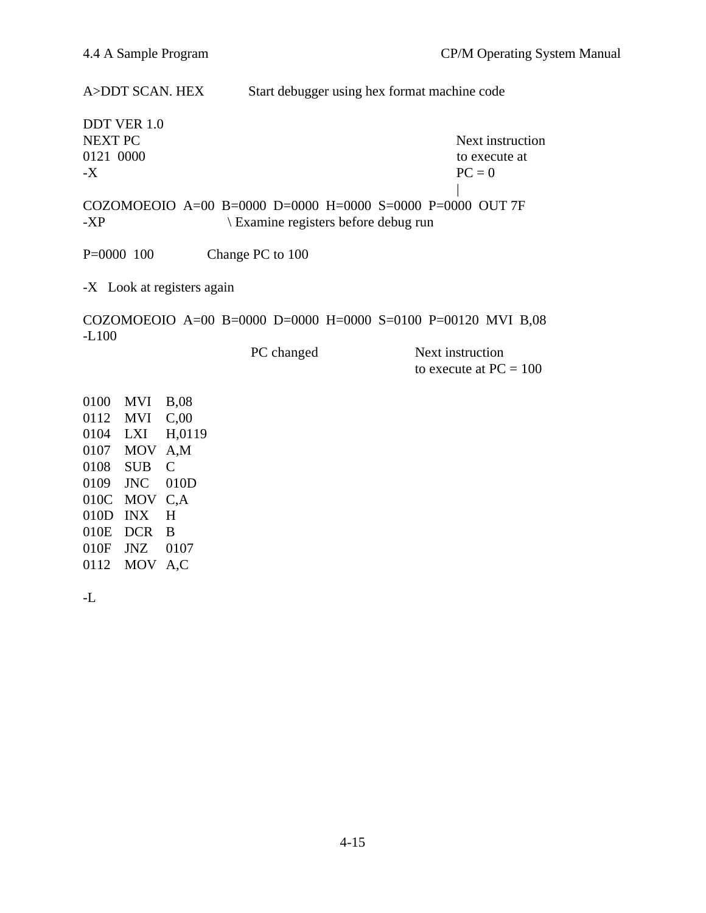A>DDT SCAN. HEX Start debugger using hex format machine code

DDT VER 1.0 0121 0000 to execute at the second state at the second state at the second state at the second state at the second state at the second state at the second state at the second state at the second state at the second state a  $\mathbf{PC} = 0$ 

NEXT PC Next instruction

| COZOMOEOIO A=00 B=0000 D=0000 H=0000 S=0000 P=0000 OUT 7F -XP \ Examine registers before debug run

P=0000 100 Change PC to 100

-X Look at registers again

COZOMOEOIO A=00 B=0000 D=0000 H=0000 S=0100 P=00120 MVI B,08 -L100

PC changed Next instruction to execute at  $PC = 100$ 

0100 MVI B,08 0112 MVI C,00 0104 LXI H,0119 0107 MOV A,M 0108 SUB C 0109 JNC 010D 010C MOV C,A 010D INX H 010E DCR B 010F JNZ 0107 0112 MOV A,C

-L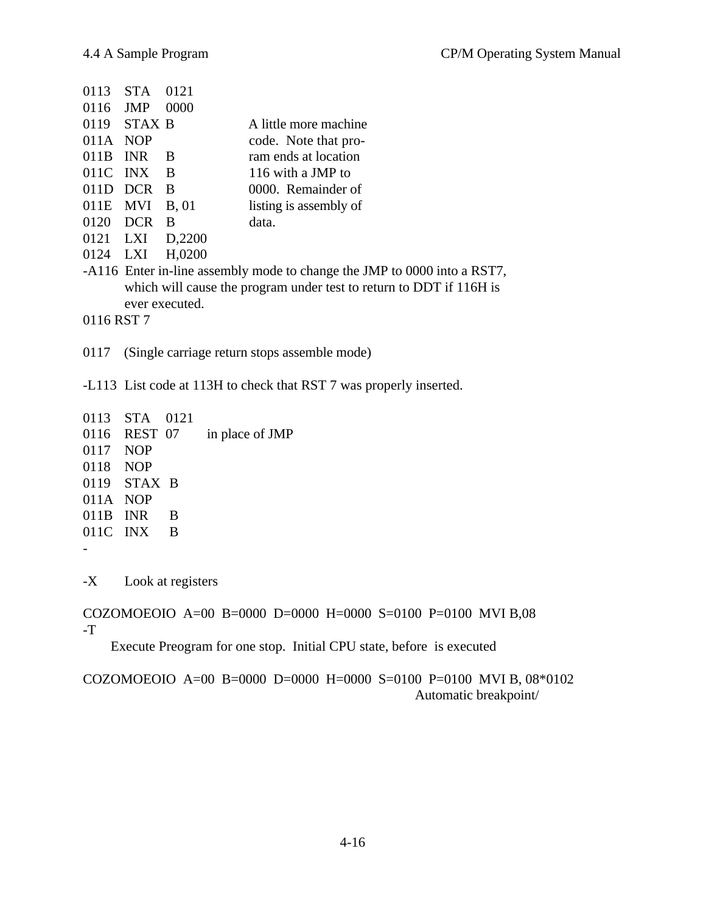| 0113       | <b>STA</b>    | 0121               |                                                                          |
|------------|---------------|--------------------|--------------------------------------------------------------------------|
| 0116       | <b>JMP</b>    | 0000               |                                                                          |
|            | $0119$ STAX B |                    | A little more machine                                                    |
| 011A NOP   |               |                    | code. Note that pro-                                                     |
| 011B       | <b>INR</b>    | <sup>B</sup>       | ram ends at location                                                     |
| 011C       | INX           | $\overline{B}$     | 116 with a JMP to                                                        |
| 011D       | <b>DCR</b>    | -B                 | 0000. Remainder of                                                       |
| 011E MVI   |               | B, 01              | listing is assembly of                                                   |
| 0120       | <b>DCR</b>    | - B                | data.                                                                    |
| 0121 LXI   |               | D <sub>2200</sub>  |                                                                          |
| 0124 LXI   |               | H <sub>,0200</sub> |                                                                          |
|            |               |                    | -A116 Enter in-line assembly mode to change the JMP to 0000 into a RST7, |
|            |               |                    | which will cause the program under test to return to DDT if 116H is      |
|            |               | ever executed.     |                                                                          |
| 0116 RST 7 |               |                    |                                                                          |

0117 (Single carriage return stops assemble mode)

-L113 List code at 113H to check that RST 7 was properly inserted.

0113 STA 0121 0116 REST 07 in place of JMP 0117 NOP 0118 NOP 0119 STAX B 011A NOP 011B INR B 011C INX B -

-X Look at registers

COZOMOEOIO A=00 B=0000 D=0000 H=0000 S=0100 P=0100 MVI B,08 -T

Execute Preogram for one stop. Initial CPU state, before is executed

# COZOMOEOIO A=00 B=0000 D=0000 H=0000 S=0100 P=0100 MVI B, 08\*0102 Automatic breakpoint/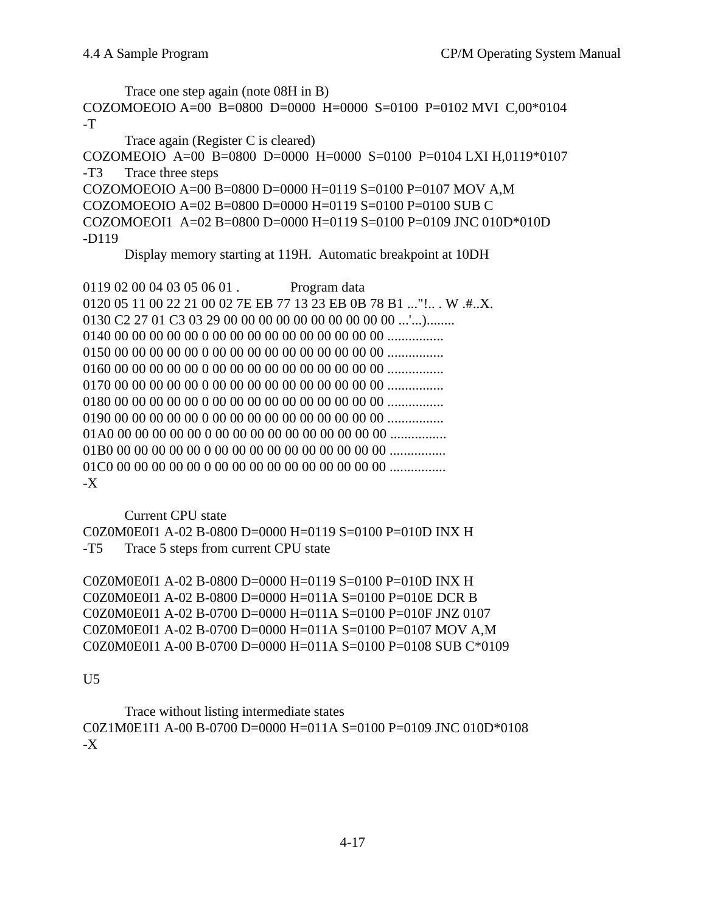```
Trace one step again (note 08H in B)
COZOMOEOIO A=00 B=0800 D=0000 H=0000 S=0100 P=0102 MVI C,00*0104
-TTrace again (Register C is cleared)
COZOMEOIO A=00 B=0800 D=0000 H=0000 S=0100 P=0104 LXI H,0119*0107
-T3 Trace three steps
COZOMOEOIO A=00 B=0800 D=0000 H=0119 S=0100 P=0107 MOV A,M
COZOMOEOIO A=02 B=0800 D=0000 H=0119 S=0100 P=0100 SUB C
COZOMOEOI1 A=02 B=0800 D=0000 H=0119 S=0100 P=0109 JNC 010D*010D
-D119
```
Display memory starting at 119H. Automatic breakpoint at 10DH

0119 02 00 04 03 05 06 01 . Program data 0120 05 11 00 22 21 00 02 7E EB 77 13 23 EB 0B 78 B1 ..." !.. . W .#..X. 0130 C2 27 01 C3 03 29 00 00 00 00 00 00 00 00 00 00 ...'...)........ 0140 00 00 00 00 00 0 00 00 00 00 00 00 00 00 00 00 ................ 0150 00 00 00 00 00 0 00 00 00 00 00 00 00 00 00 00 ................ 0160 00 00 00 00 00 0 00 00 00 00 00 00 00 00 00 00 ................ 0170 00 00 00 00 00 0 00 00 00 00 00 00 00 00 00 00 ................ 0180 00 00 00 00 00 0 00 00 00 00 00 00 00 00 00 00 ................ 0190 00 00 00 00 00 0 00 00 00 00 00 00 00 00 00 00 ................ 01A0 00 00 00 00 00 0 00 00 00 00 00 00 00 00 00 00 ................ 01B0 00 00 00 00 00 0 00 00 00 00 00 00 00 00 00 00 ................ 01C0 00 00 00 00 00 0 00 00 00 00 00 00 00 00 00 00 ................ -X

Current CPU state C0Z0M0E0I1 A-02 B-0800 D=0000 H=0119 S=0100 P=010D INX H -T5 Trace 5 steps from current CPU state

C0Z0M0E0I1 A-02 B-0800 D=0000 H=0119 S=0100 P=010D INX H C0Z0M0E0I1 A-02 B-0800 D=0000 H=011A S=0100 P=010E DCR B C0Z0M0E0I1 A-02 B-0700 D=0000 H=011A S=0100 P=010F JNZ 0107 C0Z0M0E0I1 A-02 B-0700 D=0000 H=011A S=0100 P=0107 MOV A,M C0Z0M0E0I1 A-00 B-0700 D=0000 H=011A S=0100 P=0108 SUB C\*0109

### U5

Trace without listing intermediate states C0Z1M0E1I1 A-00 B-0700 D=0000 H=011A S=0100 P=0109 JNC 010D\*0108 -X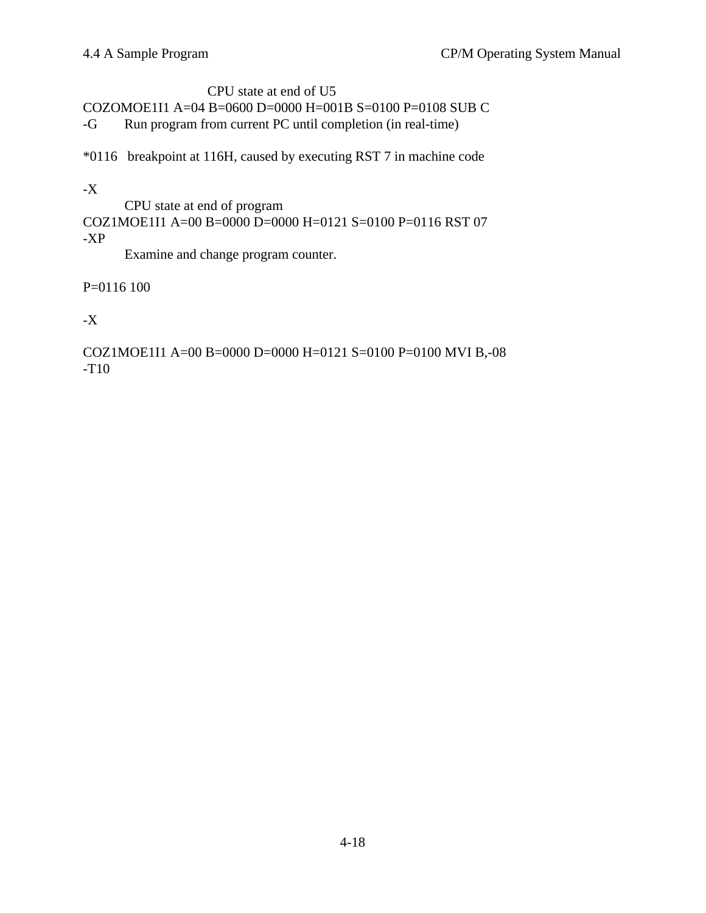# CPU state at end of U5 COZOMOE1I1 A=04 B=0600 D=0000 H=001B S=0100 P=0108 SUB C -G Run program from current PC until completion (in real-time)

\*0116 breakpoint at 116H, caused by executing RST 7 in machine code

# -X

CPU state at end of program COZ1MOE1I1 A=00 B=0000 D=0000 H=0121 S=0100 P=0116 RST 07 -XP

Examine and change program counter.

# P=0116 100

# $-X$

COZ1MOE1I1 A=00 B=0000 D=0000 H=0121 S=0100 P=0100 MVI B,-08 -T10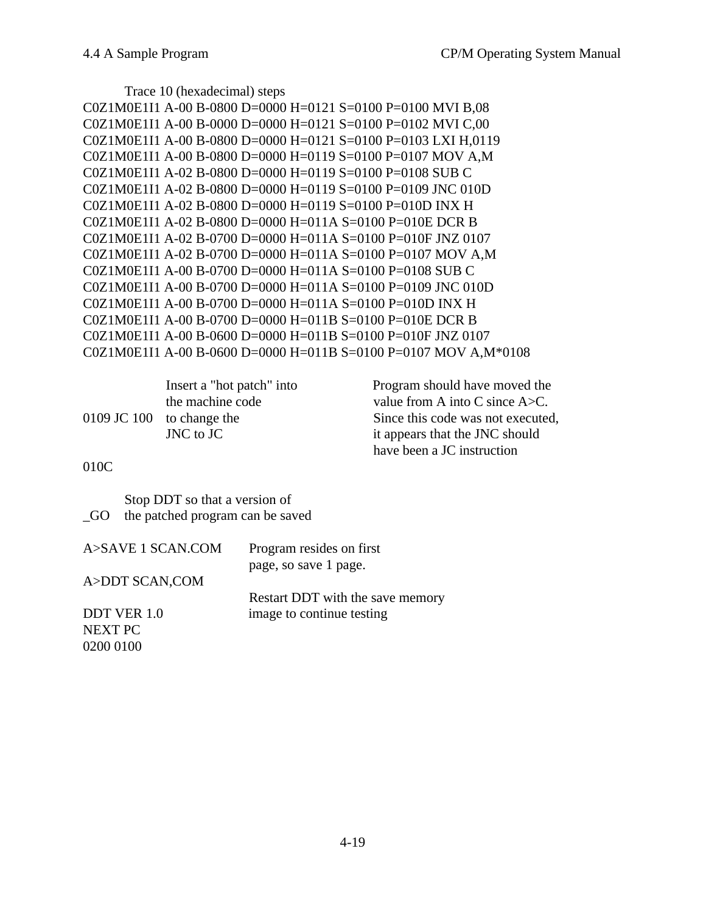Trace 10 (hexadecimal) steps

```
C0Z1M0E1I1 A-00 B-0800 D=0000 H=0121 S=0100 P=0100 MVI B,08
C0Z1M0E1I1 A-00 B-0000 D=0000 H=0121 S=0100 P=0102 MVI C,00
C0Z1M0E1I1 A-00 B-0800 D=0000 H=0121 S=0100 P=0103 LXI H,0119
C0Z1M0E1I1 A-00 B-0800 D=0000 H=0119 S=0100 P=0107 MOV A,M
C0Z1M0E1I1 A-02 B-0800 D=0000 H=0119 S=0100 P=0108 SUB C
C0Z1M0E1I1 A-02 B-0800 D=0000 H=0119 S=0100 P=0109 JNC 010D
C0Z1M0E1I1 A-02 B-0800 D=0000 H=0119 S=0100 P=010D INX H
C0Z1M0E1I1 A-02 B-0800 D=0000 H=011A S=0100 P=010E DCR B
C0Z1M0E1I1 A-02 B-0700 D=0000 H=011A S=0100 P=010F JNZ 0107
C0Z1M0E1I1 A-02 B-0700 D=0000 H=011A S=0100 P=0107 MOV A,M
C0Z1M0E1I1 A-00 B-0700 D=0000 H=011A S=0100 P=0108 SUB C
C0Z1M0E1I1 A-00 B-0700 D=0000 H=011A S=0100 P=0109 JNC 010D
C0Z1M0E1I1 A-00 B-0700 D=0000 H=011A S=0100 P=010D INX H
C0Z1M0E1I1 A-00 B-0700 D=0000 H=011B S=0100 P=010E DCR B
C0Z1M0E1I1 A-00 B-0600 D=0000 H=011B S=0100 P=010F JNZ 0107
C0Z1M0E1I1 A-00 B-0600 D=0000 H=011B S=0100 P=0107 MOV A,M*0108
```

| Insert a "hot patch" into | Program should have moved the       |
|---------------------------|-------------------------------------|
| the machine code          | value from A into C since $A > C$ . |
| 0109 JC 100 to change the | Since this code was not executed,   |
| JNC to JC                 | it appears that the JNC should      |
|                           | have been a JC instruction          |

010C

Stop DDT so that a version of \_GO the patched program can be saved

| A>SAVE 1 SCAN.COM | Program resides on first         |
|-------------------|----------------------------------|
|                   | page, so save 1 page.            |
| A>DDT SCAN,COM    |                                  |
|                   | Restart DDT with the save memory |
| DDT VER 1.0       | image to continue testing        |
| <b>NEXT PC</b>    |                                  |
| 0200 0100         |                                  |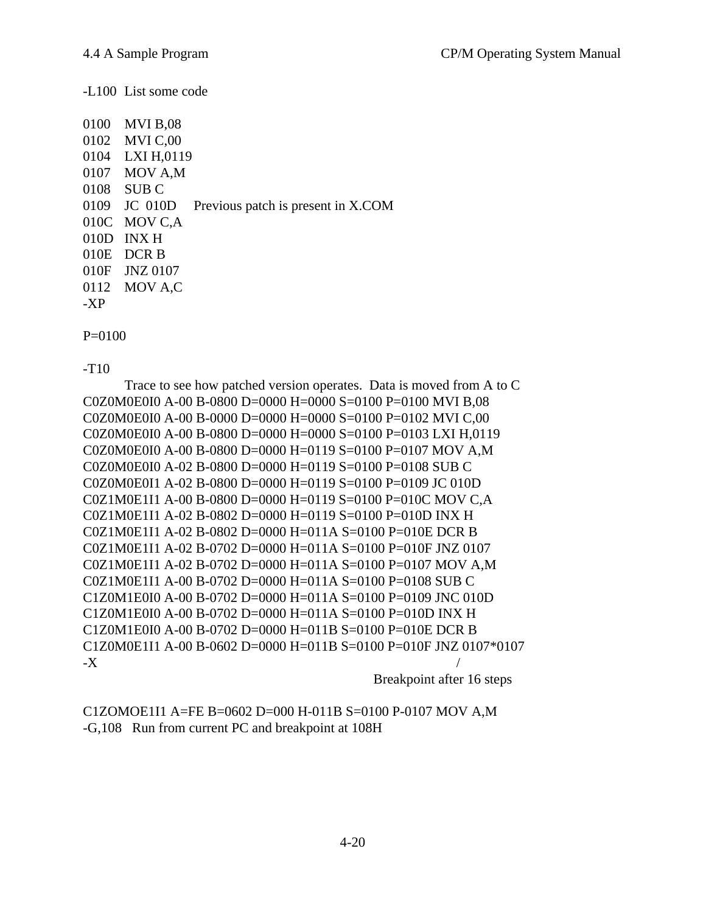-L100 List some code

|     | 0100 MVI B,08   |                                    |
|-----|-----------------|------------------------------------|
|     | 0102 MVI C,00   |                                    |
|     | 0104 LXI H,0119 |                                    |
|     | 0107 MOV A,M    |                                    |
|     | 0108 SUB C      |                                    |
|     | 0109 JC 010D    | Previous patch is present in X.COM |
|     | 010C MOV C,A    |                                    |
|     | 010D INXH       |                                    |
|     | 010E DCR B      |                                    |
|     | 010F JNZ 0107   |                                    |
|     | 0112 MOV A,C    |                                    |
| -XP |                 |                                    |
|     |                 |                                    |

P=0100

-T10

Trace to see how patched version operates. Data is moved from A to C C0Z0M0E0I0 A-00 B-0800 D=0000 H=0000 S=0100 P=0100 MVI B,08 C0Z0M0E0I0 A-00 B-0000 D=0000 H=0000 S=0100 P=0102 MVI C,00 C0Z0M0E0I0 A-00 B-0800 D=0000 H=0000 S=0100 P=0103 LXI H,0119 C0Z0M0E0I0 A-00 B-0800 D=0000 H=0119 S=0100 P=0107 MOV A,M C0Z0M0E0I0 A-02 B-0800 D=0000 H=0119 S=0100 P=0108 SUB C C0Z0M0E0I1 A-02 B-0800 D=0000 H=0119 S=0100 P=0109 JC 010D C0Z1M0E1I1 A-00 B-0800 D=0000 H=0119 S=0100 P=010C MOV C,A C0Z1M0E1I1 A-02 B-0802 D=0000 H=0119 S=0100 P=010D INX H C0Z1M0E1I1 A-02 B-0802 D=0000 H=011A S=0100 P=010E DCR B C0Z1M0E1I1 A-02 B-0702 D=0000 H=011A S=0100 P=010F JNZ 0107 C0Z1M0E1I1 A-02 B-0702 D=0000 H=011A S=0100 P=0107 MOV A,M C0Z1M0E1I1 A-00 B-0702 D=0000 H=011A S=0100 P=0108 SUB C C1Z0M1E0I0 A-00 B-0702 D=0000 H=011A S=0100 P=0109 JNC 010D C1Z0M1E0I0 A-00 B-0702 D=0000 H=011A S=0100 P=010D INX H C1Z0M1E0I0 A-00 B-0702 D=0000 H=011B S=0100 P=010E DCR B C1Z0M0E1I1 A-00 B-0602 D=0000 H=011B S=0100 P=010F JNZ 0107\*0107  $-X$ 

Breakpoint after 16 steps

C1ZOMOE1I1 A=FE B=0602 D=000 H-011B S=0100 P-0107 MOV A,M -G,108 Run from current PC and breakpoint at 108H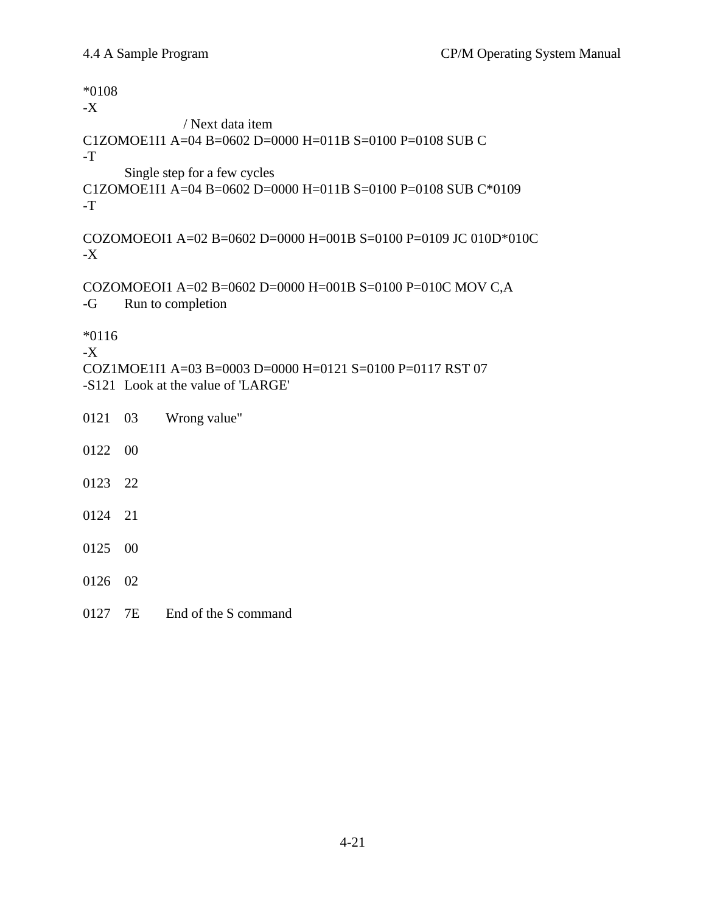\*0108 -X / Next data item C1ZOMOE1I1 A=04 B=0602 D=0000 H=011B S=0100 P=0108 SUB C -T Single step for a few cycles C1ZOMOE1I1 A=04 B=0602 D=0000 H=011B S=0100 P=0108 SUB C\*0109 -T COZOMOEOI1 A=02 B=0602 D=0000 H=001B S=0100 P=0109 JC 010D\*010C -X COZOMOEOI1 A=02 B=0602 D=0000 H=001B S=0100 P=010C MOV C,A -G Run to completion \*0116 -X COZ1MOE1I1 A=03 B=0003 D=0000 H=0121 S=0100 P=0117 RST 07 -S121 Look at the value of 'LARGE' 0121 03 Wrong value" 0122 00 0123 22 0124 21 0125 00 0126 02 0127 7E End of the S command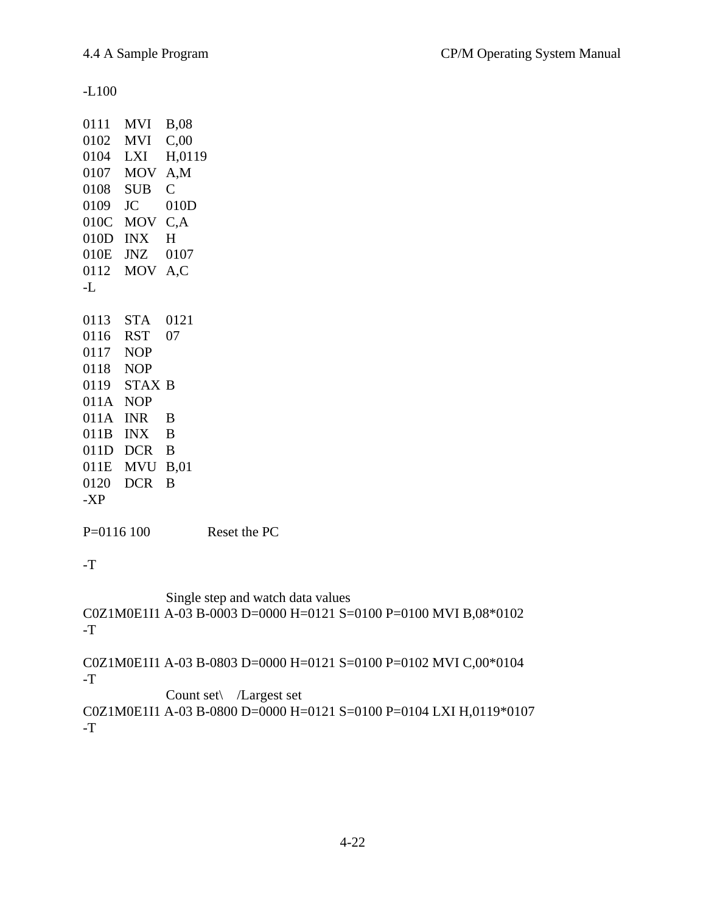-L100

|          | 0111 MVI      | <b>B,08</b>     |
|----------|---------------|-----------------|
|          | 0102 MVI      | C,00            |
| 0104 LXI |               | H,0119          |
|          | 0107 MOV      | A,M             |
|          | 0108 SUB C    |                 |
| 0109 JC  |               | 010D            |
|          | 010C MOV C,A  |                 |
|          | $010D$ INX    | $H_{\parallel}$ |
|          | 010E JNZ 0107 |                 |
|          | 0112 MOV A,C  |                 |
| -L       |               |                 |
|          |               |                 |
|          | 0113 STA 0121 |                 |
| 0116 RST |               | 07              |
| 0117 NOP |               |                 |
| 0118 NOP |               |                 |
|          | 0119 STAX B   |                 |
| 011A NOP |               |                 |
|          | 011A INR      | B               |
|          | 011B INX B    |                 |
|          | 011D DCR B    |                 |
|          | 011E MVU B,01 |                 |
|          | 0120 DCR      | B               |
|          |               |                 |
| -XP      |               |                 |

P=0116 100 Reset the PC

-T

Single step and watch data values C0Z1M0E1I1 A-03 B-0003 D=0000 H=0121 S=0100 P=0100 MVI B,08\*0102 -T

C0Z1M0E1I1 A-03 B-0803 D=0000 H=0121 S=0100 P=0102 MVI C,00\*0104 -T

Count set\ /Largest set C0Z1M0E1I1 A-03 B-0800 D=0000 H=0121 S=0100 P=0104 LXI H,0119\*0107 -T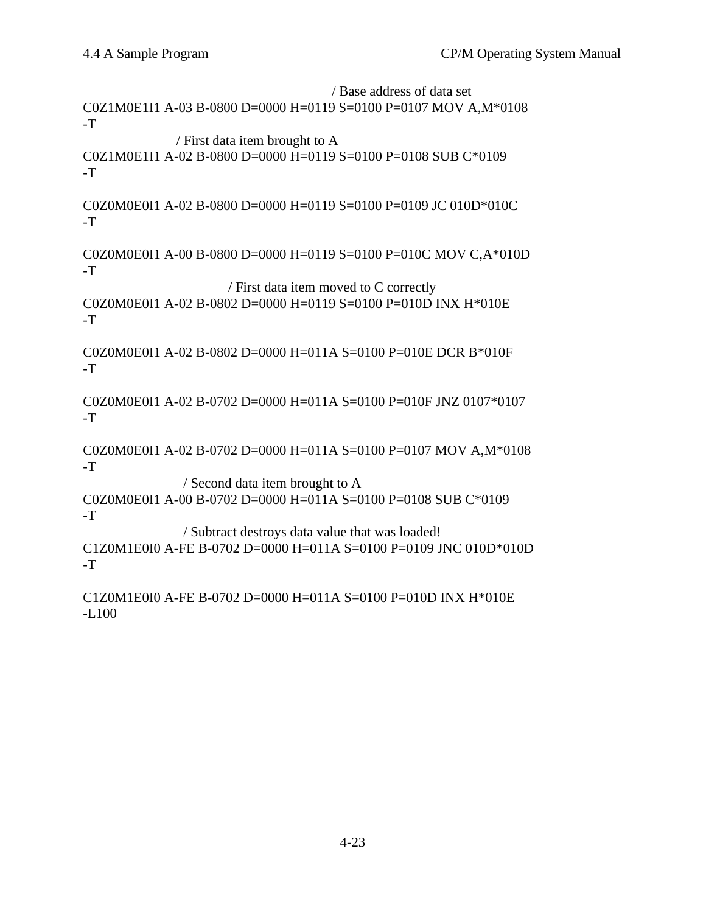/ Base address of data set C0Z1M0E1I1 A-03 B-0800 D=0000 H=0119 S=0100 P=0107 MOV A,M\*0108 -T / First data item brought to A C0Z1M0E1I1 A-02 B-0800 D=0000 H=0119 S=0100 P=0108 SUB C\*0109 -T C0Z0M0E0I1 A-02 B-0800 D=0000 H=0119 S=0100 P=0109 JC 010D\*010C -T C0Z0M0E0I1 A-00 B-0800 D=0000 H=0119 S=0100 P=010C MOV C,A\*010D -T / First data item moved to C correctly C0Z0M0E0I1 A-02 B-0802 D=0000 H=0119 S=0100 P=010D INX H\*010E  $-T$ C0Z0M0E0I1 A-02 B-0802 D=0000 H=011A S=0100 P=010E DCR B\*010F -T C0Z0M0E0I1 A-02 B-0702 D=0000 H=011A S=0100 P=010F JNZ 0107\*0107 -T C0Z0M0E0I1 A-02 B-0702 D=0000 H=011A S=0100 P=0107 MOV A,M\*0108 -T / Second data item brought to A C0Z0M0E0I1 A-00 B-0702 D=0000 H=011A S=0100 P=0108 SUB C\*0109 -T / Subtract destroys data value that was loaded! C1Z0M1E0I0 A-FE B-0702 D=0000 H=011A S=0100 P=0109 JNC 010D\*010D -T C1Z0M1E0I0 A-FE B-0702 D=0000 H=011A S=0100 P=010D INX H\*010E -L100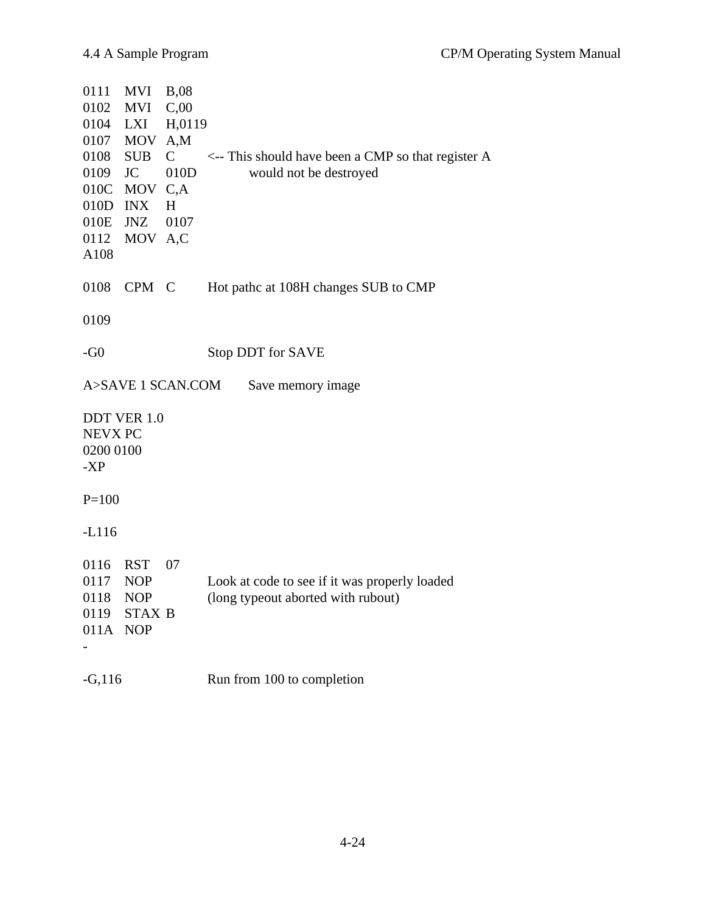| 0111<br>MVI<br>0102<br>0104<br>0107<br>0108<br><b>SUB</b><br>0109<br><b>JC</b><br>010C<br>010D<br><b>INX</b><br>010E<br>JNZ<br>0112<br>A108 | $MVI$ B,08<br>C,00<br>H,0119<br>LXI<br>MOV<br>A,M<br>$\mathcal{C}$<br>010D<br>MOV<br>C, A<br>H<br>0107<br>MOV A,C | $\leftarrow$ This should have been a CMP so that register A<br>would not be destroyed |
|---------------------------------------------------------------------------------------------------------------------------------------------|-------------------------------------------------------------------------------------------------------------------|---------------------------------------------------------------------------------------|
| 0108                                                                                                                                        | CPM C                                                                                                             | Hot pathc at 108H changes SUB to CMP                                                  |
| 0109                                                                                                                                        |                                                                                                                   |                                                                                       |
| $-G0$                                                                                                                                       |                                                                                                                   | Stop DDT for SAVE                                                                     |
|                                                                                                                                             | A>SAVE 1 SCAN.COM                                                                                                 | Save memory image                                                                     |
| <b>DDT VER 1.0</b><br><b>NEVX PC</b><br>0200 0100<br>$-XP$                                                                                  |                                                                                                                   |                                                                                       |
| $P = 100$                                                                                                                                   |                                                                                                                   |                                                                                       |
| $-L116$                                                                                                                                     |                                                                                                                   |                                                                                       |
| 0116<br><b>RST</b><br>0117<br><b>NOP</b><br>0118<br><b>NOP</b><br>0119<br>011A<br><b>NOP</b>                                                | 07<br><b>STAX B</b>                                                                                               | Look at code to see if it was properly loaded<br>(long typeout aborted with rubout)   |
| $-G, 116$                                                                                                                                   |                                                                                                                   | Run from 100 to completion                                                            |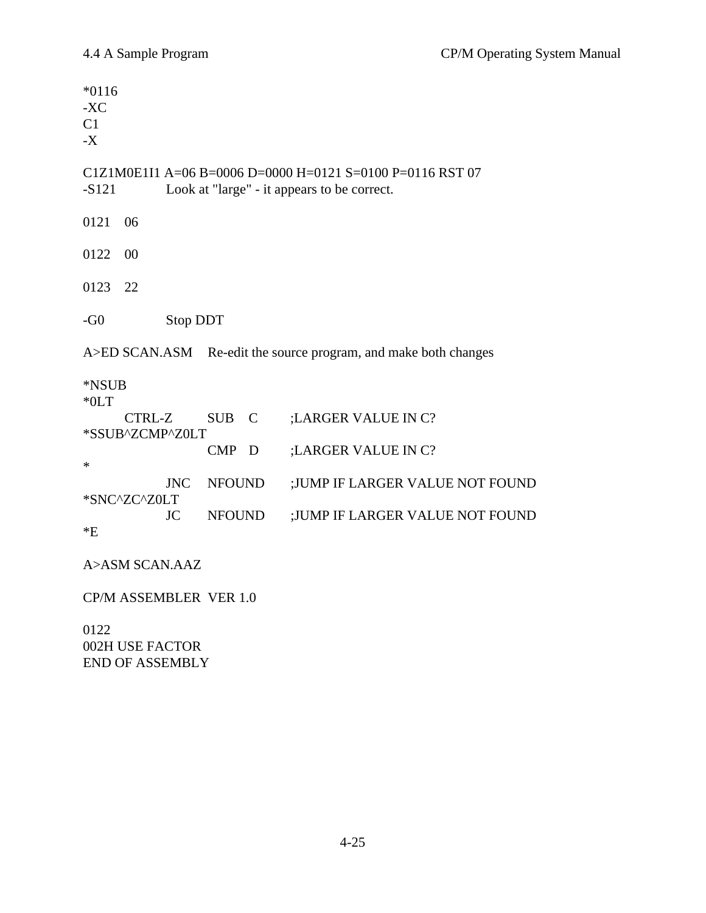\*0116 -XC  $C1$ -X C1Z1M0E1I1 A=06 B=0006 D=0000 H=0121 S=0100 P=0116 RST 07 -S121 Look at "large" - it appears to be correct. 0121 06 0122 00 0123 22 -G0 Stop DDT A>ED SCAN.ASM Re-edit the source program, and make both changes \*NSUB \*0LT CTRL-Z SUB C ;LARGER VALUE IN C? \*SSUB^ZCMP^Z0LT CMP D ;LARGER VALUE IN C? \* JNC NFOUND ;JUMP IF LARGER VALUE NOT FOUND \*SNC^ZC^Z0LT JC NFOUND ;JUMP IF LARGER VALUE NOT FOUND  $E^*$ A>ASM SCAN.AAZ CP/M ASSEMBLER VER 1.0

0122 002H USE FACTOR END OF ASSEMBLY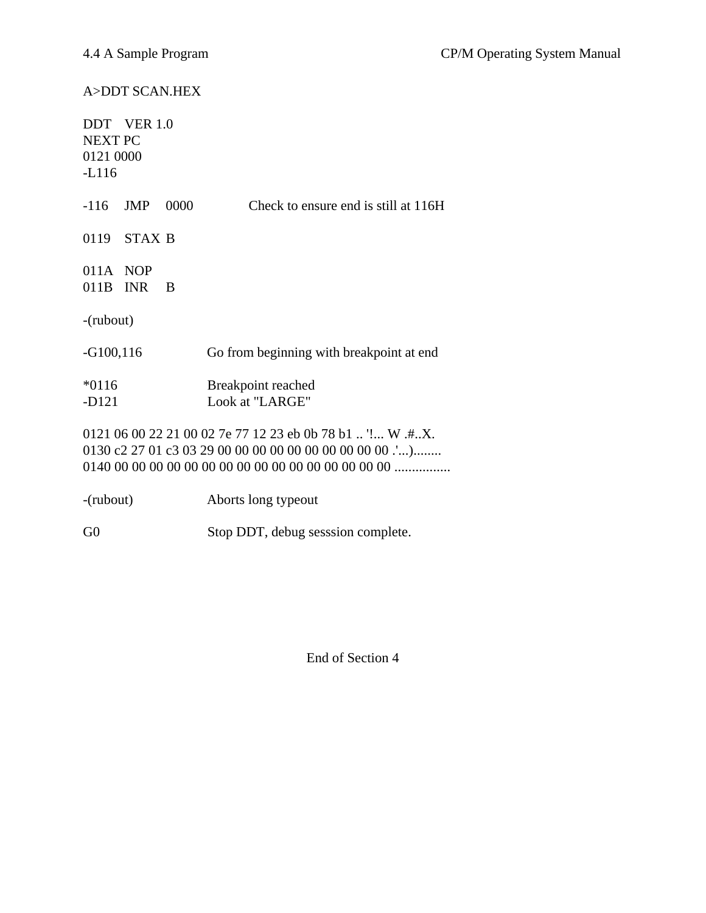# A>DDT SCAN.HEX

| <b>NEXT PC</b><br>0121 0000<br>$-L116$ | DDT VER 1.0   |      |                                                           |
|----------------------------------------|---------------|------|-----------------------------------------------------------|
| $-116$                                 | <b>JMP</b>    | 0000 | Check to ensure end is still at 116H                      |
| 0119                                   | <b>STAX B</b> |      |                                                           |
| $011A$ NOP<br>011B                     | <b>INR</b>    | B    |                                                           |
| $-(\text{rubout})$                     |               |      |                                                           |
| $-G100, 116$                           |               |      | Go from beginning with breakpoint at end                  |
| $*0116$<br>$-D121$                     |               |      | Breakpoint reached<br>Look at "LARGE"                     |
|                                        |               |      | 0121 06 00 22 21 00 02 7e 77 12 23 eb 0b 78 b1  '! W .#X. |
| $-(\text{rubout})$                     |               |      | Aborts long typeout                                       |

G0 Stop DDT, debug sesssion complete.

End of Section 4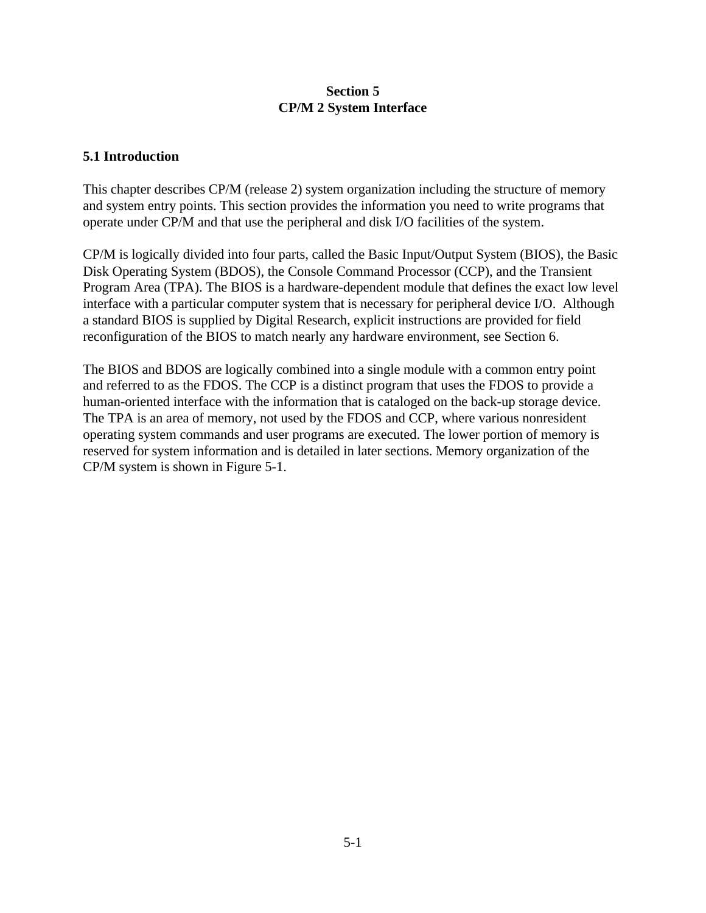#### **Section 5 CP/M 2 System Interface**

#### **5.1 Introduction**

This chapter describes CP/M (release 2) system organization including the structure of memory and system entry points. This section provides the information you need to write programs that operate under CP/M and that use the peripheral and disk I/O facilities of the system.

CP/M is logically divided into four parts, called the Basic Input/Output System (BIOS), the Basic Disk Operating System (BDOS), the Console Command Processor (CCP), and the Transient Program Area (TPA). The BIOS is a hardware-dependent module that defines the exact low level interface with a particular computer system that is necessary for peripheral device I/O. Although a standard BIOS is supplied by Digital Research, explicit instructions are provided for field reconfiguration of the BIOS to match nearly any hardware environment, see Section 6.

The BIOS and BDOS are logically combined into a single module with a common entry point and referred to as the FDOS. The CCP is a distinct program that uses the FDOS to provide a human-oriented interface with the information that is cataloged on the back-up storage device. The TPA is an area of memory, not used by the FDOS and CCP, where various nonresident operating system commands and user programs are executed. The lower portion of memory is reserved for system information and is detailed in later sections. Memory organization of the CP/M system is shown in Figure 5-1.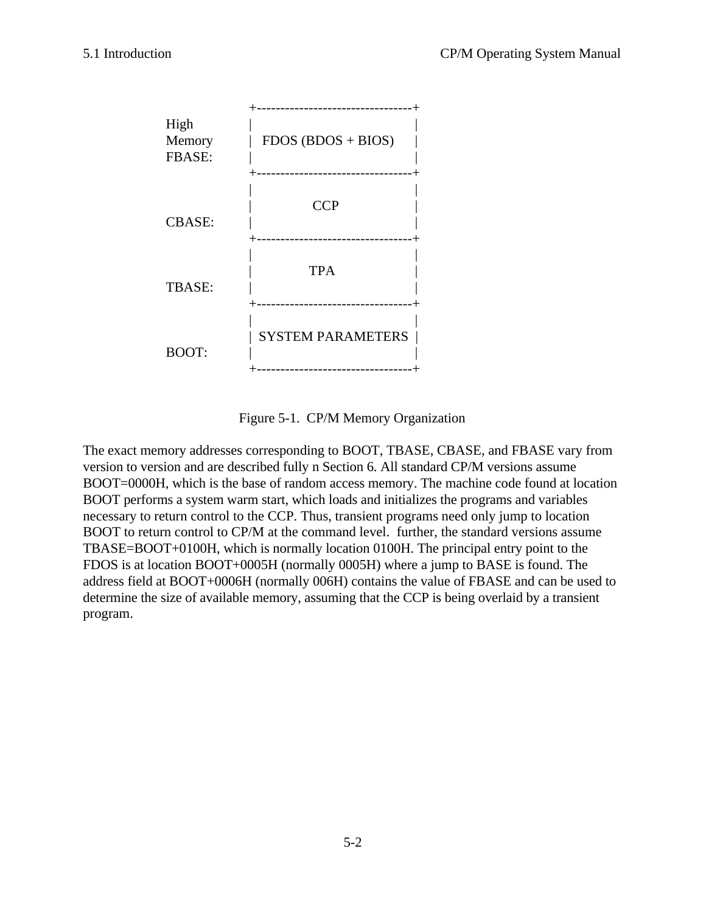

Figure 5-1. CP/M Memory Organization

The exact memory addresses corresponding to BOOT, TBASE, CBASE, and FBASE vary from version to version and are described fully n Section 6. All standard CP/M versions assume BOOT=0000H, which is the base of random access memory. The machine code found at location BOOT performs a system warm start, which loads and initializes the programs and variables necessary to return control to the CCP. Thus, transient programs need only jump to location BOOT to return control to CP/M at the command level. further, the standard versions assume TBASE=BOOT+0100H, which is normally location 0100H. The principal entry point to the FDOS is at location BOOT+0005H (normally 0005H) where a jump to BASE is found. The address field at BOOT+0006H (normally 006H) contains the value of FBASE and can be used to determine the size of available memory, assuming that the CCP is being overlaid by a transient program.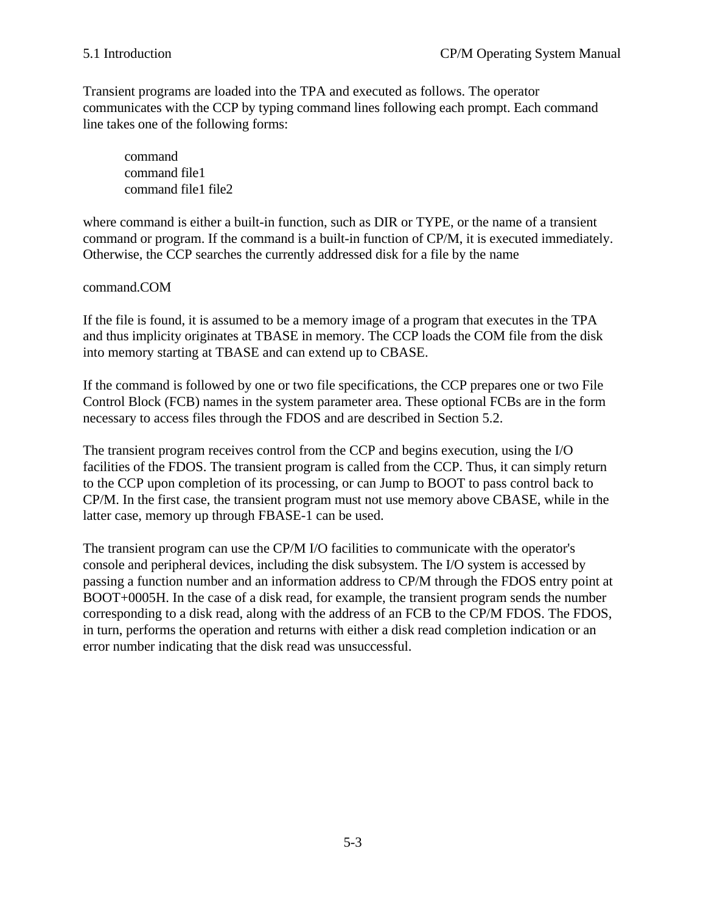Transient programs are loaded into the TPA and executed as follows. The operator communicates with the CCP by typing command lines following each prompt. Each command line takes one of the following forms:

command command file1 command file1 file2

where command is either a built-in function, such as DIR or TYPE, or the name of a transient command or program. If the command is a built-in function of CP/M, it is executed immediately. Otherwise, the CCP searches the currently addressed disk for a file by the name

command.COM

If the file is found, it is assumed to be a memory image of a program that executes in the TPA and thus implicity originates at TBASE in memory. The CCP loads the COM file from the disk into memory starting at TBASE and can extend up to CBASE.

If the command is followed by one or two file specifications, the CCP prepares one or two File Control Block (FCB) names in the system parameter area. These optional FCBs are in the form necessary to access files through the FDOS and are described in Section 5.2.

The transient program receives control from the CCP and begins execution, using the I/O facilities of the FDOS. The transient program is called from the CCP. Thus, it can simply return to the CCP upon completion of its processing, or can Jump to BOOT to pass control back to CP/M. In the first case, the transient program must not use memory above CBASE, while in the latter case, memory up through FBASE-1 can be used.

The transient program can use the CP/M I/O facilities to communicate with the operator's console and peripheral devices, including the disk subsystem. The I/O system is accessed by passing a function number and an information address to CP/M through the FDOS entry point at BOOT+0005H. In the case of a disk read, for example, the transient program sends the number corresponding to a disk read, along with the address of an FCB to the CP/M FDOS. The FDOS, in turn, performs the operation and returns with either a disk read completion indication or an error number indicating that the disk read was unsuccessful.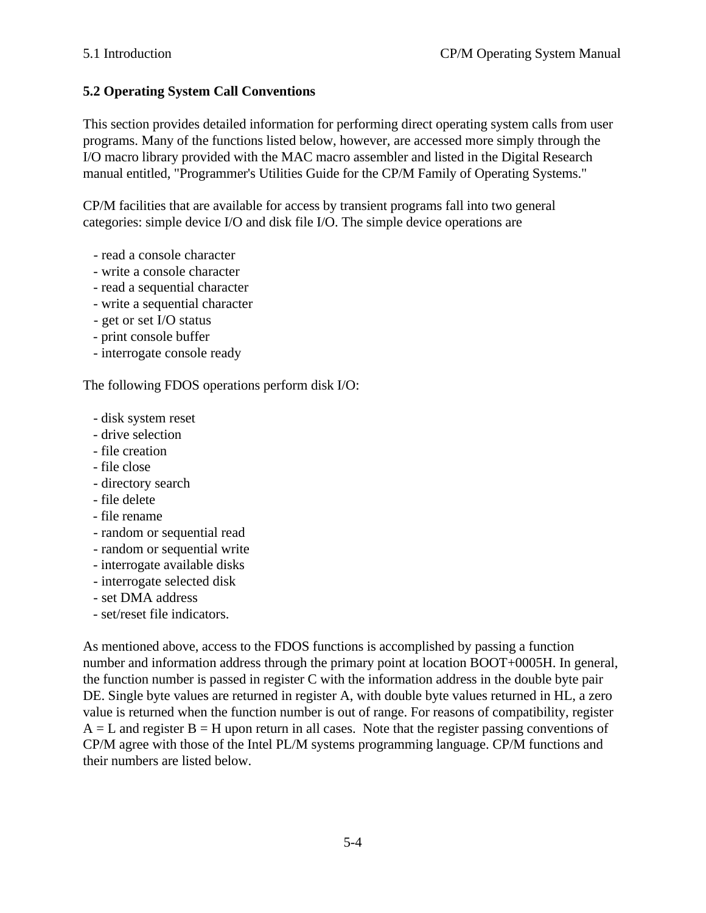# **5.2 Operating System Call Conventions**

This section provides detailed information for performing direct operating system calls from user programs. Many of the functions listed below, however, are accessed more simply through the I/O macro library provided with the MAC macro assembler and listed in the Digital Research manual entitled, "Programmer's Utilities Guide for the CP/M Family of Operating Systems."

CP/M facilities that are available for access by transient programs fall into two general categories: simple device I/O and disk file I/O. The simple device operations are

- read a console character
- write a console character
- read a sequential character
- write a sequential character
- get or set I/O status
- print console buffer
- interrogate console ready

The following FDOS operations perform disk I/O:

- disk system reset
- drive selection
- file creation
- file close
- directory search
- file delete
- file rename
- random or sequential read
- random or sequential write
- interrogate available disks
- interrogate selected disk
- set DMA address
- set/reset file indicators.

As mentioned above, access to the FDOS functions is accomplished by passing a function number and information address through the primary point at location BOOT+0005H. In general, the function number is passed in register C with the information address in the double byte pair DE. Single byte values are returned in register A, with double byte values returned in HL, a zero value is returned when the function number is out of range. For reasons of compatibility, register  $A = L$  and register  $B = H$  upon return in all cases. Note that the register passing conventions of CP/M agree with those of the Intel PL/M systems programming language. CP/M functions and their numbers are listed below.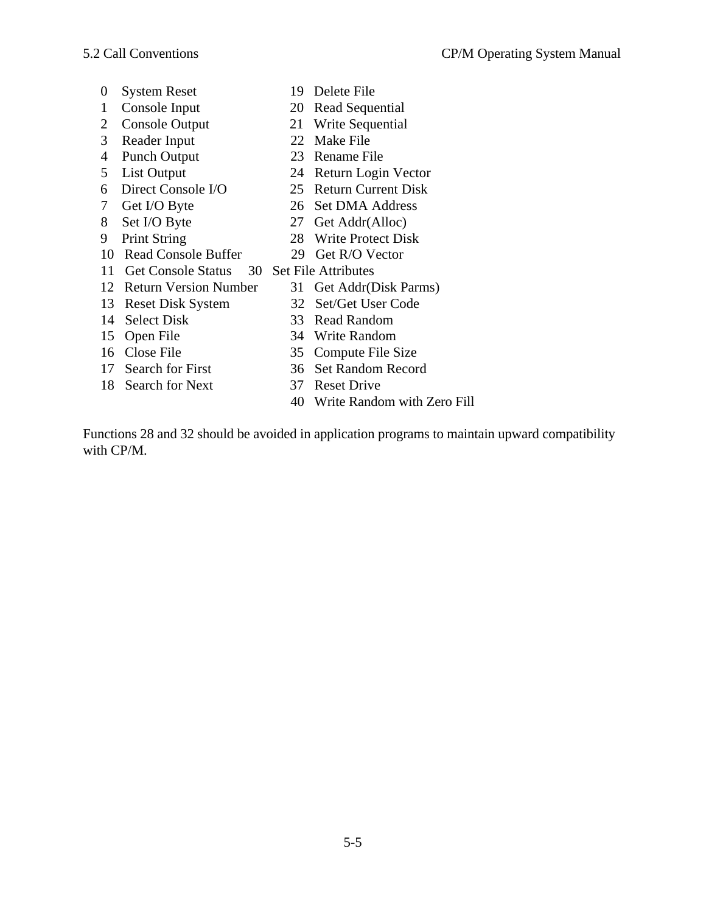- 0 System Reset 19 Delete File
- 
- 
- 
- 
- 
- 
- 
- 
- 
- 10 Read Console Buffer 29 Get R/O Vector
- 
- 1 Console Input 20 Read Sequential
- 2 Console Output 21 Write Sequential
- 3 Reader Input 22 Make File
- 4 Punch Output 23 Rename File
- 5 List Output 24 Return Login Vector
- 6 Direct Console I/O 25 Return Current Disk
- 7 Get I/O Byte 26 Set DMA Address
- 8 Set I/O Byte 27 Get Addr(Alloc)
- 9 Print String 28 Write Protect Disk
	-
- 11 Get Console Status 30 Set File Attributes
- 12 Return Version Number 31 Get Addr(Disk Parms)
- 13 Reset Disk System 32 Set/Get User Code
- 
- 
- 
- 
- 18 Search for Next 37 Reset Drive
- 
- 
- 
- 14 Select Disk 33 Read Random
- 15 Open File 34 Write Random
- 16 Close File 35 Compute File Size
- 17 Search for First 36 Set Random Record
	-
	- 40 Write Random with Zero Fill

Functions 28 and 32 should be avoided in application programs to maintain upward compatibility with CP/M.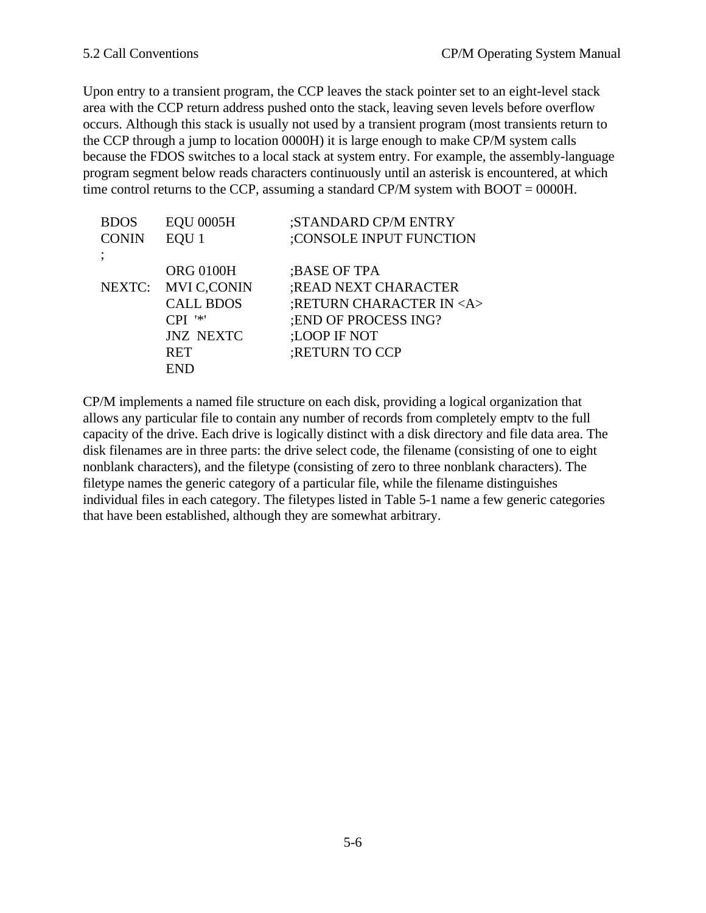Upon entry to a transient program, the CCP leaves the stack pointer set to an eight-level stack area with the CCP return address pushed onto the stack, leaving seven levels before overflow occurs. Although this stack is usually not used by a transient program (most transients return to the CCP through a jump to location 0000H) it is large enough to make CP/M system calls because the FDOS switches to a local stack at system entry. For example, the assembly-language program segment below reads characters continuously until an asterisk is encountered, at which time control returns to the CCP, assuming a standard CP/M system with BOOT = 0000H.

| <b>BDOS</b>  | <b>EQU 0005H</b>   | ;STANDARD CP/M ENTRY         |
|--------------|--------------------|------------------------------|
| <b>CONIN</b> | EQU <sub>1</sub>   | :CONSOLE INPUT FUNCTION      |
| ٠            |                    |                              |
|              | <b>ORG 0100H</b>   | ;BASE OF TPA                 |
| NEXTC:       | <b>MVI C,CONIN</b> | ;READ NEXT CHARACTER         |
|              | <b>CALL BDOS</b>   | ;RETURN CHARACTER IN <a></a> |
|              | $CPI$ '*'          | ; END OF PROCESS ING?        |
|              | <b>JNZ NEXTC</b>   | :LOOP IF NOT                 |
|              | <b>RET</b>         | ;RETURN TO CCP               |
|              | <b>END</b>         |                              |
|              |                    |                              |

CP/M implements a named file structure on each disk, providing a logical organization that allows any particular file to contain any number of records from completely emptv to the full capacity of the drive. Each drive is logically distinct with a disk directory and file data area. The disk filenames are in three parts: the drive select code, the filename (consisting of one to eight nonblank characters), and the filetype (consisting of zero to three nonblank characters). The filetype names the generic category of a particular file, while the filename distinguishes individual files in each category. The filetypes listed in Table 5-1 name a few generic categories that have been established, although they are somewhat arbitrary.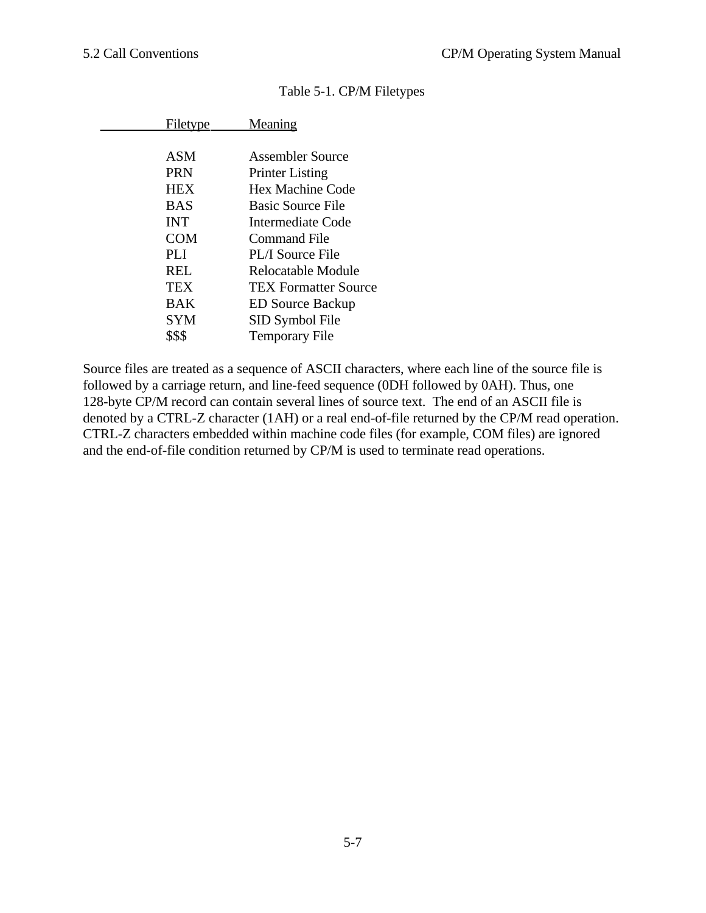| Filetype   | <b>Meaning</b>              |
|------------|-----------------------------|
|            |                             |
| ASM        | Assembler Source            |
| <b>PRN</b> | <b>Printer Listing</b>      |
| <b>HEX</b> | Hex Machine Code            |
| BAS        | <b>Basic Source File</b>    |
| <b>INT</b> | Intermediate Code           |
| <b>COM</b> | Command File                |
| PL J       | <b>PL/I Source File</b>     |
| REL        | Relocatable Module          |
| <b>TEX</b> | <b>TEX Formatter Source</b> |
| <b>BAK</b> | <b>ED Source Backup</b>     |
| <b>SYM</b> | SID Symbol File             |
| \$\$\$     | <b>Temporary File</b>       |

#### Table 5-1. CP/M Filetypes

Source files are treated as a sequence of ASCII characters, where each line of the source file is followed by a carriage return, and line-feed sequence (0DH followed by 0AH). Thus, one 128-byte CP/M record can contain several lines of source text. The end of an ASCII file is denoted by a CTRL-Z character (1AH) or a real end-of-file returned by the CP/M read operation. CTRL-Z characters embedded within machine code files (for example, COM files) are ignored and the end-of-file condition returned by CP/M is used to terminate read operations.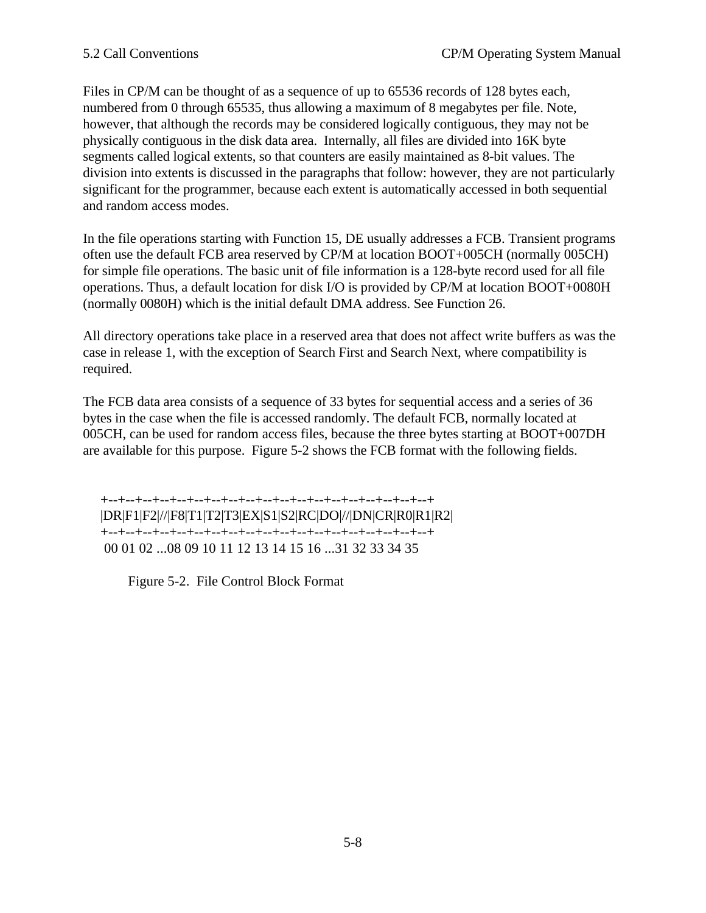Files in CP/M can be thought of as a sequence of up to 65536 records of 128 bytes each, numbered from 0 through 65535, thus allowing a maximum of 8 megabytes per file. Note, however, that although the records may be considered logically contiguous, they may not be physically contiguous in the disk data area. Internally, all files are divided into 16K byte segments called logical extents, so that counters are easily maintained as 8-bit values. The division into extents is discussed in the paragraphs that follow: however, they are not particularly significant for the programmer, because each extent is automatically accessed in both sequential and random access modes.

In the file operations starting with Function 15, DE usually addresses a FCB. Transient programs often use the default FCB area reserved by CP/M at location BOOT+005CH (normally 005CH) for simple file operations. The basic unit of file information is a 128-byte record used for all file operations. Thus, a default location for disk I/O is provided by CP/M at location BOOT+0080H (normally 0080H) which is the initial default DMA address. See Function 26.

All directory operations take place in a reserved area that does not affect write buffers as was the case in release 1, with the exception of Search First and Search Next, where compatibility is required.

The FCB data area consists of a sequence of 33 bytes for sequential access and a series of 36 bytes in the case when the file is accessed randomly. The default FCB, normally located at 005CH, can be used for random access files, because the three bytes starting at BOOT+007DH are available for this purpose. Figure 5-2 shows the FCB format with the following fields.

 +--+--+--+--+--+--+--+--+--+--+--+--+--+--+--+--+--+--+--+ |DR|F1|F2|//|F8|T1|T2|T3|EX|S1|S2|RC|DO|//|DN|CR|R0|R1|R2| +--+--+--+--+--+--+--+--+--+--+--+--+--+--+--+--+--+--+--+ 00 01 02 ...08 09 10 11 12 13 14 15 16 ...31 32 33 34 35

Figure 5-2. File Control Block Format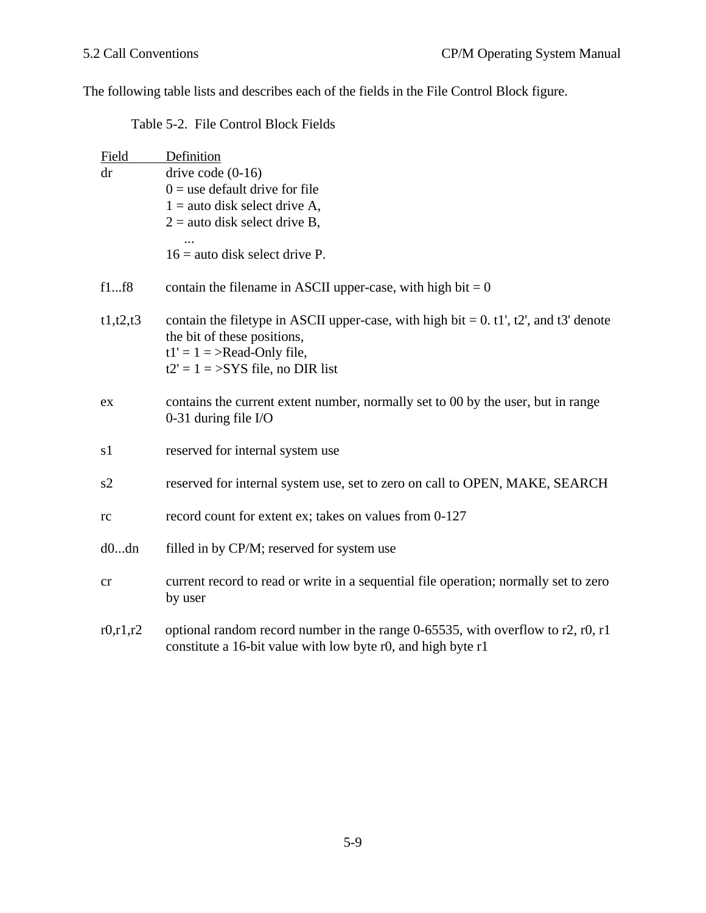The following table lists and describes each of the fields in the File Control Block figure.

|  |  | Table 5-2. File Control Block Fields |
|--|--|--------------------------------------|
|--|--|--------------------------------------|

| Field      | Definition                                                                                                                                      |
|------------|-------------------------------------------------------------------------------------------------------------------------------------------------|
| dr         | drive code $(0-16)$                                                                                                                             |
|            | $0 =$ use default drive for file                                                                                                                |
|            | $1 =$ auto disk select drive A,                                                                                                                 |
|            | $2 =$ auto disk select drive B,                                                                                                                 |
|            | $16$ = auto disk select drive P.                                                                                                                |
| f1f8       | contain the filename in ASCII upper-case, with high bit = $0$                                                                                   |
| t1, t2, t3 | contain the filetype in ASCII upper-case, with high bit = $0. t1$ ', t2', and t3' denote<br>the bit of these positions,                         |
|            | $t1' = 1$ = >Read-Only file,<br>$t2' = 1 = SYS$ file, no DIR list                                                                               |
| ex         | contains the current extent number, normally set to 00 by the user, but in range<br>0-31 during file $I/O$                                      |
| s1         | reserved for internal system use                                                                                                                |
| s2         | reserved for internal system use, set to zero on call to OPEN, MAKE, SEARCH                                                                     |
| rc         | record count for extent ex; takes on values from 0-127                                                                                          |
| d0dn       | filled in by CP/M; reserved for system use                                                                                                      |
| cr         | current record to read or write in a sequential file operation; normally set to zero<br>by user                                                 |
| r0, r1, r2 | optional random record number in the range 0-65535, with overflow to r2, r0, r1<br>constitute a 16-bit value with low byte r0, and high byte r1 |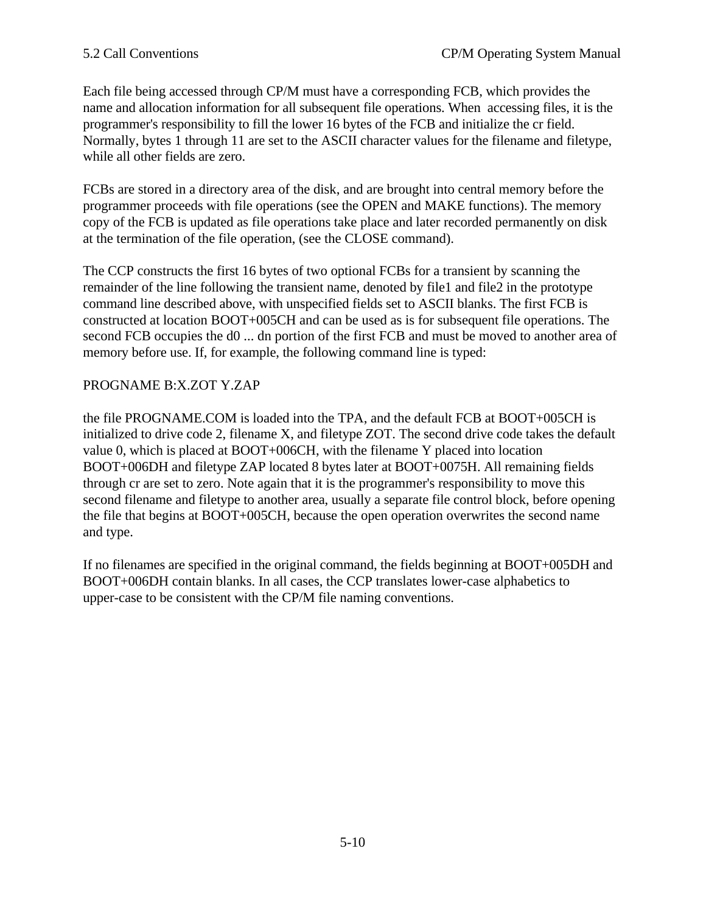Each file being accessed through CP/M must have a corresponding FCB, which provides the name and allocation information for all subsequent file operations. When accessing files, it is the programmer's responsibility to fill the lower 16 bytes of the FCB and initialize the cr field. Normally, bytes 1 through 11 are set to the ASCII character values for the filename and filetype, while all other fields are zero.

FCBs are stored in a directory area of the disk, and are brought into central memory before the programmer proceeds with file operations (see the OPEN and MAKE functions). The memory copy of the FCB is updated as file operations take place and later recorded permanently on disk at the termination of the file operation, (see the CLOSE command).

The CCP constructs the first 16 bytes of two optional FCBs for a transient by scanning the remainder of the line following the transient name, denoted by file1 and file2 in the prototype command line described above, with unspecified fields set to ASCII blanks. The first FCB is constructed at location BOOT+005CH and can be used as is for subsequent file operations. The second FCB occupies the d0 ... dn portion of the first FCB and must be moved to another area of memory before use. If, for example, the following command line is typed:

# PROGNAME B:X.ZOT Y.ZAP

the file PROGNAME.COM is loaded into the TPA, and the default FCB at BOOT+005CH is initialized to drive code 2, filename X, and filetype ZOT. The second drive code takes the default value 0, which is placed at BOOT+006CH, with the filename Y placed into location BOOT+006DH and filetype ZAP located 8 bytes later at BOOT+0075H. All remaining fields through cr are set to zero. Note again that it is the programmer's responsibility to move this second filename and filetype to another area, usually a separate file control block, before opening the file that begins at BOOT+005CH, because the open operation overwrites the second name and type.

If no filenames are specified in the original command, the fields beginning at BOOT+005DH and BOOT+006DH contain blanks. In all cases, the CCP translates lower-case alphabetics to upper-case to be consistent with the CP/M file naming conventions.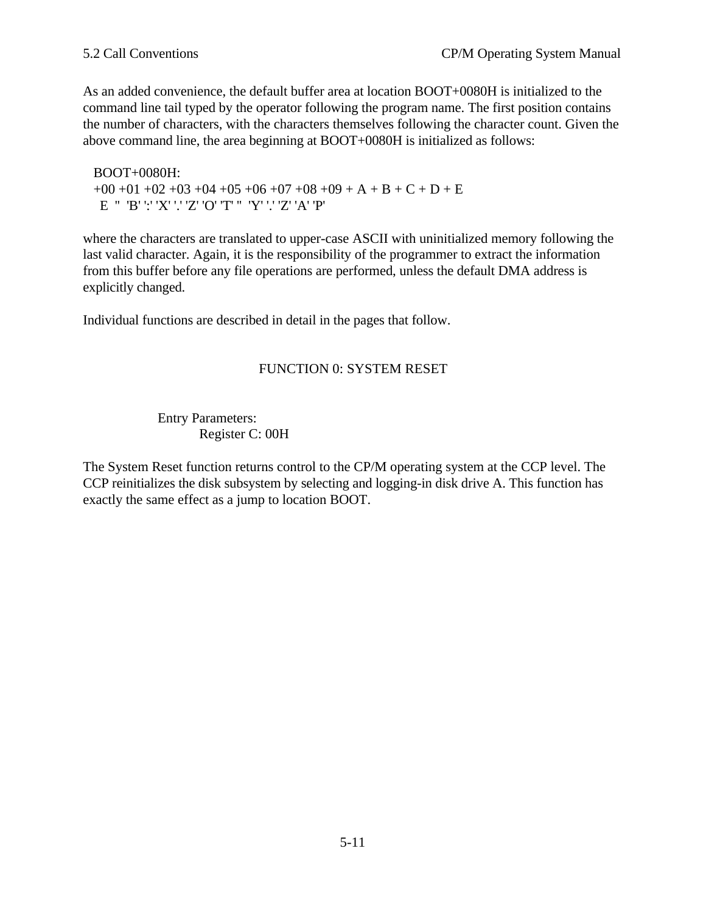As an added convenience, the default buffer area at location BOOT+0080H is initialized to the command line tail typed by the operator following the program name. The first position contains the number of characters, with the characters themselves following the character count. Given the above command line, the area beginning at BOOT+0080H is initialized as follows:

 BOOT+0080H:  $+00 +01 +02 +03 +04 +05 +06 +07 +08 +09 + A + B + C + D + E$  $E$ " 'B' ':' 'X' '.' 'Z' 'O' 'T' "' 'Y' '.' 'Z' 'A' 'P'

where the characters are translated to upper-case ASCII with uninitialized memory following the last valid character. Again, it is the responsibility of the programmer to extract the information from this buffer before any file operations are performed, unless the default DMA address is explicitly changed.

Individual functions are described in detail in the pages that follow.

# FUNCTION 0: SYSTEM RESET

Entry Parameters: Register C: 00H

The System Reset function returns control to the CP/M operating system at the CCP level. The CCP reinitializes the disk subsystem by selecting and logging-in disk drive A. This function has exactly the same effect as a jump to location BOOT.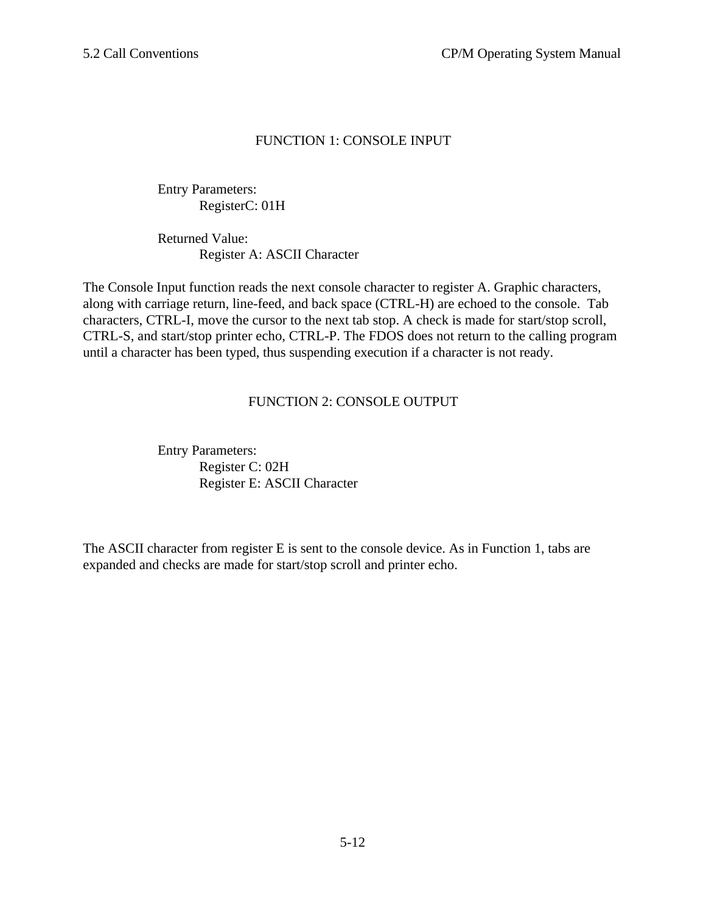# FUNCTION 1: CONSOLE INPUT

Entry Parameters: RegisterC: 01H

Returned Value: Register A: ASCII Character

The Console Input function reads the next console character to register A. Graphic characters, along with carriage return, line-feed, and back space (CTRL-H) are echoed to the console. Tab characters, CTRL-I, move the cursor to the next tab stop. A check is made for start/stop scroll, CTRL-S, and start/stop printer echo, CTRL-P. The FDOS does not return to the calling program until a character has been typed, thus suspending execution if a character is not ready.

# FUNCTION 2: CONSOLE OUTPUT

Entry Parameters: Register C: 02H Register E: ASCII Character

The ASCII character from register E is sent to the console device. As in Function 1, tabs are expanded and checks are made for start/stop scroll and printer echo.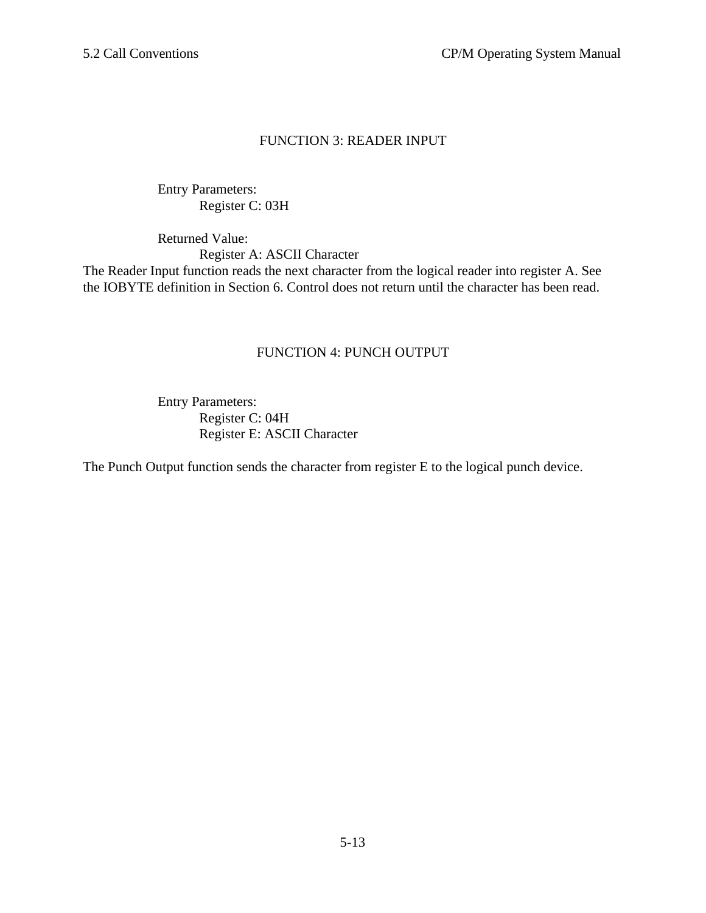## FUNCTION 3: READER INPUT

Entry Parameters: Register C: 03H

Returned Value: Register A: ASCII Character The Reader Input function reads the next character from the logical reader into register A. See the IOBYTE definition in Section 6. Control does not return until the character has been read.

## FUNCTION 4: PUNCH OUTPUT

Entry Parameters: Register C: 04H Register E: ASCII Character

The Punch Output function sends the character from register E to the logical punch device.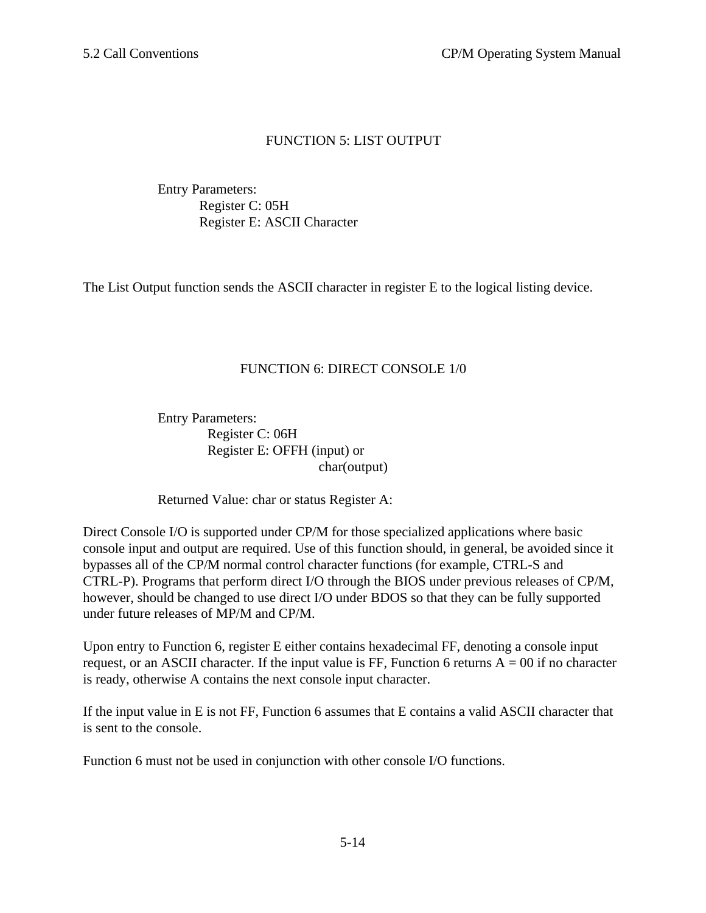# FUNCTION 5: LIST OUTPUT

Entry Parameters: Register C: 05H Register E: ASCII Character

The List Output function sends the ASCII character in register E to the logical listing device.

# FUNCTION 6: DIRECT CONSOLE 1/0

Entry Parameters: Register C: 06H Register E: OFFH (input) or char(output)

Returned Value: char or status Register A:

Direct Console I/O is supported under CP/M for those specialized applications where basic console input and output are required. Use of this function should, in general, be avoided since it bypasses all of the CP/M normal control character functions (for example, CTRL-S and CTRL-P). Programs that perform direct I/O through the BIOS under previous releases of CP/M, however, should be changed to use direct I/O under BDOS so that they can be fully supported under future releases of MP/M and CP/M.

Upon entry to Function 6, register E either contains hexadecimal FF, denoting a console input request, or an ASCII character. If the input value is FF, Function 6 returns  $A = 00$  if no character is ready, otherwise A contains the next console input character.

If the input value in E is not FF, Function 6 assumes that E contains a valid ASCII character that is sent to the console.

Function 6 must not be used in conjunction with other console I/O functions.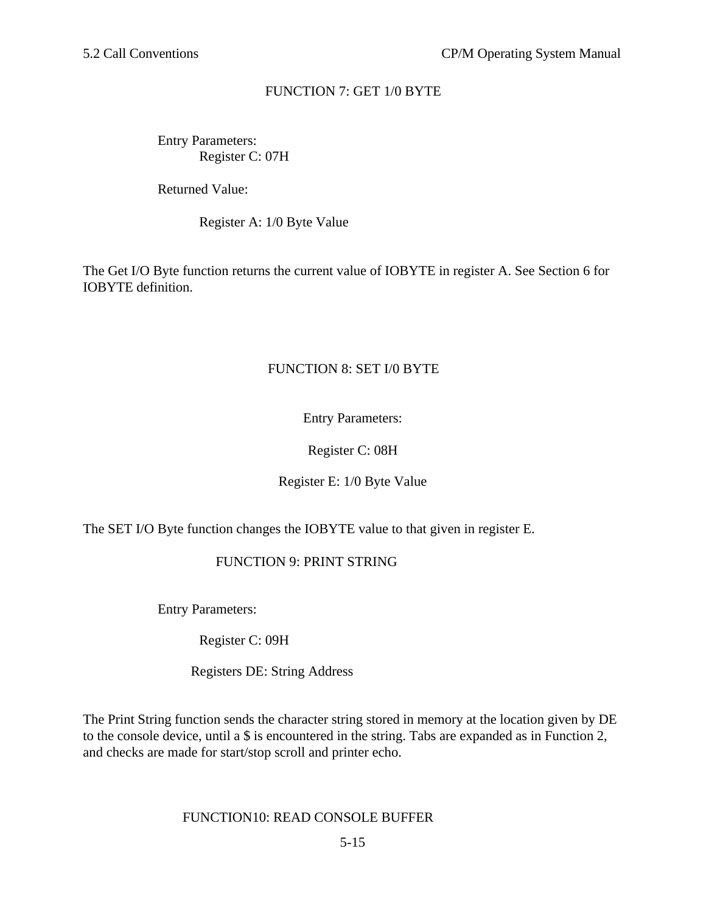# FUNCTION 7: GET 1/0 BYTE

Entry Parameters: Register C: 07H

Returned Value:

Register A: 1/0 Byte Value

The Get I/O Byte function returns the current value of IOBYTE in register A. See Section 6 for IOBYTE definition.

# FUNCTION 8: SET I/0 BYTE

Entry Parameters:

Register C: 08H

Register E: 1/0 Byte Value

The SET I/O Byte function changes the IOBYTE value to that given in register E.

# FUNCTION 9: PRINT STRING

Entry Parameters:

Register C: 09H

Registers DE: String Address

The Print String function sends the character string stored in memory at the location given by DE to the console device, until a \$ is encountered in the string. Tabs are expanded as in Function 2, and checks are made for start/stop scroll and printer echo.

## FUNCTION10: READ CONSOLE BUFFER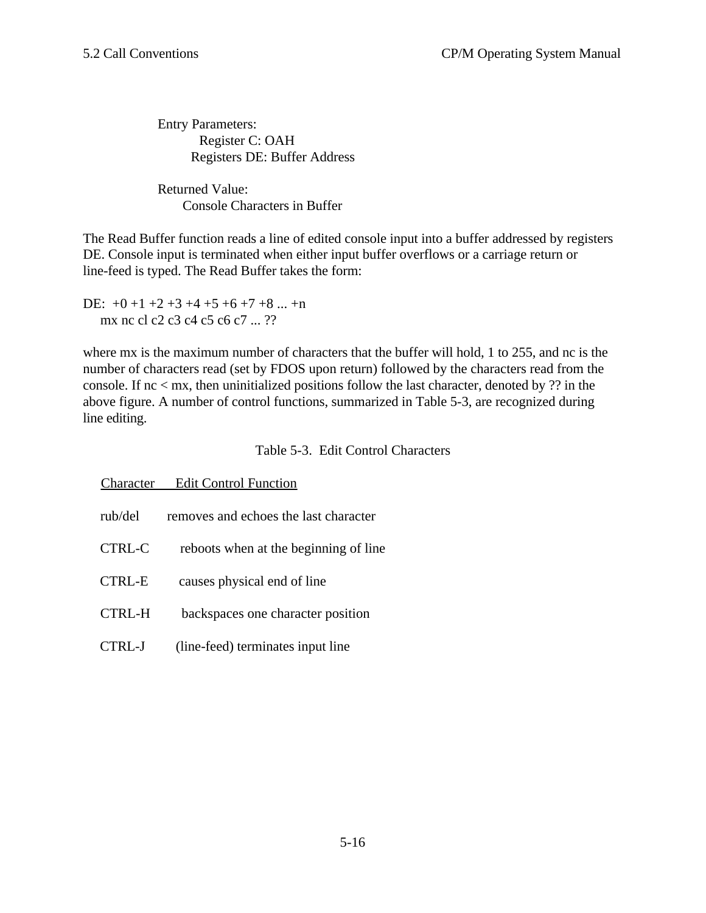Entry Parameters: Register C: OAH Registers DE: Buffer Address

Returned Value: Console Characters in Buffer

The Read Buffer function reads a line of edited console input into a buffer addressed by registers DE. Console input is terminated when either input buffer overflows or a carriage return or line-feed is typed. The Read Buffer takes the form:

DE:  $+0$  +1 +2 +3 +4 +5 +6 +7 +8 ... +n mx nc cl c2 c3 c4 c5 c6 c7 ... ??

where mx is the maximum number of characters that the buffer will hold, 1 to 255, and nc is the number of characters read (set by FDOS upon return) followed by the characters read from the console. If nc < mx, then uninitialized positions follow the last character, denoted by ?? in the above figure. A number of control functions, summarized in Table 5-3, are recognized during line editing.

Table 5-3. Edit Control Characters

| Character     | <b>Edit Control Function</b>          |
|---------------|---------------------------------------|
| rub/del       | removes and echoes the last character |
| <b>CTRL-C</b> | reboots when at the beginning of line |
| <b>CTRL-E</b> | causes physical end of line           |
| CTRL-H        | backspaces one character position     |
| FRI - I       | (line-feed) terminates input line     |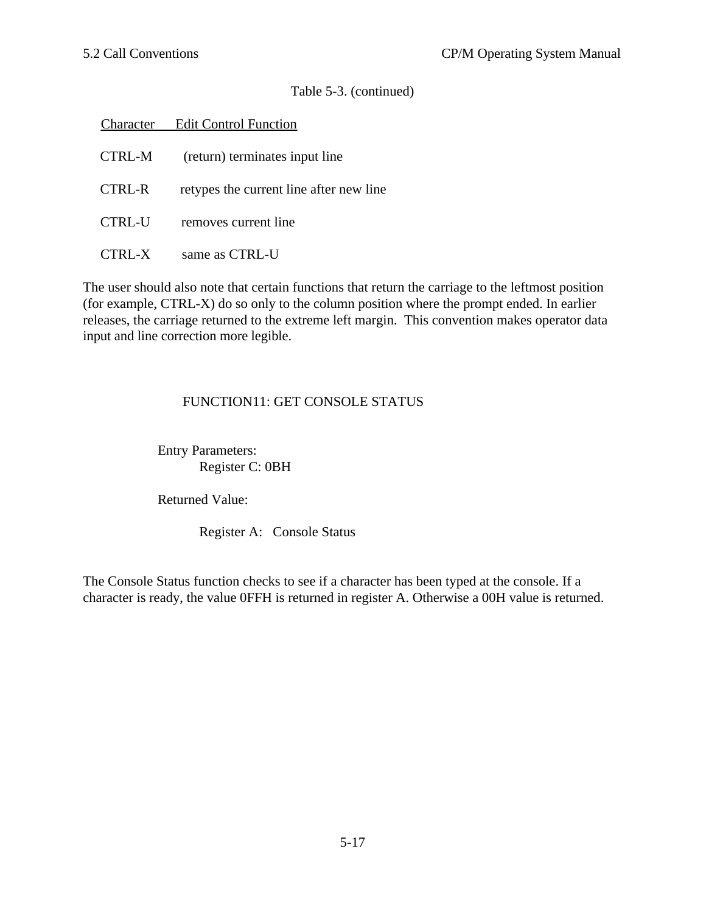## Table 5-3. (continued)

|        | <b>Character</b> Edit Control Function  |
|--------|-----------------------------------------|
| CTRL-M | (return) terminates input line          |
| CTRL-R | retypes the current line after new line |
| CTRL-U | removes current line                    |
| RL-X   | same as CTRL-U                          |

The user should also note that certain functions that return the carriage to the leftmost position (for example, CTRL-X) do so only to the column position where the prompt ended. In earlier releases, the carriage returned to the extreme left margin. This convention makes operator data input and line correction more legible.

# FUNCTION11: GET CONSOLE STATUS

Entry Parameters: Register C: 0BH

Returned Value:

Register A: Console Status

The Console Status function checks to see if a character has been typed at the console. If a character is ready, the value 0FFH is returned in register A. Otherwise a 00H value is returned.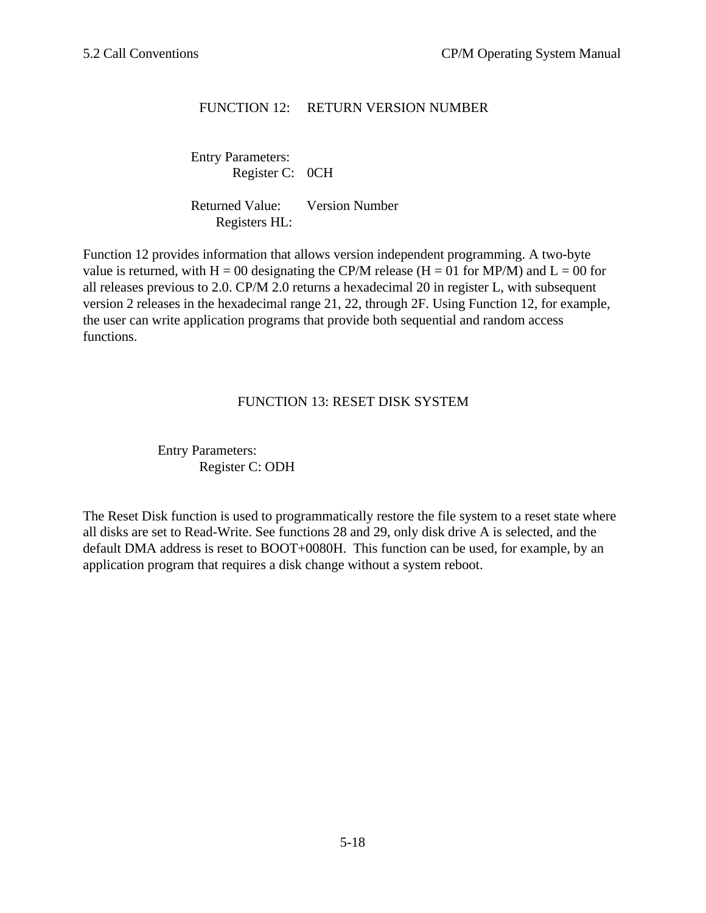# FUNCTION 12: RETURN VERSION NUMBER

Entry Parameters: Register C: 0CH

Returned Value: Version Number Registers HL:

Function 12 provides information that allows version independent programming. A two-byte value is returned, with H = 00 designating the CP/M release (H = 01 for MP/M) and L = 00 for all releases previous to 2.0. CP/M 2.0 returns a hexadecimal 20 in register L, with subsequent version 2 releases in the hexadecimal range 21, 22, through 2F. Using Function 12, for example, the user can write application programs that provide both sequential and random access functions.

## FUNCTION 13: RESET DISK SYSTEM

Entry Parameters: Register C: ODH

The Reset Disk function is used to programmatically restore the file system to a reset state where all disks are set to Read-Write. See functions 28 and 29, only disk drive A is selected, and the default DMA address is reset to BOOT+0080H. This function can be used, for example, by an application program that requires a disk change without a system reboot.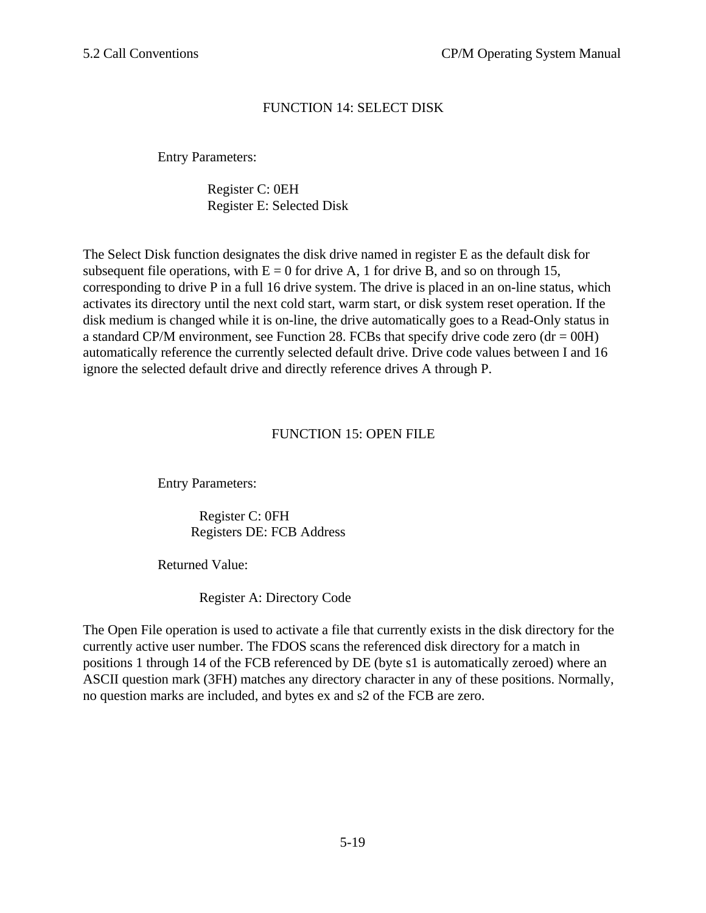# FUNCTION 14: SELECT DISK

Entry Parameters:

Register C: 0EH Register E: Selected Disk

The Select Disk function designates the disk drive named in register E as the default disk for subsequent file operations, with  $E = 0$  for drive A, 1 for drive B, and so on through 15, corresponding to drive P in a full 16 drive system. The drive is placed in an on-line status, which activates its directory until the next cold start, warm start, or disk system reset operation. If the disk medium is changed while it is on-line, the drive automatically goes to a Read-Only status in a standard CP/M environment, see Function 28. FCBs that specify drive code zero  $(dr = 00H)$ automatically reference the currently selected default drive. Drive code values between I and 16 ignore the selected default drive and directly reference drives A through P.

## FUNCTION 15: OPEN FILE

Entry Parameters:

Register C: 0FH Registers DE: FCB Address

Returned Value:

Register A: Directory Code

The Open File operation is used to activate a file that currently exists in the disk directory for the currently active user number. The FDOS scans the referenced disk directory for a match in positions 1 through 14 of the FCB referenced by DE (byte s1 is automatically zeroed) where an ASCII question mark (3FH) matches any directory character in any of these positions. Normally, no question marks are included, and bytes ex and s2 of the FCB are zero.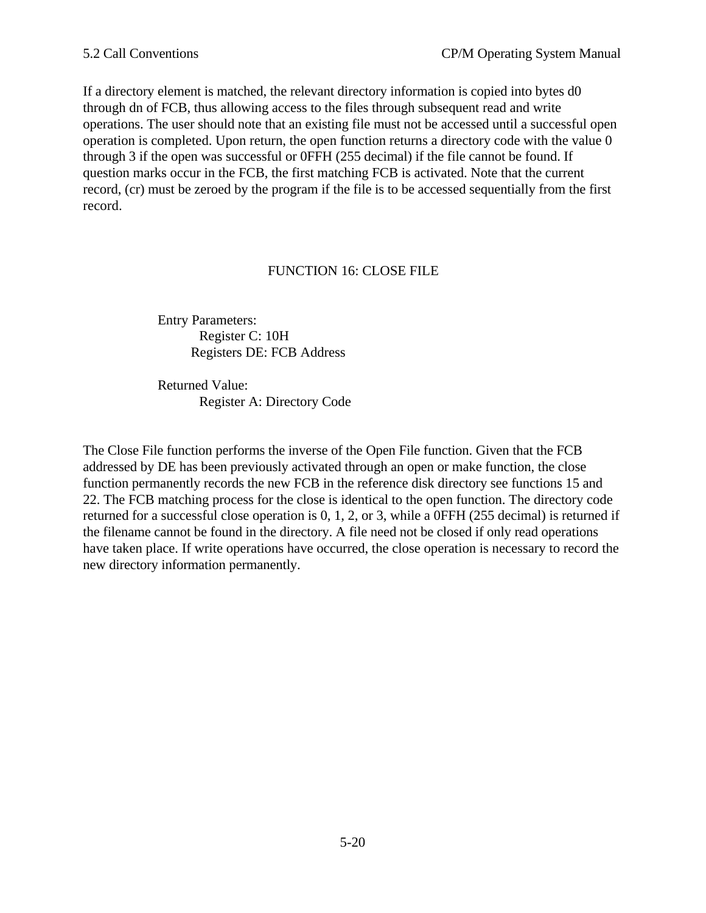If a directory element is matched, the relevant directory information is copied into bytes d0 through dn of FCB, thus allowing access to the files through subsequent read and write operations. The user should note that an existing file must not be accessed until a successful open operation is completed. Upon return, the open function returns a directory code with the value 0 through 3 if the open was successful or 0FFH (255 decimal) if the file cannot be found. If question marks occur in the FCB, the first matching FCB is activated. Note that the current record, (cr) must be zeroed by the program if the file is to be accessed sequentially from the first record.

## FUNCTION 16: CLOSE FILE

Entry Parameters: Register C: 10H Registers DE: FCB Address

Returned Value: Register A: Directory Code

The Close File function performs the inverse of the Open File function. Given that the FCB addressed by DE has been previously activated through an open or make function, the close function permanently records the new FCB in the reference disk directory see functions 15 and 22. The FCB matching process for the close is identical to the open function. The directory code returned for a successful close operation is 0, 1, 2, or 3, while a 0FFH (255 decimal) is returned if the filename cannot be found in the directory. A file need not be closed if only read operations have taken place. If write operations have occurred, the close operation is necessary to record the new directory information permanently.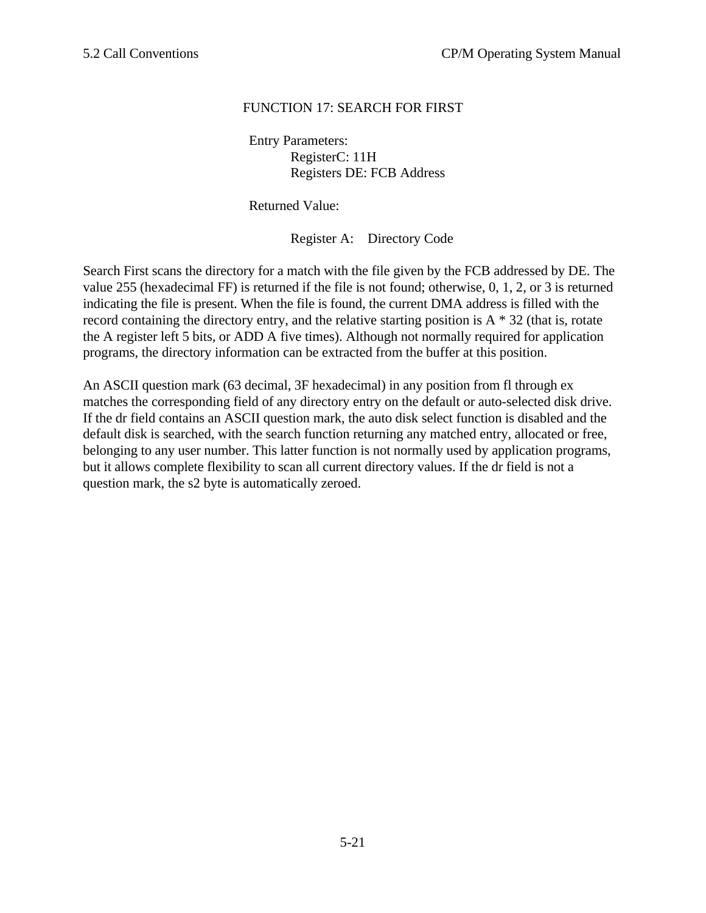# FUNCTION 17: SEARCH FOR FIRST

Entry Parameters: RegisterC: 11H Registers DE: FCB Address

Returned Value:

Register A: Directory Code

Search First scans the directory for a match with the file given by the FCB addressed by DE. The value 255 (hexadecimal FF) is returned if the file is not found; otherwise, 0, 1, 2, or 3 is returned indicating the file is present. When the file is found, the current DMA address is filled with the record containing the directory entry, and the relative starting position is  $A * 32$  (that is, rotate the A register left 5 bits, or ADD A five times). Although not normally required for application programs, the directory information can be extracted from the buffer at this position.

An ASCII question mark (63 decimal, 3F hexadecimal) in any position from fl through ex matches the corresponding field of any directory entry on the default or auto-selected disk drive. If the dr field contains an ASCII question mark, the auto disk select function is disabled and the default disk is searched, with the search function returning any matched entry, allocated or free, belonging to any user number. This latter function is not normally used by application programs, but it allows complete flexibility to scan all current directory values. If the dr field is not a question mark, the s2 byte is automatically zeroed.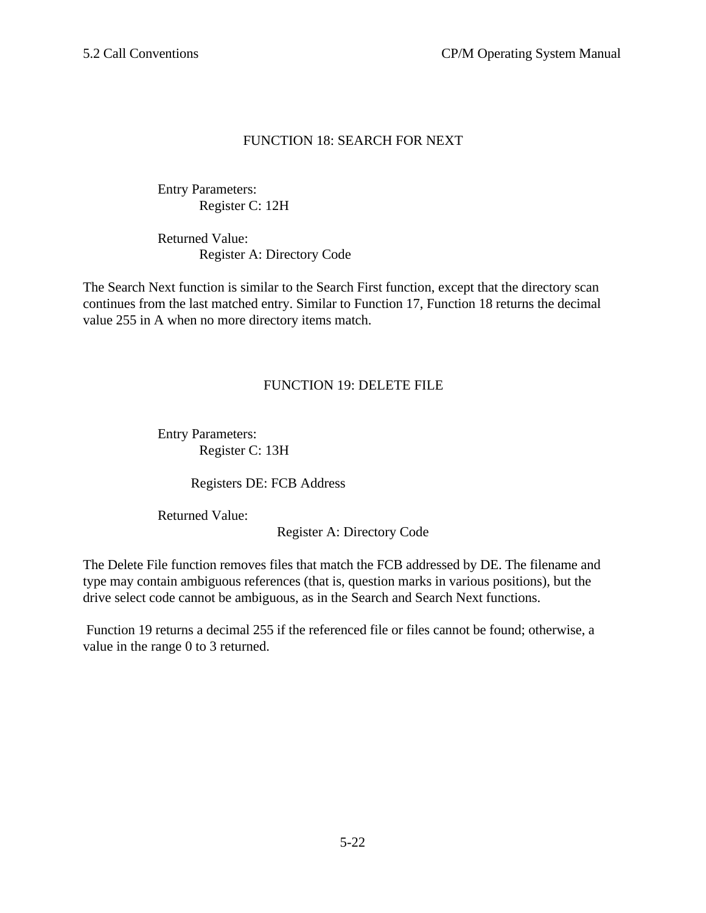## FUNCTION 18: SEARCH FOR NEXT

Entry Parameters: Register C: 12H

Returned Value: Register A: Directory Code

The Search Next function is similar to the Search First function, except that the directory scan continues from the last matched entry. Similar to Function 17, Function 18 returns the decimal value 255 in A when no more directory items match.

# FUNCTION 19: DELETE FILE

Entry Parameters: Register C: 13H

Registers DE: FCB Address

Returned Value:

Register A: Directory Code

The Delete File function removes files that match the FCB addressed by DE. The filename and type may contain ambiguous references (that is, question marks in various positions), but the drive select code cannot be ambiguous, as in the Search and Search Next functions.

 Function 19 returns a decimal 255 if the referenced file or files cannot be found; otherwise, a value in the range 0 to 3 returned.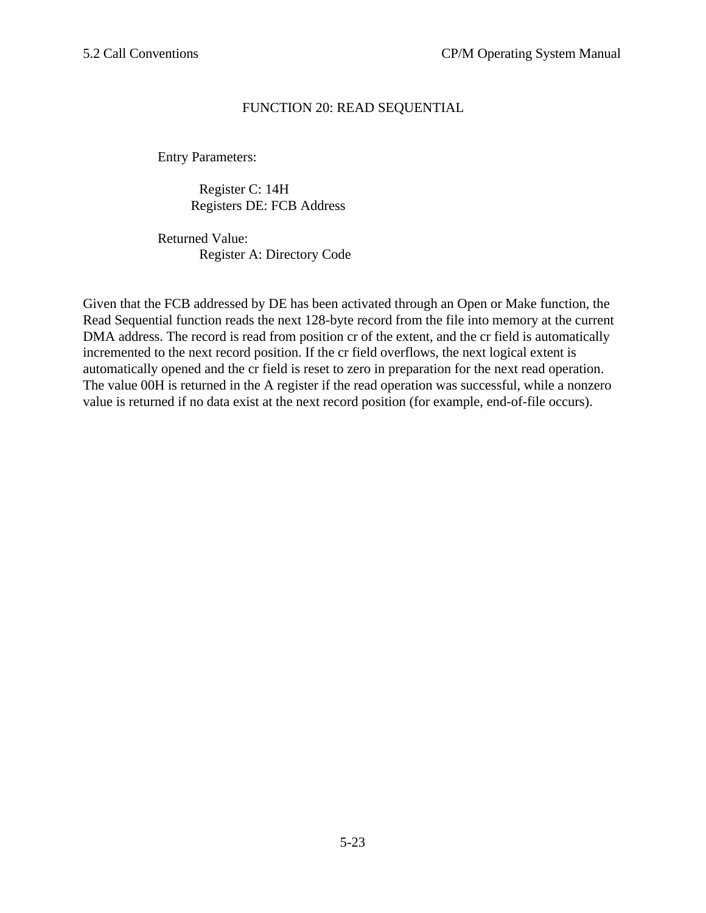## FUNCTION 20: READ SEQUENTIAL

Entry Parameters:

Register C: 14H Registers DE: FCB Address

Returned Value: Register A: Directory Code

Given that the FCB addressed by DE has been activated through an Open or Make function, the Read Sequential function reads the next 128-byte record from the file into memory at the current DMA address. The record is read from position cr of the extent, and the cr field is automatically incremented to the next record position. If the cr field overflows, the next logical extent is automatically opened and the cr field is reset to zero in preparation for the next read operation. The value 00H is returned in the A register if the read operation was successful, while a nonzero value is returned if no data exist at the next record position (for example, end-of-file occurs).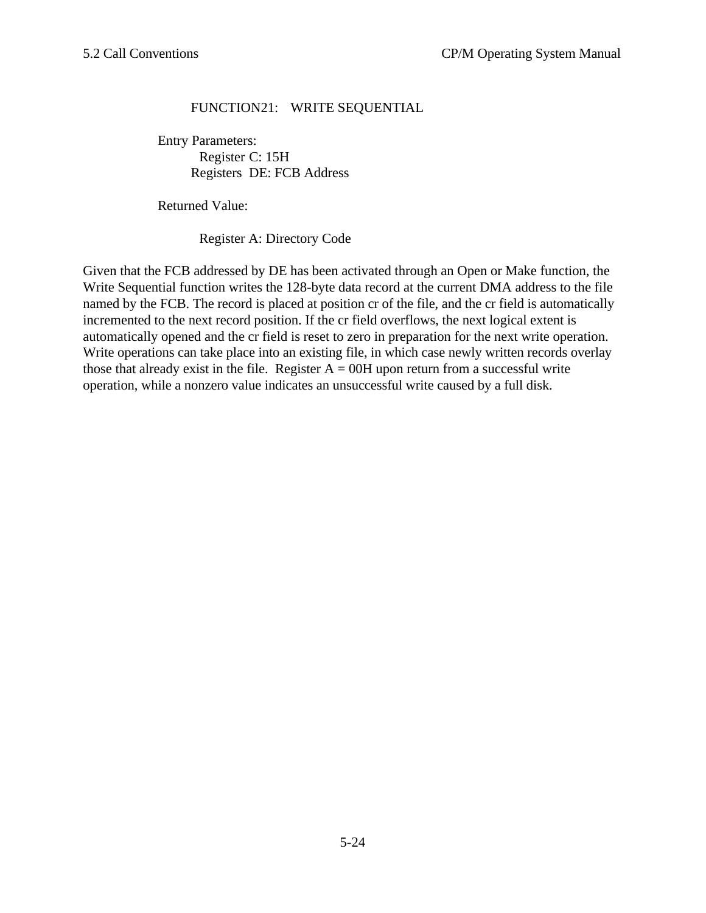# FUNCTION21: WRITE SEQUENTIAL

Entry Parameters: Register C: 15H Registers DE: FCB Address

Returned Value:

Register A: Directory Code

Given that the FCB addressed by DE has been activated through an Open or Make function, the Write Sequential function writes the 128-byte data record at the current DMA address to the file named by the FCB. The record is placed at position cr of the file, and the cr field is automatically incremented to the next record position. If the cr field overflows, the next logical extent is automatically opened and the cr field is reset to zero in preparation for the next write operation. Write operations can take place into an existing file, in which case newly written records overlay those that already exist in the file. Register  $A = 00H$  upon return from a successful write operation, while a nonzero value indicates an unsuccessful write caused by a full disk.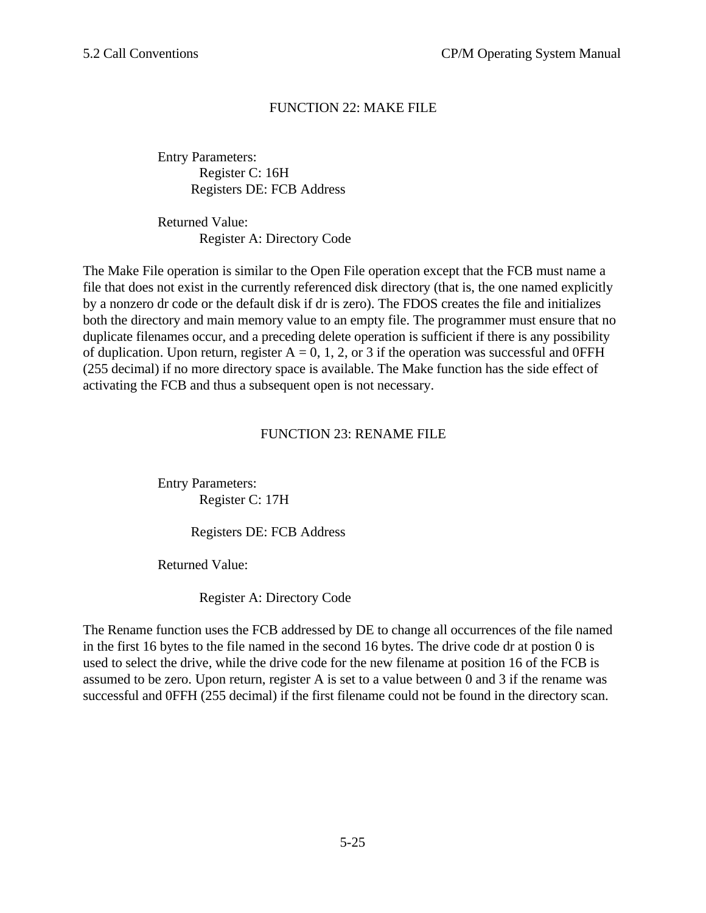# FUNCTION 22: MAKE FILE

Entry Parameters: Register C: 16H Registers DE: FCB Address

Returned Value: Register A: Directory Code

The Make File operation is similar to the Open File operation except that the FCB must name a file that does not exist in the currently referenced disk directory (that is, the one named explicitly by a nonzero dr code or the default disk if dr is zero). The FDOS creates the file and initializes both the directory and main memory value to an empty file. The programmer must ensure that no duplicate filenames occur, and a preceding delete operation is sufficient if there is any possibility of duplication. Upon return, register  $A = 0, 1, 2,$  or 3 if the operation was successful and 0FFH (255 decimal) if no more directory space is available. The Make function has the side effect of activating the FCB and thus a subsequent open is not necessary.

## FUNCTION 23: RENAME FILE

Entry Parameters: Register C: 17H

Registers DE: FCB Address

Returned Value:

Register A: Directory Code

The Rename function uses the FCB addressed by DE to change all occurrences of the file named in the first 16 bytes to the file named in the second 16 bytes. The drive code dr at postion 0 is used to select the drive, while the drive code for the new filename at position 16 of the FCB is assumed to be zero. Upon return, register A is set to a value between 0 and 3 if the rename was successful and 0FFH (255 decimal) if the first filename could not be found in the directory scan.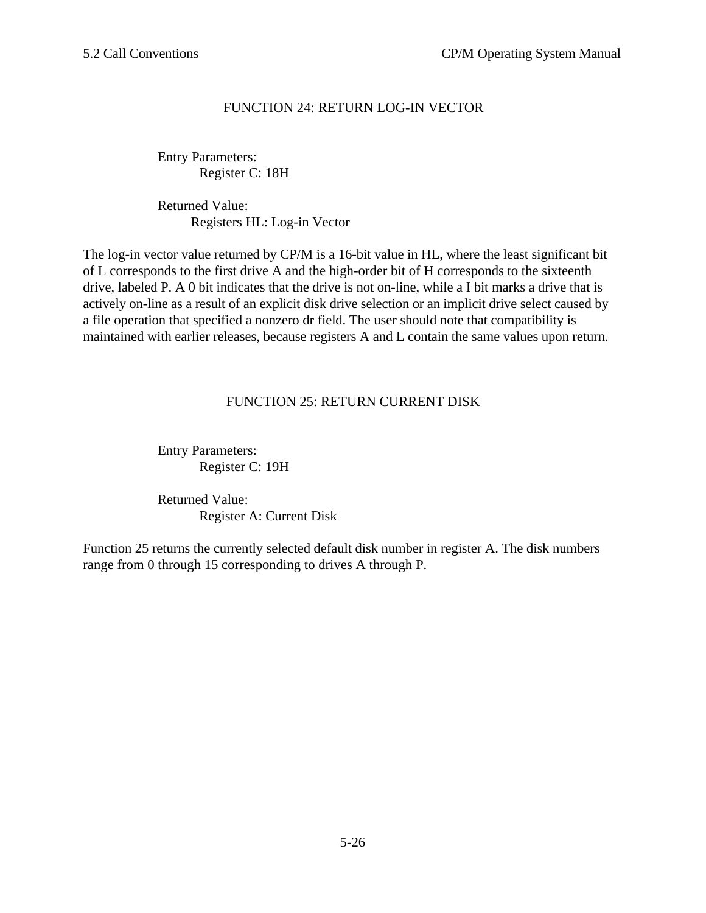# FUNCTION 24: RETURN LOG-IN VECTOR

Entry Parameters: Register C: 18H

Returned Value: Registers HL: Log-in Vector

The log-in vector value returned by CP/M is a 16-bit value in HL, where the least significant bit of L corresponds to the first drive A and the high-order bit of H corresponds to the sixteenth drive, labeled P. A 0 bit indicates that the drive is not on-line, while a I bit marks a drive that is actively on-line as a result of an explicit disk drive selection or an implicit drive select caused by a file operation that specified a nonzero dr field. The user should note that compatibility is maintained with earlier releases, because registers A and L contain the same values upon return.

# FUNCTION 25: RETURN CURRENT DISK

Entry Parameters: Register C: 19H

Returned Value: Register A: Current Disk

Function 25 returns the currently selected default disk number in register A. The disk numbers range from 0 through 15 corresponding to drives A through P.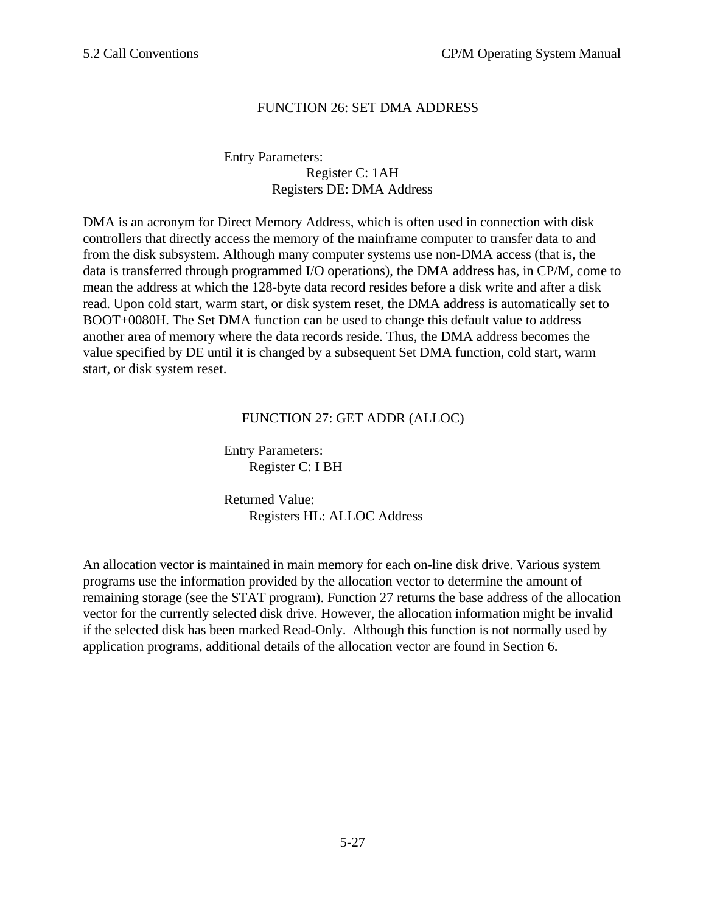# FUNCTION 26: SET DMA ADDRESS

#### Entry Parameters: Register C: 1AH Registers DE: DMA Address

DMA is an acronym for Direct Memory Address, which is often used in connection with disk controllers that directly access the memory of the mainframe computer to transfer data to and from the disk subsystem. Although many computer systems use non-DMA access (that is, the data is transferred through programmed I/O operations), the DMA address has, in CP/M, come to mean the address at which the 128-byte data record resides before a disk write and after a disk read. Upon cold start, warm start, or disk system reset, the DMA address is automatically set to BOOT+0080H. The Set DMA function can be used to change this default value to address another area of memory where the data records reside. Thus, the DMA address becomes the value specified by DE until it is changed by a subsequent Set DMA function, cold start, warm start, or disk system reset.

## FUNCTION 27: GET ADDR (ALLOC)

Entry Parameters: Register C: I BH

Returned Value: Registers HL: ALLOC Address

An allocation vector is maintained in main memory for each on-line disk drive. Various system programs use the information provided by the allocation vector to determine the amount of remaining storage (see the STAT program). Function 27 returns the base address of the allocation vector for the currently selected disk drive. However, the allocation information might be invalid if the selected disk has been marked Read-Only. Although this function is not normally used by application programs, additional details of the allocation vector are found in Section 6.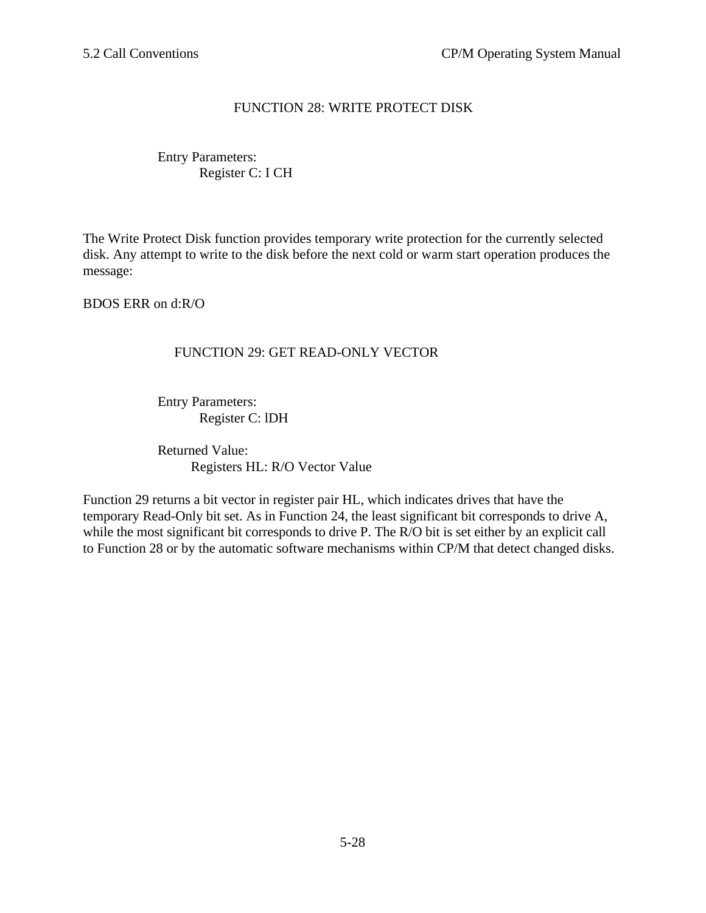# FUNCTION 28: WRITE PROTECT DISK

# Entry Parameters: Register C: I CH

The Write Protect Disk function provides temporary write protection for the currently selected disk. Any attempt to write to the disk before the next cold or warm start operation produces the message:

BDOS ERR on d:R/O

## FUNCTION 29: GET READ-ONLY VECTOR

Entry Parameters: Register C: lDH

Returned Value: Registers HL: R/O Vector Value

Function 29 returns a bit vector in register pair HL, which indicates drives that have the temporary Read-Only bit set. As in Function 24, the least significant bit corresponds to drive A, while the most significant bit corresponds to drive P. The R/O bit is set either by an explicit call to Function 28 or by the automatic software mechanisms within CP/M that detect changed disks.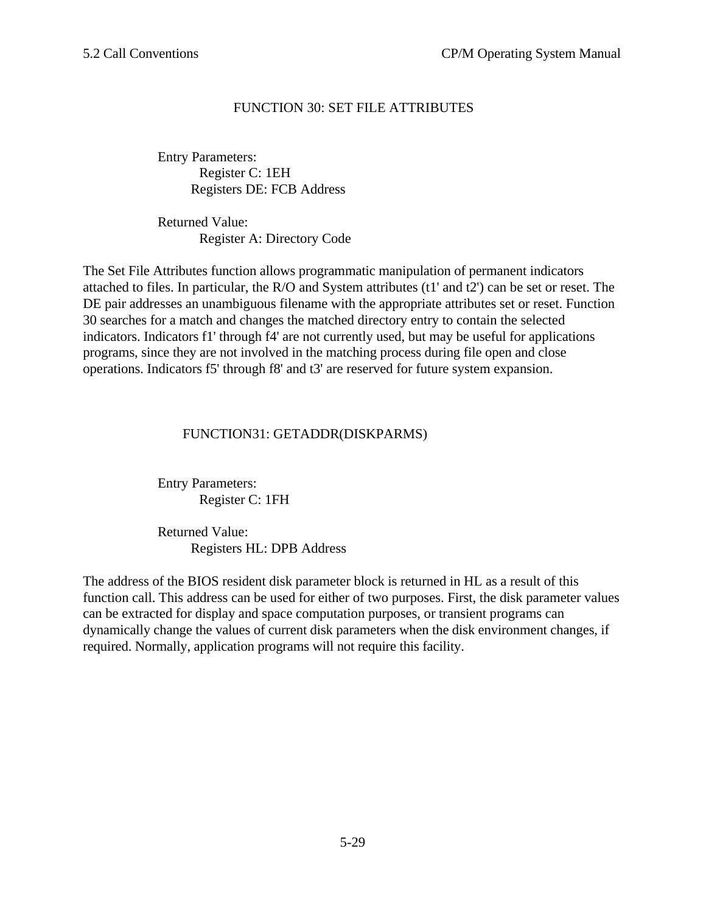# FUNCTION 30: SET FILE ATTRIBUTES

Entry Parameters: Register C: 1EH Registers DE: FCB Address

Returned Value: Register A: Directory Code

The Set File Attributes function allows programmatic manipulation of permanent indicators attached to files. In particular, the R/O and System attributes (t1' and t2') can be set or reset. The DE pair addresses an unambiguous filename with the appropriate attributes set or reset. Function 30 searches for a match and changes the matched directory entry to contain the selected indicators. Indicators f1' through f4' are not currently used, but may be useful for applications programs, since they are not involved in the matching process during file open and close operations. Indicators f5' through f8' and t3' are reserved for future system expansion.

## FUNCTION31: GETADDR(DISKPARMS)

Entry Parameters: Register C: 1FH

Returned Value: Registers HL: DPB Address

The address of the BIOS resident disk parameter block is returned in HL as a result of this function call. This address can be used for either of two purposes. First, the disk parameter values can be extracted for display and space computation purposes, or transient programs can dynamically change the values of current disk parameters when the disk environment changes, if required. Normally, application programs will not require this facility.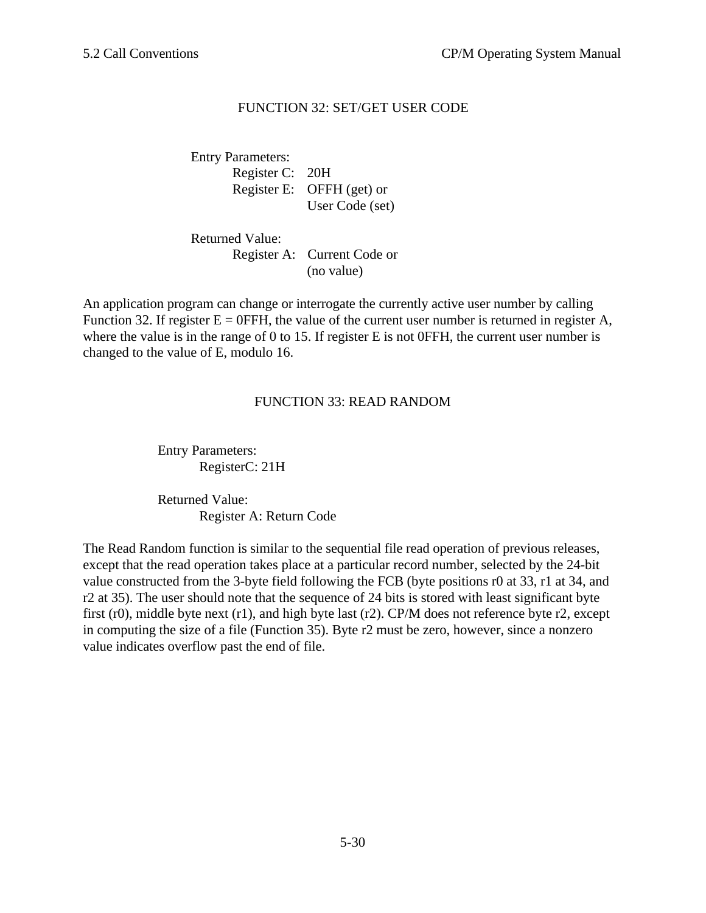# FUNCTION 32: SET/GET USER CODE

Entry Parameters: Register C: 20H Register E: OFFH (get) or User Code (set)

Returned Value:

Register A: Current Code or (no value)

An application program can change or interrogate the currently active user number by calling Function 32. If register  $E = 0$ FFH, the value of the current user number is returned in register A, where the value is in the range of 0 to 15. If register E is not 0FFH, the current user number is changed to the value of E, modulo 16.

## FUNCTION 33: READ RANDOM

Entry Parameters: RegisterC: 21H

Returned Value: Register A: Return Code

The Read Random function is similar to the sequential file read operation of previous releases, except that the read operation takes place at a particular record number, selected by the 24-bit value constructed from the 3-byte field following the FCB (byte positions r0 at 33, r1 at 34, and r2 at 35). The user should note that the sequence of 24 bits is stored with least significant byte first (r0), middle byte next (r1), and high byte last (r2). CP/M does not reference byte r2, except in computing the size of a file (Function 35). Byte r2 must be zero, however, since a nonzero value indicates overflow past the end of file.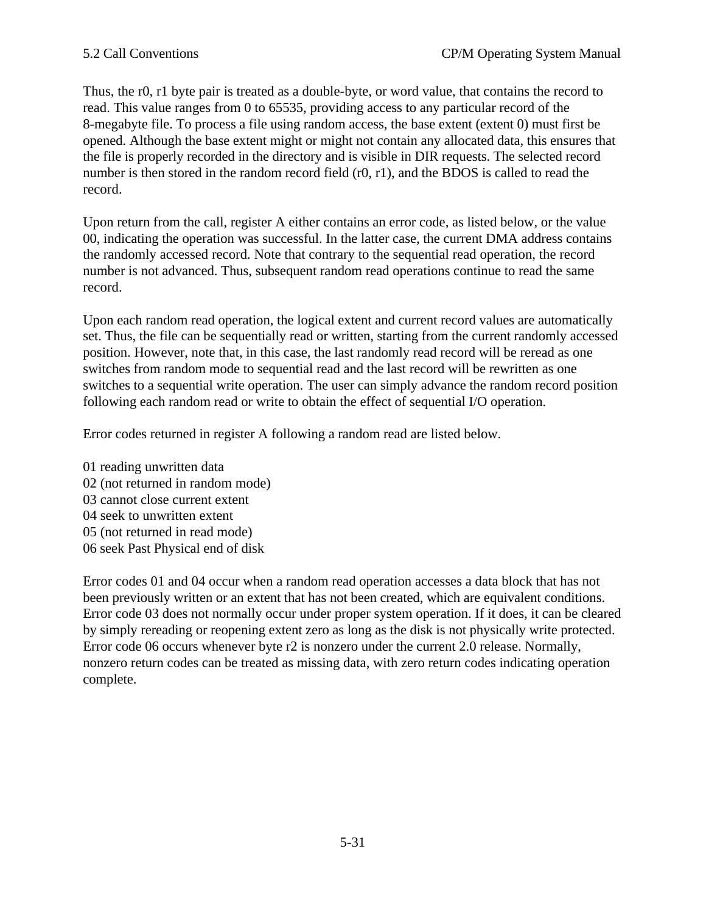Thus, the r0, r1 byte pair is treated as a double-byte, or word value, that contains the record to read. This value ranges from 0 to 65535, providing access to any particular record of the 8-megabyte file. To process a file using random access, the base extent (extent 0) must first be opened. Although the base extent might or might not contain any allocated data, this ensures that the file is properly recorded in the directory and is visible in DIR requests. The selected record number is then stored in the random record field (r0, r1), and the BDOS is called to read the record.

Upon return from the call, register A either contains an error code, as listed below, or the value 00, indicating the operation was successful. In the latter case, the current DMA address contains the randomly accessed record. Note that contrary to the sequential read operation, the record number is not advanced. Thus, subsequent random read operations continue to read the same record.

Upon each random read operation, the logical extent and current record values are automatically set. Thus, the file can be sequentially read or written, starting from the current randomly accessed position. However, note that, in this case, the last randomly read record will be reread as one switches from random mode to sequential read and the last record will be rewritten as one switches to a sequential write operation. The user can simply advance the random record position following each random read or write to obtain the effect of sequential I/O operation.

Error codes returned in register A following a random read are listed below.

01 reading unwritten data 02 (not returned in random mode) 03 cannot close current extent 04 seek to unwritten extent 05 (not returned in read mode) 06 seek Past Physical end of disk

Error codes 01 and 04 occur when a random read operation accesses a data block that has not been previously written or an extent that has not been created, which are equivalent conditions. Error code 03 does not normally occur under proper system operation. If it does, it can be cleared by simply rereading or reopening extent zero as long as the disk is not physically write protected. Error code 06 occurs whenever byte r2 is nonzero under the current 2.0 release. Normally, nonzero return codes can be treated as missing data, with zero return codes indicating operation complete.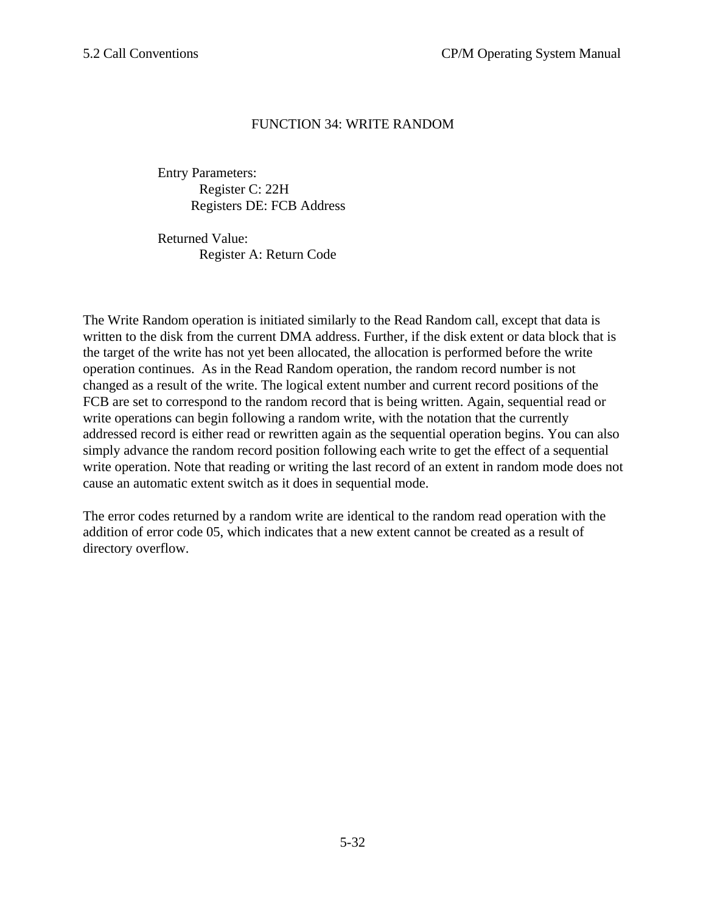## FUNCTION 34: WRITE RANDOM

Entry Parameters: Register C: 22H Registers DE: FCB Address

Returned Value: Register A: Return Code

The Write Random operation is initiated similarly to the Read Random call, except that data is written to the disk from the current DMA address. Further, if the disk extent or data block that is the target of the write has not yet been allocated, the allocation is performed before the write operation continues. As in the Read Random operation, the random record number is not changed as a result of the write. The logical extent number and current record positions of the FCB are set to correspond to the random record that is being written. Again, sequential read or write operations can begin following a random write, with the notation that the currently addressed record is either read or rewritten again as the sequential operation begins. You can also simply advance the random record position following each write to get the effect of a sequential write operation. Note that reading or writing the last record of an extent in random mode does not cause an automatic extent switch as it does in sequential mode.

The error codes returned by a random write are identical to the random read operation with the addition of error code 05, which indicates that a new extent cannot be created as a result of directory overflow.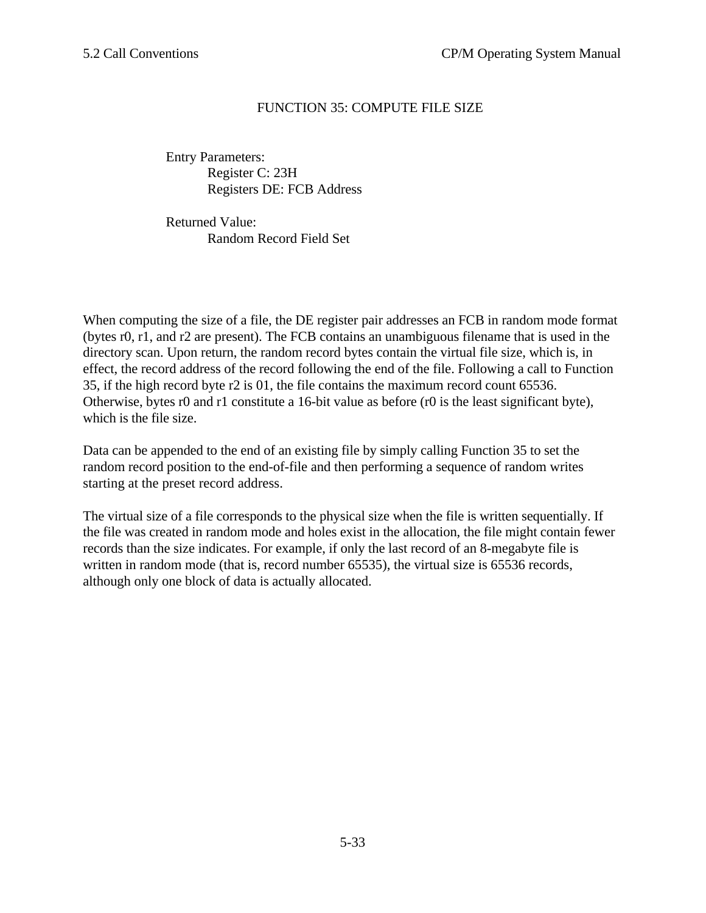# FUNCTION 35: COMPUTE FILE SIZE

Entry Parameters: Register C: 23H Registers DE: FCB Address

Returned Value: Random Record Field Set

When computing the size of a file, the DE register pair addresses an FCB in random mode format (bytes r0, r1, and r2 are present). The FCB contains an unambiguous filename that is used in the directory scan. Upon return, the random record bytes contain the virtual file size, which is, in effect, the record address of the record following the end of the file. Following a call to Function 35, if the high record byte r2 is 01, the file contains the maximum record count 65536. Otherwise, bytes r0 and r1 constitute a 16-bit value as before (r0 is the least significant byte), which is the file size.

Data can be appended to the end of an existing file by simply calling Function 35 to set the random record position to the end-of-file and then performing a sequence of random writes starting at the preset record address.

The virtual size of a file corresponds to the physical size when the file is written sequentially. If the file was created in random mode and holes exist in the allocation, the file might contain fewer records than the size indicates. For example, if only the last record of an 8-megabyte file is written in random mode (that is, record number 65535), the virtual size is 65536 records, although only one block of data is actually allocated.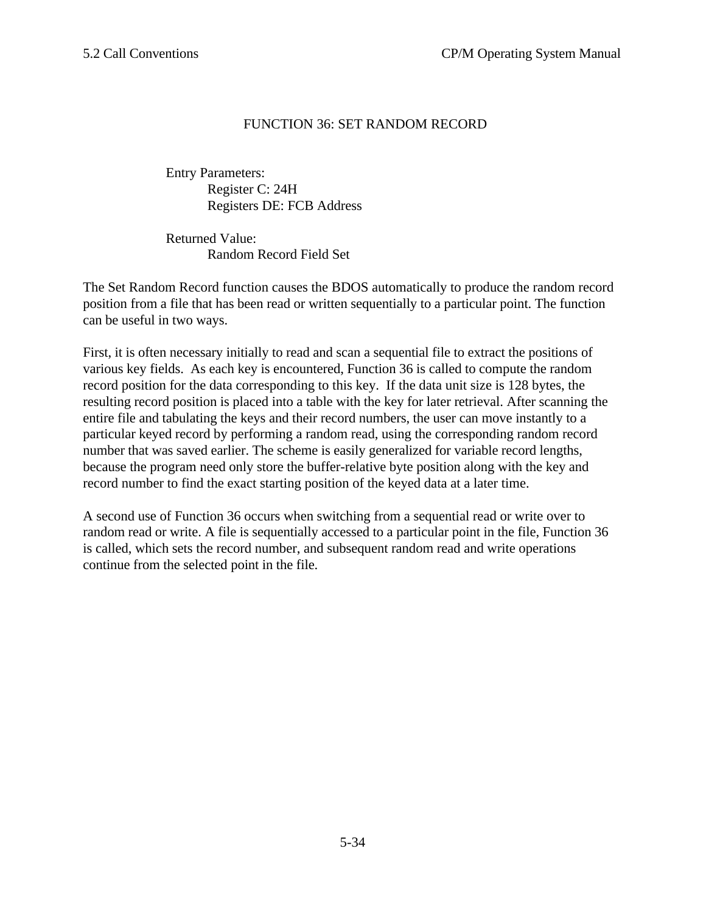## FUNCTION 36: SET RANDOM RECORD

Entry Parameters: Register C: 24H Registers DE: FCB Address

Returned Value: Random Record Field Set

The Set Random Record function causes the BDOS automatically to produce the random record position from a file that has been read or written sequentially to a particular point. The function can be useful in two ways.

First, it is often necessary initially to read and scan a sequential file to extract the positions of various key fields. As each key is encountered, Function 36 is called to compute the random record position for the data corresponding to this key. If the data unit size is 128 bytes, the resulting record position is placed into a table with the key for later retrieval. After scanning the entire file and tabulating the keys and their record numbers, the user can move instantly to a particular keyed record by performing a random read, using the corresponding random record number that was saved earlier. The scheme is easily generalized for variable record lengths, because the program need only store the buffer-relative byte position along with the key and record number to find the exact starting position of the keyed data at a later time.

A second use of Function 36 occurs when switching from a sequential read or write over to random read or write. A file is sequentially accessed to a particular point in the file, Function 36 is called, which sets the record number, and subsequent random read and write operations continue from the selected point in the file.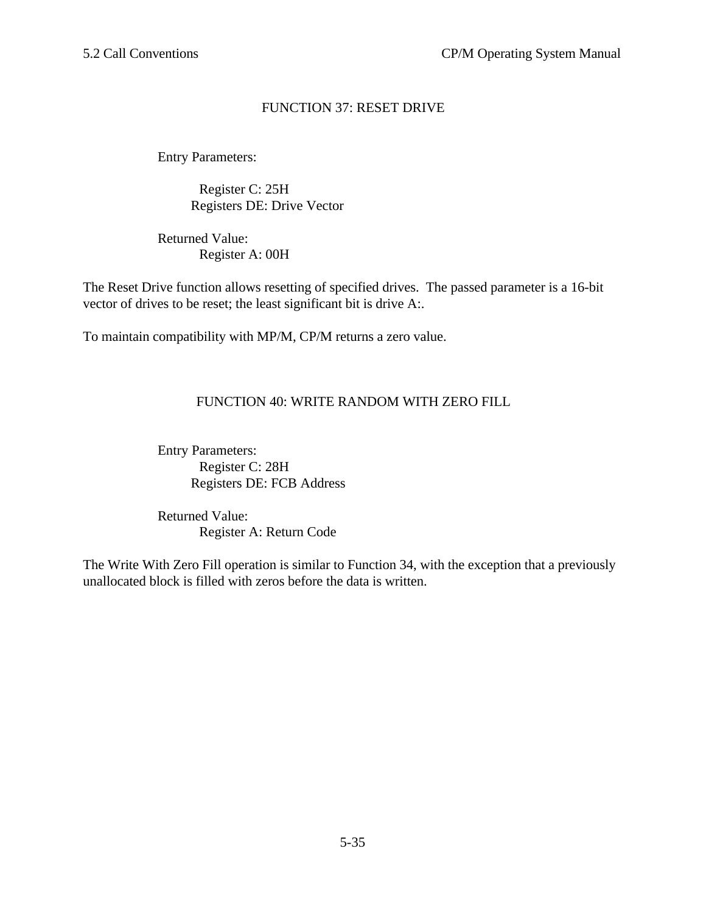# FUNCTION 37: RESET DRIVE

Entry Parameters:

Register C: 25H Registers DE: Drive Vector

Returned Value: Register A: 00H

The Reset Drive function allows resetting of specified drives. The passed parameter is a 16-bit vector of drives to be reset; the least significant bit is drive A:.

To maintain compatibility with MP/M, CP/M returns a zero value.

# FUNCTION 40: WRITE RANDOM WITH ZERO FILL

Entry Parameters: Register C: 28H Registers DE: FCB Address

Returned Value: Register A: Return Code

The Write With Zero Fill operation is similar to Function 34, with the exception that a previously unallocated block is filled with zeros before the data is written.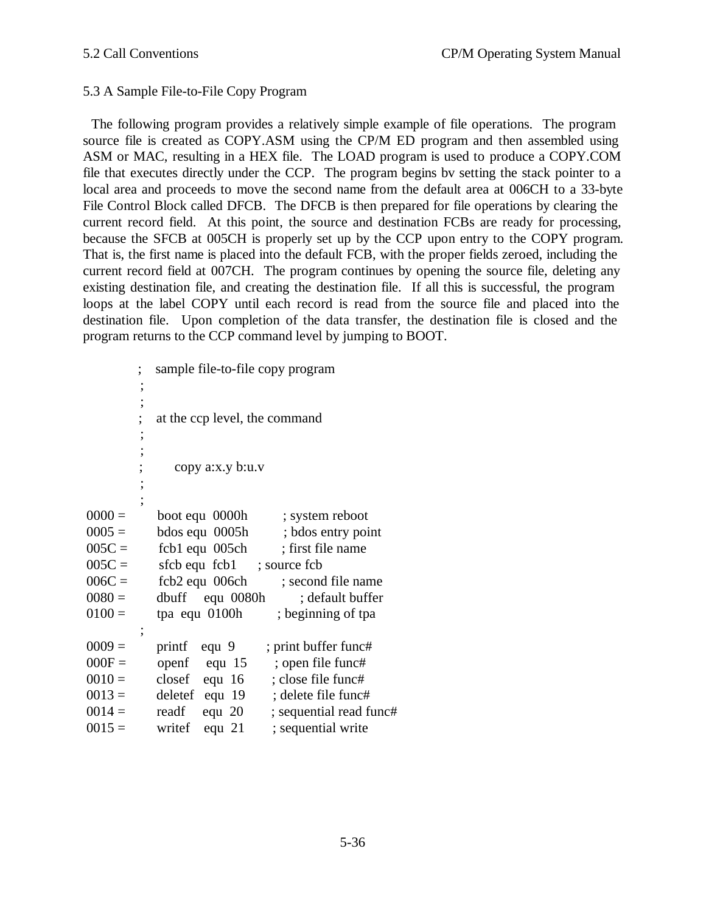# 5.3 A Sample File-to-File Copy Program

The following program provides a relatively simple example of file operations. The program source file is created as COPY.ASM using the CP/M ED program and then assembled using ASM or MAC, resulting in a HEX file. The LOAD program is used to produce a COPY.COM file that executes directly under the CCP. The program begins bv setting the stack pointer to a local area and proceeds to move the second name from the default area at 006CH to a 33-byte File Control Block called DFCB. The DFCB is then prepared for file operations by clearing the current record field. At this point, the source and destination FCBs are ready for processing, because the SFCB at 005CH is properly set up by the CCP upon entry to the COPY program. That is, the first name is placed into the default FCB, with the proper fields zeroed, including the current record field at 007CH. The program continues by opening the source file, deleting any existing destination file, and creating the destination file. If all this is successful, the program loops at the label COPY until each record is read from the source file and placed into the destination file. Upon completion of the data transfer, the destination file is closed and the program returns to the CCP command level by jumping to BOOT.

|          |                          | sample file-to-file copy program |                         |
|----------|--------------------------|----------------------------------|-------------------------|
|          | ,                        |                                  |                         |
|          | ,                        |                                  |                         |
|          |                          | at the ccp level, the command    |                         |
|          | ,                        |                                  |                         |
|          |                          |                                  |                         |
|          |                          | copy a:x.y b:u.v                 |                         |
|          | ,                        |                                  |                         |
|          |                          |                                  |                         |
| $0000 =$ |                          | boot equ 0000h                   | ; system reboot         |
| $0005 =$ |                          | bdos equ 0005h                   | ; bdos entry point      |
| $005C =$ |                          | fcb1 equ 005ch                   | ; first file name       |
| $005C =$ |                          | sfcb equ fcb1                    | ; source fcb            |
| $006C =$ |                          | fcb2 equ 006ch                   | ; second file name      |
| $0080 =$ |                          | dbuff equ 0080h                  | ; default buffer        |
| $0100 =$ |                          | tpa equ 0100h                    | ; beginning of tpa      |
|          | $\overline{\phantom{a}}$ |                                  |                         |
| $0009 =$ |                          | printf<br>equ 9                  | ; print buffer func#    |
| $000F =$ |                          | openf<br>equ $15$                | ; open file func#       |
| $0010 =$ |                          | closef<br>equ $16$               | ; close file func#      |
| $0013 =$ |                          | deletef equ 19                   | ; delete file func#     |
| $0014 =$ |                          | readf<br>equ $20$                | ; sequential read func# |
| $0015 =$ |                          | writef<br>equ $21$               | ; sequential write      |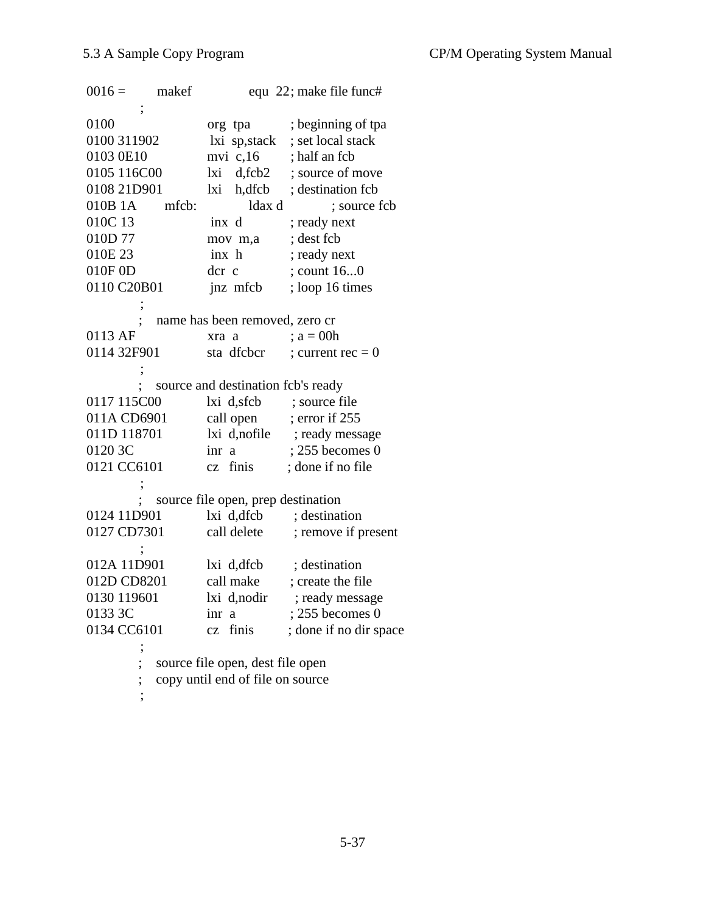$0016 =$  makef equ 22; make file func# ; 0100 org tpa ; beginning of tpa 0100 311902 lxi sp,stack ; set local stack 0103 0E10 mvi c,16 ; half an fcb 0105 116C00 lxi d,fcb2 ; source of move 0108 21D901 lxi h,dfcb ; destination fcb 010B 1A mfcb: ldax d; source fcb 010C 13 inx d; ready next 010D 77 mov m,a ; dest fcb 010E 23 inx h ; ready next 010F 0D dcr c ; count 16...0 0110 C20B01 jnz mfcb ; loop 16 times ; name has been removed, zero cr 0113 AF  $xra \ a \t ; a = 00h$ 0114 32F901 sta dfcbcr ; current rec = 0 ; ; source and destination fcb's ready 0117 115C00 lxi d,sfcb ; source file 011A CD6901 call open ; error if 255 011D 118701 lxi d,nofile ; ready message 0120 3C inr a ; 255 becomes 0 0121 CC6101 cz finis ; done if no file ; ; source file open, prep destination 0124 11D901 lxi d,dfcb ; destination 0127 CD7301 call delete ; remove if present ; 012A 11D901 lxi d,dfcb ; destination 012D CD8201 call make ; create the file 0130 119601 lxi d,nodir ; ready message 0133 3C inr a ; 255 becomes 0 0134 CC6101 cz finis ; done if no dir space ; source file open, dest file open ; copy until end of file on source

;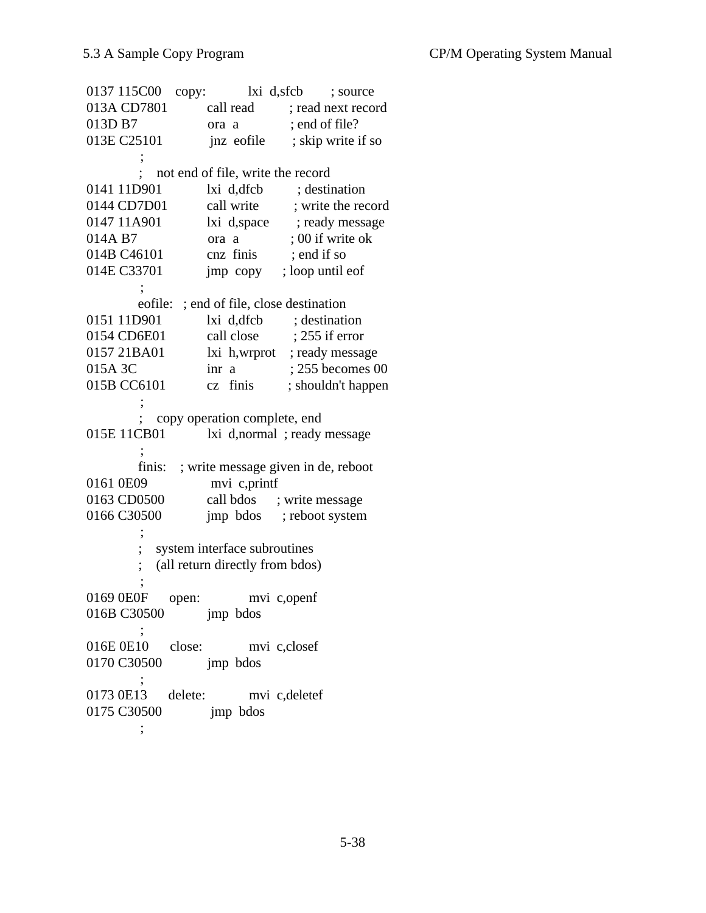| 0137 115C00<br>copy:            |                                          | lxi d,sfcb<br>; source                   |
|---------------------------------|------------------------------------------|------------------------------------------|
| 013A CD7801                     |                                          | call read ; read next record             |
| 013D B7                         | ora a                                    | ; end of file?                           |
| 013E C25101                     | jnz eofile                               | ; skip write if so                       |
|                                 |                                          |                                          |
|                                 | not end of file, write the record        |                                          |
| 0141 11D901                     |                                          | lxi d,dfcb ; destination                 |
| 0144 CD7D01                     |                                          | call write ; write the record            |
| 0147 11A901                     |                                          | lxi d,space ; ready message              |
| 014A B7                         | ora a                                    | ; 00 if write ok                         |
| 014B C46101                     | cnz finis ; end if so                    |                                          |
| 014E C33701                     |                                          | jmp copy ; loop until eof                |
|                                 |                                          |                                          |
|                                 | eofile: ; end of file, close destination |                                          |
| 0151 11D901                     | lxi d, dfcb ; destination                |                                          |
| 0154 CD6E01                     |                                          | call close ; 255 if error                |
| 0157 21BA01                     |                                          | lxi h,wrprot ; ready message             |
| 015A 3C                         |                                          | $\text{inr}$ a $\qquad$ ; 255 becomes 00 |
| 015B CC6101                     |                                          | cz finis ; shouldn't happen              |
|                                 |                                          |                                          |
|                                 | copy operation complete, end             |                                          |
| 015E 11CB01                     |                                          | lxi d,normal ; ready message             |
|                                 |                                          |                                          |
| finis:                          |                                          | ; write message given in de, reboot      |
| 0161 0E09                       | mvi c,printf                             |                                          |
| 0163 CD0500                     | call bdos ; write message                |                                          |
| 0166 C30500                     |                                          | jmp bdos ; reboot system                 |
|                                 |                                          |                                          |
|                                 | system interface subroutines             |                                          |
|                                 | (all return directly from bdos)          |                                          |
|                                 |                                          |                                          |
| 0169 0E0F<br>open:              | mvi c,openf                              |                                          |
| 016B C30500 jmp bdos            |                                          |                                          |
|                                 |                                          |                                          |
| 016E 0E10 close: mvi c,closef   |                                          |                                          |
| 0170 C30500 jmp bdos            |                                          |                                          |
| 0173 0E13 delete: mvi c,deletef |                                          |                                          |
| 0175 C30500 jmp bdos            |                                          |                                          |
|                                 |                                          |                                          |
|                                 |                                          |                                          |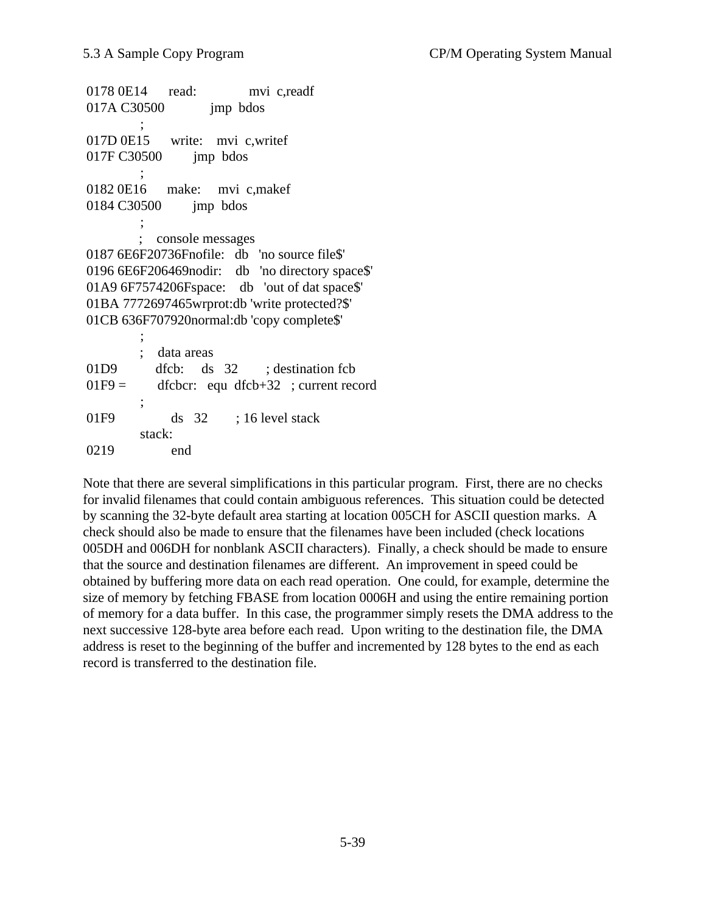0178 0E14 read: mvi c,readf 017A C30500 imp bdos  $\ddot{i}$  017D 0E15 write: mvi c,writef 017F C30500 jmp bdos ; 0182 0E16 make: mvi c,makef 0184 C30500 jmp bdos ; ; console messages 0187 6E6F20736Fnofile: db 'no source file\$' 0196 6E6F206469nodir: db 'no directory space\$' 01A9 6F7574206Fspace: db 'out of dat space\$' 01BA 7772697465wrprot:db 'write protected?\$' 01CB 636F707920normal:db 'copy complete\$' ; data areas 01D9 dfcb: ds 32 ; destination fcb  $01F9 =$  dfcbcr: equ dfcb+32 ; current record  $\ddot{i}$ 01F9 ds 32 ; 16 level stack

 stack: 0219 end

Note that there are several simplifications in this particular program. First, there are no checks for invalid filenames that could contain ambiguous references. This situation could be detected by scanning the 32-byte default area starting at location 005CH for ASCII question marks. A check should also be made to ensure that the filenames have been included (check locations 005DH and 006DH for nonblank ASCII characters). Finally, a check should be made to ensure that the source and destination filenames are different. An improvement in speed could be obtained by buffering more data on each read operation. One could, for example, determine the size of memory by fetching FBASE from location 0006H and using the entire remaining portion of memory for a data buffer. In this case, the programmer simply resets the DMA address to the next successive 128-byte area before each read. Upon writing to the destination file, the DMA address is reset to the beginning of the buffer and incremented by 128 bytes to the end as each record is transferred to the destination file.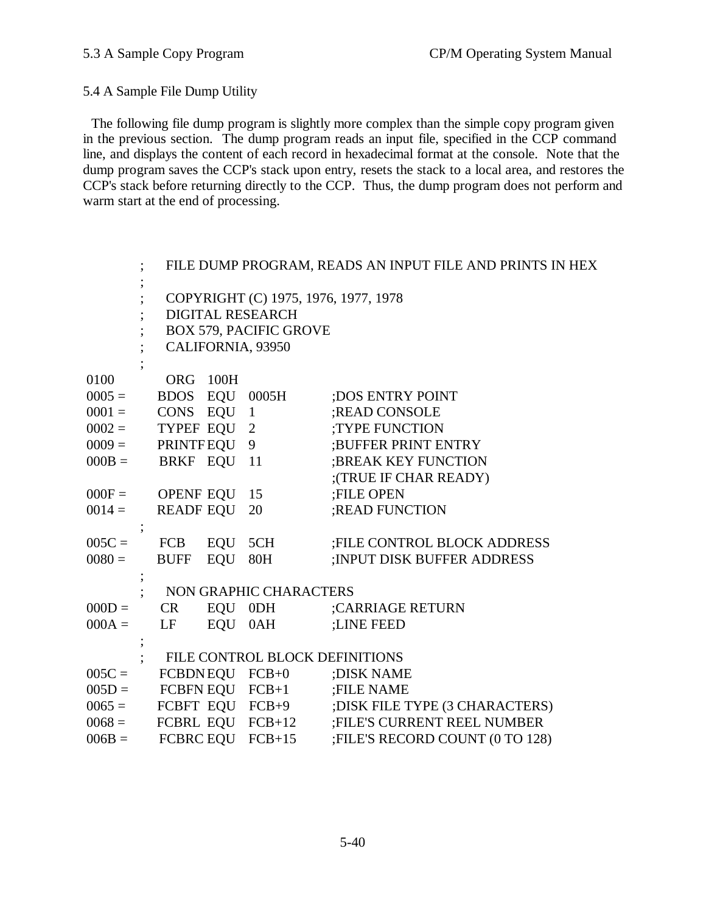5.4 A Sample File Dump Utility

The following file dump program is slightly more complex than the simple copy program given in the previous section. The dump program reads an input file, specified in the CCP command line, and displays the content of each record in hexadecimal format at the console. Note that the dump program saves the CCP's stack upon entry, resets the stack to a local area, and restores the CCP's stack before returning directly to the CCP. Thus, the dump program does not perform and warm start at the end of processing.

|          |                                      |     |                                | FILE DUMP PROGRAM, READS AN INPUT FILE AND PRINTS IN HEX |
|----------|--------------------------------------|-----|--------------------------------|----------------------------------------------------------|
|          |                                      |     |                                |                                                          |
|          | COPYRIGHT (C) 1975, 1976, 1977, 1978 |     |                                |                                                          |
|          | <b>DIGITAL RESEARCH</b>              |     |                                |                                                          |
|          | <b>BOX 579, PACIFIC GROVE</b>        |     |                                |                                                          |
|          |                                      |     | CALIFORNIA, 93950              |                                                          |
|          |                                      |     |                                |                                                          |
| 0100     | ORG 100H                             |     |                                |                                                          |
| $0005 =$ | BDOS EQU                             |     | 0005H                          | ; DOS ENTRY POINT                                        |
| $0001 =$ | CONS EQU 1                           |     |                                | ;READ CONSOLE                                            |
| $0002 =$ | TYPEF EQU 2                          |     |                                | <b>TYPE FUNCTION</b>                                     |
| $0009 =$ | PRINTFEQU 9                          |     |                                | ;BUFFER PRINT ENTRY                                      |
| $000B =$ | BRKF EQU 11                          |     |                                | ;BREAK KEY FUNCTION                                      |
|          |                                      |     |                                | ;(TRUE IF CHAR READY)                                    |
| $000F =$ | OPENF EQU                            |     | 15                             | ;FILE OPEN                                               |
| $0014 =$ | <b>READF EQU</b>                     |     | 20                             | ;READ FUNCTION                                           |
|          |                                      |     |                                |                                                          |
| $005C =$ | FCB EQU                              |     | 5CH                            | <b>;FILE CONTROL BLOCK ADDRESS</b>                       |
| $0080 =$ | <b>BUFF</b>                          | EQU | 80H                            | <b>INPUT DISK BUFFER ADDRESS:</b>                        |
|          |                                      |     |                                |                                                          |
|          |                                      |     | NON GRAPHIC CHARACTERS         |                                                          |
| $000D =$ | <b>CR</b>                            |     | EQU 0DH                        | :CARRIAGE RETURN                                         |
| $000A =$ | LF                                   | EQU | 0AH                            | :LINE FEED                                               |
|          |                                      |     |                                |                                                          |
|          |                                      |     | FILE CONTROL BLOCK DEFINITIONS |                                                          |
| $005C =$ |                                      |     | FCBDNEQU FCB+0                 | ; DISK NAME                                              |
| $005D =$ |                                      |     | FCBFN EQU FCB+1                | <b>;FILE NAME</b>                                        |
| $0065 =$ |                                      |     | FCBFT EQU FCB+9                | ; DISK FILE TYPE (3 CHARACTERS)                          |
| $0068 =$ |                                      |     | FCBRL EQU FCB+12               | <b>;FILE'S CURRENT REEL NUMBER</b>                       |
| $006B =$ |                                      |     | FCBRC EQU FCB+15               | ;FILE'S RECORD COUNT (0 TO 128)                          |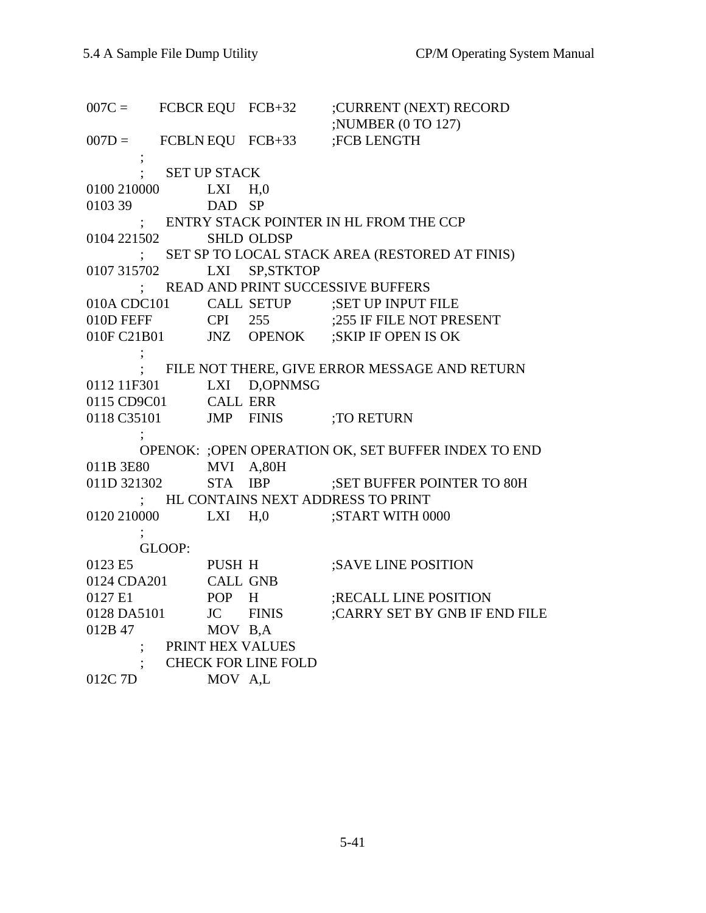007C = FCBCR EQU FCB+32 ;CURRENT (NEXT) RECORD ;NUMBER (0 TO 127)  $007D =$  FCBLN EQU FCB+33 ;FCB LENGTH ; ; SET UP STACK 0100 210000 LXI H,0 0103 39 DAD SP ; ENTRY STACK POINTER IN HL FROM THE CCP 0104 221502 SHLD OLDSP ; SET SP TO LOCAL STACK AREA (RESTORED AT FINIS) 0107 315702 LXI SP,STKTOP ; READ AND PRINT SUCCESSIVE BUFFERS 010A CDC101 CALL SETUP ;SET UP INPUT FILE 010D FEFF CPI 255 ;255 IF FILE NOT PRESENT 010F C21B01 JNZ OPENOK ;SKIP IF OPEN IS OK ; ; FILE NOT THERE, GIVE ERROR MESSAGE AND RETURN 0112 11F301 LXI D,OPNMSG 0115 CD9C01 CALL ERR<br>0118 C35101 JMP FINIS JMP FINIS ;TO RETURN ; OPENOK: ;OPEN OPERATION OK, SET BUFFER INDEX TO END 011B 3E80 MVI A,80H<br>011D 321302 STA IBP STA IBP ;SET BUFFER POINTER TO 80H ; HL CONTAINS NEXT ADDRESS TO PRINT 0120 210000 LXI H,0 ;START WITH 0000  $\ddot{i}$  GLOOP: 0123 E5 PUSH H ;SAVE LINE POSITION 0123 ES PUSH H<br>0124 CDA201 CALL GNB 0127 E1 POP H ;RECALL LINE POSITION 0128 DA5101 JC FINIS ;CARRY SET BY GNB IF END FILE 012B 47 MOV B,A ; PRINT HEX VALUES ; CHECK FOR LINE FOLD 012C 7D MOV A,L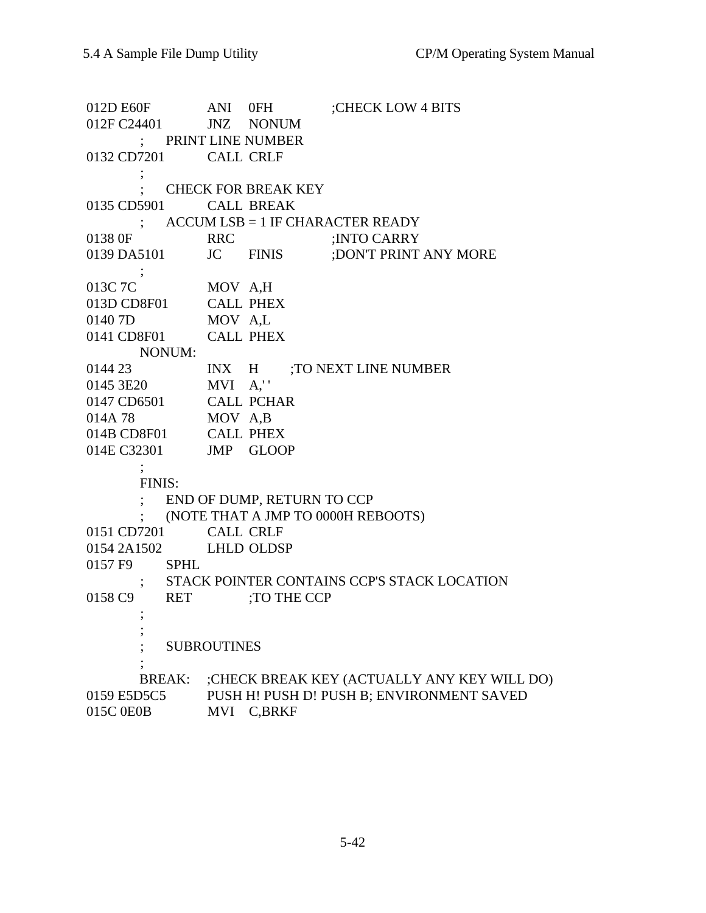012D E60F ANI 0FH ;CHECK LOW 4 BITS 012F C24401 JNZ NONUM ; PRINT LINE NUMBER 0132 CD7201 CALL CRLF ; ; CHECK FOR BREAK KEY 0135 CD5901 CALL BREAK ; ACCUM LSB = 1 IF CHARACTER READY 0138 0F RRC ;INTO CARRY<br>0139 DA5101 JC FINIS ;DON'T PRINT JC FINIS ;DON'T PRINT ANY MORE ; 013C 7C MOV A,H 013D CD8F01 CALL PHEX 0140 7D MOV A,L  $01407D$  MOV A,L<br> $0141 \text{ CDSF01}$  CALL PHEX NONUM: 0144 23 INX H ;TO NEXT LINE NUMBER 0145 3E20 MVI A,' ' 0147 CD6501 CALL PCHAR 014A 78 MOV A,B 014B CD8F01 CALL PHEX 014E C32301 JMP GLOOP  $\ddot{i}$  FINIS: ; END OF DUMP, RETURN TO CCP ; (NOTE THAT A JMP TO 0000H REBOOTS) 0151 CD7201 CALL CRLF 0154 2A1502 LHLD OLDSP 0157 F9 SPHL ; STACK POINTER CONTAINS CCP'S STACK LOCATION 0158 C9 RET ;TO THE CCP ; ; **SUBROUTINES**  $\ddot{i}$  BREAK: ;CHECK BREAK KEY (ACTUALLY ANY KEY WILL DO) 0159 E5D5C5 PUSH H! PUSH D! PUSH B; ENVIRONMENT SAVED 015C 0E0B MVI C,BRKF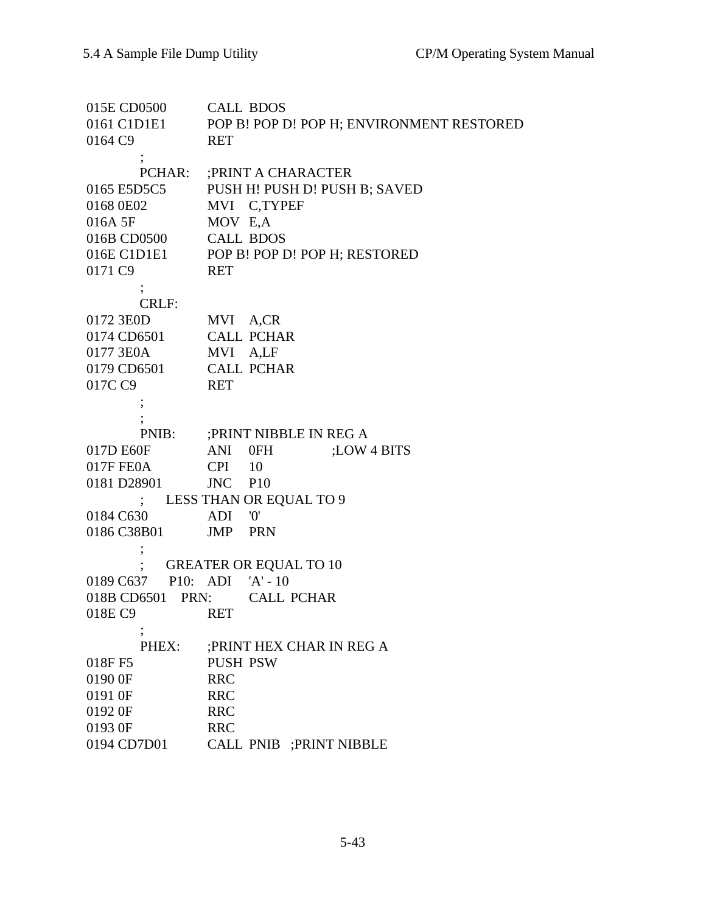015E CD0500 CALL BDOS 0161 C1D1E1 POP B! POP D! POP H; ENVIRONMENT RESTORED 0164 C9 RET ; PCHAR: ;PRINT A CHARACTER 0165 E5D5C5 PUSH H! PUSH D! PUSH B; SAVED 0168 0E02 MVI C,TYPEF 016A 5F MOV E,A 016B CD0500 CALL BDOS 016E C1D1E1 POP B! POP D! POP H; RESTORED 0171 C9 RET ; CRLF: 0172 3E0D MVI A,CR 0174 CD6501 CALL PCHAR 0177 3E0A MVI A,LF 0179 CD6501 CALL PCHAR 017C C9 RET  $\ddot{i}$  ; PNIB: ;PRINT NIBBLE IN REG A 017D E60F ANI 0FH ;LOW 4 BITS 017F FE0A CPI 10 0181 D28901 JNC P10 ; LESS THAN OR EQUAL TO 9 0184 C630 ADI '0' 0186 C38B01 JMP PRN ; ; GREATER OR EQUAL TO 10 0189 C637 P10: ADI 'A' - 10 018B CD6501 PRN: CALL PCHAR 018E C9 RET ; PHEX: ;PRINT HEX CHAR IN REG A 018F F5 PUSH PSW 0190 0F RRC 0191 0F RRC 0192 0F RRC 0193 0F RRC 0194 CD7D01 CALL PNIB ;PRINT NIBBLE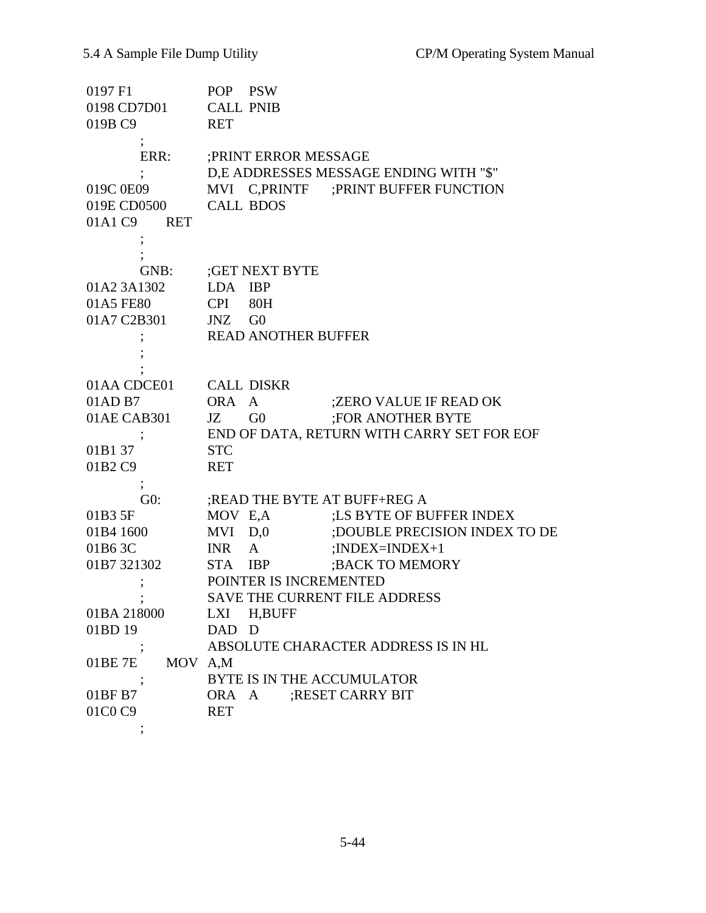| 0197 F1                | POP PSW                                    |
|------------------------|--------------------------------------------|
| 0198 CD7D01            | <b>CALL PNIB</b>                           |
| 019B C9                | <b>RET</b>                                 |
|                        |                                            |
| ERR:                   | ; PRINT ERROR MESSAGE                      |
|                        | D,E ADDRESSES MESSAGE ENDING WITH "\$"     |
| 019C 0E09              | MVI C, PRINTF ; PRINT BUFFER FUNCTION      |
| 019E CD0500            | <b>CALL BDOS</b>                           |
| 01A1 C9 RET            |                                            |
|                        |                                            |
|                        |                                            |
| GNB:                   | ;GET NEXT BYTE                             |
| 01A2 3A1302            | LDA IBP                                    |
| 01A5 FE80              | <b>CPI</b><br>80H                          |
| 01A7 C2B301            | JNZ GO                                     |
|                        | <b>READ ANOTHER BUFFER</b>                 |
|                        |                                            |
|                        |                                            |
| 01AA CDCE01 CALL DISKR |                                            |
| 01AD B7                | ;ZERO VALUE IF READ OK<br>ORA A            |
| 01AE CAB301            | <b>FOR ANOTHER BYTE</b><br>JZ<br>G0        |
|                        | END OF DATA, RETURN WITH CARRY SET FOR EOF |
| 01B137                 | <b>STC</b>                                 |
| 01B2 C9                | <b>RET</b>                                 |
| $^\circ$               |                                            |
| G0:                    | ;READ THE BYTE AT BUFF+REG A               |
| 01B3 5F                | MOV E,A ;LS BYTE OF BUFFER INDEX           |
| 01B4 1600              | MVI D,0 ;DOUBLE PRECISION INDEX TO DE      |
| 01B63C                 | ; $INDEX = INDEX + 1$<br>INR A             |
| 01B7 321302            | ; BACK TO MEMORY<br>STA<br><b>IBP</b>      |
|                        | POINTER IS INCREMENTED                     |
|                        | SAVE THE CURRENT FILE ADDRESS              |
| 01BA 218000            | LXI H,BUFF                                 |
| 01BD 19                | DAD D                                      |
|                        | ABSOLUTE CHARACTER ADDRESS IS IN HL        |
| 01BE 7E MOV A,M        |                                            |
|                        | BYTE IS IN THE ACCUMULATOR                 |
| 01BF B7                | ORA A ; RESET CARRY BIT                    |
| 01C0 C9                | <b>RET</b>                                 |
|                        |                                            |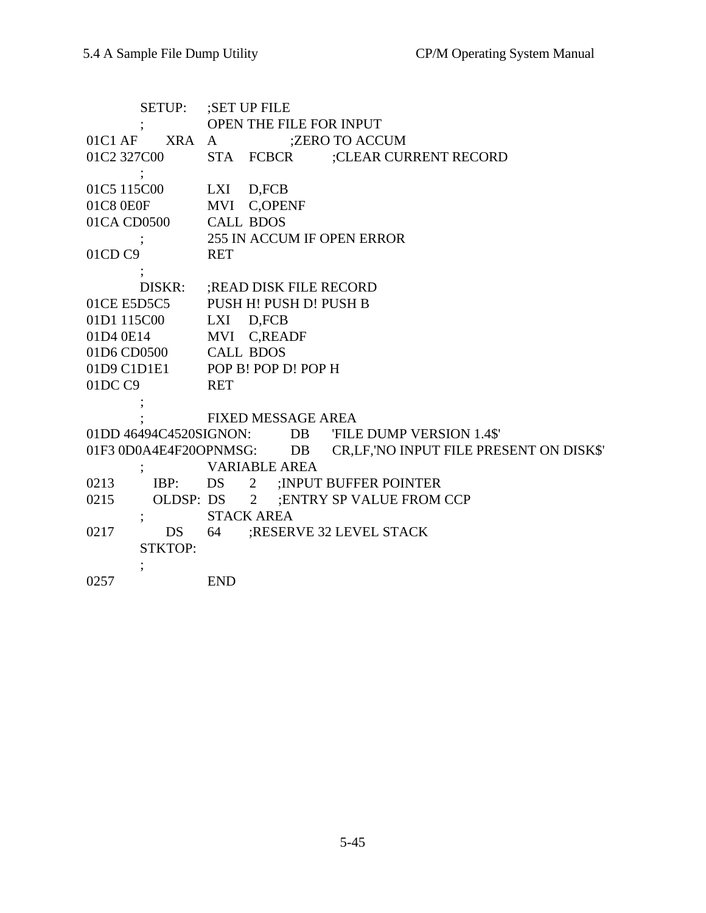| <b>SETUP:</b>          | SET UP FILE;                                      |  |  |  |
|------------------------|---------------------------------------------------|--|--|--|
|                        | OPEN THE FILE FOR INPUT                           |  |  |  |
| <b>XRA</b><br>01C1AF   | ;ZERO TO ACCUM<br>$\mathbf{A}$                    |  |  |  |
| 01C2 327C00            | STA FCBCR ;CLEAR CURRENT RECORD                   |  |  |  |
|                        |                                                   |  |  |  |
| 01C5 115C00            | LXI D,FCB                                         |  |  |  |
| 01C8 0E0F              | MVI C,OPENF                                       |  |  |  |
| 01CA CD0500            | <b>CALL BDOS</b>                                  |  |  |  |
|                        | 255 IN ACCUM IF OPEN ERROR                        |  |  |  |
| 01CD C9                | <b>RET</b>                                        |  |  |  |
|                        |                                                   |  |  |  |
| DISKR:                 | ; READ DISK FILE RECORD                           |  |  |  |
| 01CE E5D5C5            | PUSH H! PUSH D! PUSH B                            |  |  |  |
| 01D1 115C00            | LXI D,FCB                                         |  |  |  |
| 01D4 0E14              | MVI C,READF                                       |  |  |  |
| 01D6 CD0500            | <b>CALL BDOS</b>                                  |  |  |  |
|                        | 01D9 C1D1E1 POP B! POP D! POP H                   |  |  |  |
| 01DC C9                | <b>RET</b>                                        |  |  |  |
|                        |                                                   |  |  |  |
|                        | <b>FIXED MESSAGE AREA</b>                         |  |  |  |
|                        | 01DD 46494C4520SIGNON: DB FILE DUMP VERSION 1.4\$ |  |  |  |
| 01F3 0D0A4E4F20OPNMSG: | CR, LF, 'NO INPUT FILE PRESENT ON DISK\$'<br>DB   |  |  |  |
|                        | <b>VARIABLE AREA</b>                              |  |  |  |
| 0213<br>IBP:           | DS<br>$\overline{2}$<br>; INPUT BUFFER POINTER    |  |  |  |
| 0215                   | OLDSP: DS 2<br>; ENTRY SP VALUE FROM CCP          |  |  |  |
|                        | <b>STACK AREA</b>                                 |  |  |  |
| 0217<br>DS             | ;RESERVE 32 LEVEL STACK<br>64                     |  |  |  |
| <b>STKTOP:</b>         |                                                   |  |  |  |
|                        |                                                   |  |  |  |
| 0257                   | <b>END</b>                                        |  |  |  |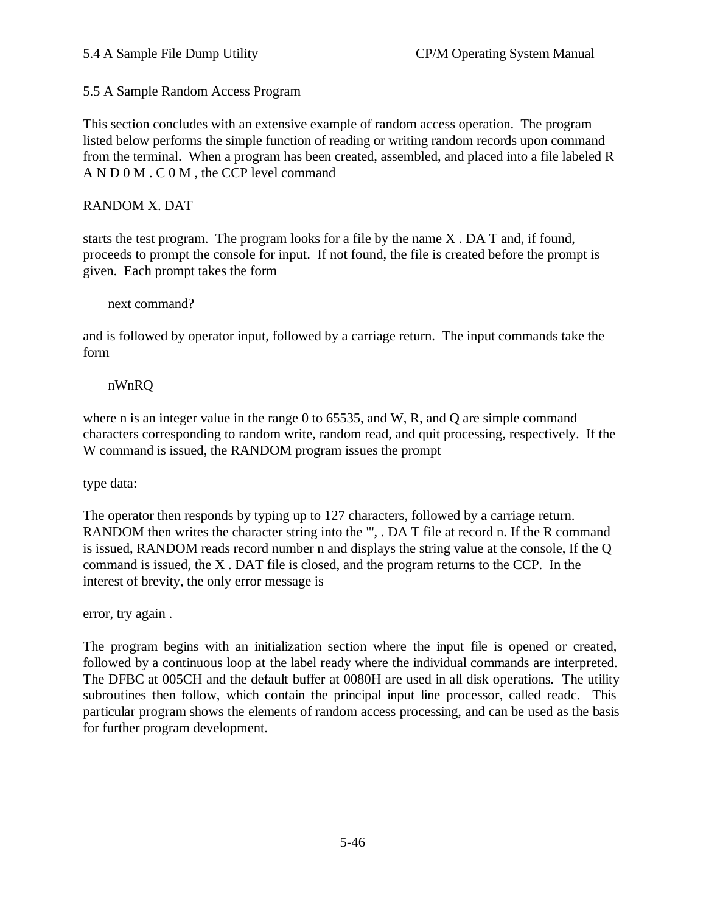5.5 A Sample Random Access Program

This section concludes with an extensive example of random access operation. The program listed below performs the simple function of reading or writing random records upon command from the terminal. When a program has been created, assembled, and placed into a file labeled R A N D 0 M . C 0 M , the CCP level command

### RANDOM X. DAT

starts the test program. The program looks for a file by the name X . DA T and, if found, proceeds to prompt the console for input. If not found, the file is created before the prompt is given. Each prompt takes the form

#### next command?

and is followed by operator input, followed by a carriage return. The input commands take the form

#### nWnRQ

where n is an integer value in the range 0 to 65535, and W, R, and Q are simple command characters corresponding to random write, random read, and quit processing, respectively. If the W command is issued, the RANDOM program issues the prompt

type data:

The operator then responds by typing up to 127 characters, followed by a carriage return. RANDOM then writes the character string into the "', . DA T file at record n. If the R command is issued, RANDOM reads record number n and displays the string value at the console, If the Q command is issued, the X . DAT file is closed, and the program returns to the CCP. In the interest of brevity, the only error message is

error, try again .

The program begins with an initialization section where the input file is opened or created, followed by a continuous loop at the label ready where the individual commands are interpreted. The DFBC at 005CH and the default buffer at 0080H are used in all disk operations. The utility subroutines then follow, which contain the principal input line processor, called readc. This particular program shows the elements of random access processing, and can be used as the basis for further program development.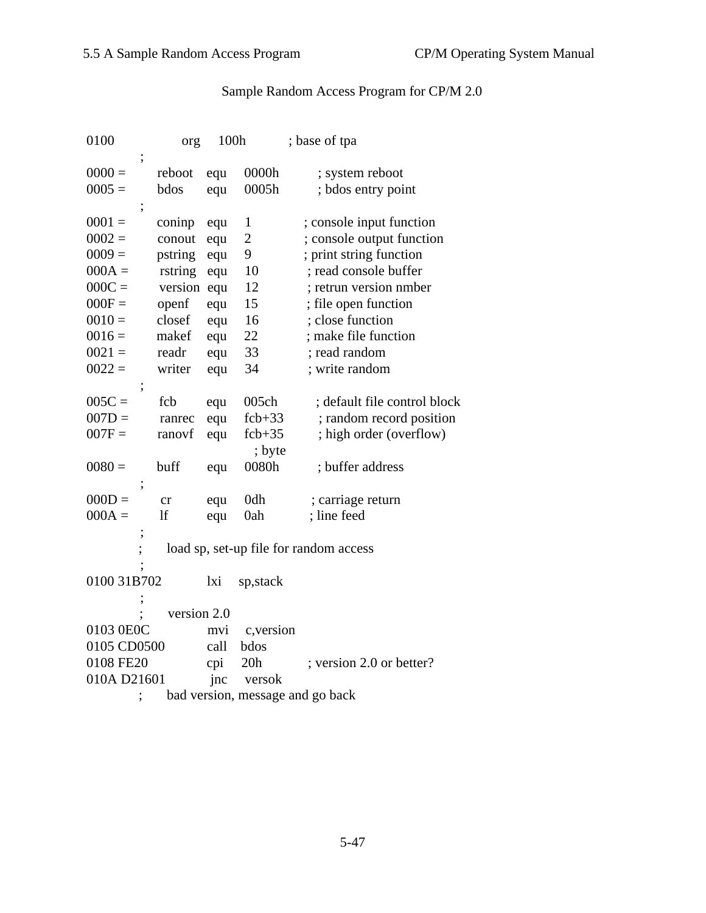# Sample Random Access Program for CP/M 2.0

| 0100          | org         | 100h |                | ; base of tpa                          |
|---------------|-------------|------|----------------|----------------------------------------|
| ,<br>$0000 =$ | reboot      | equ  | 0000h          | ; system reboot                        |
| $0005 =$      | bdos        | equ  | 0005h          | ; bdos entry point                     |
|               |             |      |                |                                        |
| $0001 =$      | coninp      | equ  | $\mathbf{1}$   | ; console input function               |
| $0002 =$      | conout      | equ  | $\overline{c}$ | ; console output function              |
| $0009 =$      | pstring     | equ  | 9              | ; print string function                |
| $000A =$      | rstring     | equ  | 10             | ; read console buffer                  |
| $000C =$      | version equ |      | 12             | ; retrun version nmber                 |
| $000F =$      | openf       | equ  | 15             | ; file open function                   |
| $0010 =$      | closef      | equ  | 16             | ; close function                       |
| $0016 =$      | makef       | equ  | 22             | ; make file function                   |
| $0021 =$      | readr       | equ  | 33             | ; read random                          |
| $0022 =$      | writer      | equ  | 34             | ; write random                         |
| ;             |             |      |                |                                        |
| $005C =$      | fcb         | equ  | 005ch          | ; default file control block           |
| $007D =$      | ranrec      | equ  | $fcb+33$       | ; random record position               |
| $007F =$      | ranovf      | equ  | $fcb+35$       | ; high order (overflow)                |
|               |             |      | ; byte         |                                        |
| $0080 =$      | buff        | equ  | 0080h          | ; buffer address                       |
| ;             |             |      |                |                                        |
| $000D =$      | cr          | equ  | 0dh            | ; carriage return                      |
| $000A =$      | lf          | equ  | 0ah            | ; line feed                            |
|               |             |      |                |                                        |
|               |             |      |                | load sp, set-up file for random access |
|               |             |      |                |                                        |
| 0100 31B702   |             | lxi  | sp, stack      |                                        |
|               |             |      |                |                                        |
|               | version 2.0 |      |                |                                        |
| 0103 0E0C     |             | mvi  | c, version     |                                        |
| 0105 CD0500   |             | call | bdos           |                                        |
| 0108 FE20     |             | cpi  | 20h            | ; version 2.0 or better?               |
| 010A D21601   |             | jnc  | versok         |                                        |
|               |             |      |                | bad version, message and go back       |
|               |             |      |                |                                        |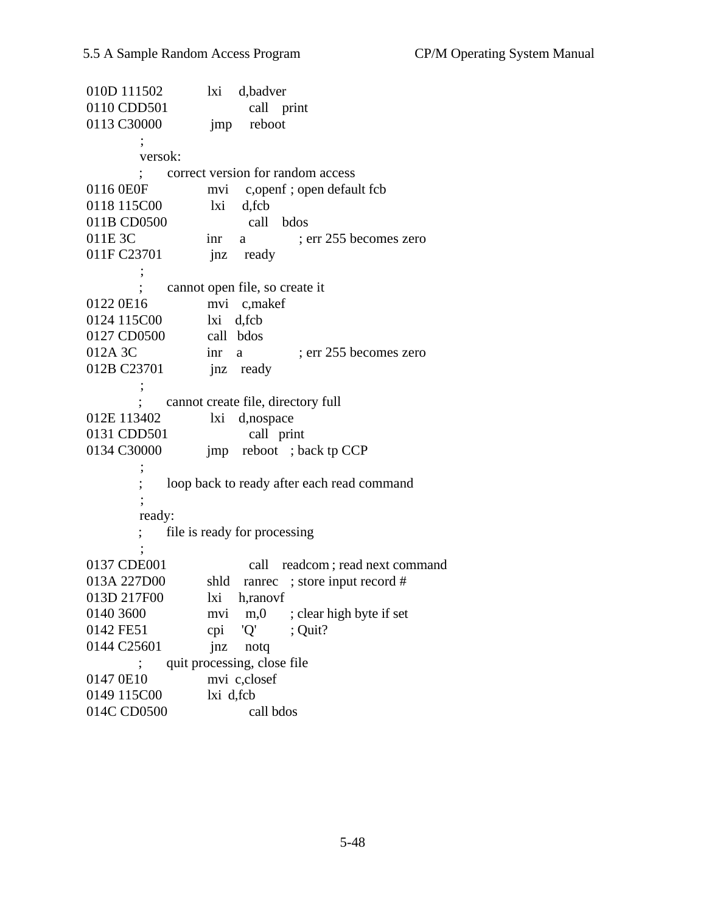| 010D 111502 | d,badver<br>lxi                            |
|-------------|--------------------------------------------|
| 0110 CDD501 | call print                                 |
| 0113 C30000 | reboot<br>jmp                              |
|             |                                            |
| versok:     |                                            |
|             | correct version for random access          |
| 0116 0E0F   | c, openf; open default fcb<br>mvi          |
| 0118 115C00 | d, fcb<br>lxi                              |
| 011B CD0500 | call bdos                                  |
| 011E 3C     | ; err 255 becomes zero<br>inr<br>a         |
| 011F C23701 | ready<br>jnz                               |
|             |                                            |
|             | cannot open file, so create it             |
| 0122 0E16   | mvi c,makef                                |
| 0124 115C00 | lxi d,fcb                                  |
| 0127 CD0500 | call bdos                                  |
| 012A 3C     | ; err 255 becomes zero<br>inr<br>a         |
| 012B C23701 | jnz ready                                  |
|             |                                            |
|             | cannot create file, directory full         |
| 012E 113402 | d,nospace<br>lxi                           |
| 0131 CDD501 | call print                                 |
| 0134 C30000 | jmp reboot ; back tp CCP                   |
|             |                                            |
|             | loop back to ready after each read command |
|             |                                            |
| ready:      |                                            |
|             | file is ready for processing               |
|             |                                            |
| 0137 CDE001 | readcom; read next command<br>call         |
| 013A 227D00 | ranrec ; store input record #<br>shld      |
| 013D 217F00 | lxi<br>h,ranovf                            |
| 0140 3600   | ; clear high byte if set<br>m,0<br>mvi     |
| 0142 FE51   | 'Q'<br>cpi<br>Quit?                        |
| 0144 C25601 | jnz<br>notq                                |
|             | quit processing, close file                |
| 0147 0E10   | mvi c,closef                               |
| 0149 115C00 | lxi d, fcb                                 |
| 014C CD0500 | call bdos                                  |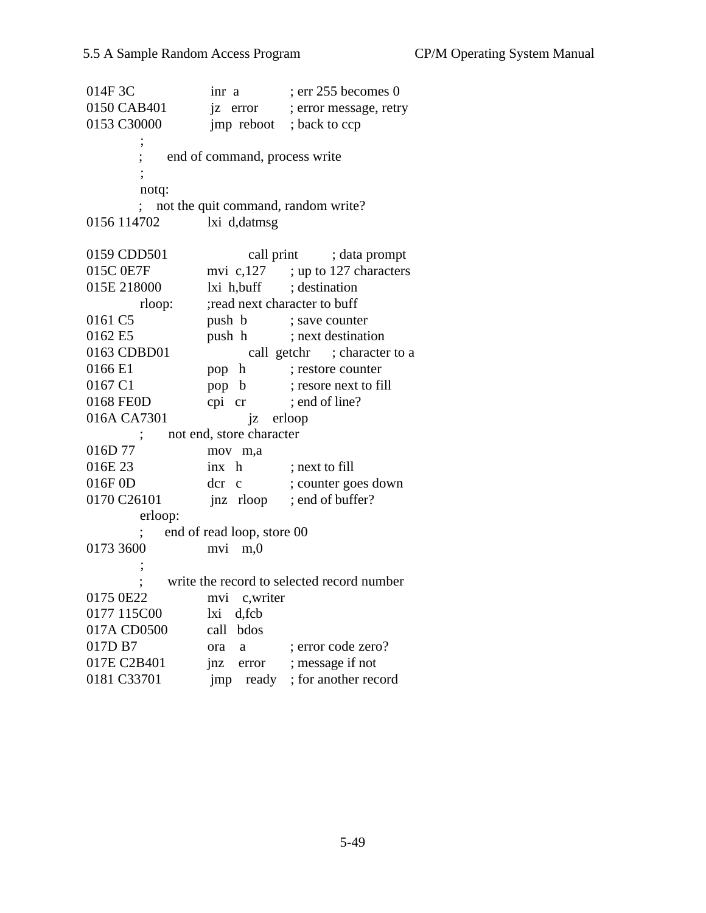$014F3C$  inr a ; err 255 becomes 0 0150 CAB401 iz error ; error message, retry 0153 C30000 imp reboot; back to ccp ; ; end of command, process write ; notq: ; not the quit command, random write? 0156 114702 lxi d,datmsg 0159 CDD501 call print ; data prompt 015C 0E7F mvi c,127 ; up to 127 characters 015E 218000 lxi h,buff ; destination rloop: ; ; ; read next character to buff 0161 C5 push b ; save counter 0162 E5 push h ; next destination 0163 CDBD01 call getchr ; character to a 0166 E1 pop h ; restore counter 0167 C1 pop b ; resore next to fill 0168 FEOD cpi cr ; end of line? 016A CA7301 jz erloop ; not end, store character 016D 77 mov m,a 016E 23 inx h ; next to fill 016F 0D der c ; counter goes down 0170 C26101 jnz rloop ; end of buffer? erloop: ; end of read loop, store 00 0173 3600 mvi m,0 ; write the record to selected record number 0175 0E22 mvi c,writer 0177 115C00 lxi d,fcb 017A CD0500 call bdos 017D B7 ora a ; error code zero? 017E C2B401 jnz error ; message if not 0181 C33701 imp ready ; for another record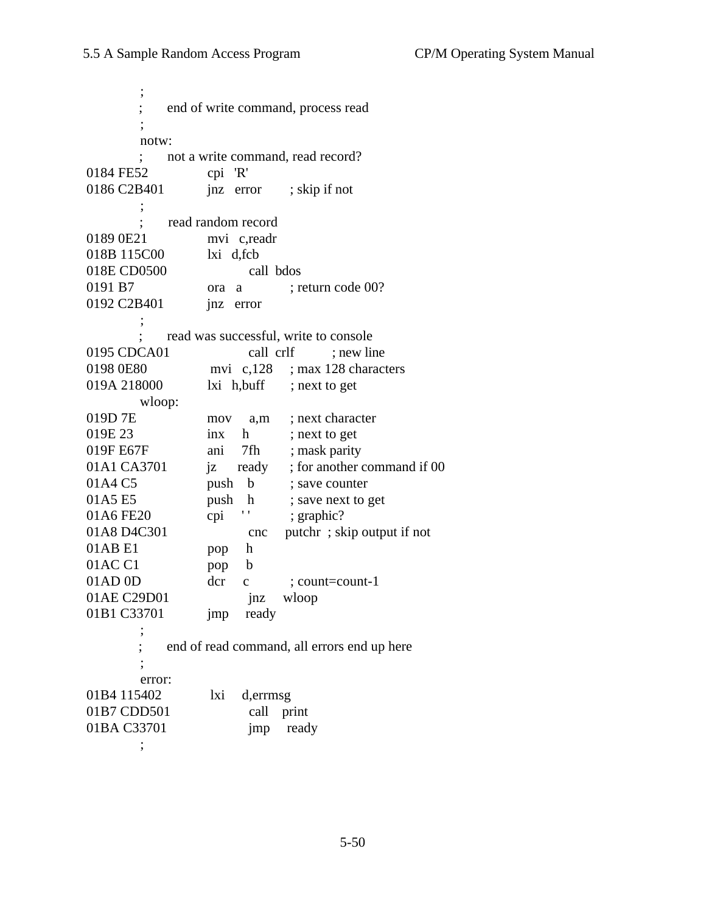; ; end of write command, process read  $\ddot{i}$  notw: ; not a write command, read record? 0184 FE52 cpi 'R' 0186 C2B401 jnz error ; skip if not ; ; read random record 0189 0E21 mvi c,readr 018B 115C00 lxi d,fcb 018E CD0500 call bdos 0191 B7 ora a ; return code 00? 0192 C2B401 **jnz** error  $\ddot{i}$  ; read was successful, write to console 0195 CDCA01 call crlf : new line 0198 0E80 mvi c,128 ; max 128 characters 019A 218000 lxi h,buff ; next to get wloop: 019D 7E mov a,m ; next character 019E 23 inx h ; next to get 019F E67F ani 7fh ; mask parity 01A1 CA3701 iz ready ; for another command if 00 01A4 C5 push b ; save counter 01A5 E5 push h ; save next to get 01A6 FE20 cpi '' ; graphic? 01A8 D4C301 cnc putchr; skip output if not 01AB E1 pop h 01AC C1 pop b 01AD 0D dcr c : count=count-1 01AE C29D01 inz wloop 01B1 C33701 imp ready ; end of read command, all errors end up here  $\ddot{i}$  error: 01B4 115402 lxi d,errmsg 01B7 CDD501 call print 01BA C33701 imp ready

;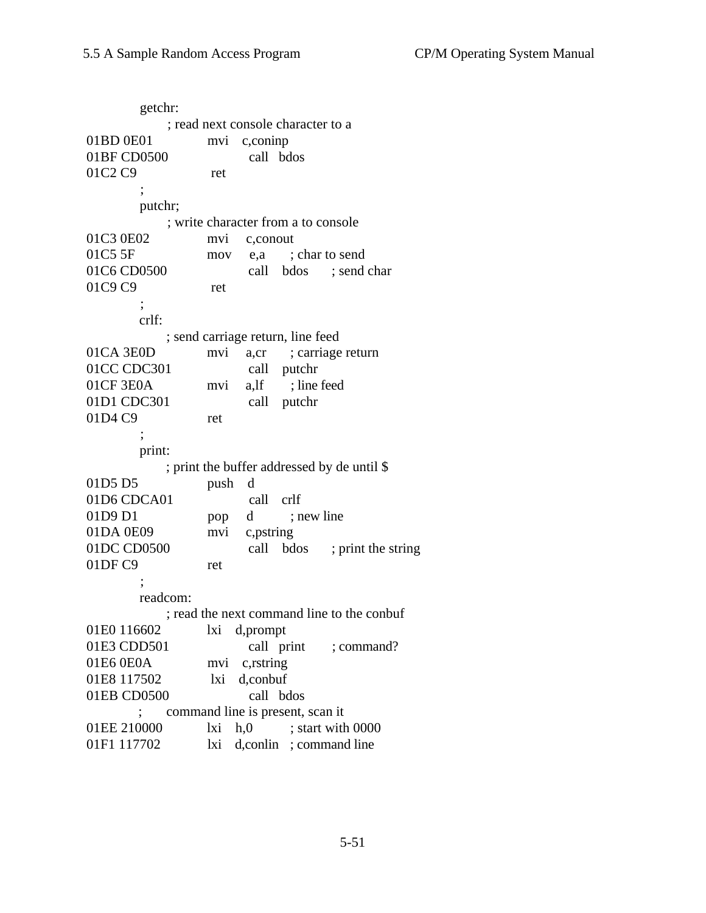getchr: ; read next console character to a 01BD 0E01 mvi c,coninp 01BF CD0500 call bdos 01C2 C9 ret  $\ddot{i}$  putchr; ; write character from a to console 01C3 0E02 mvi c,conout 01C5 5F mov e,a ; char to send 01C6 CD0500 call bdos ; send char 01C9 C9 ret ; crlf: ; send carriage return, line feed 01CA 3E0D mvi a,cr ; carriage return 01CC CDC301 call putchr 01CF 3E0A mvi a,lf ; line feed 01D1 CDC301 call putchr 01D4 C9 ret ; print: ; print the buffer addressed by de until \$ 01D5 D5 push d 01D6 CDCA01 call crlf 01D9 D1 pop d ; new line 01DA 0E09 mvi c,pstring 01DC CD0500 call bdos ; print the string 01DF C9 ret ; readcom: ; read the next command line to the conbuf 01E0 116602 lxi d,prompt 01E3 CDD501 call print ; command? 01E6 0E0A mvi c,rstring 01E8 117502 lxi d,conbuf 01EB CD0500 call bdos ; command line is present, scan it 01EE 210000 lxi h,0 ; start with 0000 01F1 117702 lxi d,conlin ; command line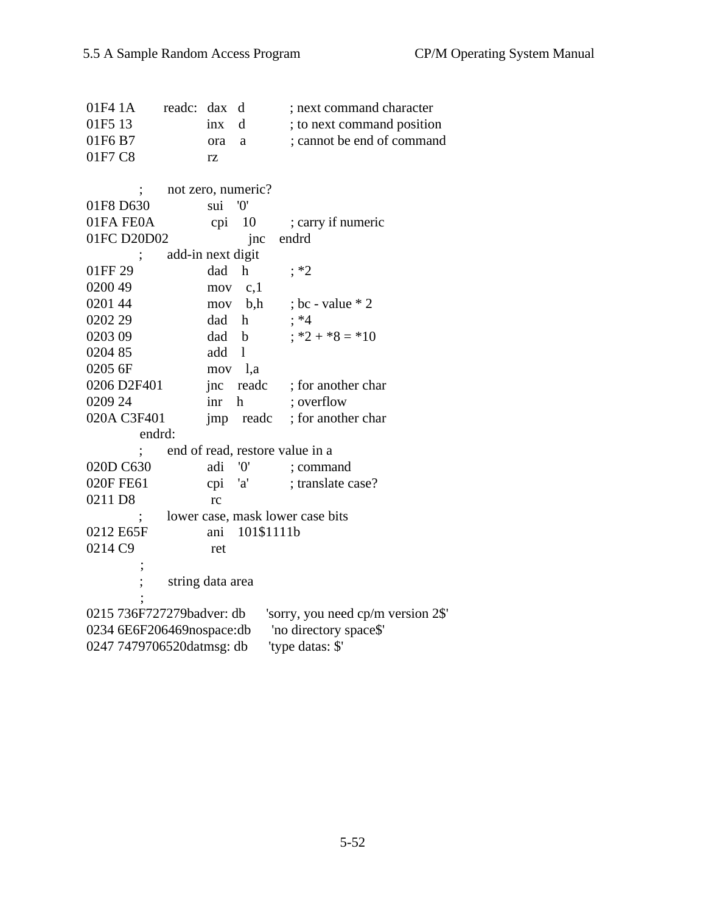01F4 1A readc: dax d ; next command character 01F5 13 inx d; to next command position 01F6 B7 ora a ; cannot be end of command 01F7 C8 rz ; not zero, numeric? 01F8 D630 sui '0' 01FA FE0A cpi 10 ; carry if numeric 01FC D20D02 jnc endrd add-in next digit 01FF 29 dad h ; \*2 0200 49 mov c,1 0201 44 mov b,h ; bc - value \* 2 0202 29 dad h ; \*4 0203 09 dad b  $; *2 + *8 = *10$  0204 85 add l 0205 6F mov l,a 0206 D2F401 inc readc ; for another char 0209 24 inr h ; overflow 020A C3F401 jmp readc ; for another char endrd: ; end of read, restore value in a 020D C630 adi '0' ; command 020F FE61 cpi 'a' ; translate case? 0211 D8 rc ; lower case, mask lower case bits 0212 E65F ani 101\$1111b 0214 C9 ret ; ; string data area  $\ddot{i}$  0215 736F727279badver: db 'sorry, you need cp/m version 2\$' 0234 6E6F206469nospace:db 'no directory space\$' 0247 7479706520datmsg: db 'type datas: \$'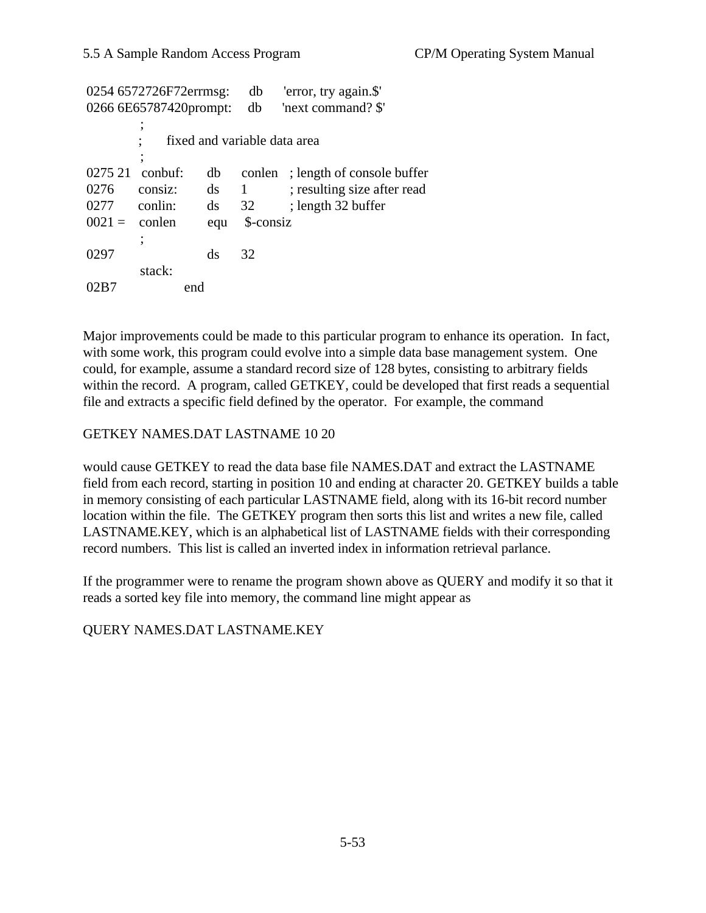|          | 0254 6572726F72errmsg:   |                        | db                           | 'error, try again.\$'       |
|----------|--------------------------|------------------------|------------------------------|-----------------------------|
|          | 0266 6E65787420prompt:   |                        | db                           | 'next command? \$'          |
|          | $\overline{\phantom{a}}$ |                        |                              |                             |
|          |                          |                        | fixed and variable data area |                             |
|          | :                        |                        |                              |                             |
| 0275 21  | $\text{conbuf:}$         | db                     | conlen                       | ; length of console buffer  |
| 0276     | consiz:                  | ds                     | 1                            | ; resulting size after read |
| 0277     | conlin:                  | $\mathrm{d}\mathrm{s}$ | 32                           | ; length 32 buffer          |
| $0021 =$ | conlen                   | equ                    | \$-consiz                    |                             |
|          | :                        |                        |                              |                             |
| 0297     |                          | ds                     | 32                           |                             |
|          | stack:                   |                        |                              |                             |
|          | end                      |                        |                              |                             |

Major improvements could be made to this particular program to enhance its operation. In fact, with some work, this program could evolve into a simple data base management system. One could, for example, assume a standard record size of 128 bytes, consisting to arbitrary fields within the record. A program, called GETKEY, could be developed that first reads a sequential file and extracts a specific field defined by the operator. For example, the command

# GETKEY NAMES.DAT LASTNAME 10 20

would cause GETKEY to read the data base file NAMES.DAT and extract the LASTNAME field from each record, starting in position 10 and ending at character 20. GETKEY builds a table in memory consisting of each particular LASTNAME field, along with its 16-bit record number location within the file. The GETKEY program then sorts this list and writes a new file, called LASTNAME.KEY, which is an alphabetical list of LASTNAME fields with their corresponding record numbers. This list is called an inverted index in information retrieval parlance.

If the programmer were to rename the program shown above as QUERY and modify it so that it reads a sorted key file into memory, the command line might appear as

# QUERY NAMES.DAT LASTNAME.KEY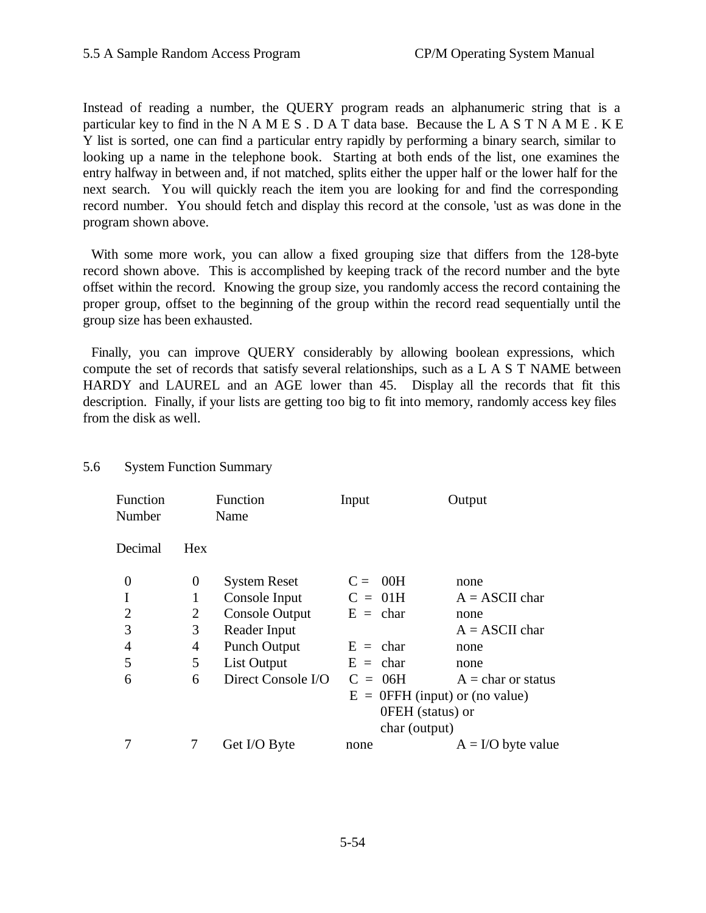Instead of reading a number, the QUERY program reads an alphanumeric string that is a particular key to find in the N A M E S . D A T data base. Because the L A S T N A M E . K E Y list is sorted, one can find a particular entry rapidly by performing a binary search, similar to looking up a name in the telephone book. Starting at both ends of the list, one examines the entry halfway in between and, if not matched, splits either the upper half or the lower half for the next search. You will quickly reach the item you are looking for and find the corresponding record number. You should fetch and display this record at the console, 'ust as was done in the program shown above.

With some more work, you can allow a fixed grouping size that differs from the 128-byte record shown above. This is accomplished by keeping track of the record number and the byte offset within the record. Knowing the group size, you randomly access the record containing the proper group, offset to the beginning of the group within the record read sequentially until the group size has been exhausted.

Finally, you can improve QUERY considerably by allowing boolean expressions, which compute the set of records that satisfy several relationships, such as a L A S T NAME between HARDY and LAUREL and an AGE lower than 45. Display all the records that fit this description. Finally, if your lists are getting too big to fit into memory, randomly access key files from the disk as well.

#### 5.6 System Function Summary

|                | Function<br>Name    | Input                             | Output               |
|----------------|---------------------|-----------------------------------|----------------------|
| Hex            |                     |                                   |                      |
| 0              | <b>System Reset</b> | $C = 00H$                         | none                 |
| 1              | Console Input       | $C = 01H$                         | $A = ASCII$ char     |
| $\overline{2}$ | Console Output      | $E = char$                        | none                 |
| 3              | Reader Input        |                                   | $A = ASCII$ char     |
| 4              | <b>Punch Output</b> | $E = char$                        | none                 |
| 5              | List Output         | $E = char$                        | none                 |
| 6              | Direct Console I/O  | $C = 06H$                         | $A = char$ or status |
|                |                     | $E = 0$ FFH (input) or (no value) |                      |
|                |                     | 0FEH (status) or                  |                      |
|                |                     | char (output)                     |                      |
|                | Get I/O Byte        | none                              | $A = I/O$ byte value |
|                |                     |                                   |                      |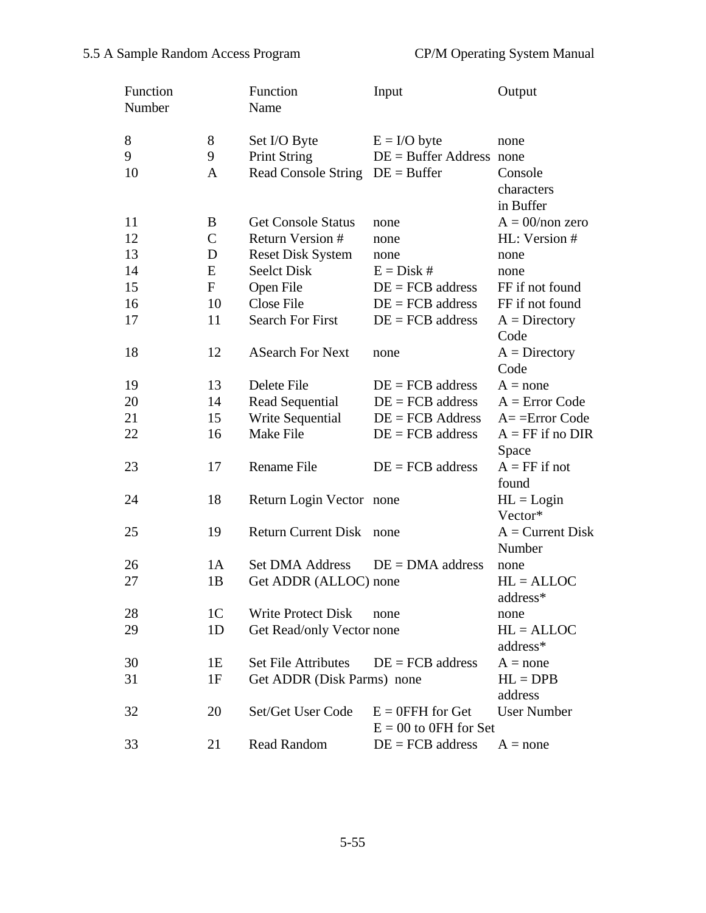| Function<br>Number |                | Function<br>Name           | Input                      | Output             |
|--------------------|----------------|----------------------------|----------------------------|--------------------|
| 8                  | 8              | Set I/O Byte               | $E = I/O$ byte             | none               |
| 9                  | 9              | <b>Print String</b>        | $DE = Buffer Address$ none |                    |
| 10                 | A              | <b>Read Console String</b> | $DE = Buffer$              | Console            |
|                    |                |                            |                            | characters         |
|                    |                |                            |                            | in Buffer          |
| 11                 | B              | <b>Get Console Status</b>  | none                       | $A = 00/non$ zero  |
| 12                 | $\mathbf C$    | Return Version #           | none                       | HL: Version #      |
| 13                 | D              | <b>Reset Disk System</b>   | none                       | none               |
| 14                 | E              | Seelct Disk                | $E = Disk #$               | none               |
| 15                 | $\mathbf{F}$   | Open File                  | $DE = FCB$ address         | FF if not found    |
| 16                 | 10             | <b>Close File</b>          | $DE = FCB$ address         | FF if not found    |
| 17                 | 11             | <b>Search For First</b>    | $DE = FCB$ address         | $A = Directory$    |
|                    |                |                            |                            | Code               |
| 18                 | 12             | <b>ASearch For Next</b>    | none                       | $A =$ Directory    |
|                    |                |                            |                            | Code               |
| 19                 | 13             | Delete File                | $DE = FCB$ address         | $A = none$         |
| 20                 | 14             | Read Sequential            | $DE = FCB$ address         | $A = Error Code$   |
| 21                 | 15             | Write Sequential           | $DE = FCB$ Address         | $A =$ =Error Code  |
| 22                 | 16             | Make File                  | $DE = FCB$ address         | $A = FF$ if no DIR |
|                    |                |                            |                            | Space              |
| 23                 | 17             | Rename File                | $DE = FCB$ address         | $A = FF$ if not    |
|                    |                |                            |                            | found              |
| 24                 | 18             | Return Login Vector none   |                            | $HL =$ Login       |
|                    |                |                            |                            | Vector*            |
| 25                 | 19             | <b>Return Current Disk</b> | none                       | $A = Current Disk$ |
|                    |                |                            |                            | Number             |
| 26                 | 1A             | <b>Set DMA Address</b>     | $DE = DMA$ address         | none               |
| 27                 | 1B             | Get ADDR (ALLOC) none      |                            | $HL = ALLOC$       |
|                    |                |                            |                            | address*           |
| 28                 | 1 <sup>C</sup> | <b>Write Protect Disk</b>  | none                       | none               |
| 29                 | 1 <sub>D</sub> | Get Read/only Vector none  |                            | $HL = ALLOC$       |
|                    |                |                            |                            | address*           |
| 30                 | 1E             | <b>Set File Attributes</b> | $DE = FCB$ address         | $A = none$         |
| 31                 | 1F             | Get ADDR (Disk Parms) none |                            | $HL = DPB$         |
|                    |                |                            |                            | address            |
| 32                 | 20             | Set/Get User Code          | $E = 0$ FFH for Get        | <b>User Number</b> |
|                    |                |                            | $E = 00$ to 0FH for Set    |                    |
| 33                 | 21             | Read Random                | $DE = FCB$ address         | $A = none$         |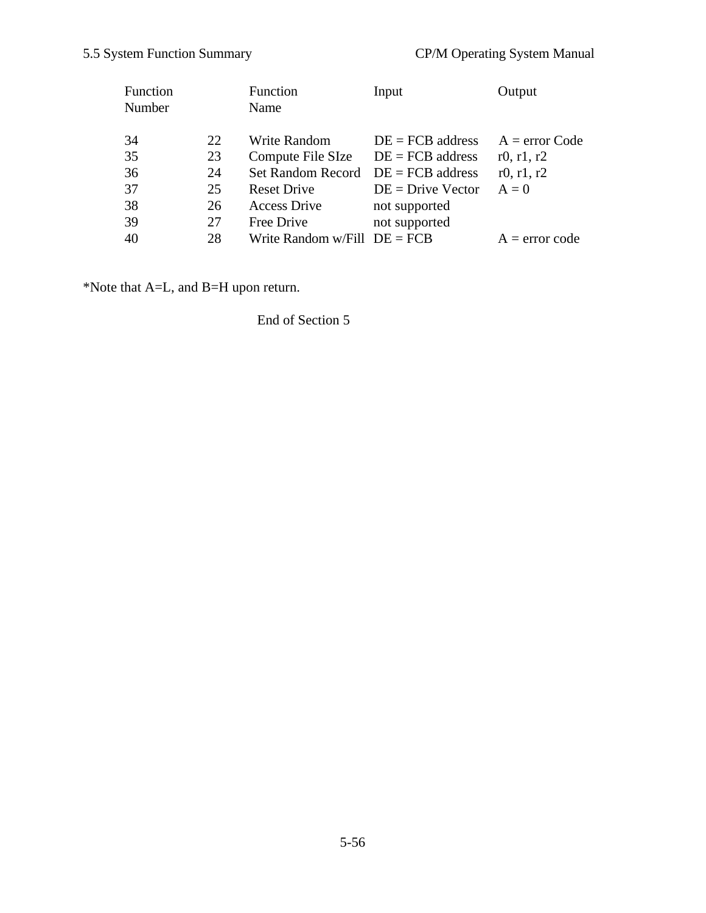| Function<br>Number |    | Function<br>Name               | Input               | Output           |
|--------------------|----|--------------------------------|---------------------|------------------|
| 34                 | 22 | Write Random                   | $DE = FCB$ address  | $A = error Code$ |
| 35                 | 23 | Compute File SIze              | $DE = FCB$ address  | r0, r1, r2       |
| 36                 | 24 | <b>Set Random Record</b>       | $DE = FCB$ address  | r0, $r1, r2$     |
| 37                 | 25 | <b>Reset Drive</b>             | $DE = Drive$ Vector | $A = 0$          |
| 38                 | 26 | <b>Access Drive</b>            | not supported       |                  |
| 39                 | 27 | Free Drive                     | not supported       |                  |
| 40                 | 28 | Write Random w/Fill $DE = FCB$ |                     | $A = error code$ |

\*Note that A=L, and B=H upon return.

# End of Section 5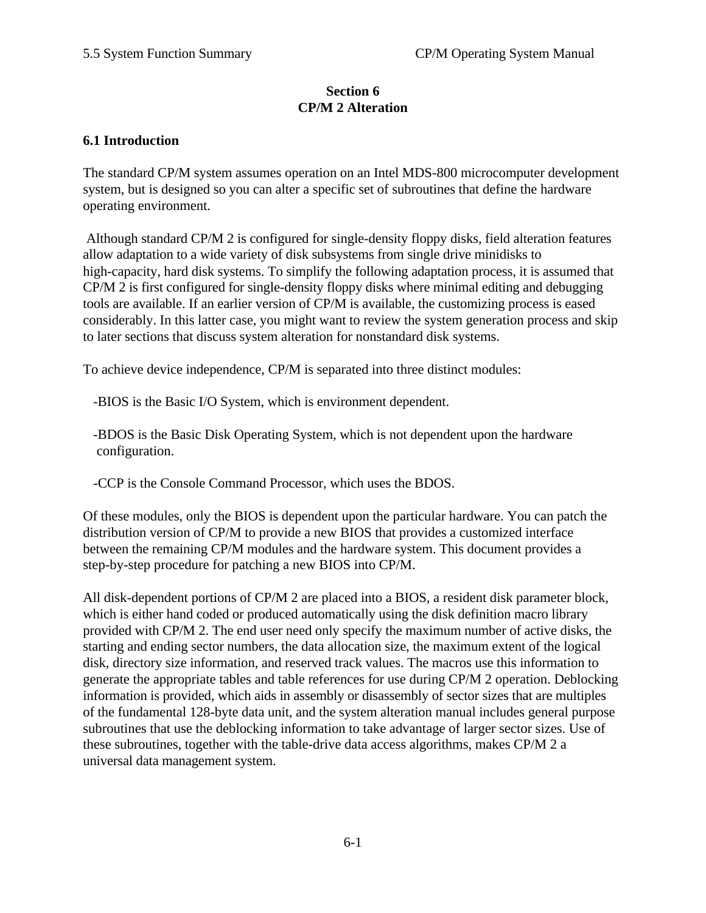### **Section 6 CP/M 2 Alteration**

#### **6.1 Introduction**

The standard CP/M system assumes operation on an Intel MDS-800 microcomputer development system, but is designed so you can alter a specific set of subroutines that define the hardware operating environment.

 Although standard CP/M 2 is configured for single-density floppy disks, field alteration features allow adaptation to a wide variety of disk subsystems from single drive minidisks to high-capacity, hard disk systems. To simplify the following adaptation process, it is assumed that CP/M 2 is first configured for single-density floppy disks where minimal editing and debugging tools are available. If an earlier version of CP/M is available, the customizing process is eased considerably. In this latter case, you might want to review the system generation process and skip to later sections that discuss system alteration for nonstandard disk systems.

To achieve device independence, CP/M is separated into three distinct modules:

-BIOS is the Basic I/O System, which is environment dependent.

 -BDOS is the Basic Disk Operating System, which is not dependent upon the hardware configuration.

-CCP is the Console Command Processor, which uses the BDOS.

Of these modules, only the BIOS is dependent upon the particular hardware. You can patch the distribution version of CP/M to provide a new BIOS that provides a customized interface between the remaining CP/M modules and the hardware system. This document provides a step-by-step procedure for patching a new BIOS into CP/M.

All disk-dependent portions of CP/M 2 are placed into a BIOS, a resident disk parameter block, which is either hand coded or produced automatically using the disk definition macro library provided with CP/M 2. The end user need only specify the maximum number of active disks, the starting and ending sector numbers, the data allocation size, the maximum extent of the logical disk, directory size information, and reserved track values. The macros use this information to generate the appropriate tables and table references for use during CP/M 2 operation. Deblocking information is provided, which aids in assembly or disassembly of sector sizes that are multiples of the fundamental 128-byte data unit, and the system alteration manual includes general purpose subroutines that use the deblocking information to take advantage of larger sector sizes. Use of these subroutines, together with the table-drive data access algorithms, makes CP/M 2 a universal data management system.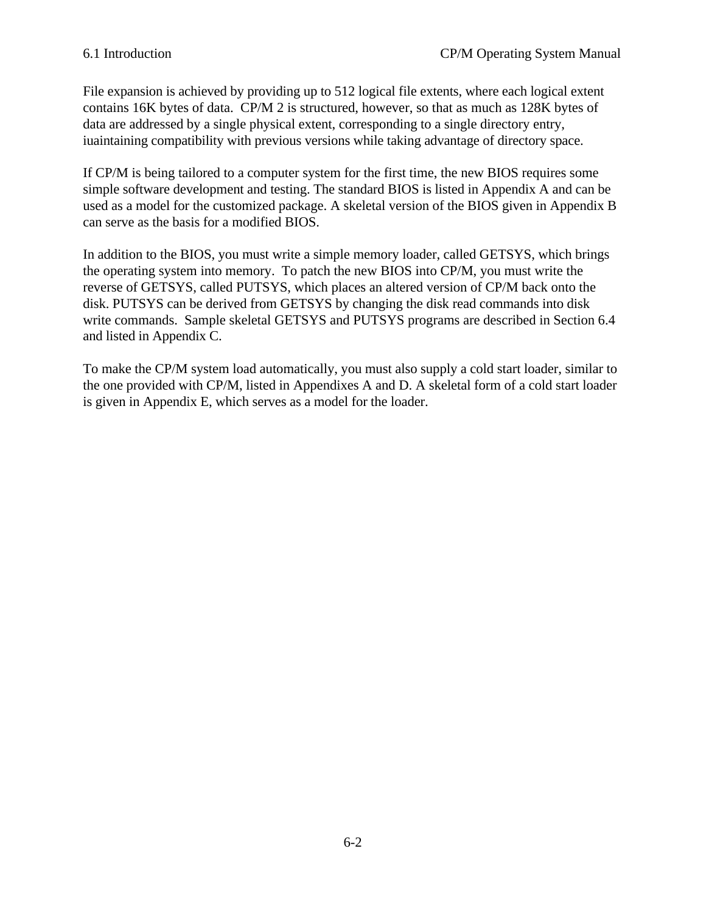File expansion is achieved by providing up to 512 logical file extents, where each logical extent contains 16K bytes of data. CP/M 2 is structured, however, so that as much as 128K bytes of data are addressed by a single physical extent, corresponding to a single directory entry, iuaintaining compatibility with previous versions while taking advantage of directory space.

If CP/M is being tailored to a computer system for the first time, the new BIOS requires some simple software development and testing. The standard BIOS is listed in Appendix A and can be used as a model for the customized package. A skeletal version of the BIOS given in Appendix B can serve as the basis for a modified BIOS.

In addition to the BIOS, you must write a simple memory loader, called GETSYS, which brings the operating system into memory. To patch the new BIOS into CP/M, you must write the reverse of GETSYS, called PUTSYS, which places an altered version of CP/M back onto the disk. PUTSYS can be derived from GETSYS by changing the disk read commands into disk write commands. Sample skeletal GETSYS and PUTSYS programs are described in Section 6.4 and listed in Appendix C.

To make the CP/M system load automatically, you must also supply a cold start loader, similar to the one provided with CP/M, listed in Appendixes A and D. A skeletal form of a cold start loader is given in Appendix E, which serves as a model for the loader.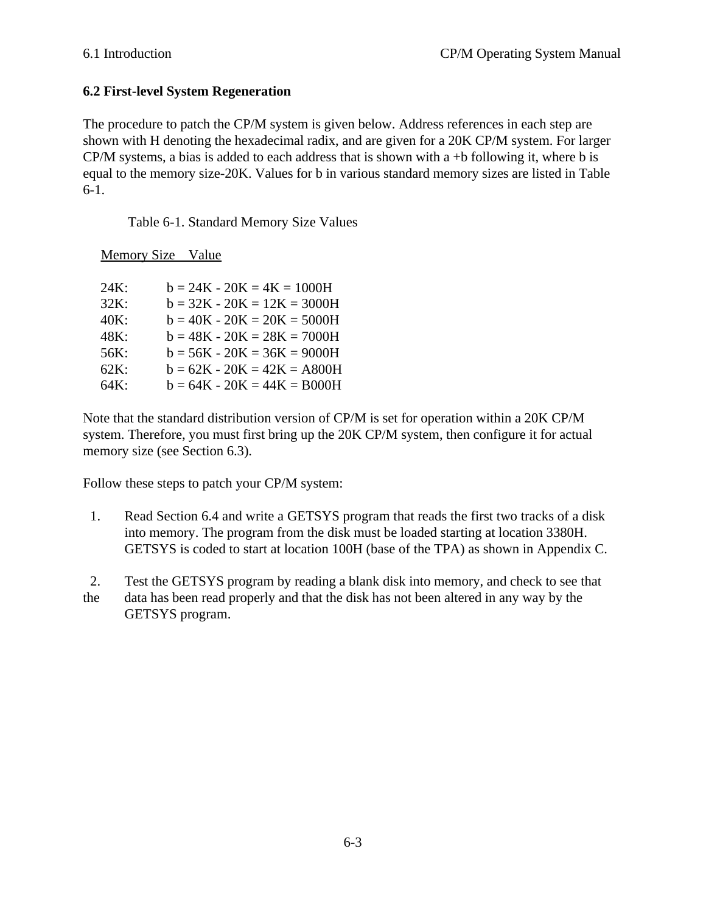# **6.2 First-level System Regeneration**

The procedure to patch the CP/M system is given below. Address references in each step are shown with H denoting the hexadecimal radix, and are given for a 20K CP/M system. For larger  $CP/M$  systems, a bias is added to each address that is shown with a +b following it, where b is equal to the memory size-20K. Values for b in various standard memory sizes are listed in Table 6-1.

Table 6-1. Standard Memory Size Values

Memory Size Value

| 24K: | $b = 24K - 20K = 4K = 1000H$  |
|------|-------------------------------|
| 32K: | $b = 32K - 20K = 12K = 3000H$ |
| 40K: | $b = 40K - 20K = 20K = 5000H$ |
| 48K: | $b = 48K - 20K = 28K = 7000H$ |
| 56K: | $b = 56K - 20K = 36K = 9000H$ |
| 62K: | $b = 62K - 20K = 42K = A800H$ |
| 64K: | $b = 64K - 20K = 44K = B000H$ |

Note that the standard distribution version of CP/M is set for operation within a 20K CP/M system. Therefore, you must first bring up the 20K CP/M system, then configure it for actual memory size (see Section 6.3).

Follow these steps to patch your CP/M system:

- 1. Read Section 6.4 and write a GETSYS program that reads the first two tracks of a disk into memory. The program from the disk must be loaded starting at location 3380H. GETSYS is coded to start at location 100H (base of the TPA) as shown in Appendix C.
- 2. Test the GETSYS program by reading a blank disk into memory, and check to see that the data has been read properly and that the disk has not been altered in any way by the GETSYS program.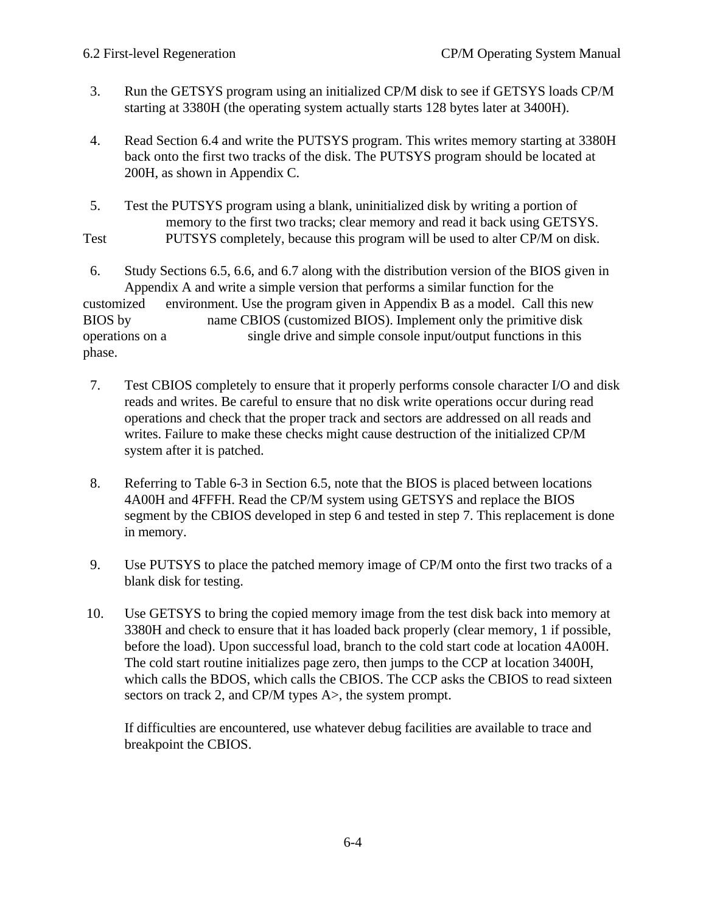- 3. Run the GETSYS program using an initialized CP/M disk to see if GETSYS loads CP/M starting at 3380H (the operating system actually starts 128 bytes later at 3400H).
- 4. Read Section 6.4 and write the PUTSYS program. This writes memory starting at 3380H back onto the first two tracks of the disk. The PUTSYS program should be located at 200H, as shown in Appendix C.
- 5. Test the PUTSYS program using a blank, uninitialized disk by writing a portion of memory to the first two tracks; clear memory and read it back using GETSYS. Test PUTSYS completely, because this program will be used to alter CP/M on disk.

 6. Study Sections 6.5, 6.6, and 6.7 along with the distribution version of the BIOS given in Appendix A and write a simple version that performs a similar function for the customized environment. Use the program given in Appendix B as a model. Call this new BIOS by name CBIOS (customized BIOS). Implement only the primitive disk operations on a single drive and simple console input/output functions in this phase.

- 7. Test CBIOS completely to ensure that it properly performs console character I/O and disk reads and writes. Be careful to ensure that no disk write operations occur during read operations and check that the proper track and sectors are addressed on all reads and writes. Failure to make these checks might cause destruction of the initialized CP/M system after it is patched.
- 8. Referring to Table 6-3 in Section 6.5, note that the BIOS is placed between locations 4A00H and 4FFFH. Read the CP/M system using GETSYS and replace the BIOS segment by the CBIOS developed in step 6 and tested in step 7. This replacement is done in memory.
- 9. Use PUTSYS to place the patched memory image of CP/M onto the first two tracks of a blank disk for testing.
- 10. Use GETSYS to bring the copied memory image from the test disk back into memory at 3380H and check to ensure that it has loaded back properly (clear memory, 1 if possible, before the load). Upon successful load, branch to the cold start code at location 4A00H. The cold start routine initializes page zero, then jumps to the CCP at location 3400H, which calls the BDOS, which calls the CBIOS. The CCP asks the CBIOS to read sixteen sectors on track 2, and CP/M types A>, the system prompt.

If difficulties are encountered, use whatever debug facilities are available to trace and breakpoint the CBIOS.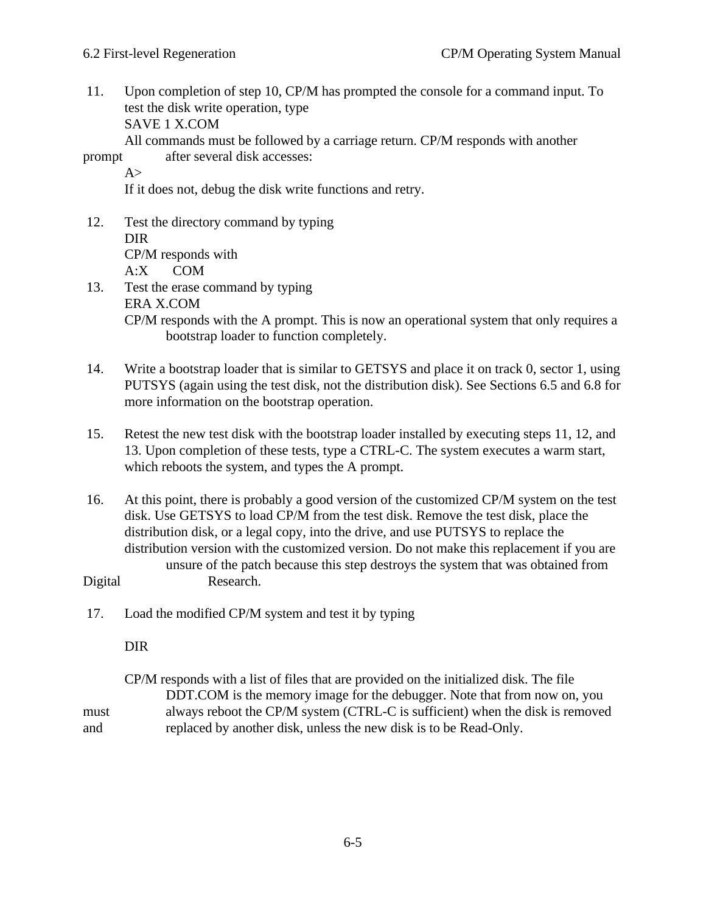11. Upon completion of step 10, CP/M has prompted the console for a command input. To test the disk write operation, type SAVE 1 X.COM

All commands must be followed by a carriage return. CP/M responds with another

prompt after several disk accesses:

 $A>$ 

If it does not, debug the disk write functions and retry.

- 12. Test the directory command by typing DIR CP/M responds with A:X COM
- 13. Test the erase command by typing ERA X.COM CP/M responds with the A prompt. This is now an operational system that only requires a bootstrap loader to function completely.
- 14. Write a bootstrap loader that is similar to GETSYS and place it on track 0, sector 1, using PUTSYS (again using the test disk, not the distribution disk). See Sections 6.5 and 6.8 for more information on the bootstrap operation.
- 15. Retest the new test disk with the bootstrap loader installed by executing steps 11, 12, and 13. Upon completion of these tests, type a CTRL-C. The system executes a warm start, which reboots the system, and types the A prompt.
- 16. At this point, there is probably a good version of the customized CP/M system on the test disk. Use GETSYS to load CP/M from the test disk. Remove the test disk, place the distribution disk, or a legal copy, into the drive, and use PUTSYS to replace the distribution version with the customized version. Do not make this replacement if you are unsure of the patch because this step destroys the system that was obtained from Digital Research.
- 17. Load the modified CP/M system and test it by typing

DIR

CP/M responds with a list of files that are provided on the initialized disk. The file DDT.COM is the memory image for the debugger. Note that from now on, you must always reboot the CP/M system (CTRL-C is sufficient) when the disk is removed and replaced by another disk, unless the new disk is to be Read-Only.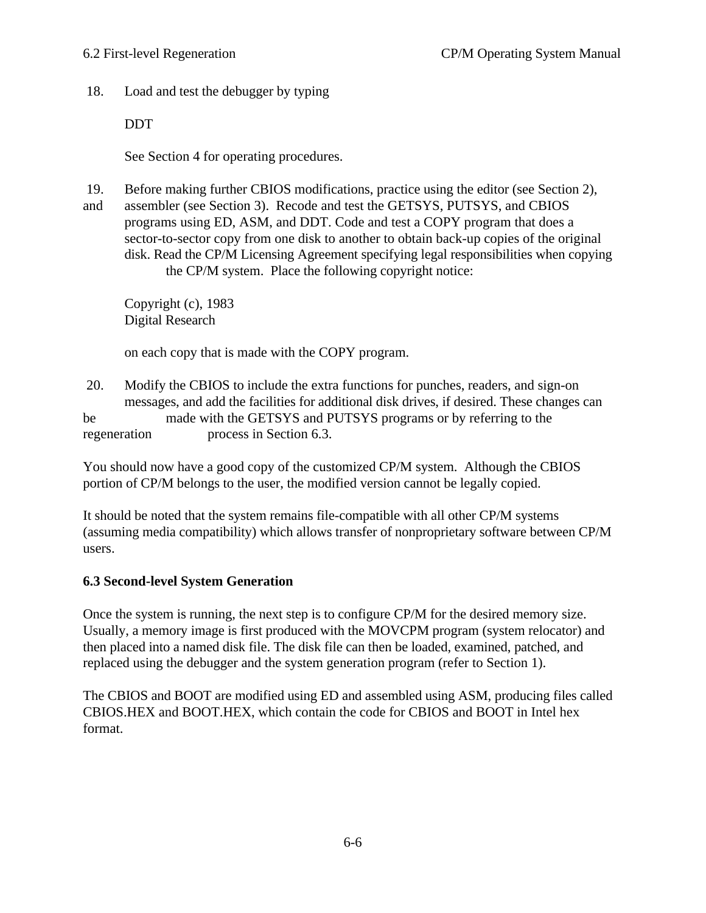18. Load and test the debugger by typing

DDT

See Section 4 for operating procedures.

- 19. Before making further CBIOS modifications, practice using the editor (see Section 2),
- and assembler (see Section 3). Recode and test the GETSYS, PUTSYS, and CBIOS programs using ED, ASM, and DDT. Code and test a COPY program that does a sector-to-sector copy from one disk to another to obtain back-up copies of the original disk. Read the CP/M Licensing Agreement specifying legal responsibilities when copying the CP/M system. Place the following copyright notice:

Copyright (c), 1983 Digital Research

on each copy that is made with the COPY program.

 20. Modify the CBIOS to include the extra functions for punches, readers, and sign-on messages, and add the facilities for additional disk drives, if desired. These changes can be made with the GETSYS and PUTSYS programs or by referring to the regeneration process in Section 6.3.

You should now have a good copy of the customized CP/M system. Although the CBIOS portion of CP/M belongs to the user, the modified version cannot be legally copied.

It should be noted that the system remains file-compatible with all other CP/M systems (assuming media compatibility) which allows transfer of nonproprietary software between CP/M users.

# **6.3 Second-level System Generation**

Once the system is running, the next step is to configure CP/M for the desired memory size. Usually, a memory image is first produced with the MOVCPM program (system relocator) and then placed into a named disk file. The disk file can then be loaded, examined, patched, and replaced using the debugger and the system generation program (refer to Section 1).

The CBIOS and BOOT are modified using ED and assembled using ASM, producing files called CBIOS.HEX and BOOT.HEX, which contain the code for CBIOS and BOOT in Intel hex format.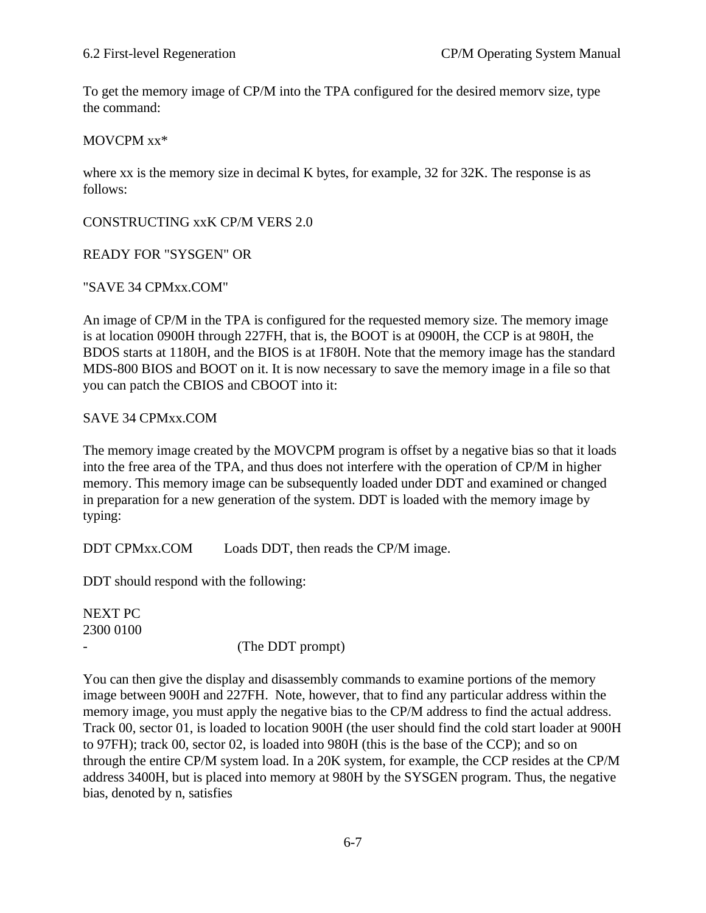To get the memory image of CP/M into the TPA configured for the desired memorv size, type the command:

#### MOVCPM xx\*

where xx is the memory size in decimal K bytes, for example, 32 for 32K. The response is as follows:

CONSTRUCTING xxK CP/M VERS 2.0

#### READY FOR "SYSGEN" OR

#### "SAVE 34 CPMxx.COM"

An image of CP/M in the TPA is configured for the requested memory size. The memory image is at location 0900H through 227FH, that is, the BOOT is at 0900H, the CCP is at 980H, the BDOS starts at 1180H, and the BIOS is at 1F80H. Note that the memory image has the standard MDS-800 BIOS and BOOT on it. It is now necessary to save the memory image in a file so that you can patch the CBIOS and CBOOT into it:

#### SAVE 34 CPMxx.COM

The memory image created by the MOVCPM program is offset by a negative bias so that it loads into the free area of the TPA, and thus does not interfere with the operation of CP/M in higher memory. This memory image can be subsequently loaded under DDT and examined or changed in preparation for a new generation of the system. DDT is loaded with the memory image by typing:

DDT CPMxx.COM Loads DDT, then reads the CP/M image.

DDT should respond with the following:

NEXT PC 2300 0100

(The DDT prompt)

You can then give the display and disassembly commands to examine portions of the memory image between 900H and 227FH. Note, however, that to find any particular address within the memory image, you must apply the negative bias to the CP/M address to find the actual address. Track 00, sector 01, is loaded to location 900H (the user should find the cold start loader at 900H to 97FH); track 00, sector 02, is loaded into 980H (this is the base of the CCP); and so on through the entire CP/M system load. In a 20K system, for example, the CCP resides at the CP/M address 3400H, but is placed into memory at 980H by the SYSGEN program. Thus, the negative bias, denoted by n, satisfies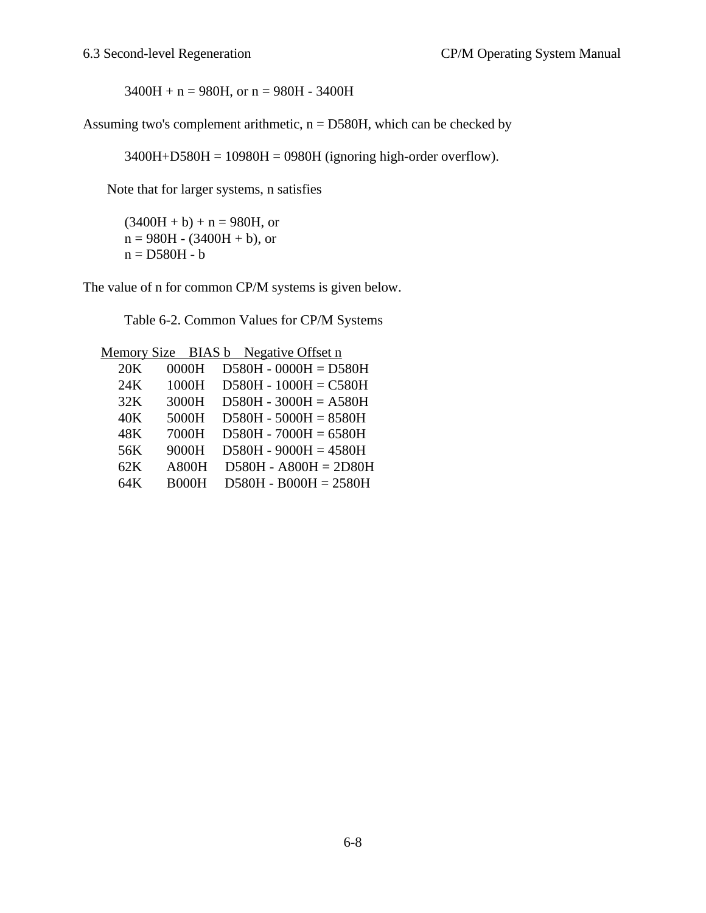$3400H + n = 980H$ , or  $n = 980H - 3400H$ 

Assuming two's complement arithmetic,  $n = D580H$ , which can be checked by

3400H+D580H = 10980H = 0980H (ignoring high-order overflow).

Note that for larger systems, n satisfies

 $(3400H + b) + n = 980H$ , or  $n = 980H - (3400H + b)$ , or  $n = D580H - b$ 

The value of n for common CP/M systems is given below.

Table 6-2. Common Values for CP/M Systems

Memory Size BIAS b Negative Offset n

| 20K | 0000H        | $D580H - 0000H = D580H$ |
|-----|--------------|-------------------------|
| 24K | 1000H        | $D580H - 1000H = C580H$ |
| 32K | 3000H        | $D580H - 3000H = A580H$ |
| 40K | 5000H        | $D580H - 5000H = 8580H$ |
| 48K | 7000H        | $D580H - 7000H = 6580H$ |
| 56K | 9000H        | $D580H - 9000H = 4580H$ |
| 62K | <b>A800H</b> | $D580H - A800H = 2D80H$ |
| 64K | <b>B000H</b> | $D580H - B000H = 2580H$ |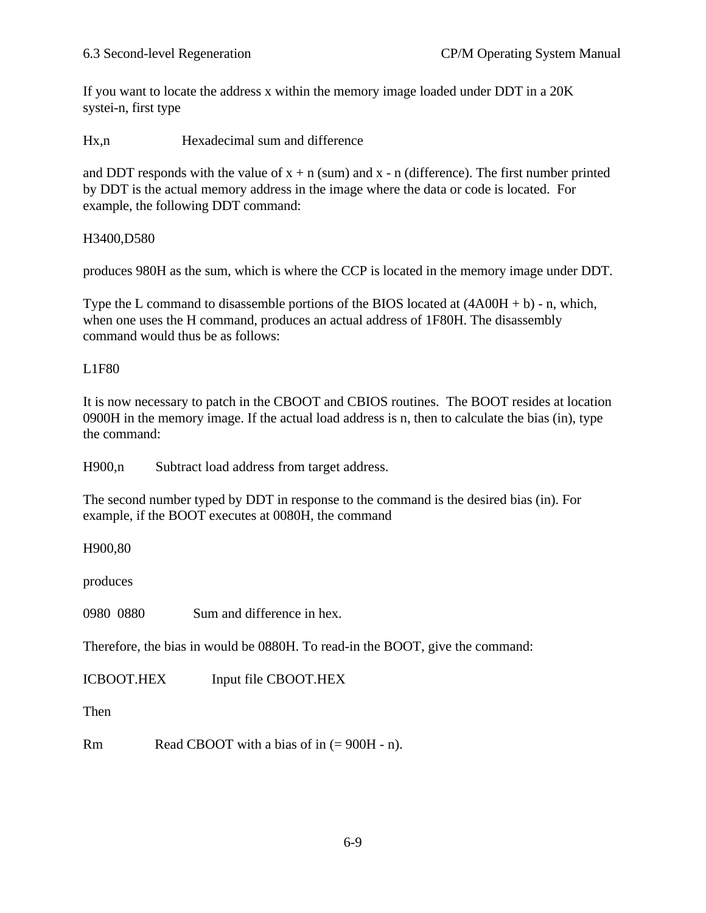If you want to locate the address x within the memory image loaded under DDT in a 20K systei-n, first type

Hx,n Hexadecimal sum and difference

and DDT responds with the value of  $x + n$  (sum) and  $x - n$  (difference). The first number printed by DDT is the actual memory address in the image where the data or code is located. For example, the following DDT command:

H3400,D580

produces 980H as the sum, which is where the CCP is located in the memory image under DDT.

Type the L command to disassemble portions of the BIOS located at  $(4A00H + b)$  - n, which, when one uses the H command, produces an actual address of 1F80H. The disassembly command would thus be as follows:

L1F80

It is now necessary to patch in the CBOOT and CBIOS routines. The BOOT resides at location 0900H in the memory image. If the actual load address is n, then to calculate the bias (in), type the command:

H900,n Subtract load address from target address.

The second number typed by DDT in response to the command is the desired bias (in). For example, if the BOOT executes at 0080H, the command

H900,80

produces

0980 0880 Sum and difference in hex.

Therefore, the bias in would be 0880H. To read-in the BOOT, give the command:

ICBOOT.HEX Input file CBOOT.HEX

Then

Rm Read CBOOT with a bias of in  $(= 900H - n)$ .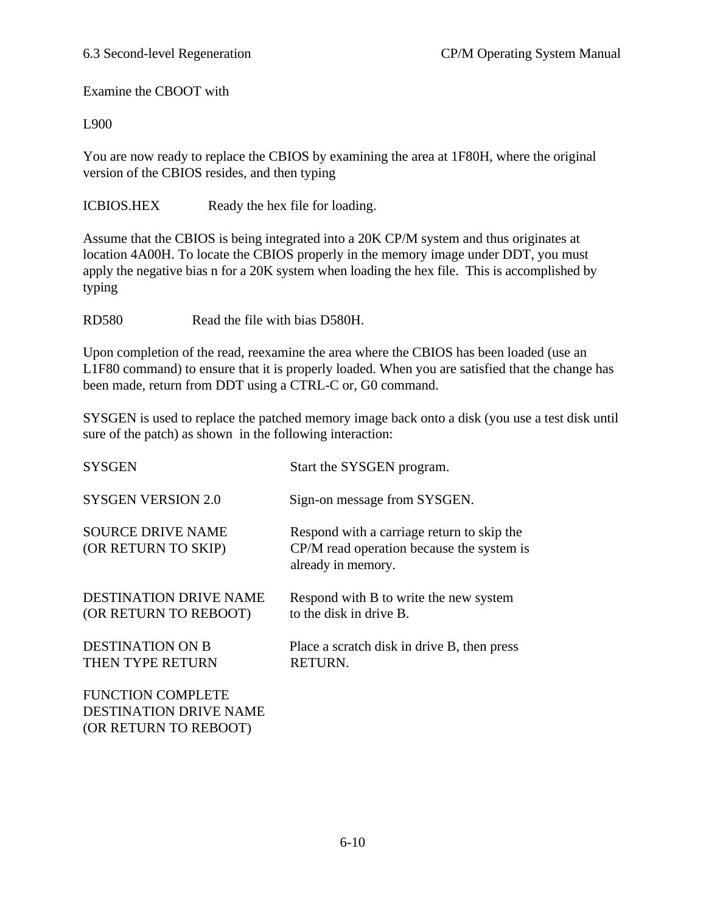Examine the CBOOT with

L900

You are now ready to replace the CBIOS by examining the area at 1F80H, where the original version of the CBIOS resides, and then typing

ICBIOS.HEX Ready the hex file for loading.

Assume that the CBIOS is being integrated into a 20K CP/M system and thus originates at location 4A00H. To locate the CBIOS properly in the memory image under DDT, you must apply the negative bias n for a 20K system when loading the hex file. This is accomplished by typing

RD580 Read the file with bias D580H.

Upon completion of the read, reexamine the area where the CBIOS has been loaded (use an L1F80 command) to ensure that it is properly loaded. When you are satisfied that the change has been made, return from DDT using a CTRL-C or, G0 command.

SYSGEN is used to replace the patched memory image back onto a disk (you use a test disk until sure of the patch) as shown in the following interaction:

| <b>SYSGEN</b>                                                                      | Start the SYSGEN program.                                                                                     |
|------------------------------------------------------------------------------------|---------------------------------------------------------------------------------------------------------------|
| <b>SYSGEN VERSION 2.0</b>                                                          | Sign-on message from SYSGEN.                                                                                  |
| <b>SOURCE DRIVE NAME</b><br>(OR RETURN TO SKIP)                                    | Respond with a carriage return to skip the<br>CP/M read operation because the system is<br>already in memory. |
| DESTINATION DRIVE NAME<br>(OR RETURN TO REBOOT)                                    | Respond with B to write the new system<br>to the disk in drive B.                                             |
| <b>DESTINATION ON B</b><br>THEN TYPE RETURN                                        | Place a scratch disk in drive B, then press<br>RETURN.                                                        |
| <b>FUNCTION COMPLETE</b><br><b>DESTINATION DRIVE NAME</b><br>(OR RETURN TO REBOOT) |                                                                                                               |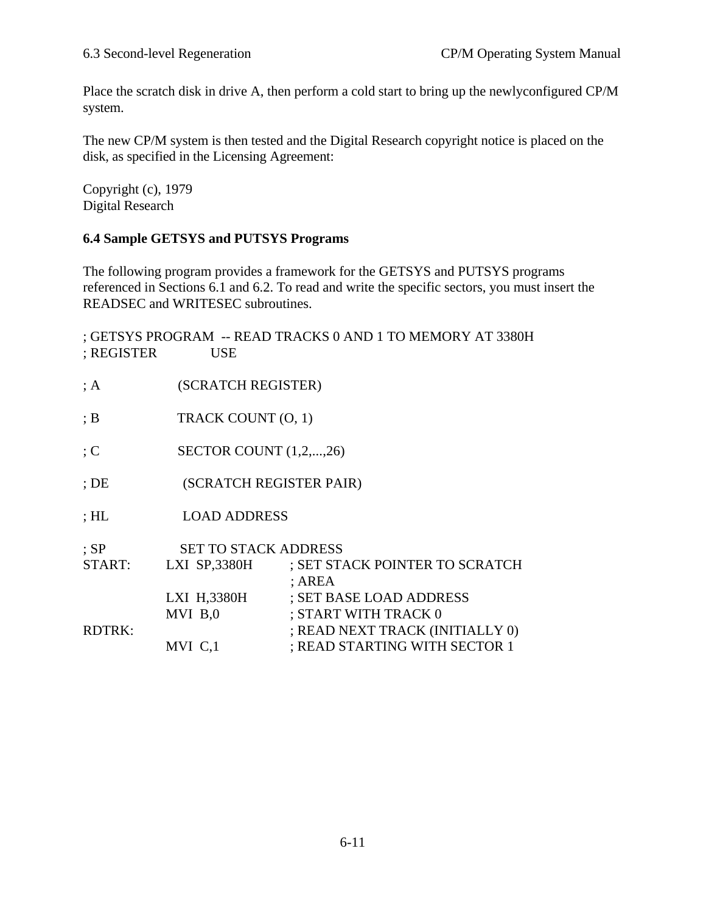Place the scratch disk in drive A, then perform a cold start to bring up the newlyconfigured CP/M system.

The new CP/M system is then tested and the Digital Research copyright notice is placed on the disk, as specified in the Licensing Agreement:

Copyright (c), 1979 Digital Research

# **6.4 Sample GETSYS and PUTSYS Programs**

The following program provides a framework for the GETSYS and PUTSYS programs referenced in Sections 6.1 and 6.2. To read and write the specific sectors, you must insert the READSEC and WRITESEC subroutines.

| ; REGISTER    | <b>USE</b>                  | ; GETSYS PROGRAM -- READ TRACKS 0 AND 1 TO MEMORY AT 3380H |
|---------------|-----------------------------|------------------------------------------------------------|
| ; A           | (SCRATCH REGISTER)          |                                                            |
| ;B            | TRACK COUNT (O, 1)          |                                                            |
| $\colon C$    | SECTOR COUNT $(1,2,,26)$    |                                                            |
| $;$ DE        | (SCRATCH REGISTER PAIR)     |                                                            |
| $;$ HL        | <b>LOAD ADDRESS</b>         |                                                            |
| $;$ SP        | <b>SET TO STACK ADDRESS</b> |                                                            |
| START:        | LXI SP,3380H                | ; SET STACK POINTER TO SCRATCH<br>; AREA                   |
|               | LXI H,3380H                 | ; SET BASE LOAD ADDRESS                                    |
|               | MVI B,0                     | ; START WITH TRACK 0                                       |
| <b>RDTRK:</b> |                             | ; READ NEXT TRACK (INITIALLY 0)                            |
|               | MVI C,1                     | ; READ STARTING WITH SECTOR 1                              |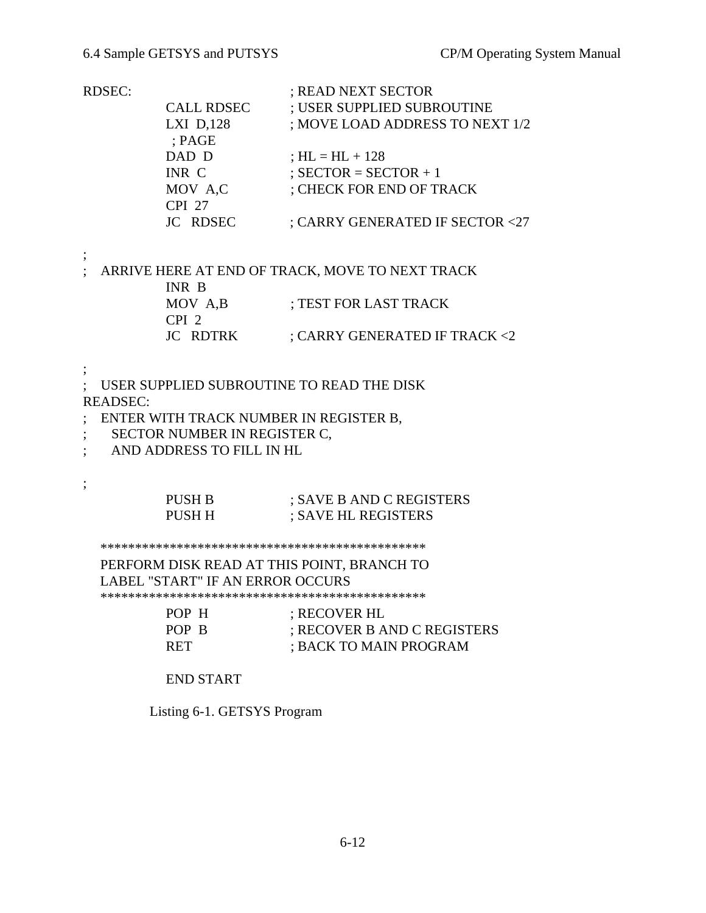| RDSEC |  |
|-------|--|
|       |  |

| ; USER SUPPLIED SUBROUTINE      |
|---------------------------------|
| ; MOVE LOAD ADDRESS TO NEXT 1/2 |
|                                 |
|                                 |
|                                 |
|                                 |
|                                 |
| ; CARRY GENERATED IF SECTOR <27 |
|                                 |

;

;

; ARRIVE HERE AT END OF TRACK, MOVE TO NEXT TRACK INR B MOV A,B ; TEST FOR LAST TRACK CPI 2 JC RDTRK ; CARRY GENERATED IF TRACK <2

; ; USER SUPPLIED SUBROUTINE TO READ THE DISK READSEC:

- ; ENTER WITH TRACK NUMBER IN REGISTER B,
- ; SECTOR NUMBER IN REGISTER C,
- ; AND ADDRESS TO FILL IN HL

# PUSH B ; SAVE B AND C REGISTERS PUSH H : SAVE HL REGISTERS

\*\*\*\*\*\*\*\*\*\*\*\*\*\*\*\*\*\*\*\*\*\*\*\*\*\*\*\*\*\*\*\*\*\*\*\*\*\*\*\*\*\*\*\*\*\*\*

 PERFORM DISK READ AT THIS POINT, BRANCH TO LABEL "START" IF AN ERROR OCCURS \*\*\*\*\*\*\*\*\*\*\*\*\*\*\*\*\*\*\*\*\*\*\*\*\*\*\*\*\*\*\*\*\*\*\*\*\*\*\*\*\*\*\*\*\*\*\*

| POP H      | ; RECOVER HL                |
|------------|-----------------------------|
| POP B      | ; RECOVER B AND C REGISTERS |
| <b>RET</b> | ; BACK TO MAIN PROGRAM      |

END START

Listing 6-1. GETSYS Program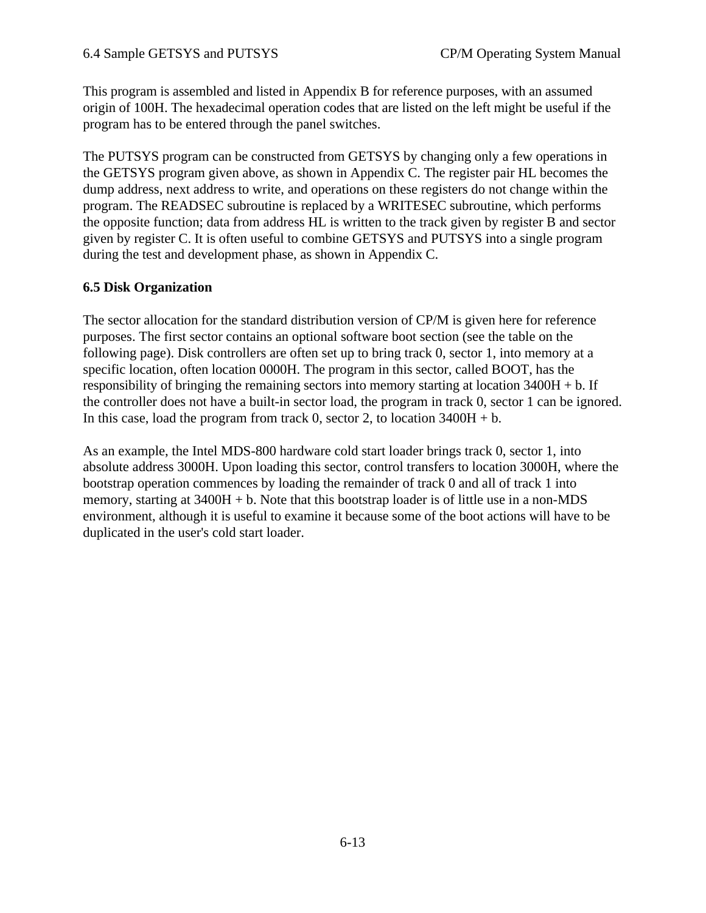This program is assembled and listed in Appendix B for reference purposes, with an assumed origin of 100H. The hexadecimal operation codes that are listed on the left might be useful if the program has to be entered through the panel switches.

The PUTSYS program can be constructed from GETSYS by changing only a few operations in the GETSYS program given above, as shown in Appendix C. The register pair HL becomes the dump address, next address to write, and operations on these registers do not change within the program. The READSEC subroutine is replaced by a WRITESEC subroutine, which performs the opposite function; data from address HL is written to the track given by register B and sector given by register C. It is often useful to combine GETSYS and PUTSYS into a single program during the test and development phase, as shown in Appendix C.

### **6.5 Disk Organization**

The sector allocation for the standard distribution version of CP/M is given here for reference purposes. The first sector contains an optional software boot section (see the table on the following page). Disk controllers are often set up to bring track 0, sector 1, into memory at a specific location, often location 0000H. The program in this sector, called BOOT, has the responsibility of bringing the remaining sectors into memory starting at location 3400H + b. If the controller does not have a built-in sector load, the program in track 0, sector 1 can be ignored. In this case, load the program from track 0, sector 2, to location  $3400H + b$ .

As an example, the Intel MDS-800 hardware cold start loader brings track 0, sector 1, into absolute address 3000H. Upon loading this sector, control transfers to location 3000H, where the bootstrap operation commences by loading the remainder of track 0 and all of track 1 into memory, starting at  $3400H + b$ . Note that this bootstrap loader is of little use in a non-MDS environment, although it is useful to examine it because some of the boot actions will have to be duplicated in the user's cold start loader.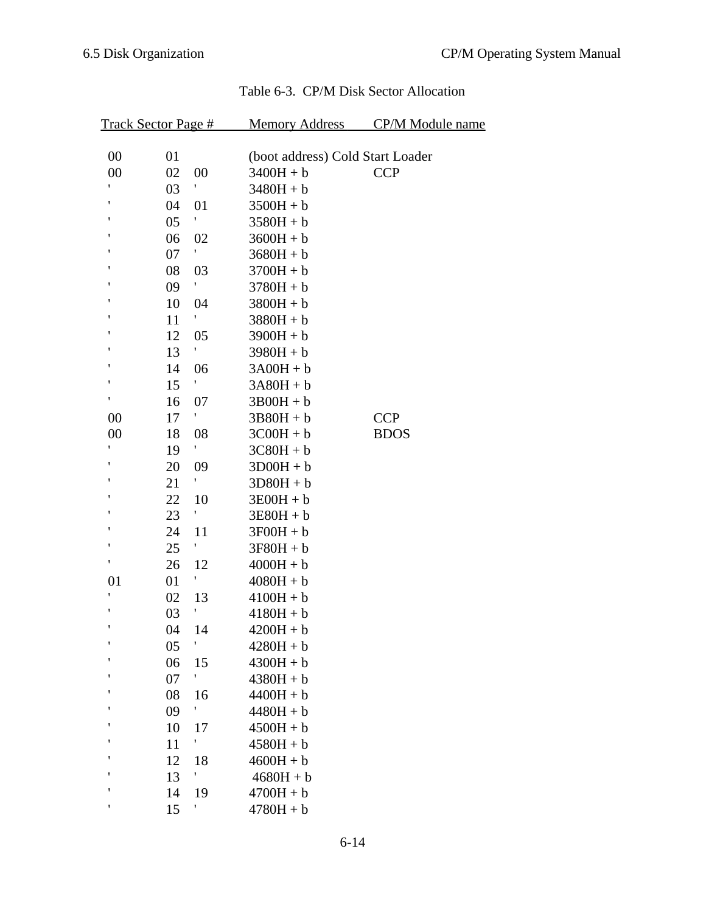| <b>Track Sector Page #</b> |    |    | <b>Memory Address</b>            | <b>CP/M Module name</b> |
|----------------------------|----|----|----------------------------------|-------------------------|
| 00                         | 01 |    | (boot address) Cold Start Loader |                         |
| 00                         | 02 | 00 | $3400H + b$                      | <b>CCP</b>              |
| ,                          | 03 | ١. | $3480H + b$                      |                         |
| t                          | 04 | 01 | $3500H + b$                      |                         |
| ,                          | 05 | ١  | $3580H + b$                      |                         |
| ٠                          | 06 | 02 | $3600H + b$                      |                         |
| ٠                          | 07 | ۲  | $3680H + b$                      |                         |
| t                          | 08 | 03 | $3700H + b$                      |                         |
| ,                          | 09 | ۱. | $3780H + b$                      |                         |
| ,                          | 10 | 04 | $3800H + b$                      |                         |
| ,                          | 11 |    | $3880H + b$                      |                         |
| ٠                          | 12 | 05 | $3900H + b$                      |                         |
| ,                          | 13 | t  | $3980H + b$                      |                         |
| t                          | 14 | 06 | $3A00H + b$                      |                         |
| ,                          | 15 | ١  | $3A80H + b$                      |                         |
| ۲                          | 16 | 07 | $3B00H + b$                      |                         |
| 00                         | 17 | ۲. | $3B80H + b$                      | <b>CCP</b>              |
| 00                         | 18 | 08 | $3C00H + b$                      | <b>BDOS</b>             |
| t                          | 19 | ٢  | $3C80H + b$                      |                         |
| ,                          | 20 | 09 | $3D00H + b$                      |                         |
| ,                          | 21 | ۲  | $3D80H + b$                      |                         |
| ۱                          | 22 | 10 | $3E00H + b$                      |                         |
| ,                          | 23 | ١. | $3E80H + b$                      |                         |
| ,                          | 24 | 11 | $3F00H + b$                      |                         |
| ,                          | 25 | ٢  | $3F80H + b$                      |                         |
| ,                          | 26 | 12 | $4000H + b$                      |                         |
| 01                         | 01 | ١. | $4080H + b$                      |                         |
| ,                          | 02 | 13 | $4100H + b$                      |                         |
| ,                          | 03 | ٢  | $4180H + b$                      |                         |
| ,                          | 04 | 14 | $4200H + b$                      |                         |
| $\pmb{\mathfrak{y}}$       | 05 | ١  | $4280H + b$                      |                         |
| ٠                          | 06 | 15 | $4300H + b$                      |                         |
| ٠                          | 07 | ٢  | $4380H + b$                      |                         |
| ٠                          | 08 | 16 | $4400H + b$                      |                         |
| ٠                          | 09 | ٢  | $4480H + b$                      |                         |
|                            | 10 | 17 | $4500H + b$                      |                         |
|                            | 11 | ١  | $4580H + b$                      |                         |
|                            | 12 | 18 | $4600H + b$                      |                         |
| ۱                          | 13 | ١. | $4680H + b$                      |                         |
| ٠                          | 14 | 19 | $4700H + b$                      |                         |
| ,                          | 15 | ١  | $4780H + b$                      |                         |

# Table 6-3. CP/M Disk Sector Allocation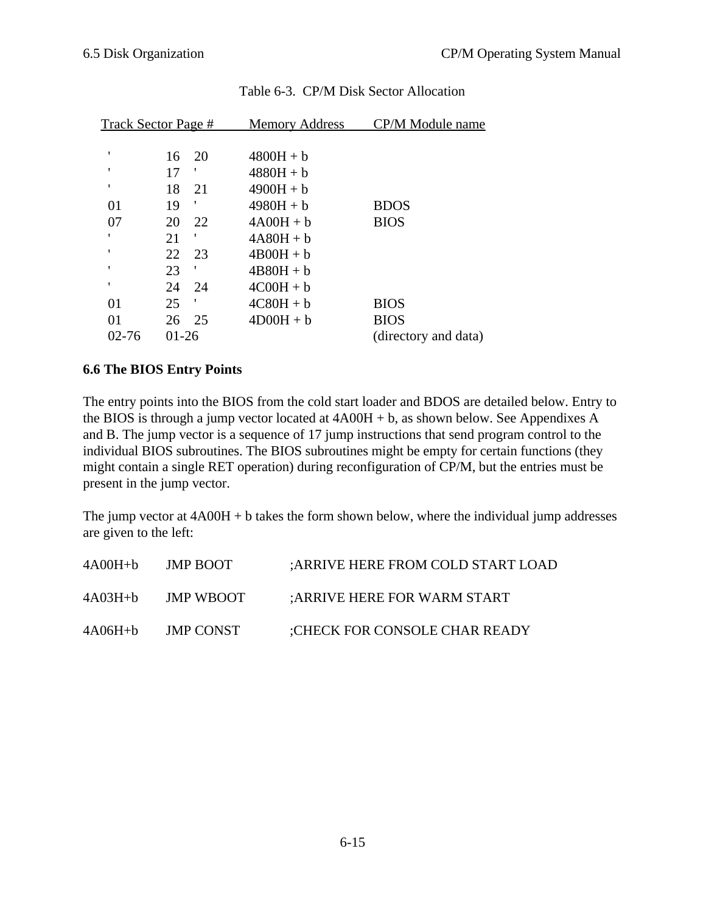|           | Track Sector Page # | <b>Memory Address</b> | CP/M Module name     |
|-----------|---------------------|-----------------------|----------------------|
| ٠         | 20<br>16            | $4800H + b$           |                      |
| ٠         | 17                  | $4880H + b$           |                      |
| ٠         | 18<br>21            | $4900H + b$           |                      |
| 01        | ,<br>19             | $4980H + b$           | <b>BDOS</b>          |
| 07        | 22<br>20            | $4A00H + b$           | <b>BIOS</b>          |
| ٠         | 21                  | $4A80H + b$           |                      |
| ٠         | 22<br>23            | $4B00H + b$           |                      |
| ٠         | ,<br>23             | $4B80H + b$           |                      |
| ٠         | 24<br>24            | $4COOH + b$           |                      |
| 01        | 25<br>,             | $4C80H + b$           | <b>BIOS</b>          |
| 01        | 26<br>25            | $4D00H + b$           | <b>BIOS</b>          |
| $02 - 76$ | 01-26               |                       | (directory and data) |

# Table 6-3. CP/M Disk Sector Allocation

#### **6.6 The BIOS Entry Points**

The entry points into the BIOS from the cold start loader and BDOS are detailed below. Entry to the BIOS is through a jump vector located at 4A00H + b, as shown below. See Appendixes A and B. The jump vector is a sequence of 17 jump instructions that send program control to the individual BIOS subroutines. The BIOS subroutines might be empty for certain functions (they might contain a single RET operation) during reconfiguration of CP/M, but the entries must be present in the jump vector.

The jump vector at  $4A00H + b$  takes the form shown below, where the individual jump addresses are given to the left:

| $4A00H+b$ | JMP BOOT         | : ARRIVE HERE FROM COLD START LOAD |
|-----------|------------------|------------------------------------|
| $4A03H+b$ | <b>JMP WBOOT</b> | :ARRIVE HERE FOR WARM START        |
| $4A06H+b$ | <b>JMP CONST</b> | :CHECK FOR CONSOLE CHAR READY      |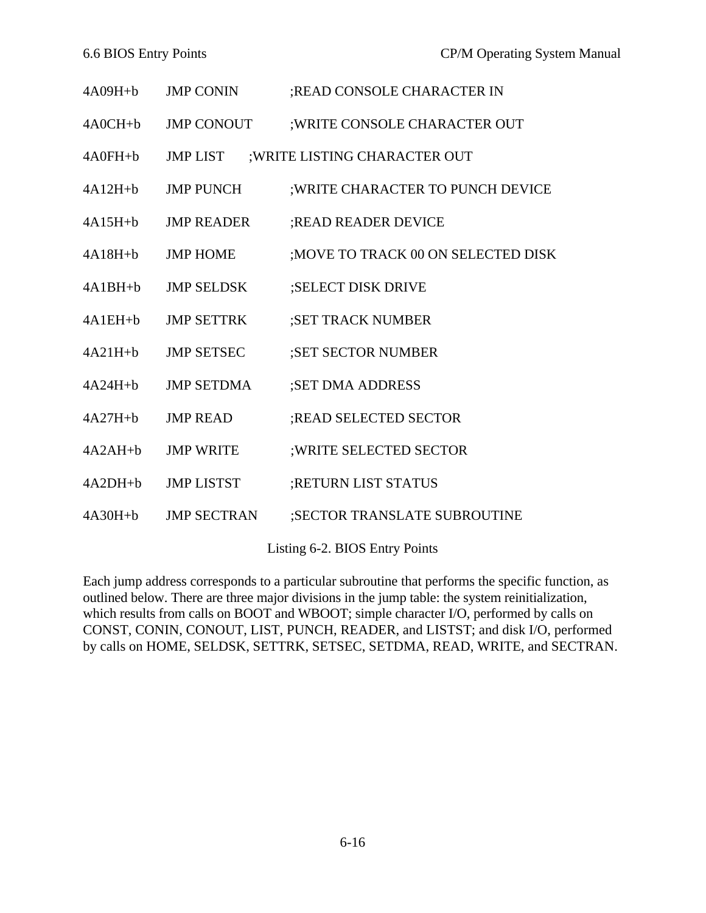| $4A09H+b$   | <b>JMP CONIN</b>   | ;READ CONSOLE CHARACTER IN          |
|-------------|--------------------|-------------------------------------|
| $4A0CH+b$   | <b>JMP CONOUT</b>  | ; WRITE CONSOLE CHARACTER OUT       |
| $4A0FH + b$ | <b>JMP LIST</b>    | ; WRITE LISTING CHARACTER OUT       |
| $4A12H+b$   | <b>JMP PUNCH</b>   | ; WRITE CHARACTER TO PUNCH DEVICE   |
| $4A15H+b$   | <b>JMP READER</b>  | <b>READ READER DEVICE</b>           |
| $4A18H+b$   | <b>JMP HOME</b>    | ; MOVE TO TRACK 00 ON SELECTED DISK |
| $4A1BH+b$   | <b>JMP SELDSK</b>  | ;SELECT DISK DRIVE                  |
| $4A1EH+b$   | <b>JMP SETTRK</b>  | ;SET TRACK NUMBER                   |
| $4A21H+b$   | <b>JMP SETSEC</b>  | ;SET SECTOR NUMBER                  |
| $4A24H+b$   | <b>JMP SETDMA</b>  | ;SET DMA ADDRESS                    |
| $4A27H+b$   | <b>JMP READ</b>    | ;READ SELECTED SECTOR               |
| $4A2AH+b$   | <b>JMP WRITE</b>   | ; WRITE SELECTED SECTOR             |
| $4A2DH+b$   | <b>JMP LISTST</b>  | ;RETURN LIST STATUS                 |
| $4A30H+b$   | <b>JMP SECTRAN</b> | ;SECTOR TRANSLATE SUBROUTINE        |
|             |                    |                                     |

Listing 6-2. BIOS Entry Points

Each jump address corresponds to a particular subroutine that performs the specific function, as outlined below. There are three major divisions in the jump table: the system reinitialization, which results from calls on BOOT and WBOOT; simple character I/O, performed by calls on CONST, CONIN, CONOUT, LIST, PUNCH, READER, and LISTST; and disk I/O, performed by calls on HOME, SELDSK, SETTRK, SETSEC, SETDMA, READ, WRITE, and SECTRAN.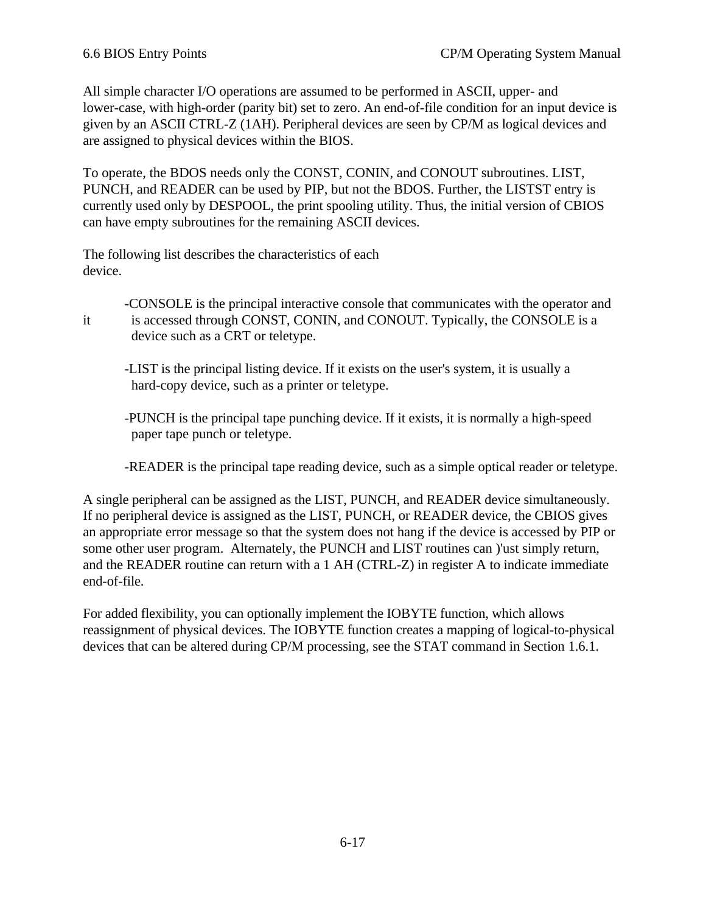All simple character I/O operations are assumed to be performed in ASCII, upper- and lower-case, with high-order (parity bit) set to zero. An end-of-file condition for an input device is given by an ASCII CTRL-Z (1AH). Peripheral devices are seen by CP/M as logical devices and are assigned to physical devices within the BIOS.

To operate, the BDOS needs only the CONST, CONIN, and CONOUT subroutines. LIST, PUNCH, and READER can be used by PIP, but not the BDOS. Further, the LISTST entry is currently used only by DESPOOL, the print spooling utility. Thus, the initial version of CBIOS can have empty subroutines for the remaining ASCII devices.

The following list describes the characteristics of each device.

 -CONSOLE is the principal interactive console that communicates with the operator and it is accessed through CONST, CONIN, and CONOUT. Typically, the CONSOLE is a device such as a CRT or teletype.

 -LIST is the principal listing device. If it exists on the user's system, it is usually a hard-copy device, such as a printer or teletype.

 -PUNCH is the principal tape punching device. If it exists, it is normally a high-speed paper tape punch or teletype.

-READER is the principal tape reading device, such as a simple optical reader or teletype.

A single peripheral can be assigned as the LIST, PUNCH, and READER device simultaneously. If no peripheral device is assigned as the LIST, PUNCH, or READER device, the CBIOS gives an appropriate error message so that the system does not hang if the device is accessed by PIP or some other user program. Alternately, the PUNCH and LIST routines can )'ust simply return, and the READER routine can return with a 1 AH (CTRL-Z) in register A to indicate immediate end-of-file.

For added flexibility, you can optionally implement the IOBYTE function, which allows reassignment of physical devices. The IOBYTE function creates a mapping of logical-to-physical devices that can be altered during CP/M processing, see the STAT command in Section 1.6.1.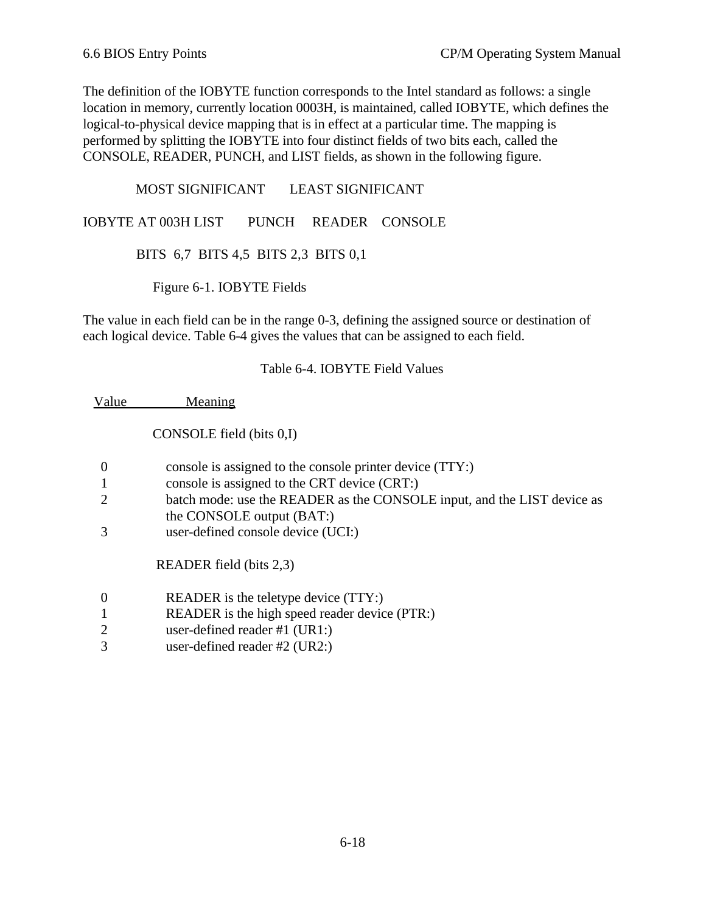The definition of the IOBYTE function corresponds to the Intel standard as follows: a single location in memory, currently location 0003H, is maintained, called IOBYTE, which defines the logical-to-physical device mapping that is in effect at a particular time. The mapping is performed by splitting the IOBYTE into four distinct fields of two bits each, called the CONSOLE, READER, PUNCH, and LIST fields, as shown in the following figure.

 MOST SIGNIFICANT LEAST SIGNIFICANT IOBYTE AT 003H LIST PUNCH READER CONSOLE BITS 6,7 BITS 4,5 BITS 2,3 BITS 0,1

Figure 6-1. IOBYTE Fields

The value in each field can be in the range 0-3, defining the assigned source or destination of each logical device. Table 6-4 gives the values that can be assigned to each field.

#### Table 6-4. IOBYTE Field Values

Value Meaning

CONSOLE field (bits 0,I)

|                             | console is assigned to the console printer device (TTY:)                |
|-----------------------------|-------------------------------------------------------------------------|
|                             | console is assigned to the CRT device (CRT:)                            |
| $\mathcal{D}_{\mathcal{L}}$ | batch mode: use the READER as the CONSOLE input, and the LIST device as |
|                             | the CONSOLE output (BAT:)                                               |
|                             | user-defined console device (UCI:)                                      |
|                             | READER field (bits 2,3)                                                 |

- 0 READER is the teletype device (TTY:)
- 1 READER is the high speed reader device (PTR:)
- 2 user-defined reader #1 (UR1:)
- 3 user-defined reader #2 (UR2:)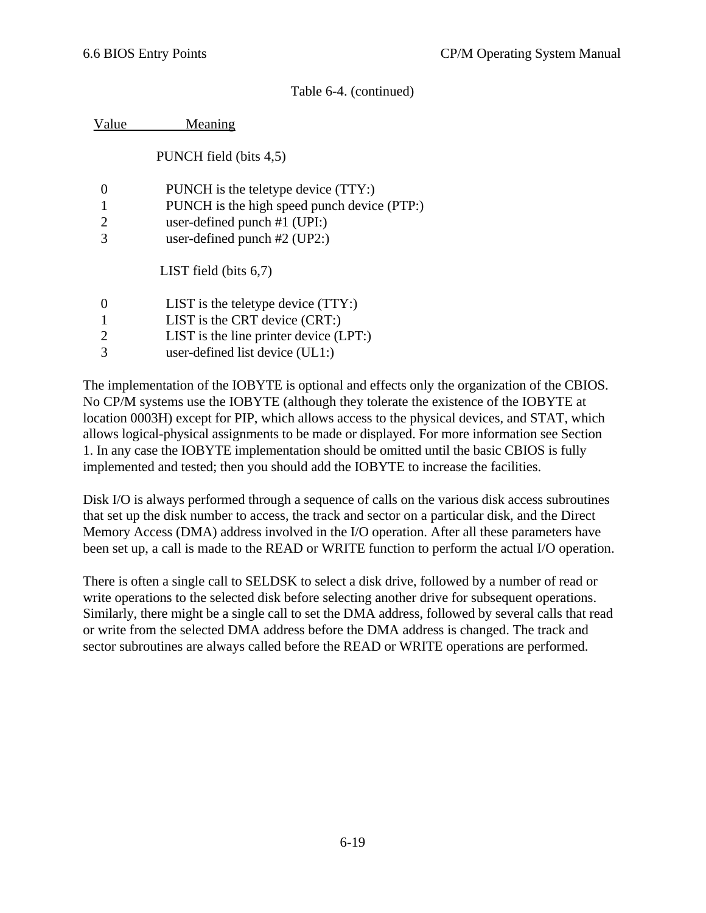| /alue          | Meaning                                     |
|----------------|---------------------------------------------|
|                | PUNCH field (bits 4,5)                      |
| 0              | PUNCH is the teletype device (TTY:)         |
|                | PUNCH is the high speed punch device (PTP:) |
| $\overline{2}$ | user-defined punch $#1$ (UPI:)              |
| 3              | user-defined punch $#2$ (UP2:)              |
|                | LIST field (bits $6,7$ )                    |
| 0              | LIST is the teletype device $(TTY)$ :       |
|                | LIST is the CRT device $(CRT)$ :            |
| 2              | LIST is the line printer device $(LPT)$ :   |
| 3              | user-defined list device $(UL1)$ :          |

The implementation of the IOBYTE is optional and effects only the organization of the CBIOS. No CP/M systems use the IOBYTE (although they tolerate the existence of the IOBYTE at location 0003H) except for PIP, which allows access to the physical devices, and STAT, which allows logical-physical assignments to be made or displayed. For more information see Section 1. In any case the IOBYTE implementation should be omitted until the basic CBIOS is fully implemented and tested; then you should add the IOBYTE to increase the facilities.

Disk I/O is always performed through a sequence of calls on the various disk access subroutines that set up the disk number to access, the track and sector on a particular disk, and the Direct Memory Access (DMA) address involved in the I/O operation. After all these parameters have been set up, a call is made to the READ or WRITE function to perform the actual I/O operation.

There is often a single call to SELDSK to select a disk drive, followed by a number of read or write operations to the selected disk before selecting another drive for subsequent operations. Similarly, there might be a single call to set the DMA address, followed by several calls that read or write from the selected DMA address before the DMA address is changed. The track and sector subroutines are always called before the READ or WRITE operations are performed.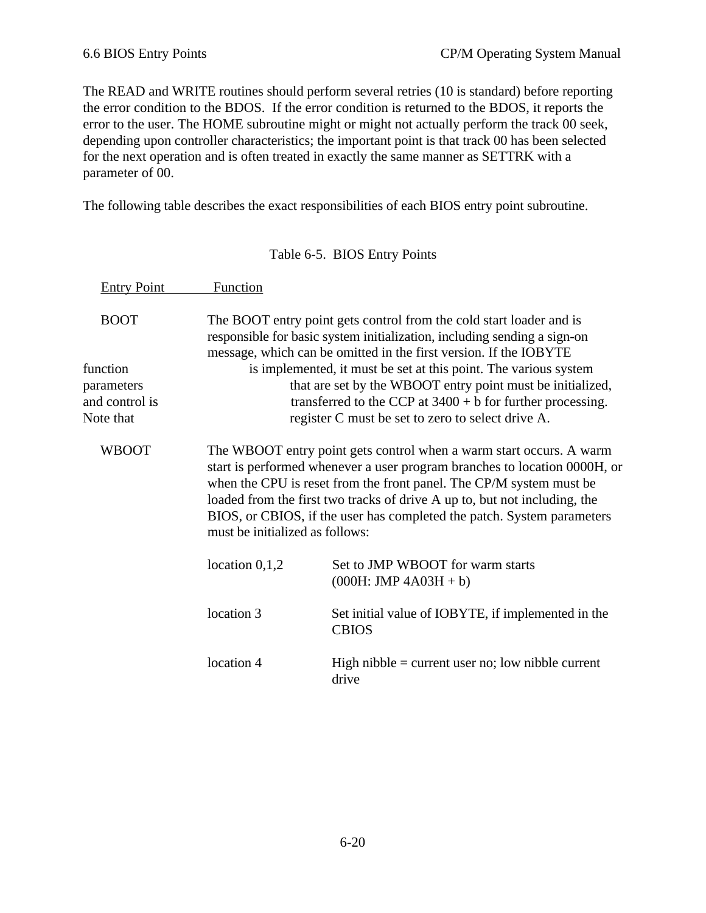The READ and WRITE routines should perform several retries (10 is standard) before reporting the error condition to the BDOS. If the error condition is returned to the BDOS, it reports the error to the user. The HOME subroutine might or might not actually perform the track 00 seek, depending upon controller characteristics; the important point is that track 00 has been selected for the next operation and is often treated in exactly the same manner as SETTRK with a parameter of 00.

The following table describes the exact responsibilities of each BIOS entry point subroutine.

| <b>Entry Point</b>                                    | Function                                                                                                                                                                                                                                                                                                                                                                                                          |                                                                                                                                                                                                                                                     |  |
|-------------------------------------------------------|-------------------------------------------------------------------------------------------------------------------------------------------------------------------------------------------------------------------------------------------------------------------------------------------------------------------------------------------------------------------------------------------------------------------|-----------------------------------------------------------------------------------------------------------------------------------------------------------------------------------------------------------------------------------------------------|--|
| <b>BOOT</b>                                           |                                                                                                                                                                                                                                                                                                                                                                                                                   | The BOOT entry point gets control from the cold start loader and is<br>responsible for basic system initialization, including sending a sign-on<br>message, which can be omitted in the first version. If the IOBYTE                                |  |
| function<br>parameters<br>and control is<br>Note that |                                                                                                                                                                                                                                                                                                                                                                                                                   | is implemented, it must be set at this point. The various system<br>that are set by the WBOOT entry point must be initialized,<br>transferred to the CCP at $3400 + b$ for further processing.<br>register C must be set to zero to select drive A. |  |
| <b>WBOOT</b>                                          | The WBOOT entry point gets control when a warm start occurs. A warm<br>start is performed whenever a user program branches to location 0000H, or<br>when the CPU is reset from the front panel. The CP/M system must be<br>loaded from the first two tracks of drive A up to, but not including, the<br>BIOS, or CBIOS, if the user has completed the patch. System parameters<br>must be initialized as follows: |                                                                                                                                                                                                                                                     |  |
|                                                       | location $0,1,2$                                                                                                                                                                                                                                                                                                                                                                                                  | Set to JMP WBOOT for warm starts<br>$(000H:$ JMP $4A03H + b)$                                                                                                                                                                                       |  |
|                                                       | location 3                                                                                                                                                                                                                                                                                                                                                                                                        | Set initial value of IOBYTE, if implemented in the<br><b>CBIOS</b>                                                                                                                                                                                  |  |
|                                                       | location 4                                                                                                                                                                                                                                                                                                                                                                                                        | High nibble $=$ current user no; low nibble current<br>drive                                                                                                                                                                                        |  |

Table 6-5. BIOS Entry Points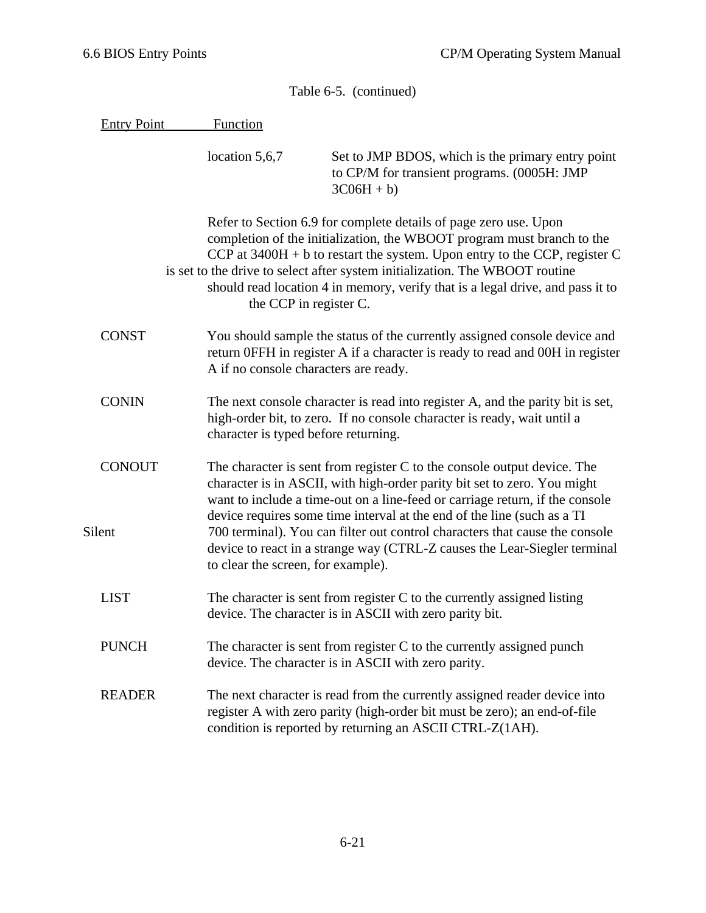Entry Point Function

 location 5,6,7 Set to JMP BDOS, which is the primary entry point to CP/M for transient programs. (0005H: JMP  $3C06H + b$ 

Refer to Section 6.9 for complete details of page zero use. Upon completion of the initialization, the WBOOT program must branch to the CCP at  $3400H + b$  to restart the system. Upon entry to the CCP, register C is set to the drive to select after system initialization. The WBOOT routine should read location 4 in memory, verify that is a legal drive, and pass it to the CCP in register C.

- CONST You should sample the status of the currently assigned console device and return 0FFH in register A if a character is ready to read and 00H in register A if no console characters are ready.
- CONIN The next console character is read into register A, and the parity bit is set, high-order bit, to zero. If no console character is ready, wait until a character is typed before returning.
- CONOUT The character is sent from register C to the console output device. The character is in ASCII, with high-order parity bit set to zero. You might want to include a time-out on a line-feed or carriage return, if the console device requires some time interval at the end of the line (such as a TI Silent 700 terminal). You can filter out control characters that cause the console device to react in a strange way (CTRL-Z causes the Lear-Siegler terminal to clear the screen, for example).
	- LIST The character is sent from register C to the currently assigned listing device. The character is in ASCII with zero parity bit.
	- PUNCH The character is sent from register C to the currently assigned punch device. The character is in ASCII with zero parity.
	- READER The next character is read from the currently assigned reader device into register A with zero parity (high-order bit must be zero); an end-of-file condition is reported by returning an ASCII CTRL-Z(1AH).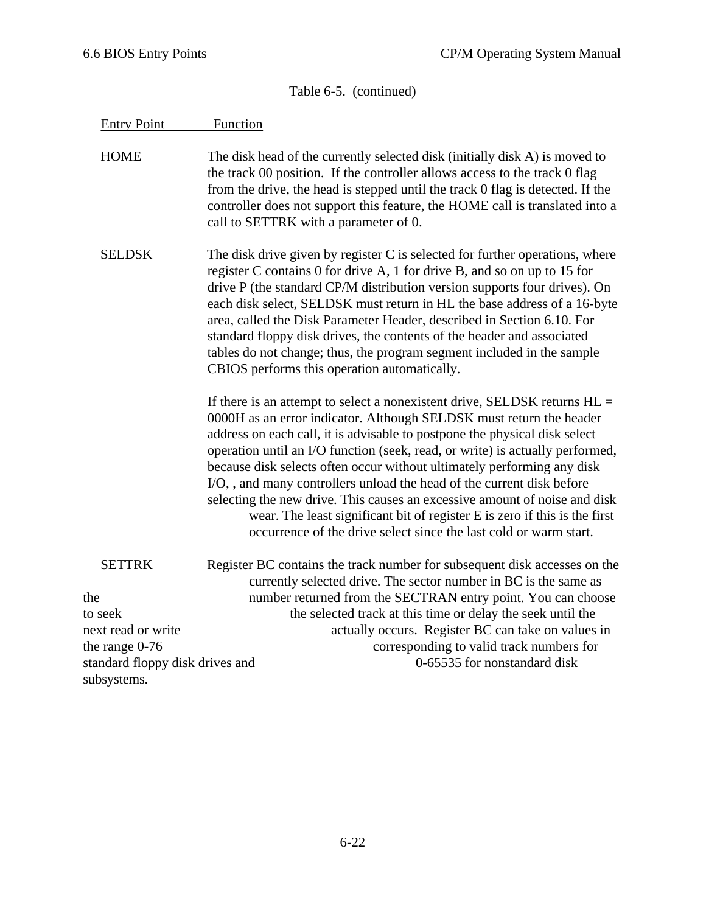| <b>Entry Point</b>              | Function                                                                                                                                                                                                                                                                                                                                                                                                                                                                                                                                                                                                                                                                                               |
|---------------------------------|--------------------------------------------------------------------------------------------------------------------------------------------------------------------------------------------------------------------------------------------------------------------------------------------------------------------------------------------------------------------------------------------------------------------------------------------------------------------------------------------------------------------------------------------------------------------------------------------------------------------------------------------------------------------------------------------------------|
| <b>HOME</b>                     | The disk head of the currently selected disk (initially disk A) is moved to<br>the track 00 position. If the controller allows access to the track 0 flag<br>from the drive, the head is stepped until the track 0 flag is detected. If the<br>controller does not support this feature, the HOME call is translated into a<br>call to SETTRK with a parameter of 0.                                                                                                                                                                                                                                                                                                                                   |
| <b>SELDSK</b>                   | The disk drive given by register C is selected for further operations, where<br>register C contains 0 for drive A, 1 for drive B, and so on up to 15 for<br>drive P (the standard CP/M distribution version supports four drives). On<br>each disk select, SELDSK must return in HL the base address of a 16-byte<br>area, called the Disk Parameter Header, described in Section 6.10. For<br>standard floppy disk drives, the contents of the header and associated<br>tables do not change; thus, the program segment included in the sample<br>CBIOS performs this operation automatically.                                                                                                        |
|                                 | If there is an attempt to select a nonexistent drive, SELDSK returns $HL =$<br>0000H as an error indicator. Although SELDSK must return the header<br>address on each call, it is advisable to postpone the physical disk select<br>operation until an I/O function (seek, read, or write) is actually performed,<br>because disk selects often occur without ultimately performing any disk<br>I/O,, and many controllers unload the head of the current disk before<br>selecting the new drive. This causes an excessive amount of noise and disk<br>wear. The least significant bit of register E is zero if this is the first<br>occurrence of the drive select since the last cold or warm start. |
| <b>SETTRK</b>                   | Register BC contains the track number for subsequent disk accesses on the<br>currently selected drive. The sector number in BC is the same as                                                                                                                                                                                                                                                                                                                                                                                                                                                                                                                                                          |
| the                             | number returned from the SECTRAN entry point. You can choose                                                                                                                                                                                                                                                                                                                                                                                                                                                                                                                                                                                                                                           |
| to seek                         | the selected track at this time or delay the seek until the                                                                                                                                                                                                                                                                                                                                                                                                                                                                                                                                                                                                                                            |
| next read or write              | actually occurs. Register BC can take on values in                                                                                                                                                                                                                                                                                                                                                                                                                                                                                                                                                                                                                                                     |
| the range $0-76$                | corresponding to valid track numbers for                                                                                                                                                                                                                                                                                                                                                                                                                                                                                                                                                                                                                                                               |
| standard floppy disk drives and | 0-65535 for nonstandard disk                                                                                                                                                                                                                                                                                                                                                                                                                                                                                                                                                                                                                                                                           |
| subsystems.                     |                                                                                                                                                                                                                                                                                                                                                                                                                                                                                                                                                                                                                                                                                                        |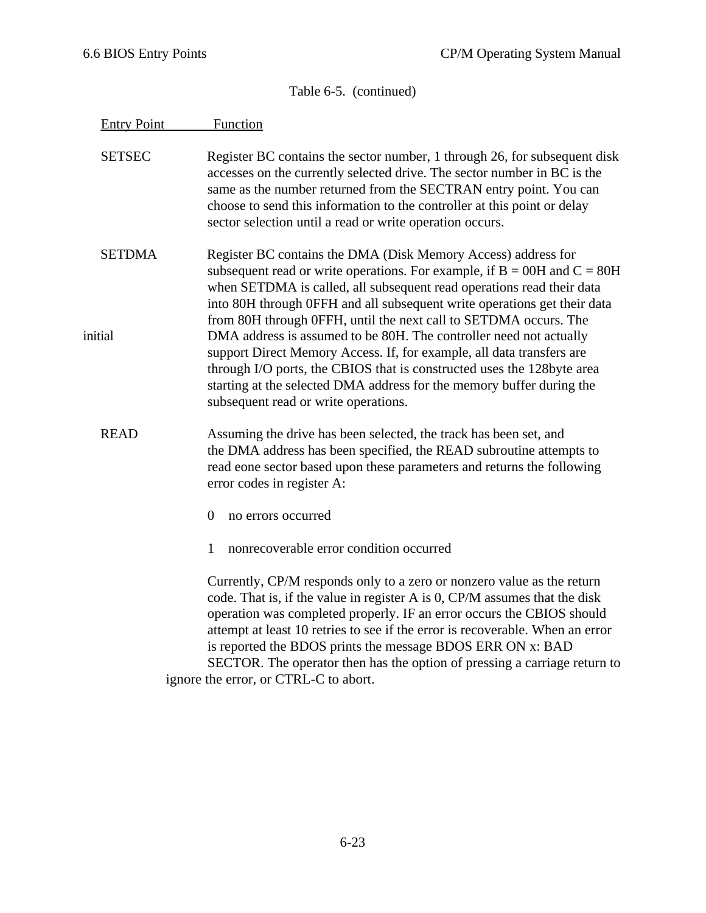| <b>Entry Point</b>       | Function                                                                                                                                                                                                                                                                                                                                                                                                                                                                                           |
|--------------------------|----------------------------------------------------------------------------------------------------------------------------------------------------------------------------------------------------------------------------------------------------------------------------------------------------------------------------------------------------------------------------------------------------------------------------------------------------------------------------------------------------|
| <b>SETSEC</b>            | Register BC contains the sector number, 1 through 26, for subsequent disk<br>accesses on the currently selected drive. The sector number in BC is the<br>same as the number returned from the SECTRAN entry point. You can<br>choose to send this information to the controller at this point or delay<br>sector selection until a read or write operation occurs.                                                                                                                                 |
| <b>SETDMA</b><br>initial | Register BC contains the DMA (Disk Memory Access) address for<br>subsequent read or write operations. For example, if $B = 00H$ and $C = 80H$<br>when SETDMA is called, all subsequent read operations read their data<br>into 80H through 0FFH and all subsequent write operations get their data<br>from 80H through 0FFH, until the next call to SETDMA occurs. The<br>DMA address is assumed to be 80H. The controller need not actually                                                       |
|                          | support Direct Memory Access. If, for example, all data transfers are<br>through I/O ports, the CBIOS that is constructed uses the 128byte area<br>starting at the selected DMA address for the memory buffer during the<br>subsequent read or write operations.                                                                                                                                                                                                                                   |
| <b>READ</b>              | Assuming the drive has been selected, the track has been set, and<br>the DMA address has been specified, the READ subroutine attempts to<br>read eone sector based upon these parameters and returns the following<br>error codes in register A:                                                                                                                                                                                                                                                   |
|                          | $\overline{0}$<br>no errors occurred                                                                                                                                                                                                                                                                                                                                                                                                                                                               |
|                          | nonrecoverable error condition occurred<br>1                                                                                                                                                                                                                                                                                                                                                                                                                                                       |
|                          | Currently, CP/M responds only to a zero or nonzero value as the return<br>code. That is, if the value in register A is 0, CP/M assumes that the disk<br>operation was completed properly. IF an error occurs the CBIOS should<br>attempt at least 10 retries to see if the error is recoverable. When an error<br>is reported the BDOS prints the message BDOS ERR ON x: BAD<br>SECTOR. The operator then has the option of pressing a carriage return to<br>ignore the error, or CTRL-C to abort. |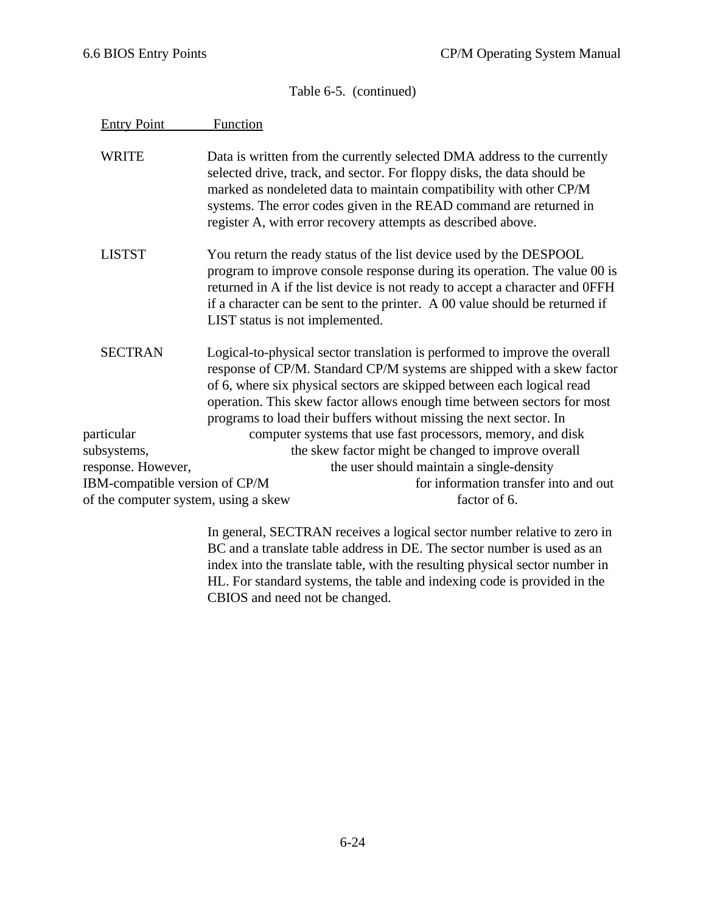| <b>Entry Point</b>                   | Function                                                                                                                                                                                                                                                                                                                                                                        |
|--------------------------------------|---------------------------------------------------------------------------------------------------------------------------------------------------------------------------------------------------------------------------------------------------------------------------------------------------------------------------------------------------------------------------------|
| <b>WRITE</b>                         | Data is written from the currently selected DMA address to the currently<br>selected drive, track, and sector. For floppy disks, the data should be<br>marked as nondeleted data to maintain compatibility with other CP/M<br>systems. The error codes given in the READ command are returned in<br>register A, with error recovery attempts as described above.                |
| <b>LISTST</b>                        | You return the ready status of the list device used by the DESPOOL<br>program to improve console response during its operation. The value 00 is<br>returned in A if the list device is not ready to accept a character and OFFH<br>if a character can be sent to the printer. A 00 value should be returned if<br>LIST status is not implemented.                               |
| <b>SECTRAN</b>                       | Logical-to-physical sector translation is performed to improve the overall<br>response of CP/M. Standard CP/M systems are shipped with a skew factor<br>of 6, where six physical sectors are skipped between each logical read<br>operation. This skew factor allows enough time between sectors for most<br>programs to load their buffers without missing the next sector. In |
| particular                           | computer systems that use fast processors, memory, and disk                                                                                                                                                                                                                                                                                                                     |
| subsystems,                          | the skew factor might be changed to improve overall                                                                                                                                                                                                                                                                                                                             |
| response. However,                   | the user should maintain a single-density                                                                                                                                                                                                                                                                                                                                       |
| IBM-compatible version of CP/M       | for information transfer into and out                                                                                                                                                                                                                                                                                                                                           |
| of the computer system, using a skew | factor of 6.                                                                                                                                                                                                                                                                                                                                                                    |

In general, SECTRAN receives a logical sector number relative to zero in BC and a translate table address in DE. The sector number is used as an index into the translate table, with the resulting physical sector number in HL. For standard systems, the table and indexing code is provided in the CBIOS and need not be changed.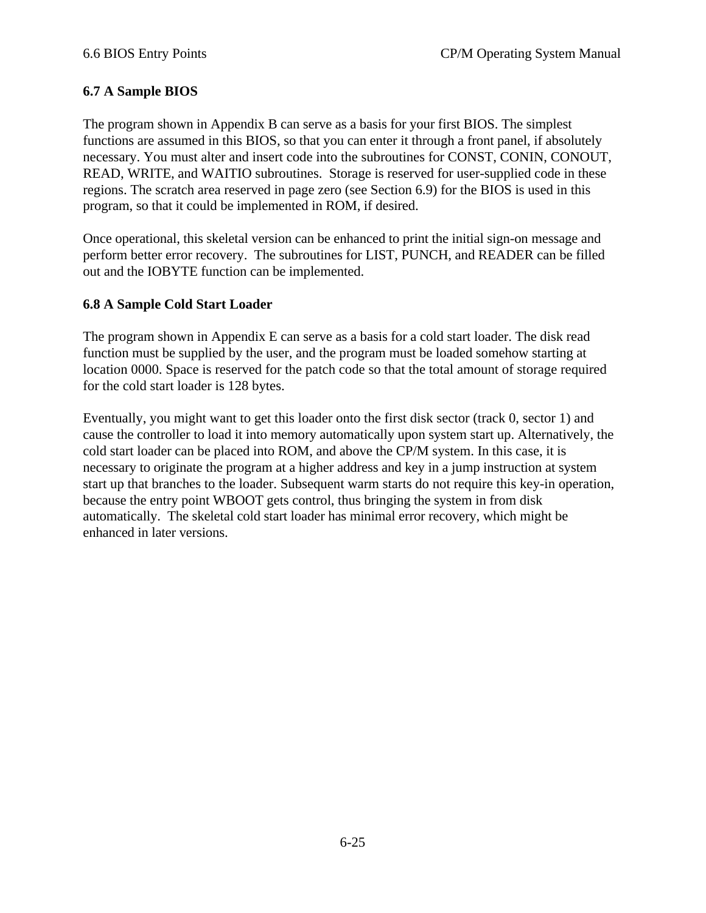# **6.7 A Sample BIOS**

The program shown in Appendix B can serve as a basis for your first BIOS. The simplest functions are assumed in this BIOS, so that you can enter it through a front panel, if absolutely necessary. You must alter and insert code into the subroutines for CONST, CONIN, CONOUT, READ, WRITE, and WAITIO subroutines. Storage is reserved for user-supplied code in these regions. The scratch area reserved in page zero (see Section 6.9) for the BIOS is used in this program, so that it could be implemented in ROM, if desired.

Once operational, this skeletal version can be enhanced to print the initial sign-on message and perform better error recovery. The subroutines for LIST, PUNCH, and READER can be filled out and the IOBYTE function can be implemented.

#### **6.8 A Sample Cold Start Loader**

The program shown in Appendix E can serve as a basis for a cold start loader. The disk read function must be supplied by the user, and the program must be loaded somehow starting at location 0000. Space is reserved for the patch code so that the total amount of storage required for the cold start loader is 128 bytes.

Eventually, you might want to get this loader onto the first disk sector (track 0, sector 1) and cause the controller to load it into memory automatically upon system start up. Alternatively, the cold start loader can be placed into ROM, and above the CP/M system. In this case, it is necessary to originate the program at a higher address and key in a jump instruction at system start up that branches to the loader. Subsequent warm starts do not require this key-in operation, because the entry point WBOOT gets control, thus bringing the system in from disk automatically. The skeletal cold start loader has minimal error recovery, which might be enhanced in later versions.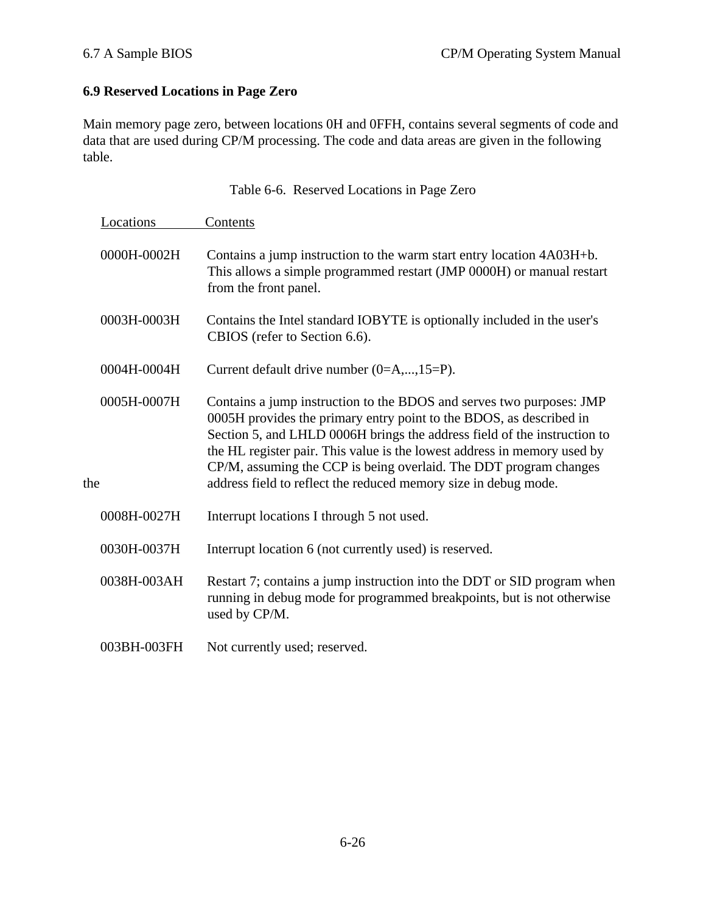# **6.9 Reserved Locations in Page Zero**

Main memory page zero, between locations 0H and 0FFH, contains several segments of code and data that are used during CP/M processing. The code and data areas are given in the following table.

Table 6-6. Reserved Locations in Page Zero

|     | Locations   | Contents                                                                                                                                                                                                                                                                                                                                                                                                                                    |
|-----|-------------|---------------------------------------------------------------------------------------------------------------------------------------------------------------------------------------------------------------------------------------------------------------------------------------------------------------------------------------------------------------------------------------------------------------------------------------------|
|     | 0000H-0002H | Contains a jump instruction to the warm start entry location 4A03H+b.<br>This allows a simple programmed restart (JMP 0000H) or manual restart<br>from the front panel.                                                                                                                                                                                                                                                                     |
|     | 0003H-0003H | Contains the Intel standard IOBYTE is optionally included in the user's<br>CBIOS (refer to Section 6.6).                                                                                                                                                                                                                                                                                                                                    |
|     | 0004H-0004H | Current default drive number $(0=A,,15=P)$ .                                                                                                                                                                                                                                                                                                                                                                                                |
| the | 0005H-0007H | Contains a jump instruction to the BDOS and serves two purposes: JMP<br>0005H provides the primary entry point to the BDOS, as described in<br>Section 5, and LHLD 0006H brings the address field of the instruction to<br>the HL register pair. This value is the lowest address in memory used by<br>CP/M, assuming the CCP is being overlaid. The DDT program changes<br>address field to reflect the reduced memory size in debug mode. |
|     | 0008H-0027H | Interrupt locations I through 5 not used.                                                                                                                                                                                                                                                                                                                                                                                                   |
|     | 0030H-0037H | Interrupt location 6 (not currently used) is reserved.                                                                                                                                                                                                                                                                                                                                                                                      |
|     | 0038H-003AH | Restart 7; contains a jump instruction into the DDT or SID program when<br>running in debug mode for programmed breakpoints, but is not otherwise<br>used by CP/M.                                                                                                                                                                                                                                                                          |
|     | 003BH-003FH | Not currently used; reserved.                                                                                                                                                                                                                                                                                                                                                                                                               |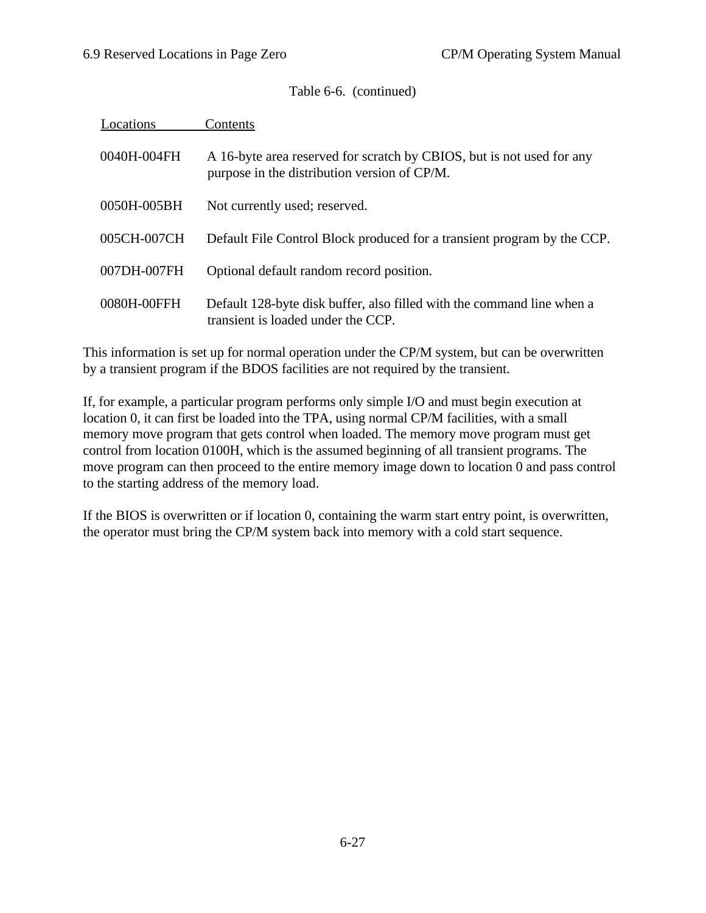## Table 6-6. (continued)

| Locations   | Contents                                                                                                              |
|-------------|-----------------------------------------------------------------------------------------------------------------------|
| 0040H-004FH | A 16-byte area reserved for scratch by CBIOS, but is not used for any<br>purpose in the distribution version of CP/M. |
| 0050H-005BH | Not currently used; reserved.                                                                                         |
| 005CH-007CH | Default File Control Block produced for a transient program by the CCP.                                               |
| 007DH-007FH | Optional default random record position.                                                                              |
| 0080H-00FFH | Default 128-byte disk buffer, also filled with the command line when a<br>transient is loaded under the CCP.          |

This information is set up for normal operation under the CP/M system, but can be overwritten by a transient program if the BDOS facilities are not required by the transient.

If, for example, a particular program performs only simple I/O and must begin execution at location 0, it can first be loaded into the TPA, using normal CP/M facilities, with a small memory move program that gets control when loaded. The memory move program must get control from location 0100H, which is the assumed beginning of all transient programs. The move program can then proceed to the entire memory image down to location 0 and pass control to the starting address of the memory load.

If the BIOS is overwritten or if location 0, containing the warm start entry point, is overwritten, the operator must bring the CP/M system back into memory with a cold start sequence.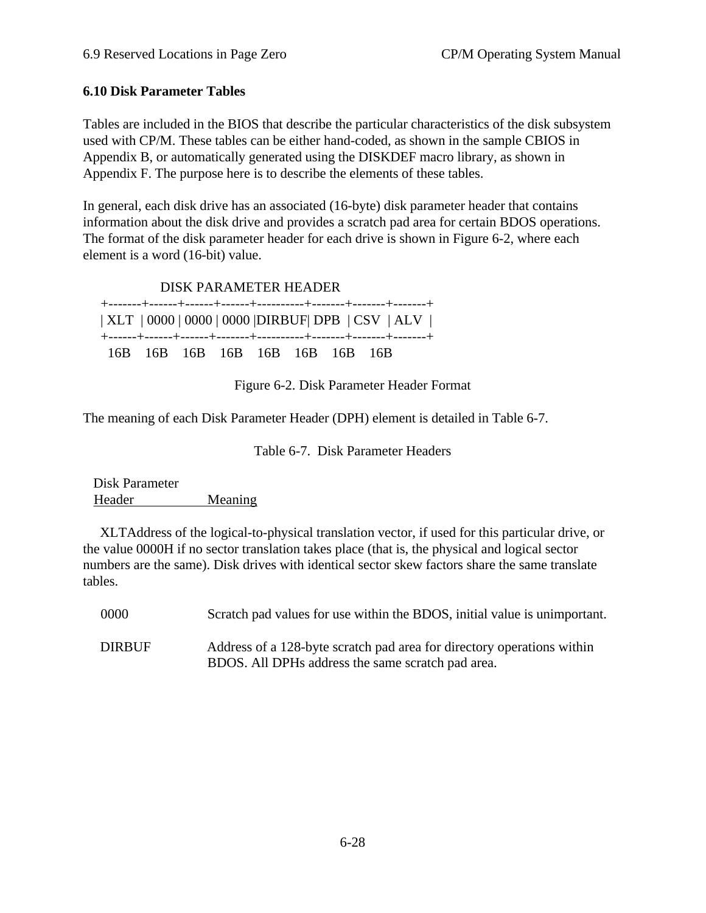## **6.10 Disk Parameter Tables**

Tables are included in the BIOS that describe the particular characteristics of the disk subsystem used with CP/M. These tables can be either hand-coded, as shown in the sample CBIOS in Appendix B, or automatically generated using the DISKDEF macro library, as shown in Appendix F. The purpose here is to describe the elements of these tables.

In general, each disk drive has an associated (16-byte) disk parameter header that contains information about the disk drive and provides a scratch pad area for certain BDOS operations. The format of the disk parameter header for each drive is shown in Figure 6-2, where each element is a word (16-bit) value.

 DISK PARAMETER HEADER +-------+------+------+------+----------+-------+-------+-------+ | XLT | 0000 | 0000 | 0000 |DIRBUF| DPB | CSV | ALV | +------+------+------+-------+----------+-------+-------+-------+ 16B 16B 16B 16B 16B 16B 16B 16B

Figure 6-2. Disk Parameter Header Format

The meaning of each Disk Parameter Header (DPH) element is detailed in Table 6-7.

Table 6-7. Disk Parameter Headers

 Disk Parameter Header Meaning

 XLTAddress of the logical-to-physical translation vector, if used for this particular drive, or the value 0000H if no sector translation takes place (that is, the physical and logical sector numbers are the same). Disk drives with identical sector skew factors share the same translate tables.

| 0000          | Scratch pad values for use within the BDOS, initial value is unimportant.                                                   |
|---------------|-----------------------------------------------------------------------------------------------------------------------------|
| <b>DIRBUF</b> | Address of a 128-byte scratch pad area for directory operations within<br>BDOS. All DPHs address the same scratch pad area. |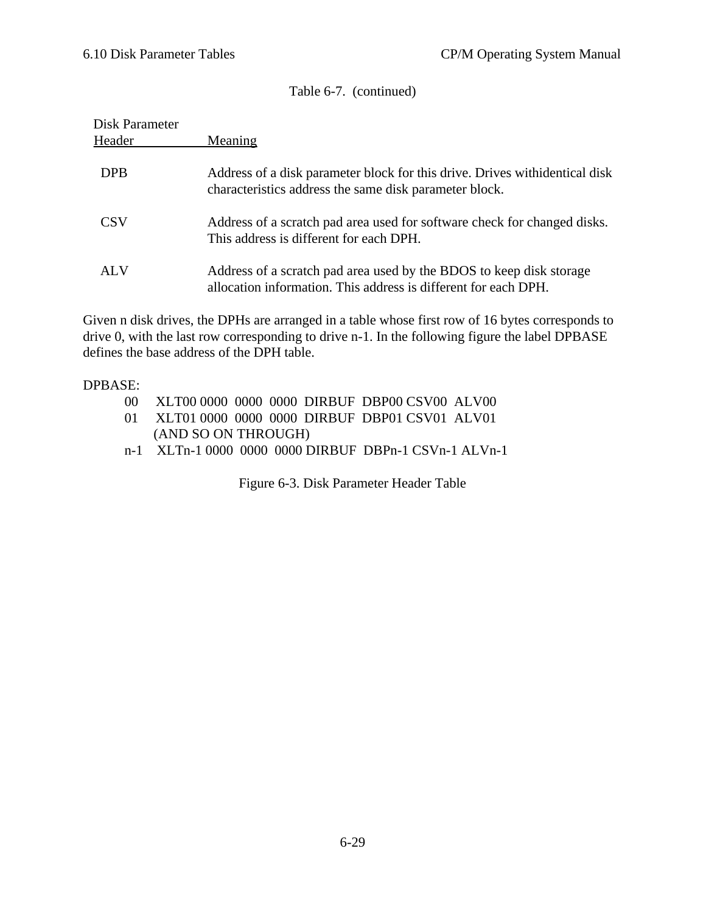Table 6-7. (continued)

| Disk Parameter |                                                                                                                                        |
|----------------|----------------------------------------------------------------------------------------------------------------------------------------|
| Header         | Meaning                                                                                                                                |
| <b>DPB</b>     | Address of a disk parameter block for this drive. Drives with identical disk<br>characteristics address the same disk parameter block. |
| CSV            | Address of a scratch pad area used for software check for changed disks.<br>This address is different for each DPH.                    |
| AL V           | Address of a scratch pad area used by the BDOS to keep disk storage<br>allocation information. This address is different for each DPH. |

Given n disk drives, the DPHs are arranged in a table whose first row of 16 bytes corresponds to drive 0, with the last row corresponding to drive n-1. In the following figure the label DPBASE defines the base address of the DPH table.

#### DPBASE:

- 00 XLT00 0000 0000 0000 DIRBUF DBP00 CSV00 ALV00
- 01 XLT01 0000 0000 0000 DIRBUF DBP01 CSV01 ALV01 (AND SO ON THROUGH)
- n-1 XLTn-1 0000 0000 0000 DIRBUF DBPn-1 CSVn-1 ALVn-1

Figure 6-3. Disk Parameter Header Table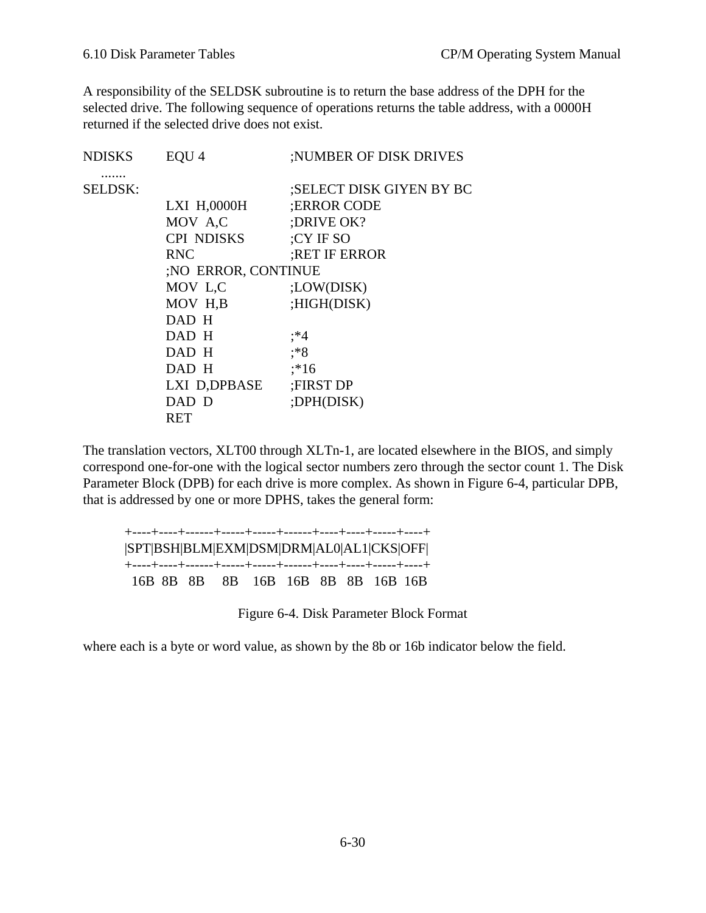A responsibility of the SELDSK subroutine is to return the base address of the DPH for the selected drive. The following sequence of operations returns the table address, with a 0000H returned if the selected drive does not exist.

| EQU <sub>4</sub>    | ;NUMBER OF DISK DRIVES   |
|---------------------|--------------------------|
|                     | ;SELECT DISK GIYEN BY BC |
| LXI H,0000H         | :ERROR CODE              |
| MOV A.C             | ;DRIVE OK?               |
| <b>CPI NDISKS</b>   | ;CY IF SO                |
| <b>RNC</b>          | <b>RET IF ERROR</b>      |
| ;NO ERROR, CONTINUE |                          |
| MOV L,C             | ;LOW(DISK)               |
| MOV H,B             | ;HIGH(DISK)              |
| DAD H               |                          |
| DAD H               | ;*4                      |
| DAD H               | :*8                      |
| DAD H               | $; *16$                  |
| LXI D,DPBASE        | <b>FIRST DP</b>          |
| DAD D               | ;DPH(DISK)               |
| RET                 |                          |
|                     |                          |

The translation vectors, XLT00 through XLTn-1, are located elsewhere in the BIOS, and simply correspond one-for-one with the logical sector numbers zero through the sector count 1. The Disk Parameter Block (DPB) for each drive is more complex. As shown in Figure 6-4, particular DPB, that is addressed by one or more DPHS, takes the general form:

| SPT BSH BLM EXM DSM DRM AL0 AL1 CKS OFF |  |  |  |  |
|-----------------------------------------|--|--|--|--|
| 16B 8B 8B 8B 16B 16B 8B 8B 16B 16B      |  |  |  |  |

Figure 6-4. Disk Parameter Block Format

where each is a byte or word value, as shown by the 8b or 16b indicator below the field.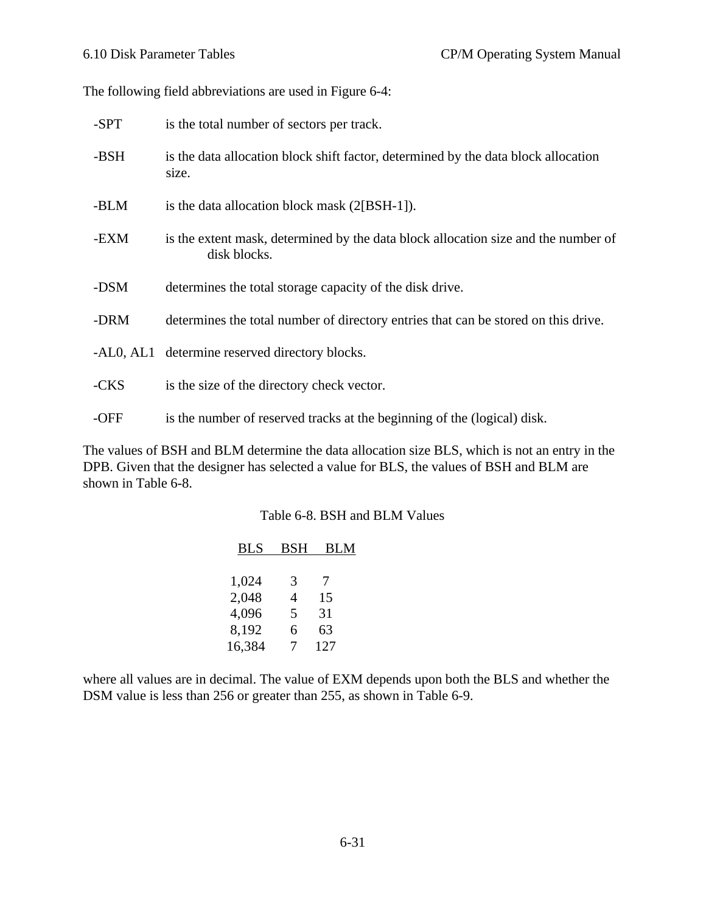The following field abbreviations are used in Figure 6-4:

| -SPT | is the total number of sectors per track.                                                          |
|------|----------------------------------------------------------------------------------------------------|
| -BSH | is the data allocation block shift factor, determined by the data block allocation<br>size.        |
| -BLM | is the data allocation block mask (2[BSH-1]).                                                      |
| -EXM | is the extent mask, determined by the data block allocation size and the number of<br>disk blocks. |
| -DSM | determines the total storage capacity of the disk drive.                                           |
| -DRM | determines the total number of directory entries that can be stored on this drive.                 |
|      | -AL0, AL1 determine reserved directory blocks.                                                     |
| -CKS | is the size of the directory check vector.                                                         |
| -OFF | is the number of reserved tracks at the beginning of the (logical) disk.                           |

The values of BSH and BLM determine the data allocation size BLS, which is not an entry in the DPB. Given that the designer has selected a value for BLS, the values of BSH and BLM are shown in Table 6-8.

#### Table 6-8. BSH and BLM Values

| <b>BLS</b> | <b>BSH</b> | <b>BLM</b> |  |
|------------|------------|------------|--|
|            |            |            |  |
| 1,024      | 3          | 7          |  |
| 2,048      | 4          | 15         |  |
| 4,096      | 5          | 31         |  |
| 8,192      | 6          | 63         |  |
| 16,384     | 7          | 127        |  |

where all values are in decimal. The value of EXM depends upon both the BLS and whether the DSM value is less than 256 or greater than 255, as shown in Table 6-9.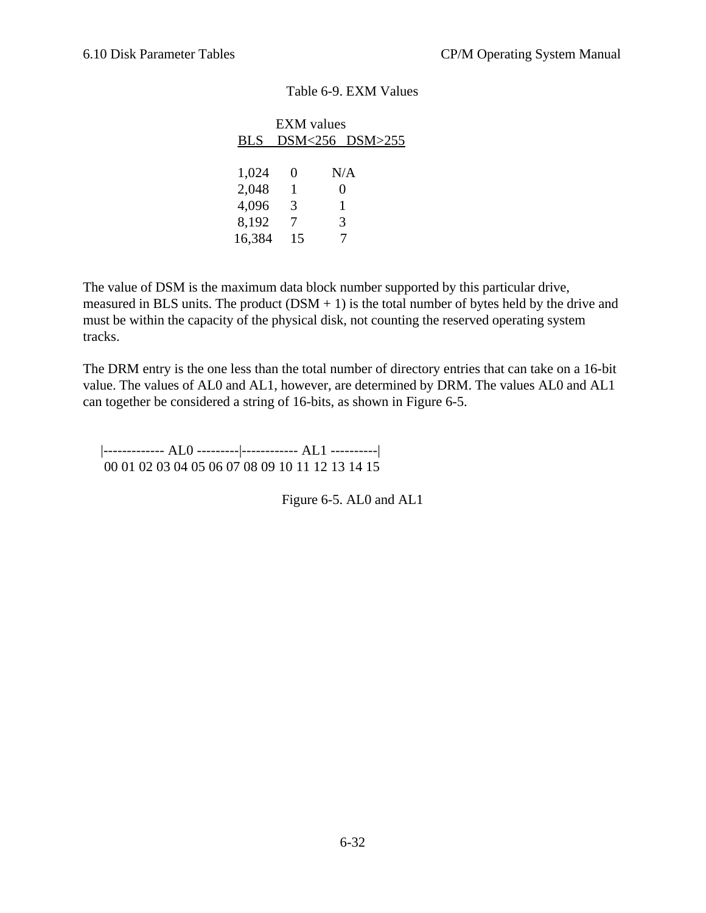#### Table 6-9. EXM Values

The value of DSM is the maximum data block number supported by this particular drive, measured in BLS units. The product  $(DSM + 1)$  is the total number of bytes held by the drive and must be within the capacity of the physical disk, not counting the reserved operating system tracks.

The DRM entry is the one less than the total number of directory entries that can take on a 16-bit value. The values of AL0 and AL1, however, are determined by DRM. The values AL0 and AL1 can together be considered a string of 16-bits, as shown in Figure 6-5.

 |------------- AL0 ---------|------------ AL1 ----------| 00 01 02 03 04 05 06 07 08 09 10 11 12 13 14 15

Figure 6-5. AL0 and AL1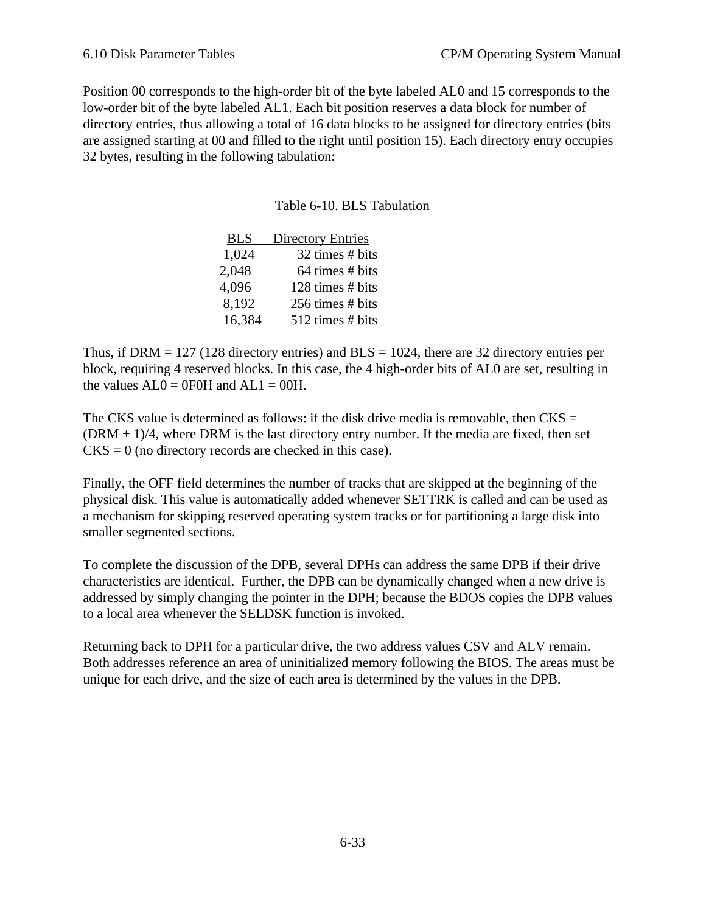Position 00 corresponds to the high-order bit of the byte labeled AL0 and 15 corresponds to the low-order bit of the byte labeled AL1. Each bit position reserves a data block for number of directory entries, thus allowing a total of 16 data blocks to be assigned for directory entries (bits are assigned starting at 00 and filled to the right until position 15). Each directory entry occupies 32 bytes, resulting in the following tabulation:

## Table 6-10. BLS Tabulation

| <b>BLS</b> | <b>Directory Entries</b> |
|------------|--------------------------|
| 1,024      | 32 times # bits          |
| 2,048      | 64 times # bits          |
| 4,096      | 128 times # bits         |
| 8,192      | 256 times # bits         |
| 16,384     | 512 times # bits         |

Thus, if DRM  $= 127$  (128 directory entries) and BLS  $= 1024$ , there are 32 directory entries per block, requiring 4 reserved blocks. In this case, the 4 high-order bits of AL0 are set, resulting in the values  $AL0 = 0$  FOH and  $AL1 = 00$ H.

The CKS value is determined as follows: if the disk drive media is removable, then  $CKS =$  $(DRM + 1)/4$ , where DRM is the last directory entry number. If the media are fixed, then set  $CKS = 0$  (no directory records are checked in this case).

Finally, the OFF field determines the number of tracks that are skipped at the beginning of the physical disk. This value is automatically added whenever SETTRK is called and can be used as a mechanism for skipping reserved operating system tracks or for partitioning a large disk into smaller segmented sections.

To complete the discussion of the DPB, several DPHs can address the same DPB if their drive characteristics are identical. Further, the DPB can be dynamically changed when a new drive is addressed by simply changing the pointer in the DPH; because the BDOS copies the DPB values to a local area whenever the SELDSK function is invoked.

Returning back to DPH for a particular drive, the two address values CSV and ALV remain. Both addresses reference an area of uninitialized memory following the BIOS. The areas must be unique for each drive, and the size of each area is determined by the values in the DPB.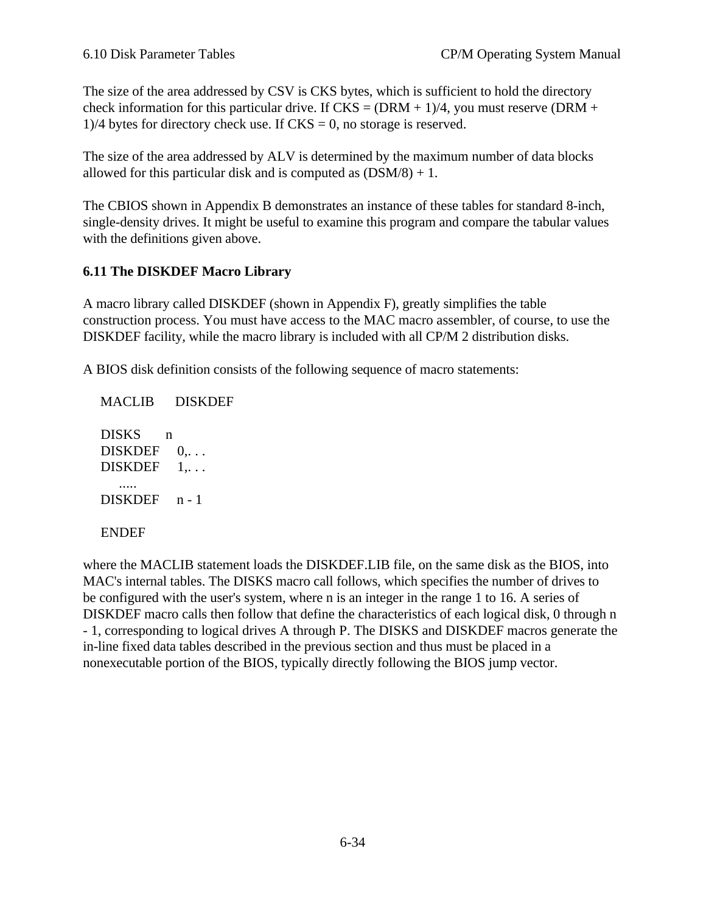The size of the area addressed by CSV is CKS bytes, which is sufficient to hold the directory check information for this particular drive. If  $CKS = (DRM + 1)/4$ , you must reserve (DRM +  $1/4$  bytes for directory check use. If CKS = 0, no storage is reserved.

The size of the area addressed by ALV is determined by the maximum number of data blocks allowed for this particular disk and is computed as  $(DSM/8) + 1$ .

The CBIOS shown in Appendix B demonstrates an instance of these tables for standard 8-inch, single-density drives. It might be useful to examine this program and compare the tabular values with the definitions given above.

## **6.11 The DISKDEF Macro Library**

A macro library called DISKDEF (shown in Appendix F), greatly simplifies the table construction process. You must have access to the MAC macro assembler, of course, to use the DISKDEF facility, while the macro library is included with all CP/M 2 distribution disks.

A BIOS disk definition consists of the following sequence of macro statements:

 MACLIB DISKDEF DISKS n  $DISKDEF \quad 0, \ldots$  $DISKDEF \quad 1, \ldots$  ..... DISKDEF n - 1 ENDEF

where the MACLIB statement loads the DISKDEF.LIB file, on the same disk as the BIOS, into MAC's internal tables. The DISKS macro call follows, which specifies the number of drives to be configured with the user's system, where n is an integer in the range 1 to 16. A series of DISKDEF macro calls then follow that define the characteristics of each logical disk, 0 through n - 1, corresponding to logical drives A through P. The DISKS and DISKDEF macros generate the in-line fixed data tables described in the previous section and thus must be placed in a nonexecutable portion of the BIOS, typically directly following the BIOS jump vector.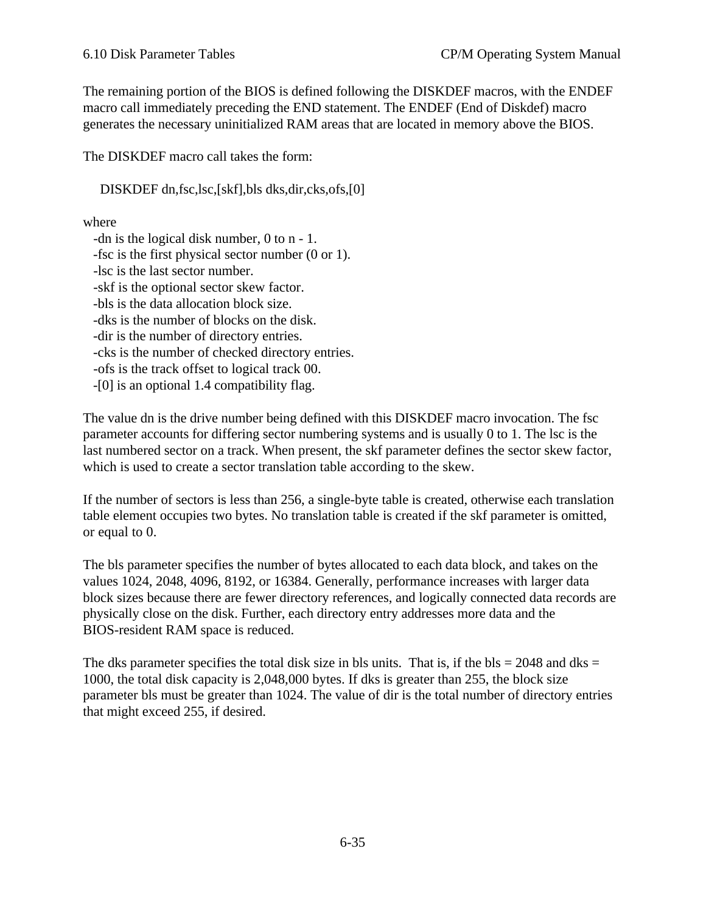The remaining portion of the BIOS is defined following the DISKDEF macros, with the ENDEF macro call immediately preceding the END statement. The ENDEF (End of Diskdef) macro generates the necessary uninitialized RAM areas that are located in memory above the BIOS.

The DISKDEF macro call takes the form:

DISKDEF dn,fsc,lsc,[skf],bls dks,dir,cks,ofs,[0]

where

 -dn is the logical disk number, 0 to n - 1. -fsc is the first physical sector number (0 or 1). -lsc is the last sector number. -skf is the optional sector skew factor. -bls is the data allocation block size. -dks is the number of blocks on the disk. -dir is the number of directory entries. -cks is the number of checked directory entries. -ofs is the track offset to logical track 00. -[0] is an optional 1.4 compatibility flag.

The value dn is the drive number being defined with this DISKDEF macro invocation. The fsc parameter accounts for differing sector numbering systems and is usually 0 to 1. The lsc is the last numbered sector on a track. When present, the skf parameter defines the sector skew factor, which is used to create a sector translation table according to the skew.

If the number of sectors is less than 256, a single-byte table is created, otherwise each translation table element occupies two bytes. No translation table is created if the skf parameter is omitted, or equal to 0.

The bls parameter specifies the number of bytes allocated to each data block, and takes on the values 1024, 2048, 4096, 8192, or 16384. Generally, performance increases with larger data block sizes because there are fewer directory references, and logically connected data records are physically close on the disk. Further, each directory entry addresses more data and the BIOS-resident RAM space is reduced.

The dks parameter specifies the total disk size in bls units. That is, if the bls  $= 2048$  and dks  $=$ 1000, the total disk capacity is 2,048,000 bytes. If dks is greater than 255, the block size parameter bls must be greater than 1024. The value of dir is the total number of directory entries that might exceed 255, if desired.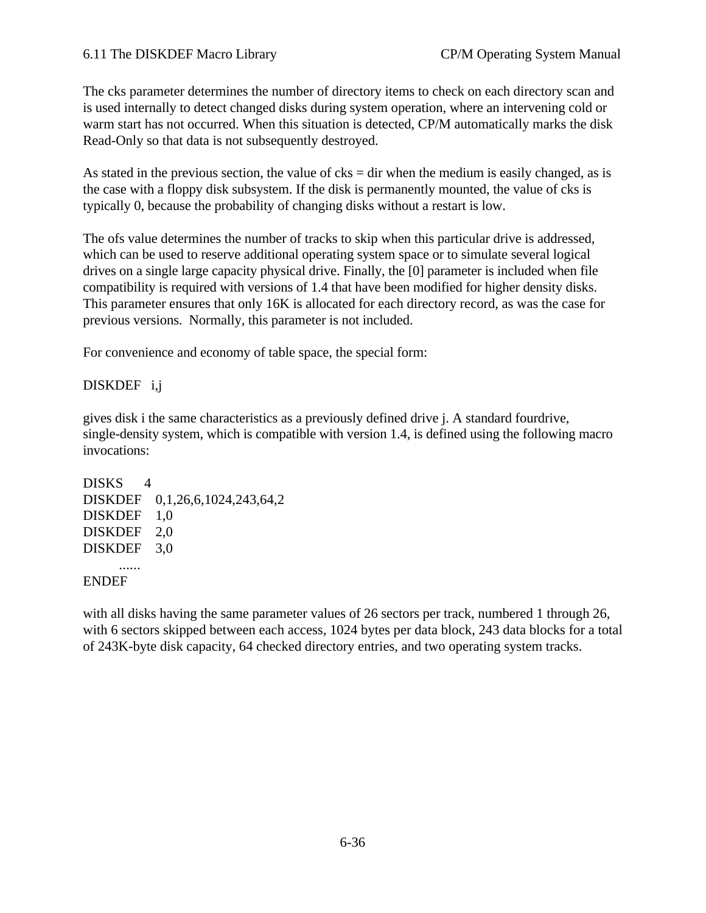### 6.11 The DISKDEF Macro Library CP/M Operating System Manual

The cks parameter determines the number of directory items to check on each directory scan and is used internally to detect changed disks during system operation, where an intervening cold or warm start has not occurred. When this situation is detected, CP/M automatically marks the disk Read-Only so that data is not subsequently destroyed.

As stated in the previous section, the value of  $c$ ks = dir when the medium is easily changed, as is the case with a floppy disk subsystem. If the disk is permanently mounted, the value of cks is typically 0, because the probability of changing disks without a restart is low.

The ofs value determines the number of tracks to skip when this particular drive is addressed, which can be used to reserve additional operating system space or to simulate several logical drives on a single large capacity physical drive. Finally, the [0] parameter is included when file compatibility is required with versions of 1.4 that have been modified for higher density disks. This parameter ensures that only 16K is allocated for each directory record, as was the case for previous versions. Normally, this parameter is not included.

For convenience and economy of table space, the special form:

## DISKDEF i,j

gives disk i the same characteristics as a previously defined drive j. A standard fourdrive, single-density system, which is compatible with version 1.4, is defined using the following macro invocations:

```
DISKS 4
DISKDEF 0,1,26,6,1024,243,64,2
DISKDEF 1,0
DISKDEF 2,0
DISKDEF 3,0
     ......
ENDEF
```
with all disks having the same parameter values of 26 sectors per track, numbered 1 through 26, with 6 sectors skipped between each access, 1024 bytes per data block, 243 data blocks for a total of 243K-byte disk capacity, 64 checked directory entries, and two operating system tracks.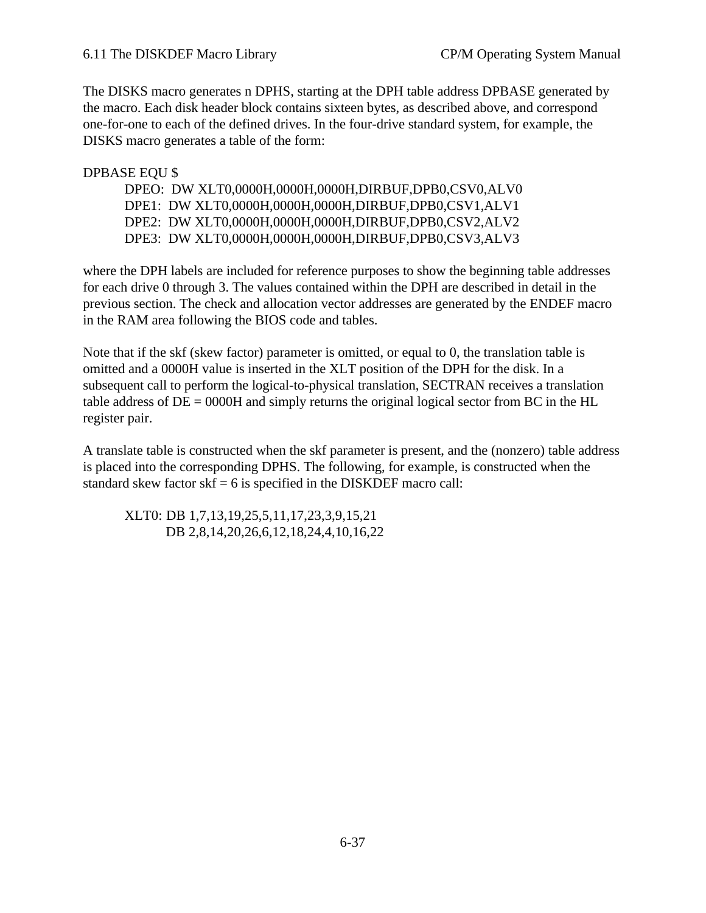The DISKS macro generates n DPHS, starting at the DPH table address DPBASE generated by the macro. Each disk header block contains sixteen bytes, as described above, and correspond one-for-one to each of the defined drives. In the four-drive standard system, for example, the DISKS macro generates a table of the form:

## DPBASE EQU \$

| DPEO: DW XLT0,0000H,0000H,0000H,DIRBUF,DPB0,CSV0,ALV0 |
|-------------------------------------------------------|
| DPE1: DW XLT0,0000H,0000H,0000H,DIRBUF,DPB0,CSV1,ALV1 |
| DPE2: DW XLT0,0000H,0000H,0000H,DIRBUF,DPB0,CSV2,ALV2 |
| DPE3: DW XLT0,0000H,0000H,0000H,DIRBUF,DPB0,CSV3,ALV3 |

where the DPH labels are included for reference purposes to show the beginning table addresses for each drive 0 through 3. The values contained within the DPH are described in detail in the previous section. The check and allocation vector addresses are generated by the ENDEF macro in the RAM area following the BIOS code and tables.

Note that if the skf (skew factor) parameter is omitted, or equal to 0, the translation table is omitted and a 0000H value is inserted in the XLT position of the DPH for the disk. In a subsequent call to perform the logical-to-physical translation, SECTRAN receives a translation table address of  $DE = 0000H$  and simply returns the original logical sector from BC in the HL register pair.

A translate table is constructed when the skf parameter is present, and the (nonzero) table address is placed into the corresponding DPHS. The following, for example, is constructed when the standard skew factor  $skf = 6$  is specified in the DISKDEF macro call:

XLT0: DB 1,7,13,19,25,5,11,17,23,3,9,15,21 DB 2,8,14,20,26,6,12,18,24,4,10,16,22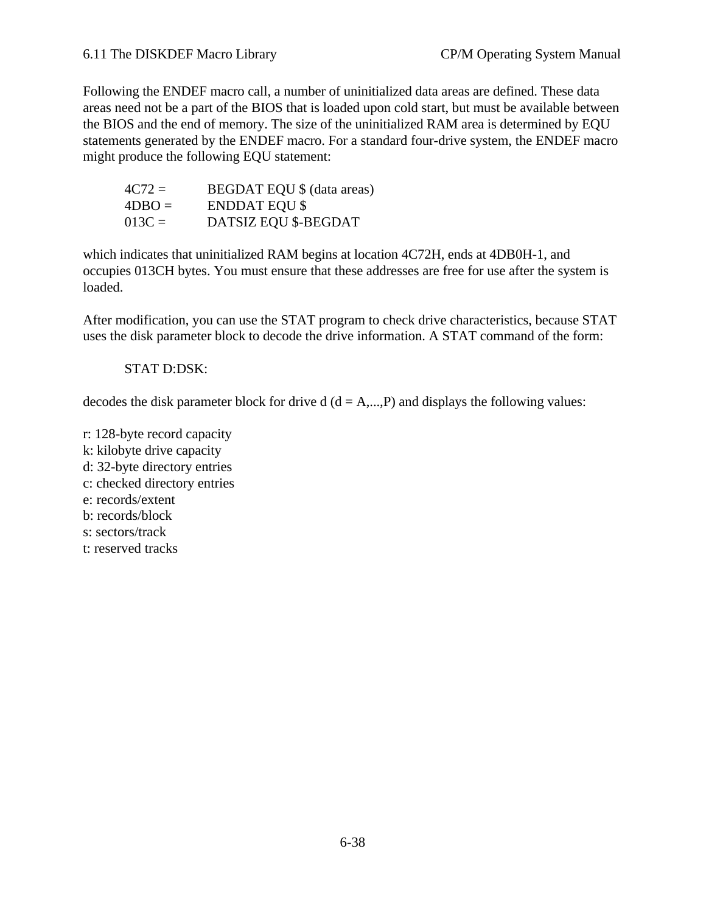### 6.11 The DISKDEF Macro Library CP/M Operating System Manual

Following the ENDEF macro call, a number of uninitialized data areas are defined. These data areas need not be a part of the BIOS that is loaded upon cold start, but must be available between the BIOS and the end of memory. The size of the uninitialized RAM area is determined by EQU statements generated by the ENDEF macro. For a standard four-drive system, the ENDEF macro might produce the following EQU statement:

| $4C72 =$ | <b>BEGDAT EQU \$ (data areas)</b> |
|----------|-----------------------------------|
| $4DBO =$ | <b>ENDDAT EQU \$</b>              |
| $013C =$ | DATSIZ EQU \$-BEGDAT              |

which indicates that uninitialized RAM begins at location 4C72H, ends at 4DB0H-1, and occupies 013CH bytes. You must ensure that these addresses are free for use after the system is loaded.

After modification, you can use the STAT program to check drive characteristics, because STAT uses the disk parameter block to decode the drive information. A STAT command of the form:

#### STAT D:DSK:

decodes the disk parameter block for drive  $d$  ( $d = A,...,P$ ) and displays the following values:

r: 128-byte record capacity k: kilobyte drive capacity d: 32-byte directory entries c: checked directory entries e: records/extent b: records/block s: sectors/track t: reserved tracks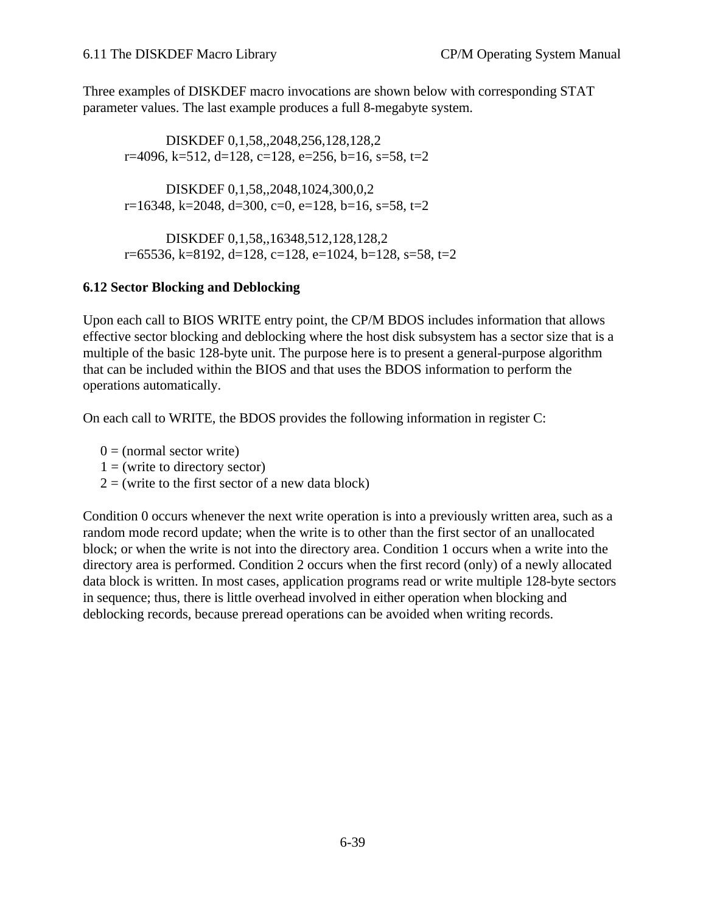Three examples of DISKDEF macro invocations are shown below with corresponding STAT parameter values. The last example produces a full 8-megabyte system.

DISKDEF 0,1,58,,2048,256,128,128,2 r=4096, k=512, d=128, c=128, e=256, b=16, s=58, t=2

DISKDEF 0,1,58,,2048,1024,300,0,2  $r=16348$ , k=2048, d=300, c=0, e=128, b=16, s=58, t=2

DISKDEF 0,1,58,,16348,512,128,128,2 r=65536, k=8192, d=128, c=128, e=1024, b=128, s=58, t=2

# **6.12 Sector Blocking and Deblocking**

Upon each call to BIOS WRITE entry point, the CP/M BDOS includes information that allows effective sector blocking and deblocking where the host disk subsystem has a sector size that is a multiple of the basic 128-byte unit. The purpose here is to present a general-purpose algorithm that can be included within the BIOS and that uses the BDOS information to perform the operations automatically.

On each call to WRITE, the BDOS provides the following information in register C:

 $0 = (normal sector write)$ 

 $1 =$  (write to directory sector)

 $2 =$  (write to the first sector of a new data block)

Condition 0 occurs whenever the next write operation is into a previously written area, such as a random mode record update; when the write is to other than the first sector of an unallocated block; or when the write is not into the directory area. Condition 1 occurs when a write into the directory area is performed. Condition 2 occurs when the first record (only) of a newly allocated data block is written. In most cases, application programs read or write multiple 128-byte sectors in sequence; thus, there is little overhead involved in either operation when blocking and deblocking records, because preread operations can be avoided when writing records.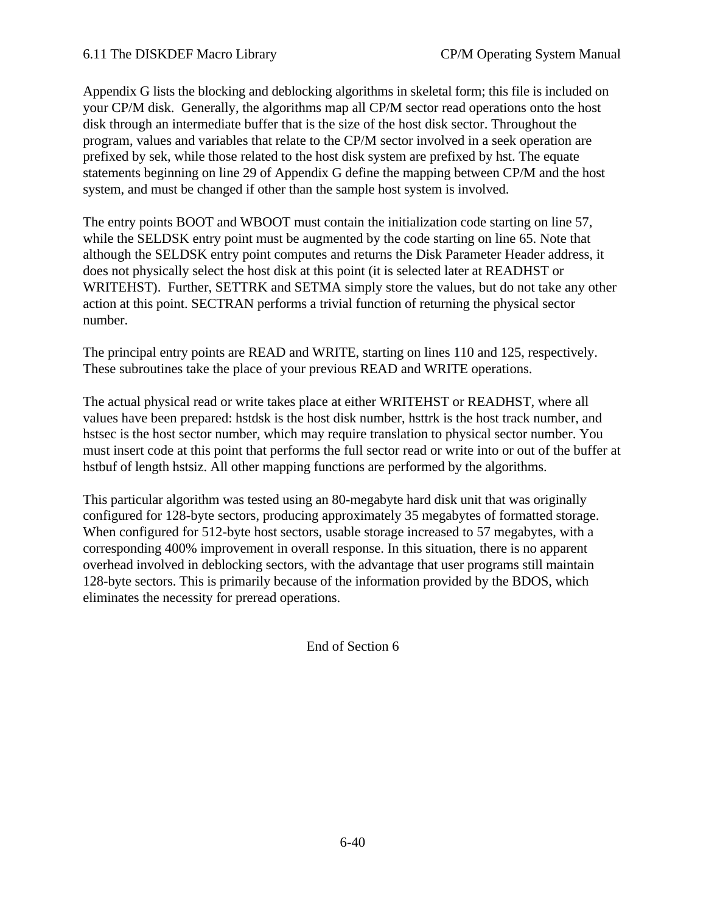Appendix G lists the blocking and deblocking algorithms in skeletal form; this file is included on your CP/M disk. Generally, the algorithms map all CP/M sector read operations onto the host disk through an intermediate buffer that is the size of the host disk sector. Throughout the program, values and variables that relate to the CP/M sector involved in a seek operation are prefixed by sek, while those related to the host disk system are prefixed by hst. The equate statements beginning on line 29 of Appendix G define the mapping between CP/M and the host system, and must be changed if other than the sample host system is involved.

The entry points BOOT and WBOOT must contain the initialization code starting on line 57, while the SELDSK entry point must be augmented by the code starting on line 65. Note that although the SELDSK entry point computes and returns the Disk Parameter Header address, it does not physically select the host disk at this point (it is selected later at READHST or WRITEHST). Further, SETTRK and SETMA simply store the values, but do not take any other action at this point. SECTRAN performs a trivial function of returning the physical sector number.

The principal entry points are READ and WRITE, starting on lines 110 and 125, respectively. These subroutines take the place of your previous READ and WRITE operations.

The actual physical read or write takes place at either WRITEHST or READHST, where all values have been prepared: hstdsk is the host disk number, hsttrk is the host track number, and hstsec is the host sector number, which may require translation to physical sector number. You must insert code at this point that performs the full sector read or write into or out of the buffer at hstbuf of length hstsiz. All other mapping functions are performed by the algorithms.

This particular algorithm was tested using an 80-megabyte hard disk unit that was originally configured for 128-byte sectors, producing approximately 35 megabytes of formatted storage. When configured for 512-byte host sectors, usable storage increased to 57 megabytes, with a corresponding 400% improvement in overall response. In this situation, there is no apparent overhead involved in deblocking sectors, with the advantage that user programs still maintain 128-byte sectors. This is primarily because of the information provided by the BDOS, which eliminates the necessity for preread operations.

End of Section 6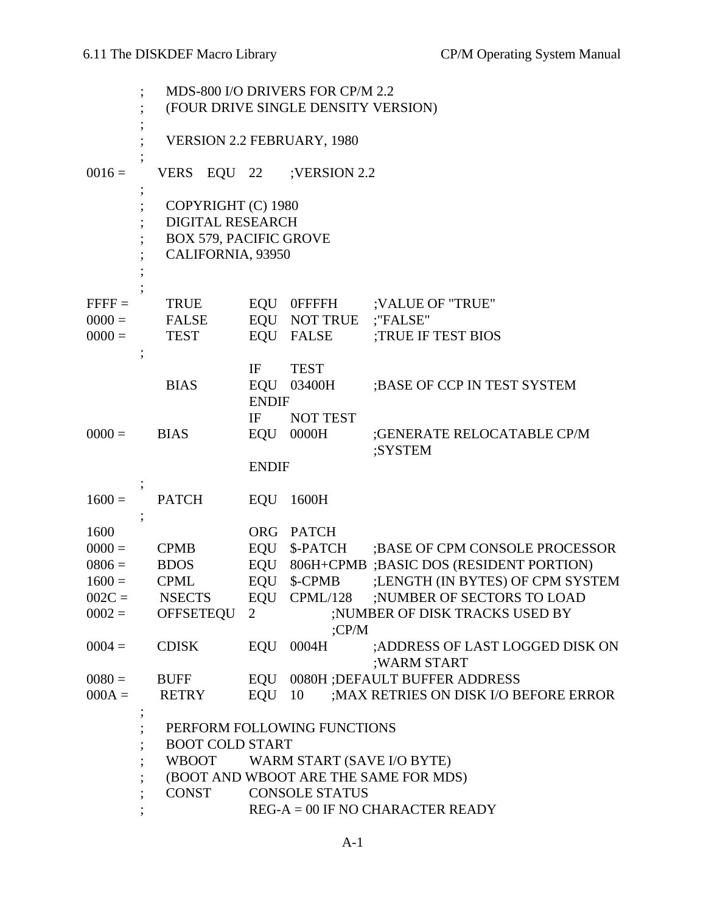|          | MDS-800 I/O DRIVERS FOR CP/M 2.2<br>(FOUR DRIVE SINGLE DENSITY VERSION)                             |                                                                                     |                              |                                                |  |  |  |
|----------|-----------------------------------------------------------------------------------------------------|-------------------------------------------------------------------------------------|------------------------------|------------------------------------------------|--|--|--|
|          |                                                                                                     | <b>VERSION 2.2 FEBRUARY, 1980</b>                                                   |                              |                                                |  |  |  |
| $0016 =$ | <b>VERS</b><br>EQU 22                                                                               |                                                                                     | ;VERSION 2.2                 |                                                |  |  |  |
|          | COPYRIGHT (C) 1980<br><b>DIGITAL RESEARCH</b><br><b>BOX 579, PACIFIC GROVE</b><br>CALIFORNIA, 93950 |                                                                                     |                              |                                                |  |  |  |
| $FFFF =$ | <b>TRUE</b>                                                                                         |                                                                                     | EQU OFFFFH                   | ;VALUE OF "TRUE"                               |  |  |  |
| $0000 =$ | <b>FALSE</b>                                                                                        |                                                                                     | EQU NOT TRUE                 | ;"FALSE"                                       |  |  |  |
| $0000 =$ | <b>TEST</b>                                                                                         |                                                                                     | EQU FALSE                    | ;TRUE IF TEST BIOS                             |  |  |  |
|          | <b>BIAS</b>                                                                                         | IF<br><b>ENDIF</b>                                                                  | <b>TEST</b><br>EQU 03400H    | ; BASE OF CCP IN TEST SYSTEM                   |  |  |  |
| $0000 =$ | <b>BIAS</b>                                                                                         | IF                                                                                  | <b>NOT TEST</b><br>EQU 0000H | ;GENERATE RELOCATABLE CP/M<br>;SYSTEM          |  |  |  |
|          |                                                                                                     | <b>ENDIF</b>                                                                        |                              |                                                |  |  |  |
| $1600 =$ | <b>PATCH</b>                                                                                        | EQU                                                                                 | 1600H                        |                                                |  |  |  |
|          |                                                                                                     |                                                                                     |                              |                                                |  |  |  |
| 1600     |                                                                                                     |                                                                                     | ORG PATCH                    |                                                |  |  |  |
| $0000 =$ | <b>CPMB</b>                                                                                         |                                                                                     | EQU \$-PATCH                 | ; BASE OF CPM CONSOLE PROCESSOR                |  |  |  |
| $0806 =$ | <b>BDOS</b>                                                                                         |                                                                                     |                              | EQU 806H+CPMB ;BASIC DOS (RESIDENT PORTION)    |  |  |  |
| $1600 =$ | <b>CPML</b>                                                                                         | EQU                                                                                 | \$-CPMB                      | ;LENGTH (IN BYTES) OF CPM SYSTEM               |  |  |  |
| $002C =$ | <b>NSECTS</b>                                                                                       |                                                                                     |                              | EQU CPML/128 ;NUMBER OF SECTORS TO LOAD        |  |  |  |
| $0002 =$ | <b>OFFSETEQU</b>                                                                                    | $\overline{2}$                                                                      |                              | ;NUMBER OF DISK TRACKS USED BY                 |  |  |  |
|          |                                                                                                     |                                                                                     | CPM                          |                                                |  |  |  |
| $0004 =$ | <b>CDISK</b>                                                                                        | EQU                                                                                 | 0004H                        | ;ADDRESS OF LAST LOGGED DISK ON<br>;WARM START |  |  |  |
| $0080 =$ | <b>BUFF</b>                                                                                         |                                                                                     |                              | EQU 0080H ; DEFAULT BUFFER ADDRESS             |  |  |  |
| $000A =$ | <b>RETRY</b>                                                                                        | $EQU$ 10                                                                            |                              | ; MAX RETRIES ON DISK I/O BEFORE ERROR         |  |  |  |
|          | <b>WBOOT</b><br>(BOOT AND WBOOT ARE THE SAME FOR MDS)                                               | PERFORM FOLLOWING FUNCTIONS<br><b>BOOT COLD START</b><br>WARM START (SAVE I/O BYTE) |                              |                                                |  |  |  |
|          | <b>CONST</b>                                                                                        |                                                                                     | <b>CONSOLE STATUS</b>        |                                                |  |  |  |
|          | $REG-A = 00$ IF NO CHARACTER READY                                                                  |                                                                                     |                              |                                                |  |  |  |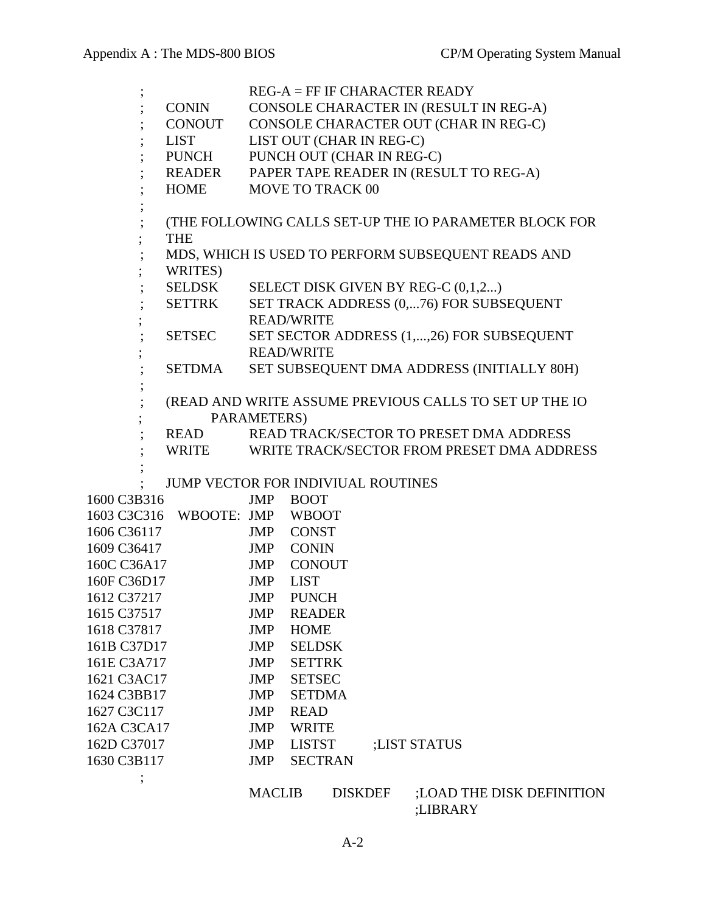|             |                                    |               |                           |                | $REG-A = FF IF CHARACTER READV$                        |
|-------------|------------------------------------|---------------|---------------------------|----------------|--------------------------------------------------------|
|             | CONIN                              |               |                           |                | CONSOLE CHARACTER IN (RESULT IN REG-A)                 |
|             | CONOUT                             |               |                           |                | CONSOLE CHARACTER OUT (CHAR IN REG-C)                  |
|             | LIST                               |               | LIST OUT (CHAR IN REG-C)  |                |                                                        |
|             | <b>PUNCH</b>                       |               | PUNCH OUT (CHAR IN REG-C) |                |                                                        |
|             | READER                             |               |                           |                | PAPER TAPE READER IN (RESULT TO REG-A)                 |
|             | <b>HOME</b>                        |               | <b>MOVE TO TRACK 00</b>   |                |                                                        |
|             |                                    |               |                           |                |                                                        |
|             |                                    |               |                           |                | (THE FOLLOWING CALLS SET-UP THE IO PARAMETER BLOCK FOR |
|             | <b>THE</b>                         |               |                           |                |                                                        |
|             |                                    |               |                           |                | MDS, WHICH IS USED TO PERFORM SUBSEQUENT READS AND     |
|             | WRITES)                            |               |                           |                |                                                        |
|             | SELDSK                             |               |                           |                | SELECT DISK GIVEN BY REG-C (0,1,2)                     |
|             | SETTRK                             |               | <b>READ/WRITE</b>         |                | SET TRACK ADDRESS (0,76) FOR SUBSEQUENT                |
|             | SETSEC                             |               |                           |                | SET SECTOR ADDRESS (1,,26) FOR SUBSEQUENT              |
|             |                                    |               | <b>READ/WRITE</b>         |                |                                                        |
|             | SETDMA                             |               |                           |                | SET SUBSEQUENT DMA ADDRESS (INITIALLY 80H)             |
|             |                                    |               |                           |                |                                                        |
|             |                                    |               |                           |                | (READ AND WRITE ASSUME PREVIOUS CALLS TO SET UP THE IO |
|             |                                    | PARAMETERS)   |                           |                |                                                        |
|             | READ                               |               |                           |                | READ TRACK/SECTOR TO PRESET DMA ADDRESS                |
|             | WRITE                              |               |                           |                | WRITE TRACK/SECTOR FROM PRESET DMA ADDRESS             |
|             |                                    |               |                           |                |                                                        |
|             | JUMP VECTOR FOR INDIVIUAL ROUTINES |               |                           |                |                                                        |
| 1600 C3B316 |                                    |               | JMP BOOT                  |                |                                                        |
|             | 1603 C3C316 WBOOTE: JMP WBOOT      |               |                           |                |                                                        |
| 1606 C36117 |                                    |               | JMP CONST                 |                |                                                        |
| 1609 C36417 |                                    |               | JMP CONIN                 |                |                                                        |
| 160C C36A17 |                                    |               | JMP CONOUT                |                |                                                        |
| 160F C36D17 |                                    | JMP           | <b>LIST</b>               |                |                                                        |
| 1612 C37217 |                                    |               | JMP PUNCH                 |                |                                                        |
| 1615 C37517 |                                    | JMP           | <b>READER</b>             |                |                                                        |
| 1618 C37817 |                                    | <b>JMP</b>    | <b>HOME</b>               |                |                                                        |
| 161B C37D17 |                                    | JMP           | <b>SELDSK</b>             |                |                                                        |
| 161E C3A717 |                                    | <b>JMP</b>    | <b>SETTRK</b>             |                |                                                        |
| 1621 C3AC17 |                                    | JMP           | <b>SETSEC</b>             |                |                                                        |
| 1624 C3BB17 |                                    | JMP           | <b>SETDMA</b>             |                |                                                        |
| 1627 C3C117 |                                    | <b>JMP</b>    | <b>READ</b>               |                |                                                        |
| 162A C3CA17 |                                    | <b>JMP</b>    | <b>WRITE</b>              |                |                                                        |
| 162D C37017 |                                    | JMP           | <b>LISTST</b>             |                | ;LIST STATUS                                           |
| 1630 C3B117 |                                    | JMP           | <b>SECTRAN</b>            |                |                                                        |
|             |                                    |               |                           |                |                                                        |
|             |                                    | <b>MACLIB</b> |                           | <b>DISKDEF</b> | ; LOAD THE DISK DEFINITION                             |

;LIBRARY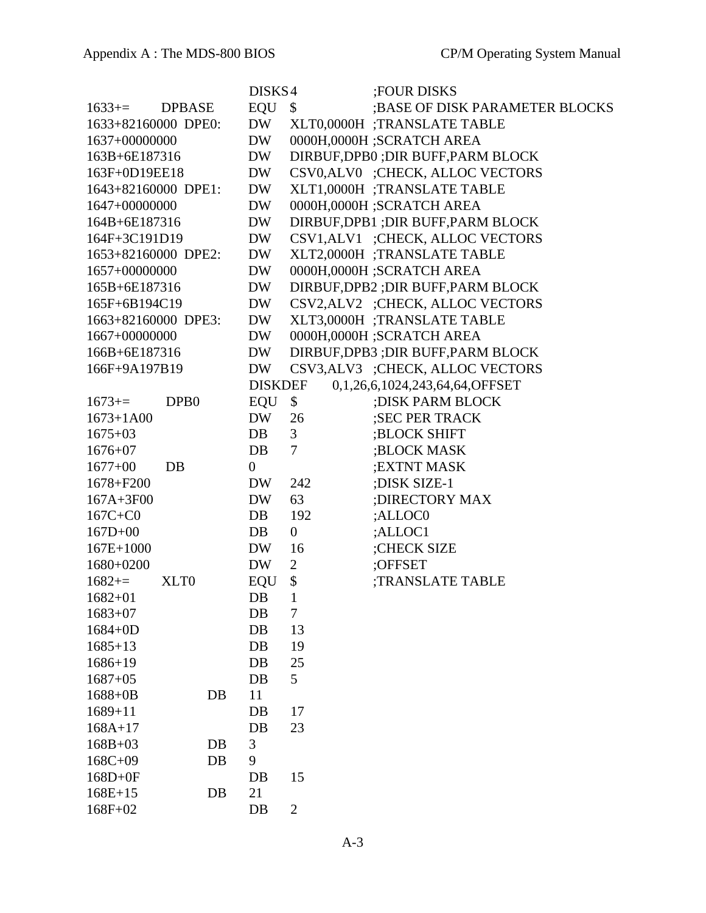|                     |                  |    | DISKS4           |                 | ;FOUR DISKS                         |
|---------------------|------------------|----|------------------|-----------------|-------------------------------------|
| $1633+=$            | <b>DPBASE</b>    |    | <b>EQU</b>       | \$              | ; BASE OF DISK PARAMETER BLOCKS     |
| 1633+82160000 DPE0: |                  |    | <b>DW</b>        |                 | XLT0,0000H ;TRANSLATE TABLE         |
| 1637+00000000       |                  |    | <b>DW</b>        |                 | 0000H,0000H;SCRATCH AREA            |
| 163B+6E187316       |                  |    | <b>DW</b>        |                 | DIRBUF, DPB0 ; DIR BUFF, PARM BLOCK |
| 163F+0D19EE18       |                  |    | <b>DW</b>        |                 | CSV0,ALV0 ;CHECK, ALLOC VECTORS     |
| 1643+82160000 DPE1: |                  |    | <b>DW</b>        |                 | XLT1,0000H;TRANSLATE TABLE          |
| 1647+00000000       |                  |    | <b>DW</b>        |                 | 0000H,0000H ;SCRATCH AREA           |
| 164B+6E187316       |                  |    | <b>DW</b>        |                 | DIRBUF, DPB1 ; DIR BUFF, PARM BLOCK |
| 164F+3C191D19       |                  |    | <b>DW</b>        |                 | CSV1, ALV1 ;CHECK, ALLOC VECTORS    |
| 1653+82160000 DPE2: |                  |    | <b>DW</b>        |                 | XLT2,0000H ;TRANSLATE TABLE         |
| 1657+00000000       |                  |    | DW               |                 | 0000H,0000H;SCRATCH AREA            |
| 165B+6E187316       |                  |    | <b>DW</b>        |                 | DIRBUF, DPB2 ; DIR BUFF, PARM BLOCK |
| 165F+6B194C19       |                  |    | <b>DW</b>        |                 | CSV2, ALV2 ;CHECK, ALLOC VECTORS    |
| 1663+82160000 DPE3: |                  |    | <b>DW</b>        |                 | XLT3,0000H ;TRANSLATE TABLE         |
| 1667+00000000       |                  |    | <b>DW</b>        |                 | 0000H,0000H;SCRATCH AREA            |
| 166B+6E187316       |                  |    | DW               |                 | DIRBUF, DPB3 ; DIR BUFF, PARM BLOCK |
| 166F+9A197B19       |                  |    | <b>DW</b>        |                 | CSV3, ALV3 ;CHECK, ALLOC VECTORS    |
|                     |                  |    | <b>DISKDEF</b>   |                 | 0,1,26,6,1024,243,64,64,OFFSET      |
| $1673+=$            | DPB <sub>0</sub> |    | EQU              | \$              | ; DISK PARM BLOCK                   |
| $1673 + 1A00$       |                  |    | <b>DW</b>        | 26              | ;SEC PER TRACK                      |
| $1675 + 03$         |                  |    | DB               | 3               | ;BLOCK SHIFT                        |
| $1676 + 07$         |                  |    | DB               | 7               | ;BLOCK MASK                         |
| $1677 + 00$         | <b>DB</b>        |    | $\boldsymbol{0}$ |                 | ; EXTNT MASK                        |
| $1678 + F200$       |                  |    | DW               | 242             | ;DISK SIZE-1                        |
| 167A+3F00           |                  |    | <b>DW</b>        | 63              | ; DIRECTORY MAX                     |
| $167C + CO$         |                  |    | DB               | 192             | ;ALLOC0                             |
| $167D+00$           |                  |    | DB               | $\overline{0}$  | ;ALLOC1                             |
| $167E+1000$         |                  |    | <b>DW</b>        | 16              | :CHECK SIZE                         |
| 1680+0200           |                  |    | DW               | $\overline{2}$  | :OFFSET                             |
| $1682+=$            | XLT0             |    | <b>EQU</b>       | \$              | <b>TRANSLATE TABLE</b>              |
| $1682 + 01$         |                  |    | $DB$             | 1               |                                     |
| $1683+07$           |                  |    | DB               | 7               |                                     |
| $1684 + 0D$         |                  |    | DB               | 13              |                                     |
| $1685 + 13$         |                  |    | DB               | 19              |                                     |
| $1686 + 19$         |                  |    | DB               | 25              |                                     |
| $1687 + 05$         |                  |    | DB               | $5\overline{)}$ |                                     |
| $1688 + 0B$         |                  | DB | 11               |                 |                                     |
| $1689 + 11$         |                  |    | DB               | 17              |                                     |
| $168A+17$           |                  |    | DB               | 23              |                                     |
| $168B + 03$         |                  | DB | 3                |                 |                                     |
| $168C + 09$         |                  | DB | 9                |                 |                                     |
| $168D+0F$           |                  |    | $DB$             | 15              |                                     |
| $168E+15$           |                  | DB | 21               |                 |                                     |
| 168F+02             |                  |    | $DB$             | $\overline{2}$  |                                     |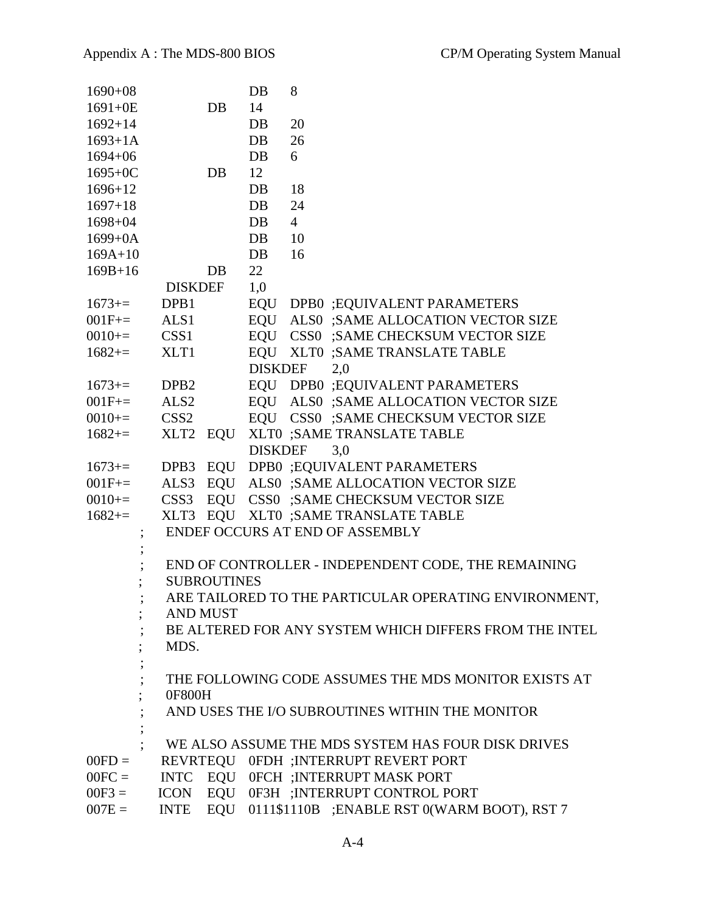| $1690 + 08$          |                  |                    | DB             | 8                                                                            |
|----------------------|------------------|--------------------|----------------|------------------------------------------------------------------------------|
| $1691 + 0E$          |                  | DB                 | 14             |                                                                              |
| $1692 + 14$          |                  |                    | DB             | 20                                                                           |
| $1693 + 1A$          |                  |                    | DB             | 26                                                                           |
| $1694 + 06$          |                  |                    | DB             | 6                                                                            |
| $1695 + 0C$          |                  | DB                 | 12             |                                                                              |
| $1696 + 12$          |                  |                    | DB             | 18                                                                           |
| $1697 + 18$          |                  |                    | DB             | 24                                                                           |
| $1698 + 04$          |                  |                    | DB             | $\overline{4}$                                                               |
| $1699 + 0A$          |                  |                    | DB             | 10                                                                           |
| $169A+10$            |                  |                    | DB             | 16                                                                           |
| $169B+16$            |                  | DB                 | 22             |                                                                              |
|                      | <b>DISKDEF</b>   |                    | 1,0            |                                                                              |
| $1673+=$             | DPB1             |                    |                | EQU DPB0 ;EQUIVALENT PARAMETERS                                              |
| $001F_{+}=$          | ALS1             |                    |                | EQU ALSO ;SAME ALLOCATION VECTOR SIZE                                        |
| $0010 ==$            | CSS1             |                    |                | EQU CSS0 ;SAME CHECKSUM VECTOR SIZE                                          |
| $1682+=$             | XLT1             |                    |                | EQU XLT0 ;SAME TRANSLATE TABLE                                               |
|                      |                  |                    | <b>DISKDEF</b> | 2,0                                                                          |
| $1673+=$             | DPB <sub>2</sub> |                    |                | EQU DPB0 ;EQUIVALENT PARAMETERS                                              |
| $001F_{+}=$          | ALS <sub>2</sub> |                    |                | EQU ALSO ;SAME ALLOCATION VECTOR SIZE                                        |
| $0010 ==$            | CSS <sub>2</sub> |                    |                | EQU CSS0 ;SAME CHECKSUM VECTOR SIZE                                          |
| $1682+=$             |                  | XLT2 EQU           |                | XLT0 ;SAME TRANSLATE TABLE                                                   |
|                      |                  |                    | <b>DISKDEF</b> | 3,0                                                                          |
| $1673+=$             |                  |                    |                | DPB3 EQU DPB0 ;EQUIVALENT PARAMETERS                                         |
| $001F_{+}=$          |                  |                    |                | ALS3 EQU ALS0 ;SAME ALLOCATION VECTOR SIZE                                   |
| $0010 ==$            | CSS3             |                    |                | EQU CSS0 ;SAME CHECKSUM VECTOR SIZE                                          |
| $1682+=$             | XLT3             | EQU                |                | XLT0 ;SAME TRANSLATE TABLE                                                   |
|                      |                  |                    |                | ENDEF OCCURS AT END OF ASSEMBLY                                              |
|                      |                  |                    |                |                                                                              |
|                      |                  |                    |                | END OF CONTROLLER - INDEPENDENT CODE, THE REMAINING                          |
|                      |                  | <b>SUBROUTINES</b> |                |                                                                              |
|                      |                  |                    |                | ARE TAILORED TO THE PARTICULAR OPERATING ENVIRONMENT.                        |
|                      |                  | <b>AND MUST</b>    |                |                                                                              |
|                      |                  |                    |                | BE ALTERED FOR ANY SYSTEM WHICH DIFFERS FROM THE INTEL                       |
|                      | MDS.             |                    |                |                                                                              |
|                      |                  |                    |                |                                                                              |
|                      |                  |                    |                | THE FOLLOWING CODE ASSUMES THE MDS MONITOR EXISTS AT                         |
|                      | 0F800H           |                    |                |                                                                              |
|                      |                  |                    |                | AND USES THE I/O SUBROUTINES WITHIN THE MONITOR                              |
|                      |                  |                    |                | WE ALSO ASSUME THE MDS SYSTEM HAS FOUR DISK DRIVES                           |
|                      |                  |                    |                |                                                                              |
| $00FD =$<br>$00FC =$ |                  |                    |                | REVRTEQU OFDH ; INTERRUPT REVERT PORT<br>INTC EQU OFCH ; INTERRUPT MASK PORT |
| $00F3 =$             |                  |                    |                |                                                                              |
|                      |                  |                    |                | ICON EQU 0F3H ; INTERRUPT CONTROL PORT                                       |
| $007E =$             |                  |                    |                | INTE EQU 0111\$1110B ;ENABLE RST 0(WARM BOOT), RST 7                         |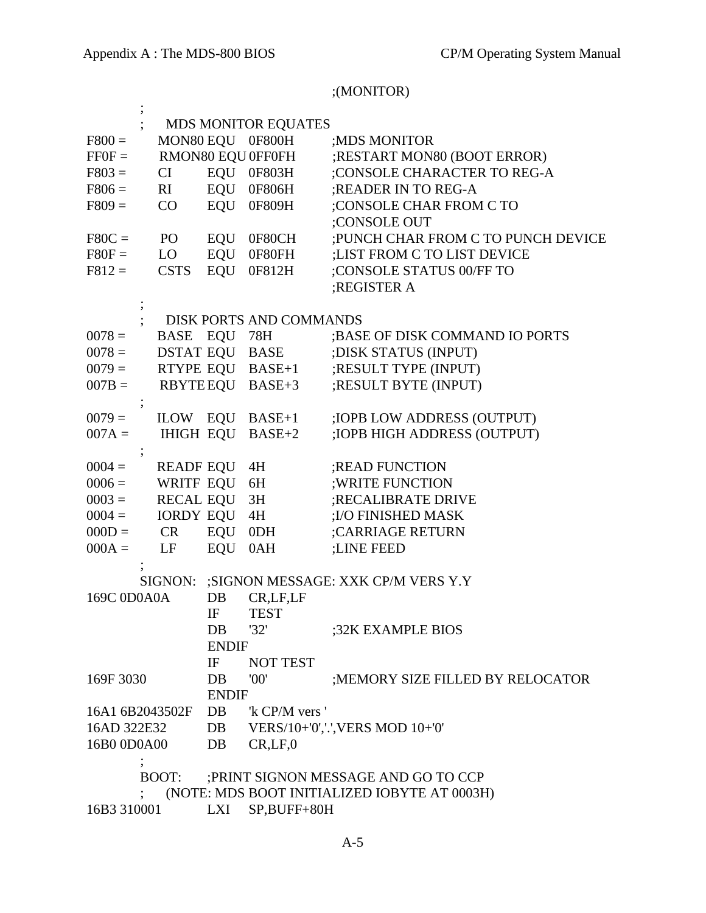# ;(MONITOR)

|                 |                  |              | <b>MDS MONITOR EQUATES</b> |                                              |
|-----------------|------------------|--------------|----------------------------|----------------------------------------------|
| $F800 =$        |                  |              | MON80 EQU 0F800H           | ; MDS MONITOR                                |
| $FF0F =$        |                  |              | RMON80 EQU 0FF0FH          | ;RESTART MON80 (BOOT ERROR)                  |
| $F803 =$        | CI               |              | EQU 0F803H                 | ;CONSOLE CHARACTER TO REG-A                  |
| $F806 =$        | RI               |              | EQU 0F806H                 | ;READER IN TO REG-A                          |
| $F809 =$        | CO               | EQU          | 0F809H                     | ;CONSOLE CHAR FROM C TO                      |
|                 |                  |              |                            | :CONSOLE OUT                                 |
| $F80C =$        | PO <sub>1</sub>  | EQU          | 0F80CH                     | ; PUNCH CHAR FROM C TO PUNCH DEVICE          |
| $F80F =$        | LO               | EQU          | 0F80FH                     | :LIST FROM C TO LIST DEVICE                  |
| $F812 =$        | <b>CSTS</b>      | EQU          | 0F812H                     | ;CONSOLE STATUS 00/FF TO                     |
|                 |                  |              |                            | ;REGISTER A                                  |
|                 |                  |              |                            |                                              |
|                 |                  |              | DISK PORTS AND COMMANDS    |                                              |
| $0078 =$        | <b>BASE</b>      | EQU          | 78H                        | ; BASE OF DISK COMMAND IO PORTS              |
| $0078 =$        | <b>DSTAT EQU</b> |              | BASE                       | ; DISK STATUS (INPUT)                        |
| $0079 =$        |                  |              | RTYPE EQU BASE+1           | ;RESULT TYPE (INPUT)                         |
| $007B =$        |                  |              | RBYTEEQU BASE+3            | ;RESULT BYTE (INPUT)                         |
|                 |                  |              |                            |                                              |
| $0079 =$        | ILOW EQU         |              | $BASE+1$                   | ; IOPB LOW ADDRESS (OUTPUT)                  |
| $007A =$        | <b>IHIGH EQU</b> |              | $BASE+2$                   | ; IOPB HIGH ADDRESS (OUTPUT)                 |
|                 |                  |              |                            |                                              |
| $0004 =$        | <b>READF EQU</b> |              | 4H                         | ; READ FUNCTION                              |
| $0006 =$        | WRITF EQU        |              | 6H                         | ; WRITE FUNCTION                             |
| $0003 =$        | <b>RECAL EQU</b> |              | 3H                         | ;RECALIBRATE DRIVE                           |
| $0004 =$        | <b>IORDY EQU</b> |              | 4H                         | ;I/O FINISHED MASK                           |
| $000D =$        | <b>CR</b>        | EQU          | 0 <sub>DH</sub>            | ;CARRIAGE RETURN                             |
| $000A =$        | LF               | EQU          | 0AH                        | ;LINE FEED                                   |
|                 |                  |              |                            |                                              |
|                 | SIGNON:          |              |                            | ;SIGNON MESSAGE: XXK CP/M VERS Y.Y           |
| 169C 0D0A0A     |                  | DB           | CR,LF,LF                   |                                              |
|                 |                  | IF           | <b>TEST</b>                |                                              |
|                 |                  | DB           | '32'                       | ;32K EXAMPLE BIOS                            |
|                 |                  | <b>ENDIF</b> |                            |                                              |
|                 |                  | IF           | <b>NOT TEST</b>            |                                              |
| 169F 3030       |                  | DB           | '00'                       | ;MEMORY SIZE FILLED BY RELOCATOR             |
|                 |                  | <b>ENDIF</b> |                            |                                              |
| 16A1 6B2043502F |                  | DB           | 'k CP/M vers '             |                                              |
| 16AD 322E32     |                  | DB           |                            | VERS/10+'0','.', VERS MOD 10+'0'             |
| 16B0 0D0A00     |                  | DB           | CR, LF, 0                  |                                              |
|                 |                  |              |                            |                                              |
|                 | BOOT:            |              |                            | ; PRINT SIGNON MESSAGE AND GO TO CCP         |
|                 |                  |              |                            | (NOTE: MDS BOOT INITIALIZED IOBYTE AT 0003H) |
| 16B3 310001     |                  | LXI          | SP,BUFF+80H                |                                              |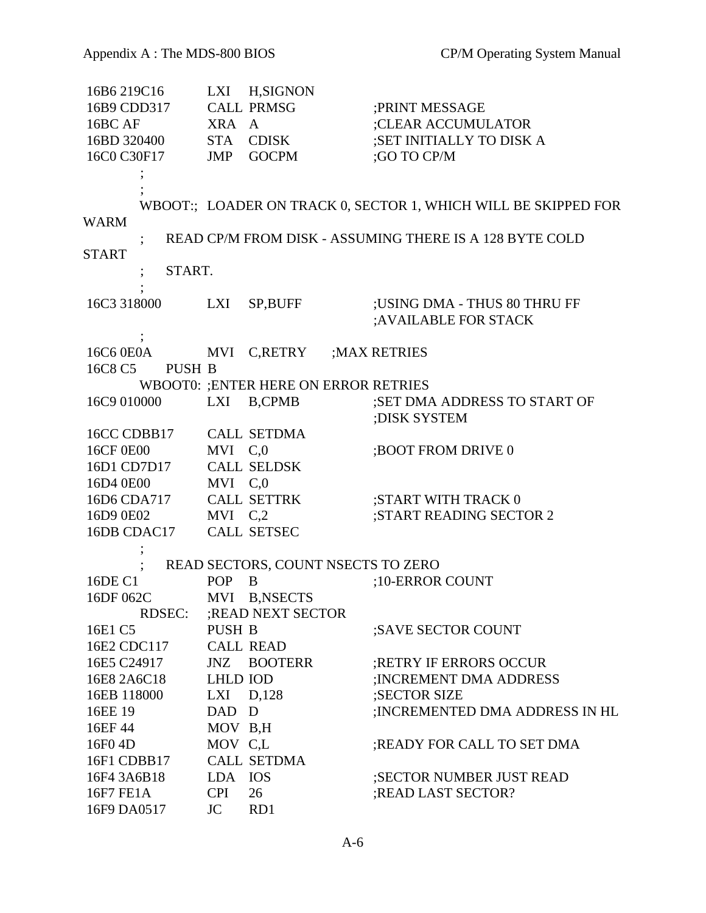| 16B6 219C16       |                      | LXI H, SIGNON                               |                                                                |
|-------------------|----------------------|---------------------------------------------|----------------------------------------------------------------|
| 16B9 CDD317       |                      | <b>CALL PRMSG</b>                           | ; PRINT MESSAGE                                                |
| 16BC AF           | XRA A                |                                             | ;CLEAR ACCUMULATOR                                             |
| 16BD 320400       |                      | STA CDISK                                   | ;SET INITIALLY TO DISK A                                       |
| 16C0 C30F17       | JMP                  | <b>GOCPM</b>                                | ;GO TO CP/M                                                    |
|                   |                      |                                             |                                                                |
|                   |                      |                                             |                                                                |
|                   |                      |                                             | WBOOT:; LOADER ON TRACK 0, SECTOR 1, WHICH WILL BE SKIPPED FOR |
| <b>WARM</b>       |                      |                                             |                                                                |
|                   |                      |                                             | READ CP/M FROM DISK - ASSUMING THERE IS A 128 BYTE COLD        |
| <b>START</b>      |                      |                                             |                                                                |
| START.            |                      |                                             |                                                                |
|                   |                      |                                             |                                                                |
| 16C3 318000       | LXI                  | SP, BUFF                                    | ;USING DMA - THUS 80 THRU FF                                   |
|                   |                      |                                             | ;AVAILABLE FOR STACK                                           |
|                   |                      |                                             |                                                                |
| 16C6 0E0A         |                      | MVI C,RETRY                                 | ; MAX RETRIES                                                  |
| 16C8 C5<br>PUSH B |                      |                                             |                                                                |
|                   |                      | <b>WBOOT0: ;ENTER HERE ON ERROR RETRIES</b> |                                                                |
| 16C9 010000       | LXI                  | <b>B,CPMB</b>                               | ;SET DMA ADDRESS TO START OF                                   |
|                   |                      |                                             | :DISK SYSTEM                                                   |
| 16CC CDBB17       |                      | <b>CALL SETDMA</b>                          |                                                                |
| 16CF 0E00         | MVI C,0              |                                             | ; BOOT FROM DRIVE 0                                            |
| 16D1 CD7D17       |                      | <b>CALL SELDSK</b>                          |                                                                |
| 16D4 0E00         | MVI C,0              |                                             |                                                                |
| 16D6 CDA717       |                      | CALL SETTRK                                 | ;START WITH TRACK 0                                            |
| 16D9 0E02         | $MVI$ C <sub>2</sub> |                                             | ;START READING SECTOR 2                                        |
| 16DB CDAC17       |                      | <b>CALL SETSEC</b>                          |                                                                |
|                   |                      |                                             |                                                                |
|                   |                      | READ SECTORS, COUNT NSECTS TO ZERO          |                                                                |
| 16DE C1           | <b>POP</b>           | B                                           | :10-ERROR COUNT                                                |
| 16DF 062C         |                      | MVI B,NSECTS                                |                                                                |
| <b>RDSEC:</b>     |                      | ; READ NEXT SECTOR                          |                                                                |
| 16E1 C5           | <b>PUSH B</b>        |                                             | ;SAVE SECTOR COUNT                                             |
| 16E2 CDC117       |                      | <b>CALL READ</b>                            |                                                                |
| 16E5 C24917       | JNZ                  | <b>BOOTERR</b>                              | ;RETRY IF ERRORS OCCUR                                         |
| 16E8 2A6C18       | <b>LHLD IOD</b>      |                                             | ; INCREMENT DMA ADDRESS                                        |
| 16EB 118000       | $LXI$ $D,128$        |                                             | ;SECTOR SIZE                                                   |
| 16EE 19           | DAD D                |                                             | ; INCREMENTED DMA ADDRESS IN HL                                |
| 16EF 44           | MOV B,H              |                                             |                                                                |
| 16F0 4D           | MOV C.L              |                                             | ; READY FOR CALL TO SET DMA                                    |
| 16F1 CDBB17       |                      | <b>CALL SETDMA</b>                          |                                                                |
| 16F4 3A6B18       | LDA IOS              |                                             | ;SECTOR NUMBER JUST READ                                       |
| 16F7 FE1A         | <b>CPI</b>           | 26                                          | ; READ LAST SECTOR?                                            |
| 16F9 DA0517       | JC 1                 | RD1                                         |                                                                |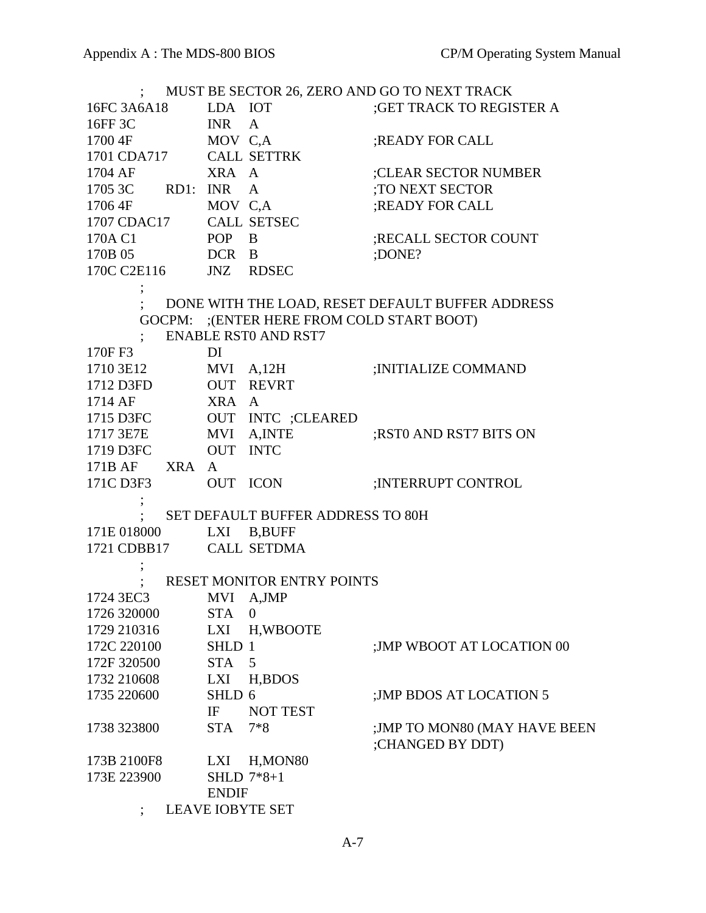|                         |                 |                                           | ; MUST BE SECTOR 26, ZERO AND GO TO NEXT TRACK   |
|-------------------------|-----------------|-------------------------------------------|--------------------------------------------------|
| 16FC 3A6A18 LDA IOT     |                 |                                           | <b>;GET TRACK TO REGISTER A</b>                  |
| 16FF 3C INR A           |                 |                                           |                                                  |
| 1700 4F                 | MOV C,A         |                                           | ;READY FOR CALL                                  |
| 1701 CDA717 CALL SETTRK |                 |                                           |                                                  |
| 1704 AF XRA A           |                 |                                           | ;CLEAR SECTOR NUMBER                             |
| 1705 3C RD1: INR A      |                 |                                           | :TO NEXT SECTOR                                  |
| 1706 4F                 | MOV C,A         |                                           | ;READY FOR CALL                                  |
| 1707 CDAC17 CALL SETSEC |                 |                                           |                                                  |
| 170A C1                 | POP B           |                                           | ;RECALL SECTOR COUNT                             |
| 170B 05 DCR B           |                 |                                           | ;DONE?                                           |
| 170C C2E116 JNZ RDSEC   |                 |                                           |                                                  |
|                         |                 |                                           |                                                  |
|                         |                 |                                           | DONE WITH THE LOAD, RESET DEFAULT BUFFER ADDRESS |
|                         |                 | GOCPM: ;(ENTER HERE FROM COLD START BOOT) |                                                  |
|                         |                 | <b>ENABLE RST0 AND RST7</b>               |                                                  |
| 170F F3                 | DI              |                                           |                                                  |
| 1710 3E12               |                 | $MVI$ $A,12H$                             | ; INITIALIZE COMMAND                             |
| 1712 D3FD OUT REVRT     |                 |                                           |                                                  |
| 1714 AF<br>XRA A        |                 |                                           |                                                  |
| 1715 D3FC               |                 | OUT INTC ;CLEARED                         |                                                  |
| 1717 3E7E MVI A,INTE    |                 |                                           | ;RST0 AND RST7 BITS ON                           |
| 1719 D3FC OUT INTC      |                 |                                           |                                                  |
| 171B AF XRA A           |                 |                                           |                                                  |
| 171C D3F3               | <b>OUT ICON</b> |                                           | ; INTERRUPT CONTROL                              |
|                         |                 |                                           |                                                  |
|                         |                 | SET DEFAULT BUFFER ADDRESS TO 80H         |                                                  |
| 171E 018000 LXI B,BUFF  |                 |                                           |                                                  |
| 1721 CDBB17 CALL SETDMA |                 |                                           |                                                  |
|                         |                 |                                           |                                                  |
|                         |                 | RESET MONITOR ENTRY POINTS                |                                                  |
| 1724 3EC3<br>MVI A,JMP  |                 |                                           |                                                  |
| 1726 320000             | <b>STA</b>      | $\theta$                                  |                                                  |
| 1729 210316             | LXI             | H, WBOOTE                                 |                                                  |
| 172C 220100             | SHLD 1          |                                           | ; JMP WBOOT AT LOCATION 00                       |
| 172F 320500             | <b>STA</b>      | 5                                         |                                                  |
| 1732 210608             | LXI             | H, BDOS                                   |                                                  |
| 1735 220600             | SHLD 6          |                                           | ; JMP BDOS AT LOCATION 5                         |
|                         | IF              | <b>NOT TEST</b>                           |                                                  |
| 1738 323800             | <b>STA</b>      | $7*8$                                     | ;JMP TO MON80 (MAY HAVE BEEN<br>;CHANGED BY DDT) |
| 173B 2100F8             | LXI             | H, MON <sub>80</sub>                      |                                                  |
| 173E 223900             |                 | SHLD 7*8+1                                |                                                  |
|                         | <b>ENDIF</b>    |                                           |                                                  |
|                         |                 |                                           |                                                  |

; LEAVE IOBYTE SET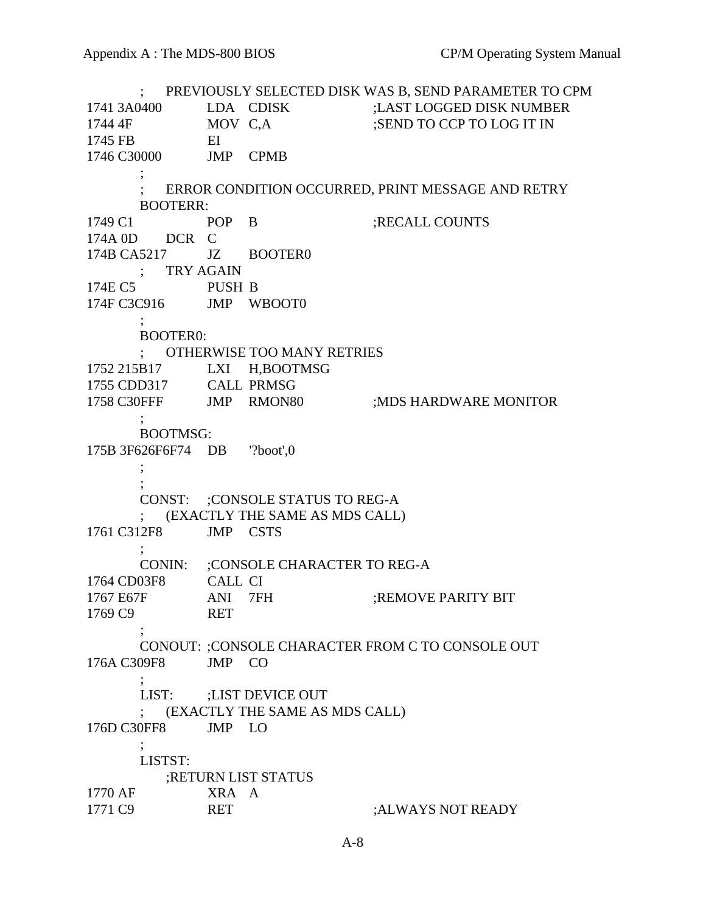; PREVIOUSLY SELECTED DISK WAS B, SEND PARAMETER TO CPM 1741 3A0400 LDA CDISK ;LAST LOGGED DISK NUMBER 1744 4F MOV C,A ;SEND TO CCP TO LOG IT IN 1745 FB EI 1746 C30000 JMP CPMB ; ERROR CONDITION OCCURRED, PRINT MESSAGE AND RETRY BOOTERR: 1749 C1 POP B ;RECALL COUNTS 174A 0D DCR C 174B CA5217 JZ BOOTER0 ; TRY AGAIN 174E C5 PUSH B 174F C3C916 JMP WBOOT0  $\ddot{i}$  BOOTER0: ; OTHERWISE TOO MANY RETRIES 1752 215B17 LXI H,BOOTMSG 1755 CDD317 CALL PRMSG 1758 C30FFF JMP RMON80 ;MDS HARDWARE MONITOR ; BOOTMSG: 175B 3F626F6F74 DB '?boot',0  $\ddot{i}$  ; CONST: ;CONSOLE STATUS TO REG-A ; (EXACTLY THE SAME AS MDS CALL) 1761 C312F8 JMP CSTS ; CONIN: ;CONSOLE CHARACTER TO REG-A 1764 CD03F8 CALL CI 1767 E67F ANI 7FH :REMOVE PARITY BIT 1769 C9 RET ; CONOUT: ;CONSOLE CHARACTER FROM C TO CONSOLE OUT 176A C309F8 JMP CO ; LIST: ;LIST DEVICE OUT ; (EXACTLY THE SAME AS MDS CALL) 176D C30FF8 JMP LO ; LISTST: ;RETURN LIST STATUS 1770 AF XRA A 1771 C9 RET :ALWAYS NOT READY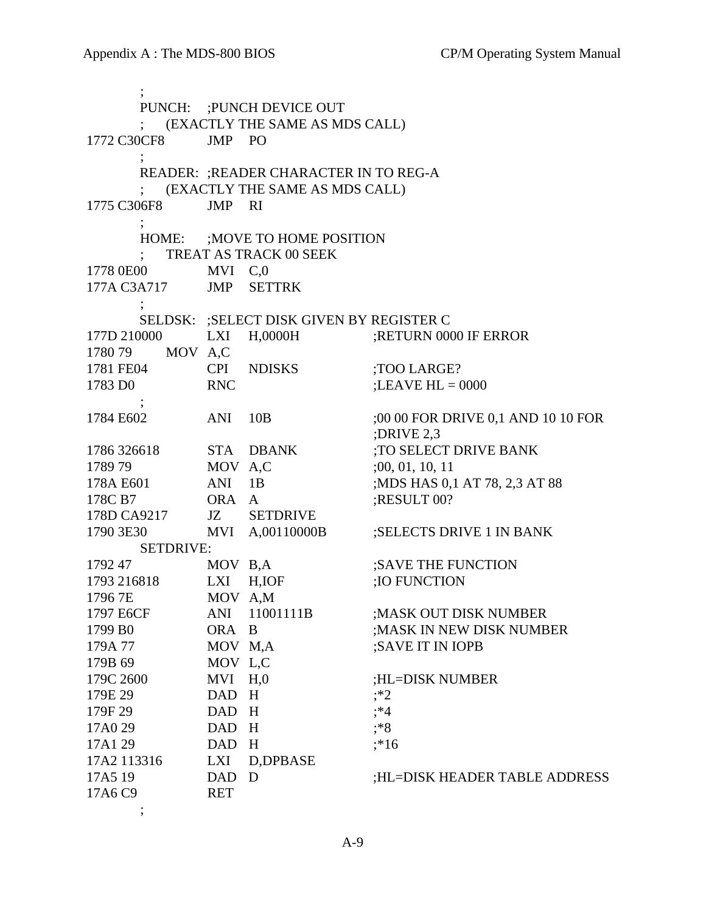; PUNCH: ;PUNCH DEVICE OUT ; (EXACTLY THE SAME AS MDS CALL) 1772 C30CF8 JMP PO ; READER: ;READER CHARACTER IN TO REG-A ; (EXACTLY THE SAME AS MDS CALL) 1775 C306F8 JMP RI ; HOME: ;MOVE TO HOME POSITION ; TREAT AS TRACK 00 SEEK 1778 0E00 MVI C,0 177A C3A717 JMP SETTRK ; SELDSK: ;SELECT DISK GIVEN BY REGISTER C 177D 210000 LXI H,0000H ;RETURN 0000 IF ERROR 1780 79 MOV A,C 1781 FE04 CPI NDISKS ;TOO LARGE? 1783 D0 RNC ;LEAVE HL = 0000  $\ddot{i}$  1784 E602 ANI 10B ;00 00 FOR DRIVE 0,1 AND 10 10 FOR ;DRIVE 2,3 1786 326618 STA DBANK :TO SELECT DRIVE BANK 1789 79 MOV A,C :00, 01, 10, 11 178A E601 ANI 1B ;MDS HAS 0,1 AT 78, 2,3 AT 88 178C B7 ORA A ;RESULT 00? 178D CA9217 JZ SETDRIVE 1790 3E30 MVI A,00110000B ;SELECTS DRIVE 1 IN BANK SETDRIVE: 1792 47 MOV B,A ;SAVE THE FUNCTION 1793 216818 LXI H, IOF :IO FUNCTION 1796 7E MOV A,M 1797 E6CF ANI 11001111B ;MASK OUT DISK NUMBER 1799 B0 ORA B ;MASK IN NEW DISK NUMBER 179A 77 MOV M,A ;SAVE IT IN IOPB 179B 69 MOV L,C 179C 2600 MVI H,0 ;HL=DISK NUMBER 179E 29 DAD H ;\*2 179F 29 DAD H :\*4 17A0 29 DAD H ;\*8 17A1 29 DAD H ;\*16 17A2 113316 LXI D,DPBASE 17A5 19 DAD D ;HL=DISK HEADER TABLE ADDRESS 17A6 C9 RET  $\ddot{i}$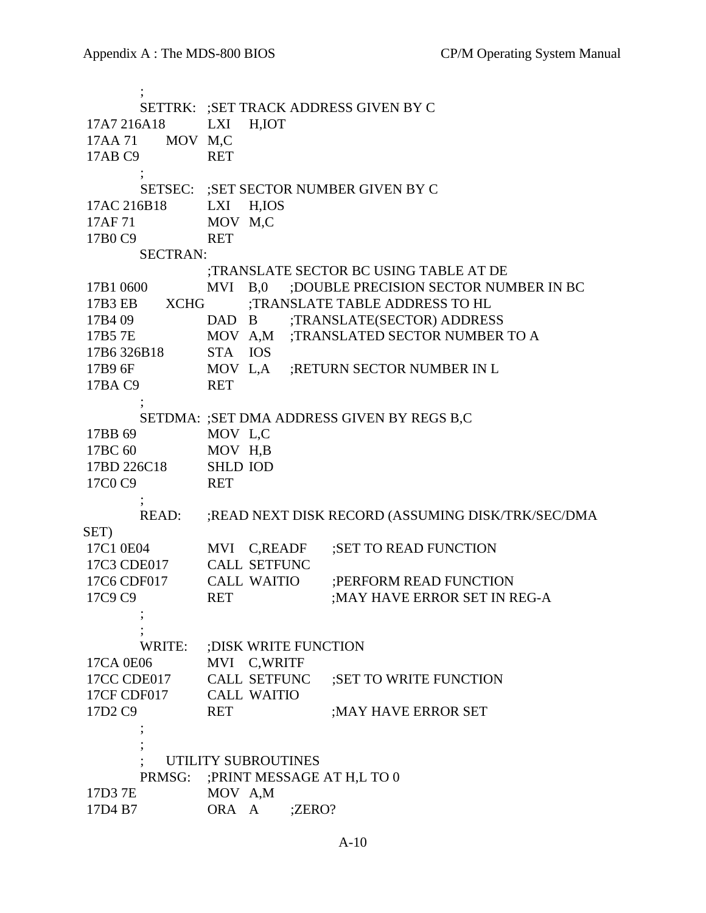; SETTRK: ;SET TRACK ADDRESS GIVEN BY C 17A7 216A18 LXI H,IOT 17AA 71 MOV M,C 17AB C9 RET ; SETSEC: ;SET SECTOR NUMBER GIVEN BY C 17AC 216B18 LXI H,IOS 17AF 71 MOV M,C 17B0 C9 RET SECTRAN: ;TRANSLATE SECTOR BC USING TABLE AT DE 17B1 0600 MVI B,0 ;DOUBLE PRECISION SECTOR NUMBER IN BC 17B3 EB XCHG :TRANSLATE TABLE ADDRESS TO HL 17B4 09 DAD B ;TRANSLATE(SECTOR) ADDRESS 17B5 7E MOV A,M ;TRANSLATED SECTOR NUMBER TO A 17B6 326B18 STA IOS 17B9 6F MOV L,A ; RETURN SECTOR NUMBER IN L 17BA C9 RET  $\ddot{i}$  SETDMA: ;SET DMA ADDRESS GIVEN BY REGS B,C 17BB 69 MOV L,C 17BC 60 MOV H,B 17BD 226C18 SHLD IOD 17C0 C9 RET ; READ: ;READ NEXT DISK RECORD (ASSUMING DISK/TRK/SEC/DMA SET) 17C1 0E04 MVI C,READF ;SET TO READ FUNCTION 17C3 CDE017 CALL SETFUNC 17C6 CDF017 CALL WAITIO ;PERFORM READ FUNCTION 17C9 C9 RET :MAY HAVE ERROR SET IN REG-A ; ; WRITE: ;DISK WRITE FUNCTION 17CA 0E06 MVI C,WRITF 17CC CDE017 CALL SETFUNC ;SET TO WRITE FUNCTION 17CF CDF017 CALL WAITIO 17D2 C9 RET :MAY HAVE ERROR SET  $\ddot{i}$  ; UTILITY SUBROUTINES PRMSG: ;PRINT MESSAGE AT H,L TO 0 17D3 7E MOV A,M 17D4 B7 ORA A ;ZERO?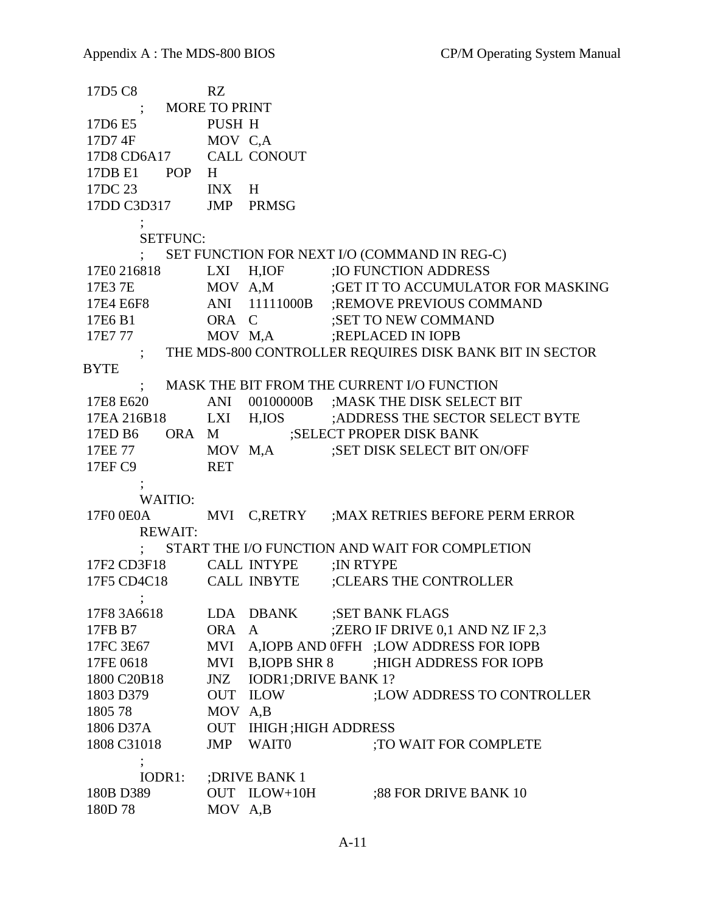17D5 C8 RZ ; MORE TO PRINT 17D6 E5 PUSH H 17D7 4F MOV C,A 17D8 CD6A17 CALL CONOUT 17DB E1 POP H 17DC 23 INX H 17DD C3D317 JMP PRMSG ; SETFUNC: ; SET FUNCTION FOR NEXT I/O (COMMAND IN REG-C) 17E0 216818 LXI H,IOF ;IO FUNCTION ADDRESS 17E3 7E MOV A,M ;GET IT TO ACCUMULATOR FOR MASKING 17E4 E6F8 ANI 11111000B ;REMOVE PREVIOUS COMMAND 17E6 B1 ORA C :SET TO NEW COMMAND 17E7 77 MOV M,A ;REPLACED IN IOPB ; THE MDS-800 CONTROLLER REQUIRES DISK BANK BIT IN SECTOR **BYTE**  ; MASK THE BIT FROM THE CURRENT I/O FUNCTION 17E8 E620 ANI 00100000B ;MASK THE DISK SELECT BIT 17EA 216B18 LXI H,IOS ;ADDRESS THE SECTOR SELECT BYTE 17ED B6 ORA M ;SELECT PROPER DISK BANK 17EE 77 MOV M,A ;SET DISK SELECT BIT ON/OFF 17EF C9 RET ; WAITIO: 17F0 0E0A MVI C,RETRY ;MAX RETRIES BEFORE PERM ERROR REWAIT: ; START THE I/O FUNCTION AND WAIT FOR COMPLETION 17F2 CD3F18 CALL INTYPE ;IN RTYPE 17F5 CD4C18 CALL INBYTE ;CLEARS THE CONTROLLER  $\ddot{i}$ 17F8 3A6618 LDA DBANK ;SET BANK FLAGS 17FB B7 ORA A ;ZERO IF DRIVE 0,1 AND NZ IF 2,3 17FC 3E67 MVI A,IOPB AND 0FFH ;LOW ADDRESS FOR IOPB 17FE 0618 MVI B, JOPB SHR 8 ;HIGH ADDRESS FOR JOPB 1800 C20B18 JNZ IODR1; DRIVE BANK 1? 1803 D379 OUT ILOW ;LOW ADDRESS TO CONTROLLER 1805 78 MOV A,B 1806 D37A OUT IHIGH ;HIGH ADDRESS 1808 C31018 JMP WAIT0 :TO WAIT FOR COMPLETE ; IODR1: ;DRIVE BANK 1 180B D389 OUT ILOW+10H ;88 FOR DRIVE BANK 10 180D 78 MOV A,B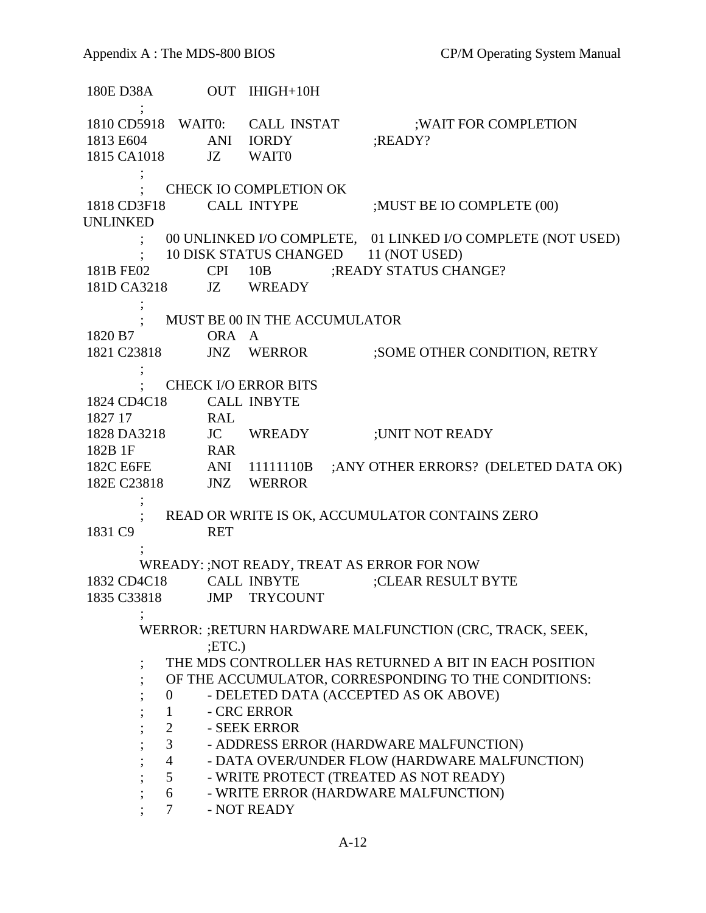180E D38A OUT IHIGH+10H ; 1810 CD5918 WAIT0: CALL INSTAT : WAIT FOR COMPLETION 1813 E604 ANI IORDY ;READY? 1815 CA1018 JZ WAIT0 ; ; CHECK IO COMPLETION OK 1818 CD3F18 CALL INTYPE ;MUST BE IO COMPLETE (00) UNLINKED ; 00 UNLINKED I/O COMPLETE, 01 LINKED I/O COMPLETE (NOT USED) 10 DISK STATUS CHANGED 11 (NOT USED) 181B FE02 CPI 10B ;READY STATUS CHANGE? 181D CA3218 JZ WREADY ; ; MUST BE 00 IN THE ACCUMULATOR 1820 B7 ORA A 1821 C23818 JNZ WERROR ;SOME OTHER CONDITION, RETRY ; ; CHECK I/O ERROR BITS 1824 CD4C18 CALL INBYTE 1827 17 RAL 1828 DA3218 JC WREADY ;UNIT NOT READY 182B 1F RAR 182C E6FE ANI 11111110B ;ANY OTHER ERRORS? (DELETED DATA OK) 182C E6FE<br>182E C23818 JNZ WERROR ; ; READ OR WRITE IS OK, ACCUMULATOR CONTAINS ZERO 1831 C9 RET ; WREADY: ;NOT READY, TREAT AS ERROR FOR NOW 1832 CD4C18 CALL INBYTE ;CLEAR RESULT BYTE 1835 C33818 JMP TRYCOUNT ; WERROR: ;RETURN HARDWARE MALFUNCTION (CRC, TRACK, SEEK, ;ETC.) THE MDS CONTROLLER HAS RETURNED A BIT IN EACH POSITION ; OF THE ACCUMULATOR, CORRESPONDING TO THE CONDITIONS: ; 0 - DELETED DATA (ACCEPTED AS OK ABOVE) 1 - CRC ERROR ; 2 - SEEK ERROR ; 3 - ADDRESS ERROR (HARDWARE MALFUNCTION) ; 4 - DATA OVER/UNDER FLOW (HARDWARE MALFUNCTION) <sup>4</sup> - DATA OVER/UNDER FLOW (HARDWARE MAL<br>5 - WRITE PROTECT (TREATED AS NOT READY) ; 6 - WRITE ERROR (HARDWARE MALFUNCTION)<br>; 7 - NOT READY - NOT READY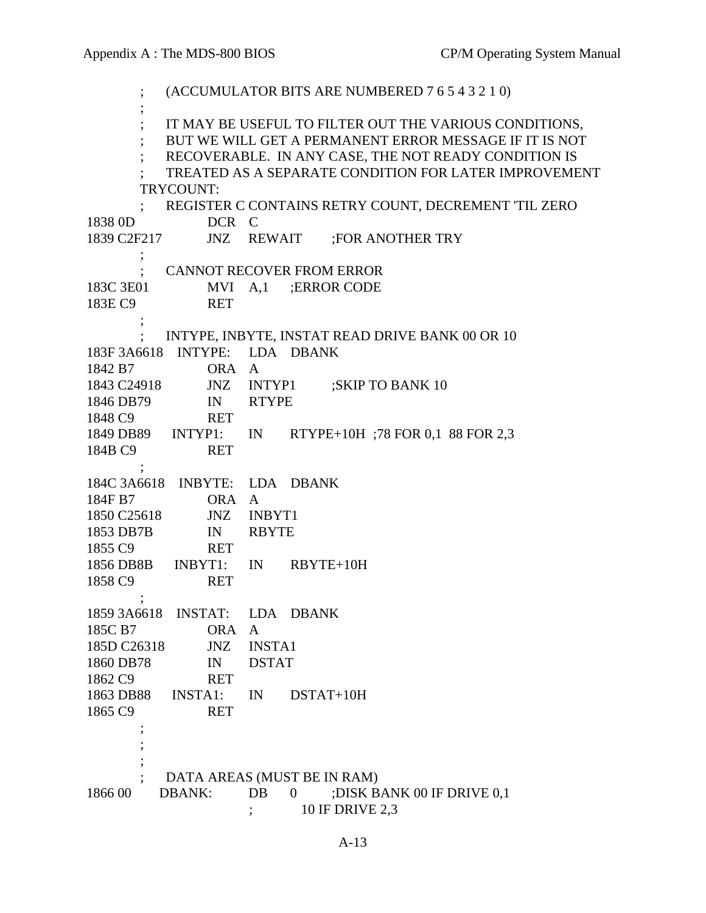; (ACCUMULATOR BITS ARE NUMBERED 7 6 5 4 3 2 1 0) ; IT MAY BE USEFUL TO FILTER OUT THE VARIOUS CONDITIONS, ; BUT WE WILL GET A PERMANENT ERROR MESSAGE IF IT IS NOT ; RECOVERABLE. IN ANY CASE, THE NOT READY CONDITION IS ; TREATED AS A SEPARATE CONDITION FOR LATER IMPROVEMENT TRYCOUNT: ; REGISTER C CONTAINS RETRY COUNT, DECREMENT 'TIL ZERO 1838 0D DCR C 1839 C2F217 JNZ REWAIT ;FOR ANOTHER TRY  $\ddot{i}$  ; CANNOT RECOVER FROM ERROR 183C 3E01 MVI A,1 ; ERROR CODE 183E C9 RET  $\ddot{i}$  ; INTYPE, INBYTE, INSTAT READ DRIVE BANK 00 OR 10 183F 3A6618 INTYPE: LDA DBANK 1842 B7 ORA A 1843 C24918 JNZ INTYP1 ;SKIP TO BANK 10 1846 DB79 IN RTYPE 1848 C9 RET 1849 DB89 INTYP1: IN RTYPE+10H ;78 FOR 0,1 88 FOR 2,3 184B C9 RET  $\ddot{i}$  184C 3A6618 INBYTE: LDA DBANK 184F B7 ORA A 1850 C25618 JNZ INBYT1 1853 DB7B IN RBYTE 1855 C9 RET 1856 DB8B INBYT1: IN RBYTE+10H 1858 C9 RET  $\ddot{i}$  1859 3A6618 INSTAT: LDA DBANK 185C B7 ORA A 185D C26318 JNZ INSTA1 1860 DB78 IN DSTAT 1862 C9 RET 1863 DB88 INSTA1: IN DSTAT+10H 1865 C9 RET  $\ddot{i}$  ; ; ; DATA AREAS (MUST BE IN RAM) 1866 00 DBANK: DB 0 ;DISK BANK 00 IF DRIVE 0,1 ; 10 IF DRIVE 2,3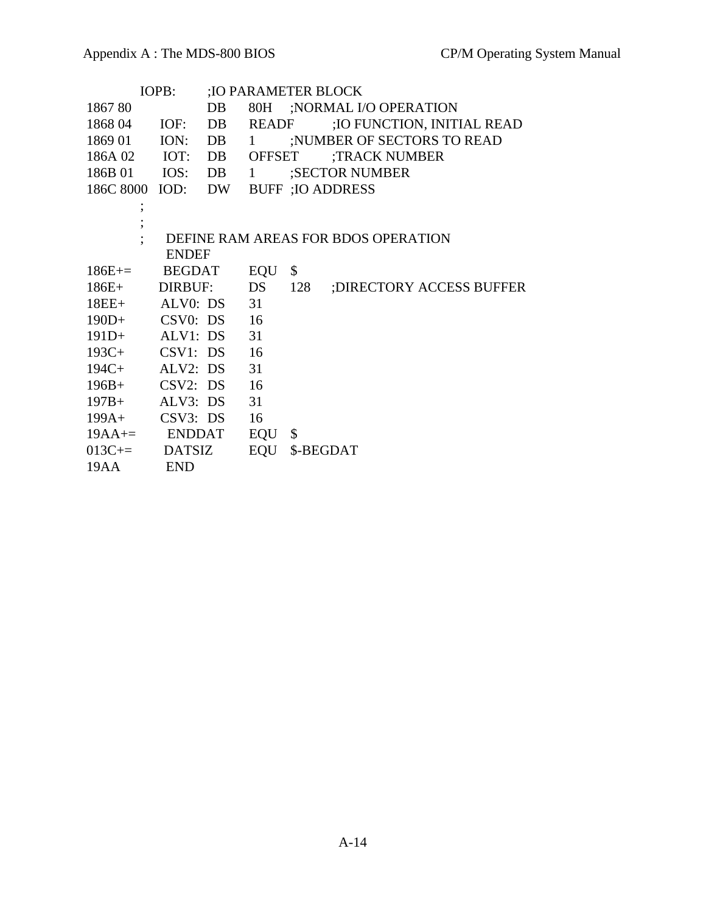| IOPB:               |               |    | :IO PARAMETER BLOCK |           |                                     |
|---------------------|---------------|----|---------------------|-----------|-------------------------------------|
| 186780              |               | DB | 80H                 |           | ;NORMAL I/O OPERATION               |
| 1868 04             | IOF:          | DB | <b>READF</b>        |           | ; IO FUNCTION, INITIAL READ         |
| 1869 01 ION:        |               | DB | $\mathbf{1}$        |           | ;NUMBER OF SECTORS TO READ          |
| 186A 02             | IOT:          | DB | <b>OFFSET</b>       |           | ;TRACK NUMBER                       |
| 186B 01 IOS: DB     |               |    | $\mathbf{1}$        |           | ;SECTOR NUMBER                      |
| 186C 8000           | IOD: DW       |    |                     |           | <b>BUFF</b> ; IO ADDRESS            |
|                     |               |    |                     |           |                                     |
|                     |               |    |                     |           |                                     |
|                     |               |    |                     |           | DEFINE RAM AREAS FOR BDOS OPERATION |
|                     | <b>ENDEF</b>  |    |                     |           |                                     |
| $186E_{+}=$         | <b>BEGDAT</b> |    | EQU                 | \$        |                                     |
| $186E+$             | DIRBUF:       |    | DS                  | 128       | ; DIRECTORY ACCESS BUFFER           |
| $18EE+$             | ALV0: DS      |    | 31                  |           |                                     |
| $190D+$ CSV0: DS 16 |               |    |                     |           |                                     |
| $191D+$ ALV1: DS    |               |    | 31                  |           |                                     |
| 193C+ CSV1: DS 16   |               |    |                     |           |                                     |
| $194C+$             | ALV2: DS      |    | 31                  |           |                                     |
| $196B +$            | CSV2: DS      |    | 16                  |           |                                     |
| $197B +$            | ALV3: DS      |    | 31                  |           |                                     |
| $199A+$             | CSV3: DS      |    | 16                  |           |                                     |
| $19AA ==$ ENDDAT    |               |    | EQU                 | \$        |                                     |
| $013C ==$ DATSIZ    |               |    | EQU                 | \$-BEGDAT |                                     |
| 19AA                | <b>END</b>    |    |                     |           |                                     |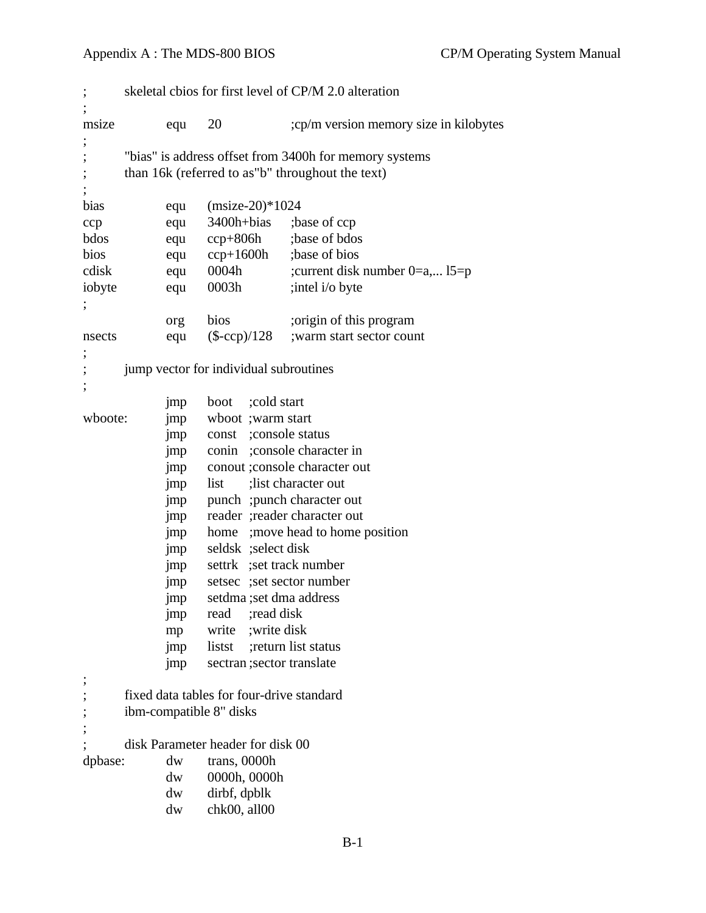#### Appendix A : The MDS-800 BIOS CP/M Operating System Manual

```
; skeletal cbios for first level of CP/M 2.0 alteration
;
msize equ 20 ;cp/m version memory size in kilobytes
;
; "bias" is address offset from 3400h for memory systems
; than 16k (referred to as"b" throughout the text)
;
bias equ (msize-20)*1024
ccp equ 3400h+bias ;base of ccp
bdos equ ccp+806h ;base of bdos
bios equ ccp+1600h ;base of bios
cdisk equ 0004h ;current disk number 0=a,... l5=p
iobyte equ 0003h ;intel i/o byte
;
            org bios ;origin of this program
nsects equ (\text{S-ccp})/128 ; warm start sector count
;
; jump vector for individual subroutines
;
            jmp boot ;cold start
wboote: jmp wboot ;warm start
            jmp const ;console status
            jmp conin ;console character in
            jmp conout ;console character out
            jmp list ;list character out
            jmp punch ;punch character out
            jmp reader ;reader character out
            jmp home ;move head to home position
            jmp seldsk ;select disk
            jmp settrk ;set track number
            jmp setsec ;set sector number
            jmp setdma ;set dma address
            jmp read ;read disk
            mp write ;write disk
            jmp listst ;return list status
            jmp sectran ;sector translate
;
; fixed data tables for four-drive standard
; ibm-compatible 8" disks
;
      disk Parameter header for disk 00
dpbase: dw trans, 0000h
            dw 0000h, 0000h
            dw dirbf, dpblk
            dw chk00, all00
```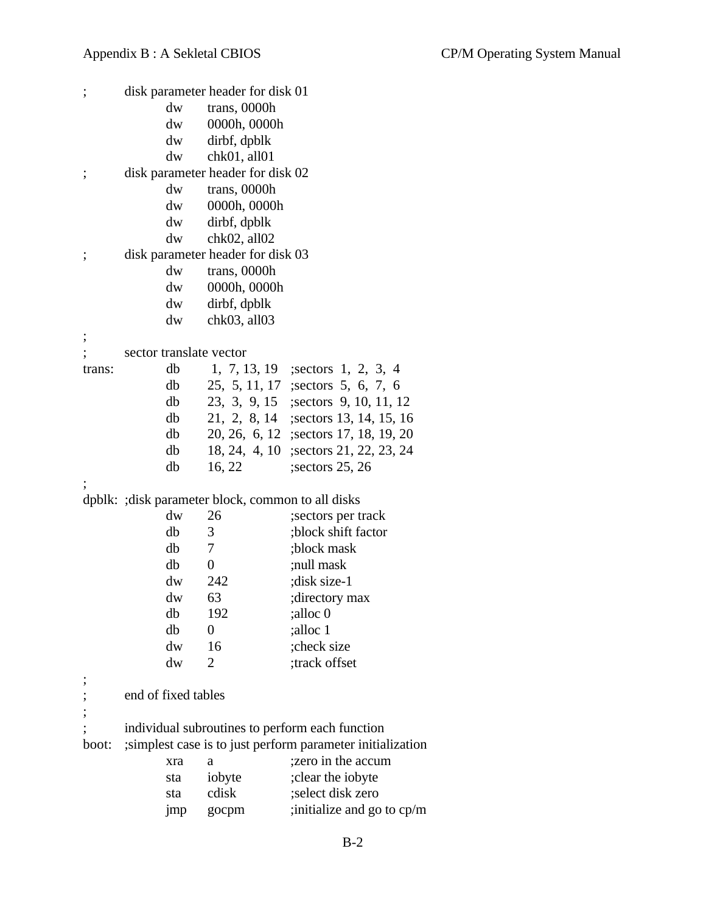| ;      |                         | disk parameter header for disk 01                  |                                                             |
|--------|-------------------------|----------------------------------------------------|-------------------------------------------------------------|
|        | dw                      | trans, 0000h                                       |                                                             |
|        | dw                      | 0000h, 0000h                                       |                                                             |
|        | dw                      | dirbf, dpblk                                       |                                                             |
|        | dw                      | chk01, all01                                       |                                                             |
| ;      |                         | disk parameter header for disk 02                  |                                                             |
|        | dw                      | trans, 0000h                                       |                                                             |
|        | dw                      | 0000h, 0000h                                       |                                                             |
|        | dw                      | dirbf, dpblk                                       |                                                             |
|        | dw                      | chk02, all02                                       |                                                             |
| ;      |                         | disk parameter header for disk 03                  |                                                             |
|        | dw                      | trans, 0000h                                       |                                                             |
|        | dw                      | 0000h, 0000h                                       |                                                             |
|        | dw                      | dirbf, dpblk                                       |                                                             |
|        | dw                      | chk03, all03                                       |                                                             |
|        |                         |                                                    |                                                             |
|        | sector translate vector |                                                    |                                                             |
| trans: | db                      |                                                    | 1, 7, 13, 19 ; sectors 1, 2, 3, 4                           |
|        | db                      |                                                    | 25, 5, 11, 17 ; sectors 5, 6, 7, 6                          |
|        | db                      |                                                    | 23, 3, 9, 15 ; sectors 9, 10, 11, 12                        |
|        | db                      |                                                    | 21, 2, 8, 14 ; sectors 13, 14, 15, 16                       |
|        | db                      |                                                    | 20, 26, 6, 12 ; sectors 17, 18, 19, 20                      |
|        | db                      |                                                    | 18, 24, 4, 10 ; sectors 21, 22, 23, 24                      |
|        | db                      | 16, 22                                             | ; sectors $25, 26$                                          |
|        |                         |                                                    |                                                             |
|        |                         | dpblk: ; disk parameter block, common to all disks |                                                             |
|        | dw                      | 26                                                 | sectors per track                                           |
|        | db                      | 3                                                  | ;block shift factor                                         |
|        | db                      | 7                                                  | ;block mask                                                 |
|        | db                      | $\theta$                                           | ;null mask                                                  |
|        | $\mathrm{d}\mathrm{w}$  | 242                                                | ;disk size-1                                                |
|        | dw                      | 63                                                 | ;directory max                                              |
|        | db                      | 192                                                | ;alloc 0                                                    |
|        | db                      | $\boldsymbol{0}$                                   | ;alloc 1                                                    |
|        | dw                      | 16                                                 | ;check size                                                 |
|        | dw                      | 2                                                  | ;track offset                                               |
|        |                         |                                                    |                                                             |
|        | end of fixed tables     |                                                    |                                                             |
|        |                         |                                                    | individual subroutines to perform each function             |
| boot:  |                         |                                                    | ; simplest case is to just perform parameter initialization |
|        | xra                     | a                                                  | ;zero in the accum                                          |
|        | sta                     | iobyte                                             | ; clear the iobyte                                          |
|        | sta                     | cdisk                                              | ;select disk zero                                           |
|        |                         |                                                    | ; initialize and go to cp/m                                 |
|        | jmp                     | gocpm                                              |                                                             |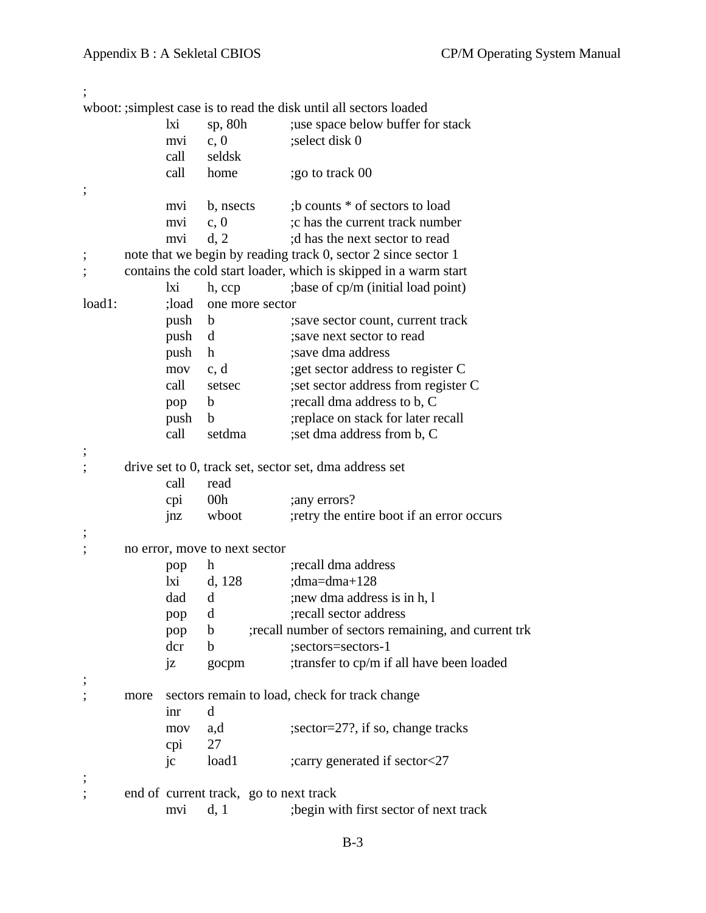| wboot: ; simplest case is to read the disk until all sectors loaded<br>lxi<br>sp, $80h$<br>use space below buffer for stack<br>;select disk 0<br>c, 0<br>mvi<br>call<br>seldsk<br>call<br>;go to track 00<br>home<br>;b counts * of sectors to load<br>b, nsects<br>mvi<br>; c has the current track number<br>c, 0<br>mvi<br>d, 2<br>d has the next sector to read<br>mvi<br>note that we begin by reading track 0, sector 2 since sector 1<br>contains the cold start loader, which is skipped in a warm start<br>; base of cp/m (initial load point)<br>lxi<br>h, ccp<br>load1:<br>;load<br>one more sector<br>push<br>; save sector count, current track<br>b<br>push<br>d<br>; save next sector to read<br>push<br>$\mathbf h$<br>; save dma address<br>; get sector address to register C<br>c, d<br>mov<br>call<br>;set sector address from register C<br>setsec<br>; recall dma address to b, C<br>$\mathbf b$<br>pop<br>;replace on stack for later recall<br>push<br>$\mathbf b$<br>call<br>; set dma address from b, C<br>setdma<br>drive set to 0, track set, sector set, dma address set<br>call<br>read<br>00h<br>cpi<br>; any errors?<br>wboot<br>; retry the entire boot if an error occurs<br>jnz<br>no error, move to next sector<br>recall dma address<br>h<br>pop<br>lxi<br>d, 128<br>; $dma=dma+128$<br>; new dma address is in h, 1<br>dad<br>$\mathbf d$<br>; recall sector address<br>d<br>pop<br>;recall number of sectors remaining, and current trk<br>pop<br>$\mathbf b$<br>dcr<br>;sectors=sectors-1<br>b<br>;transfer to cp/m if all have been loaded<br>jz<br>gocpm<br>sectors remain to load, check for track change<br>more<br>d<br>inr<br>;sector=27?, if so, change tracks<br>mov<br>a,d<br>27<br>cpi<br>load1<br>;carry generated if sector<27<br>$\rm j c$<br>end of current track, go to next track |  |     |      |                                         |
|-------------------------------------------------------------------------------------------------------------------------------------------------------------------------------------------------------------------------------------------------------------------------------------------------------------------------------------------------------------------------------------------------------------------------------------------------------------------------------------------------------------------------------------------------------------------------------------------------------------------------------------------------------------------------------------------------------------------------------------------------------------------------------------------------------------------------------------------------------------------------------------------------------------------------------------------------------------------------------------------------------------------------------------------------------------------------------------------------------------------------------------------------------------------------------------------------------------------------------------------------------------------------------------------------------------------------------------------------------------------------------------------------------------------------------------------------------------------------------------------------------------------------------------------------------------------------------------------------------------------------------------------------------------------------------------------------------------------------------------------------------------------------------------------------------------------------------------------|--|-----|------|-----------------------------------------|
|                                                                                                                                                                                                                                                                                                                                                                                                                                                                                                                                                                                                                                                                                                                                                                                                                                                                                                                                                                                                                                                                                                                                                                                                                                                                                                                                                                                                                                                                                                                                                                                                                                                                                                                                                                                                                                           |  |     |      |                                         |
|                                                                                                                                                                                                                                                                                                                                                                                                                                                                                                                                                                                                                                                                                                                                                                                                                                                                                                                                                                                                                                                                                                                                                                                                                                                                                                                                                                                                                                                                                                                                                                                                                                                                                                                                                                                                                                           |  |     |      |                                         |
|                                                                                                                                                                                                                                                                                                                                                                                                                                                                                                                                                                                                                                                                                                                                                                                                                                                                                                                                                                                                                                                                                                                                                                                                                                                                                                                                                                                                                                                                                                                                                                                                                                                                                                                                                                                                                                           |  |     |      |                                         |
|                                                                                                                                                                                                                                                                                                                                                                                                                                                                                                                                                                                                                                                                                                                                                                                                                                                                                                                                                                                                                                                                                                                                                                                                                                                                                                                                                                                                                                                                                                                                                                                                                                                                                                                                                                                                                                           |  |     |      |                                         |
|                                                                                                                                                                                                                                                                                                                                                                                                                                                                                                                                                                                                                                                                                                                                                                                                                                                                                                                                                                                                                                                                                                                                                                                                                                                                                                                                                                                                                                                                                                                                                                                                                                                                                                                                                                                                                                           |  |     |      |                                         |
|                                                                                                                                                                                                                                                                                                                                                                                                                                                                                                                                                                                                                                                                                                                                                                                                                                                                                                                                                                                                                                                                                                                                                                                                                                                                                                                                                                                                                                                                                                                                                                                                                                                                                                                                                                                                                                           |  |     |      |                                         |
|                                                                                                                                                                                                                                                                                                                                                                                                                                                                                                                                                                                                                                                                                                                                                                                                                                                                                                                                                                                                                                                                                                                                                                                                                                                                                                                                                                                                                                                                                                                                                                                                                                                                                                                                                                                                                                           |  |     |      |                                         |
|                                                                                                                                                                                                                                                                                                                                                                                                                                                                                                                                                                                                                                                                                                                                                                                                                                                                                                                                                                                                                                                                                                                                                                                                                                                                                                                                                                                                                                                                                                                                                                                                                                                                                                                                                                                                                                           |  |     |      |                                         |
|                                                                                                                                                                                                                                                                                                                                                                                                                                                                                                                                                                                                                                                                                                                                                                                                                                                                                                                                                                                                                                                                                                                                                                                                                                                                                                                                                                                                                                                                                                                                                                                                                                                                                                                                                                                                                                           |  |     |      |                                         |
|                                                                                                                                                                                                                                                                                                                                                                                                                                                                                                                                                                                                                                                                                                                                                                                                                                                                                                                                                                                                                                                                                                                                                                                                                                                                                                                                                                                                                                                                                                                                                                                                                                                                                                                                                                                                                                           |  |     |      |                                         |
|                                                                                                                                                                                                                                                                                                                                                                                                                                                                                                                                                                                                                                                                                                                                                                                                                                                                                                                                                                                                                                                                                                                                                                                                                                                                                                                                                                                                                                                                                                                                                                                                                                                                                                                                                                                                                                           |  |     |      |                                         |
|                                                                                                                                                                                                                                                                                                                                                                                                                                                                                                                                                                                                                                                                                                                                                                                                                                                                                                                                                                                                                                                                                                                                                                                                                                                                                                                                                                                                                                                                                                                                                                                                                                                                                                                                                                                                                                           |  |     |      |                                         |
|                                                                                                                                                                                                                                                                                                                                                                                                                                                                                                                                                                                                                                                                                                                                                                                                                                                                                                                                                                                                                                                                                                                                                                                                                                                                                                                                                                                                                                                                                                                                                                                                                                                                                                                                                                                                                                           |  |     |      |                                         |
|                                                                                                                                                                                                                                                                                                                                                                                                                                                                                                                                                                                                                                                                                                                                                                                                                                                                                                                                                                                                                                                                                                                                                                                                                                                                                                                                                                                                                                                                                                                                                                                                                                                                                                                                                                                                                                           |  |     |      |                                         |
|                                                                                                                                                                                                                                                                                                                                                                                                                                                                                                                                                                                                                                                                                                                                                                                                                                                                                                                                                                                                                                                                                                                                                                                                                                                                                                                                                                                                                                                                                                                                                                                                                                                                                                                                                                                                                                           |  |     |      |                                         |
|                                                                                                                                                                                                                                                                                                                                                                                                                                                                                                                                                                                                                                                                                                                                                                                                                                                                                                                                                                                                                                                                                                                                                                                                                                                                                                                                                                                                                                                                                                                                                                                                                                                                                                                                                                                                                                           |  |     |      |                                         |
|                                                                                                                                                                                                                                                                                                                                                                                                                                                                                                                                                                                                                                                                                                                                                                                                                                                                                                                                                                                                                                                                                                                                                                                                                                                                                                                                                                                                                                                                                                                                                                                                                                                                                                                                                                                                                                           |  |     |      |                                         |
|                                                                                                                                                                                                                                                                                                                                                                                                                                                                                                                                                                                                                                                                                                                                                                                                                                                                                                                                                                                                                                                                                                                                                                                                                                                                                                                                                                                                                                                                                                                                                                                                                                                                                                                                                                                                                                           |  |     |      |                                         |
|                                                                                                                                                                                                                                                                                                                                                                                                                                                                                                                                                                                                                                                                                                                                                                                                                                                                                                                                                                                                                                                                                                                                                                                                                                                                                                                                                                                                                                                                                                                                                                                                                                                                                                                                                                                                                                           |  |     |      |                                         |
|                                                                                                                                                                                                                                                                                                                                                                                                                                                                                                                                                                                                                                                                                                                                                                                                                                                                                                                                                                                                                                                                                                                                                                                                                                                                                                                                                                                                                                                                                                                                                                                                                                                                                                                                                                                                                                           |  |     |      |                                         |
|                                                                                                                                                                                                                                                                                                                                                                                                                                                                                                                                                                                                                                                                                                                                                                                                                                                                                                                                                                                                                                                                                                                                                                                                                                                                                                                                                                                                                                                                                                                                                                                                                                                                                                                                                                                                                                           |  |     |      |                                         |
|                                                                                                                                                                                                                                                                                                                                                                                                                                                                                                                                                                                                                                                                                                                                                                                                                                                                                                                                                                                                                                                                                                                                                                                                                                                                                                                                                                                                                                                                                                                                                                                                                                                                                                                                                                                                                                           |  |     |      |                                         |
|                                                                                                                                                                                                                                                                                                                                                                                                                                                                                                                                                                                                                                                                                                                                                                                                                                                                                                                                                                                                                                                                                                                                                                                                                                                                                                                                                                                                                                                                                                                                                                                                                                                                                                                                                                                                                                           |  |     |      |                                         |
|                                                                                                                                                                                                                                                                                                                                                                                                                                                                                                                                                                                                                                                                                                                                                                                                                                                                                                                                                                                                                                                                                                                                                                                                                                                                                                                                                                                                                                                                                                                                                                                                                                                                                                                                                                                                                                           |  |     |      |                                         |
|                                                                                                                                                                                                                                                                                                                                                                                                                                                                                                                                                                                                                                                                                                                                                                                                                                                                                                                                                                                                                                                                                                                                                                                                                                                                                                                                                                                                                                                                                                                                                                                                                                                                                                                                                                                                                                           |  |     |      |                                         |
|                                                                                                                                                                                                                                                                                                                                                                                                                                                                                                                                                                                                                                                                                                                                                                                                                                                                                                                                                                                                                                                                                                                                                                                                                                                                                                                                                                                                                                                                                                                                                                                                                                                                                                                                                                                                                                           |  |     |      |                                         |
|                                                                                                                                                                                                                                                                                                                                                                                                                                                                                                                                                                                                                                                                                                                                                                                                                                                                                                                                                                                                                                                                                                                                                                                                                                                                                                                                                                                                                                                                                                                                                                                                                                                                                                                                                                                                                                           |  |     |      |                                         |
|                                                                                                                                                                                                                                                                                                                                                                                                                                                                                                                                                                                                                                                                                                                                                                                                                                                                                                                                                                                                                                                                                                                                                                                                                                                                                                                                                                                                                                                                                                                                                                                                                                                                                                                                                                                                                                           |  |     |      |                                         |
|                                                                                                                                                                                                                                                                                                                                                                                                                                                                                                                                                                                                                                                                                                                                                                                                                                                                                                                                                                                                                                                                                                                                                                                                                                                                                                                                                                                                                                                                                                                                                                                                                                                                                                                                                                                                                                           |  |     |      |                                         |
|                                                                                                                                                                                                                                                                                                                                                                                                                                                                                                                                                                                                                                                                                                                                                                                                                                                                                                                                                                                                                                                                                                                                                                                                                                                                                                                                                                                                                                                                                                                                                                                                                                                                                                                                                                                                                                           |  |     |      |                                         |
|                                                                                                                                                                                                                                                                                                                                                                                                                                                                                                                                                                                                                                                                                                                                                                                                                                                                                                                                                                                                                                                                                                                                                                                                                                                                                                                                                                                                                                                                                                                                                                                                                                                                                                                                                                                                                                           |  |     |      |                                         |
|                                                                                                                                                                                                                                                                                                                                                                                                                                                                                                                                                                                                                                                                                                                                                                                                                                                                                                                                                                                                                                                                                                                                                                                                                                                                                                                                                                                                                                                                                                                                                                                                                                                                                                                                                                                                                                           |  |     |      |                                         |
|                                                                                                                                                                                                                                                                                                                                                                                                                                                                                                                                                                                                                                                                                                                                                                                                                                                                                                                                                                                                                                                                                                                                                                                                                                                                                                                                                                                                                                                                                                                                                                                                                                                                                                                                                                                                                                           |  |     |      |                                         |
|                                                                                                                                                                                                                                                                                                                                                                                                                                                                                                                                                                                                                                                                                                                                                                                                                                                                                                                                                                                                                                                                                                                                                                                                                                                                                                                                                                                                                                                                                                                                                                                                                                                                                                                                                                                                                                           |  |     |      |                                         |
|                                                                                                                                                                                                                                                                                                                                                                                                                                                                                                                                                                                                                                                                                                                                                                                                                                                                                                                                                                                                                                                                                                                                                                                                                                                                                                                                                                                                                                                                                                                                                                                                                                                                                                                                                                                                                                           |  |     |      |                                         |
|                                                                                                                                                                                                                                                                                                                                                                                                                                                                                                                                                                                                                                                                                                                                                                                                                                                                                                                                                                                                                                                                                                                                                                                                                                                                                                                                                                                                                                                                                                                                                                                                                                                                                                                                                                                                                                           |  |     |      |                                         |
|                                                                                                                                                                                                                                                                                                                                                                                                                                                                                                                                                                                                                                                                                                                                                                                                                                                                                                                                                                                                                                                                                                                                                                                                                                                                                                                                                                                                                                                                                                                                                                                                                                                                                                                                                                                                                                           |  |     |      |                                         |
|                                                                                                                                                                                                                                                                                                                                                                                                                                                                                                                                                                                                                                                                                                                                                                                                                                                                                                                                                                                                                                                                                                                                                                                                                                                                                                                                                                                                                                                                                                                                                                                                                                                                                                                                                                                                                                           |  |     |      |                                         |
|                                                                                                                                                                                                                                                                                                                                                                                                                                                                                                                                                                                                                                                                                                                                                                                                                                                                                                                                                                                                                                                                                                                                                                                                                                                                                                                                                                                                                                                                                                                                                                                                                                                                                                                                                                                                                                           |  |     |      |                                         |
|                                                                                                                                                                                                                                                                                                                                                                                                                                                                                                                                                                                                                                                                                                                                                                                                                                                                                                                                                                                                                                                                                                                                                                                                                                                                                                                                                                                                                                                                                                                                                                                                                                                                                                                                                                                                                                           |  |     |      |                                         |
|                                                                                                                                                                                                                                                                                                                                                                                                                                                                                                                                                                                                                                                                                                                                                                                                                                                                                                                                                                                                                                                                                                                                                                                                                                                                                                                                                                                                                                                                                                                                                                                                                                                                                                                                                                                                                                           |  |     |      |                                         |
|                                                                                                                                                                                                                                                                                                                                                                                                                                                                                                                                                                                                                                                                                                                                                                                                                                                                                                                                                                                                                                                                                                                                                                                                                                                                                                                                                                                                                                                                                                                                                                                                                                                                                                                                                                                                                                           |  |     |      |                                         |
|                                                                                                                                                                                                                                                                                                                                                                                                                                                                                                                                                                                                                                                                                                                                                                                                                                                                                                                                                                                                                                                                                                                                                                                                                                                                                                                                                                                                                                                                                                                                                                                                                                                                                                                                                                                                                                           |  |     |      |                                         |
|                                                                                                                                                                                                                                                                                                                                                                                                                                                                                                                                                                                                                                                                                                                                                                                                                                                                                                                                                                                                                                                                                                                                                                                                                                                                                                                                                                                                                                                                                                                                                                                                                                                                                                                                                                                                                                           |  | mvi | d, 1 | ; begin with first sector of next track |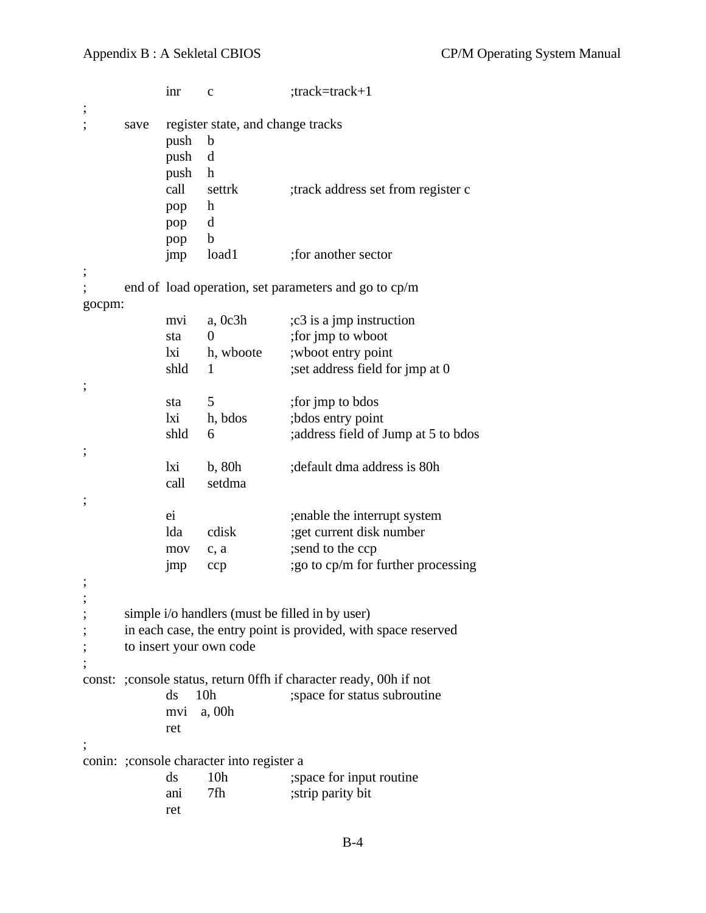```
inr c ;track=track+1
;
; save register state, and change tracks
           push b
           push d
           push h
           call settrk ;track address set from register c
           pop h
           pop d
           pop b
           jmp load1 ;for another sector
;
; end of load operation, set parameters and go to cp/m
gocpm:
           mvi a, 0c3h ;c3 is a jmp instruction
           sta 0 ;for jmp to wboot
           lxi h, wboote ;wboot entry point
           shld 1 ;set address field for jmp at 0
;
           sta 5 ;for jmp to bdos
           lxi h, bdos ;bdos entry point
           shld 6 ;address field of Jump at 5 to bdos
;
           lxi b, 80h ;default dma address is 80h
           call setdma
;
           ei ;enable the interrupt system
           lda cdisk ;get current disk number
           mov c, a ;send to the ccp
           jmp ccp ;go to cp/m for further processing
;
;
; simple i/o handlers (must be filled in by user)
     in each case, the entry point is provided, with space reserved
; to insert your own code
;
const: ;console status, return 0ffh if character ready, 00h if not
           ds 10h ; space for status subroutine
           mvi a, 00h
           ret
;
conin: ;console character into register a
           ds 10h ; space for input routine
           ani 7fh ;strip parity bit
           ret
```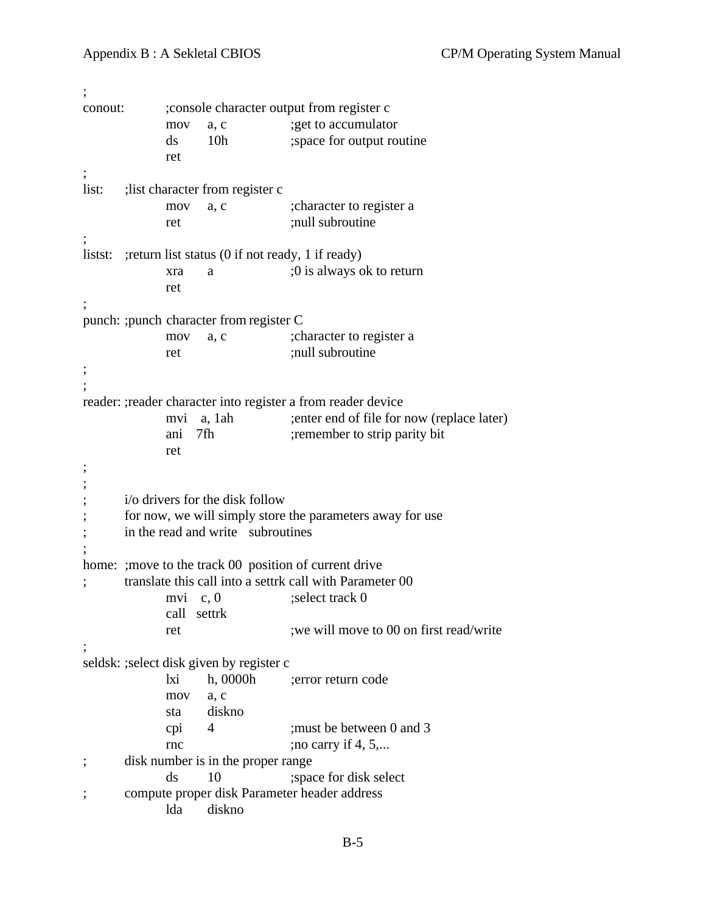```
;
conout: ;console character output from register c
            mov a, c ;get to accumulator
            ds 10h ; space for output routine
            ret
;
list: ;list character from register c
            mov a, c ;character to register a
            ret ;null subroutine
;
listst: ; return list status (0 if not ready, 1 if ready)
            xra a ;0 is always ok to return
            ret
;
punch: ;punch character from register C
            mov a, c ;character to register a
            ret ;null subroutine
;
;
reader: ;reader character into register a from reader device
            mvi a, 1ah ;enter end of file for now (replace later)
            ani 7fh ; remember to strip parity bit
            ret
;
;
; i/o drivers for the disk follow
      for now, we will simply store the parameters away for use
; in the read and write subroutines
;
home: ; move to the track 00 position of current drive
; translate this call into a settrk call with Parameter 00
            mvi c, 0 :select track 0
            call settrk
            ret ;we will move to 00 on first read/write
;
seldsk: ;select disk given by register c
            lxi h, 0000h ;error return code
            mov a, c
            sta diskno
            cpi 4 ;must be between 0 and 3
            rnc ;no carry if 4, 5,...
; disk number is in the proper range
            ds 10 ; space for disk select
; compute proper disk Parameter header address
            lda diskno
```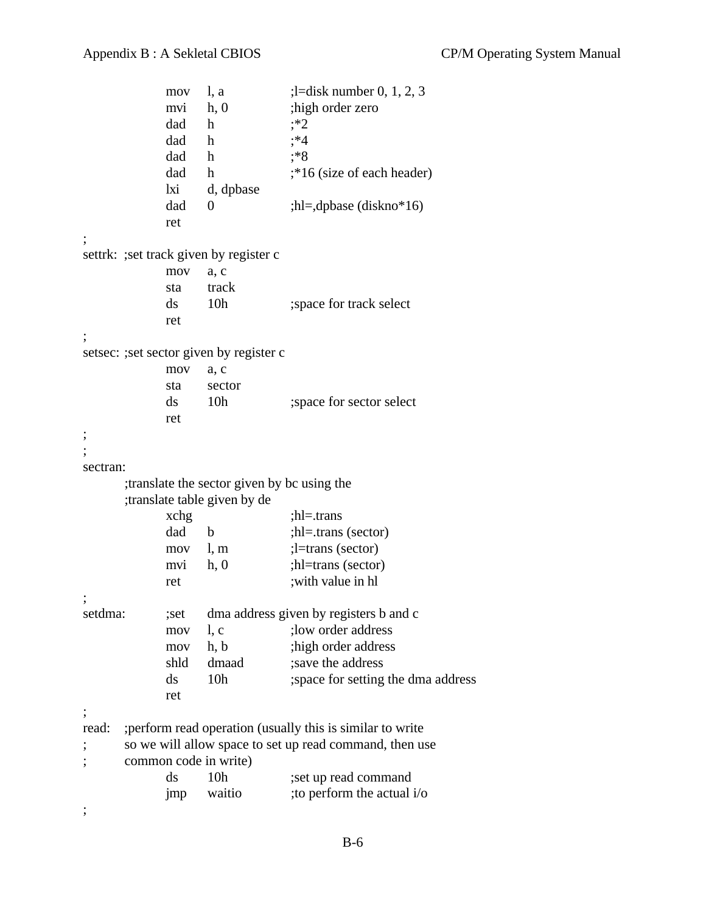```
mov l, a ;l=disk number 0, 1, 2, 3
           mvi h, 0 ;high order zero
           dad h : *2dad h ; *4dad h ;*8
           dad h ;*16 (size of each header)
           lxi d, dpbase
           dad 0 ;hl=,dpbase (diskno*16)
           ret
;
settrk: ;set track given by register c
           mov a, c
           sta track
           ds 10h ; space for track select
           ret
;
setsec: ;set sector given by register c
           mov a, c
           sta sector
           ds 10h ; space for sector select
           ret
;
;
sectran:
      ;translate the sector given by bc using the
      ;translate table given by de
           xchg ;hl=.trans
           dad b ;hl=.trans (sector)
           mov l, m ; l=trans (sector)
           mvi h, 0 ;hl=trans (sector)
           ret ;with value in hl
;
setdma: ; ; ; ; ; ; ; dma address given by registers b and c
           mov 1, c ; low order address
           mov h, b ;high order address
           shld dmaad ;save the address
           ds 10h ; space for setting the dma address
           ret
;
read: ;perform read operation (usually this is similar to write
; so we will allow space to set up read command, then use
; common code in write)
           ds 10h ;set up read command
           \text{imp} waitio ;to perform the actual i/o
;
```
B-6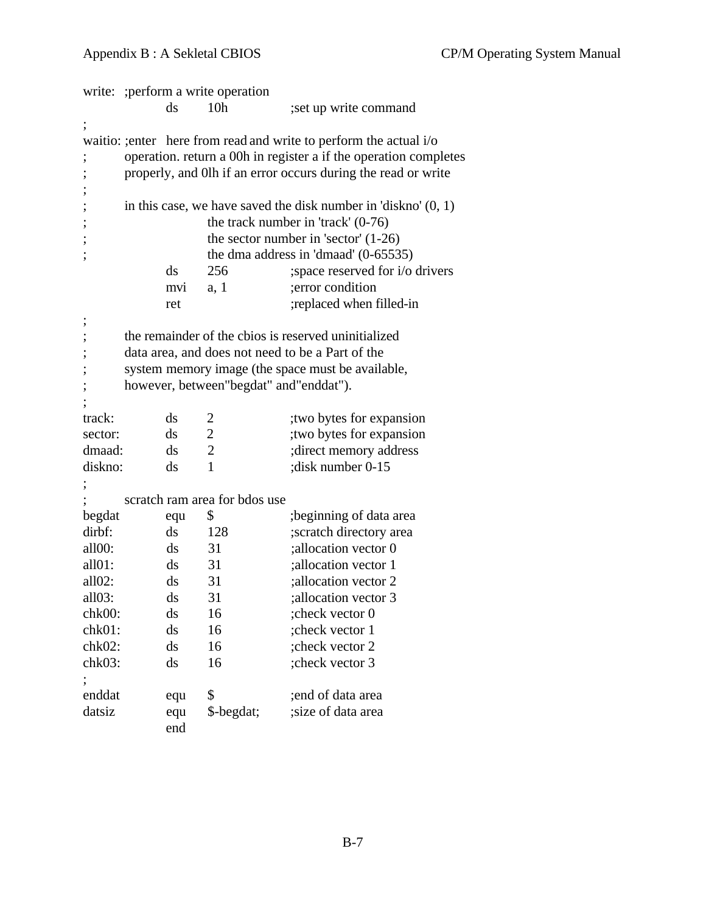|                          | write: ; perform a write operation                                 |                                                                  |                                          |                                                                  |  |  |  |
|--------------------------|--------------------------------------------------------------------|------------------------------------------------------------------|------------------------------------------|------------------------------------------------------------------|--|--|--|
|                          |                                                                    | ds                                                               | 10 <sub>h</sub>                          | set up write command                                             |  |  |  |
| $\vdots$                 |                                                                    |                                                                  |                                          |                                                                  |  |  |  |
|                          | waitio: ; enter here from read and write to perform the actual i/o |                                                                  |                                          |                                                                  |  |  |  |
| ,                        |                                                                    | operation. return a 00h in register a if the operation completes |                                          |                                                                  |  |  |  |
|                          |                                                                    |                                                                  |                                          | properly, and 0lh if an error occurs during the read or write    |  |  |  |
| ,                        |                                                                    |                                                                  |                                          |                                                                  |  |  |  |
| ,                        |                                                                    |                                                                  |                                          | in this case, we have saved the disk number in 'diskno' $(0, 1)$ |  |  |  |
| ,                        |                                                                    |                                                                  |                                          | the track number in 'track' $(0-76)$                             |  |  |  |
| $\overline{\phantom{a}}$ |                                                                    |                                                                  |                                          | the sector number in 'sector' $(1-26)$                           |  |  |  |
| ,                        |                                                                    |                                                                  |                                          | the dma address in 'dmaad' $(0-65535)$                           |  |  |  |
|                          |                                                                    | ds                                                               | 256                                      | ; space reserved for i/o drivers                                 |  |  |  |
|                          |                                                                    | mvi                                                              | a, 1                                     | ; error condition                                                |  |  |  |
|                          |                                                                    | ret                                                              |                                          | ;replaced when filled-in                                         |  |  |  |
| ,                        |                                                                    |                                                                  |                                          |                                                                  |  |  |  |
| ,                        |                                                                    |                                                                  |                                          | the remainder of the cbios is reserved uninitialized             |  |  |  |
| ;                        |                                                                    |                                                                  |                                          | data area, and does not need to be a Part of the                 |  |  |  |
| ,                        |                                                                    |                                                                  |                                          | system memory image (the space must be available,                |  |  |  |
| ,                        |                                                                    |                                                                  | however, between "begdat" and "enddat"). |                                                                  |  |  |  |
|                          |                                                                    |                                                                  |                                          |                                                                  |  |  |  |
| track:                   |                                                                    | $\mathrm{d}\mathrm{s}$                                           | 2                                        | two bytes for expansion                                          |  |  |  |
| sector:                  |                                                                    | $\mathrm{d}\mathrm{s}$                                           | $\overline{2}$                           | ; two bytes for expansion                                        |  |  |  |
| dmaad:                   |                                                                    | ds                                                               | $\overline{2}$                           | ; direct memory address                                          |  |  |  |
| diskno:                  |                                                                    | $\mathrm{d}\mathrm{s}$                                           | 1                                        | ; disk number 0-15                                               |  |  |  |
|                          |                                                                    |                                                                  |                                          |                                                                  |  |  |  |
|                          |                                                                    |                                                                  | scratch ram area for bdos use            |                                                                  |  |  |  |
| begdat                   |                                                                    | equ                                                              | \$                                       | beginning of data area;                                          |  |  |  |
| dirbf:                   |                                                                    | $\mathrm{d}\mathrm{s}$                                           | 128                                      | ;scratch directory area                                          |  |  |  |
| all <sub>00</sub> :      |                                                                    | $\mathrm{d}\mathrm{s}$                                           | 31                                       | ;allocation vector 0                                             |  |  |  |
| all01:                   |                                                                    | $\mathrm{d}\mathrm{s}$                                           | 31                                       | ; allocation vector 1                                            |  |  |  |
| all02:                   |                                                                    | ds                                                               | 31                                       | ; allocation vector 2                                            |  |  |  |
| all03:                   |                                                                    | ds                                                               | 31                                       | ;allocation vector 3                                             |  |  |  |
| chk00:                   |                                                                    | ds                                                               | 16                                       | check vector 0;                                                  |  |  |  |
| chk01:                   |                                                                    | ds                                                               | 16                                       | ; check vector 1                                                 |  |  |  |
| chk02:                   |                                                                    | ds                                                               | 16                                       | ;check vector 2                                                  |  |  |  |
| chk03:                   |                                                                    | ds                                                               | 16                                       | ; check vector 3                                                 |  |  |  |
|                          |                                                                    |                                                                  |                                          |                                                                  |  |  |  |
| enddat                   |                                                                    | equ                                                              | \$                                       | end of data area                                                 |  |  |  |
| datsiz                   |                                                                    | equ                                                              | \$-begdat;                               | ;size of data area                                               |  |  |  |
|                          |                                                                    | end                                                              |                                          |                                                                  |  |  |  |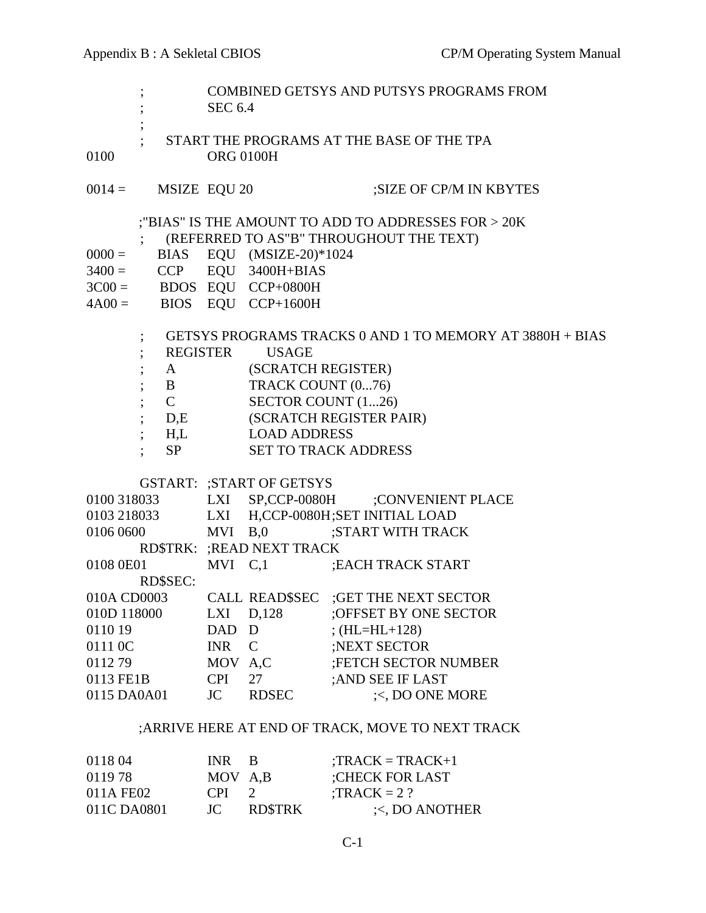$\ddot{i}$ 

- ; COMBINED GETSYS AND PUTSYS PROGRAMS FROM ; SEC 6.4
- ; START THE PROGRAMS AT THE BASE OF THE TPA 0100 ORG 0100H
- $0014 =$  MSIZE EQU 20 ;SIZE OF CP/M IN KBYTES
	- ;"BIAS" IS THE AMOUNT TO ADD TO ADDRESSES FOR > 20K
		- ; (REFERRED TO AS"B" THROUGHOUT THE TEXT)
- $0000 =$  BIAS EQU (MSIZE-20)\*1024
- $3400 =$  CCP EQU 3400H+BIAS
- $3C00 =$  BDOS EQU CCP+0800H
- $4A00 =$  BIOS EQU CCP+1600H

#### ; GETSYS PROGRAMS TRACKS 0 AND 1 TO MEMORY AT 3880H + BIAS

| REGISTER       | USAGE                       |
|----------------|-----------------------------|
| A              | (SCRATCH REGISTER)          |
| В              | TRACK COUNT (076)           |
|                | SECTOR COUNT (126)          |
| D.E            | (SCRATCH REGISTER PAIR)     |
| H <sub>1</sub> | <b>LOAD ADDRESS</b>         |
|                | <b>SET TO TRACK ADDRESS</b> |

#### GSTART: ;START OF GETSYS

| 0100 318033     | LXI        | SP,CCP-0080H               | :CONVENIENT PLACE                   |
|-----------------|------------|----------------------------|-------------------------------------|
| 0103 218033     | LXI        |                            | H,CCP-0080H;SET INITIAL LOAD        |
| 0106 0600       | MVI        | B <sub>0</sub>             | ;START WITH TRACK                   |
|                 |            | RD\$TRK: ; READ NEXT TRACK |                                     |
| 0108 0E01       | $MVI$ C, 1 |                            | ; EACH TRACK START                  |
| <b>RD\$SEC:</b> |            |                            |                                     |
| 010A CD0003     |            |                            | CALL READ\$SEC ;GET THE NEXT SECTOR |
| 010D 118000     | LXI        | D,128                      | ;OFFSET BY ONE SECTOR               |
| 011019          | <b>DAD</b> | D                          | $;$ (HL=HL+128)                     |
| 0111 0C         | <b>INR</b> | $\mathcal{C}$              | ;NEXT SECTOR                        |
| 011279          | MOV        | A, C                       | <b>;FETCH SECTOR NUMBER</b>         |
| 0113 FE1B       | CPI.       | 27                         | ;AND SEE IF LAST                    |
| 0115 DA0A01     | JC         | <b>RDSEC</b>               | $\le$ , DO ONE MORE                 |
|                 |            |                            |                                     |

#### ;ARRIVE HERE AT END OF TRACK, MOVE TO NEXT TRACK

| 0118 04     | INR B     |               | $TRACK = TRACK+1$  |
|-------------|-----------|---------------|--------------------|
| 0119 78     | MOV A,B   |               | :CHECK FOR LAST    |
| 011A FE02   | $CPI = 2$ |               | $: TRACK = 2$ ?    |
| 011C DA0801 | JC -      | <b>RDSTRK</b> | $\le$ , DO ANOTHER |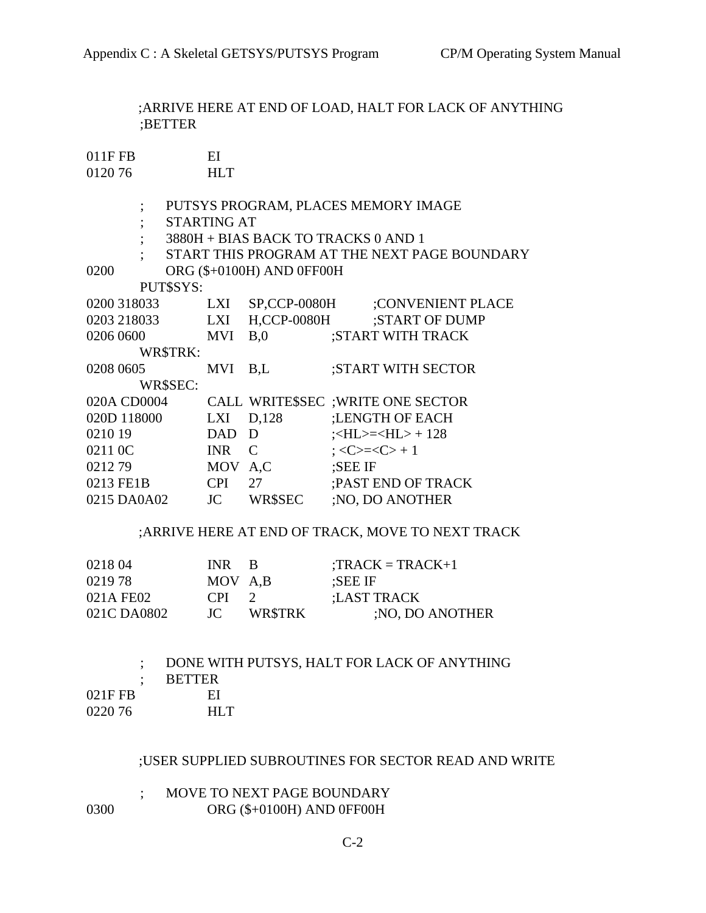;ARRIVE HERE AT END OF LOAD, HALT FOR LACK OF ANYTHING ;BETTER

| 011FFB  | ЕI         |
|---------|------------|
| 0120 76 | <b>HLT</b> |

- ; PUTSYS PROGRAM, PLACES MEMORY IMAGE
- ; STARTING AT
- ; 3880H + BIAS BACK TO TRACKS 0 AND 1
- ; START THIS PROGRAM AT THE NEXT PAGE BOUNDARY

0200 ORG (\$+0100H) AND 0FF00H

PUT\$SYS:

| 0200 318033 | <b>LXI</b> | <b>SP,CCP-0080H</b> | :CONVENIENT PLACE                                         |
|-------------|------------|---------------------|-----------------------------------------------------------|
| 0203 218033 | <b>LXI</b> | <b>H,CCP-0080H</b>  | ;START OF DUMP                                            |
| 0206 0600   | <b>MVI</b> | B <sub>0</sub>      | ;START WITH TRACK                                         |
| WR\$TRK:    |            |                     |                                                           |
| 0208 0605   | <b>MVI</b> | B.L                 | <b>START WITH SECTOR:</b>                                 |
| WR\$SEC:    |            |                     |                                                           |
| 020A CD0004 |            |                     | CALL WRITE\$SEC ; WRITE ONE SECTOR                        |
| 020D 118000 | <b>LXI</b> | D,128               | :LENGTH OF EACH                                           |
| 0210 19     | DAD.       | D                   | $\div$ HL $>=$ $\div$ HL $>$ + 128                        |
| 0211 0C     | <b>INR</b> | $\mathcal{C}$       | $\Rightarrow$ $\langle C \rangle = \langle C \rangle + 1$ |
| 021279      | MOV A.C    |                     | ;SEE IF                                                   |
| 0213 FE1B   | <b>CPI</b> | 27                  | ; PAST END OF TRACK                                       |
| 0215 DA0A02 | JC         | WR\$SEC             | ; NO, DO ANOTHER                                          |
|             |            |                     |                                                           |

### ;ARRIVE HERE AT END OF TRACK, MOVE TO NEXT TRACK

| 0218 04     | INR B           |                | $: TRACK = TRACK+1$ |
|-------------|-----------------|----------------|---------------------|
| 0219 78     | MOV A,B         |                | :SEE IF             |
| 021A FE02   | C <sub>PI</sub> |                | :LAST TRACK         |
| 021C DA0802 | JC.             | <b>WR\$TRK</b> | ;NO, DO ANOTHER     |

|         |               | DONE WITH PUTSYS, HALT FOR LACK OF ANYTHING |
|---------|---------------|---------------------------------------------|
|         | <b>BETTER</b> |                                             |
| 021FFB  | ЕL            |                                             |
| 0220.76 | HL T          |                                             |
|         |               |                                             |

#### ;USER SUPPLIED SUBROUTINES FOR SECTOR READ AND WRITE

#### ; MOVE TO NEXT PAGE BOUNDARY 0300 ORG (\$+0100H) AND 0FF00H

C-2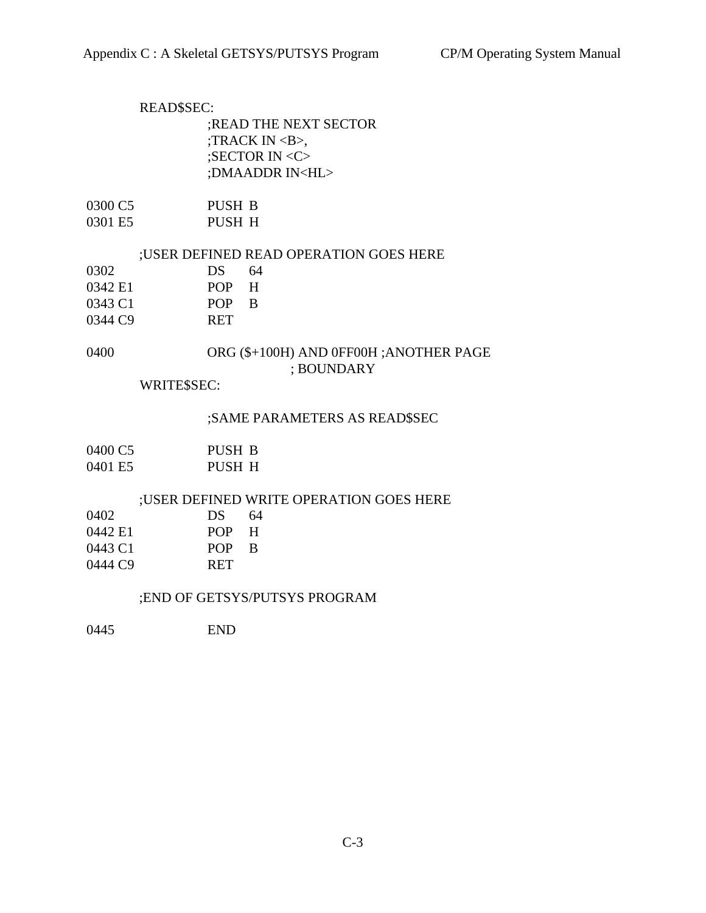# READ\$SEC: ;READ THE NEXT SECTOR ;TRACK IN <B>, ;SECTOR IN <C> ;DMAADDR IN<HL>

| 0300 C5 | PUSH B |
|---------|--------|
| 0301 E5 | PUSH H |

#### ;USER DEFINED READ OPERATION GOES HERE

| 0302                | DS.        | 64 |
|---------------------|------------|----|
| 0342 E1             | POP.       | H  |
| 0343 C1             | POP B      |    |
| 0344 C <sub>9</sub> | <b>RET</b> |    |

#### 0400 ORG (\$+100H) AND 0FF00H ;ANOTHER PAGE ; BOUNDARY

#### WRITE\$SEC:

#### ;SAME PARAMETERS AS READ\$SEC

| 0400 C.5 | PUSH B |
|----------|--------|
| 0401 E5  | PUSH H |

#### ;USER DEFINED WRITE OPERATION GOES HERE

| 0402    | DS.        | 64  |
|---------|------------|-----|
| 0442 E1 | POP.       | - H |
| 0443 C1 | POP B      |     |
| 0444C9  | <b>RET</b> |     |

#### ;END OF GETSYS/PUTSYS PROGRAM

0445 END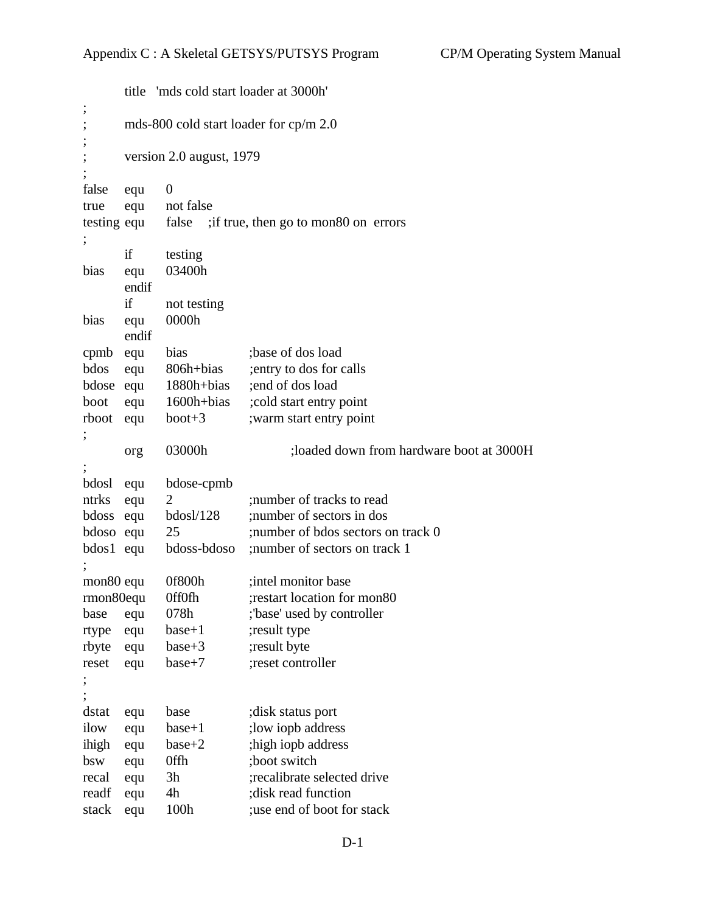|                               |                                        | title 'mds cold start loader at 3000h' |                                             |  |
|-------------------------------|----------------------------------------|----------------------------------------|---------------------------------------------|--|
| $\overline{\phantom{a}}$<br>; | mds-800 cold start loader for cp/m 2.0 |                                        |                                             |  |
| $\vdots$                      |                                        |                                        |                                             |  |
| ,                             |                                        | version 2.0 august, 1979               |                                             |  |
| false                         | equ                                    | $\boldsymbol{0}$                       |                                             |  |
| true                          | equ                                    | not false                              |                                             |  |
| testing equ                   |                                        |                                        | false ; if true, then go to mon80 on errors |  |
| ;                             |                                        |                                        |                                             |  |
|                               | if                                     | testing                                |                                             |  |
| bias                          | equ<br>endif                           | 03400h                                 |                                             |  |
|                               | if                                     | not testing                            |                                             |  |
| bias                          | equ                                    | 0000h                                  |                                             |  |
|                               | endif                                  |                                        |                                             |  |
| cpmb equ                      |                                        | bias                                   | ;base of dos load                           |  |
| bdos                          | equ                                    | 806h+bias                              | ; entry to dos for calls                    |  |
| bdose equ                     |                                        | 1880h+bias                             | end of dos load                             |  |
| boot                          | equ                                    | 1600h+bias                             | ; cold start entry point                    |  |
| rboot                         | equ                                    | $boot + 3$                             | ; warm start entry point                    |  |
|                               |                                        |                                        |                                             |  |
|                               | org                                    | 03000h                                 | ;loaded down from hardware boot at 3000H    |  |
|                               |                                        |                                        |                                             |  |
| bdosl                         | equ                                    | bdose-cpmb                             |                                             |  |
| ntrks                         | equ                                    | $\overline{2}$                         | ; number of tracks to read                  |  |
| bdoss                         | equ                                    | $b$ dosl $/128$                        | ; number of sectors in dos                  |  |
| bdoso equ                     |                                        | 25                                     | ; number of bdos sectors on track 0         |  |
| bdos1 equ                     |                                        | bdoss-bdoso                            | ; number of sectors on track 1              |  |
| mon <sub>80</sub> equ         |                                        | 0f800h                                 | ; intel monitor base                        |  |
| rmon80equ                     |                                        | <b>OffOfh</b>                          | ; restart location for mon80                |  |
| base                          | equ                                    | 078h                                   | ;'base' used by controller                  |  |
| rtype                         | equ                                    | $base+1$                               | ; result type                               |  |
| rbyte                         | equ                                    | $base+3$                               | ;result byte                                |  |
| reset                         | equ                                    | $base+7$                               | ;reset controller                           |  |
| ,                             |                                        |                                        |                                             |  |
|                               |                                        |                                        |                                             |  |
| dstat                         | equ                                    | base                                   | disk status port;                           |  |
| ilow                          | equ                                    | $base+1$                               | ; low iopb address                          |  |
| ihigh                         | equ                                    | $base+2$                               | ; high iopb address                         |  |
| bsw                           | equ                                    | 0ffh                                   | ;boot switch                                |  |
| recal                         | equ                                    | 3h                                     | ;recalibrate selected drive                 |  |
| readf                         | equ                                    | 4h                                     | ; disk read function                        |  |
| stack                         | equ                                    | 100h                                   | use end of boot for stack                   |  |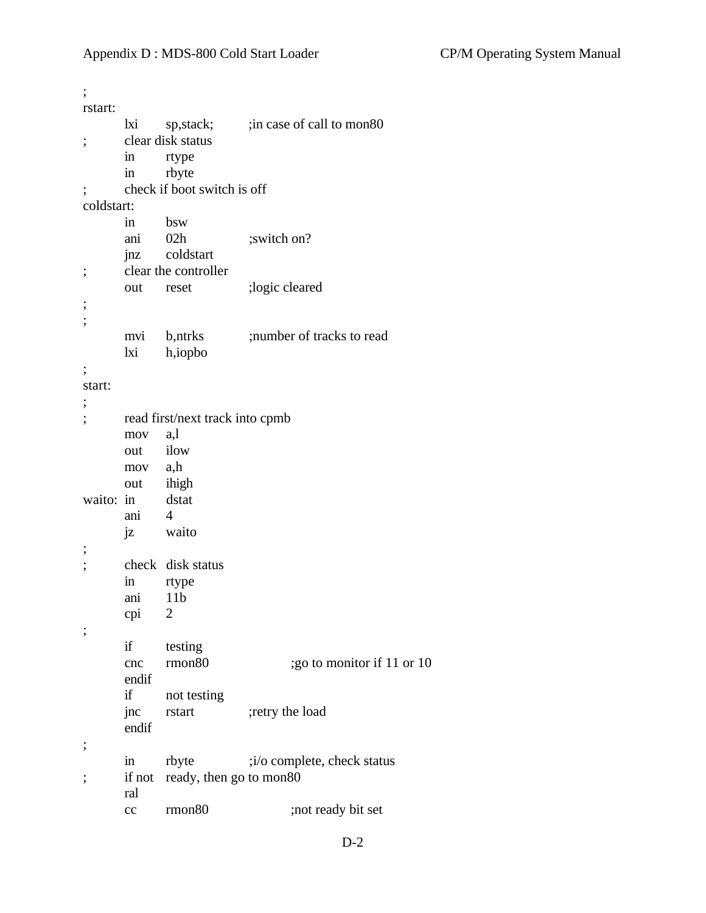| ,                        |                     |                                 |                             |
|--------------------------|---------------------|---------------------------------|-----------------------------|
| rstart:                  |                     |                                 |                             |
|                          | lxi                 | sp, stack;                      | ; in case of call to mon80  |
| ;                        |                     | clear disk status               |                             |
|                          | in                  | rtype                           |                             |
|                          | $\operatorname{in}$ | rbyte                           |                             |
| $\overline{\phantom{a}}$ |                     | check if boot switch is off     |                             |
| coldstart:               |                     |                                 |                             |
|                          | in                  | bsw                             |                             |
|                          | ani                 | 02h                             | ;switch on?                 |
|                          | jnz                 | coldstart                       |                             |
| ,                        |                     | clear the controller            |                             |
|                          | out                 | reset                           | ;logic cleared              |
| ,                        |                     |                                 |                             |
| ;                        |                     |                                 |                             |
|                          | mvi                 | b,ntrks                         | ; number of tracks to read  |
|                          | lxi                 | h,iopbo                         |                             |
| ,                        |                     |                                 |                             |
| start:                   |                     |                                 |                             |
| ,                        |                     |                                 |                             |
|                          |                     | read first/next track into cpmb |                             |
|                          | mov                 | a,l                             |                             |
|                          | out                 | ilow                            |                             |
|                          | mov a,h             |                                 |                             |
|                          | out                 | ihigh                           |                             |
| waito: in                |                     | dstat                           |                             |
|                          | ani                 | $\overline{4}$                  |                             |
|                          | jz                  | waito                           |                             |
| ,                        |                     |                                 |                             |
| ,                        |                     | check disk status               |                             |
|                          | in                  | rtype                           |                             |
|                          | ani                 | 11 <sub>b</sub>                 |                             |
|                          | cpi                 | 2                               |                             |
| ;                        |                     |                                 |                             |
|                          | if                  | testing                         |                             |
|                          | cnc                 | rmon80                          | ; go to monitor if 11 or 10 |
|                          | endif               |                                 |                             |
|                          | if                  | not testing                     |                             |
|                          | jnc                 | rstart                          | ;retry the load             |
|                          | endif               |                                 |                             |
| ,                        |                     |                                 |                             |
|                          | $\operatorname{in}$ | rbyte                           | ;i/o complete, check status |
| ,                        | if not              | ready, then go to mon80         |                             |
|                          | ral                 |                                 |                             |
|                          | cc                  | rmon <sub>80</sub>              | ;not ready bit set          |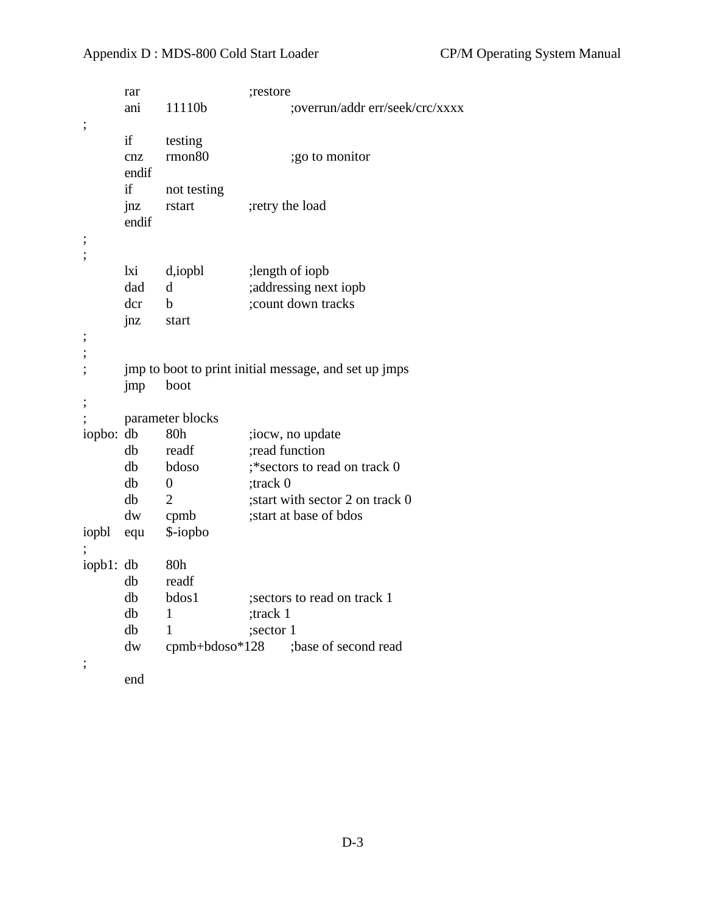# Appendix D : MDS-800 Cold Start Loader CP/M Operating System Manual

|                          | rar   |                    | ;restore                                              |
|--------------------------|-------|--------------------|-------------------------------------------------------|
|                          | ani   | 11110b             | ;overrun/addr err/seek/crc/xxxx                       |
| ;                        |       |                    |                                                       |
|                          | if    | testing            |                                                       |
|                          | cnz   | rmon <sub>80</sub> | ;go to monitor                                        |
|                          | endif |                    |                                                       |
|                          | if    | not testing        |                                                       |
|                          | jnz   | rstart             | ;retry the load                                       |
|                          | endif |                    |                                                       |
| $\vdots$                 |       |                    |                                                       |
|                          |       |                    |                                                       |
|                          | lxi   | d,iopbl            | ;length of iopb                                       |
|                          | dad   | d                  | ;addressing next iopb                                 |
|                          | dcr   | b                  | ; count down tracks                                   |
|                          | jnz   | start              |                                                       |
|                          |       |                    |                                                       |
| $\vdots$                 |       |                    |                                                       |
| $\vdots$                 |       |                    | jmp to boot to print initial message, and set up jmps |
|                          | jmp   | boot               |                                                       |
| $\vdots$                 |       |                    |                                                       |
|                          |       | parameter blocks   |                                                       |
| iopbo:                   | db    | 80h                | ;iocw, no update                                      |
|                          | db    | readf              | ;read function                                        |
|                          | db    | bdoso              | ;*sectors to read on track 0                          |
|                          | db    | $\boldsymbol{0}$   | ;track 0                                              |
|                          | db    | $\overline{2}$     | ; start with sector 2 on track 0                      |
|                          | dw    | cpmb               | ; start at base of bdos                               |
| iopbl                    | equ   | \$-iopbo           |                                                       |
|                          |       |                    |                                                       |
| iopb1: db                |       | 80h                |                                                       |
|                          | db    | readf              |                                                       |
|                          | db    | bdos1              | sectors to read on track 1                            |
|                          | db    | 1                  | ;track 1                                              |
|                          | db    | 1                  | ;sector 1                                             |
|                          | dw    | $cpmb+bdoso*128$   | ;base of second read                                  |
| $\overline{\phantom{a}}$ |       |                    |                                                       |
|                          | end   |                    |                                                       |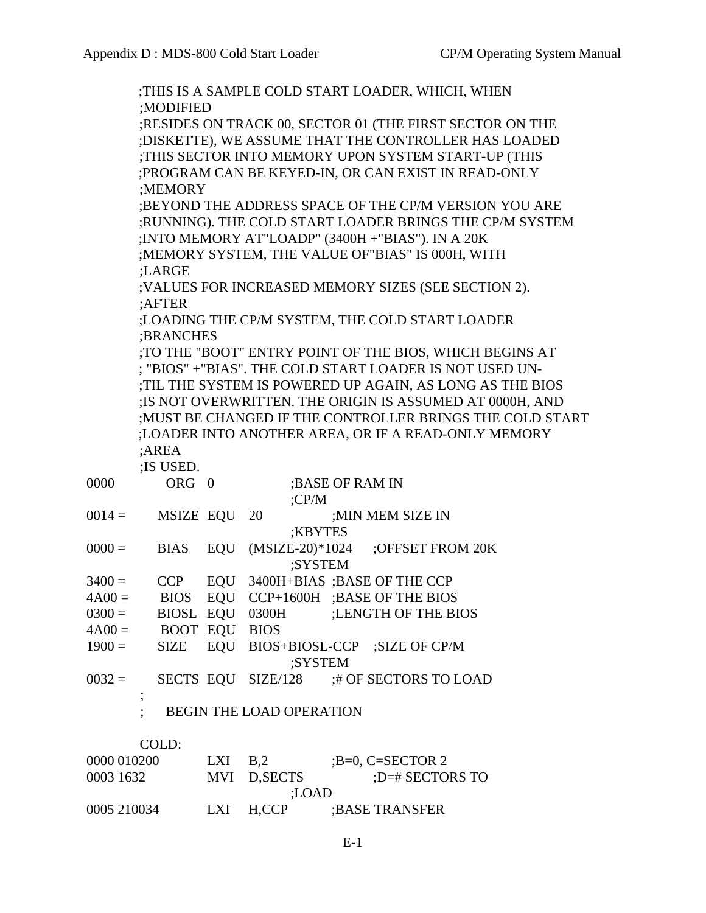|             |                                                          |  |                                 |                  | ;THIS IS A SAMPLE COLD START LOADER, WHICH, WHEN          |  |  |  |
|-------------|----------------------------------------------------------|--|---------------------------------|------------------|-----------------------------------------------------------|--|--|--|
|             | ;MODIFIED                                                |  |                                 |                  |                                                           |  |  |  |
|             | ;RESIDES ON TRACK 00, SECTOR 01 (THE FIRST SECTOR ON THE |  |                                 |                  |                                                           |  |  |  |
|             | ; DISKETTE), WE ASSUME THAT THE CONTROLLER HAS LOADED    |  |                                 |                  |                                                           |  |  |  |
|             | ;THIS SECTOR INTO MEMORY UPON SYSTEM START-UP (THIS      |  |                                 |                  |                                                           |  |  |  |
|             | ;PROGRAM CAN BE KEYED-IN, OR CAN EXIST IN READ-ONLY      |  |                                 |                  |                                                           |  |  |  |
|             | ;MEMORY                                                  |  |                                 |                  |                                                           |  |  |  |
|             | ;BEYOND THE ADDRESS SPACE OF THE CP/M VERSION YOU ARE    |  |                                 |                  |                                                           |  |  |  |
|             |                                                          |  |                                 |                  | ;RUNNING). THE COLD START LOADER BRINGS THE CP/M SYSTEM   |  |  |  |
|             | ; INTO MEMORY AT"LOADP" (3400H + "BIAS"). IN A 20K       |  |                                 |                  |                                                           |  |  |  |
|             |                                                          |  |                                 |                  | ;MEMORY SYSTEM, THE VALUE OF"BIAS" IS 000H, WITH          |  |  |  |
|             | :LARGE                                                   |  |                                 |                  |                                                           |  |  |  |
|             |                                                          |  |                                 |                  | ; VALUES FOR INCREASED MEMORY SIZES (SEE SECTION 2).      |  |  |  |
|             | :AFTER                                                   |  |                                 |                  |                                                           |  |  |  |
|             |                                                          |  |                                 |                  | ;LOADING THE CP/M SYSTEM, THE COLD START LOADER           |  |  |  |
|             | :BRANCHES                                                |  |                                 |                  |                                                           |  |  |  |
|             |                                                          |  |                                 |                  | ;TO THE "BOOT" ENTRY POINT OF THE BIOS, WHICH BEGINS AT   |  |  |  |
|             |                                                          |  |                                 |                  | ; "BIOS" + "BIAS". THE COLD START LOADER IS NOT USED UN-  |  |  |  |
|             |                                                          |  |                                 |                  | ;TIL THE SYSTEM IS POWERED UP AGAIN, AS LONG AS THE BIOS  |  |  |  |
|             |                                                          |  |                                 |                  | ; IS NOT OVERWRITTEN. THE ORIGIN IS ASSUMED AT 0000H, AND |  |  |  |
|             |                                                          |  |                                 |                  | ; MUST BE CHANGED IF THE CONTROLLER BRINGS THE COLD START |  |  |  |
|             |                                                          |  |                                 |                  | ;LOADER INTO ANOTHER AREA, OR IF A READ-ONLY MEMORY       |  |  |  |
|             | ;AREA                                                    |  |                                 |                  |                                                           |  |  |  |
|             | :IS USED.                                                |  |                                 |                  |                                                           |  |  |  |
| 0000        | ORG 0                                                    |  |                                 | ; BASE OF RAM IN |                                                           |  |  |  |
|             |                                                          |  | CPM                             |                  |                                                           |  |  |  |
| $0014 =$    | MSIZE EQU                                                |  | 20                              |                  | ; MIN MEM SIZE IN                                         |  |  |  |
|             |                                                          |  | ;KBYTES                         |                  |                                                           |  |  |  |
| $0000 =$    | <b>BIAS</b>                                              |  |                                 |                  | EQU (MSIZE-20)*1024 ;OFFSET FROM 20K                      |  |  |  |
|             |                                                          |  | ;SYSTEM                         |                  |                                                           |  |  |  |
| $3400 =$    | <b>CCP</b>                                               |  |                                 |                  | EQU 3400H+BIAS ;BASE OF THE CCP                           |  |  |  |
| $4A00=$     |                                                          |  |                                 |                  | BIOS EQU CCP+1600H; BASE OF THE BIOS                      |  |  |  |
|             |                                                          |  |                                 |                  | $0300 =$ BIOSL EQU 0300H ; LENGTH OF THE BIOS             |  |  |  |
| $4A00=$     | BOOT EQU BIOS                                            |  |                                 |                  |                                                           |  |  |  |
| $1900 =$    |                                                          |  | ;SYSTEM                         |                  | SIZE EQU BIOS+BIOSL-CCP ;SIZE OF CP/M                     |  |  |  |
| $0032 =$    |                                                          |  |                                 |                  | SECTS EQU SIZE/128 :# OF SECTORS TO LOAD                  |  |  |  |
|             |                                                          |  | <b>BEGIN THE LOAD OPERATION</b> |                  |                                                           |  |  |  |
|             |                                                          |  |                                 |                  |                                                           |  |  |  |
|             | COLD:                                                    |  |                                 |                  |                                                           |  |  |  |
| 0000 010200 |                                                          |  | LXI $B,2$ ; B=0, C=SECTOR 2     |                  |                                                           |  |  |  |
| 0003 1632   |                                                          |  | MVI D,SECTS                     |                  | ;D=# SECTORS TO                                           |  |  |  |
|             |                                                          |  | ;LOAD                           |                  |                                                           |  |  |  |
| 0005 210034 |                                                          |  | LXI H,CCP ;BASE TRANSFER        |                  |                                                           |  |  |  |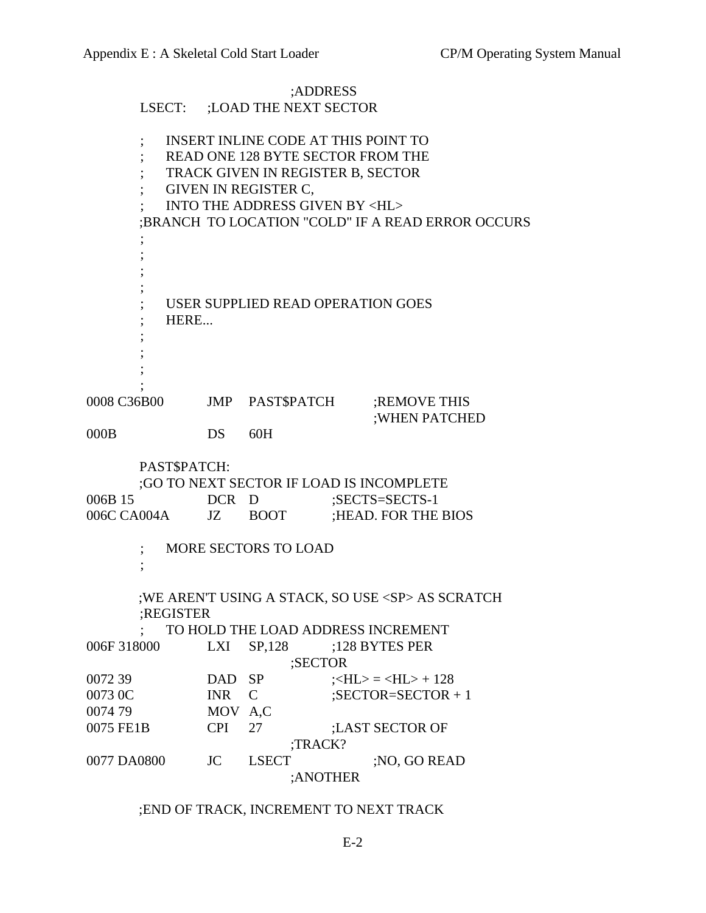|                                                                                                                                                                                                                                                 |                              | ;ADDRESS                                                                                   |  |                                   |  |  |
|-------------------------------------------------------------------------------------------------------------------------------------------------------------------------------------------------------------------------------------------------|------------------------------|--------------------------------------------------------------------------------------------|--|-----------------------------------|--|--|
|                                                                                                                                                                                                                                                 | LSECT: ;LOAD THE NEXT SECTOR |                                                                                            |  |                                   |  |  |
| <b>INSERT INLINE CODE AT THIS POINT TO</b><br>READ ONE 128 BYTE SECTOR FROM THE<br>TRACK GIVEN IN REGISTER B, SECTOR<br>GIVEN IN REGISTER C,<br><b>INTO THE ADDRESS GIVEN BY <hl></hl></b><br>:BRANCH TO LOCATION "COLD" IF A READ ERROR OCCURS |                              |                                                                                            |  |                                   |  |  |
| USER SUPPLIED READ OPERATION GOES<br>HERE                                                                                                                                                                                                       |                              |                                                                                            |  |                                   |  |  |
| 0008 C36B00                                                                                                                                                                                                                                     |                              |                                                                                            |  | JMP PAST\$PATCH ;REMOVE THIS      |  |  |
| 000B                                                                                                                                                                                                                                            | DS                           | 60H                                                                                        |  | ; WHEN PATCHED                    |  |  |
| 006B 15<br>006C CA004A JZ BOOT                                                                                                                                                                                                                  | PAST\$PATCH:                 | ;GO TO NEXT SECTOR IF LOAD IS INCOMPLETE<br>DCR D<br>;SECTS=SECTS-1<br>;HEAD. FOR THE BIOS |  |                                   |  |  |
| <b>MORE SECTORS TO LOAD</b>                                                                                                                                                                                                                     |                              |                                                                                            |  |                                   |  |  |
| ; WE AREN'T USING A STACK, SO USE <sp> AS SCRATCH<br/>;REGISTER<br/>TO HOLD THE LOAD ADDRESS INCREMENT</sp>                                                                                                                                     |                              |                                                                                            |  |                                   |  |  |
| 006F 318000                                                                                                                                                                                                                                     | LXI                          | SP, 128<br>;SECTOR                                                                         |  | ;128 BYTES PER                    |  |  |
| 007239                                                                                                                                                                                                                                          | <b>DAD</b>                   | <b>SP</b>                                                                                  |  | $\angle H L$ = $\angle H L$ + 128 |  |  |
| 0073 0C                                                                                                                                                                                                                                         | <b>INR</b>                   | $\mathsf{C}$                                                                               |  | $;$ SECTOR=SECTOR + 1             |  |  |
| 0074 79                                                                                                                                                                                                                                         | MOV A,C                      |                                                                                            |  |                                   |  |  |
| 0075 FE1B                                                                                                                                                                                                                                       | <b>CPI</b>                   | 27                                                                                         |  | ;LAST SECTOR OF                   |  |  |
|                                                                                                                                                                                                                                                 |                              | ;TRACK?                                                                                    |  |                                   |  |  |
| 0077 DA0800                                                                                                                                                                                                                                     | JC                           | <b>LSECT</b>                                                                               |  | ;NO, GO READ                      |  |  |
| ;ANOTHER                                                                                                                                                                                                                                        |                              |                                                                                            |  |                                   |  |  |

# ;END OF TRACK, INCREMENT TO NEXT TRACK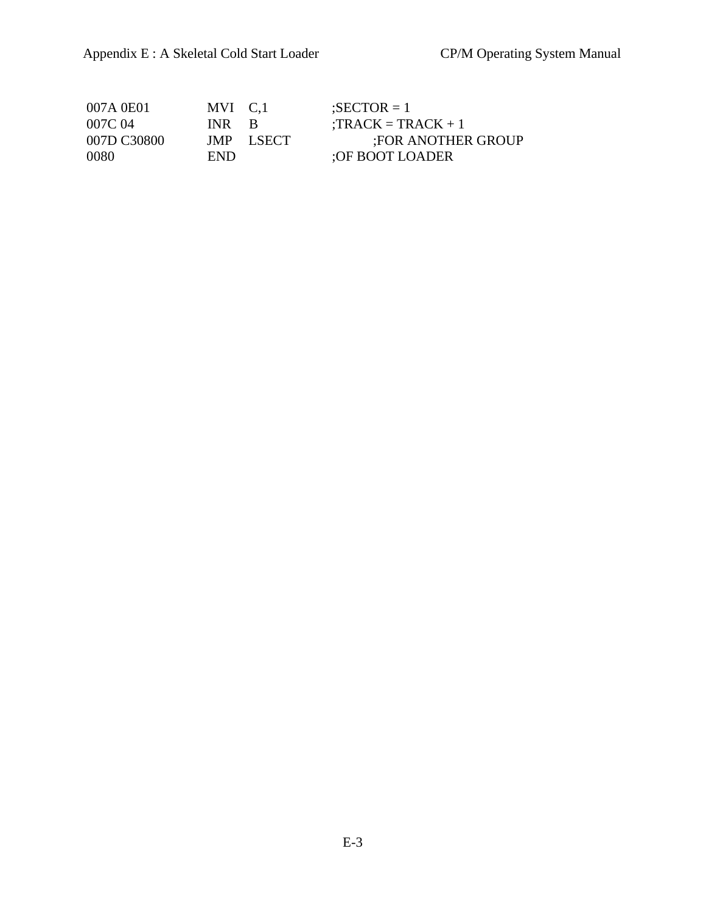| 007A 0E01   | MVI C.1 |           | $\text{SECTOR} = 1$   |
|-------------|---------|-----------|-----------------------|
| 007C 04     | INR B   |           | $: TRACK = TRACK + 1$ |
| 007D C30800 |         | JMP LSECT | FOR ANOTHER GROUP     |
| 0080        | END.    |           | :OF BOOT LOADER       |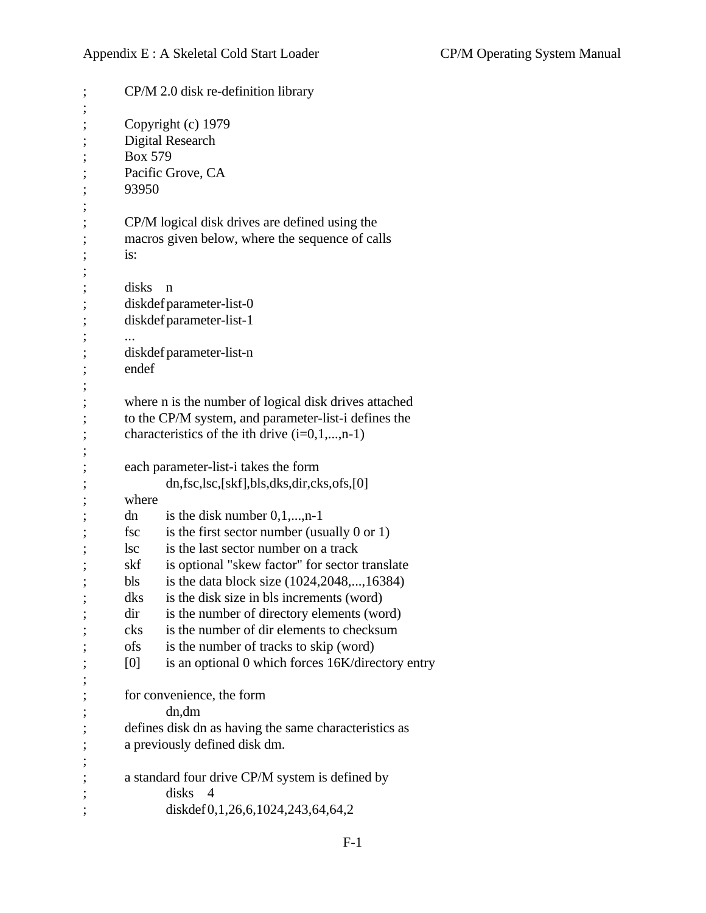; CP/M 2.0 disk re-definition library ; ; Copyright (c) 1979 ; Digital Research ; Box 579 ; Pacific Grove, CA ; 93950 ; ; CP/M logical disk drives are defined using the ; macros given below, where the sequence of calls ; is: ; ; disks n ; diskdef parameter-list-0 ; diskdef parameter-list-1 ; ... ; diskdef parameter-list-n ; endef ; ; where n is the number of logical disk drives attached ; to the CP/M system, and parameter-list-i defines the ; characteristics of the ith drive  $(i=0,1,...,n-1)$ ; ; each parameter-list-i takes the form ; dn,fsc,lsc,[skf],bls,dks,dir,cks,ofs,[0] ; where dn is the disk number  $0,1,...,n-1$ fsc is the first sector number (usually  $0$  or  $1$ ) lsc is the last sector number on a track ; skf is optional "skew factor" for sector translate bls is the data block size  $(1024, 2048, \ldots, 16384)$ dks is the disk size in bls increments (word) dir is the number of directory elements (word) ; cks is the number of dir elements to checksum ; ofs is the number of tracks to skip (word) ; [0] is an optional 0 which forces 16K/directory entry ; ; for convenience, the form ; dn,dm ; defines disk dn as having the same characteristics as ; a previously defined disk dm. ; ; a standard four drive CP/M system is defined by ; disks 4 ; diskdef 0,1,26,6,1024,243,64,64,2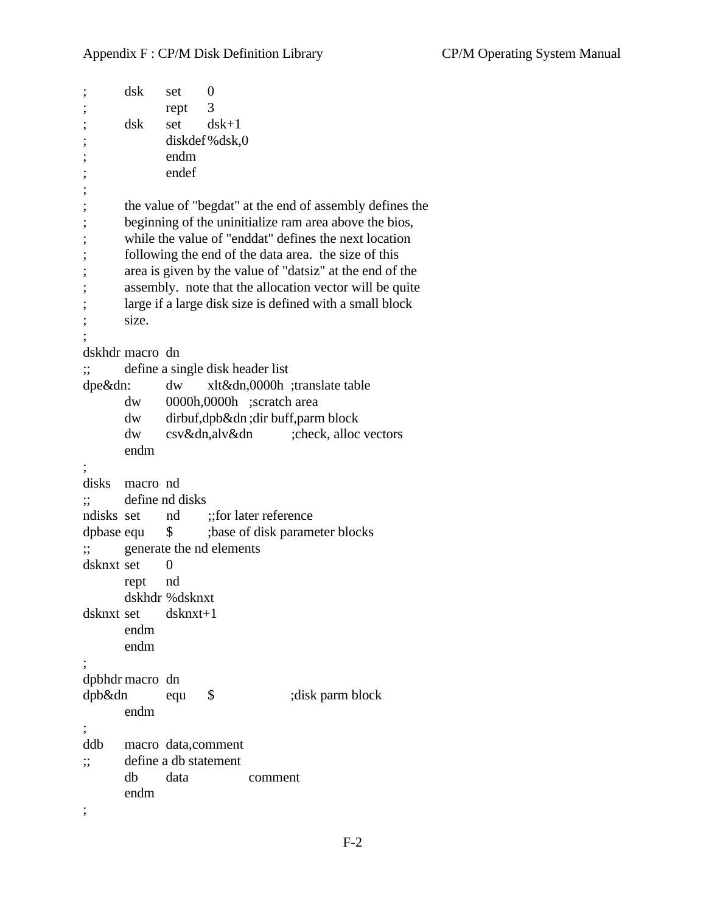```
; dsk set 0
; rept 3
; dsk set dsk+1
            diskdef\%dsk,0; endm
; endef
;
; the value of "begdat" at the end of assembly defines the
; beginning of the uninitialize ram area above the bios,
      while the value of "enddat" defines the next location
; following the end of the data area. the size of this
      area is given by the value of "datsiz" at the end of the
      assembly. note that the allocation vector will be quite
      large if a large disk size is defined with a small block
      size.
;
dskhdr macro dn
;; define a single disk header list
dpe&dn: dw xlt&dn,0000h ;translate table
      dw 0000h,0000h ;scratch area
      dw dirbuf,dpb&dn ;dir buff,parm block
      dw csv&dn,alv&dn ;check, alloc vectors
      endm
;
disks macro nd
;; define nd disks
ndisks set nd ::for later reference
dpbase equ $ ;base of disk parameter blocks
;; generate the nd elements
dsknxt set 0
      rept nd
      dskhdr %dsknxt
dsknxt set dsknxt+1
      endm
      endm
;
dpbhdr macro dn
dpb&dn equ $ ;disk parm block
      endm
;
ddb macro data,comment
;; define a db statement
      db data comment
      endm
;
```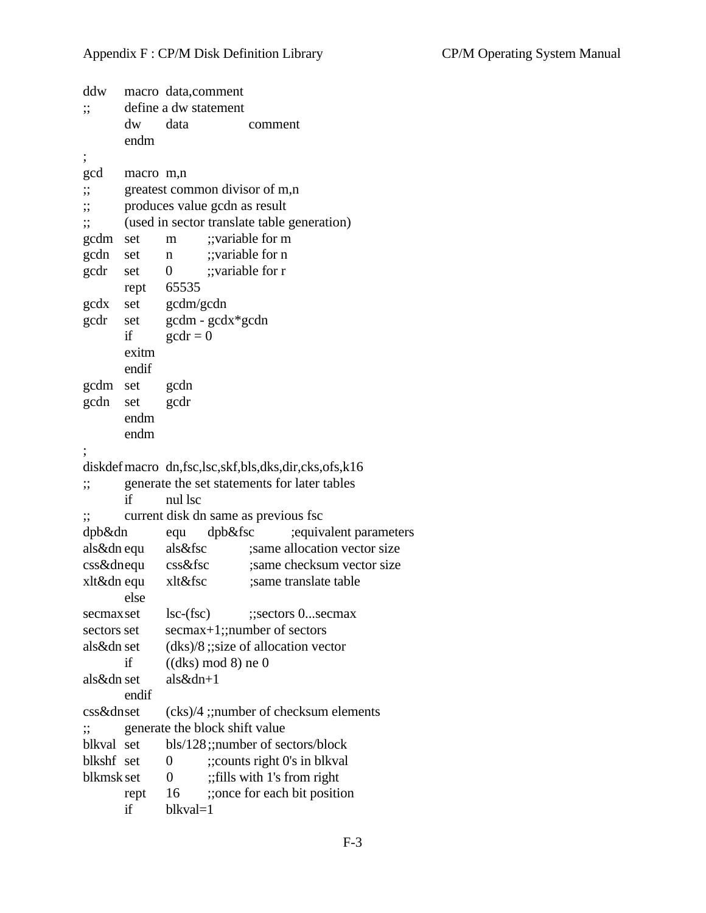```
ddw macro data,comment
;; define a dw statement
      dw data comment
      endm
;
gcd macro m,n
;; greatest common divisor of m,n
;; produces value gcdn as result
;; (used in sector translate table generation)
gcdm set m ;;variable for m
gcdn set n ;;variable for n
gcdr set 0 ;;variable for r
      rept 65535
gcdx set gcdm/gcdn
gcdr set gcdm - gcdx*gcdn
      if \gcd r = 0exitm
      endif
gcdm set gcdn
gcdn set gcdr
      endm
      endm
;
diskdefmacro dn,fsc,lsc,skf,bls,dks,dir,cks,ofs,k16
;; generate the set statements for later tables
      if nul lsc
;; current disk dn same as previous fsc
dpb&dn equ dpb&fsc ;equivalent parameters
als&dn equ als&fsc ;same allocation vector size
css&dnequ css&fsc ;same checksum vector size
xlt&dn equ xlt&fsc ;same translate table
      else
secmaxset lsc-(fsc) ;;sectors 0...secmax
sectors set secmax+1;;number of sectors
als&dn set (dks)/8 ;;size of allocation vector
      if ((dks) \mod 8) ne 0
als&dn set als&dn+1
      endif
css&dnset (cks)/4 ;;number of checksum elements
;; generate the block shift value
blkval set bls/128;;number of sectors/block
blkshf set 0 ;; counts right 0's in blkval
blkmsk set \qquad 0 ;; fills with 1's from right
      rept 16 ;; once for each bit position
      if blkval=1
```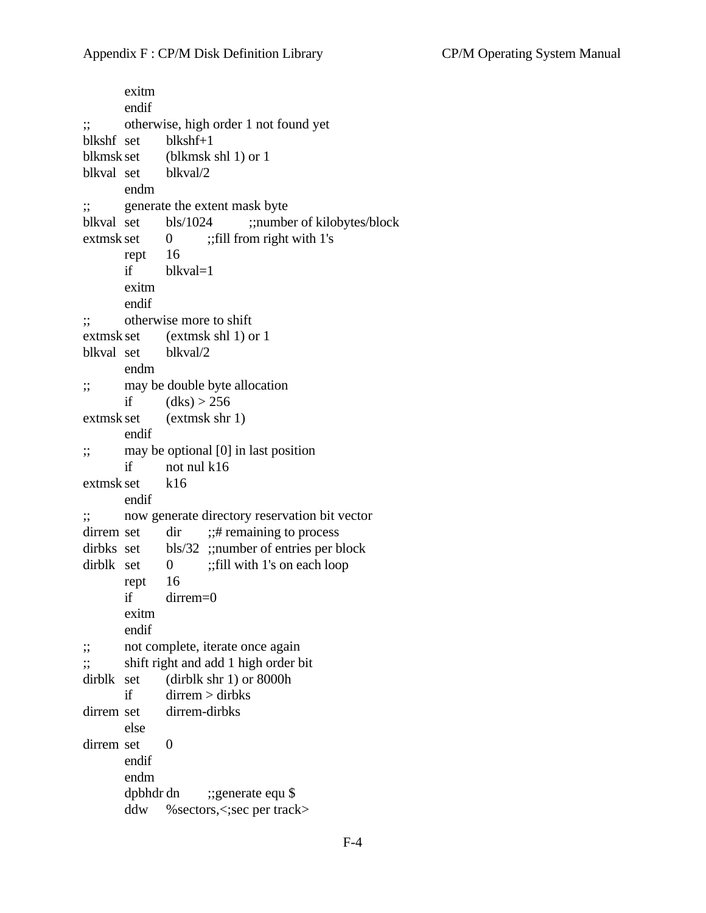exitm endif ;; otherwise, high order 1 not found yet blkshf set blkshf+1 blkmsk set (blkmsk shl 1) or 1 blkval set blkval/2 endm ;; generate the extent mask byte blkval set bls/1024 ;;number of kilobytes/block extmsk set  $\qquad 0 \qquad ;$  fill from right with 1's rept 16 if blkval=1 exitm endif ;; otherwise more to shift extmsk set (extmsk shl 1) or 1 blkval set blkval/2 endm ;; may be double byte allocation if  $(dks) > 256$ extmsk set (extmsk shr 1) endif ;; may be optional [0] in last position if not nul k16 extmsk set k16 endif ;; now generate directory reservation bit vector dirrem set dir ;;# remaining to process dirbks set bls/32 ;;number of entries per block dirblk set  $0$  ;;fill with 1's on each loop rept 16 if dirrem=0 exitm endif ;; not complete, iterate once again ;; shift right and add 1 high order bit dirblk set (dirblk shr 1) or 8000h if dirrem > dirbks dirrem set dirrem-dirbks else dirrem set 0 endif endm dpbhdr dn ;;generate equ \$ ddw %sectors,<;sec per track>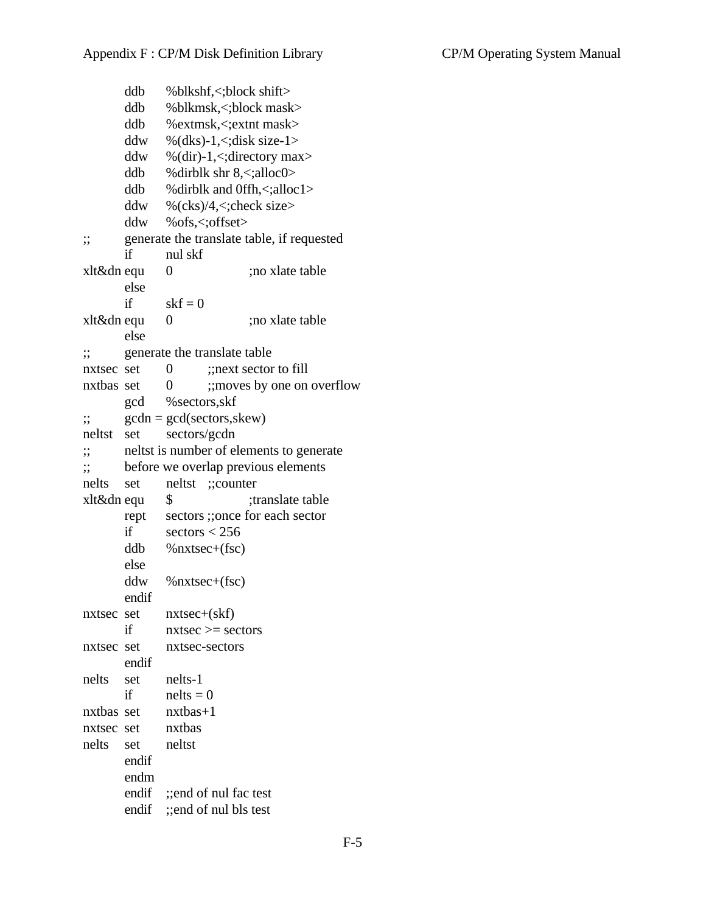ddb %blkshf,<;block shift> ddb %blkmsk,<;block mask> ddb %extmsk,<;extnt mask> ddw % $(dks)-1, \leq; disk size-1>$ ddw % $(dir)-1$ ,  $\leq$ ; directory max ddb %dirblk shr  $8 \lt$ ;alloc0> ddb %dirblk and 0ffh,<;alloc1> ddw % $(ks)/4$ ,  $\lt$ ; check size  $>$ ddw %ofs,<;offset> ;; generate the translate table, if requested if nul skf xlt&dn equ 0 ;no xlate table else if  $skf = 0$ xlt&dn equ 0 ;no xlate table else ;; generate the translate table nxtsec set  $\qquad 0 \qquad \therefore$  next sector to fill nxtbas set 0 ;; moves by one on overflow gcd %sectors,skf  $\therefore$  gcdn = gcd(sectors, skew) neltst set sectors/gcdn ;; neltst is number of elements to generate ;; before we overlap previous elements nelts set neltst ;;counter xlt&dn equ \$ ;translate table rept sectors ;;once for each sector if  $sectors < 256$ ddb %nxtsec+(fsc) else ddw %nxtsec+(fsc) endif nxtsec set nxtsec+(skf) if  $n \times \infty$  > sectors nxtsec set nxtsec-sectors endif nelts set nelts-1 if  $\qquad$  nelts = 0 nxtbas set nxtbas+1 nxtsec set nxtbas nelts set neltst endif endm endif ;;end of nul fac test endif ;;end of nul bls test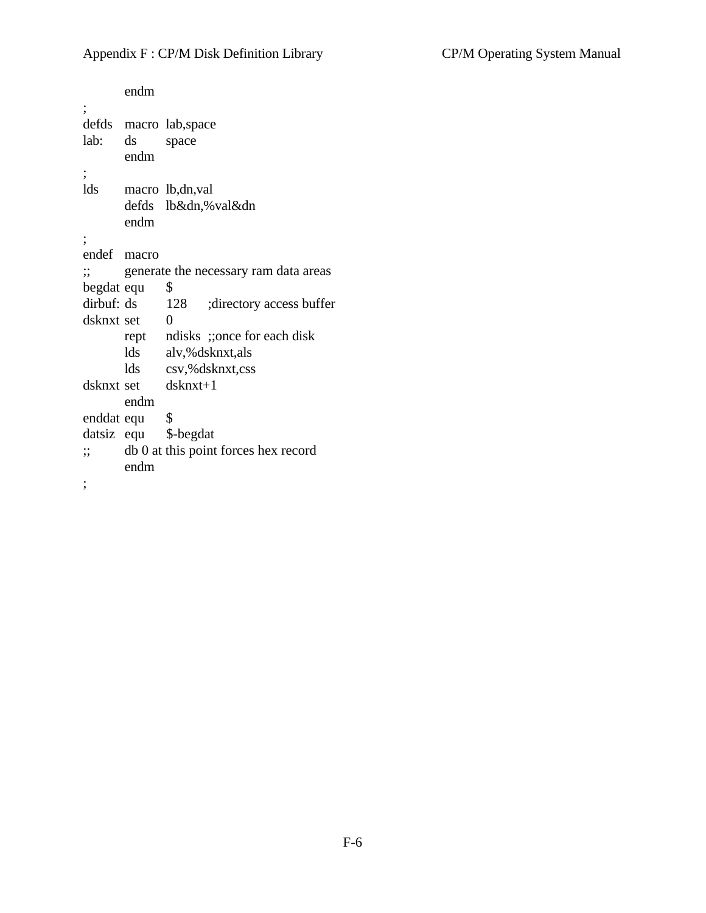endm ; defds macro lab,space lab: ds space endm ; lds macro lb,dn,val defds lb&dn,%val&dn endm ; endef macro ;; generate the necessary ram data areas begdat equ \$ dirbuf: ds 128 ;directory access buffer dsknxt set 0 rept ndisks ;;once for each disk lds alv,%dsknxt,als lds csv,%dsknxt,css dsknxt set dsknxt+1 endm enddat equ \$ datsiz equ \$-begdat ;; db 0 at this point forces hex record endm ;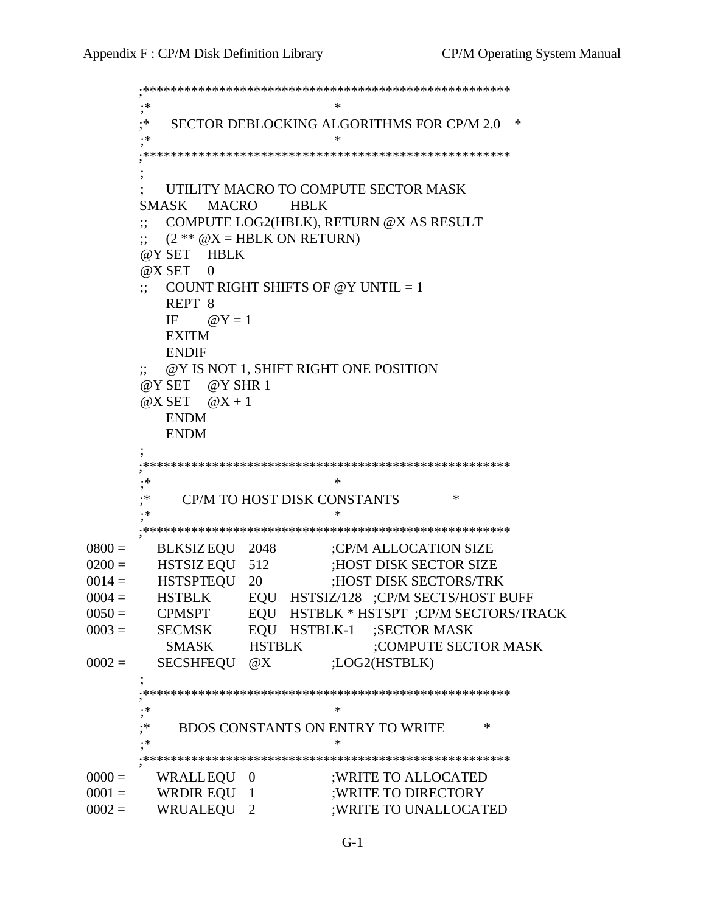```
 ;*****************************************************
 ;* *
        ;* SECTOR DEBLOCKING ALGORITHMS FOR CP/M 2.0 *
 ;* *
        ;*****************************************************
 ;
           ; UTILITY MACRO TO COMPUTE SECTOR MASK
        SMASK MACRO HBLK
        ;; COMPUTE LOG2(HBLK), RETURN @X AS RESULT
       \therefore (2 ** @X = HBLK ON RETURN)
        @Y SET HBLK
       @X SET 0COUNT RIGHT SHIFTS OF @Y UNTIL = 1
           REPT 8
          IF \omega Y = 1 EXITM
           ENDIF
        ;; @Y IS NOT 1, SHIFT RIGHT ONE POSITION
        @Y SET @Y SHR 1
       @X SET \t@X + 1 ENDM
           ENDM
 ;
       ;*****************************************************
 ;* *
       ; * CP/M TO HOST DISK CONSTANTS *
 ;* *
       ;*****************************************************
0800 = BLKSIZEQU 2048 ;CP/M ALLOCATION SIZE
0200 = HSTSIZ EQU 512 ;HOST DISK SECTOR SIZE
0014 = HSTSPTEQU 20 ;HOST DISK SECTORS/TRK
\begin{array}{lllll} 0004=&\text{HSTBLK} &&\text{EQU} &&\text{HSTSL}/128&\text{;CP/M SECTS/HOST BUFF} \\ 0050=&\text{CPMSPT} &&\text{EQU} &&\text{HSTBLK}*\text{HSTSPT} &\text{;CP/M SECTORS/TR} \\ 0003=&\text{SECMSK} &&\text{EQU} &&\text{HSTBLK-1} &\text{;SECTOR MASK} \end{array}EQU HSTBLK * HSTSPT ;CP/M SECTORS/TRACK
                   EQU HSTBLK-1 ;SECTOR MASK
         SMASK HSTBLK ;COMPUTE SECTOR MASK
0002 = SECSHFEQU @X ;LOG2(HSTBLK)
 ;
       ;*****************************************************
 ;* *
        ;* BDOS CONSTANTS ON ENTRY TO WRITE *
 ;* *
       ;*****************************************************
0000 = WRALLEQU 0 ;WRITE TO ALLOCATED
0001 = WRDIR EQU 1 ;WRITE TO DIRECTORY
0002 = WRUALEQU 2 ;WRITE TO UNALLOCATED
```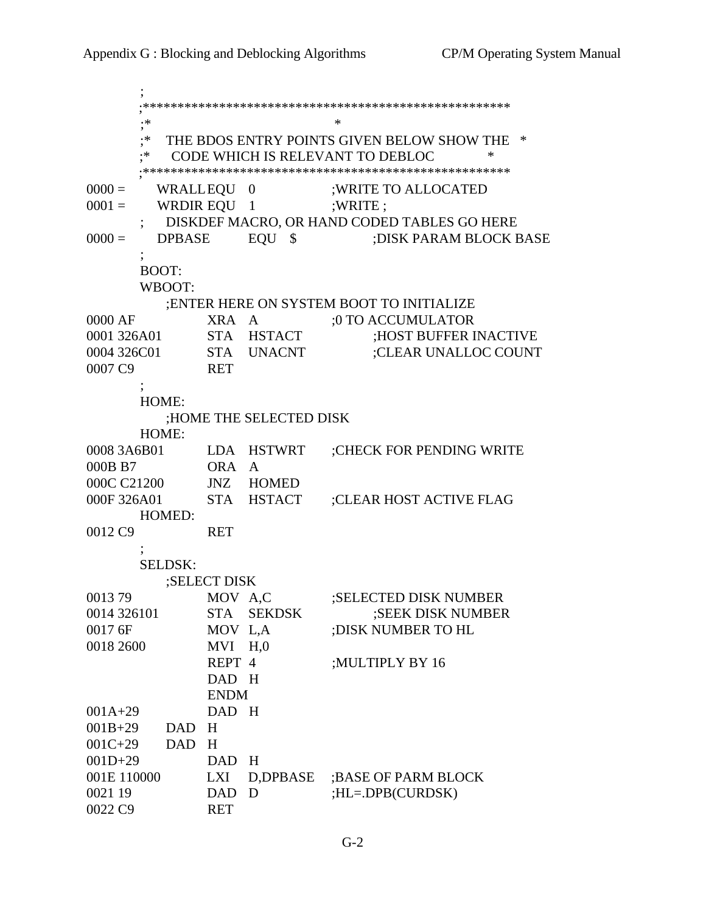; ;\*\*\*\*\*\*\*\*\*\*\*\*\*\*\*\*\*\*\*\*\*\*\*\*\*\*\*\*\*\*\*\*\*\*\*\*\*\*\*\*\*\*\*\*\*\*\*\*\*\*\*\*\* ;\* \* ;\* THE BDOS ENTRY POINTS GIVEN BELOW SHOW THE \* ;\* CODE WHICH IS RELEVANT TO DEBLOC \* ;\*\*\*\*\*\*\*\*\*\*\*\*\*\*\*\*\*\*\*\*\*\*\*\*\*\*\*\*\*\*\*\*\*\*\*\*\*\*\*\*\*\*\*\*\*\*\*\*\*\*\*\*\* 0000 = WRALLEQU 0 ;WRITE TO ALLOCATED  $0001 =$  WRDIR EQU 1 ;WRITE ; ; DISKDEF MACRO, OR HAND CODED TABLES GO HERE 0000 = DPBASE EQU \$ ;DISK PARAM BLOCK BASE  $\ddot{i}$  BOOT: WBOOT: ;ENTER HERE ON SYSTEM BOOT TO INITIALIZE 0000 AF XRA A :0 TO ACCUMULATOR 0001 326A01 STA HSTACT ;HOST BUFFER INACTIVE 0004 326C01 STA UNACNT ;CLEAR UNALLOC COUNT 0007 C9 RET ; HOME: ;HOME THE SELECTED DISK HOME: 0008 3A6B01 LDA HSTWRT ;CHECK FOR PENDING WRITE 000B B7 ORA A 000C C21200 JNZ HOMED 000F 326A01 STA HSTACT ;CLEAR HOST ACTIVE FLAG HOMED: 0012 C9 RET ; SELDSK: ;SELECT DISK 0013 79 MOV A,C :SELECTED DISK NUMBER 0014 326101 STA SEKDSK ;SEEK DISK NUMBER 0017 6F MOV L,A ;DISK NUMBER TO HL 0018 2600 MVI H,0 REPT 4 ;MULTIPLY BY 16 DAD H ENDM 001A+29 DAD H 001B+29 DAD H 001C+29 DAD H 001D+29 DAD H 001E 110000 LXI D,DPBASE ;BASE OF PARM BLOCK 0021 19 DAD D ;HL=.DPB(CURDSK) 0022 C9 RET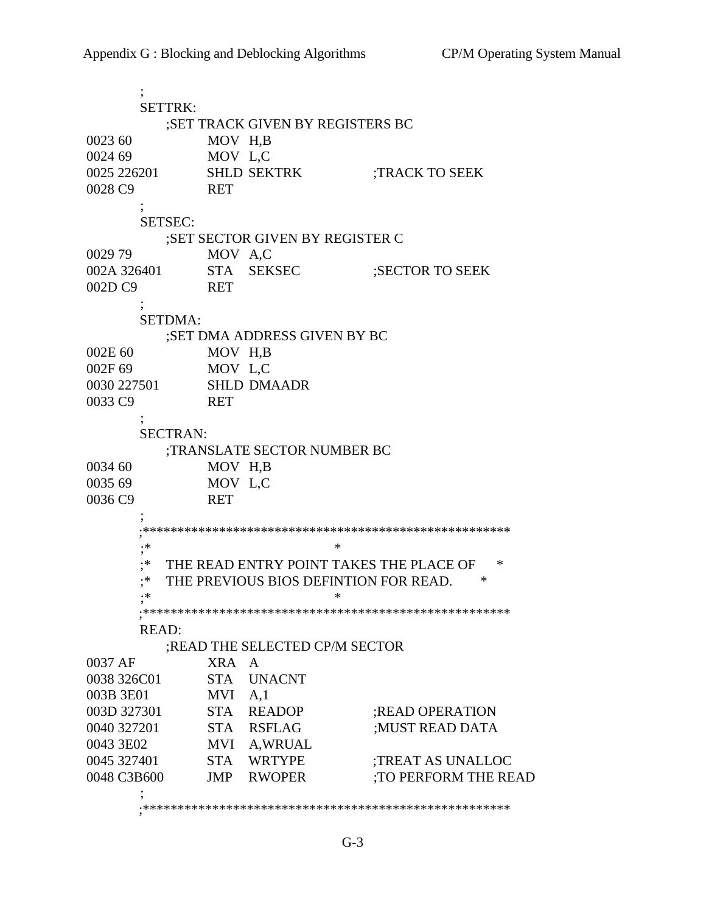; SETTRK: ;SET TRACK GIVEN BY REGISTERS BC 0023 60 MOV H,B 0024 69 MOV L,C 0025 226201 SHLD SEKTRK ;TRACK TO SEEK 0028 C9 RET ; SETSEC: ;SET SECTOR GIVEN BY REGISTER C 0029 79 MOV A,C<br>002A 326401 STA SEK STA SEKSEC ;SECTOR TO SEEK 002D C9 RET ; SETDMA: ;SET DMA ADDRESS GIVEN BY BC 002E 60 MOV H,B 002F 69 MOV L,C 0030 227501 SHLD DMAADR 0033 C9 RET ; SECTRAN: ;TRANSLATE SECTOR NUMBER BC 0034 60 MOV H,B 0035 69 MOV L,C 0036 C9 RET ; ;\*\*\*\*\*\*\*\*\*\*\*\*\*\*\*\*\*\*\*\*\*\*\*\*\*\*\*\*\*\*\*\*\*\*\*\*\*\*\*\*\*\*\*\*\*\*\*\*\*\*\*\*\* ;\* \* ;\* THE READ ENTRY POINT TAKES THE PLACE OF \* ;\* THE PREVIOUS BIOS DEFINTION FOR READ. \* ;\* \* ;\*\*\*\*\*\*\*\*\*\*\*\*\*\*\*\*\*\*\*\*\*\*\*\*\*\*\*\*\*\*\*\*\*\*\*\*\*\*\*\*\*\*\*\*\*\*\*\*\*\*\*\*\* READ: ;READ THE SELECTED CP/M SECTOR 0037 AF XRA A 0038 326C01 STA UNACNT 003B 3E01 MVI A,1 003D 327301 STA READOP ;READ OPERATION 0040 327201 STA RSFLAG ;MUST READ DATA 0043 3E02 MVI A,WRUAL<br>0045 327401 STA WRTYPE<br>0048 C3B600 JMP RWOPER 0045 327401 STA WRTYPE ;TREAT AS UNALLOC 0048 C3B600 JMP RWOPER ;TO PERFORM THE READ ; ;\*\*\*\*\*\*\*\*\*\*\*\*\*\*\*\*\*\*\*\*\*\*\*\*\*\*\*\*\*\*\*\*\*\*\*\*\*\*\*\*\*\*\*\*\*\*\*\*\*\*\*\*\*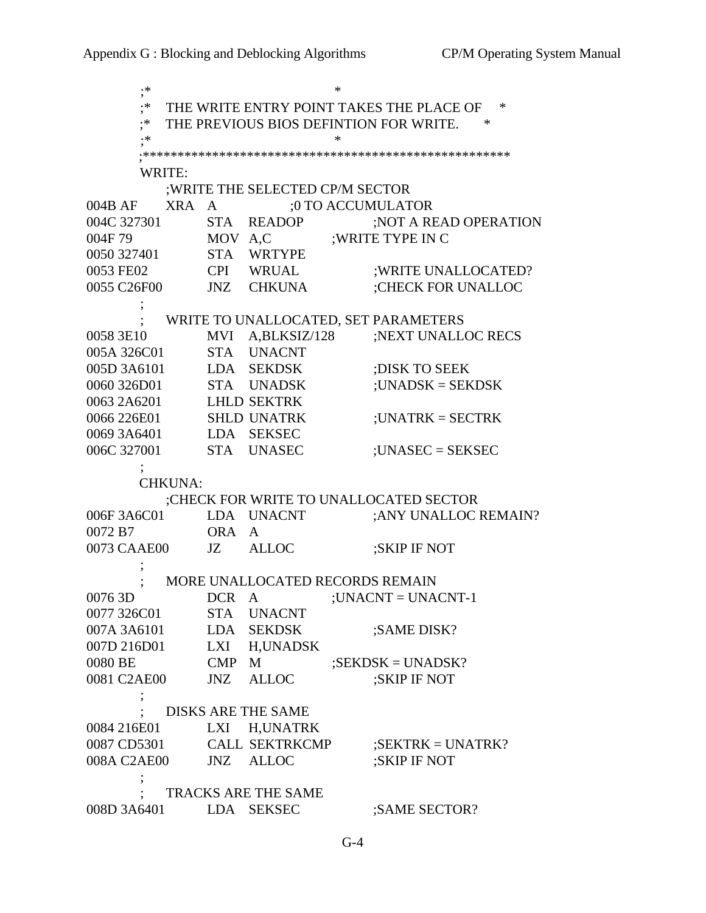| .∗                     |                                                    |                                  | ∗                                                |  |  |  |
|------------------------|----------------------------------------------------|----------------------------------|--------------------------------------------------|--|--|--|
| .∗                     | THE WRITE ENTRY POINT TAKES THE PLACE OF<br>$\ast$ |                                  |                                                  |  |  |  |
| .∗                     |                                                    |                                  | THE PREVIOUS BIOS DEFINTION FOR WRITE.<br>$\ast$ |  |  |  |
| $\cdot\, *$            | *                                                  |                                  |                                                  |  |  |  |
|                        |                                                    |                                  |                                                  |  |  |  |
| WRITE:                 |                                                    |                                  |                                                  |  |  |  |
|                        |                                                    | ; WRITE THE SELECTED CP/M SECTOR |                                                  |  |  |  |
| 004B AF                | XRA<br>$\mathbf{A}$                                |                                  | ;0 TO ACCUMULATOR                                |  |  |  |
| 004C 327301            |                                                    | STA READOP                       | ;NOT A READ OPERATION                            |  |  |  |
| 004F79                 | MOV A,C                                            |                                  | ; WRITE TYPE IN C                                |  |  |  |
| 0050 327401            |                                                    | STA WRTYPE                       |                                                  |  |  |  |
| 0053 FE02              |                                                    | CPI WRUAL                        | ; WRITE UNALLOCATED?                             |  |  |  |
| 0055 C26F00            |                                                    | JNZ CHKUNA                       | ;CHECK FOR UNALLOC                               |  |  |  |
|                        |                                                    |                                  |                                                  |  |  |  |
|                        |                                                    |                                  | WRITE TO UNALLOCATED, SET PARAMETERS             |  |  |  |
| 0058 3E10              |                                                    | MVI A,BLKSIZ/128                 | ;NEXT UNALLOC RECS                               |  |  |  |
| 005A 326C01            |                                                    | STA UNACNT                       |                                                  |  |  |  |
| 005D 3A6101            |                                                    | LDA SEKDSK                       | ; DISK TO SEEK                                   |  |  |  |
| 0060 326D01            |                                                    | STA UNADSK                       | $: UNADSK = SEKDSK$                              |  |  |  |
| 0063 2A6201            |                                                    | <b>LHLD SEKTRK</b>               |                                                  |  |  |  |
| 0066 226E01            |                                                    | <b>SHLD UNATRK</b>               | ; UNATR $K = SECTRK$                             |  |  |  |
| 0069 3A6401            |                                                    | LDA SEKSEC                       |                                                  |  |  |  |
| 006C 327001            |                                                    | STA UNASEC                       | $:UNASEC = SEKSEC$                               |  |  |  |
|                        |                                                    |                                  |                                                  |  |  |  |
| <b>CHKUNA:</b>         |                                                    |                                  |                                                  |  |  |  |
|                        |                                                    |                                  | ;CHECK FOR WRITE TO UNALLOCATED SECTOR           |  |  |  |
| 006F 3A6C01            |                                                    | LDA UNACNT                       | ; ANY UNALLOC REMAIN?                            |  |  |  |
| 0072 B7                | ORA A                                              |                                  |                                                  |  |  |  |
| 0073 CAAE00            | JZ —                                               | <b>ALLOC</b>                     | ;SKIP IF NOT                                     |  |  |  |
|                        |                                                    |                                  |                                                  |  |  |  |
|                        |                                                    |                                  | MORE UNALLOCATED RECORDS REMAIN                  |  |  |  |
| 0076 3D                |                                                    | DCR A                            | ; UNACNT = UNACNT-1                              |  |  |  |
| 0077 326C01            |                                                    | STA UNACNT                       |                                                  |  |  |  |
| 007A 3A6101            |                                                    | LDA SEKDSK                       | ;SAME DISK?                                      |  |  |  |
| 007D 216D01            |                                                    | LXI H, UNADSK                    |                                                  |  |  |  |
| 0080 BE                | CMP M                                              |                                  | $;$ SEKDSK = UNADSK?                             |  |  |  |
| 0081 C2AE00            |                                                    | JNZ ALLOC                        | ;SKIP IF NOT                                     |  |  |  |
|                        |                                                    |                                  |                                                  |  |  |  |
|                        | <b>DISKS ARE THE SAME</b>                          |                                  |                                                  |  |  |  |
| 0084 216E01            |                                                    | LXI H, UNATRK                    |                                                  |  |  |  |
| 0087 CD5301            |                                                    | <b>CALL SEKTRKCMP</b>            | $;$ SEKTRK = UNATRK?                             |  |  |  |
| 008A C2AE00            |                                                    | JNZ ALLOC                        | ;SKIP IF NOT                                     |  |  |  |
|                        |                                                    | TRACKS ARE THE SAME              |                                                  |  |  |  |
| 008D 3A6401 LDA SEKSEC |                                                    |                                  | ;SAME SECTOR?                                    |  |  |  |
|                        |                                                    |                                  |                                                  |  |  |  |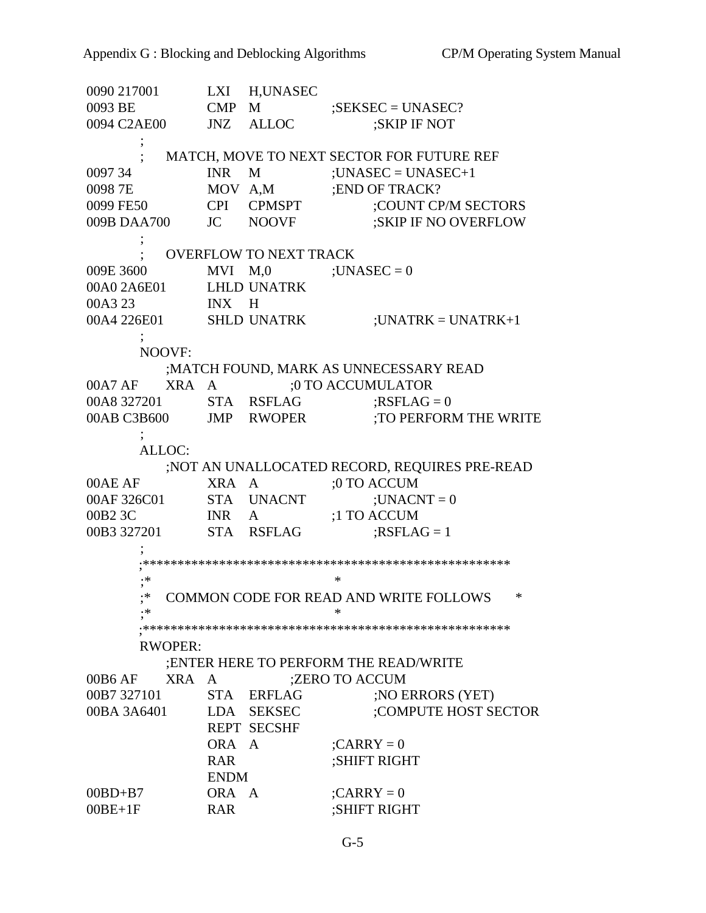0090 217001 LXI H,UNASEC 0093 BE CMP M ;SEKSEC = UNASEC? 0094 C2AE00 JNZ ALLOC ;SKIP IF NOT ; ; MATCH, MOVE TO NEXT SECTOR FOR FUTURE REF  $0097\,34$  INR M :UNASEC = UNASEC+1 0098 7E MOV A,M ;END OF TRACK? 0099 FE50 CPI CPMSPT ;COUNT CP/M SECTORS 009B DAA700 JC NOOVF ;SKIP IF NO OVERFLOW ; ; OVERFLOW TO NEXT TRACK 009E 3600 MVI  $M,0$  ; UNASEC = 0 00A0 2A6E01 LHLD UNATRK 00A3 23 INX H  $00A4 226E01$  SHLD UNATRK ;UNATRK = UNATRK+1 ; NOOVF: ;MATCH FOUND, MARK AS UNNECESSARY READ 00A7 AF XRA A ;0 TO ACCUMULATOR 00A8 327201 STA RSFLAG ;RSFLAG = 0 00AB C3B600 JMP RWOPER ;TO PERFORM THE WRITE ; ALLOC: ;NOT AN UNALLOCATED RECORD, REQUIRES PRE-READ 00AE AF XRA A ;0 TO ACCUM 00AF 326C01 STA UNACNT ;UNACNT = 0 00B2 3C INR A ;1 TO ACCUM 00B3 327201 STA RSFLAG ;RSFLAG = 1 ; ;\*\*\*\*\*\*\*\*\*\*\*\*\*\*\*\*\*\*\*\*\*\*\*\*\*\*\*\*\*\*\*\*\*\*\*\*\*\*\*\*\*\*\*\*\*\*\*\*\*\*\*\*\* ;\* \* ;\* COMMON CODE FOR READ AND WRITE FOLLOWS \* ;\* \* ;\*\*\*\*\*\*\*\*\*\*\*\*\*\*\*\*\*\*\*\*\*\*\*\*\*\*\*\*\*\*\*\*\*\*\*\*\*\*\*\*\*\*\*\*\*\*\*\*\*\*\*\*\* RWOPER: ;ENTER HERE TO PERFORM THE READ/WRITE 00B6 AF XRA A ;ZERO TO ACCUM 00B7 327101 STA ERFLAG ;NO ERRORS (YET) 00BA 3A6401 LDA SEKSEC ;COMPUTE HOST SECTOR REPT SECSHF ORA  $A$  ;CARRY = 0 RAR ;SHIFT RIGHT ENDM  $00BD+B7$  ORA A ;CARRY = 0 00BE+1F RAR ;SHIFT RIGHT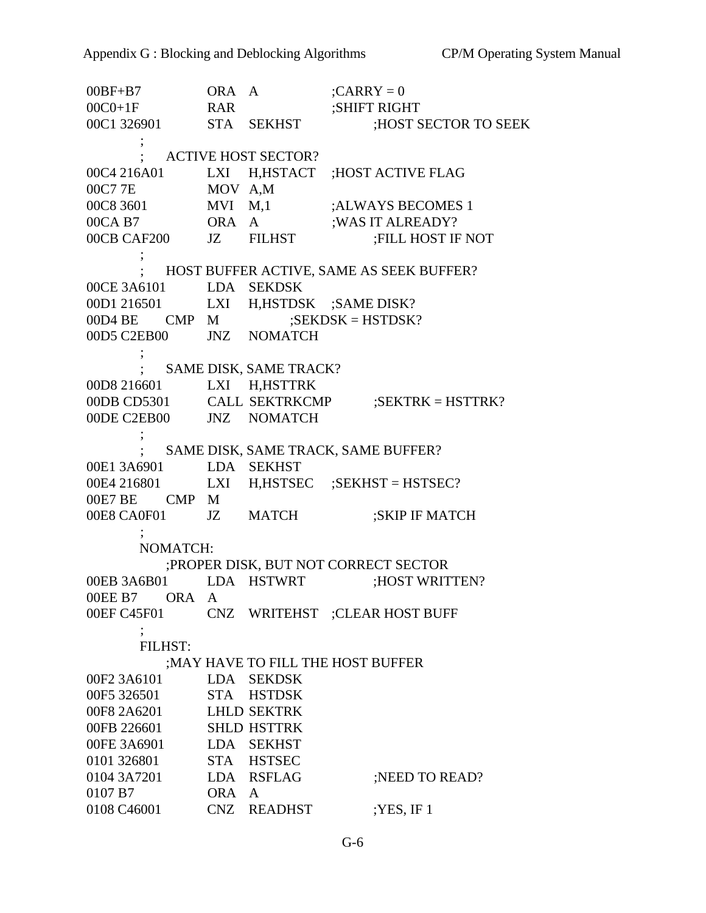$00BF+B7$  ORA A ;CARRY = 0 00C0+1F RAR ;SHIFT RIGHT 00C1 326901 STA SEKHST ;HOST SECTOR TO SEEK ; ; ACTIVE HOST SECTOR? 00C4 216A01 LXI H,HSTACT ;HOST ACTIVE FLAG 00C7 7E MOV A,M 00C8 3601 MVI M,1 ;ALWAYS BECOMES 1 00CA B7 ORA A ;WAS IT ALREADY? 00CB CAF200 JZ FILHST ;FILL HOST IF NOT  $\ddot{i}$  ; HOST BUFFER ACTIVE, SAME AS SEEK BUFFER? 00CE 3A6101 LDA SEKDSK 00D1 216501 LXI H,HSTDSK ;SAME DISK? 00D4 BE CMP M ;SEKDSK = HSTDSK? 00D5 C2EB00 JNZ NOMATCH ; ; SAME DISK, SAME TRACK? 00D8 216601 LXI H,HSTTRK 00DB CD5301 CALL SEKTRKCMP ;SEKTRK = HSTTRK? 00DE C2EB00 JNZ NOMATCH ; ; SAME DISK, SAME TRACK, SAME BUFFER? 00E1 3A6901 LDA SEKHST 00E4 216801 LXI H,HSTSEC :SEKHST = HSTSEC? 00E7 BE CMP M 00E8 CA0F01 JZ MATCH ;SKIP IF MATCH  $\ddot{i}$  NOMATCH: ;PROPER DISK, BUT NOT CORRECT SECTOR 00EB 3A6B01 LDA HSTWRT ;HOST WRITTEN? 00EE B7 ORA A 00EF C45F01 CNZ WRITEHST ;CLEAR HOST BUFF ; FILHST: ;MAY HAVE TO FILL THE HOST BUFFER 00F2 3A6101 LDA SEKDSK 00F5 326501 STA HSTDSK 00F8 2A6201 LHLD SEKTRK 00FB 226601 SHLD HSTTRK 00FE 3A6901 LDA SEKHST 0101 326801 STA HSTSEC 0104 3A7201 LDA RSFLAG ;NEED TO READ? 0107 B7 ORA A 0108 C46001 CNZ READHST ;YES, IF 1

G-6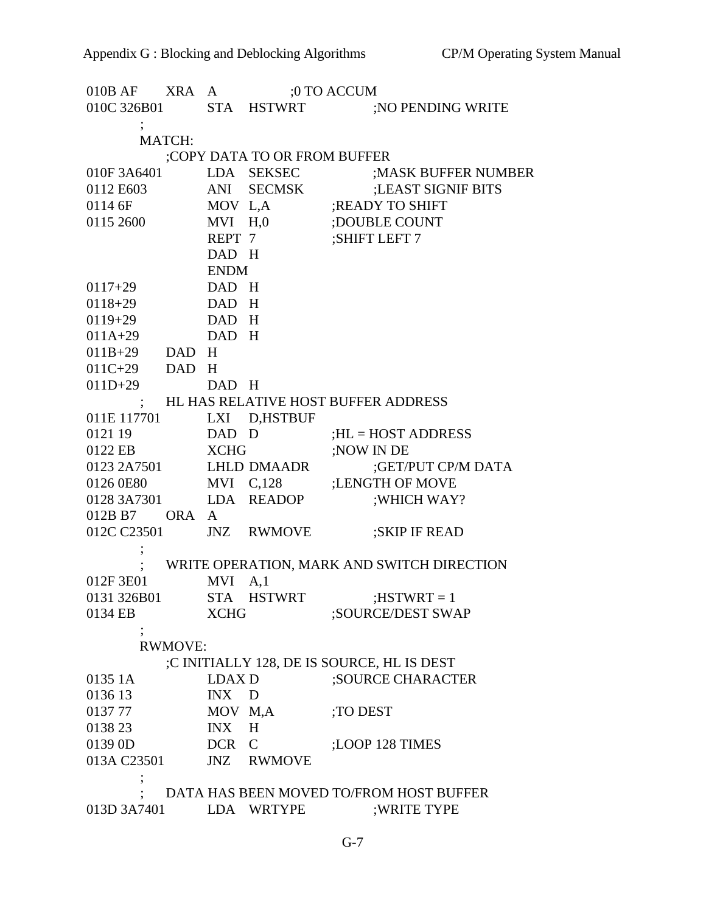| $010B$ AF                               | <b>XRA</b>     | A                    | ;0 TO ACCUM                  |                                            |  |
|-----------------------------------------|----------------|----------------------|------------------------------|--------------------------------------------|--|
|                                         |                |                      | 010C 326B01 STA HSTWRT       | ; NO PENDING WRITE                         |  |
|                                         |                |                      |                              |                                            |  |
|                                         | <b>MATCH:</b>  |                      |                              |                                            |  |
|                                         |                |                      | ;COPY DATA TO OR FROM BUFFER |                                            |  |
| 010F 3A6401                             |                |                      | LDA SEKSEC                   | ;MASK BUFFER NUMBER                        |  |
| 0112 E603                               |                |                      | ANI SECMSK                   | ;LEAST SIGNIF BITS                         |  |
| 0114 6F                                 |                |                      |                              | MOV L,A ;READY TO SHIFT                    |  |
| 0115 2600                               |                |                      | MVI H,0                      | ;DOUBLE COUNT                              |  |
|                                         |                | REPT 7               |                              | ;SHIFT LEFT 7                              |  |
|                                         |                | DAD H                |                              |                                            |  |
|                                         |                | <b>ENDM</b><br>DAD H |                              |                                            |  |
| $0117+29$<br>$0118 + 29$                |                | DAD H                |                              |                                            |  |
| $0119+29$                               |                | DAD H                |                              |                                            |  |
| $011A+29$                               |                | DAD H                |                              |                                            |  |
| 011B+29 DAD H                           |                |                      |                              |                                            |  |
| $011C+29$ DAD H                         |                |                      |                              |                                            |  |
| $011D+29$                               |                | DAD H                |                              |                                            |  |
|                                         |                |                      |                              | HL HAS RELATIVE HOST BUFFER ADDRESS        |  |
| 011E 117701                             |                | LXI                  | <b>D,HSTBUF</b>              |                                            |  |
| 0121 19                                 |                | DAD D                |                              | $;$ HL = HOST ADDRESS                      |  |
| 0122 EB                                 |                | <b>XCHG</b>          |                              | ;NOW IN DE                                 |  |
| 0123 2A7501                             |                |                      | LHLD DMAADR                  | ;GET/PUT CP/M DATA                         |  |
| 0126 0E80                               |                |                      | MVI C,128                    | ;LENGTH OF MOVE                            |  |
| 0128 3A7301                             |                |                      | LDA READOP                   | ;WHICH WAY?                                |  |
| 012B B7                                 | ORA A          |                      |                              |                                            |  |
| 012C C23501                             |                |                      | JNZ RWMOVE                   | <b>;SKIP IF READ</b>                       |  |
|                                         |                |                      |                              |                                            |  |
|                                         |                |                      |                              | WRITE OPERATION, MARK AND SWITCH DIRECTION |  |
| 012F 3E01                               |                | $MVI \quad A,1$      |                              |                                            |  |
| 0131 326B01                             |                | <b>STA</b>           | <b>HSTWRT</b>                | $HSTWRT = 1$                               |  |
| 0134 EB                                 |                | <b>XCHG</b>          |                              | ;SOURCE/DEST SWAP                          |  |
|                                         |                |                      |                              |                                            |  |
|                                         | <b>RWMOVE:</b> |                      |                              |                                            |  |
|                                         |                |                      |                              | ;C INITIALLY 128, DE IS SOURCE, HL IS DEST |  |
| 0135 1A                                 |                | <b>LDAX D</b>        |                              | ;SOURCE CHARACTER                          |  |
| 0136 13                                 |                | INX                  | $\overline{D}$               |                                            |  |
| 013777                                  |                | MOV M,A              |                              | :TO DEST                                   |  |
| 0138 23                                 |                | INX                  | H                            |                                            |  |
| 0139 0D                                 |                | DCR C                |                              | ;LOOP 128 TIMES                            |  |
| 013A C23501                             |                |                      | JNZ RWMOVE                   |                                            |  |
| DATA HAS BEEN MOVED TO/FROM HOST BUFFER |                |                      |                              |                                            |  |
| 013D 3A7401                             |                |                      | LDA WRTYPE                   | ;WRITE TYPE                                |  |
|                                         |                |                      |                              |                                            |  |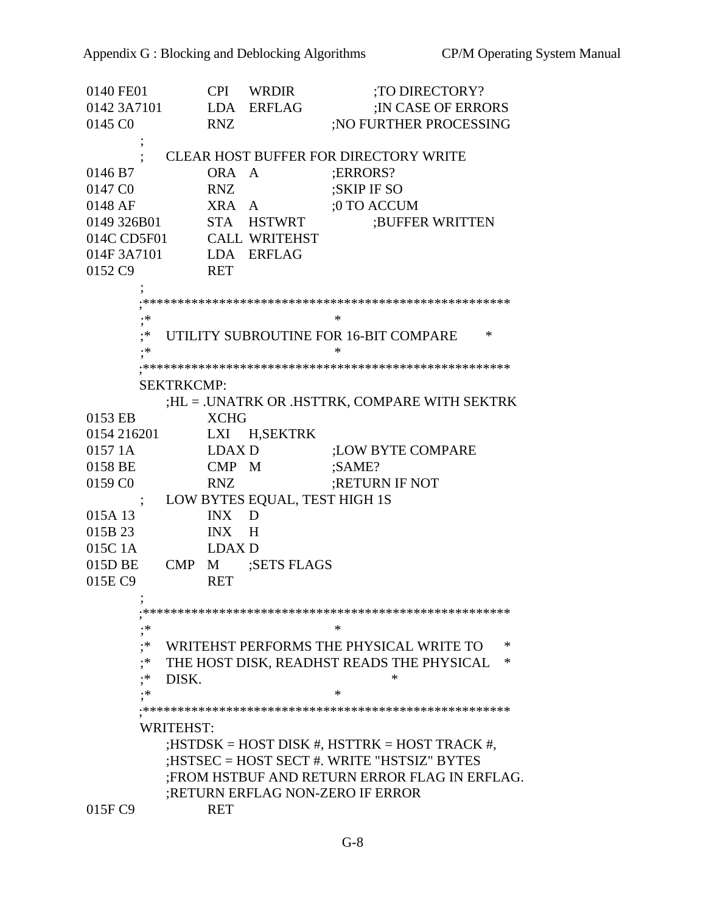0140 FE01 CPI WRDIR :TO DIRECTORY? 0142 3A7101 LDA ERFLAG ;IN CASE OF ERRORS 0145 C0 RNZ ;NO FURTHER PROCESSING ; ; CLEAR HOST BUFFER FOR DIRECTORY WRITE 0146 B7 ORA A :ERRORS? 0147 C0 RNZ :SKIP IF SO 0148 AF XRA A ;0 TO ACCUM 0149 326B01 STA HSTWRT ;BUFFER WRITTEN 014C CD5F01 CALL WRITEHST 014F 3A7101 LDA ERFLAG 0152 C9 RET ; ;\*\*\*\*\*\*\*\*\*\*\*\*\*\*\*\*\*\*\*\*\*\*\*\*\*\*\*\*\*\*\*\*\*\*\*\*\*\*\*\*\*\*\*\*\*\*\*\*\*\*\*\*\* ;\* \* ;\* UTILITY SUBROUTINE FOR 16-BIT COMPARE \* ;\* \* ;\*\*\*\*\*\*\*\*\*\*\*\*\*\*\*\*\*\*\*\*\*\*\*\*\*\*\*\*\*\*\*\*\*\*\*\*\*\*\*\*\*\*\*\*\*\*\*\*\*\*\*\*\* SEKTRKCMP: ;HL = .UNATRK OR .HSTTRK, COMPARE WITH SEKTRK 0153 EB XCHG 0154 216201 LXI H,SEKTRK 0157 1A LDAX D :LOW BYTE COMPARE 0158 BE CMP M :SAME? 0159 C0 RNZ ;RETURN IF NOT ; LOW BYTES EQUAL, TEST HIGH 1S 015A 13 INX D 015B 23 INX H 015C 1A LDAX D 015D BE CMP M ;SETS FLAGS 015E C9 RET  $\ddot{i}$  ;\*\*\*\*\*\*\*\*\*\*\*\*\*\*\*\*\*\*\*\*\*\*\*\*\*\*\*\*\*\*\*\*\*\*\*\*\*\*\*\*\*\*\*\*\*\*\*\*\*\*\*\*\* ;\* \* ;\* WRITEHST PERFORMS THE PHYSICAL WRITE TO \* ;\* THE HOST DISK, READHST READS THE PHYSICAL \*  $;$ \* DISK. \* \* ;\* \* ;\*\*\*\*\*\*\*\*\*\*\*\*\*\*\*\*\*\*\*\*\*\*\*\*\*\*\*\*\*\*\*\*\*\*\*\*\*\*\*\*\*\*\*\*\*\*\*\*\*\*\*\*\* WRITEHST: ;HSTDSK = HOST DISK #, HSTTRK = HOST TRACK #, ;HSTSEC = HOST SECT #. WRITE "HSTSIZ" BYTES ;FROM HSTBUF AND RETURN ERROR FLAG IN ERFLAG. ;RETURN ERFLAG NON-ZERO IF ERROR 015F C9 RET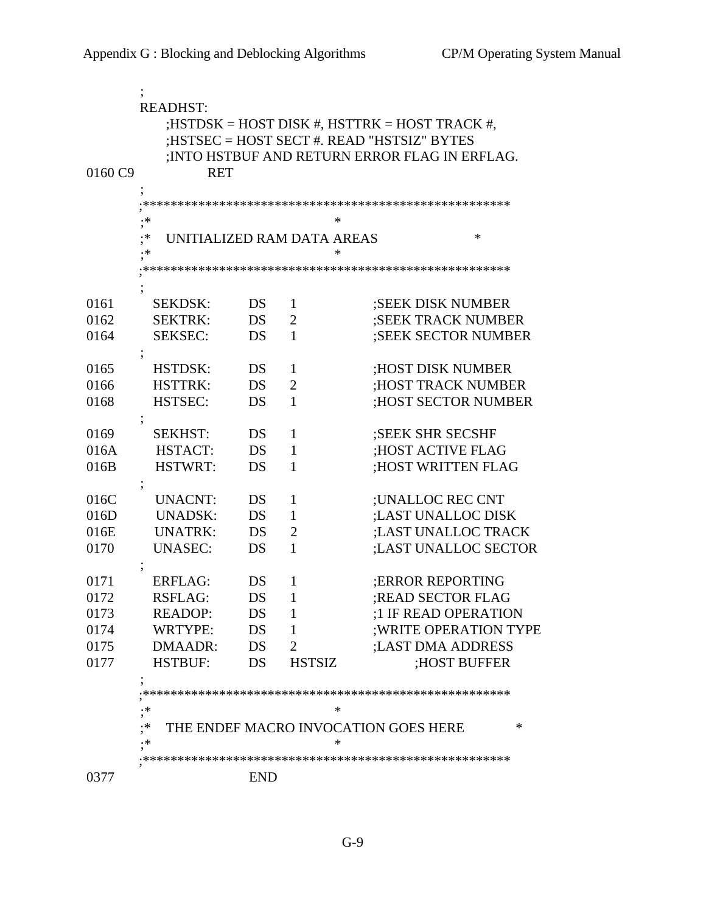| 0160 C9 | <b>READHST:</b><br>; HSTDSK = HOST DISK #, HSTTRK = HOST TRACK #,<br>;HSTSEC = HOST SECT #. READ "HSTSIZ" BYTES<br>; INTO HSTBUF AND RETURN ERROR FLAG IN ERFLAG.<br><b>RET</b> |            |                |                                           |  |  |  |  |
|---------|---------------------------------------------------------------------------------------------------------------------------------------------------------------------------------|------------|----------------|-------------------------------------------|--|--|--|--|
|         |                                                                                                                                                                                 |            |                |                                           |  |  |  |  |
|         | .∗<br>*                                                                                                                                                                         |            |                |                                           |  |  |  |  |
|         | ,<br>.*                                                                                                                                                                         |            |                | ∗                                         |  |  |  |  |
|         | UNITIALIZED RAM DATA AREAS<br>*<br>≯۰                                                                                                                                           |            |                |                                           |  |  |  |  |
|         |                                                                                                                                                                                 |            |                |                                           |  |  |  |  |
|         |                                                                                                                                                                                 |            |                |                                           |  |  |  |  |
| 0161    | <b>SEKDSK:</b>                                                                                                                                                                  | DS         | 1              | ;SEEK DISK NUMBER                         |  |  |  |  |
| 0162    | <b>SEKTRK:</b>                                                                                                                                                                  | DS         | 2              | ;SEEK TRACK NUMBER                        |  |  |  |  |
| 0164    | <b>SEKSEC:</b>                                                                                                                                                                  | DS         | $\mathbf{1}$   | <b>;SEEK SECTOR NUMBER</b>                |  |  |  |  |
|         |                                                                                                                                                                                 |            |                |                                           |  |  |  |  |
| 0165    | <b>HSTDSK:</b>                                                                                                                                                                  | DS         | 1              | ;HOST DISK NUMBER                         |  |  |  |  |
| 0166    | <b>HSTTRK:</b>                                                                                                                                                                  | DS         | $\overline{2}$ | ;HOST TRACK NUMBER                        |  |  |  |  |
| 0168    | HSTSEC:                                                                                                                                                                         | DS         | $\mathbf{1}$   | <b>HOST SECTOR NUMBER</b>                 |  |  |  |  |
|         |                                                                                                                                                                                 |            |                |                                           |  |  |  |  |
| 0169    | <b>SEKHST:</b>                                                                                                                                                                  | DS         | 1              | <b>SEEK SHR SECSHF</b>                    |  |  |  |  |
| 016A    | HSTACT:                                                                                                                                                                         | DS         | 1              | ;HOST ACTIVE FLAG                         |  |  |  |  |
| 016B    | <b>HSTWRT:</b>                                                                                                                                                                  | DS         | $\mathbf{1}$   | ;HOST WRITTEN FLAG                        |  |  |  |  |
|         |                                                                                                                                                                                 |            |                |                                           |  |  |  |  |
| 016C    | <b>UNACNT:</b>                                                                                                                                                                  | DS         | 1              | ;UNALLOC REC CNT                          |  |  |  |  |
| 016D    | <b>UNADSK:</b>                                                                                                                                                                  | DS         | 1              | ;LAST UNALLOC DISK                        |  |  |  |  |
| 016E    | <b>UNATRK:</b>                                                                                                                                                                  | DS         | $\overline{2}$ | ;LAST UNALLOC TRACK                       |  |  |  |  |
| 0170    | <b>UNASEC:</b>                                                                                                                                                                  | DS         | 1              | ;LAST UNALLOC SECTOR                      |  |  |  |  |
|         |                                                                                                                                                                                 |            |                |                                           |  |  |  |  |
| 0171    | <b>ERFLAG:</b>                                                                                                                                                                  | DS         | 1              | <b>ERROR REPORTING</b>                    |  |  |  |  |
| 0172    | <b>RSFLAG:</b>                                                                                                                                                                  | DS         | 1              | ;READ SECTOR FLAG                         |  |  |  |  |
| 0173    | <b>READOP:</b>                                                                                                                                                                  | DS         | 1              | :1 IF READ OPERATION                      |  |  |  |  |
| 0174    | WRTYPE:                                                                                                                                                                         | DS         | 1              | ; WRITE OPERATION TYPE                    |  |  |  |  |
| 0175    | DMAADR:                                                                                                                                                                         | DS         | 2              | ;LAST DMA ADDRESS                         |  |  |  |  |
| 0177    | <b>HSTBUF:</b>                                                                                                                                                                  | DS         | <b>HSTSIZ</b>  | ;HOST BUFFER                              |  |  |  |  |
|         | $\cdot$                                                                                                                                                                         |            |                |                                           |  |  |  |  |
|         |                                                                                                                                                                                 |            |                |                                           |  |  |  |  |
|         | .∗<br>,                                                                                                                                                                         |            | *              |                                           |  |  |  |  |
|         | .∗                                                                                                                                                                              |            | ∗              | THE ENDEF MACRO INVOCATION GOES HERE<br>∗ |  |  |  |  |
|         | .∗                                                                                                                                                                              |            |                |                                           |  |  |  |  |
|         |                                                                                                                                                                                 |            |                |                                           |  |  |  |  |
| 0377    |                                                                                                                                                                                 | <b>END</b> |                |                                           |  |  |  |  |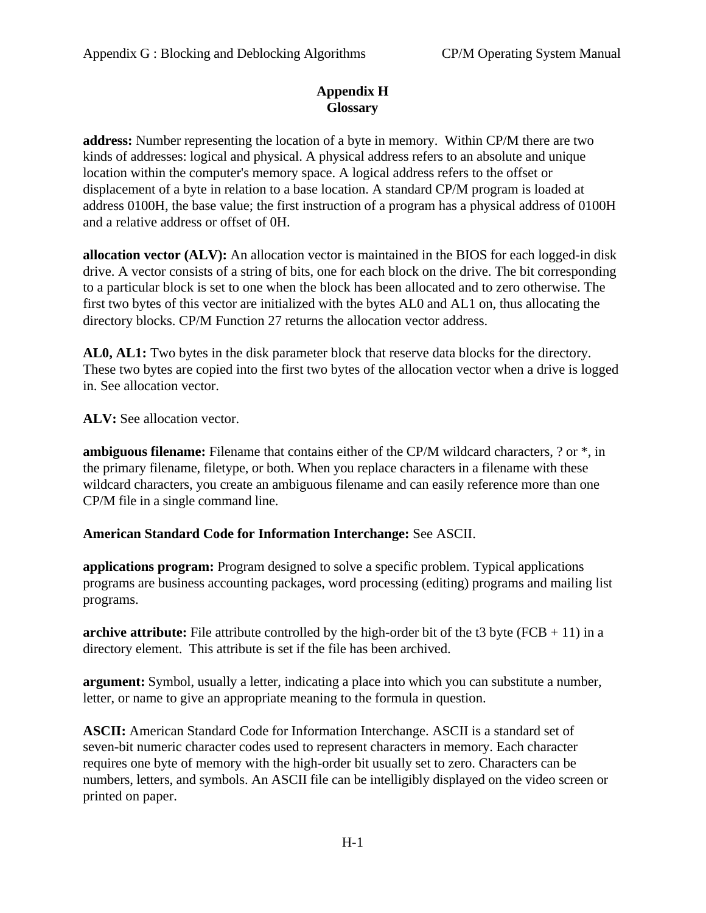# **Appendix H Glossary**

**address:** Number representing the location of a byte in memory. Within CP/M there are two kinds of addresses: logical and physical. A physical address refers to an absolute and unique location within the computer's memory space. A logical address refers to the offset or displacement of a byte in relation to a base location. A standard CP/M program is loaded at address 0100H, the base value; the first instruction of a program has a physical address of 0100H and a relative address or offset of 0H.

**allocation vector (ALV):** An allocation vector is maintained in the BIOS for each logged-in disk drive. A vector consists of a string of bits, one for each block on the drive. The bit corresponding to a particular block is set to one when the block has been allocated and to zero otherwise. The first two bytes of this vector are initialized with the bytes AL0 and AL1 on, thus allocating the directory blocks. CP/M Function 27 returns the allocation vector address.

**AL0, AL1:** Two bytes in the disk parameter block that reserve data blocks for the directory. These two bytes are copied into the first two bytes of the allocation vector when a drive is logged in. See allocation vector.

**ALV:** See allocation vector.

**ambiguous filename:** Filename that contains either of the CP/M wildcard characters, ? or \*, in the primary filename, filetype, or both. When you replace characters in a filename with these wildcard characters, you create an ambiguous filename and can easily reference more than one CP/M file in a single command line.

### **American Standard Code for Information Interchange:** See ASCII.

**applications program:** Program designed to solve a specific problem. Typical applications programs are business accounting packages, word processing (editing) programs and mailing list programs.

**archive attribute:** File attribute controlled by the high-order bit of the t3 byte ( $FCB + 11$ ) in a directory element. This attribute is set if the file has been archived.

**argument:** Symbol, usually a letter, indicating a place into which you can substitute a number, letter, or name to give an appropriate meaning to the formula in question.

**ASCII:** American Standard Code for Information Interchange. ASCII is a standard set of seven-bit numeric character codes used to represent characters in memory. Each character requires one byte of memory with the high-order bit usually set to zero. Characters can be numbers, letters, and symbols. An ASCII file can be intelligibly displayed on the video screen or printed on paper.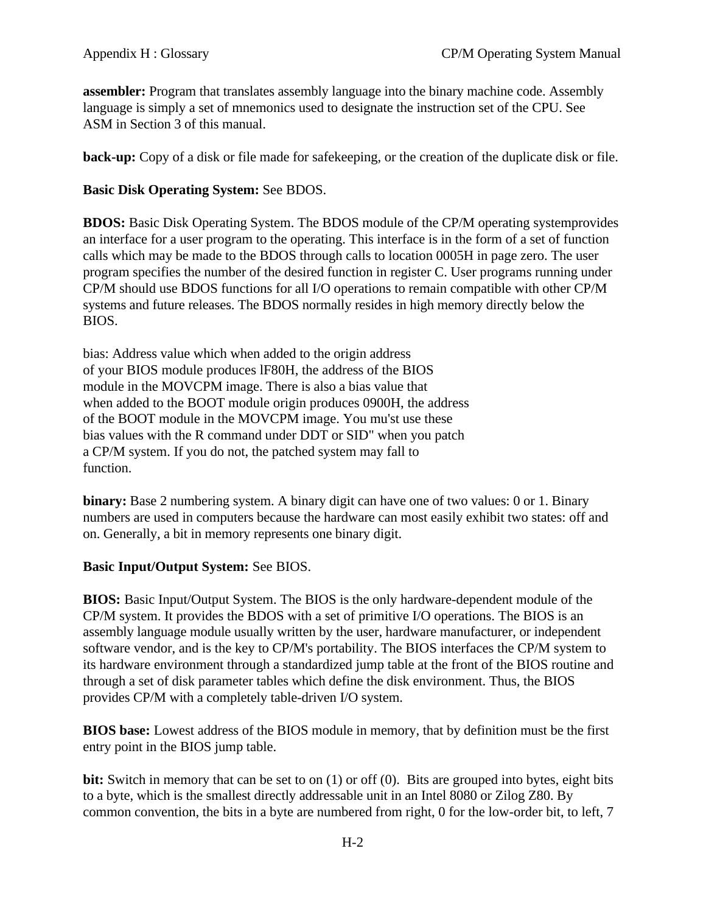**assembler:** Program that translates assembly language into the binary machine code. Assembly language is simply a set of mnemonics used to designate the instruction set of the CPU. See ASM in Section 3 of this manual.

**back-up:** Copy of a disk or file made for safekeeping, or the creation of the duplicate disk or file.

# **Basic Disk Operating System:** See BDOS.

**BDOS:** Basic Disk Operating System. The BDOS module of the CP/M operating systemprovides an interface for a user program to the operating. This interface is in the form of a set of function calls which may be made to the BDOS through calls to location 0005H in page zero. The user program specifies the number of the desired function in register C. User programs running under CP/M should use BDOS functions for all I/O operations to remain compatible with other CP/M systems and future releases. The BDOS normally resides in high memory directly below the BIOS.

bias: Address value which when added to the origin address of your BIOS module produces lF80H, the address of the BIOS module in the MOVCPM image. There is also a bias value that when added to the BOOT module origin produces 0900H, the address of the BOOT module in the MOVCPM image. You mu'st use these bias values with the R command under DDT or SID" when you patch a CP/M system. If you do not, the patched system may fall to function.

**binary:** Base 2 numbering system. A binary digit can have one of two values: 0 or 1. Binary numbers are used in computers because the hardware can most easily exhibit two states: off and on. Generally, a bit in memory represents one binary digit.

### **Basic Input/Output System:** See BIOS.

**BIOS:** Basic Input/Output System. The BIOS is the only hardware-dependent module of the CP/M system. It provides the BDOS with a set of primitive I/O operations. The BIOS is an assembly language module usually written by the user, hardware manufacturer, or independent software vendor, and is the key to CP/M's portability. The BIOS interfaces the CP/M system to its hardware environment through a standardized jump table at the front of the BIOS routine and through a set of disk parameter tables which define the disk environment. Thus, the BIOS provides CP/M with a completely table-driven I/O system.

**BIOS base:** Lowest address of the BIOS module in memory, that by definition must be the first entry point in the BIOS jump table.

**bit:** Switch in memory that can be set to on (1) or off (0). Bits are grouped into bytes, eight bits to a byte, which is the smallest directly addressable unit in an Intel 8080 or Zilog Z80. By common convention, the bits in a byte are numbered from right, 0 for the low-order bit, to left, 7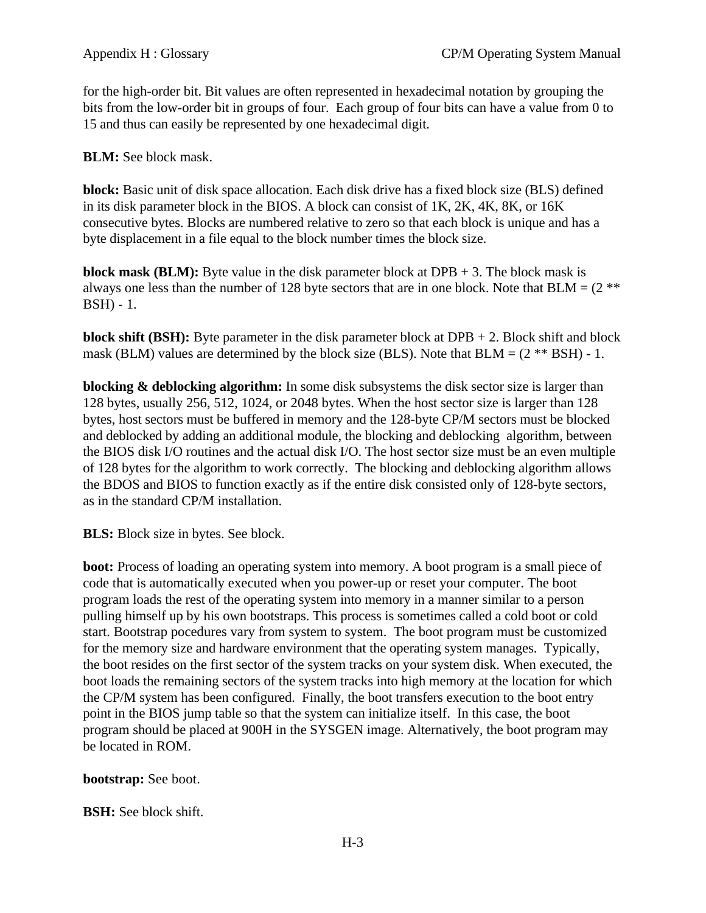for the high-order bit. Bit values are often represented in hexadecimal notation by grouping the bits from the low-order bit in groups of four. Each group of four bits can have a value from 0 to 15 and thus can easily be represented by one hexadecimal digit.

**BLM:** See block mask.

**block:** Basic unit of disk space allocation. Each disk drive has a fixed block size (BLS) defined in its disk parameter block in the BIOS. A block can consist of 1K, 2K, 4K, 8K, or 16K consecutive bytes. Blocks are numbered relative to zero so that each block is unique and has a byte displacement in a file equal to the block number times the block size.

**block mask (BLM):** Byte value in the disk parameter block at  $DPB + 3$ . The block mask is always one less than the number of 128 byte sectors that are in one block. Note that  $BLM = (2 \cdot \cdot \cdot \cdot)$ BSH) - 1.

**block shift (BSH):** Byte parameter in the disk parameter block at DPB + 2. Block shift and block mask (BLM) values are determined by the block size (BLS). Note that  $BLM = (2 ** BSH) - 1$ .

**blocking & deblocking algorithm:** In some disk subsystems the disk sector size is larger than 128 bytes, usually 256, 512, 1024, or 2048 bytes. When the host sector size is larger than 128 bytes, host sectors must be buffered in memory and the 128-byte CP/M sectors must be blocked and deblocked by adding an additional module, the blocking and deblocking algorithm, between the BIOS disk I/O routines and the actual disk I/O. The host sector size must be an even multiple of 128 bytes for the algorithm to work correctly. The blocking and deblocking algorithm allows the BDOS and BIOS to function exactly as if the entire disk consisted only of 128-byte sectors, as in the standard CP/M installation.

**BLS:** Block size in bytes. See block.

**boot:** Process of loading an operating system into memory. A boot program is a small piece of code that is automatically executed when you power-up or reset your computer. The boot program loads the rest of the operating system into memory in a manner similar to a person pulling himself up by his own bootstraps. This process is sometimes called a cold boot or cold start. Bootstrap pocedures vary from system to system. The boot program must be customized for the memory size and hardware environment that the operating system manages. Typically, the boot resides on the first sector of the system tracks on your system disk. When executed, the boot loads the remaining sectors of the system tracks into high memory at the location for which the CP/M system has been configured. Finally, the boot transfers execution to the boot entry point in the BIOS jump table so that the system can initialize itself. In this case, the boot program should be placed at 900H in the SYSGEN image. Alternatively, the boot program may be located in ROM.

**bootstrap:** See boot.

**BSH:** See block shift.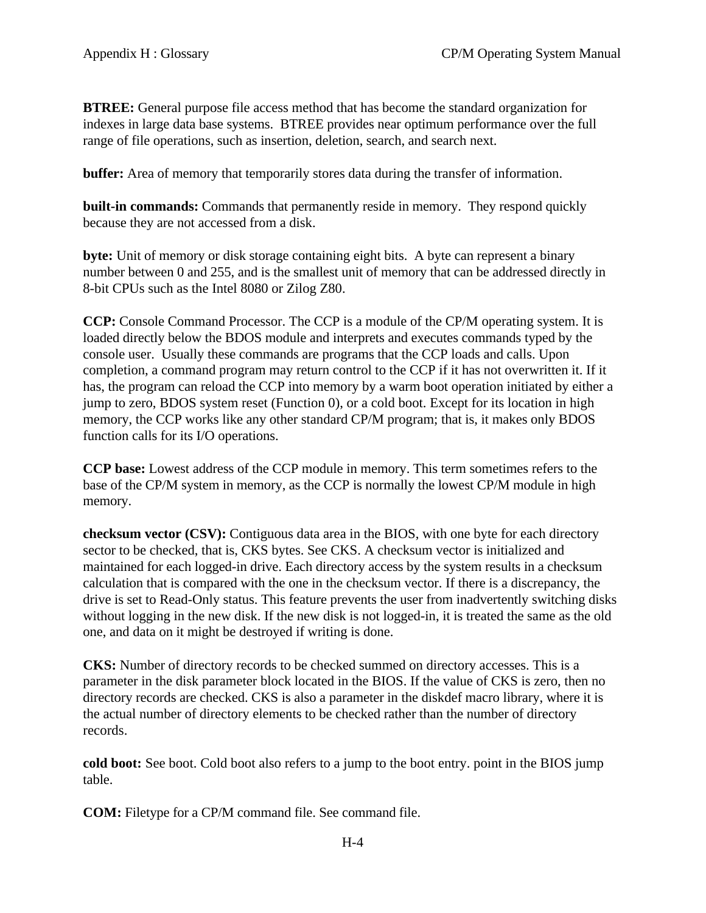**BTREE:** General purpose file access method that has become the standard organization for indexes in large data base systems. BTREE provides near optimum performance over the full range of file operations, such as insertion, deletion, search, and search next.

**buffer:** Area of memory that temporarily stores data during the transfer of information.

**built-in commands:** Commands that permanently reside in memory. They respond quickly because they are not accessed from a disk.

**byte:** Unit of memory or disk storage containing eight bits. A byte can represent a binary number between 0 and 255, and is the smallest unit of memory that can be addressed directly in 8-bit CPUs such as the Intel 8080 or Zilog Z80.

**CCP:** Console Command Processor. The CCP is a module of the CP/M operating system. It is loaded directly below the BDOS module and interprets and executes commands typed by the console user. Usually these commands are programs that the CCP loads and calls. Upon completion, a command program may return control to the CCP if it has not overwritten it. If it has, the program can reload the CCP into memory by a warm boot operation initiated by either a jump to zero, BDOS system reset (Function 0), or a cold boot. Except for its location in high memory, the CCP works like any other standard CP/M program; that is, it makes only BDOS function calls for its I/O operations.

**CCP base:** Lowest address of the CCP module in memory. This term sometimes refers to the base of the CP/M system in memory, as the CCP is normally the lowest CP/M module in high memory.

**checksum vector (CSV):** Contiguous data area in the BIOS, with one byte for each directory sector to be checked, that is, CKS bytes. See CKS. A checksum vector is initialized and maintained for each logged-in drive. Each directory access by the system results in a checksum calculation that is compared with the one in the checksum vector. If there is a discrepancy, the drive is set to Read-Only status. This feature prevents the user from inadvertently switching disks without logging in the new disk. If the new disk is not logged-in, it is treated the same as the old one, and data on it might be destroyed if writing is done.

**CKS:** Number of directory records to be checked summed on directory accesses. This is a parameter in the disk parameter block located in the BIOS. If the value of CKS is zero, then no directory records are checked. CKS is also a parameter in the diskdef macro library, where it is the actual number of directory elements to be checked rather than the number of directory records.

**cold boot:** See boot. Cold boot also refers to a jump to the boot entry. point in the BIOS jump table.

**COM:** Filetype for a CP/M command file. See command file.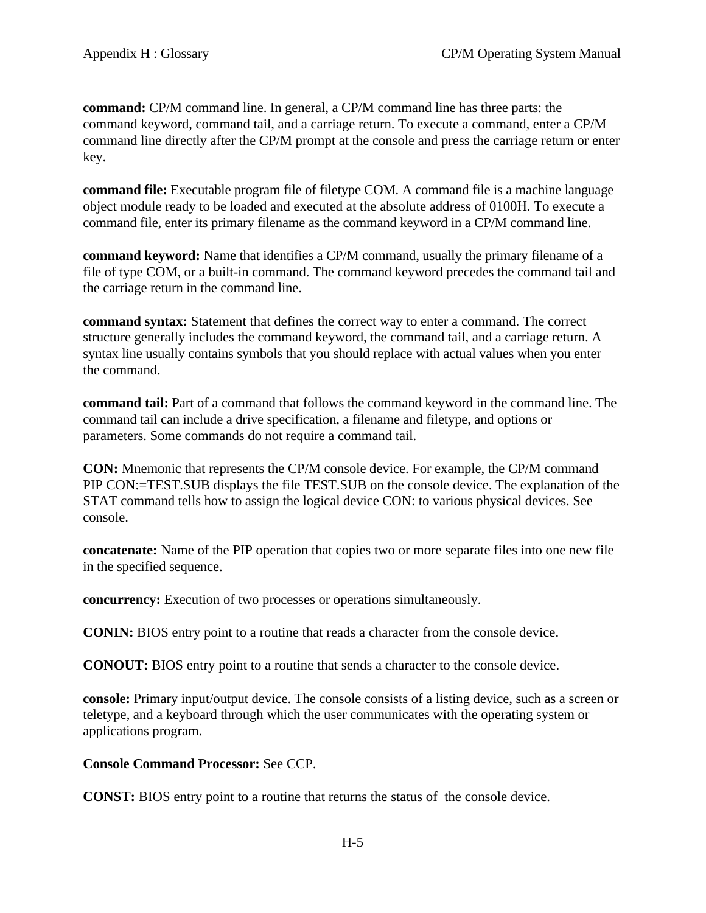**command:** CP/M command line. In general, a CP/M command line has three parts: the command keyword, command tail, and a carriage return. To execute a command, enter a CP/M command line directly after the CP/M prompt at the console and press the carriage return or enter key.

**command file:** Executable program file of filetype COM. A command file is a machine language object module ready to be loaded and executed at the absolute address of 0100H. To execute a command file, enter its primary filename as the command keyword in a CP/M command line.

**command keyword:** Name that identifies a CP/M command, usually the primary filename of a file of type COM, or a built-in command. The command keyword precedes the command tail and the carriage return in the command line.

**command syntax:** Statement that defines the correct way to enter a command. The correct structure generally includes the command keyword, the command tail, and a carriage return. A syntax line usually contains symbols that you should replace with actual values when you enter the command.

**command tail:** Part of a command that follows the command keyword in the command line. The command tail can include a drive specification, a filename and filetype, and options or parameters. Some commands do not require a command tail.

**CON:** Mnemonic that represents the CP/M console device. For example, the CP/M command PIP CON:=TEST.SUB displays the file TEST.SUB on the console device. The explanation of the STAT command tells how to assign the logical device CON: to various physical devices. See console.

**concatenate:** Name of the PIP operation that copies two or more separate files into one new file in the specified sequence.

**concurrency:** Execution of two processes or operations simultaneously.

**CONIN:** BIOS entry point to a routine that reads a character from the console device.

**CONOUT:** BIOS entry point to a routine that sends a character to the console device.

**console:** Primary input/output device. The console consists of a listing device, such as a screen or teletype, and a keyboard through which the user communicates with the operating system or applications program.

**Console Command Processor:** See CCP.

**CONST:** BIOS entry point to a routine that returns the status of the console device.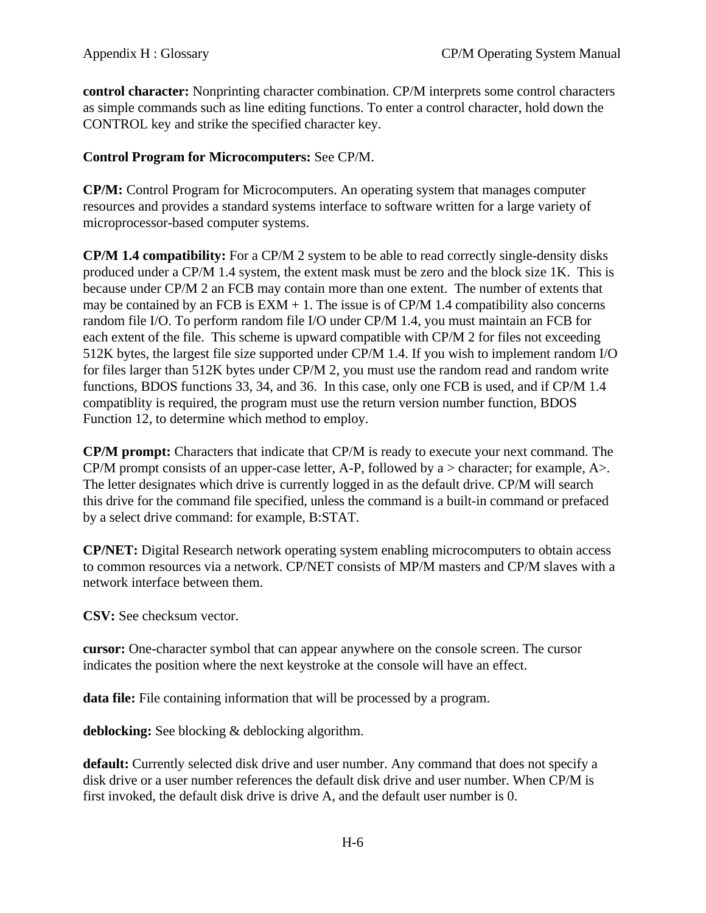**control character:** Nonprinting character combination. CP/M interprets some control characters as simple commands such as line editing functions. To enter a control character, hold down the CONTROL key and strike the specified character key.

# **Control Program for Microcomputers:** See CP/M.

**CP/M:** Control Program for Microcomputers. An operating system that manages computer resources and provides a standard systems interface to software written for a large variety of microprocessor-based computer systems.

**CP/M 1.4 compatibility:** For a CP/M 2 system to be able to read correctly single-density disks produced under a CP/M 1.4 system, the extent mask must be zero and the block size 1K. This is because under CP/M 2 an FCB may contain more than one extent. The number of extents that may be contained by an FCB is  $EXM + 1$ . The issue is of CP/M 1.4 compatibility also concerns random file I/O. To perform random file I/O under CP/M 1.4, you must maintain an FCB for each extent of the file. This scheme is upward compatible with CP/M 2 for files not exceeding 512K bytes, the largest file size supported under CP/M 1.4. If you wish to implement random I/O for files larger than 512K bytes under CP/M 2, you must use the random read and random write functions, BDOS functions 33, 34, and 36. In this case, only one FCB is used, and if CP/M 1.4 compatiblity is required, the program must use the return version number function, BDOS Function 12, to determine which method to employ.

**CP/M prompt:** Characters that indicate that CP/M is ready to execute your next command. The CP/M prompt consists of an upper-case letter, A-P, followed by a  $>$  character; for example, A $>$ . The letter designates which drive is currently logged in as the default drive. CP/M will search this drive for the command file specified, unless the command is a built-in command or prefaced by a select drive command: for example, B:STAT.

**CP/NET:** Digital Research network operating system enabling microcomputers to obtain access to common resources via a network. CP/NET consists of MP/M masters and CP/M slaves with a network interface between them.

**CSV:** See checksum vector.

**cursor:** One-character symbol that can appear anywhere on the console screen. The cursor indicates the position where the next keystroke at the console will have an effect.

**data file:** File containing information that will be processed by a program.

**deblocking:** See blocking & deblocking algorithm.

**default:** Currently selected disk drive and user number. Any command that does not specify a disk drive or a user number references the default disk drive and user number. When CP/M is first invoked, the default disk drive is drive A, and the default user number is 0.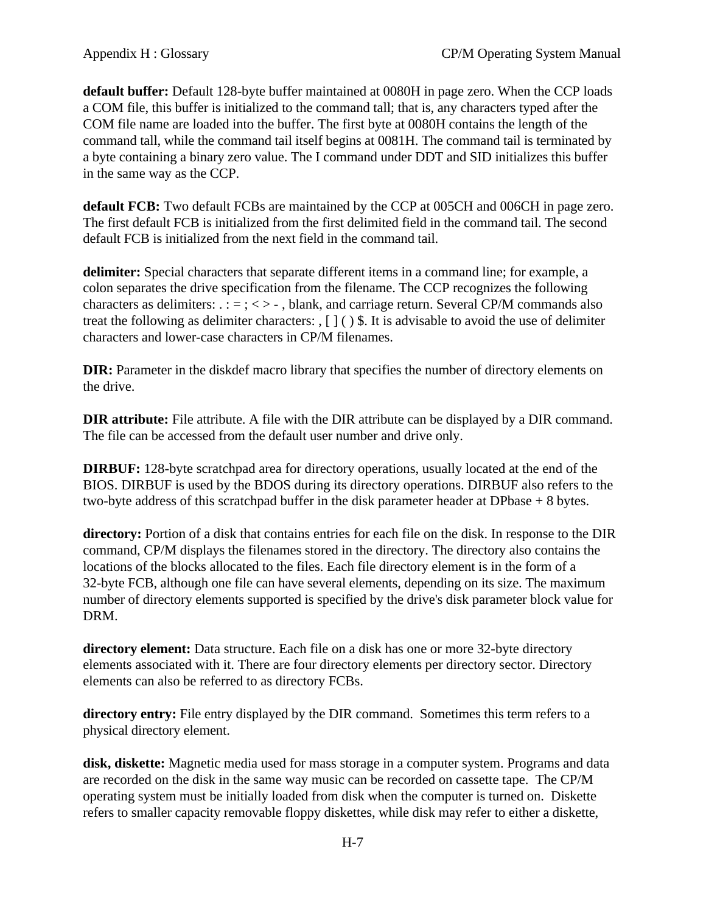**default buffer:** Default 128-byte buffer maintained at 0080H in page zero. When the CCP loads a COM file, this buffer is initialized to the command tall; that is, any characters typed after the COM file name are loaded into the buffer. The first byte at 0080H contains the length of the command tall, while the command tail itself begins at 0081H. The command tail is terminated by a byte containing a binary zero value. The I command under DDT and SID initializes this buffer in the same way as the CCP.

**default FCB:** Two default FCBs are maintained by the CCP at 005CH and 006CH in page zero. The first default FCB is initialized from the first delimited field in the command tail. The second default FCB is initialized from the next field in the command tail.

**delimiter:** Special characters that separate different items in a command line; for example, a colon separates the drive specification from the filename. The CCP recognizes the following characters as delimiters:  $\therefore$  = ; < > -, blank, and carriage return. Several CP/M commands also treat the following as delimiter characters: , [ ] ( ) \$. It is advisable to avoid the use of delimiter characters and lower-case characters in CP/M filenames.

**DIR:** Parameter in the diskdef macro library that specifies the number of directory elements on the drive.

**DIR attribute:** File attribute. A file with the DIR attribute can be displayed by a DIR command. The file can be accessed from the default user number and drive only.

**DIRBUF:** 128-byte scratchpad area for directory operations, usually located at the end of the BIOS. DIRBUF is used by the BDOS during its directory operations. DIRBUF also refers to the two-byte address of this scratchpad buffer in the disk parameter header at DPbase + 8 bytes.

**directory:** Portion of a disk that contains entries for each file on the disk. In response to the DIR command, CP/M displays the filenames stored in the directory. The directory also contains the locations of the blocks allocated to the files. Each file directory element is in the form of a 32-byte FCB, although one file can have several elements, depending on its size. The maximum number of directory elements supported is specified by the drive's disk parameter block value for DRM.

**directory element:** Data structure. Each file on a disk has one or more 32-byte directory elements associated with it. There are four directory elements per directory sector. Directory elements can also be referred to as directory FCBs.

**directory entry:** File entry displayed by the DIR command. Sometimes this term refers to a physical directory element.

**disk, diskette:** Magnetic media used for mass storage in a computer system. Programs and data are recorded on the disk in the same way music can be recorded on cassette tape. The CP/M operating system must be initially loaded from disk when the computer is turned on. Diskette refers to smaller capacity removable floppy diskettes, while disk may refer to either a diskette,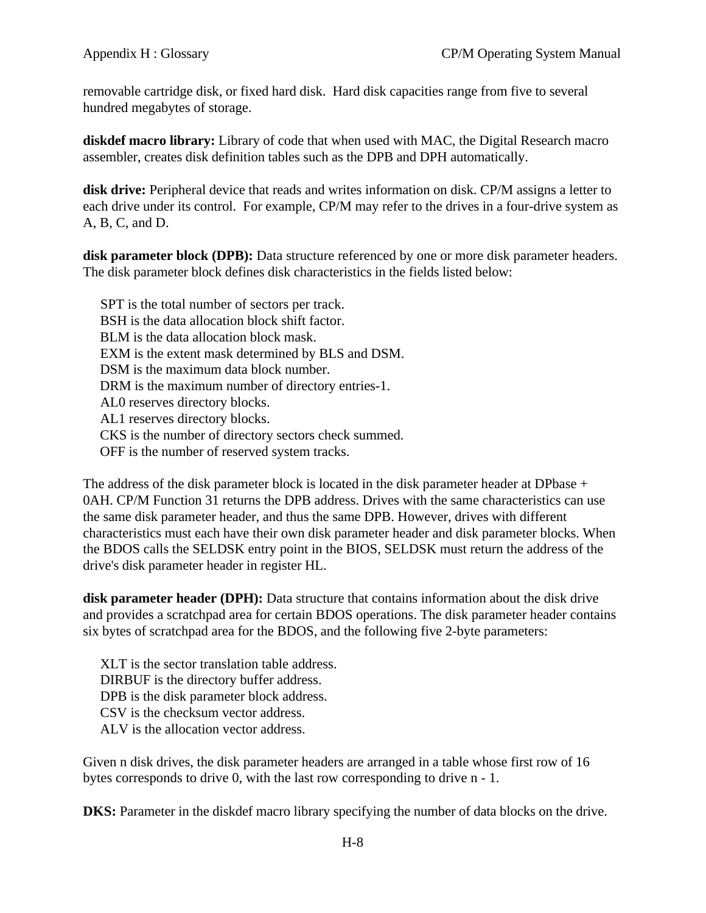removable cartridge disk, or fixed hard disk. Hard disk capacities range from five to several hundred megabytes of storage.

**diskdef macro library:** Library of code that when used with MAC, the Digital Research macro assembler, creates disk definition tables such as the DPB and DPH automatically.

**disk drive:** Peripheral device that reads and writes information on disk. CP/M assigns a letter to each drive under its control. For example, CP/M may refer to the drives in a four-drive system as A, B, C, and D.

**disk parameter block (DPB):** Data structure referenced by one or more disk parameter headers. The disk parameter block defines disk characteristics in the fields listed below:

 SPT is the total number of sectors per track. BSH is the data allocation block shift factor. BLM is the data allocation block mask. EXM is the extent mask determined by BLS and DSM. DSM is the maximum data block number. DRM is the maximum number of directory entries-1. AL0 reserves directory blocks. AL1 reserves directory blocks. CKS is the number of directory sectors check summed. OFF is the number of reserved system tracks.

The address of the disk parameter block is located in the disk parameter header at DPbase + 0AH. CP/M Function 31 returns the DPB address. Drives with the same characteristics can use the same disk parameter header, and thus the same DPB. However, drives with different characteristics must each have their own disk parameter header and disk parameter blocks. When the BDOS calls the SELDSK entry point in the BIOS, SELDSK must return the address of the drive's disk parameter header in register HL.

**disk parameter header (DPH):** Data structure that contains information about the disk drive and provides a scratchpad area for certain BDOS operations. The disk parameter header contains six bytes of scratchpad area for the BDOS, and the following five 2-byte parameters:

 XLT is the sector translation table address. DIRBUF is the directory buffer address. DPB is the disk parameter block address. CSV is the checksum vector address. ALV is the allocation vector address.

Given n disk drives, the disk parameter headers are arranged in a table whose first row of 16 bytes corresponds to drive 0, with the last row corresponding to drive n - 1.

**DKS:** Parameter in the diskdef macro library specifying the number of data blocks on the drive.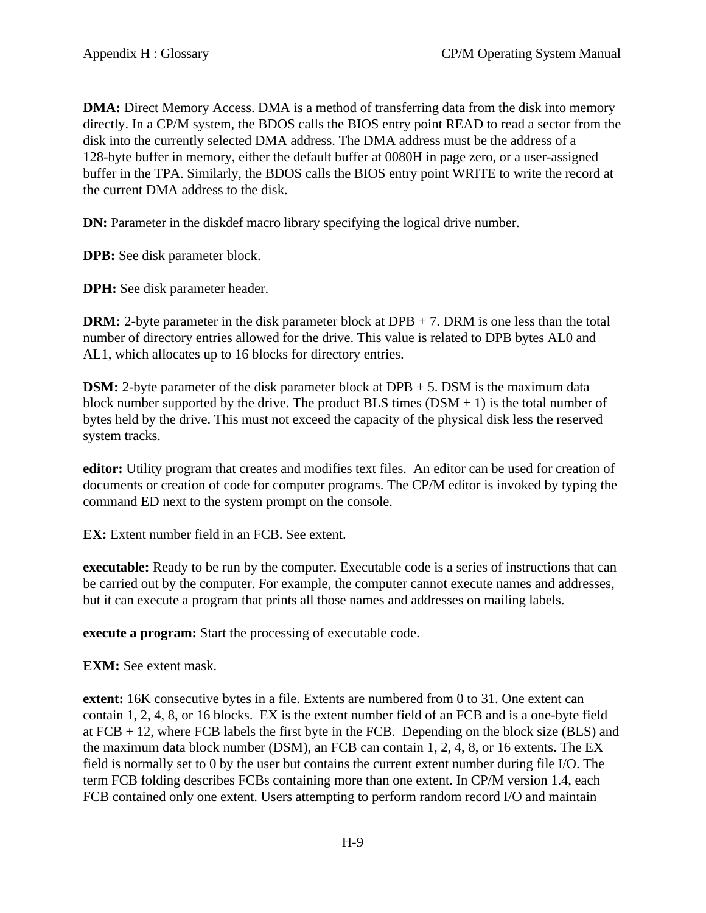**DMA:** Direct Memory Access. DMA is a method of transferring data from the disk into memory directly. In a CP/M system, the BDOS calls the BIOS entry point READ to read a sector from the disk into the currently selected DMA address. The DMA address must be the address of a 128-byte buffer in memory, either the default buffer at 0080H in page zero, or a user-assigned buffer in the TPA. Similarly, the BDOS calls the BIOS entry point WRITE to write the record at the current DMA address to the disk.

**DN:** Parameter in the diskdef macro library specifying the logical drive number.

**DPB:** See disk parameter block.

**DPH:** See disk parameter header.

**DRM:** 2-byte parameter in the disk parameter block at DPB + 7. DRM is one less than the total number of directory entries allowed for the drive. This value is related to DPB bytes AL0 and AL1, which allocates up to 16 blocks for directory entries.

**DSM:** 2-byte parameter of the disk parameter block at DPB + 5. DSM is the maximum data block number supported by the drive. The product BLS times  $(DSM + 1)$  is the total number of bytes held by the drive. This must not exceed the capacity of the physical disk less the reserved system tracks.

**editor:** Utility program that creates and modifies text files. An editor can be used for creation of documents or creation of code for computer programs. The CP/M editor is invoked by typing the command ED next to the system prompt on the console.

**EX:** Extent number field in an FCB. See extent.

**executable:** Ready to be run by the computer. Executable code is a series of instructions that can be carried out by the computer. For example, the computer cannot execute names and addresses, but it can execute a program that prints all those names and addresses on mailing labels.

**execute a program:** Start the processing of executable code.

**EXM:** See extent mask.

**extent:** 16K consecutive bytes in a file. Extents are numbered from 0 to 31. One extent can contain 1, 2, 4, 8, or 16 blocks. EX is the extent number field of an FCB and is a one-byte field at  $FCB + 12$ , where  $FCB$  labels the first byte in the  $FCB$ . Depending on the block size ( $BLS$ ) and the maximum data block number (DSM), an FCB can contain 1, 2, 4, 8, or 16 extents. The EX field is normally set to 0 by the user but contains the current extent number during file I/O. The term FCB folding describes FCBs containing more than one extent. In CP/M version 1.4, each FCB contained only one extent. Users attempting to perform random record I/O and maintain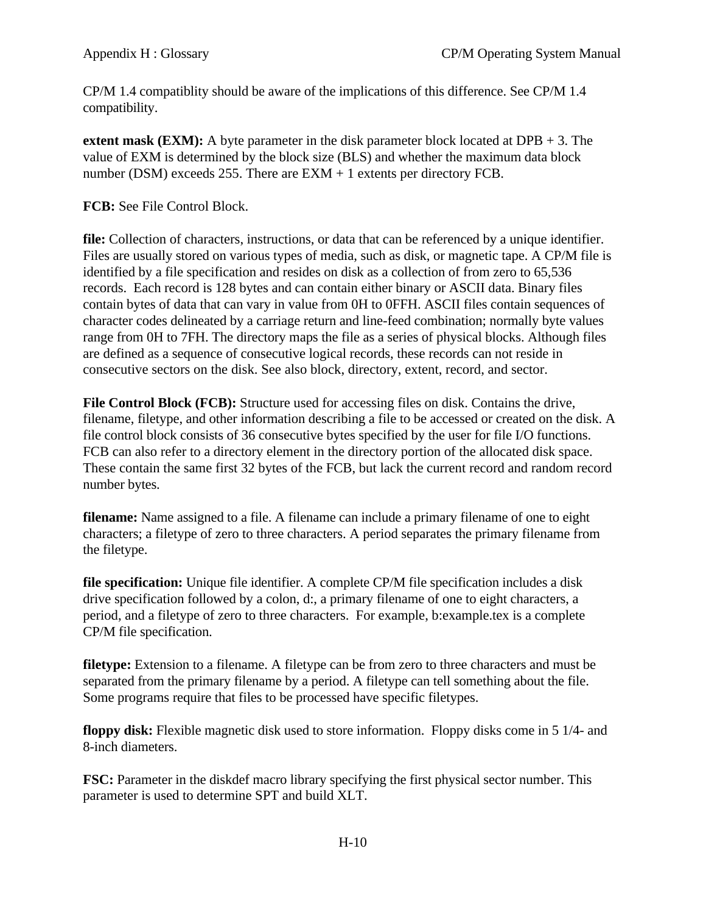CP/M 1.4 compatiblity should be aware of the implications of this difference. See CP/M 1.4 compatibility.

**extent mask (EXM):** A byte parameter in the disk parameter block located at DPB + 3. The value of EXM is determined by the block size (BLS) and whether the maximum data block number (DSM) exceeds 255. There are  $EXM + 1$  extents per directory FCB.

**FCB:** See File Control Block.

**file:** Collection of characters, instructions, or data that can be referenced by a unique identifier. Files are usually stored on various types of media, such as disk, or magnetic tape. A CP/M file is identified by a file specification and resides on disk as a collection of from zero to 65,536 records. Each record is 128 bytes and can contain either binary or ASCII data. Binary files contain bytes of data that can vary in value from 0H to 0FFH. ASCII files contain sequences of character codes delineated by a carriage return and line-feed combination; normally byte values range from 0H to 7FH. The directory maps the file as a series of physical blocks. Although files are defined as a sequence of consecutive logical records, these records can not reside in consecutive sectors on the disk. See also block, directory, extent, record, and sector.

**File Control Block (FCB):** Structure used for accessing files on disk. Contains the drive, filename, filetype, and other information describing a file to be accessed or created on the disk. A file control block consists of 36 consecutive bytes specified by the user for file I/O functions. FCB can also refer to a directory element in the directory portion of the allocated disk space. These contain the same first 32 bytes of the FCB, but lack the current record and random record number bytes.

**filename:** Name assigned to a file. A filename can include a primary filename of one to eight characters; a filetype of zero to three characters. A period separates the primary filename from the filetype.

**file specification:** Unique file identifier. A complete CP/M file specification includes a disk drive specification followed by a colon, d:, a primary filename of one to eight characters, a period, and a filetype of zero to three characters. For example, b:example.tex is a complete CP/M file specification.

**filetype:** Extension to a filename. A filetype can be from zero to three characters and must be separated from the primary filename by a period. A filetype can tell something about the file. Some programs require that files to be processed have specific filetypes.

**floppy disk:** Flexible magnetic disk used to store information. Floppy disks come in 5 1/4- and 8-inch diameters.

**FSC:** Parameter in the diskdef macro library specifying the first physical sector number. This parameter is used to determine SPT and build XLT.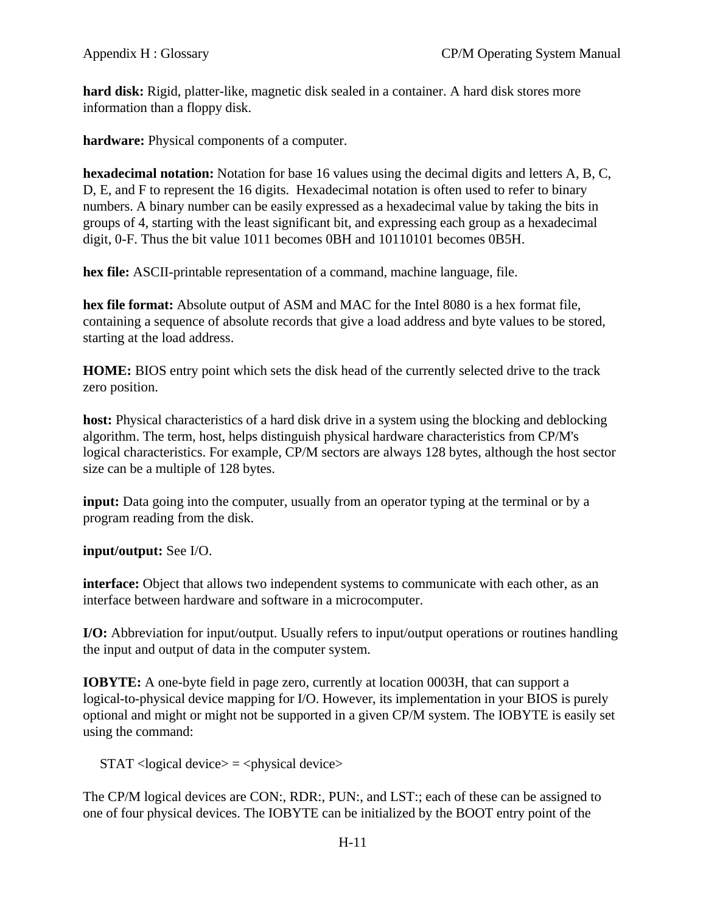**hard disk:** Rigid, platter-like, magnetic disk sealed in a container. A hard disk stores more information than a floppy disk.

**hardware:** Physical components of a computer.

**hexadecimal notation:** Notation for base 16 values using the decimal digits and letters A, B, C, D, E, and F to represent the 16 digits. Hexadecimal notation is often used to refer to binary numbers. A binary number can be easily expressed as a hexadecimal value by taking the bits in groups of 4, starting with the least significant bit, and expressing each group as a hexadecimal digit, 0-F. Thus the bit value 1011 becomes 0BH and 10110101 becomes 0B5H.

**hex file:** ASCII-printable representation of a command, machine language, file.

**hex file format:** Absolute output of ASM and MAC for the Intel 8080 is a hex format file, containing a sequence of absolute records that give a load address and byte values to be stored, starting at the load address.

**HOME:** BIOS entry point which sets the disk head of the currently selected drive to the track zero position.

**host:** Physical characteristics of a hard disk drive in a system using the blocking and deblocking algorithm. The term, host, helps distinguish physical hardware characteristics from CP/M's logical characteristics. For example, CP/M sectors are always 128 bytes, although the host sector size can be a multiple of 128 bytes.

**input:** Data going into the computer, usually from an operator typing at the terminal or by a program reading from the disk.

**input/output:** See I/O.

**interface:** Object that allows two independent systems to communicate with each other, as an interface between hardware and software in a microcomputer.

**I/O:** Abbreviation for input/output. Usually refers to input/output operations or routines handling the input and output of data in the computer system.

**IOBYTE:** A one-byte field in page zero, currently at location 0003H, that can support a logical-to-physical device mapping for I/O. However, its implementation in your BIOS is purely optional and might or might not be supported in a given CP/M system. The IOBYTE is easily set using the command:

 $STAT <sub>logical</sub>$  device $> = <sub>physical</sub>$  device $>$ 

The CP/M logical devices are CON:, RDR:, PUN:, and LST:; each of these can be assigned to one of four physical devices. The IOBYTE can be initialized by the BOOT entry point of the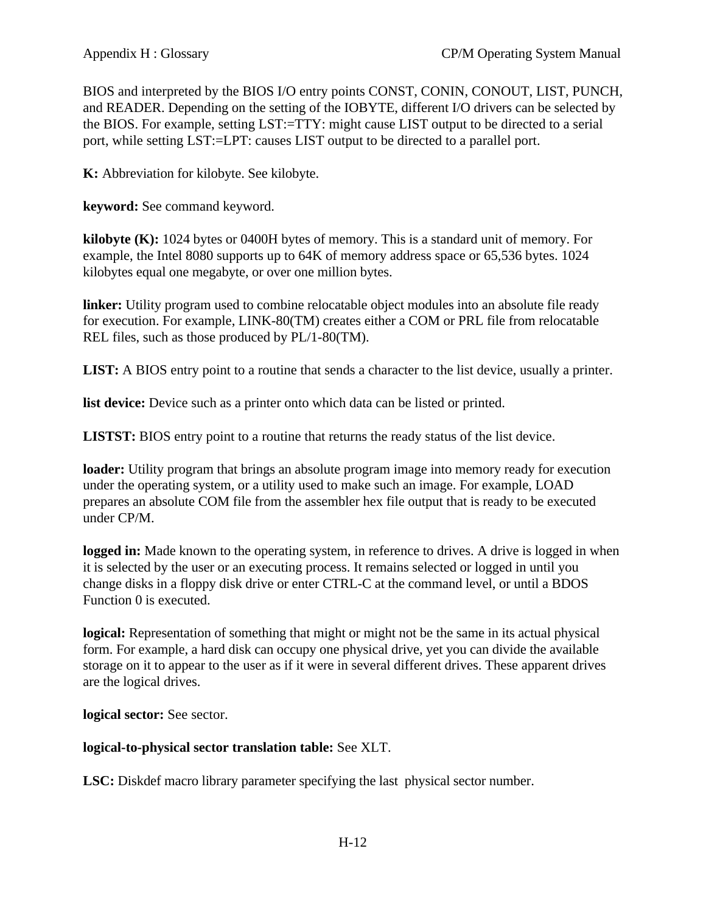BIOS and interpreted by the BIOS I/O entry points CONST, CONIN, CONOUT, LIST, PUNCH, and READER. Depending on the setting of the IOBYTE, different I/O drivers can be selected by the BIOS. For example, setting LST:=TTY: might cause LIST output to be directed to a serial port, while setting LST:=LPT: causes LIST output to be directed to a parallel port.

**K:** Abbreviation for kilobyte. See kilobyte.

**keyword:** See command keyword.

**kilobyte (K):** 1024 bytes or 0400H bytes of memory. This is a standard unit of memory. For example, the Intel 8080 supports up to 64K of memory address space or 65,536 bytes. 1024 kilobytes equal one megabyte, or over one million bytes.

**linker:** Utility program used to combine relocatable object modules into an absolute file ready for execution. For example, LINK-80(TM) creates either a COM or PRL file from relocatable REL files, such as those produced by PL/1-80(TM).

**LIST:** A BIOS entry point to a routine that sends a character to the list device, usually a printer.

**list device:** Device such as a printer onto which data can be listed or printed.

**LISTST:** BIOS entry point to a routine that returns the ready status of the list device.

**loader:** Utility program that brings an absolute program image into memory ready for execution under the operating system, or a utility used to make such an image. For example, LOAD prepares an absolute COM file from the assembler hex file output that is ready to be executed under CP/M.

logged in: Made known to the operating system, in reference to drives. A drive is logged in when it is selected by the user or an executing process. It remains selected or logged in until you change disks in a floppy disk drive or enter CTRL-C at the command level, or until a BDOS Function 0 is executed.

**logical:** Representation of something that might or might not be the same in its actual physical form. For example, a hard disk can occupy one physical drive, yet you can divide the available storage on it to appear to the user as if it were in several different drives. These apparent drives are the logical drives.

**logical sector:** See sector.

# **logical-to-physical sector translation table:** See XLT.

**LSC:** Diskdef macro library parameter specifying the last physical sector number.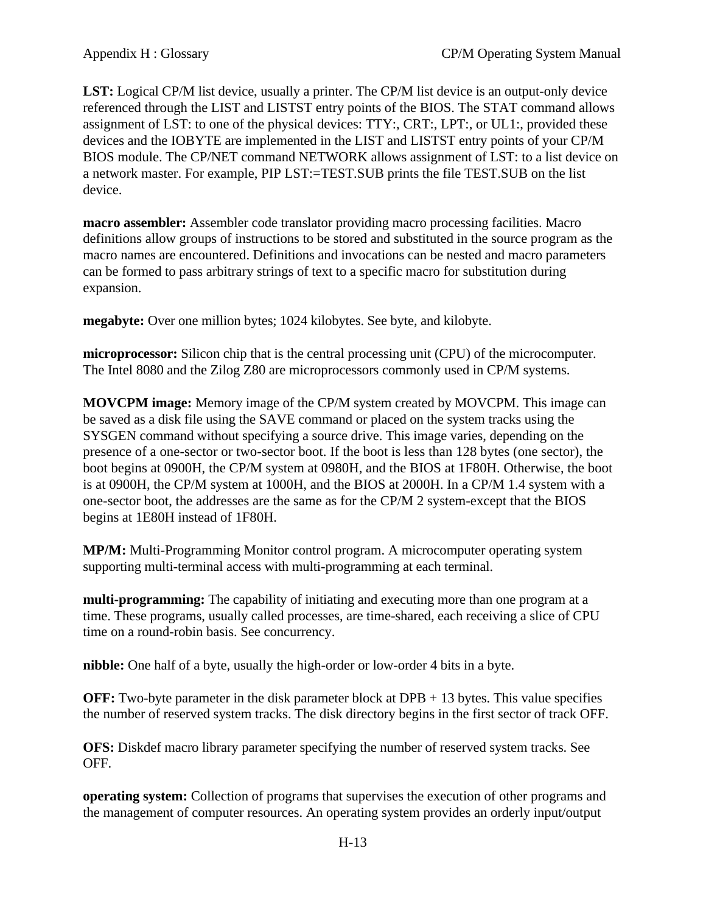**LST:** Logical CP/M list device, usually a printer. The CP/M list device is an output-only device referenced through the LIST and LISTST entry points of the BIOS. The STAT command allows assignment of LST: to one of the physical devices: TTY:, CRT:, LPT:, or UL1:, provided these devices and the IOBYTE are implemented in the LIST and LISTST entry points of your CP/M BIOS module. The CP/NET command NETWORK allows assignment of LST: to a list device on a network master. For example, PIP LST:=TEST.SUB prints the file TEST.SUB on the list device.

**macro assembler:** Assembler code translator providing macro processing facilities. Macro definitions allow groups of instructions to be stored and substituted in the source program as the macro names are encountered. Definitions and invocations can be nested and macro parameters can be formed to pass arbitrary strings of text to a specific macro for substitution during expansion.

**megabyte:** Over one million bytes; 1024 kilobytes. See byte, and kilobyte.

**microprocessor:** Silicon chip that is the central processing unit (CPU) of the microcomputer. The Intel 8080 and the Zilog Z80 are microprocessors commonly used in CP/M systems.

**MOVCPM image:** Memory image of the CP/M system created by MOVCPM. This image can be saved as a disk file using the SAVE command or placed on the system tracks using the SYSGEN command without specifying a source drive. This image varies, depending on the presence of a one-sector or two-sector boot. If the boot is less than 128 bytes (one sector), the boot begins at 0900H, the CP/M system at 0980H, and the BIOS at 1F80H. Otherwise, the boot is at 0900H, the CP/M system at 1000H, and the BIOS at 2000H. In a CP/M 1.4 system with a one-sector boot, the addresses are the same as for the CP/M 2 system-except that the BIOS begins at 1E80H instead of 1F80H.

**MP/M:** Multi-Programming Monitor control program. A microcomputer operating system supporting multi-terminal access with multi-programming at each terminal.

**multi-programming:** The capability of initiating and executing more than one program at a time. These programs, usually called processes, are time-shared, each receiving a slice of CPU time on a round-robin basis. See concurrency.

**nibble:** One half of a byte, usually the high-order or low-order 4 bits in a byte.

**OFF:** Two-byte parameter in the disk parameter block at DPB + 13 bytes. This value specifies the number of reserved system tracks. The disk directory begins in the first sector of track OFF.

**OFS:** Diskdef macro library parameter specifying the number of reserved system tracks. See OFF.

**operating system:** Collection of programs that supervises the execution of other programs and the management of computer resources. An operating system provides an orderly input/output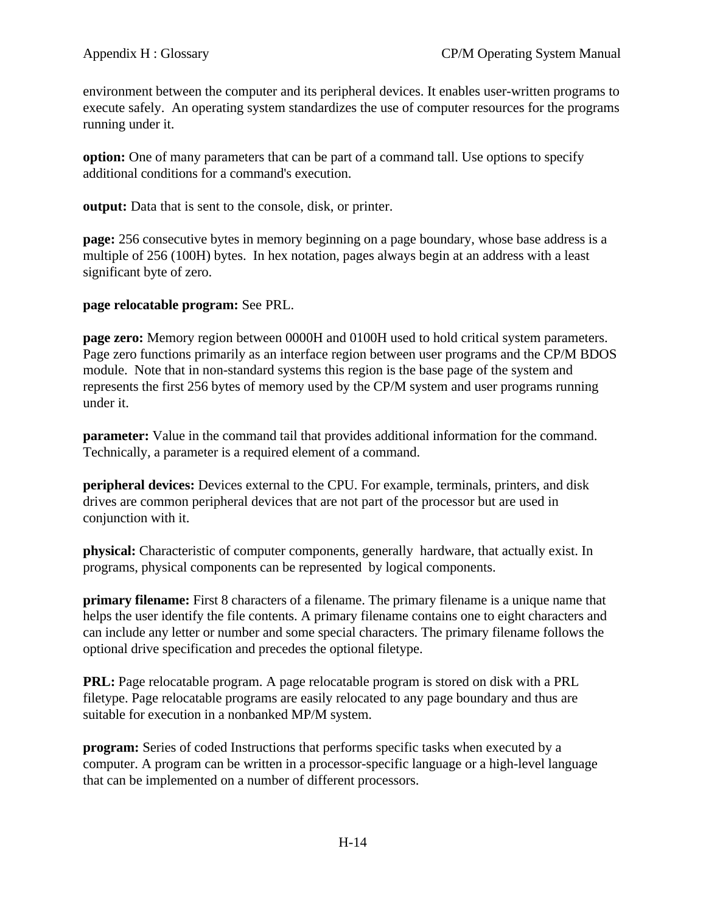environment between the computer and its peripheral devices. It enables user-written programs to execute safely. An operating system standardizes the use of computer resources for the programs running under it.

**option:** One of many parameters that can be part of a command tall. Use options to specify additional conditions for a command's execution.

**output:** Data that is sent to the console, disk, or printer.

**page:** 256 consecutive bytes in memory beginning on a page boundary, whose base address is a multiple of 256 (100H) bytes. In hex notation, pages always begin at an address with a least significant byte of zero.

## **page relocatable program:** See PRL.

**page zero:** Memory region between 0000H and 0100H used to hold critical system parameters. Page zero functions primarily as an interface region between user programs and the CP/M BDOS module. Note that in non-standard systems this region is the base page of the system and represents the first 256 bytes of memory used by the CP/M system and user programs running under it.

**parameter:** Value in the command tail that provides additional information for the command. Technically, a parameter is a required element of a command.

**peripheral devices:** Devices external to the CPU. For example, terminals, printers, and disk drives are common peripheral devices that are not part of the processor but are used in conjunction with it.

**physical:** Characteristic of computer components, generally hardware, that actually exist. In programs, physical components can be represented by logical components.

**primary filename:** First 8 characters of a filename. The primary filename is a unique name that helps the user identify the file contents. A primary filename contains one to eight characters and can include any letter or number and some special characters. The primary filename follows the optional drive specification and precedes the optional filetype.

**PRL:** Page relocatable program. A page relocatable program is stored on disk with a PRL filetype. Page relocatable programs are easily relocated to any page boundary and thus are suitable for execution in a nonbanked MP/M system.

**program:** Series of coded Instructions that performs specific tasks when executed by a computer. A program can be written in a processor-specific language or a high-level language that can be implemented on a number of different processors.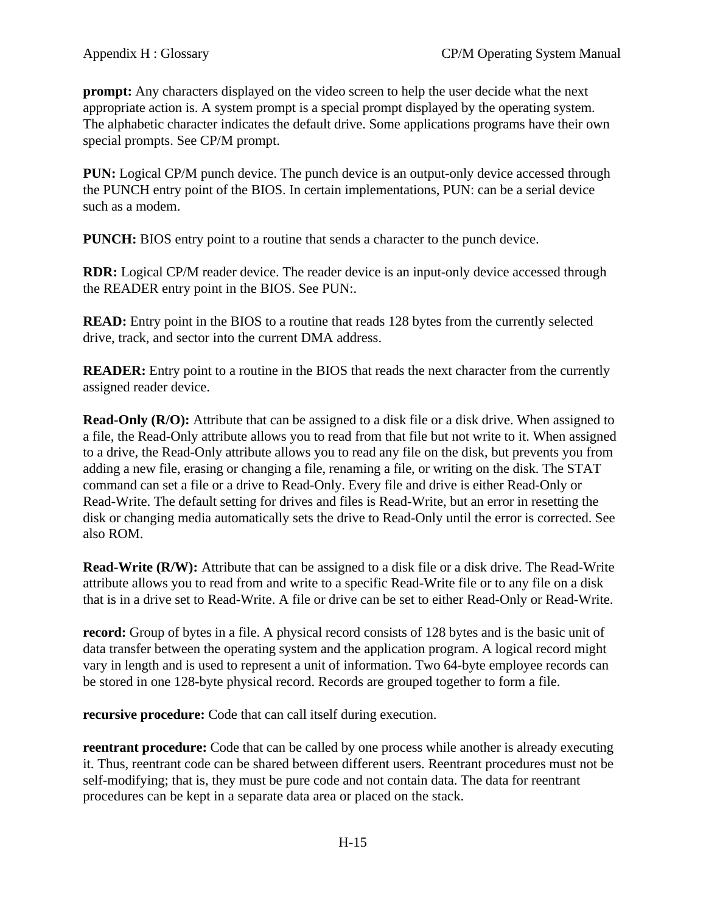**prompt:** Any characters displayed on the video screen to help the user decide what the next appropriate action is. A system prompt is a special prompt displayed by the operating system. The alphabetic character indicates the default drive. Some applications programs have their own special prompts. See CP/M prompt.

**PUN:** Logical CP/M punch device. The punch device is an output-only device accessed through the PUNCH entry point of the BIOS. In certain implementations, PUN: can be a serial device such as a modem.

**PUNCH:** BIOS entry point to a routine that sends a character to the punch device.

**RDR:** Logical CP/M reader device. The reader device is an input-only device accessed through the READER entry point in the BIOS. See PUN:.

**READ:** Entry point in the BIOS to a routine that reads 128 bytes from the currently selected drive, track, and sector into the current DMA address.

**READER:** Entry point to a routine in the BIOS that reads the next character from the currently assigned reader device.

**Read-Only (R/O):** Attribute that can be assigned to a disk file or a disk drive. When assigned to a file, the Read-Only attribute allows you to read from that file but not write to it. When assigned to a drive, the Read-Only attribute allows you to read any file on the disk, but prevents you from adding a new file, erasing or changing a file, renaming a file, or writing on the disk. The STAT command can set a file or a drive to Read-Only. Every file and drive is either Read-Only or Read-Write. The default setting for drives and files is Read-Write, but an error in resetting the disk or changing media automatically sets the drive to Read-Only until the error is corrected. See also ROM.

**Read-Write (R/W):** Attribute that can be assigned to a disk file or a disk drive. The Read-Write attribute allows you to read from and write to a specific Read-Write file or to any file on a disk that is in a drive set to Read-Write. A file or drive can be set to either Read-Only or Read-Write.

**record:** Group of bytes in a file. A physical record consists of 128 bytes and is the basic unit of data transfer between the operating system and the application program. A logical record might vary in length and is used to represent a unit of information. Two 64-byte employee records can be stored in one 128-byte physical record. Records are grouped together to form a file.

**recursive procedure:** Code that can call itself during execution.

**reentrant procedure:** Code that can be called by one process while another is already executing it. Thus, reentrant code can be shared between different users. Reentrant procedures must not be self-modifying; that is, they must be pure code and not contain data. The data for reentrant procedures can be kept in a separate data area or placed on the stack.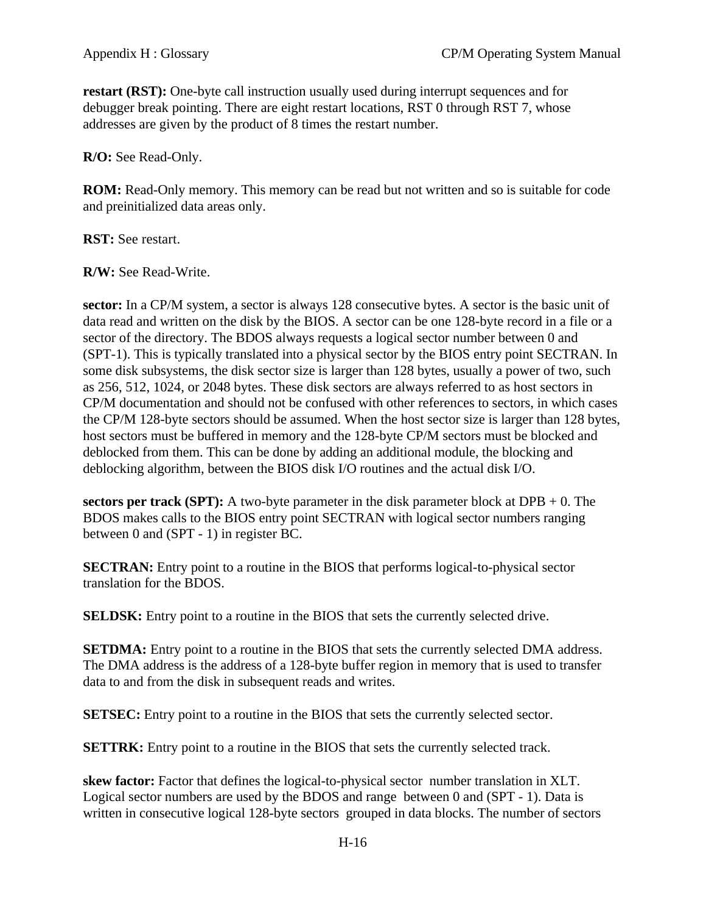**restart (RST):** One-byte call instruction usually used during interrupt sequences and for debugger break pointing. There are eight restart locations, RST 0 through RST 7, whose addresses are given by the product of 8 times the restart number.

**R/O:** See Read-Only.

**ROM:** Read-Only memory. This memory can be read but not written and so is suitable for code and preinitialized data areas only.

**RST:** See restart.

**R/W:** See Read-Write.

**sector:** In a CP/M system, a sector is always 128 consecutive bytes. A sector is the basic unit of data read and written on the disk by the BIOS. A sector can be one 128-byte record in a file or a sector of the directory. The BDOS always requests a logical sector number between 0 and (SPT-1). This is typically translated into a physical sector by the BIOS entry point SECTRAN. In some disk subsystems, the disk sector size is larger than 128 bytes, usually a power of two, such as 256, 512, 1024, or 2048 bytes. These disk sectors are always referred to as host sectors in CP/M documentation and should not be confused with other references to sectors, in which cases the CP/M 128-byte sectors should be assumed. When the host sector size is larger than 128 bytes, host sectors must be buffered in memory and the 128-byte CP/M sectors must be blocked and deblocked from them. This can be done by adding an additional module, the blocking and deblocking algorithm, between the BIOS disk I/O routines and the actual disk I/O.

**sectors per track (SPT):** A two-byte parameter in the disk parameter block at DPB + 0. The BDOS makes calls to the BIOS entry point SECTRAN with logical sector numbers ranging between 0 and (SPT - 1) in register BC.

**SECTRAN:** Entry point to a routine in the BIOS that performs logical-to-physical sector translation for the BDOS.

**SELDSK:** Entry point to a routine in the BIOS that sets the currently selected drive.

**SETDMA:** Entry point to a routine in the BIOS that sets the currently selected DMA address. The DMA address is the address of a 128-byte buffer region in memory that is used to transfer data to and from the disk in subsequent reads and writes.

**SETSEC:** Entry point to a routine in the BIOS that sets the currently selected sector.

**SETTRK:** Entry point to a routine in the BIOS that sets the currently selected track.

**skew factor:** Factor that defines the logical-to-physical sector number translation in XLT. Logical sector numbers are used by the BDOS and range between 0 and (SPT - 1). Data is written in consecutive logical 128-byte sectors grouped in data blocks. The number of sectors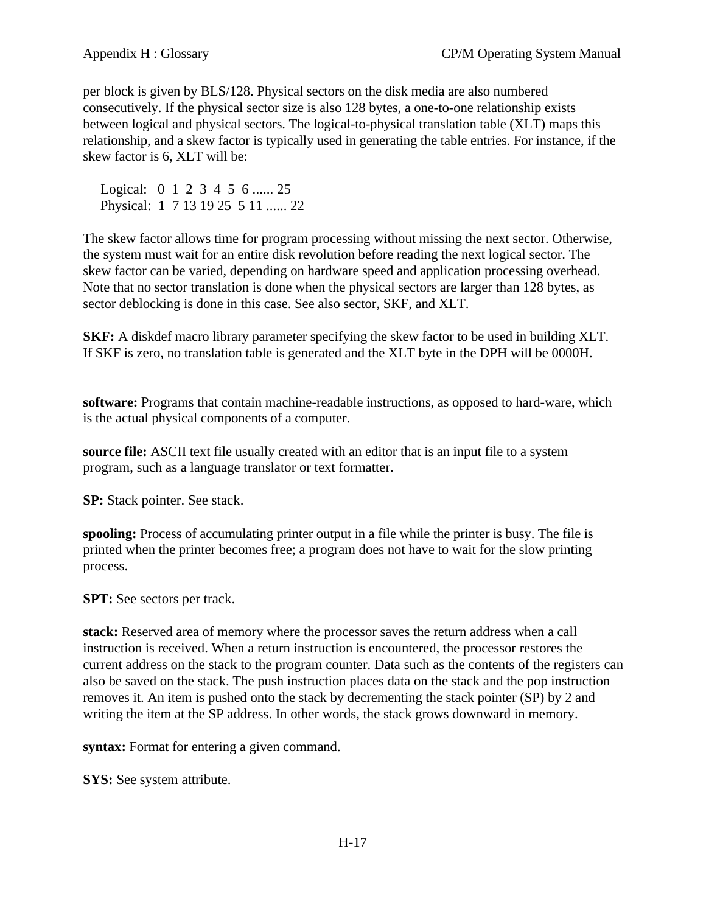per block is given by BLS/128. Physical sectors on the disk media are also numbered consecutively. If the physical sector size is also 128 bytes, a one-to-one relationship exists between logical and physical sectors. The logical-to-physical translation table (XLT) maps this relationship, and a skew factor is typically used in generating the table entries. For instance, if the skew factor is 6, XLT will be:

Logical: 0 1 2 3 4 5 6 ... 25 Physical: 1 7 13 19 25 5 11 ...... 22

The skew factor allows time for program processing without missing the next sector. Otherwise, the system must wait for an entire disk revolution before reading the next logical sector. The skew factor can be varied, depending on hardware speed and application processing overhead. Note that no sector translation is done when the physical sectors are larger than 128 bytes, as sector deblocking is done in this case. See also sector, SKF, and XLT.

**SKF:** A diskdef macro library parameter specifying the skew factor to be used in building XLT. If SKF is zero, no translation table is generated and the XLT byte in the DPH will be 0000H.

**software:** Programs that contain machine-readable instructions, as opposed to hard-ware, which is the actual physical components of a computer.

**source file:** ASCII text file usually created with an editor that is an input file to a system program, such as a language translator or text formatter.

**SP:** Stack pointer. See stack.

**spooling:** Process of accumulating printer output in a file while the printer is busy. The file is printed when the printer becomes free; a program does not have to wait for the slow printing process.

**SPT:** See sectors per track.

**stack:** Reserved area of memory where the processor saves the return address when a call instruction is received. When a return instruction is encountered, the processor restores the current address on the stack to the program counter. Data such as the contents of the registers can also be saved on the stack. The push instruction places data on the stack and the pop instruction removes it. An item is pushed onto the stack by decrementing the stack pointer (SP) by 2 and writing the item at the SP address. In other words, the stack grows downward in memory.

**syntax:** Format for entering a given command.

**SYS:** See system attribute.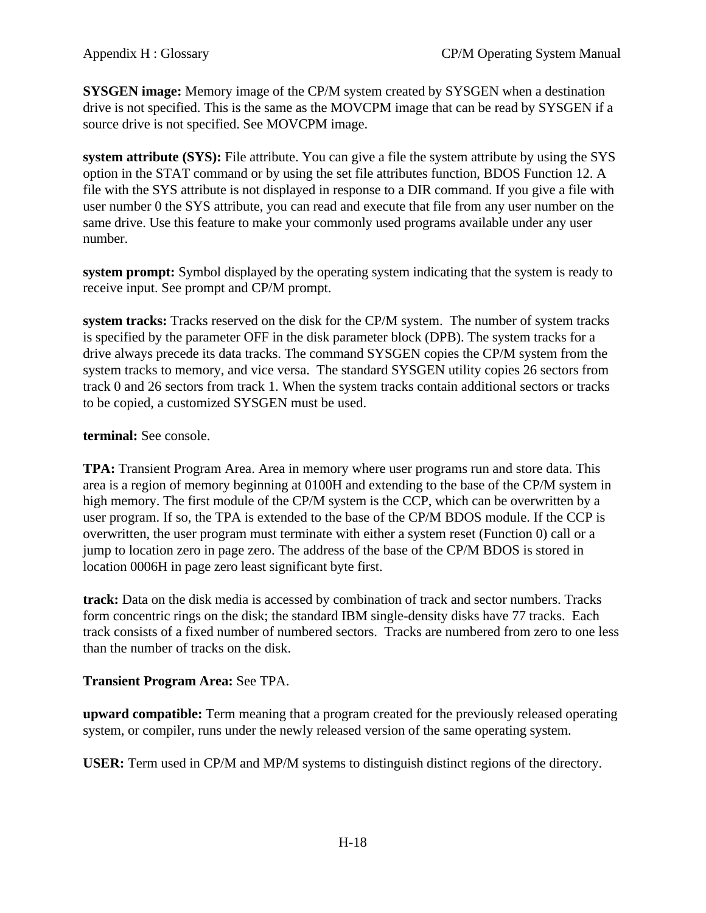**SYSGEN image:** Memory image of the CP/M system created by SYSGEN when a destination drive is not specified. This is the same as the MOVCPM image that can be read by SYSGEN if a source drive is not specified. See MOVCPM image.

**system attribute (SYS):** File attribute. You can give a file the system attribute by using the SYS option in the STAT command or by using the set file attributes function, BDOS Function 12. A file with the SYS attribute is not displayed in response to a DIR command. If you give a file with user number 0 the SYS attribute, you can read and execute that file from any user number on the same drive. Use this feature to make your commonly used programs available under any user number.

**system prompt:** Symbol displayed by the operating system indicating that the system is ready to receive input. See prompt and CP/M prompt.

**system tracks:** Tracks reserved on the disk for the CP/M system. The number of system tracks is specified by the parameter OFF in the disk parameter block (DPB). The system tracks for a drive always precede its data tracks. The command SYSGEN copies the CP/M system from the system tracks to memory, and vice versa. The standard SYSGEN utility copies 26 sectors from track 0 and 26 sectors from track 1. When the system tracks contain additional sectors or tracks to be copied, a customized SYSGEN must be used.

## **terminal:** See console.

**TPA:** Transient Program Area. Area in memory where user programs run and store data. This area is a region of memory beginning at 0100H and extending to the base of the CP/M system in high memory. The first module of the CP/M system is the CCP, which can be overwritten by a user program. If so, the TPA is extended to the base of the CP/M BDOS module. If the CCP is overwritten, the user program must terminate with either a system reset (Function 0) call or a jump to location zero in page zero. The address of the base of the CP/M BDOS is stored in location 0006H in page zero least significant byte first.

**track:** Data on the disk media is accessed by combination of track and sector numbers. Tracks form concentric rings on the disk; the standard IBM single-density disks have 77 tracks. Each track consists of a fixed number of numbered sectors. Tracks are numbered from zero to one less than the number of tracks on the disk.

## **Transient Program Area:** See TPA.

**upward compatible:** Term meaning that a program created for the previously released operating system, or compiler, runs under the newly released version of the same operating system.

**USER:** Term used in CP/M and MP/M systems to distinguish distinct regions of the directory.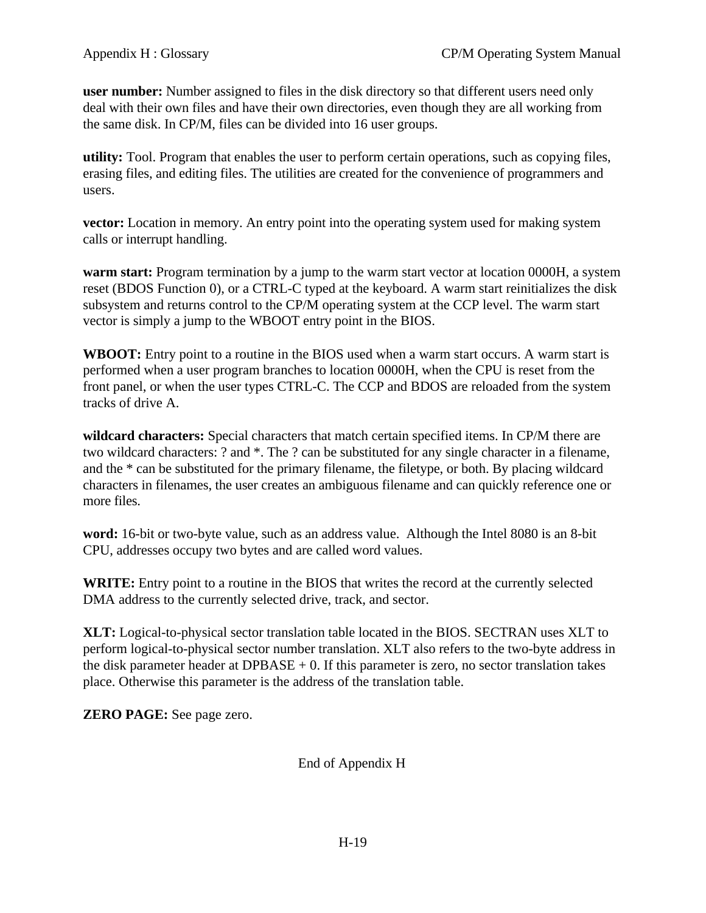**user number:** Number assigned to files in the disk directory so that different users need only deal with their own files and have their own directories, even though they are all working from the same disk. In CP/M, files can be divided into 16 user groups.

**utility:** Tool. Program that enables the user to perform certain operations, such as copying files, erasing files, and editing files. The utilities are created for the convenience of programmers and users.

**vector:** Location in memory. An entry point into the operating system used for making system calls or interrupt handling.

**warm start:** Program termination by a jump to the warm start vector at location 0000H, a system reset (BDOS Function 0), or a CTRL-C typed at the keyboard. A warm start reinitializes the disk subsystem and returns control to the CP/M operating system at the CCP level. The warm start vector is simply a jump to the WBOOT entry point in the BIOS.

**WBOOT:** Entry point to a routine in the BIOS used when a warm start occurs. A warm start is performed when a user program branches to location 0000H, when the CPU is reset from the front panel, or when the user types CTRL-C. The CCP and BDOS are reloaded from the system tracks of drive A.

**wildcard characters:** Special characters that match certain specified items. In CP/M there are two wildcard characters: ? and \*. The ? can be substituted for any single character in a filename, and the \* can be substituted for the primary filename, the filetype, or both. By placing wildcard characters in filenames, the user creates an ambiguous filename and can quickly reference one or more files.

**word:** 16-bit or two-byte value, such as an address value. Although the Intel 8080 is an 8-bit CPU, addresses occupy two bytes and are called word values.

**WRITE:** Entry point to a routine in the BIOS that writes the record at the currently selected DMA address to the currently selected drive, track, and sector.

**XLT:** Logical-to-physical sector translation table located in the BIOS. SECTRAN uses XLT to perform logical-to-physical sector number translation. XLT also refers to the two-byte address in the disk parameter header at  $DPBASE + 0$ . If this parameter is zero, no sector translation takes place. Otherwise this parameter is the address of the translation table.

**ZERO PAGE:** See page zero.

End of Appendix H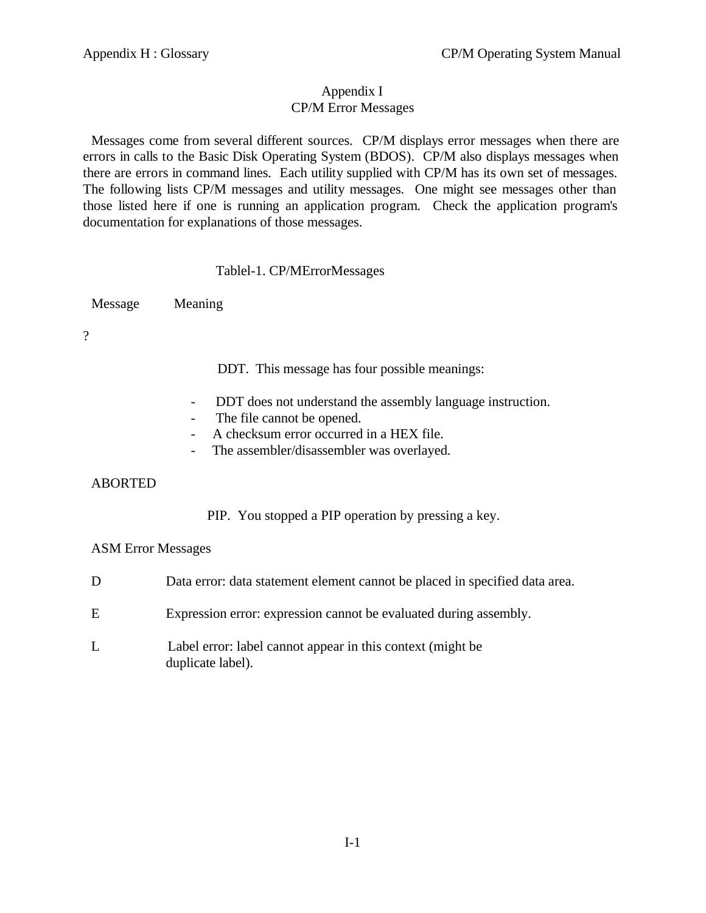## Appendix I CP/M Error Messages

Messages come from several different sources. CP/M displays error messages when there are errors in calls to the Basic Disk Operating System (BDOS). CP/M also displays messages when there are errors in command lines. Each utility supplied with CP/M has its own set of messages. The following lists CP/M messages and utility messages. One might see messages other than those listed here if one is running an application program. Check the application program's documentation for explanations of those messages.

## Tablel-1. CP/MErrorMessages

Message Meaning

?

DDT. This message has four possible meanings:

- DDT does not understand the assembly language instruction.
- The file cannot be opened.
- A checksum error occurred in a HEX file.
- The assembler/disassembler was overlayed.

## ABORTED

PIP. You stopped a PIP operation by pressing a key.

## ASM Error Messages

| D | Data error: data statement element cannot be placed in specified data area.      |
|---|----------------------------------------------------------------------------------|
| E | Expression error: expression cannot be evaluated during assembly.                |
| L | Label error: label cannot appear in this context (might be)<br>duplicate label). |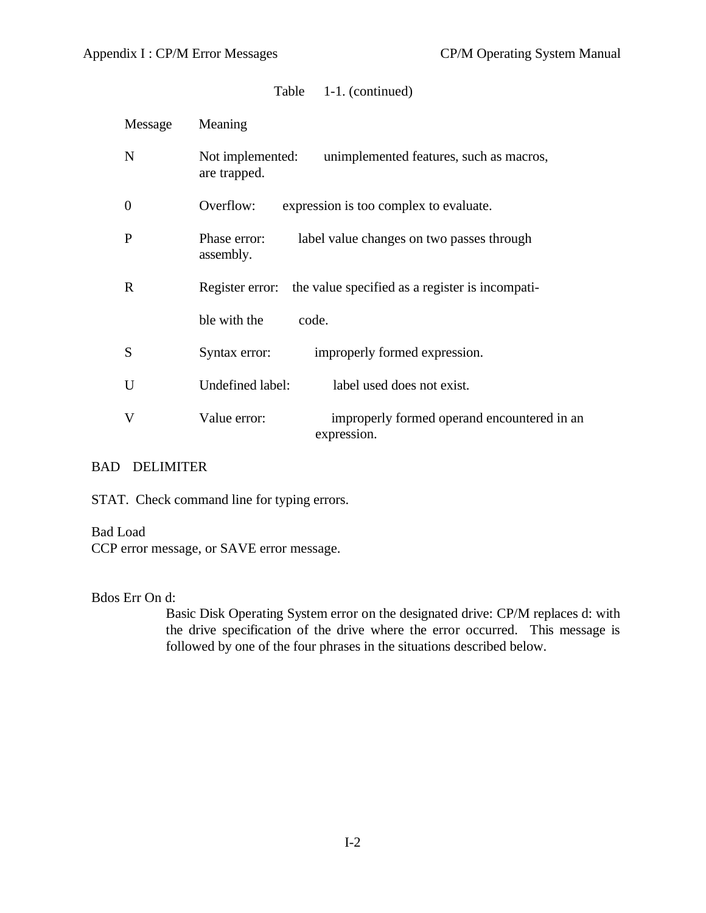| Message        | Meaning                                                                     |
|----------------|-----------------------------------------------------------------------------|
| N              | Not implemented:<br>unimplemented features, such as macros,<br>are trapped. |
| $\overline{0}$ | Overflow:<br>expression is too complex to evaluate.                         |
| P              | Phase error:<br>label value changes on two passes through<br>assembly.      |
| $\mathbf R$    | the value specified as a register is incompati-<br>Register error:          |
|                | ble with the<br>code.                                                       |
| S              | Syntax error:<br>improperly formed expression.                              |
| U              | Undefined label:<br>label used does not exist.                              |
| V              | improperly formed operand encountered in an<br>Value error:<br>expression.  |

## BAD DELIMITER

STAT. Check command line for typing errors.

## Bad Load

CCP error message, or SAVE error message.

## Bdos Err On d:

Basic Disk Operating System error on the designated drive: CP/M replaces d: with the drive specification of the drive where the error occurred. This message is followed by one of the four phrases in the situations described below.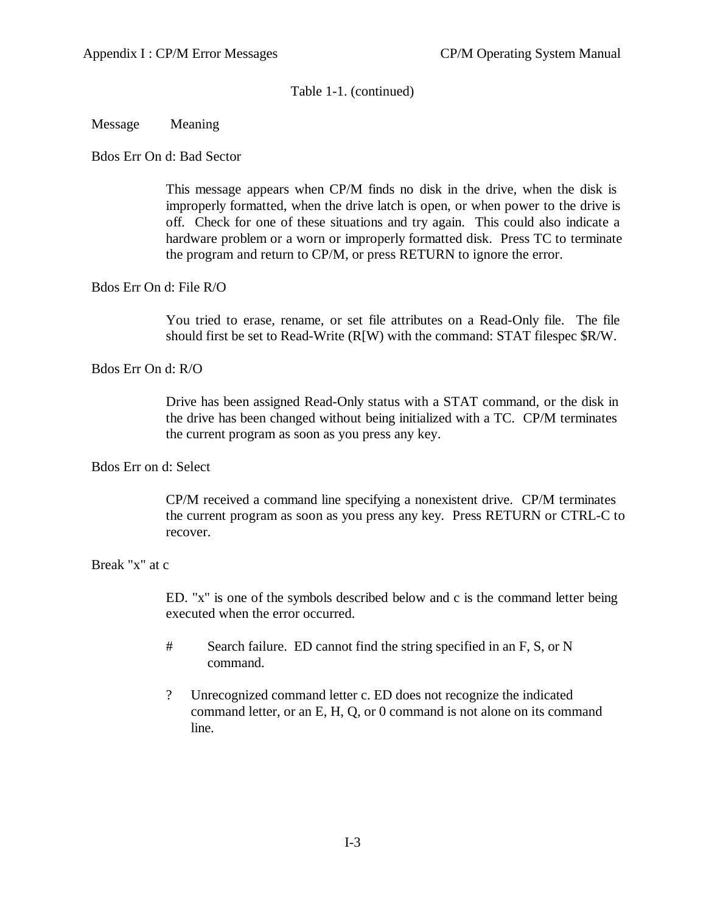## Message Meaning

## Bdos Err On d: Bad Sector

This message appears when CP/M finds no disk in the drive, when the disk is improperly formatted, when the drive latch is open, or when power to the drive is off. Check for one of these situations and try again. This could also indicate a hardware problem or a worn or improperly formatted disk. Press TC to terminate the program and return to CP/M, or press RETURN to ignore the error.

### Bdos Err On d: File R/O

You tried to erase, rename, or set file attributes on a Read-Only file. The file should first be set to Read-Write (R[W) with the command: STAT filespec \$R/W.

Bdos Err On d: R/O

Drive has been assigned Read-Only status with a STAT command, or the disk in the drive has been changed without being initialized with a TC. CP/M terminates the current program as soon as you press any key.

## Bdos Err on d: Select

CP/M received a command line specifying a nonexistent drive. CP/M terminates the current program as soon as you press any key. Press RETURN or CTRL-C to recover.

## Break "x" at c

ED. "x" is one of the symbols described below and c is the command letter being executed when the error occurred.

- # Search failure. ED cannot find the string specified in an F, S, or N command.
- ? Unrecognized command letter c. ED does not recognize the indicated command letter, or an E, H, Q, or 0 command is not alone on its command line.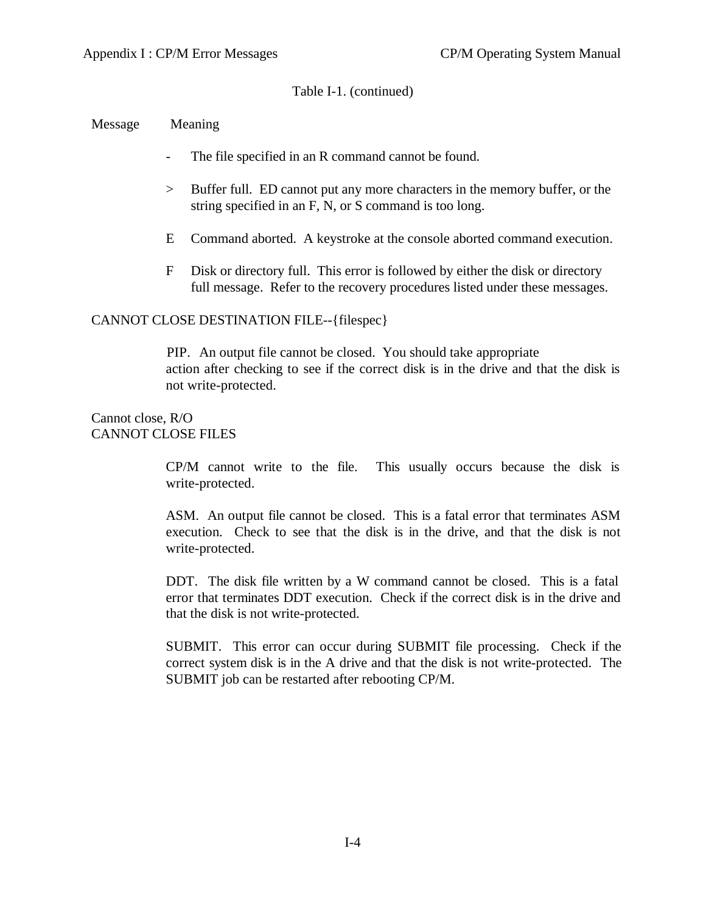Message Meaning

- The file specified in an R command cannot be found.
- > Buffer full. ED cannot put any more characters in the memory buffer, or the string specified in an F, N, or S command is too long.
- E Command aborted. A keystroke at the console aborted command execution.
- F Disk or directory full. This error is followed by either the disk or directory full message. Refer to the recovery procedures listed under these messages.

## CANNOT CLOSE DESTINATION FILE--{filespec}

 PIP. An output file cannot be closed. You should take appropriate action after checking to see if the correct disk is in the drive and that the disk is not write-protected.

## Cannot close, R/O CANNOT CLOSE FILES

CP/M cannot write to the file. This usually occurs because the disk is write-protected.

ASM. An output file cannot be closed. This is a fatal error that terminates ASM execution. Check to see that the disk is in the drive, and that the disk is not write-protected.

DDT. The disk file written by a W command cannot be closed. This is a fatal error that terminates DDT execution. Check if the correct disk is in the drive and that the disk is not write-protected.

SUBMIT. This error can occur during SUBMIT file processing. Check if the correct system disk is in the A drive and that the disk is not write-protected. The SUBMIT job can be restarted after rebooting CP/M.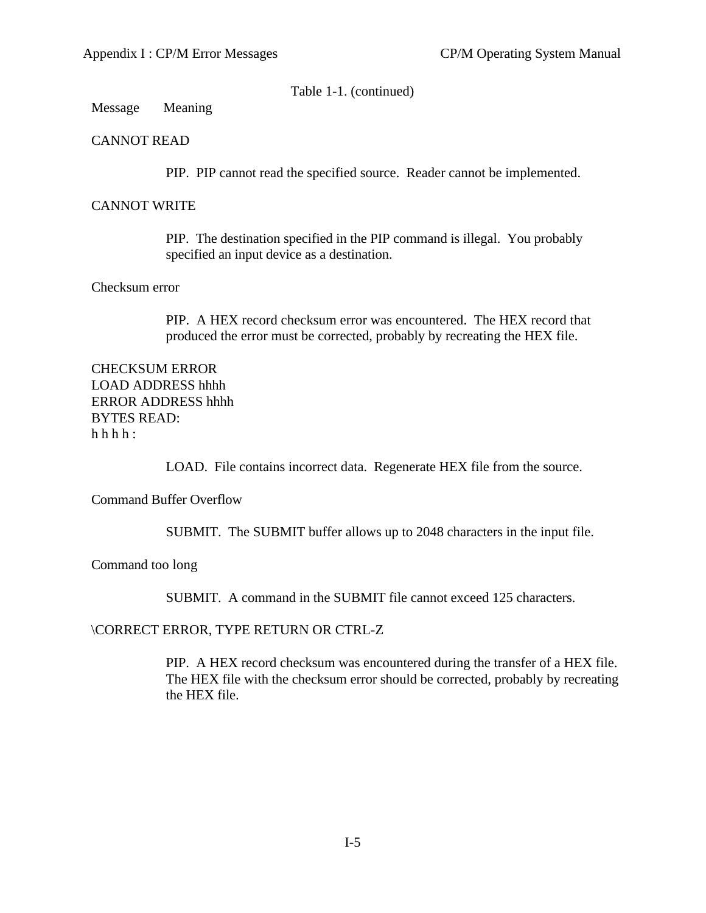Message Meaning

## CANNOT READ

PIP. PIP cannot read the specified source. Reader cannot be implemented.

## CANNOT WRITE

PIP. The destination specified in the PIP command is illegal. You probably specified an input device as a destination.

## Checksum error

PIP. A HEX record checksum error was encountered. The HEX record that produced the error must be corrected, probably by recreating the HEX file.

CHECKSUM ERROR LOAD ADDRESS hhhh ERROR ADDRESS hhhh BYTES READ:  $h h h$ :

LOAD. File contains incorrect data. Regenerate HEX file from the source.

Command Buffer Overflow

SUBMIT. The SUBMIT buffer allows up to 2048 characters in the input file.

Command too long

SUBMIT. A command in the SUBMIT file cannot exceed 125 characters.

\CORRECT ERROR, TYPE RETURN OR CTRL-Z

PIP. A HEX record checksum was encountered during the transfer of a HEX file. The HEX file with the checksum error should be corrected, probably by recreating the HEX file.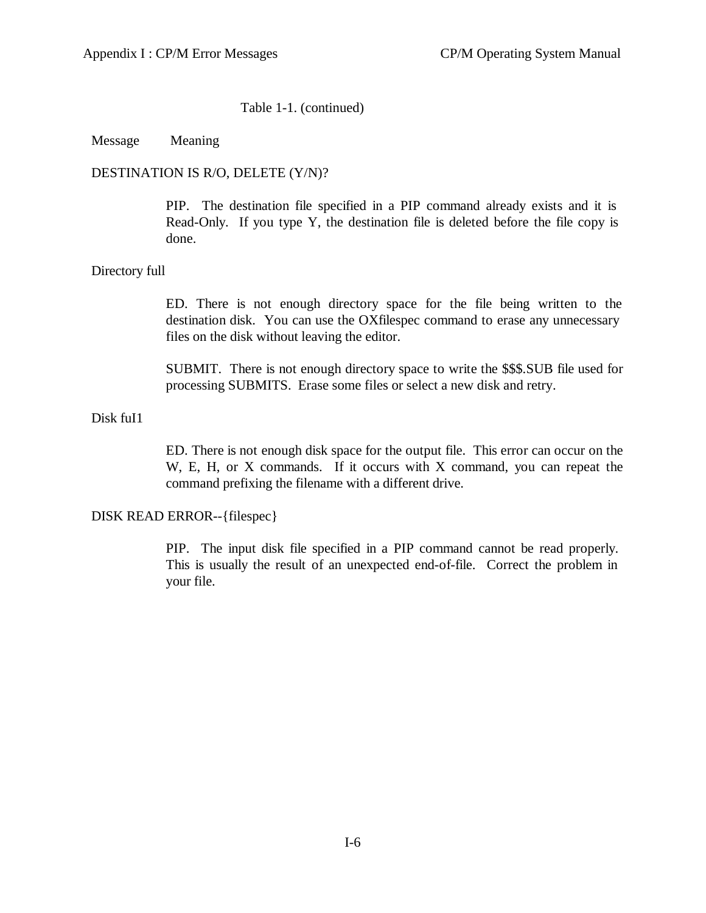#### Message Meaning

### DESTINATION IS R/O, DELETE (Y/N)?

PIP. The destination file specified in a PIP command already exists and it is Read-Only. If you type Y, the destination file is deleted before the file copy is done.

### Directory full

ED. There is not enough directory space for the file being written to the destination disk. You can use the OXfilespec command to erase any unnecessary files on the disk without leaving the editor.

SUBMIT. There is not enough directory space to write the \$\$\$.SUB file used for processing SUBMITS. Erase some files or select a new disk and retry.

### Disk fuI1

ED. There is not enough disk space for the output file. This error can occur on the W, E, H, or X commands. If it occurs with X command, you can repeat the command prefixing the filename with a different drive.

#### DISK READ ERROR--{filespec}

PIP. The input disk file specified in a PIP command cannot be read properly. This is usually the result of an unexpected end-of-file. Correct the problem in your file.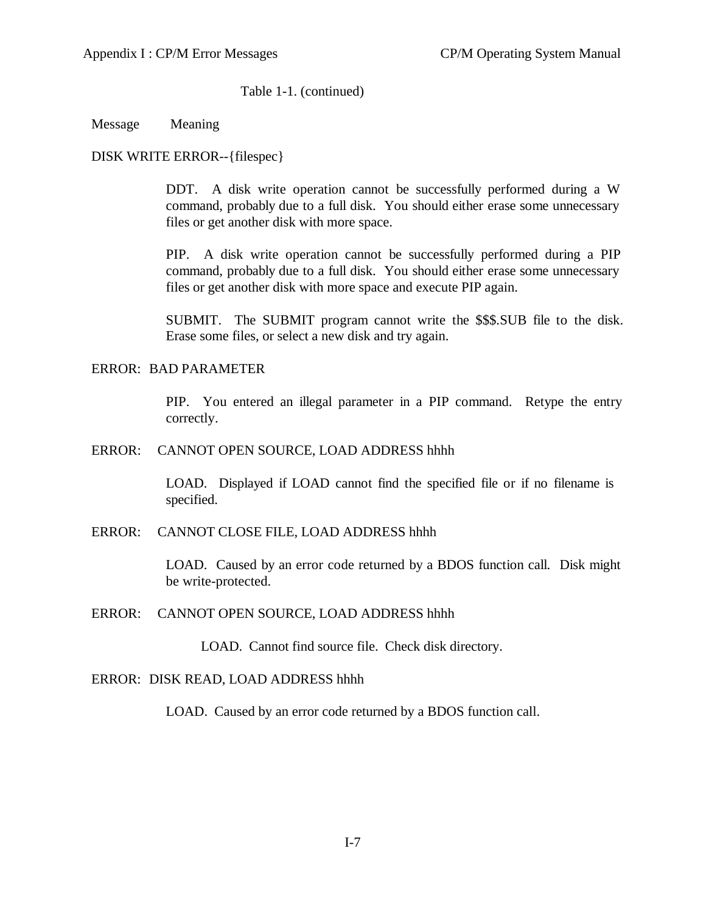Message Meaning

DISK WRITE ERROR--{filespec}

DDT. A disk write operation cannot be successfully performed during a W command, probably due to a full disk. You should either erase some unnecessary files or get another disk with more space.

PIP. A disk write operation cannot be successfully performed during a PIP command, probably due to a full disk. You should either erase some unnecessary files or get another disk with more space and execute PIP again.

SUBMIT. The SUBMIT program cannot write the \$\$\$.SUB file to the disk. Erase some files, or select a new disk and try again.

### ERROR: BAD PARAMETER

PIP. You entered an illegal parameter in a PIP command. Retype the entry correctly.

### ERROR: CANNOT OPEN SOURCE, LOAD ADDRESS hhhh

LOAD. Displayed if LOAD cannot find the specified file or if no filename is specified.

## ERROR: CANNOT CLOSE FILE, LOAD ADDRESS hhhh

LOAD. Caused by an error code returned by a BDOS function call. Disk might be write-protected.

ERROR: CANNOT OPEN SOURCE, LOAD ADDRESS hhhh

LOAD. Cannot find source file. Check disk directory.

## ERROR: DISK READ, LOAD ADDRESS hhhh

LOAD. Caused by an error code returned by a BDOS function call.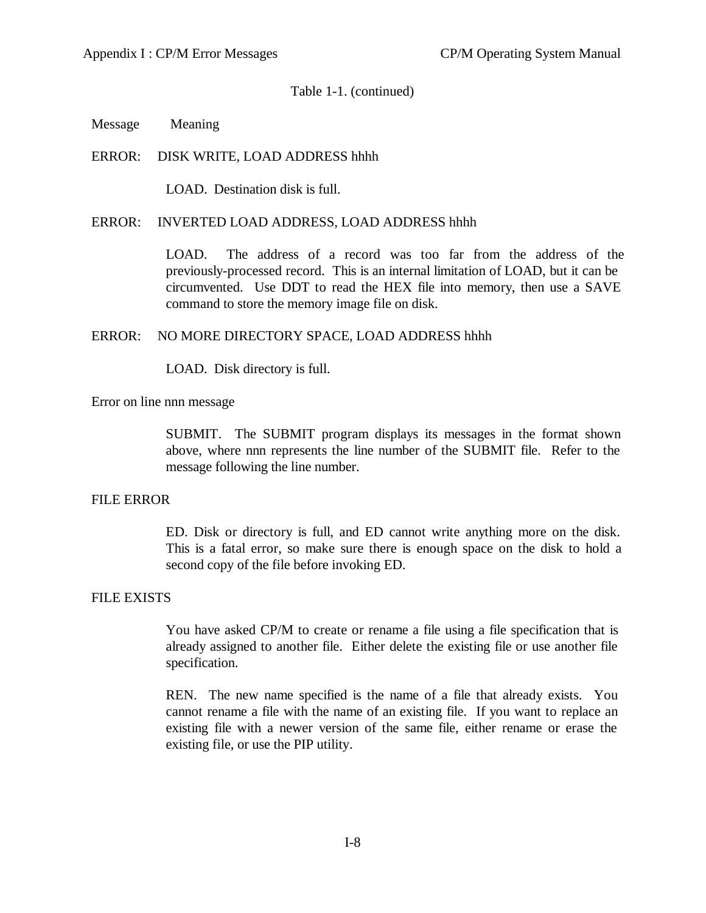Message Meaning

## ERROR: DISK WRITE, LOAD ADDRESS hhhh

LOAD. Destination disk is full.

#### ERROR: INVERTED LOAD ADDRESS, LOAD ADDRESS hhhh

LOAD. The address of a record was too far from the address of the previously-processed record. This is an internal limitation of LOAD, but it can be circumvented. Use DDT to read the HEX file into memory, then use a SAVE command to store the memory image file on disk.

### ERROR: NO MORE DIRECTORY SPACE, LOAD ADDRESS hhhh

LOAD. Disk directory is full.

Error on line nnn message

SUBMIT. The SUBMIT program displays its messages in the format shown above, where nnn represents the line number of the SUBMIT file. Refer to the message following the line number.

#### FILE ERROR

ED. Disk or directory is full, and ED cannot write anything more on the disk. This is a fatal error, so make sure there is enough space on the disk to hold a second copy of the file before invoking ED.

## FILE EXISTS

You have asked CP/M to create or rename a file using a file specification that is already assigned to another file. Either delete the existing file or use another file specification.

REN. The new name specified is the name of a file that already exists. You cannot rename a file with the name of an existing file. If you want to replace an existing file with a newer version of the same file, either rename or erase the existing file, or use the PIP utility.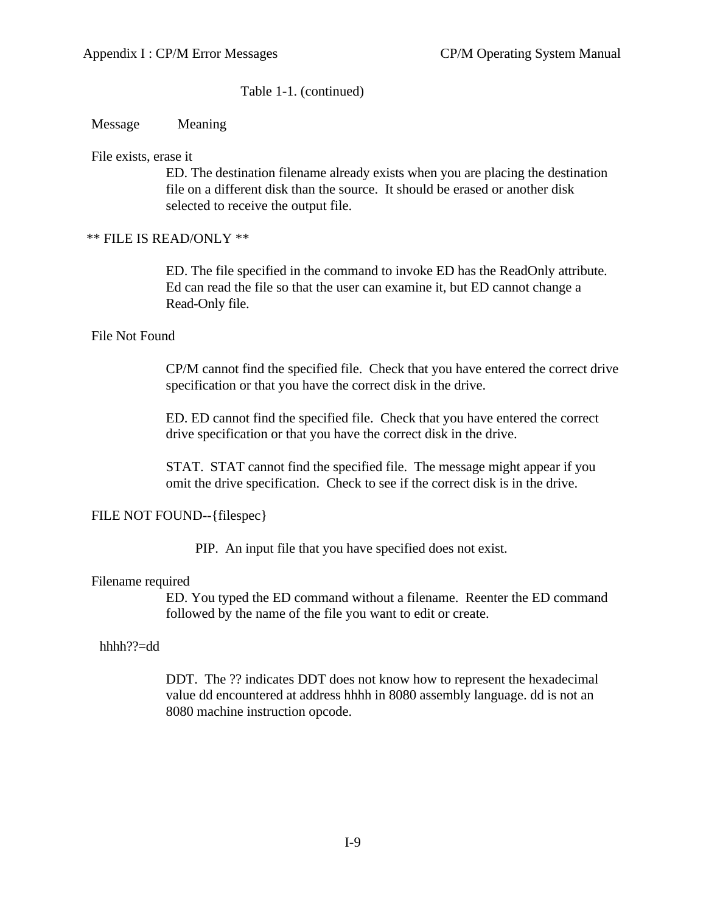Message Meaning

File exists, erase it

ED. The destination filename already exists when you are placing the destination file on a different disk than the source. It should be erased or another disk selected to receive the output file.

## \*\* FILE IS READ/ONLY \*\*

ED. The file specified in the command to invoke ED has the ReadOnly attribute. Ed can read the file so that the user can examine it, but ED cannot change a Read-Only file.

### File Not Found

CP/M cannot find the specified file. Check that you have entered the correct drive specification or that you have the correct disk in the drive.

ED. ED cannot find the specified file. Check that you have entered the correct drive specification or that you have the correct disk in the drive.

STAT. STAT cannot find the specified file. The message might appear if you omit the drive specification. Check to see if the correct disk is in the drive.

## FILE NOT FOUND--{filespec}

PIP. An input file that you have specified does not exist.

#### Filename required

ED. You typed the ED command without a filename. Reenter the ED command followed by the name of the file you want to edit or create.

### hhhh??=dd

DDT. The ?? indicates DDT does not know how to represent the hexadecimal value dd encountered at address hhhh in 8080 assembly language. dd is not an 8080 machine instruction opcode.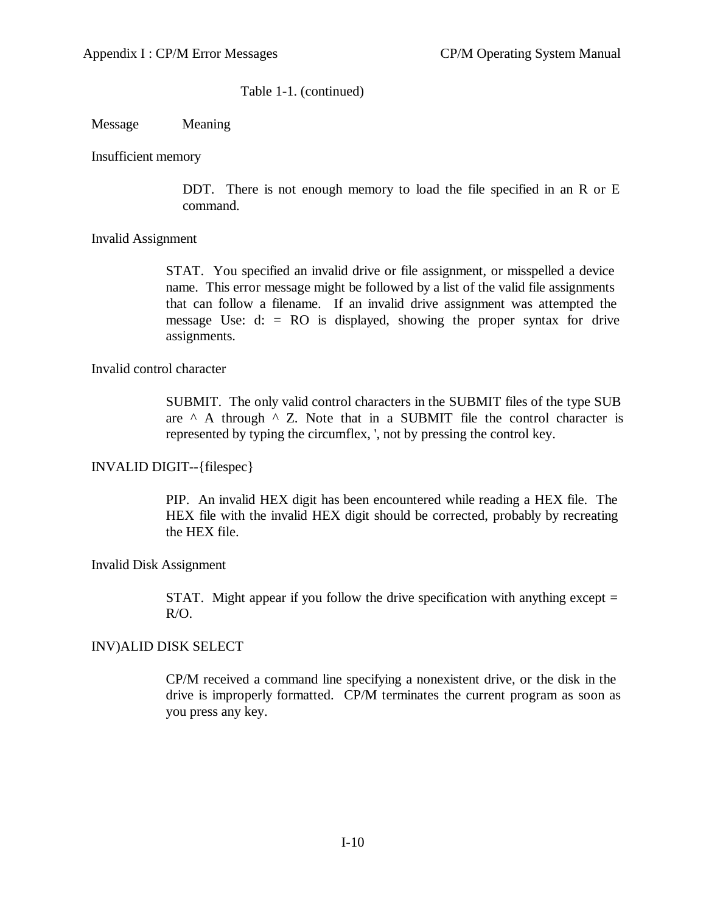Message Meaning

Insufficient memory

DDT. There is not enough memory to load the file specified in an R or E command.

Invalid Assignment

STAT. You specified an invalid drive or file assignment, or misspelled a device name. This error message might be followed by a list of the valid file assignments that can follow a filename. If an invalid drive assignment was attempted the message Use:  $d:$  = RO is displayed, showing the proper syntax for drive assignments.

Invalid control character

SUBMIT. The only valid control characters in the SUBMIT files of the type SUB are  $\land$  A through  $\land$  Z. Note that in a SUBMIT file the control character is represented by typing the circumflex, ', not by pressing the control key.

INVALID DIGIT--{filespec}

PIP. An invalid HEX digit has been encountered while reading a HEX file. The HEX file with the invalid HEX digit should be corrected, probably by recreating the HEX file.

Invalid Disk Assignment

STAT. Might appear if you follow the drive specification with anything except  $=$ R/O.

INV)ALID DISK SELECT

CP/M received a command line specifying a nonexistent drive, or the disk in the drive is improperly formatted. CP/M terminates the current program as soon as you press any key.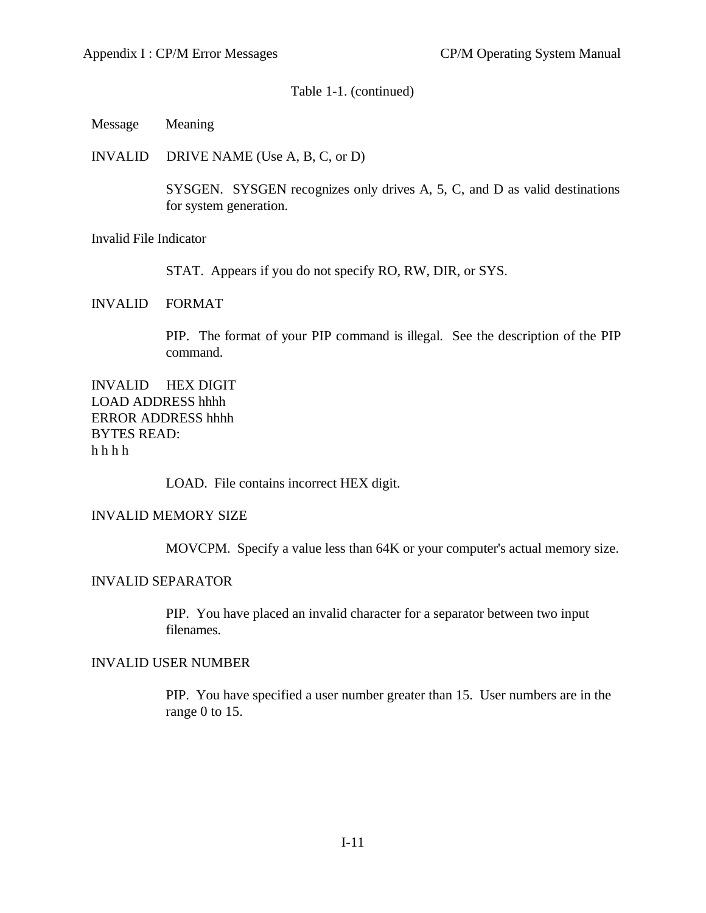Message Meaning

INVALID DRIVE NAME (Use A, B, C, or D)

SYSGEN. SYSGEN recognizes only drives A, 5, C, and D as valid destinations for system generation.

Invalid File Indicator

STAT. Appears if you do not specify RO, RW, DIR, or SYS.

INVALID FORMAT

PIP. The format of your PIP command is illegal. See the description of the PIP command.

INVALID HEX DIGIT LOAD ADDRESS hhhh ERROR ADDRESS hhhh BYTES READ: h h h h

LOAD. File contains incorrect HEX digit.

#### INVALID MEMORY SIZE

MOVCPM. Specify a value less than 64K or your computer's actual memory size.

### INVALID SEPARATOR

PIP. You have placed an invalid character for a separator between two input filenames.

### INVALID USER NUMBER

PIP. You have specified a user number greater than 15. User numbers are in the range 0 to 15.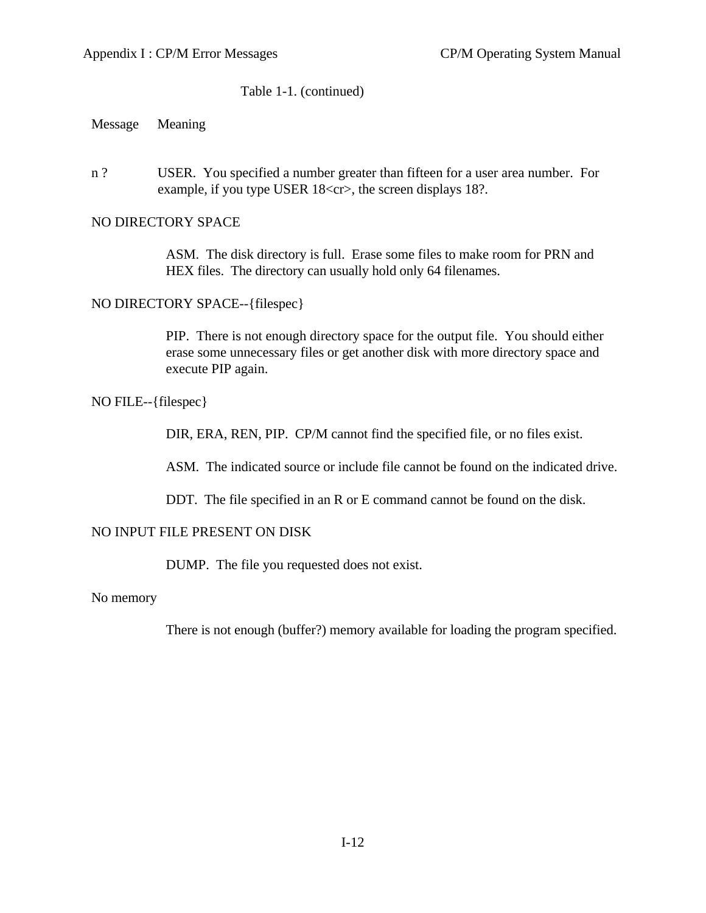Message Meaning

n ? USER. You specified a number greater than fifteen for a user area number. For example, if you type USER 18<cr>, the screen displays 18?.

## NO DIRECTORY SPACE

ASM. The disk directory is full. Erase some files to make room for PRN and HEX files. The directory can usually hold only 64 filenames.

### NO DIRECTORY SPACE--{filespec}

PIP. There is not enough directory space for the output file. You should either erase some unnecessary files or get another disk with more directory space and execute PIP again.

## NO FILE--{filespec}

DIR, ERA, REN, PIP. CP/M cannot find the specified file, or no files exist.

ASM. The indicated source or include file cannot be found on the indicated drive.

DDT. The file specified in an R or E command cannot be found on the disk.

## NO INPUT FILE PRESENT ON DISK

DUMP. The file you requested does not exist.

No memory

There is not enough (buffer?) memory available for loading the program specified.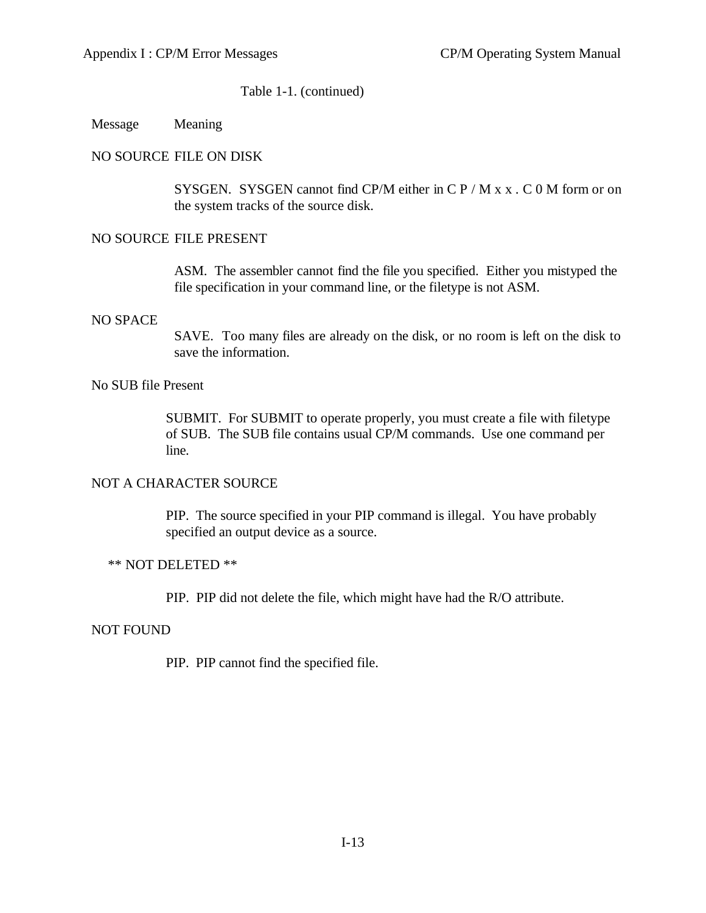Message Meaning

## NO SOURCE FILE ON DISK

SYSGEN. SYSGEN cannot find CP/M either in C  $P / M x x$ . C 0 M form or on the system tracks of the source disk.

### NO SOURCE FILE PRESENT

ASM. The assembler cannot find the file you specified. Either you mistyped the file specification in your command line, or the filetype is not ASM.

#### NO SPACE

SAVE. Too many files are already on the disk, or no room is left on the disk to save the information.

#### No SUB file Present

SUBMIT. For SUBMIT to operate properly, you must create a file with filetype of SUB. The SUB file contains usual CP/M commands. Use one command per line.

### NOT A CHARACTER SOURCE

PIP. The source specified in your PIP command is illegal. You have probably specified an output device as a source.

### \*\* NOT DELETED \*\*

PIP. PIP did not delete the file, which might have had the R/O attribute.

#### NOT FOUND

PIP. PIP cannot find the specified file.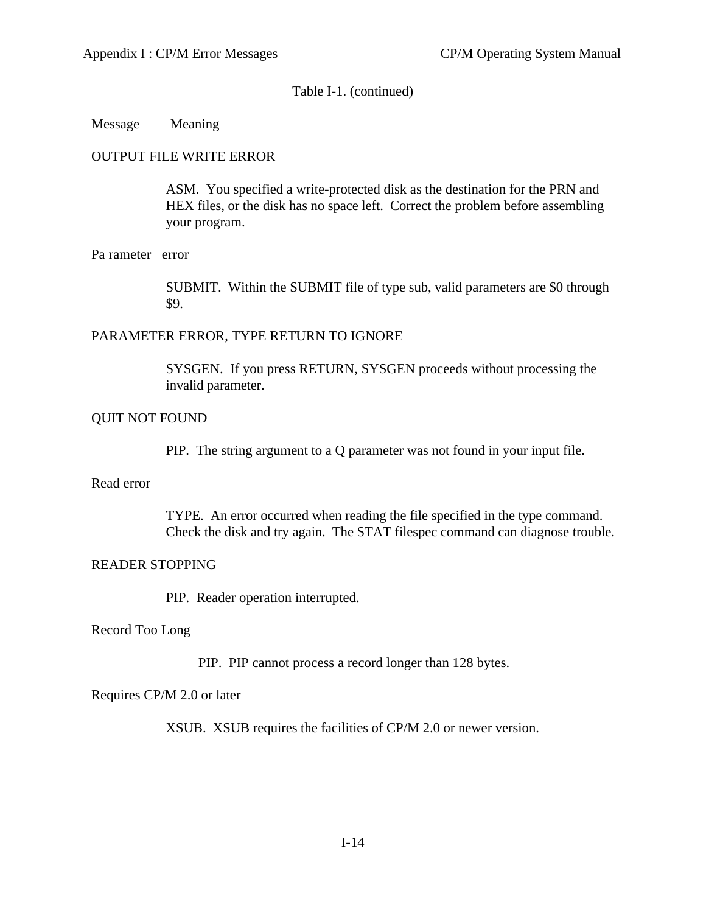## Message Meaning

## OUTPUT FILE WRITE ERROR

ASM. You specified a write-protected disk as the destination for the PRN and HEX files, or the disk has no space left. Correct the problem before assembling your program.

## Pa rameter error

SUBMIT. Within the SUBMIT file of type sub, valid parameters are \$0 through \$9.

## PARAMETER ERROR, TYPE RETURN TO IGNORE

SYSGEN. If you press RETURN, SYSGEN proceeds without processing the invalid parameter.

## QUIT NOT FOUND

PIP. The string argument to a Q parameter was not found in your input file.

### Read error

TYPE. An error occurred when reading the file specified in the type command. Check the disk and try again. The STAT filespec command can diagnose trouble.

## READER STOPPING

PIP. Reader operation interrupted.

#### Record Too Long

PIP. PIP cannot process a record longer than 128 bytes.

## Requires CP/M 2.0 or later

XSUB. XSUB requires the facilities of CP/M 2.0 or newer version.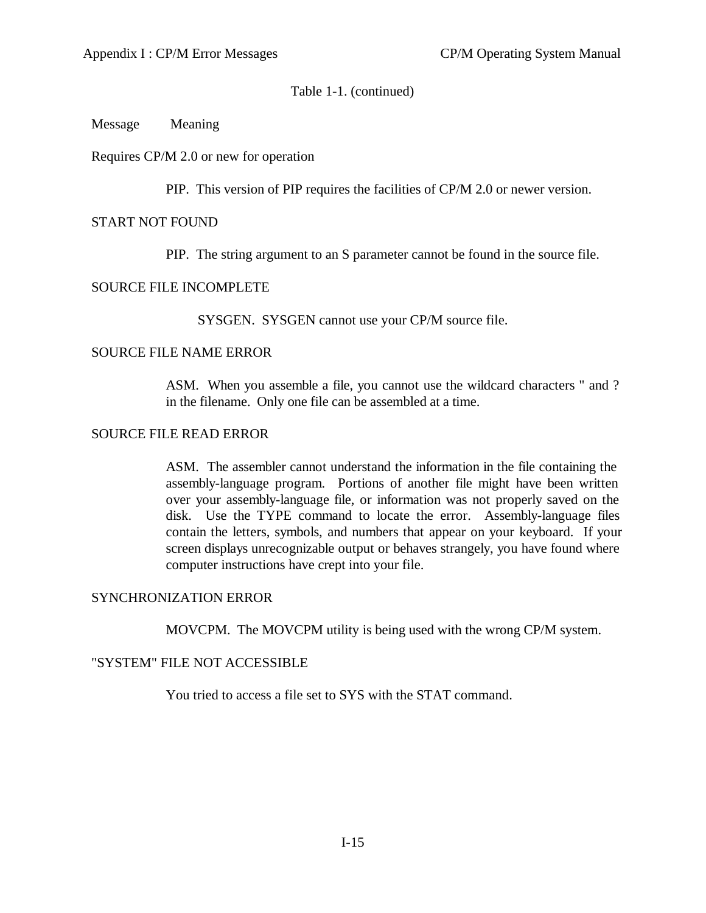Message Meaning

Requires CP/M 2.0 or new for operation

PIP. This version of PIP requires the facilities of CP/M 2.0 or newer version.

## START NOT FOUND

PIP. The string argument to an S parameter cannot be found in the source file.

## SOURCE FILE INCOMPLETE

SYSGEN. SYSGEN cannot use your CP/M source file.

## SOURCE FILE NAME ERROR

ASM. When you assemble a file, you cannot use the wildcard characters " and ? in the filename. Only one file can be assembled at a time.

## SOURCE FILE READ ERROR

ASM. The assembler cannot understand the information in the file containing the assembly-language program. Portions of another file might have been written over your assembly-language file, or information was not properly saved on the disk. Use the TYPE command to locate the error. Assembly-language files contain the letters, symbols, and numbers that appear on your keyboard. If your screen displays unrecognizable output or behaves strangely, you have found where computer instructions have crept into your file.

## SYNCHRONIZATION ERROR

MOVCPM. The MOVCPM utility is being used with the wrong CP/M system.

## "SYSTEM" FILE NOT ACCESSIBLE

You tried to access a file set to SYS with the STAT command.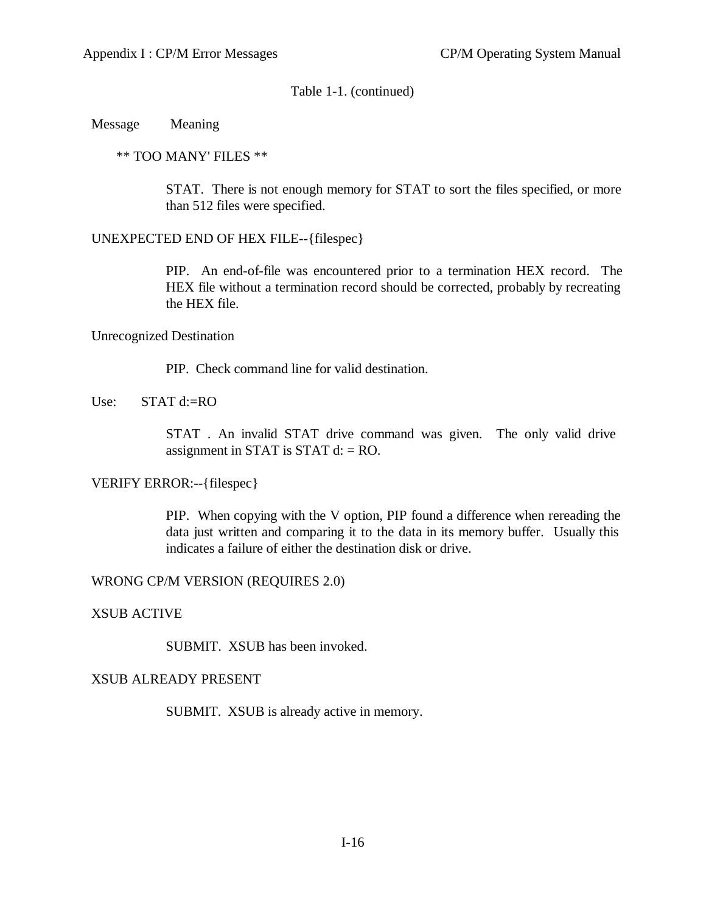Message Meaning

\*\* TOO MANY' FILES \*\*

STAT. There is not enough memory for STAT to sort the files specified, or more than 512 files were specified.

UNEXPECTED END OF HEX FILE--{filespec}

PIP. An end-of-file was encountered prior to a termination HEX record. The HEX file without a termination record should be corrected, probably by recreating the HEX file.

Unrecognized Destination

PIP. Check command line for valid destination.

Use:  $STAT d:=RO$ 

STAT . An invalid STAT drive command was given. The only valid drive assignment in STAT is STAT  $d$ : = RO.

VERIFY ERROR:--{filespec}

PIP. When copying with the V option, PIP found a difference when rereading the data just written and comparing it to the data in its memory buffer. Usually this indicates a failure of either the destination disk or drive.

WRONG CP/M VERSION (REQUIRES 2.0)

XSUB ACTIVE

SUBMIT. XSUB has been invoked.

## XSUB ALREADY PRESENT

SUBMIT. XSUB is already active in memory.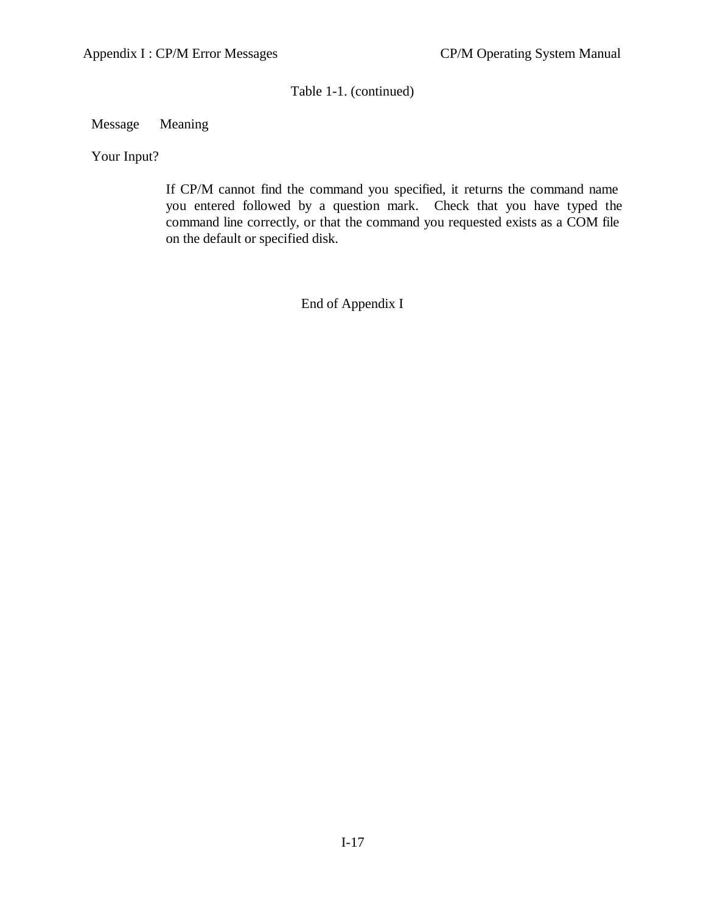## Message Meaning

Your Input?

If CP/M cannot find the command you specified, it returns the command name you entered followed by a question mark. Check that you have typed the command line correctly, or that the command you requested exists as a COM file on the default or specified disk.

End of Appendix I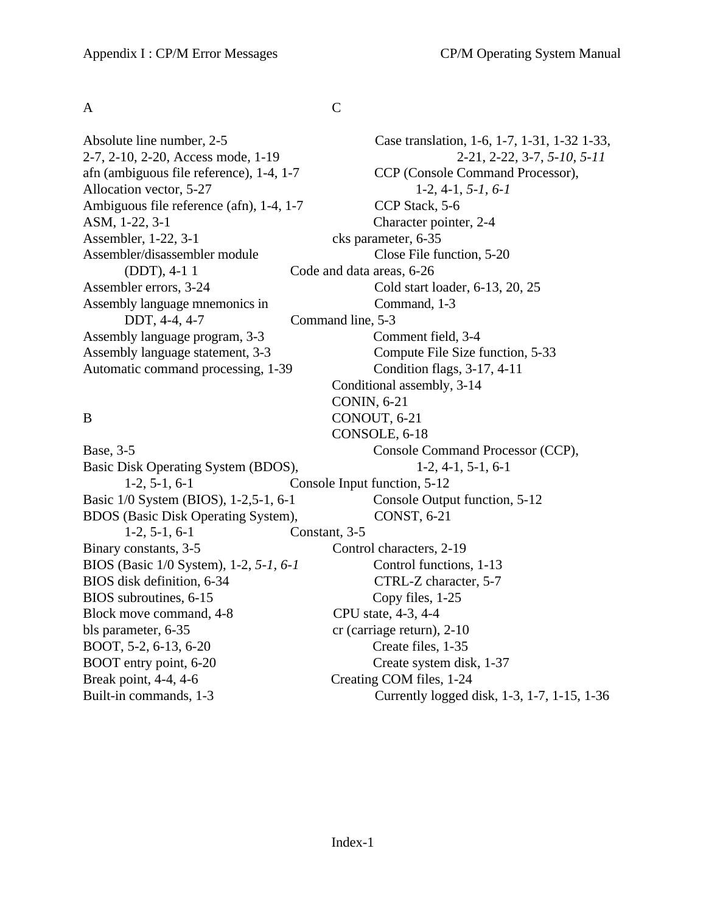$\mathsf A$  C

Allocation vector, 5-27 1-2, 4-1, *5-1, 6-1* Ambiguous file reference (afn), 1-4, 1-7 CCP Stack, 5-6 ASM, 1-22, 3-1 Character pointer, 2-4 Assembler, 1-22, 3-1 cks parameter, 6-35 Assembler/disassembler module Close File function, 5-20 (DDT), 4-1 1 Code and data areas, 6-26 Assembler errors, 3-24 Cold start loader, 6-13, 20, 25 Assembly language mnemonics in Command, 1-3 DDT, 4-4, 4-7 Command line, 5-3 Assembly language program, 3-3 Comment field, 3-4 Automatic command processing, 1-39 Condition flags, 3-17, 4-11

Basic Disk Operating System (BDOS), 1-2, 4-1, 5-1, 6-1 1-2, 5-1, 6-1 Console Input function, 5-12 Basic 1/0 System (BIOS), 1-2,5-1, 6-1 Console Output function, 5-12 BDOS (Basic Disk Operating System), CONST, 6-21 1-2, 5-1, 6-1 Constant, 3-5 Binary constants, 3-5 Control characters, 2-19 BIOS (Basic 1/0 System), 1-2, *5-1, 6-1* Control functions, 1-13 BIOS disk definition, 6-34 CTRL-Z character, 5-7 BIOS subroutines, 6-15 Copy files, 1-25 Block move command, 4-8 CPU state, 4-3, 4-4 bls parameter, 6-35 cr (carriage return), 2-10 BOOT, 5-2, 6-13, 6-20 Create files, 1-35 BOOT entry point, 6-20 Create system disk, 1-37 Break point, 4-4, 4-6 Creating COM files, 1-24

Absolute line number, 2-5 Case translation, 1-6, 1-7, 1-31, 1-32 1-33, 2-7, 2-10, 2-20, Access mode, 1-19 2-21, 2-22, 3-7, *5-10, 5-11* afn (ambiguous file reference), 1-4, 1-7 CCP (Console Command Processor), Assembly language statement, 3-3 Compute File Size function, 5-33 Conditional assembly, 3-14 CONIN, 6-21 B CONOUT, 6-21 CONSOLE, 6-18 Base, 3-5 Console Command Processor (CCP), Built-in commands, 1-3 Currently logged disk, 1-3, 1-7, 1-15, 1-36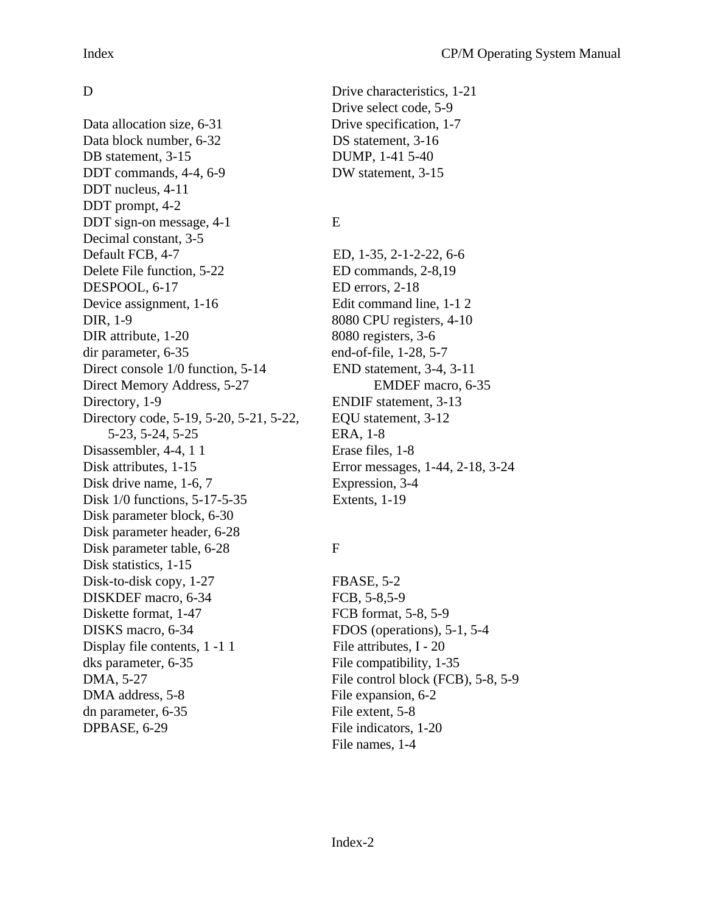Data allocation size, 6-31 Drive specification, 1-7 Data block number, 6-32 DS statement, 3-16 DB statement, 3-15 DUMP, 1-41 5-40 DDT commands, 4-4, 6-9 DW statement, 3-15 DDT nucleus, 4-11 DDT prompt, 4-2 DDT sign-on message, 4-1 E Decimal constant, 3-5 Default FCB, 4-7 ED, 1-35, 2-1-2-22, 6-6 Delete File function, 5-22 ED commands, 2-8,19 DESPOOL, 6-17 ED errors, 2-18 Device assignment, 1-16 Edit command line, 1-1 2 DIR, 1-9 8080 CPU registers, 4-10 DIR attribute, 1-20 8080 registers, 3-6 dir parameter, 6-35 end-of-file, 1-28, 5-7 Direct console 1/0 function, 5-14 END statement, 3-4, 3-11 Direct Memory Address, 5-27 EMDEF macro, 6-35 Directory, 1-9 ENDIF statement, 3-13 Directory code, 5-19, 5-20, 5-21, 5-22, EQU statement, 3-12 5-23, 5-24, 5-25 ERA, 1-8 Disassembler, 4-4, 1 1 Erase files, 1-8 Disk attributes, 1-15 Error messages, 1-44, 2-18, 3-24 Disk drive name, 1-6, 7 Expression, 3-4 Disk 1/0 functions, 5-17-5-35 Extents, 1-19 Disk parameter block, 6-30 Disk parameter header, 6-28 Disk parameter table, 6-28 F Disk statistics, 1-15 Disk-to-disk copy, 1-27 FBASE, 5-2 DISKDEF macro, 6-34 FCB, 5-8,5-9 Diskette format, 1-47 FCB format, 5-8, 5-9 DISKS macro, 6-34 FDOS (operations), 5-1, 5-4 Display file contents, 1 -1 1 File attributes, I - 20 dks parameter, 6-35 File compatibility, 1-35 DMA, 5-27 File control block (FCB), 5-8, 5-9 DMA address, 5-8 File expansion, 6-2 dn parameter, 6-35 File extent, 5-8 DPBASE, 6-29 File indicators, 1-20

D Drive characteristics, 1-21 Drive select code, 5-9

File names, 1-4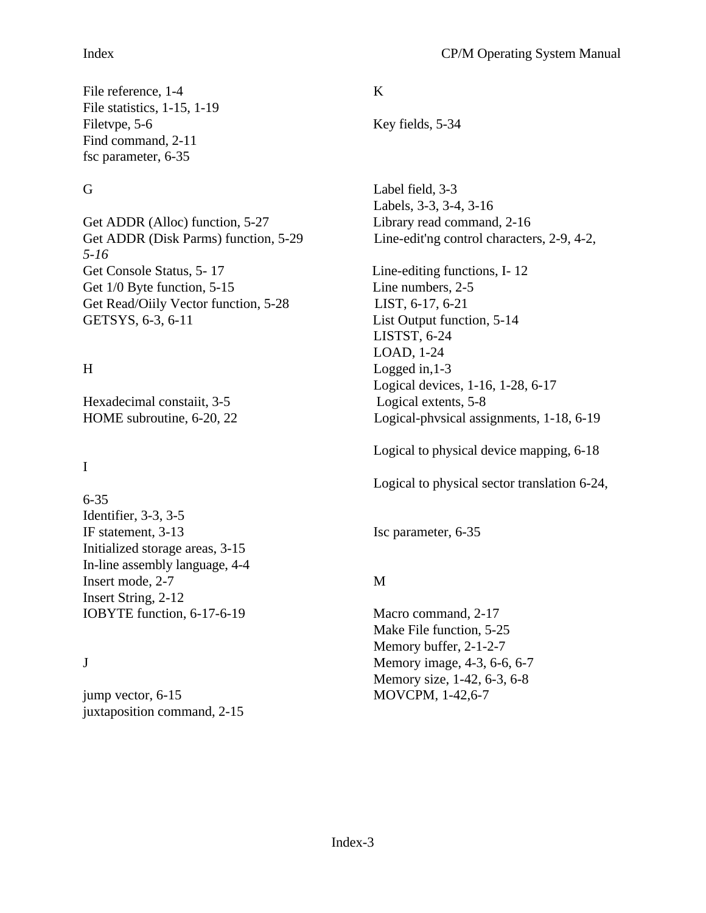## Index CP/M Operating System Manual

File reference, 1-4 K File statistics, 1-15, 1-19 Filetvpe, 5-6 Key fields, 5-34 Find command, 2-11 fsc parameter, 6-35

Get ADDR (Alloc) function, 5-27 Library read command, 2-16 *5-16* Get Console Status, 5-17 Line-editing functions, I-12 Get  $1/0$  Byte function,  $5-15$  Line numbers,  $2-5$ Get Read/Oiily Vector function, 5-28 LIST, 6-17, 6-21 GETSYS, 6-3, 6-11 List Output function, 5-14

Hexadecimal constaiit, 3-5 Logical extents, 5-8

# I

6-35 Identifier, 3-3, 3-5 IF statement, 3-13 Isc parameter, 6-35 Initialized storage areas, 3-15 In-line assembly language, 4-4 Insert mode, 2-7 M Insert String, 2-12 IOBYTE function, 6-17-6-19 Macro command, 2-17

jump vector, 6-15 MOVCPM, 1-42,6-7 juxtaposition command, 2-15

G Label field, 3-3 Labels, 3-3, 3-4, 3-16 Get ADDR (Disk Parms) function, 5-29 Line-edit'ng control characters, 2-9, 4-2,

LISTST, 6-24 LOAD, 1-24 H Logged in,1-3 Logical devices, 1-16, 1-28, 6-17 HOME subroutine, 6-20, 22 Logical-phvsical assignments, 1-18, 6-19

Logical to physical device mapping, 6-18

Logical to physical sector translation 6-24,

Make File function, 5-25 Memory buffer, 2-1-2-7 J Memory image, 4-3, 6-6, 6-7 Memory size, 1-42, 6-3, 6-8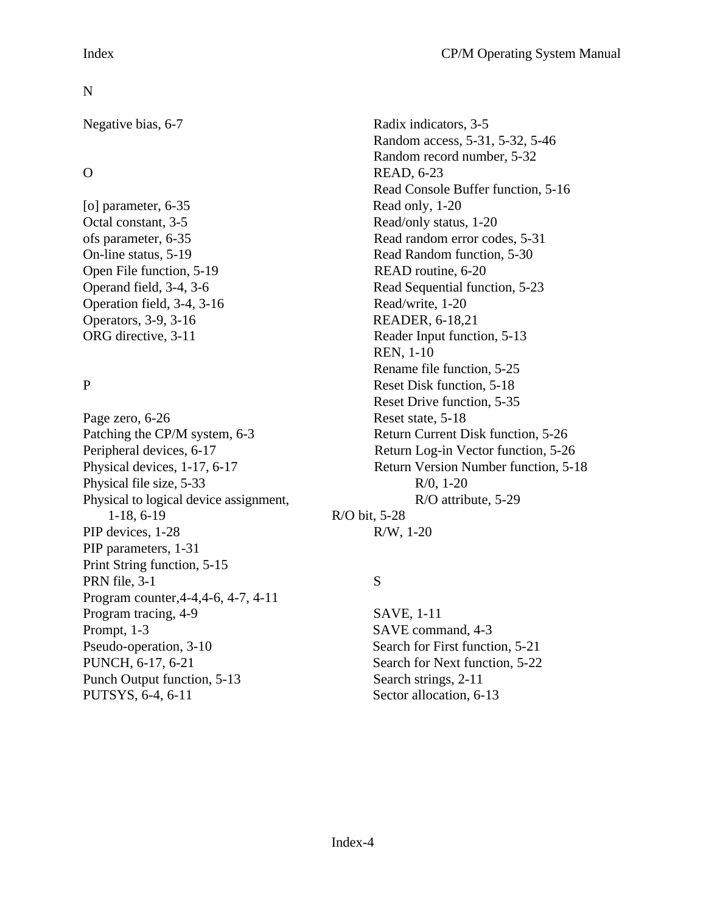[o] parameter, 6-35 Read only, 1-20 Octal constant, 3-5 Read/only status, 1-20 Open File function, 5-19 READ routine, 6-20 Operation field, 3-4, 3-16 Read/write, 1-20 Operators, 3-9, 3-16 READER, 6-18,21

Page zero, 6-26 Reset state, 5-18 Patching the CP/M system, 6-3 Return Current Disk function, 5-26 Physical file size,  $5-33$  R/0,  $1-20$ Physical to logical device assignment, R/O attribute, 5-29 1-18, 6-19 R/O bit, 5-28 PIP devices, 1-28 R/W, 1-20 PIP parameters, 1-31 Print String function, 5-15 PRN file, 3-1 S Program counter,4-4,4-6, 4-7, 4-11 Program tracing, 4-9 SAVE, 1-11 Prompt, 1-3 SAVE command, 4-3 Pseudo-operation, 3-10 Search for First function, 5-21 PUNCH, 6-17, 6-21 Search for Next function, 5-22 Punch Output function, 5-13 Search strings, 2-11 PUTSYS, 6-4, 6-11 Sector allocation, 6-13

Negative bias, 6-7 Radix indicators, 3-5 Random access, 5-31, 5-32, 5-46 Random record number, 5-32 O READ, 6-23 Read Console Buffer function, 5-16 ofs parameter, 6-35 Read random error codes, 5-31 On-line status, 5-19 Read Random function, 5-30 Operand field, 3-4, 3-6 Read Sequential function, 5-23 ORG directive, 3-11 Reader Input function, 5-13 REN, 1-10 Rename file function, 5-25 P Reset Disk function, 5-18 Reset Drive function, 5-35 Peripheral devices, 6-17 Return Log-in Vector function, 5-26 Physical devices, 1-17, 6-17 Return Version Number function, 5-18